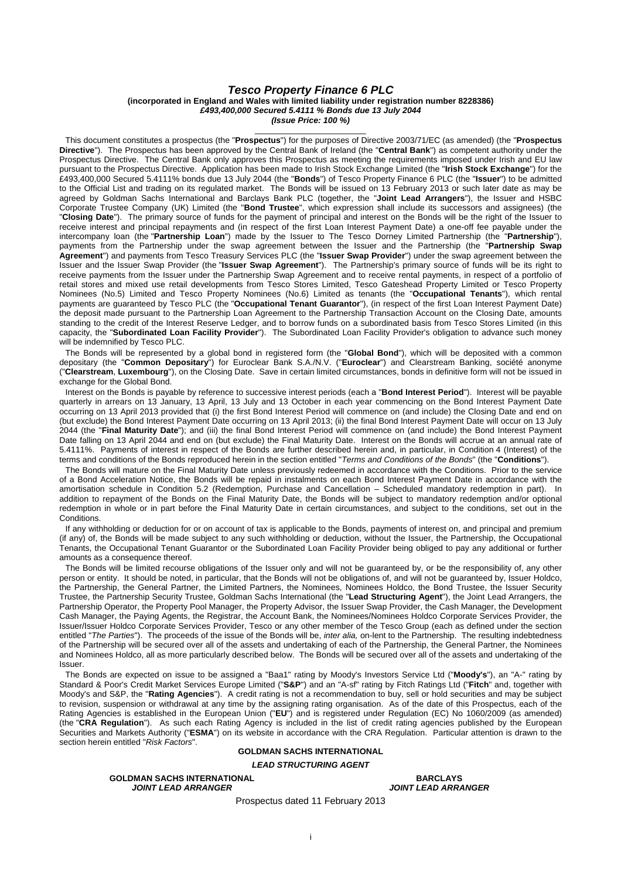#### *Tesco Property Finance 6 PLC* **(incorporated in England and Wales with limited liability under registration number 8228386)**  *£493,400,000 Secured 5.4111 % Bonds due 13 July 2044 (Issue Price: 100 %)*

 $\frac{1}{2}$  ,  $\frac{1}{2}$  ,  $\frac{1}{2}$  ,  $\frac{1}{2}$  ,  $\frac{1}{2}$  ,  $\frac{1}{2}$  ,  $\frac{1}{2}$  ,  $\frac{1}{2}$  ,  $\frac{1}{2}$  ,  $\frac{1}{2}$  ,  $\frac{1}{2}$  ,  $\frac{1}{2}$  ,  $\frac{1}{2}$  ,  $\frac{1}{2}$  ,  $\frac{1}{2}$  ,  $\frac{1}{2}$  ,  $\frac{1}{2}$  ,  $\frac{1}{2}$  ,  $\frac{1$ 

This document constitutes a prospectus (the "**Prospectus**") for the purposes of Directive 2003/71/EC (as amended) (the "**Prospectus Directive**"). The Prospectus has been approved by the Central Bank of Ireland (the "**Central Bank**") as competent authority under the Prospectus Directive. The Central Bank only approves this Prospectus as meeting the requirements imposed under Irish and EU law pursuant to the Prospectus Directive. Application has been made to Irish Stock Exchange Limited (the "**Irish Stock Exchange**") for the £493,400,000 Secured 5.4111% bonds due 13 July 2044 (the "**Bonds**") of Tesco Property Finance 6 PLC (the "**Issuer**") to be admitted to the Official List and trading on its regulated market. The Bonds will be issued on 13 February 2013 or such later date as may be agreed by Goldman Sachs International and Barclays Bank PLC (together, the "**Joint Lead Arrangers**"), the Issuer and HSBC Corporate Trustee Company (UK) Limited (the "**Bond Trustee**", which expression shall include its successors and assignees) (the "**Closing Date**"). The primary source of funds for the payment of principal and interest on the Bonds will be the right of the Issuer to receive interest and principal repayments and (in respect of the first Loan Interest Payment Date) a one-off fee payable under the intercompany loan (the "**Partnership Loan**") made by the Issuer to The Tesco Dorney Limited Partnership (the "**Partnership**"), payments from the Partnership under the swap agreement between the Issuer and the Partnership (the "**Partnership Swap Agreement**") and payments from Tesco Treasury Services PLC (the "**Issuer Swap Provider**") under the swap agreement between the Issuer and the Issuer Swap Provider (the "**Issuer Swap Agreement**"). The Partnership's primary source of funds will be its right to receive payments from the Issuer under the Partnership Swap Agreement and to receive rental payments, in respect of a portfolio of retail stores and mixed use retail developments from Tesco Stores Limited, Tesco Gateshead Property Limited or Tesco Property Nominees (No.5) Limited and Tesco Property Nominees (No.6) Limited as tenants (the "**Occupational Tenants**"), which rental payments are guaranteed by Tesco PLC (the "**Occupational Tenant Guarantor**"), (in respect of the first Loan Interest Payment Date) the deposit made pursuant to the Partnership Loan Agreement to the Partnership Transaction Account on the Closing Date, amounts standing to the credit of the Interest Reserve Ledger, and to borrow funds on a subordinated basis from Tesco Stores Limited (in this capacity, the "**Subordinated Loan Facility Provider**"). The Subordinated Loan Facility Provider's obligation to advance such money will be indemnified by Tesco PLC.

The Bonds will be represented by a global bond in registered form (the "**Global Bond**"), which will be deposited with a common depositary (the "**Common Depositary**") for Euroclear Bank S.A./N.V. ("**Euroclear**") and Clearstream Banking, société anonyme ("**Clearstream**, **Luxembourg**"), on the Closing Date. Save in certain limited circumstances, bonds in definitive form will not be issued in exchange for the Global Bond.

Interest on the Bonds is payable by reference to successive interest periods (each a "**Bond Interest Period**"). Interest will be payable quarterly in arrears on 13 January, 13 April, 13 July and 13 October in each year commencing on the Bond Interest Payment Date occurring on 13 April 2013 provided that (i) the first Bond Interest Period will commence on (and include) the Closing Date and end on (but exclude) the Bond Interest Payment Date occurring on 13 April 2013; (ii) the final Bond Interest Payment Date will occur on 13 July 2044 (the "**Final Maturity Date**"); and (iii) the final Bond Interest Period will commence on (and include) the Bond Interest Payment Date falling on 13 April 2044 and end on (but exclude) the Final Maturity Date. Interest on the Bonds will accrue at an annual rate of 5.4111%. Payments of interest in respect of the Bonds are further described herein and, in particular, in Condition 4 (Interest) of the terms and conditions of the Bonds reproduced herein in the section entitled "*Terms and Conditions of the Bonds*" (the "**Conditions**").

The Bonds will mature on the Final Maturity Date unless previously redeemed in accordance with the Conditions. Prior to the service of a Bond Acceleration Notice, the Bonds will be repaid in instalments on each Bond Interest Payment Date in accordance with the amortisation schedule in Condition 5.2 (Redemption, Purchase and Cancellation – Scheduled mandatory redemption in part). In addition to repayment of the Bonds on the Final Maturity Date, the Bonds will be subject to mandatory redemption and/or optional redemption in whole or in part before the Final Maturity Date in certain circumstances, and subject to the conditions, set out in the Conditions.

If any withholding or deduction for or on account of tax is applicable to the Bonds, payments of interest on, and principal and premium (if any) of, the Bonds will be made subject to any such withholding or deduction, without the Issuer, the Partnership, the Occupational Tenants, the Occupational Tenant Guarantor or the Subordinated Loan Facility Provider being obliged to pay any additional or further amounts as a consequence thereof.

The Bonds will be limited recourse obligations of the Issuer only and will not be guaranteed by, or be the responsibility of, any other person or entity. It should be noted, in particular, that the Bonds will not be obligations of, and will not be guaranteed by, Issuer Holdco, the Partnership, the General Partner, the Limited Partners, the Nominees, Nominees Holdco, the Bond Trustee, the Issuer Security Trustee, the Partnership Security Trustee, Goldman Sachs International (the "**Lead Structuring Agent**"), the Joint Lead Arrangers, the Partnership Operator, the Property Pool Manager, the Property Advisor, the Issuer Swap Provider, the Cash Manager, the Development Cash Manager, the Paying Agents, the Registrar, the Account Bank, the Nominees/Nominees Holdco Corporate Services Provider, the Issuer/Issuer Holdco Corporate Services Provider, Tesco or any other member of the Tesco Group (each as defined under the section entitled "*The Parties*"). The proceeds of the issue of the Bonds will be, *inter alia,* on-lent to the Partnership. The resulting indebtedness of the Partnership will be secured over all of the assets and undertaking of each of the Partnership, the General Partner, the Nominees and Nominees Holdco, all as more particularly described below. The Bonds will be secured over all of the assets and undertaking of the Issuer.

The Bonds are expected on issue to be assigned a "Baa1" rating by Moody's Investors Service Ltd ("**Moody's**"), an "A-" rating by Standard & Poor's Credit Market Services Europe Limited ("**S&P**") and an "A-sf" rating by Fitch Ratings Ltd ("**Fitch**" and, together with Moody's and S&P, the "**Rating Agencies**"). A credit rating is not a recommendation to buy, sell or hold securities and may be subject to revision, suspension or withdrawal at any time by the assigning rating organisation. As of the date of this Prospectus, each of the Rating Agencies is established in the European Union ("**EU**") and is registered under Regulation (EC) No 1060/2009 (as amended) (the "**CRA Regulation**"). As such each Rating Agency is included in the list of credit rating agencies published by the European Securities and Markets Authority ("**ESMA**") on its website in accordance with the CRA Regulation. Particular attention is drawn to the section herein entitled "*Risk Factors*". **GOLDMAN SACHS INTERNATIONAL**

*LEAD STRUCTURING AGENT*

**GOLDMAN SACHS INTERNATIONAL BARCLAYS** *JOINT LEAD ARRANGER JOINT LEAD ARRANGER*

Prospectus dated 11 February 2013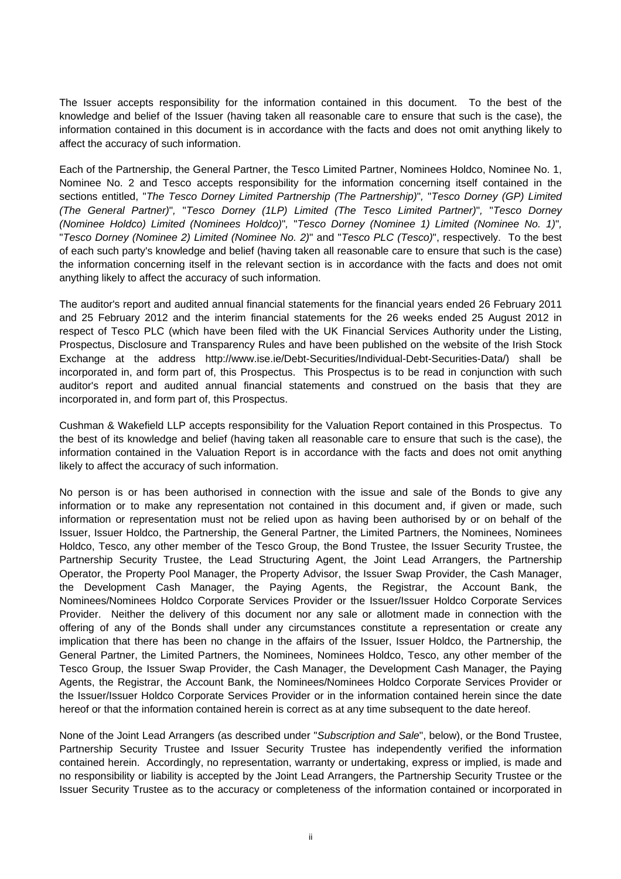The Issuer accepts responsibility for the information contained in this document. To the best of the knowledge and belief of the Issuer (having taken all reasonable care to ensure that such is the case), the information contained in this document is in accordance with the facts and does not omit anything likely to affect the accuracy of such information.

Each of the Partnership, the General Partner, the Tesco Limited Partner, Nominees Holdco, Nominee No. 1, Nominee No. 2 and Tesco accepts responsibility for the information concerning itself contained in the sections entitled, "*The Tesco Dorney Limited Partnership (The Partnership)*"*,* "*Tesco Dorney (GP) Limited (The General Partner)*"*,* "*Tesco Dorney (1LP) Limited (The Tesco Limited Partner)*"*,* "*Tesco Dorney (Nominee Holdco) Limited (Nominees Holdco)*"*,* "*Tesco Dorney (Nominee 1) Limited (Nominee No. 1)*"*,*  "*Tesco Dorney (Nominee 2) Limited (Nominee No. 2)*" and "*Tesco PLC (Tesco)*", respectively. To the best of each such party's knowledge and belief (having taken all reasonable care to ensure that such is the case) the information concerning itself in the relevant section is in accordance with the facts and does not omit anything likely to affect the accuracy of such information.

The auditor's report and audited annual financial statements for the financial years ended 26 February 2011 and 25 February 2012 and the interim financial statements for the 26 weeks ended 25 August 2012 in respect of Tesco PLC (which have been filed with the UK Financial Services Authority under the Listing, Prospectus, Disclosure and Transparency Rules and have been published on the website of the Irish Stock Exchange at the address http://www.ise.ie/Debt-Securities/Individual-Debt-Securities-Data/) shall be incorporated in, and form part of, this Prospectus. This Prospectus is to be read in conjunction with such auditor's report and audited annual financial statements and construed on the basis that they are incorporated in, and form part of, this Prospectus.

Cushman & Wakefield LLP accepts responsibility for the Valuation Report contained in this Prospectus. To the best of its knowledge and belief (having taken all reasonable care to ensure that such is the case), the information contained in the Valuation Report is in accordance with the facts and does not omit anything likely to affect the accuracy of such information.

No person is or has been authorised in connection with the issue and sale of the Bonds to give any information or to make any representation not contained in this document and, if given or made, such information or representation must not be relied upon as having been authorised by or on behalf of the Issuer, Issuer Holdco, the Partnership, the General Partner, the Limited Partners, the Nominees, Nominees Holdco, Tesco, any other member of the Tesco Group, the Bond Trustee, the Issuer Security Trustee, the Partnership Security Trustee, the Lead Structuring Agent, the Joint Lead Arrangers, the Partnership Operator, the Property Pool Manager, the Property Advisor, the Issuer Swap Provider, the Cash Manager, the Development Cash Manager, the Paying Agents, the Registrar, the Account Bank, the Nominees/Nominees Holdco Corporate Services Provider or the Issuer/Issuer Holdco Corporate Services Provider. Neither the delivery of this document nor any sale or allotment made in connection with the offering of any of the Bonds shall under any circumstances constitute a representation or create any implication that there has been no change in the affairs of the Issuer, Issuer Holdco, the Partnership, the General Partner, the Limited Partners, the Nominees, Nominees Holdco, Tesco, any other member of the Tesco Group, the Issuer Swap Provider, the Cash Manager, the Development Cash Manager, the Paying Agents, the Registrar, the Account Bank, the Nominees/Nominees Holdco Corporate Services Provider or the Issuer/Issuer Holdco Corporate Services Provider or in the information contained herein since the date hereof or that the information contained herein is correct as at any time subsequent to the date hereof.

None of the Joint Lead Arrangers (as described under "*Subscription and Sale*", below), or the Bond Trustee, Partnership Security Trustee and Issuer Security Trustee has independently verified the information contained herein. Accordingly, no representation, warranty or undertaking, express or implied, is made and no responsibility or liability is accepted by the Joint Lead Arrangers, the Partnership Security Trustee or the Issuer Security Trustee as to the accuracy or completeness of the information contained or incorporated in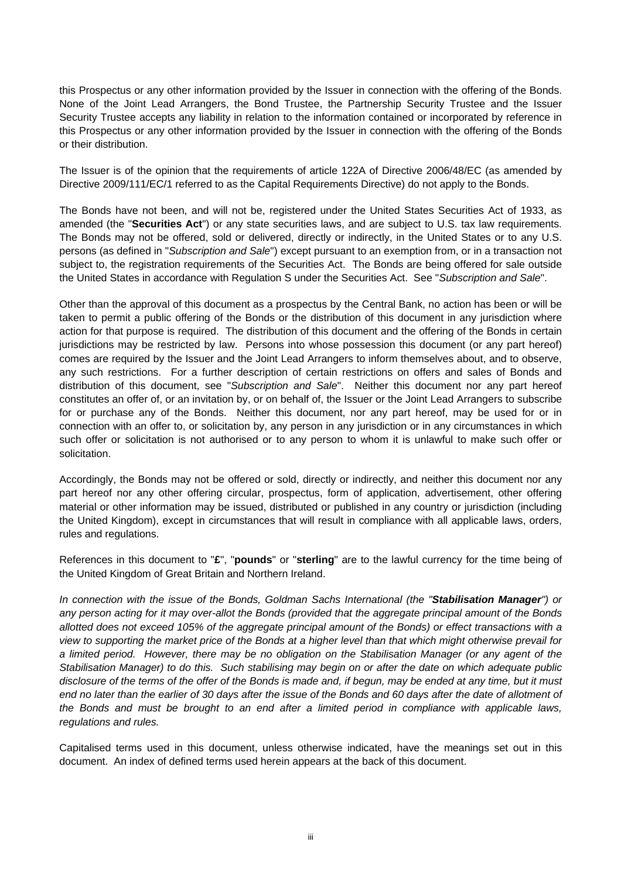this Prospectus or any other information provided by the Issuer in connection with the offering of the Bonds. None of the Joint Lead Arrangers, the Bond Trustee, the Partnership Security Trustee and the Issuer Security Trustee accepts any liability in relation to the information contained or incorporated by reference in this Prospectus or any other information provided by the Issuer in connection with the offering of the Bonds or their distribution.

The Issuer is of the opinion that the requirements of article 122A of Directive 2006/48/EC (as amended by Directive 2009/111/EC/1 referred to as the Capital Requirements Directive) do not apply to the Bonds.

The Bonds have not been, and will not be, registered under the United States Securities Act of 1933, as amended (the "**Securities Act**") or any state securities laws, and are subject to U.S. tax law requirements. The Bonds may not be offered, sold or delivered, directly or indirectly, in the United States or to any U.S. persons (as defined in "*Subscription and Sale*") except pursuant to an exemption from, or in a transaction not subject to, the registration requirements of the Securities Act. The Bonds are being offered for sale outside the United States in accordance with Regulation S under the Securities Act. See "*Subscription and Sale*".

Other than the approval of this document as a prospectus by the Central Bank, no action has been or will be taken to permit a public offering of the Bonds or the distribution of this document in any jurisdiction where action for that purpose is required. The distribution of this document and the offering of the Bonds in certain jurisdictions may be restricted by law. Persons into whose possession this document (or any part hereof) comes are required by the Issuer and the Joint Lead Arrangers to inform themselves about, and to observe, any such restrictions. For a further description of certain restrictions on offers and sales of Bonds and distribution of this document, see "*Subscription and Sale*". Neither this document nor any part hereof constitutes an offer of, or an invitation by, or on behalf of, the Issuer or the Joint Lead Arrangers to subscribe for or purchase any of the Bonds. Neither this document, nor any part hereof, may be used for or in connection with an offer to, or solicitation by, any person in any jurisdiction or in any circumstances in which such offer or solicitation is not authorised or to any person to whom it is unlawful to make such offer or solicitation.

Accordingly, the Bonds may not be offered or sold, directly or indirectly, and neither this document nor any part hereof nor any other offering circular, prospectus, form of application, advertisement, other offering material or other information may be issued, distributed or published in any country or jurisdiction (including the United Kingdom), except in circumstances that will result in compliance with all applicable laws, orders, rules and regulations.

References in this document to "**£**", "**pounds**" or "**sterling**" are to the lawful currency for the time being of the United Kingdom of Great Britain and Northern Ireland.

*In connection with the issue of the Bonds, Goldman Sachs International (the "Stabilisation Manager") or any person acting for it may over-allot the Bonds (provided that the aggregate principal amount of the Bonds allotted does not exceed 105% of the aggregate principal amount of the Bonds) or effect transactions with a view to supporting the market price of the Bonds at a higher level than that which might otherwise prevail for a limited period. However, there may be no obligation on the Stabilisation Manager (or any agent of the Stabilisation Manager) to do this. Such stabilising may begin on or after the date on which adequate public disclosure of the terms of the offer of the Bonds is made and, if begun, may be ended at any time, but it must*  end no later than the earlier of 30 days after the issue of the Bonds and 60 days after the date of allotment of *the Bonds and must be brought to an end after a limited period in compliance with applicable laws, regulations and rules.*

Capitalised terms used in this document, unless otherwise indicated, have the meanings set out in this document. An index of defined terms used herein appears at the back of this document.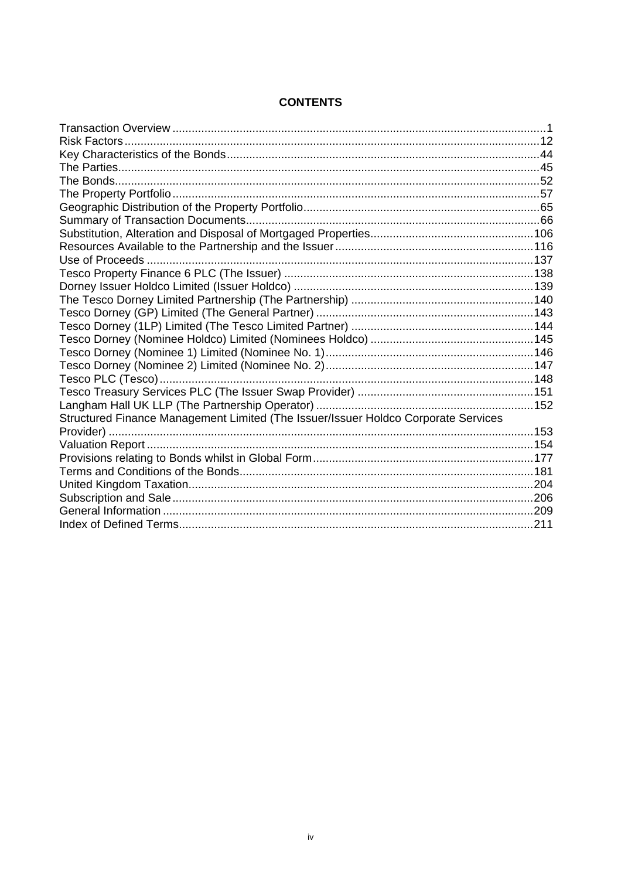| Structured Finance Management Limited (The Issuer/Issuer Holdco Corporate Services |  |
|------------------------------------------------------------------------------------|--|
|                                                                                    |  |
|                                                                                    |  |
|                                                                                    |  |
|                                                                                    |  |
|                                                                                    |  |
|                                                                                    |  |
|                                                                                    |  |
|                                                                                    |  |

# **CONTENTS**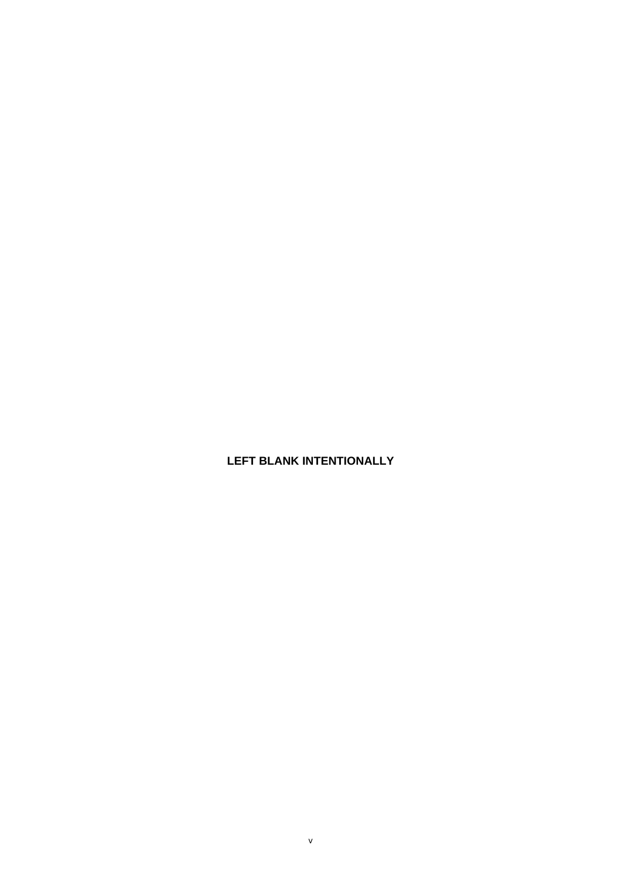**LEFT BLANK INTENTIONALLY**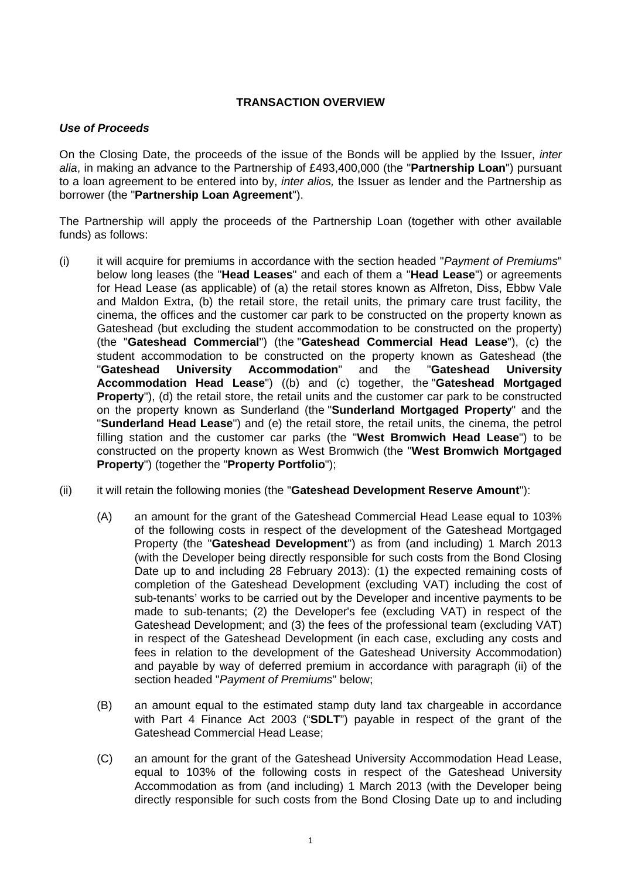#### **TRANSACTION OVERVIEW**

#### *Use of Proceeds*

On the Closing Date, the proceeds of the issue of the Bonds will be applied by the Issuer, *inter alia*, in making an advance to the Partnership of £493,400,000 (the "**Partnership Loan**") pursuant to a loan agreement to be entered into by, *inter alios,* the Issuer as lender and the Partnership as borrower (the "**Partnership Loan Agreement**").

The Partnership will apply the proceeds of the Partnership Loan (together with other available funds) as follows:

- (i) it will acquire for premiums in accordance with the section headed "*Payment of Premiums*" below long leases (the "**Head Leases**" and each of them a "**Head Lease**") or agreements for Head Lease (as applicable) of (a) the retail stores known as Alfreton, Diss, Ebbw Vale and Maldon Extra, (b) the retail store, the retail units, the primary care trust facility, the cinema, the offices and the customer car park to be constructed on the property known as Gateshead (but excluding the student accommodation to be constructed on the property) (the "**Gateshead Commercial**") (the "**Gateshead Commercial Head Lease**"), (c) the student accommodation to be constructed on the property known as Gateshead (the "**Gateshead University Accommodation**" and the "**Gateshead University Accommodation Head Lease**") ((b) and (c) together, the "**Gateshead Mortgaged Property**"), (d) the retail store, the retail units and the customer car park to be constructed on the property known as Sunderland (the "**Sunderland Mortgaged Property**" and the "**Sunderland Head Lease**") and (e) the retail store, the retail units, the cinema, the petrol filling station and the customer car parks (the "**West Bromwich Head Lease**") to be constructed on the property known as West Bromwich (the "**West Bromwich Mortgaged Property**") (together the "**Property Portfolio**");
- (ii) it will retain the following monies (the "**Gateshead Development Reserve Amount**"):
	- (A) an amount for the grant of the Gateshead Commercial Head Lease equal to 103% of the following costs in respect of the development of the Gateshead Mortgaged Property (the "**Gateshead Development**") as from (and including) 1 March 2013 (with the Developer being directly responsible for such costs from the Bond Closing Date up to and including 28 February 2013): (1) the expected remaining costs of completion of the Gateshead Development (excluding VAT) including the cost of sub-tenants' works to be carried out by the Developer and incentive payments to be made to sub-tenants; (2) the Developer's fee (excluding VAT) in respect of the Gateshead Development; and (3) the fees of the professional team (excluding VAT) in respect of the Gateshead Development (in each case, excluding any costs and fees in relation to the development of the Gateshead University Accommodation) and payable by way of deferred premium in accordance with paragraph (ii) of the section headed "*Payment of Premiums*" below;
	- (B) an amount equal to the estimated stamp duty land tax chargeable in accordance with Part 4 Finance Act 2003 ("**SDLT**") payable in respect of the grant of the Gateshead Commercial Head Lease;
	- (C) an amount for the grant of the Gateshead University Accommodation Head Lease, equal to 103% of the following costs in respect of the Gateshead University Accommodation as from (and including) 1 March 2013 (with the Developer being directly responsible for such costs from the Bond Closing Date up to and including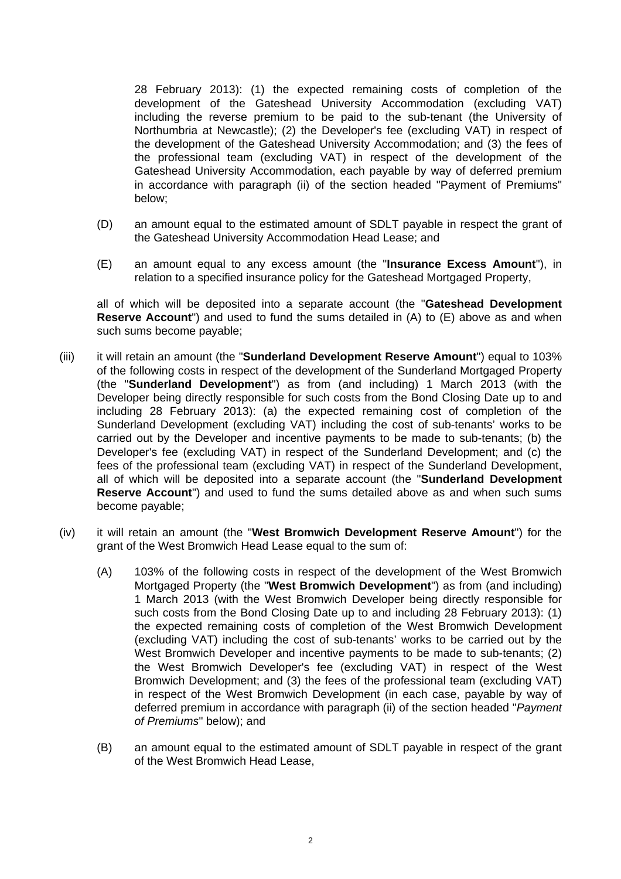28 February 2013): (1) the expected remaining costs of completion of the development of the Gateshead University Accommodation (excluding VAT) including the reverse premium to be paid to the sub-tenant (the University of Northumbria at Newcastle); (2) the Developer's fee (excluding VAT) in respect of the development of the Gateshead University Accommodation; and (3) the fees of the professional team (excluding VAT) in respect of the development of the Gateshead University Accommodation, each payable by way of deferred premium in accordance with paragraph (ii) of the section headed "Payment of Premiums" below;

- (D) an amount equal to the estimated amount of SDLT payable in respect the grant of the Gateshead University Accommodation Head Lease; and
- (E) an amount equal to any excess amount (the "**Insurance Excess Amount**"), in relation to a specified insurance policy for the Gateshead Mortgaged Property,

all of which will be deposited into a separate account (the "**Gateshead Development Reserve Account**") and used to fund the sums detailed in (A) to (E) above as and when such sums become payable;

- (iii) it will retain an amount (the "**Sunderland Development Reserve Amount**") equal to 103% of the following costs in respect of the development of the Sunderland Mortgaged Property (the "**Sunderland Development**") as from (and including) 1 March 2013 (with the Developer being directly responsible for such costs from the Bond Closing Date up to and including 28 February 2013): (a) the expected remaining cost of completion of the Sunderland Development (excluding VAT) including the cost of sub-tenants' works to be carried out by the Developer and incentive payments to be made to sub-tenants; (b) the Developer's fee (excluding VAT) in respect of the Sunderland Development; and (c) the fees of the professional team (excluding VAT) in respect of the Sunderland Development, all of which will be deposited into a separate account (the "**Sunderland Development Reserve Account**") and used to fund the sums detailed above as and when such sums become payable;
- (iv) it will retain an amount (the "**West Bromwich Development Reserve Amount**") for the grant of the West Bromwich Head Lease equal to the sum of:
	- (A) 103% of the following costs in respect of the development of the West Bromwich Mortgaged Property (the "**West Bromwich Development**") as from (and including) 1 March 2013 (with the West Bromwich Developer being directly responsible for such costs from the Bond Closing Date up to and including 28 February 2013): (1) the expected remaining costs of completion of the West Bromwich Development (excluding VAT) including the cost of sub-tenants' works to be carried out by the West Bromwich Developer and incentive payments to be made to sub-tenants; (2) the West Bromwich Developer's fee (excluding VAT) in respect of the West Bromwich Development; and (3) the fees of the professional team (excluding VAT) in respect of the West Bromwich Development (in each case, payable by way of deferred premium in accordance with paragraph (ii) of the section headed "*Payment of Premiums*" below); and
	- (B) an amount equal to the estimated amount of SDLT payable in respect of the grant of the West Bromwich Head Lease,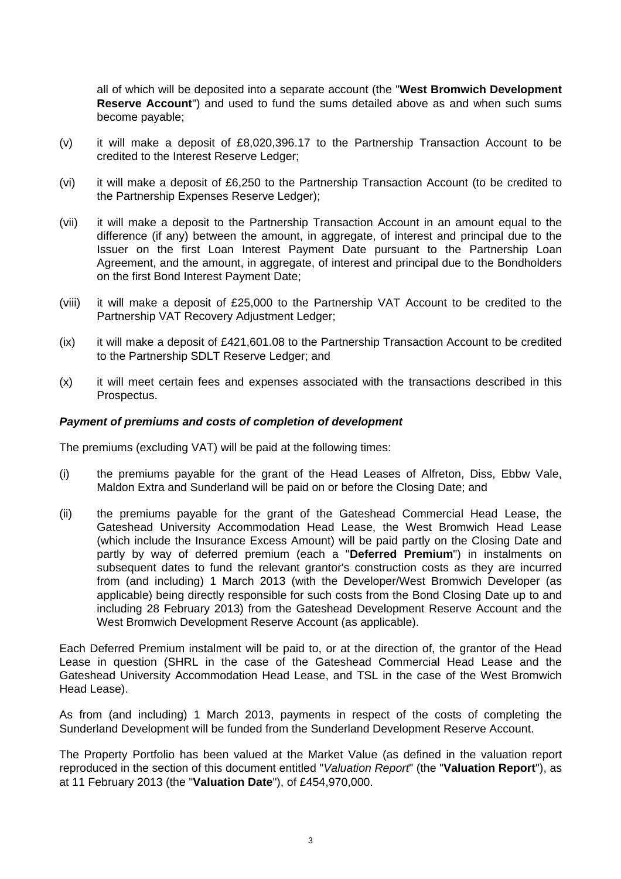all of which will be deposited into a separate account (the "**West Bromwich Development Reserve Account**") and used to fund the sums detailed above as and when such sums become payable;

- (v) it will make a deposit of £8,020,396.17 to the Partnership Transaction Account to be credited to the Interest Reserve Ledger;
- (vi) it will make a deposit of £6,250 to the Partnership Transaction Account (to be credited to the Partnership Expenses Reserve Ledger);
- (vii) it will make a deposit to the Partnership Transaction Account in an amount equal to the difference (if any) between the amount, in aggregate, of interest and principal due to the Issuer on the first Loan Interest Payment Date pursuant to the Partnership Loan Agreement, and the amount, in aggregate, of interest and principal due to the Bondholders on the first Bond Interest Payment Date;
- (viii) it will make a deposit of £25,000 to the Partnership VAT Account to be credited to the Partnership VAT Recovery Adjustment Ledger;
- (ix) it will make a deposit of £421,601.08 to the Partnership Transaction Account to be credited to the Partnership SDLT Reserve Ledger; and
- (x) it will meet certain fees and expenses associated with the transactions described in this Prospectus.

#### *Payment of premiums and costs of completion of development*

The premiums (excluding VAT) will be paid at the following times:

- (i) the premiums payable for the grant of the Head Leases of Alfreton, Diss, Ebbw Vale, Maldon Extra and Sunderland will be paid on or before the Closing Date; and
- (ii) the premiums payable for the grant of the Gateshead Commercial Head Lease, the Gateshead University Accommodation Head Lease, the West Bromwich Head Lease (which include the Insurance Excess Amount) will be paid partly on the Closing Date and partly by way of deferred premium (each a "**Deferred Premium**") in instalments on subsequent dates to fund the relevant grantor's construction costs as they are incurred from (and including) 1 March 2013 (with the Developer/West Bromwich Developer (as applicable) being directly responsible for such costs from the Bond Closing Date up to and including 28 February 2013) from the Gateshead Development Reserve Account and the West Bromwich Development Reserve Account (as applicable).

Each Deferred Premium instalment will be paid to, or at the direction of, the grantor of the Head Lease in question (SHRL in the case of the Gateshead Commercial Head Lease and the Gateshead University Accommodation Head Lease, and TSL in the case of the West Bromwich Head Lease).

As from (and including) 1 March 2013, payments in respect of the costs of completing the Sunderland Development will be funded from the Sunderland Development Reserve Account.

The Property Portfolio has been valued at the Market Value (as defined in the valuation report reproduced in the section of this document entitled "*Valuation Report*" (the "**Valuation Report**"), as at 11 February 2013 (the "**Valuation Date**"), of £454,970,000.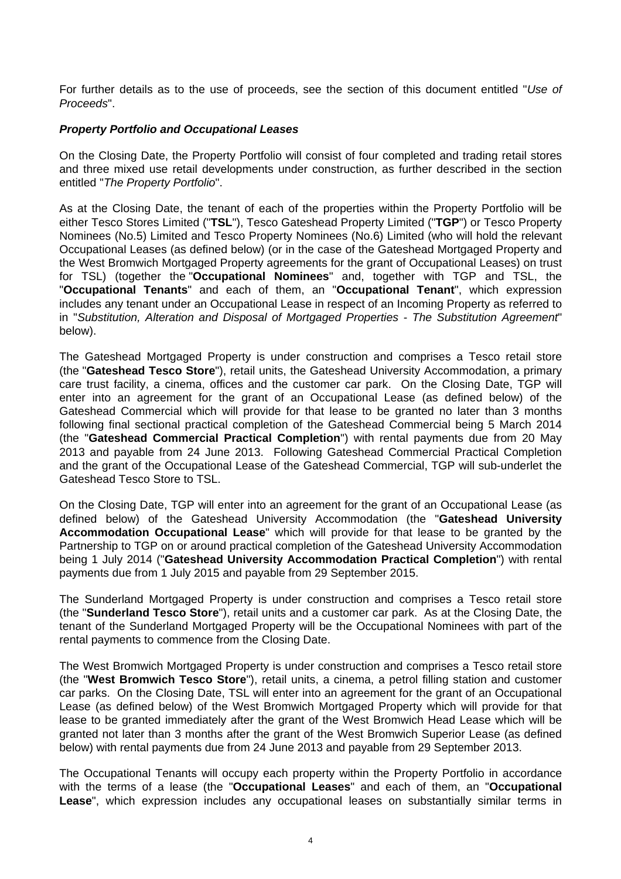For further details as to the use of proceeds, see the section of this document entitled "*Use of Proceeds*".

#### *Property Portfolio and Occupational Leases*

On the Closing Date, the Property Portfolio will consist of four completed and trading retail stores and three mixed use retail developments under construction, as further described in the section entitled "*The Property Portfolio*".

As at the Closing Date, the tenant of each of the properties within the Property Portfolio will be either Tesco Stores Limited ("**TSL**"), Tesco Gateshead Property Limited ("**TGP**") or Tesco Property Nominees (No.5) Limited and Tesco Property Nominees (No.6) Limited (who will hold the relevant Occupational Leases (as defined below) (or in the case of the Gateshead Mortgaged Property and the West Bromwich Mortgaged Property agreements for the grant of Occupational Leases) on trust for TSL) (together the "**Occupational Nominees**" and, together with TGP and TSL, the "**Occupational Tenants**" and each of them, an "**Occupational Tenant**", which expression includes any tenant under an Occupational Lease in respect of an Incoming Property as referred to in "*Substitution, Alteration and Disposal of Mortgaged Properties - The Substitution Agreement*" below).

The Gateshead Mortgaged Property is under construction and comprises a Tesco retail store (the "**Gateshead Tesco Store**"), retail units, the Gateshead University Accommodation, a primary care trust facility, a cinema, offices and the customer car park. On the Closing Date, TGP will enter into an agreement for the grant of an Occupational Lease (as defined below) of the Gateshead Commercial which will provide for that lease to be granted no later than 3 months following final sectional practical completion of the Gateshead Commercial being 5 March 2014 (the "**Gateshead Commercial Practical Completion**") with rental payments due from 20 May 2013 and payable from 24 June 2013. Following Gateshead Commercial Practical Completion and the grant of the Occupational Lease of the Gateshead Commercial, TGP will sub-underlet the Gateshead Tesco Store to TSL.

On the Closing Date, TGP will enter into an agreement for the grant of an Occupational Lease (as defined below) of the Gateshead University Accommodation (the "**Gateshead University Accommodation Occupational Lease**" which will provide for that lease to be granted by the Partnership to TGP on or around practical completion of the Gateshead University Accommodation being 1 July 2014 ("**Gateshead University Accommodation Practical Completion**") with rental payments due from 1 July 2015 and payable from 29 September 2015.

The Sunderland Mortgaged Property is under construction and comprises a Tesco retail store (the "**Sunderland Tesco Store**"), retail units and a customer car park. As at the Closing Date, the tenant of the Sunderland Mortgaged Property will be the Occupational Nominees with part of the rental payments to commence from the Closing Date.

The West Bromwich Mortgaged Property is under construction and comprises a Tesco retail store (the "**West Bromwich Tesco Store**"), retail units, a cinema, a petrol filling station and customer car parks. On the Closing Date, TSL will enter into an agreement for the grant of an Occupational Lease (as defined below) of the West Bromwich Mortgaged Property which will provide for that lease to be granted immediately after the grant of the West Bromwich Head Lease which will be granted not later than 3 months after the grant of the West Bromwich Superior Lease (as defined below) with rental payments due from 24 June 2013 and payable from 29 September 2013.

The Occupational Tenants will occupy each property within the Property Portfolio in accordance with the terms of a lease (the "**Occupational Leases**" and each of them, an "**Occupational Lease**", which expression includes any occupational leases on substantially similar terms in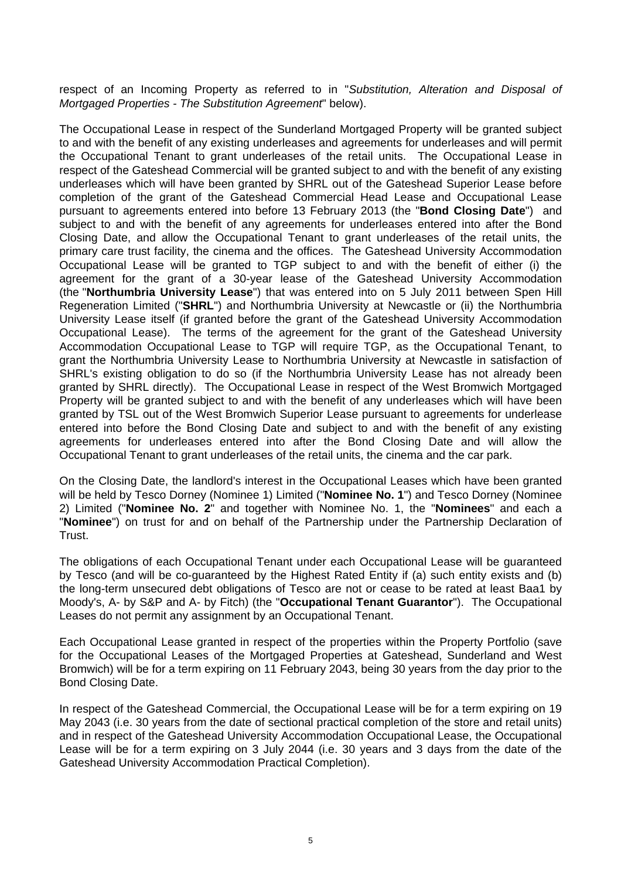respect of an Incoming Property as referred to in "*Substitution, Alteration and Disposal of Mortgaged Properties - The Substitution Agreement*" below).

The Occupational Lease in respect of the Sunderland Mortgaged Property will be granted subject to and with the benefit of any existing underleases and agreements for underleases and will permit the Occupational Tenant to grant underleases of the retail units. The Occupational Lease in respect of the Gateshead Commercial will be granted subject to and with the benefit of any existing underleases which will have been granted by SHRL out of the Gateshead Superior Lease before completion of the grant of the Gateshead Commercial Head Lease and Occupational Lease pursuant to agreements entered into before 13 February 2013 (the "**Bond Closing Date**") and subject to and with the benefit of any agreements for underleases entered into after the Bond Closing Date, and allow the Occupational Tenant to grant underleases of the retail units, the primary care trust facility, the cinema and the offices. The Gateshead University Accommodation Occupational Lease will be granted to TGP subject to and with the benefit of either (i) the agreement for the grant of a 30-year lease of the Gateshead University Accommodation (the "**Northumbria University Lease**") that was entered into on 5 July 2011 between Spen Hill Regeneration Limited ("**SHRL**") and Northumbria University at Newcastle or (ii) the Northumbria University Lease itself (if granted before the grant of the Gateshead University Accommodation Occupational Lease). The terms of the agreement for the grant of the Gateshead University Accommodation Occupational Lease to TGP will require TGP, as the Occupational Tenant, to grant the Northumbria University Lease to Northumbria University at Newcastle in satisfaction of SHRL's existing obligation to do so (if the Northumbria University Lease has not already been granted by SHRL directly). The Occupational Lease in respect of the West Bromwich Mortgaged Property will be granted subject to and with the benefit of any underleases which will have been granted by TSL out of the West Bromwich Superior Lease pursuant to agreements for underlease entered into before the Bond Closing Date and subject to and with the benefit of any existing agreements for underleases entered into after the Bond Closing Date and will allow the Occupational Tenant to grant underleases of the retail units, the cinema and the car park.

On the Closing Date, the landlord's interest in the Occupational Leases which have been granted will be held by Tesco Dorney (Nominee 1) Limited ("**Nominee No. 1**") and Tesco Dorney (Nominee 2) Limited ("**Nominee No. 2**" and together with Nominee No. 1, the "**Nominees**" and each a "**Nominee**") on trust for and on behalf of the Partnership under the Partnership Declaration of Trust.

The obligations of each Occupational Tenant under each Occupational Lease will be guaranteed by Tesco (and will be co-guaranteed by the Highest Rated Entity if (a) such entity exists and (b) the long-term unsecured debt obligations of Tesco are not or cease to be rated at least Baa1 by Moody's, A- by S&P and A- by Fitch) (the "**Occupational Tenant Guarantor**"). The Occupational Leases do not permit any assignment by an Occupational Tenant.

Each Occupational Lease granted in respect of the properties within the Property Portfolio (save for the Occupational Leases of the Mortgaged Properties at Gateshead, Sunderland and West Bromwich) will be for a term expiring on 11 February 2043, being 30 years from the day prior to the Bond Closing Date.

In respect of the Gateshead Commercial, the Occupational Lease will be for a term expiring on 19 May 2043 (i.e. 30 years from the date of sectional practical completion of the store and retail units) and in respect of the Gateshead University Accommodation Occupational Lease, the Occupational Lease will be for a term expiring on 3 July 2044 (i.e. 30 years and 3 days from the date of the Gateshead University Accommodation Practical Completion).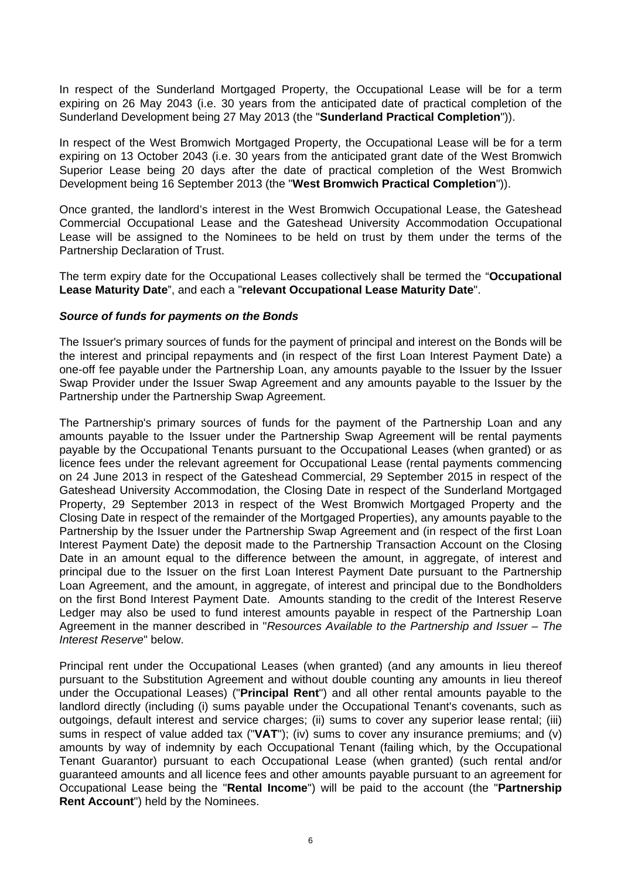In respect of the Sunderland Mortgaged Property, the Occupational Lease will be for a term expiring on 26 May 2043 (i.e. 30 years from the anticipated date of practical completion of the Sunderland Development being 27 May 2013 (the "**Sunderland Practical Completion**")).

In respect of the West Bromwich Mortgaged Property, the Occupational Lease will be for a term expiring on 13 October 2043 (i.e. 30 years from the anticipated grant date of the West Bromwich Superior Lease being 20 days after the date of practical completion of the West Bromwich Development being 16 September 2013 (the "**West Bromwich Practical Completion**")).

Once granted, the landlord's interest in the West Bromwich Occupational Lease, the Gateshead Commercial Occupational Lease and the Gateshead University Accommodation Occupational Lease will be assigned to the Nominees to be held on trust by them under the terms of the Partnership Declaration of Trust.

The term expiry date for the Occupational Leases collectively shall be termed the "**Occupational Lease Maturity Date**", and each a "**relevant Occupational Lease Maturity Date**".

#### *Source of funds for payments on the Bonds*

The Issuer's primary sources of funds for the payment of principal and interest on the Bonds will be the interest and principal repayments and (in respect of the first Loan Interest Payment Date) a one-off fee payable under the Partnership Loan, any amounts payable to the Issuer by the Issuer Swap Provider under the Issuer Swap Agreement and any amounts payable to the Issuer by the Partnership under the Partnership Swap Agreement.

The Partnership's primary sources of funds for the payment of the Partnership Loan and any amounts payable to the Issuer under the Partnership Swap Agreement will be rental payments payable by the Occupational Tenants pursuant to the Occupational Leases (when granted) or as licence fees under the relevant agreement for Occupational Lease (rental payments commencing on 24 June 2013 in respect of the Gateshead Commercial, 29 September 2015 in respect of the Gateshead University Accommodation, the Closing Date in respect of the Sunderland Mortgaged Property, 29 September 2013 in respect of the West Bromwich Mortgaged Property and the Closing Date in respect of the remainder of the Mortgaged Properties), any amounts payable to the Partnership by the Issuer under the Partnership Swap Agreement and (in respect of the first Loan Interest Payment Date) the deposit made to the Partnership Transaction Account on the Closing Date in an amount equal to the difference between the amount, in aggregate, of interest and principal due to the Issuer on the first Loan Interest Payment Date pursuant to the Partnership Loan Agreement, and the amount, in aggregate, of interest and principal due to the Bondholders on the first Bond Interest Payment Date. Amounts standing to the credit of the Interest Reserve Ledger may also be used to fund interest amounts payable in respect of the Partnership Loan Agreement in the manner described in "*Resources Available to the Partnership and Issuer – The Interest Reserve*" below.

Principal rent under the Occupational Leases (when granted) (and any amounts in lieu thereof pursuant to the Substitution Agreement and without double counting any amounts in lieu thereof under the Occupational Leases) ("**Principal Rent**") and all other rental amounts payable to the landlord directly (including (i) sums payable under the Occupational Tenant's covenants, such as outgoings, default interest and service charges; (ii) sums to cover any superior lease rental; (iii) sums in respect of value added tax ("**VAT**"); (iv) sums to cover any insurance premiums; and (v) amounts by way of indemnity by each Occupational Tenant (failing which, by the Occupational Tenant Guarantor) pursuant to each Occupational Lease (when granted) (such rental and/or guaranteed amounts and all licence fees and other amounts payable pursuant to an agreement for Occupational Lease being the "**Rental Income**") will be paid to the account (the "**Partnership Rent Account**") held by the Nominees.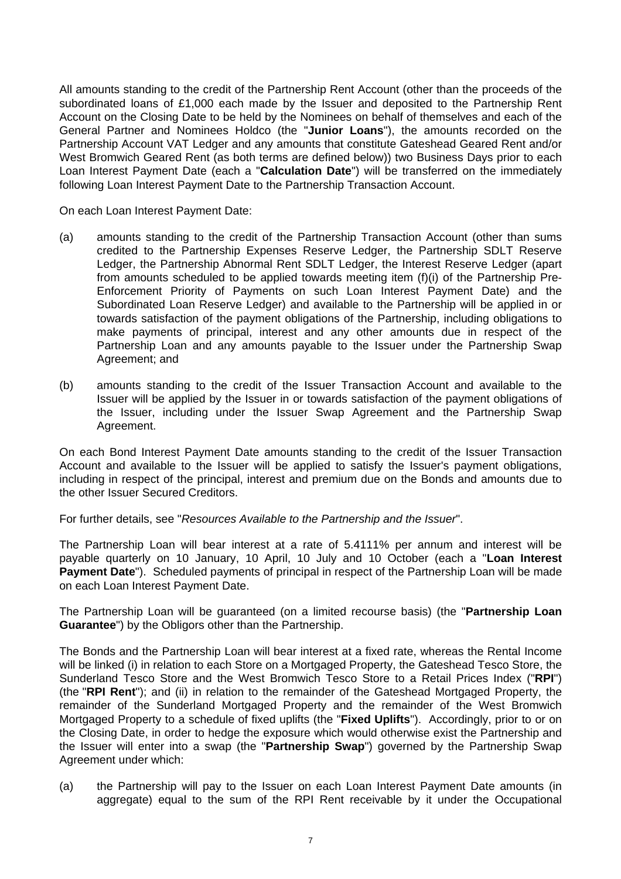All amounts standing to the credit of the Partnership Rent Account (other than the proceeds of the subordinated loans of £1,000 each made by the Issuer and deposited to the Partnership Rent Account on the Closing Date to be held by the Nominees on behalf of themselves and each of the General Partner and Nominees Holdco (the "**Junior Loans**"), the amounts recorded on the Partnership Account VAT Ledger and any amounts that constitute Gateshead Geared Rent and/or West Bromwich Geared Rent (as both terms are defined below)) two Business Days prior to each Loan Interest Payment Date (each a "**Calculation Date**") will be transferred on the immediately following Loan Interest Payment Date to the Partnership Transaction Account.

On each Loan Interest Payment Date:

- (a) amounts standing to the credit of the Partnership Transaction Account (other than sums credited to the Partnership Expenses Reserve Ledger, the Partnership SDLT Reserve Ledger, the Partnership Abnormal Rent SDLT Ledger, the Interest Reserve Ledger (apart from amounts scheduled to be applied towards meeting item (f)(i) of the Partnership Pre-Enforcement Priority of Payments on such Loan Interest Payment Date) and the Subordinated Loan Reserve Ledger) and available to the Partnership will be applied in or towards satisfaction of the payment obligations of the Partnership, including obligations to make payments of principal, interest and any other amounts due in respect of the Partnership Loan and any amounts payable to the Issuer under the Partnership Swap Agreement; and
- (b) amounts standing to the credit of the Issuer Transaction Account and available to the Issuer will be applied by the Issuer in or towards satisfaction of the payment obligations of the Issuer, including under the Issuer Swap Agreement and the Partnership Swap Agreement.

On each Bond Interest Payment Date amounts standing to the credit of the Issuer Transaction Account and available to the Issuer will be applied to satisfy the Issuer's payment obligations, including in respect of the principal, interest and premium due on the Bonds and amounts due to the other Issuer Secured Creditors.

For further details, see "*Resources Available to the Partnership and the Issuer*".

The Partnership Loan will bear interest at a rate of 5.4111% per annum and interest will be payable quarterly on 10 January, 10 April, 10 July and 10 October (each a "**Loan Interest Payment Date**"). Scheduled payments of principal in respect of the Partnership Loan will be made on each Loan Interest Payment Date.

The Partnership Loan will be guaranteed (on a limited recourse basis) (the "**Partnership Loan Guarantee**") by the Obligors other than the Partnership.

The Bonds and the Partnership Loan will bear interest at a fixed rate, whereas the Rental Income will be linked (i) in relation to each Store on a Mortgaged Property, the Gateshead Tesco Store, the Sunderland Tesco Store and the West Bromwich Tesco Store to a Retail Prices Index ("**RPI**") (the "**RPI Rent**"); and (ii) in relation to the remainder of the Gateshead Mortgaged Property, the remainder of the Sunderland Mortgaged Property and the remainder of the West Bromwich Mortgaged Property to a schedule of fixed uplifts (the "**Fixed Uplifts**"). Accordingly, prior to or on the Closing Date, in order to hedge the exposure which would otherwise exist the Partnership and the Issuer will enter into a swap (the "**Partnership Swap**") governed by the Partnership Swap Agreement under which:

(a) the Partnership will pay to the Issuer on each Loan Interest Payment Date amounts (in aggregate) equal to the sum of the RPI Rent receivable by it under the Occupational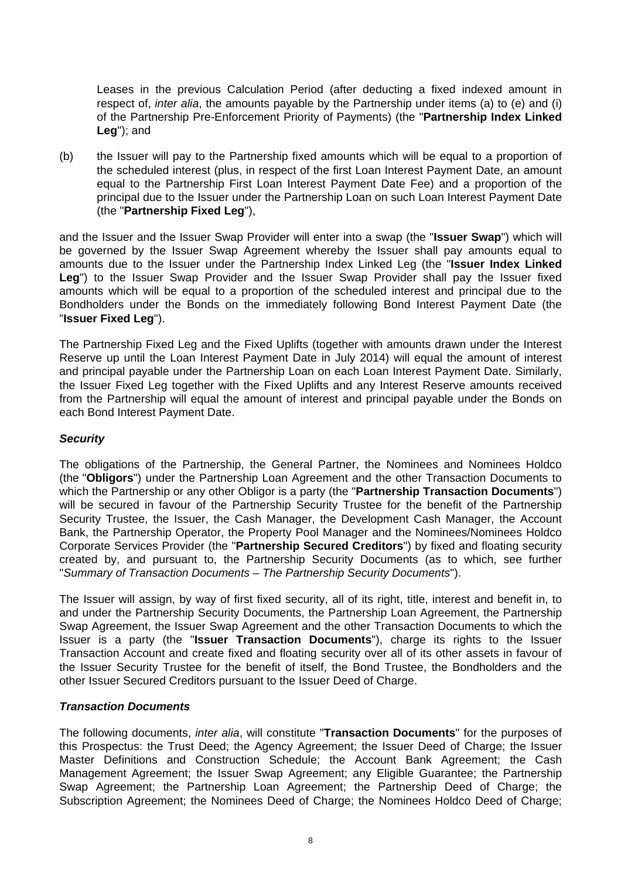Leases in the previous Calculation Period (after deducting a fixed indexed amount in respect of, *inter alia*, the amounts payable by the Partnership under items (a) to (e) and (i) of the Partnership Pre-Enforcement Priority of Payments) (the "**Partnership Index Linked Leg**"); and

(b) the Issuer will pay to the Partnership fixed amounts which will be equal to a proportion of the scheduled interest (plus, in respect of the first Loan Interest Payment Date, an amount equal to the Partnership First Loan Interest Payment Date Fee) and a proportion of the principal due to the Issuer under the Partnership Loan on such Loan Interest Payment Date (the "**Partnership Fixed Leg**"),

and the Issuer and the Issuer Swap Provider will enter into a swap (the "**Issuer Swap**") which will be governed by the Issuer Swap Agreement whereby the Issuer shall pay amounts equal to amounts due to the Issuer under the Partnership Index Linked Leg (the "**Issuer Index Linked Leg**") to the Issuer Swap Provider and the Issuer Swap Provider shall pay the Issuer fixed amounts which will be equal to a proportion of the scheduled interest and principal due to the Bondholders under the Bonds on the immediately following Bond Interest Payment Date (the "**Issuer Fixed Leg**").

The Partnership Fixed Leg and the Fixed Uplifts (together with amounts drawn under the Interest Reserve up until the Loan Interest Payment Date in July 2014) will equal the amount of interest and principal payable under the Partnership Loan on each Loan Interest Payment Date. Similarly, the Issuer Fixed Leg together with the Fixed Uplifts and any Interest Reserve amounts received from the Partnership will equal the amount of interest and principal payable under the Bonds on each Bond Interest Payment Date.

#### *Security*

The obligations of the Partnership, the General Partner, the Nominees and Nominees Holdco (the "**Obligors**") under the Partnership Loan Agreement and the other Transaction Documents to which the Partnership or any other Obligor is a party (the "**Partnership Transaction Documents**") will be secured in favour of the Partnership Security Trustee for the benefit of the Partnership Security Trustee, the Issuer, the Cash Manager, the Development Cash Manager, the Account Bank, the Partnership Operator, the Property Pool Manager and the Nominees/Nominees Holdco Corporate Services Provider (the "**Partnership Secured Creditors**") by fixed and floating security created by, and pursuant to, the Partnership Security Documents (as to which, see further "*Summary of Transaction Documents – The Partnership Security Documents*").

The Issuer will assign, by way of first fixed security, all of its right, title, interest and benefit in, to and under the Partnership Security Documents, the Partnership Loan Agreement, the Partnership Swap Agreement, the Issuer Swap Agreement and the other Transaction Documents to which the Issuer is a party (the "**Issuer Transaction Documents**"), charge its rights to the Issuer Transaction Account and create fixed and floating security over all of its other assets in favour of the Issuer Security Trustee for the benefit of itself, the Bond Trustee, the Bondholders and the other Issuer Secured Creditors pursuant to the Issuer Deed of Charge.

#### *Transaction Documents*

The following documents, *inter alia*, will constitute "**Transaction Documents**" for the purposes of this Prospectus: the Trust Deed; the Agency Agreement; the Issuer Deed of Charge; the Issuer Master Definitions and Construction Schedule; the Account Bank Agreement; the Cash Management Agreement; the Issuer Swap Agreement; any Eligible Guarantee; the Partnership Swap Agreement; the Partnership Loan Agreement; the Partnership Deed of Charge; the Subscription Agreement; the Nominees Deed of Charge; the Nominees Holdco Deed of Charge;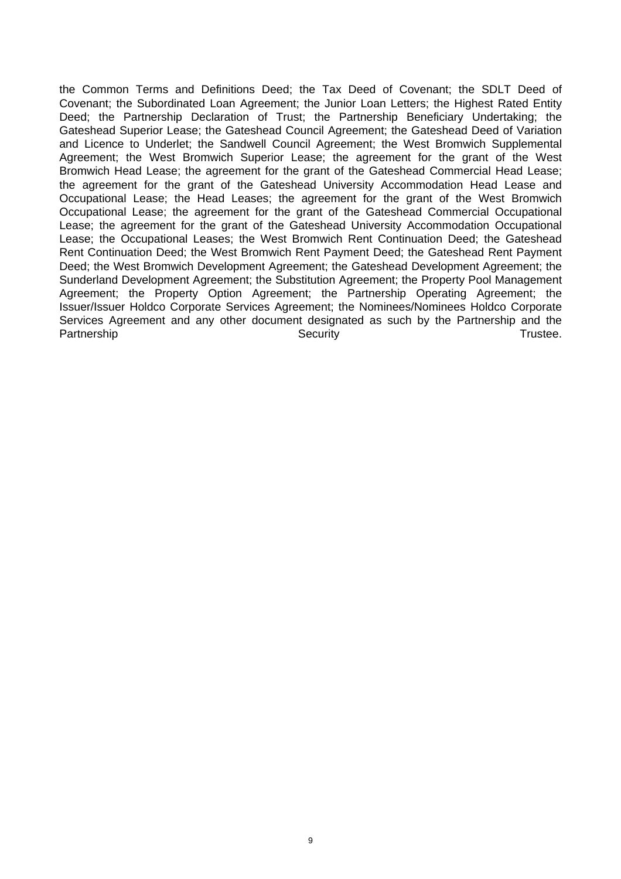the Common Terms and Definitions Deed; the Tax Deed of Covenant; the SDLT Deed of Covenant; the Subordinated Loan Agreement; the Junior Loan Letters; the Highest Rated Entity Deed; the Partnership Declaration of Trust; the Partnership Beneficiary Undertaking; the Gateshead Superior Lease; the Gateshead Council Agreement; the Gateshead Deed of Variation and Licence to Underlet; the Sandwell Council Agreement; the West Bromwich Supplemental Agreement; the West Bromwich Superior Lease; the agreement for the grant of the West Bromwich Head Lease; the agreement for the grant of the Gateshead Commercial Head Lease; the agreement for the grant of the Gateshead University Accommodation Head Lease and Occupational Lease; the Head Leases; the agreement for the grant of the West Bromwich Occupational Lease; the agreement for the grant of the Gateshead Commercial Occupational Lease; the agreement for the grant of the Gateshead University Accommodation Occupational Lease; the Occupational Leases; the West Bromwich Rent Continuation Deed; the Gateshead Rent Continuation Deed; the West Bromwich Rent Payment Deed; the Gateshead Rent Payment Deed; the West Bromwich Development Agreement; the Gateshead Development Agreement; the Sunderland Development Agreement; the Substitution Agreement; the Property Pool Management Agreement; the Property Option Agreement; the Partnership Operating Agreement; the Issuer/Issuer Holdco Corporate Services Agreement; the Nominees/Nominees Holdco Corporate Services Agreement and any other document designated as such by the Partnership and the Partnership **Security** Security Trustee.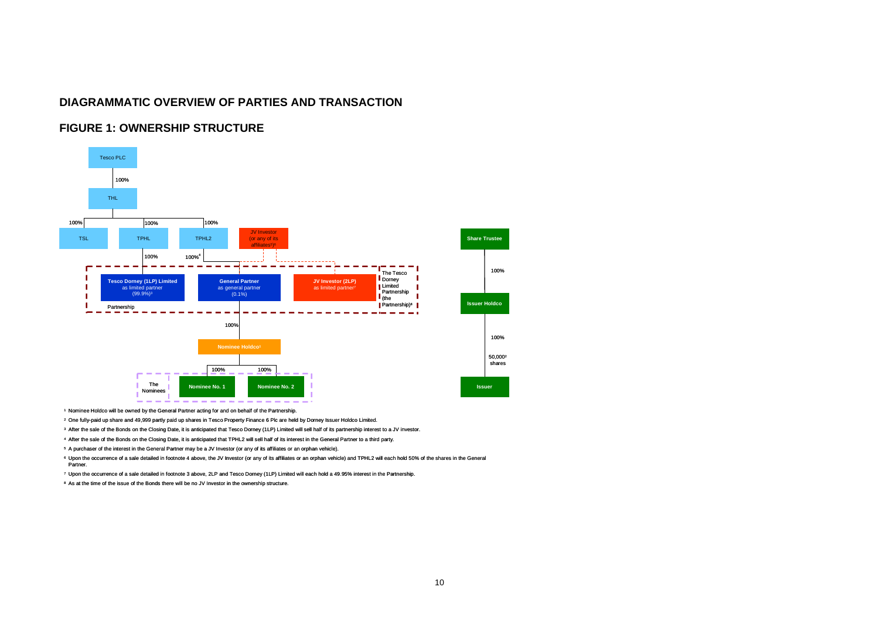#### **DIAGRAMMATIC OVERVIEW OF PARTIES AND TRANSACTION**

#### **FIGURE 1: OWNERSHIP STRUCTURE**



1 Nominee Holdco will be owned by the General Partner acting for and on behalf of the Partnership.

2 One fully-paid up share and 49,999 partly paid up shares in Tesco Property Finance 6 Plc are held by Dorney Issuer Holdco Limited.

<sup>3</sup> After the sale of the Bonds on the Closing Date, it is anticipated that Tesco Dorney (1LP) Limited will sell half of its partnership interest to a JV investor.

4 After the sale of the Bonds on the Closing Date, it is anticipated that TPHL2 will sell half of its interest in the General Partner to a third party.

5 A purchaser of the interest in the General Partner may be a JV Investor (or any of its affiliates or an orphan vehicle).

6 Upon the occurrence of a sale detailed in footnote 4 above, the JV Investor (or any of its affiliates or an orphan vehicle) and TPHL2 will each hold 50% of the shares in the General Partner.

7 Upon the occurrence of a sale detailed in footnote 3 above, 2LP and Tesco Dorney (1LP) Limited will each hold a 49.95% interest in the Partnership.

8 As at the time of the issue of the Bonds there will be no JV Investor in the ownership structure.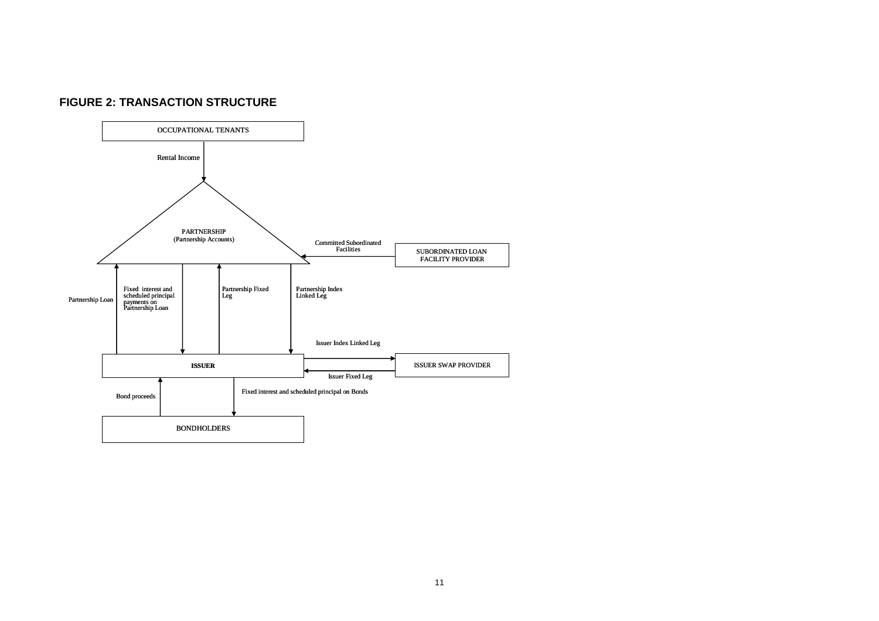#### **FIGURE 2: TRANSACTION STRUCTURE**

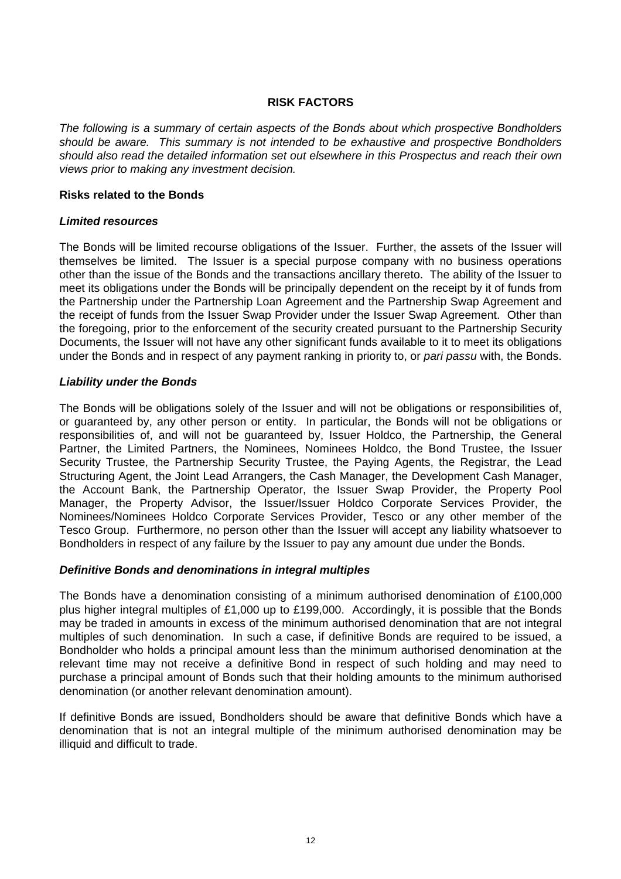#### **RISK FACTORS**

*The following is a summary of certain aspects of the Bonds about which prospective Bondholders should be aware. This summary is not intended to be exhaustive and prospective Bondholders should also read the detailed information set out elsewhere in this Prospectus and reach their own views prior to making any investment decision.*

#### **Risks related to the Bonds**

#### *Limited resources*

The Bonds will be limited recourse obligations of the Issuer. Further, the assets of the Issuer will themselves be limited. The Issuer is a special purpose company with no business operations other than the issue of the Bonds and the transactions ancillary thereto. The ability of the Issuer to meet its obligations under the Bonds will be principally dependent on the receipt by it of funds from the Partnership under the Partnership Loan Agreement and the Partnership Swap Agreement and the receipt of funds from the Issuer Swap Provider under the Issuer Swap Agreement. Other than the foregoing, prior to the enforcement of the security created pursuant to the Partnership Security Documents, the Issuer will not have any other significant funds available to it to meet its obligations under the Bonds and in respect of any payment ranking in priority to, or *pari passu* with, the Bonds.

#### *Liability under the Bonds*

The Bonds will be obligations solely of the Issuer and will not be obligations or responsibilities of, or guaranteed by, any other person or entity. In particular, the Bonds will not be obligations or responsibilities of, and will not be guaranteed by, Issuer Holdco, the Partnership, the General Partner, the Limited Partners, the Nominees, Nominees Holdco, the Bond Trustee, the Issuer Security Trustee, the Partnership Security Trustee, the Paying Agents, the Registrar, the Lead Structuring Agent, the Joint Lead Arrangers, the Cash Manager, the Development Cash Manager, the Account Bank, the Partnership Operator, the Issuer Swap Provider, the Property Pool Manager, the Property Advisor, the Issuer/Issuer Holdco Corporate Services Provider, the Nominees/Nominees Holdco Corporate Services Provider, Tesco or any other member of the Tesco Group. Furthermore, no person other than the Issuer will accept any liability whatsoever to Bondholders in respect of any failure by the Issuer to pay any amount due under the Bonds.

#### *Definitive Bonds and denominations in integral multiples*

The Bonds have a denomination consisting of a minimum authorised denomination of £100,000 plus higher integral multiples of £1,000 up to £199,000. Accordingly, it is possible that the Bonds may be traded in amounts in excess of the minimum authorised denomination that are not integral multiples of such denomination. In such a case, if definitive Bonds are required to be issued, a Bondholder who holds a principal amount less than the minimum authorised denomination at the relevant time may not receive a definitive Bond in respect of such holding and may need to purchase a principal amount of Bonds such that their holding amounts to the minimum authorised denomination (or another relevant denomination amount).

If definitive Bonds are issued, Bondholders should be aware that definitive Bonds which have a denomination that is not an integral multiple of the minimum authorised denomination may be illiquid and difficult to trade.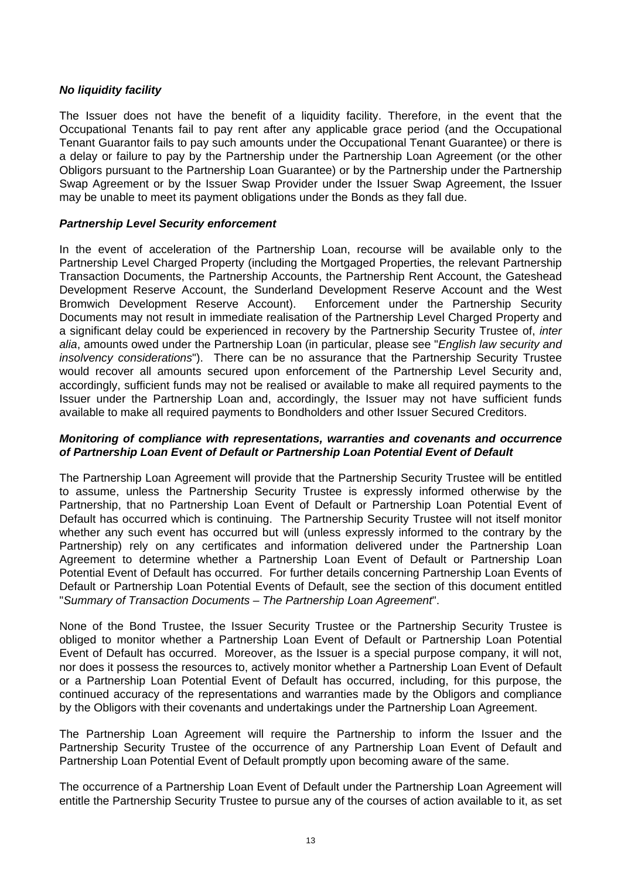#### *No liquidity facility*

The Issuer does not have the benefit of a liquidity facility. Therefore, in the event that the Occupational Tenants fail to pay rent after any applicable grace period (and the Occupational Tenant Guarantor fails to pay such amounts under the Occupational Tenant Guarantee) or there is a delay or failure to pay by the Partnership under the Partnership Loan Agreement (or the other Obligors pursuant to the Partnership Loan Guarantee) or by the Partnership under the Partnership Swap Agreement or by the Issuer Swap Provider under the Issuer Swap Agreement, the Issuer may be unable to meet its payment obligations under the Bonds as they fall due.

#### *Partnership Level Security enforcement*

In the event of acceleration of the Partnership Loan, recourse will be available only to the Partnership Level Charged Property (including the Mortgaged Properties, the relevant Partnership Transaction Documents, the Partnership Accounts, the Partnership Rent Account, the Gateshead Development Reserve Account, the Sunderland Development Reserve Account and the West Bromwich Development Reserve Account). Enforcement under the Partnership Security Documents may not result in immediate realisation of the Partnership Level Charged Property and a significant delay could be experienced in recovery by the Partnership Security Trustee of, *inter alia*, amounts owed under the Partnership Loan (in particular, please see "*English law security and insolvency considerations*"). There can be no assurance that the Partnership Security Trustee would recover all amounts secured upon enforcement of the Partnership Level Security and, accordingly, sufficient funds may not be realised or available to make all required payments to the Issuer under the Partnership Loan and, accordingly, the Issuer may not have sufficient funds available to make all required payments to Bondholders and other Issuer Secured Creditors.

#### *Monitoring of compliance with representations, warranties and covenants and occurrence of Partnership Loan Event of Default or Partnership Loan Potential Event of Default*

The Partnership Loan Agreement will provide that the Partnership Security Trustee will be entitled to assume, unless the Partnership Security Trustee is expressly informed otherwise by the Partnership, that no Partnership Loan Event of Default or Partnership Loan Potential Event of Default has occurred which is continuing. The Partnership Security Trustee will not itself monitor whether any such event has occurred but will (unless expressly informed to the contrary by the Partnership) rely on any certificates and information delivered under the Partnership Loan Agreement to determine whether a Partnership Loan Event of Default or Partnership Loan Potential Event of Default has occurred. For further details concerning Partnership Loan Events of Default or Partnership Loan Potential Events of Default, see the section of this document entitled "*Summary of Transaction Documents – The Partnership Loan Agreement*".

None of the Bond Trustee, the Issuer Security Trustee or the Partnership Security Trustee is obliged to monitor whether a Partnership Loan Event of Default or Partnership Loan Potential Event of Default has occurred. Moreover, as the Issuer is a special purpose company, it will not, nor does it possess the resources to, actively monitor whether a Partnership Loan Event of Default or a Partnership Loan Potential Event of Default has occurred, including, for this purpose, the continued accuracy of the representations and warranties made by the Obligors and compliance by the Obligors with their covenants and undertakings under the Partnership Loan Agreement.

The Partnership Loan Agreement will require the Partnership to inform the Issuer and the Partnership Security Trustee of the occurrence of any Partnership Loan Event of Default and Partnership Loan Potential Event of Default promptly upon becoming aware of the same.

The occurrence of a Partnership Loan Event of Default under the Partnership Loan Agreement will entitle the Partnership Security Trustee to pursue any of the courses of action available to it, as set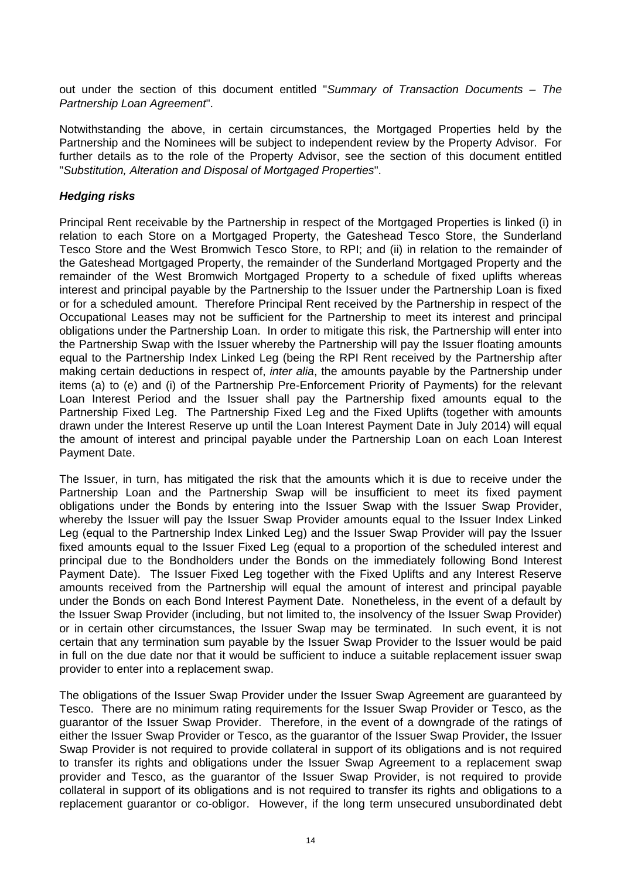out under the section of this document entitled "*Summary of Transaction Documents – The Partnership Loan Agreement*".

Notwithstanding the above, in certain circumstances, the Mortgaged Properties held by the Partnership and the Nominees will be subject to independent review by the Property Advisor. For further details as to the role of the Property Advisor, see the section of this document entitled "*Substitution, Alteration and Disposal of Mortgaged Properties*".

#### *Hedging risks*

Principal Rent receivable by the Partnership in respect of the Mortgaged Properties is linked (i) in relation to each Store on a Mortgaged Property, the Gateshead Tesco Store, the Sunderland Tesco Store and the West Bromwich Tesco Store, to RPI; and (ii) in relation to the remainder of the Gateshead Mortgaged Property, the remainder of the Sunderland Mortgaged Property and the remainder of the West Bromwich Mortgaged Property to a schedule of fixed uplifts whereas interest and principal payable by the Partnership to the Issuer under the Partnership Loan is fixed or for a scheduled amount. Therefore Principal Rent received by the Partnership in respect of the Occupational Leases may not be sufficient for the Partnership to meet its interest and principal obligations under the Partnership Loan. In order to mitigate this risk, the Partnership will enter into the Partnership Swap with the Issuer whereby the Partnership will pay the Issuer floating amounts equal to the Partnership Index Linked Leg (being the RPI Rent received by the Partnership after making certain deductions in respect of, *inter alia*, the amounts payable by the Partnership under items (a) to (e) and (i) of the Partnership Pre-Enforcement Priority of Payments) for the relevant Loan Interest Period and the Issuer shall pay the Partnership fixed amounts equal to the Partnership Fixed Leg. The Partnership Fixed Leg and the Fixed Uplifts (together with amounts drawn under the Interest Reserve up until the Loan Interest Payment Date in July 2014) will equal the amount of interest and principal payable under the Partnership Loan on each Loan Interest Payment Date.

The Issuer, in turn, has mitigated the risk that the amounts which it is due to receive under the Partnership Loan and the Partnership Swap will be insufficient to meet its fixed payment obligations under the Bonds by entering into the Issuer Swap with the Issuer Swap Provider, whereby the Issuer will pay the Issuer Swap Provider amounts equal to the Issuer Index Linked Leg (equal to the Partnership Index Linked Leg) and the Issuer Swap Provider will pay the Issuer fixed amounts equal to the Issuer Fixed Leg (equal to a proportion of the scheduled interest and principal due to the Bondholders under the Bonds on the immediately following Bond Interest Payment Date). The Issuer Fixed Leg together with the Fixed Uplifts and any Interest Reserve amounts received from the Partnership will equal the amount of interest and principal payable under the Bonds on each Bond Interest Payment Date. Nonetheless, in the event of a default by the Issuer Swap Provider (including, but not limited to, the insolvency of the Issuer Swap Provider) or in certain other circumstances, the Issuer Swap may be terminated. In such event, it is not certain that any termination sum payable by the Issuer Swap Provider to the Issuer would be paid in full on the due date nor that it would be sufficient to induce a suitable replacement issuer swap provider to enter into a replacement swap.

The obligations of the Issuer Swap Provider under the Issuer Swap Agreement are guaranteed by Tesco. There are no minimum rating requirements for the Issuer Swap Provider or Tesco, as the guarantor of the Issuer Swap Provider. Therefore, in the event of a downgrade of the ratings of either the Issuer Swap Provider or Tesco, as the guarantor of the Issuer Swap Provider, the Issuer Swap Provider is not required to provide collateral in support of its obligations and is not required to transfer its rights and obligations under the Issuer Swap Agreement to a replacement swap provider and Tesco, as the guarantor of the Issuer Swap Provider, is not required to provide collateral in support of its obligations and is not required to transfer its rights and obligations to a replacement guarantor or co-obligor. However, if the long term unsecured unsubordinated debt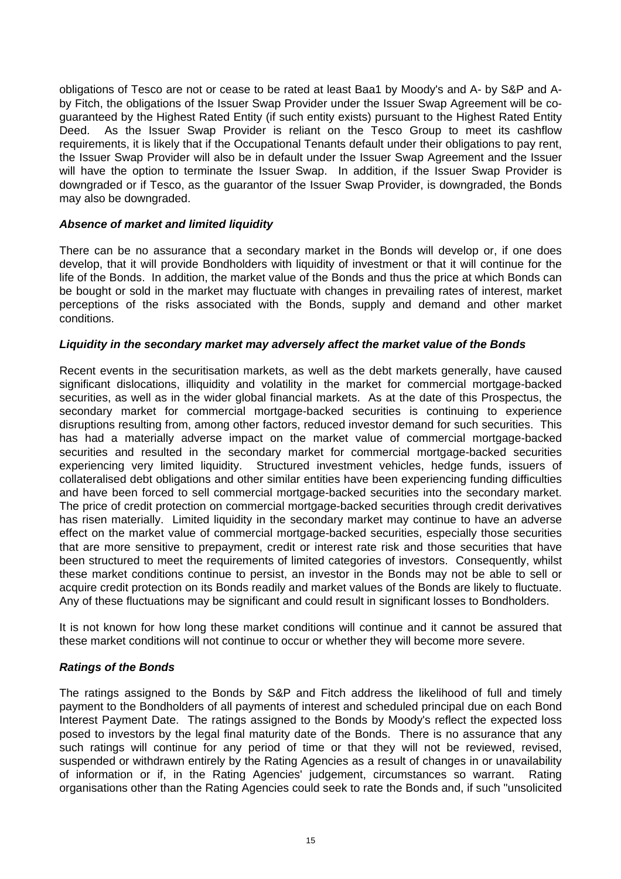obligations of Tesco are not or cease to be rated at least Baa1 by Moody's and A- by S&P and Aby Fitch, the obligations of the Issuer Swap Provider under the Issuer Swap Agreement will be coguaranteed by the Highest Rated Entity (if such entity exists) pursuant to the Highest Rated Entity Deed. As the Issuer Swap Provider is reliant on the Tesco Group to meet its cashflow requirements, it is likely that if the Occupational Tenants default under their obligations to pay rent, the Issuer Swap Provider will also be in default under the Issuer Swap Agreement and the Issuer will have the option to terminate the Issuer Swap. In addition, if the Issuer Swap Provider is downgraded or if Tesco, as the guarantor of the Issuer Swap Provider, is downgraded, the Bonds may also be downgraded.

#### *Absence of market and limited liquidity*

There can be no assurance that a secondary market in the Bonds will develop or, if one does develop, that it will provide Bondholders with liquidity of investment or that it will continue for the life of the Bonds. In addition, the market value of the Bonds and thus the price at which Bonds can be bought or sold in the market may fluctuate with changes in prevailing rates of interest, market perceptions of the risks associated with the Bonds, supply and demand and other market conditions.

#### *Liquidity in the secondary market may adversely affect the market value of the Bonds*

Recent events in the securitisation markets, as well as the debt markets generally, have caused significant dislocations, illiquidity and volatility in the market for commercial mortgage-backed securities, as well as in the wider global financial markets. As at the date of this Prospectus, the secondary market for commercial mortgage-backed securities is continuing to experience disruptions resulting from, among other factors, reduced investor demand for such securities. This has had a materially adverse impact on the market value of commercial mortgage-backed securities and resulted in the secondary market for commercial mortgage-backed securities experiencing very limited liquidity. Structured investment vehicles, hedge funds, issuers of collateralised debt obligations and other similar entities have been experiencing funding difficulties and have been forced to sell commercial mortgage-backed securities into the secondary market. The price of credit protection on commercial mortgage-backed securities through credit derivatives has risen materially. Limited liquidity in the secondary market may continue to have an adverse effect on the market value of commercial mortgage-backed securities, especially those securities that are more sensitive to prepayment, credit or interest rate risk and those securities that have been structured to meet the requirements of limited categories of investors. Consequently, whilst these market conditions continue to persist, an investor in the Bonds may not be able to sell or acquire credit protection on its Bonds readily and market values of the Bonds are likely to fluctuate. Any of these fluctuations may be significant and could result in significant losses to Bondholders.

It is not known for how long these market conditions will continue and it cannot be assured that these market conditions will not continue to occur or whether they will become more severe.

#### *Ratings of the Bonds*

The ratings assigned to the Bonds by S&P and Fitch address the likelihood of full and timely payment to the Bondholders of all payments of interest and scheduled principal due on each Bond Interest Payment Date. The ratings assigned to the Bonds by Moody's reflect the expected loss posed to investors by the legal final maturity date of the Bonds. There is no assurance that any such ratings will continue for any period of time or that they will not be reviewed, revised, suspended or withdrawn entirely by the Rating Agencies as a result of changes in or unavailability of information or if, in the Rating Agencies' judgement, circumstances so warrant. Rating organisations other than the Rating Agencies could seek to rate the Bonds and, if such "unsolicited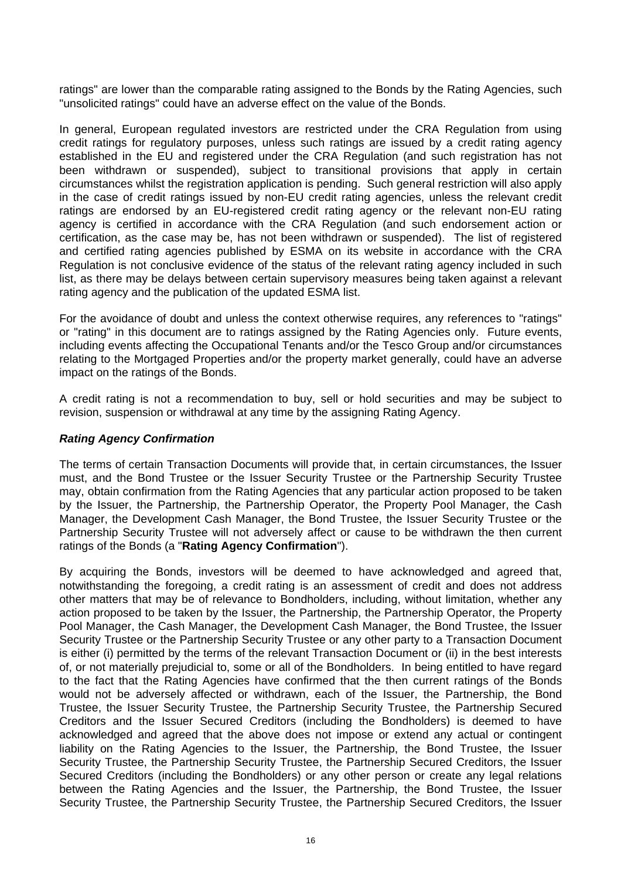ratings" are lower than the comparable rating assigned to the Bonds by the Rating Agencies, such "unsolicited ratings" could have an adverse effect on the value of the Bonds.

In general, European regulated investors are restricted under the CRA Regulation from using credit ratings for regulatory purposes, unless such ratings are issued by a credit rating agency established in the EU and registered under the CRA Regulation (and such registration has not been withdrawn or suspended), subject to transitional provisions that apply in certain circumstances whilst the registration application is pending. Such general restriction will also apply in the case of credit ratings issued by non-EU credit rating agencies, unless the relevant credit ratings are endorsed by an EU-registered credit rating agency or the relevant non-EU rating agency is certified in accordance with the CRA Regulation (and such endorsement action or certification, as the case may be, has not been withdrawn or suspended). The list of registered and certified rating agencies published by ESMA on its website in accordance with the CRA Regulation is not conclusive evidence of the status of the relevant rating agency included in such list, as there may be delays between certain supervisory measures being taken against a relevant rating agency and the publication of the updated ESMA list.

For the avoidance of doubt and unless the context otherwise requires, any references to "ratings" or "rating" in this document are to ratings assigned by the Rating Agencies only. Future events, including events affecting the Occupational Tenants and/or the Tesco Group and/or circumstances relating to the Mortgaged Properties and/or the property market generally, could have an adverse impact on the ratings of the Bonds.

A credit rating is not a recommendation to buy, sell or hold securities and may be subject to revision, suspension or withdrawal at any time by the assigning Rating Agency.

#### *Rating Agency Confirmation*

The terms of certain Transaction Documents will provide that, in certain circumstances, the Issuer must, and the Bond Trustee or the Issuer Security Trustee or the Partnership Security Trustee may, obtain confirmation from the Rating Agencies that any particular action proposed to be taken by the Issuer, the Partnership, the Partnership Operator, the Property Pool Manager, the Cash Manager, the Development Cash Manager, the Bond Trustee, the Issuer Security Trustee or the Partnership Security Trustee will not adversely affect or cause to be withdrawn the then current ratings of the Bonds (a "**Rating Agency Confirmation**").

By acquiring the Bonds, investors will be deemed to have acknowledged and agreed that, notwithstanding the foregoing, a credit rating is an assessment of credit and does not address other matters that may be of relevance to Bondholders, including, without limitation, whether any action proposed to be taken by the Issuer, the Partnership, the Partnership Operator, the Property Pool Manager, the Cash Manager, the Development Cash Manager, the Bond Trustee, the Issuer Security Trustee or the Partnership Security Trustee or any other party to a Transaction Document is either (i) permitted by the terms of the relevant Transaction Document or (ii) in the best interests of, or not materially prejudicial to, some or all of the Bondholders. In being entitled to have regard to the fact that the Rating Agencies have confirmed that the then current ratings of the Bonds would not be adversely affected or withdrawn, each of the Issuer, the Partnership, the Bond Trustee, the Issuer Security Trustee, the Partnership Security Trustee, the Partnership Secured Creditors and the Issuer Secured Creditors (including the Bondholders) is deemed to have acknowledged and agreed that the above does not impose or extend any actual or contingent liability on the Rating Agencies to the Issuer, the Partnership, the Bond Trustee, the Issuer Security Trustee, the Partnership Security Trustee, the Partnership Secured Creditors, the Issuer Secured Creditors (including the Bondholders) or any other person or create any legal relations between the Rating Agencies and the Issuer, the Partnership, the Bond Trustee, the Issuer Security Trustee, the Partnership Security Trustee, the Partnership Secured Creditors, the Issuer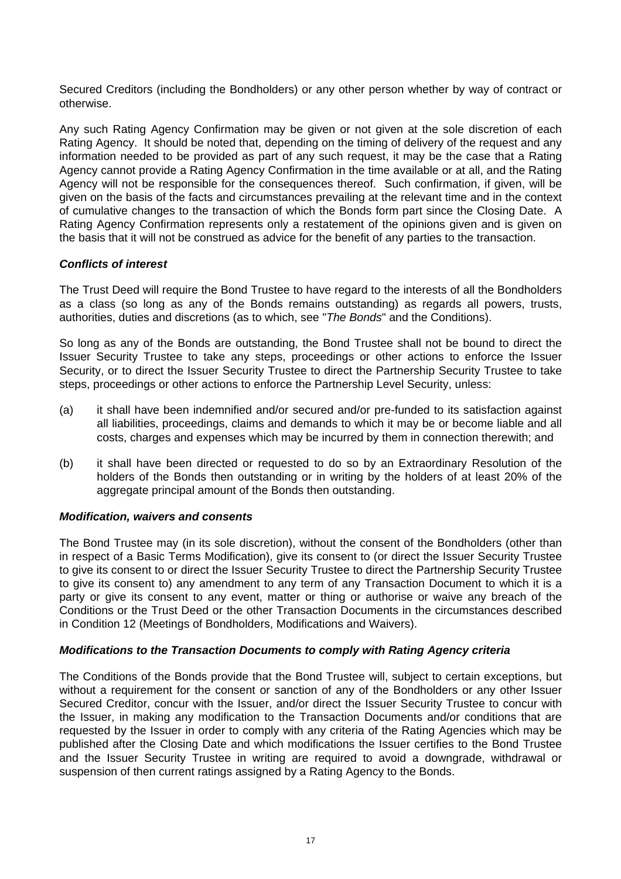Secured Creditors (including the Bondholders) or any other person whether by way of contract or otherwise.

Any such Rating Agency Confirmation may be given or not given at the sole discretion of each Rating Agency. It should be noted that, depending on the timing of delivery of the request and any information needed to be provided as part of any such request, it may be the case that a Rating Agency cannot provide a Rating Agency Confirmation in the time available or at all, and the Rating Agency will not be responsible for the consequences thereof. Such confirmation, if given, will be given on the basis of the facts and circumstances prevailing at the relevant time and in the context of cumulative changes to the transaction of which the Bonds form part since the Closing Date. A Rating Agency Confirmation represents only a restatement of the opinions given and is given on the basis that it will not be construed as advice for the benefit of any parties to the transaction.

#### *Conflicts of interest*

The Trust Deed will require the Bond Trustee to have regard to the interests of all the Bondholders as a class (so long as any of the Bonds remains outstanding) as regards all powers, trusts, authorities, duties and discretions (as to which, see "*The Bonds*" and the Conditions).

So long as any of the Bonds are outstanding, the Bond Trustee shall not be bound to direct the Issuer Security Trustee to take any steps, proceedings or other actions to enforce the Issuer Security, or to direct the Issuer Security Trustee to direct the Partnership Security Trustee to take steps, proceedings or other actions to enforce the Partnership Level Security, unless:

- (a) it shall have been indemnified and/or secured and/or pre-funded to its satisfaction against all liabilities, proceedings, claims and demands to which it may be or become liable and all costs, charges and expenses which may be incurred by them in connection therewith; and
- (b) it shall have been directed or requested to do so by an Extraordinary Resolution of the holders of the Bonds then outstanding or in writing by the holders of at least 20% of the aggregate principal amount of the Bonds then outstanding.

#### *Modification, waivers and consents*

The Bond Trustee may (in its sole discretion), without the consent of the Bondholders (other than in respect of a Basic Terms Modification), give its consent to (or direct the Issuer Security Trustee to give its consent to or direct the Issuer Security Trustee to direct the Partnership Security Trustee to give its consent to) any amendment to any term of any Transaction Document to which it is a party or give its consent to any event, matter or thing or authorise or waive any breach of the Conditions or the Trust Deed or the other Transaction Documents in the circumstances described in Condition 12 (Meetings of Bondholders, Modifications and Waivers).

#### *Modifications to the Transaction Documents to comply with Rating Agency criteria*

The Conditions of the Bonds provide that the Bond Trustee will, subject to certain exceptions, but without a requirement for the consent or sanction of any of the Bondholders or any other Issuer Secured Creditor, concur with the Issuer, and/or direct the Issuer Security Trustee to concur with the Issuer, in making any modification to the Transaction Documents and/or conditions that are requested by the Issuer in order to comply with any criteria of the Rating Agencies which may be published after the Closing Date and which modifications the Issuer certifies to the Bond Trustee and the Issuer Security Trustee in writing are required to avoid a downgrade, withdrawal or suspension of then current ratings assigned by a Rating Agency to the Bonds.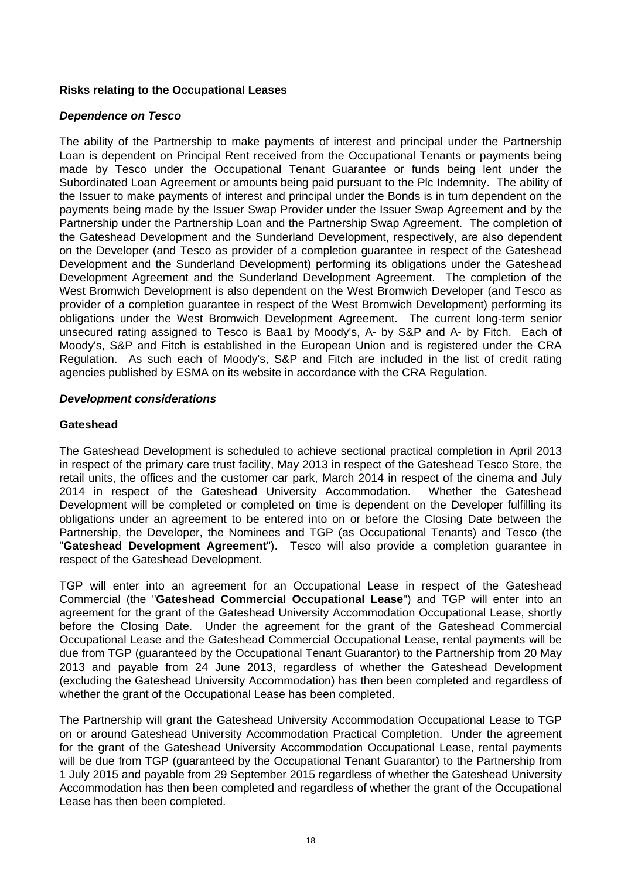#### **Risks relating to the Occupational Leases**

#### *Dependence on Tesco*

The ability of the Partnership to make payments of interest and principal under the Partnership Loan is dependent on Principal Rent received from the Occupational Tenants or payments being made by Tesco under the Occupational Tenant Guarantee or funds being lent under the Subordinated Loan Agreement or amounts being paid pursuant to the Plc Indemnity. The ability of the Issuer to make payments of interest and principal under the Bonds is in turn dependent on the payments being made by the Issuer Swap Provider under the Issuer Swap Agreement and by the Partnership under the Partnership Loan and the Partnership Swap Agreement. The completion of the Gateshead Development and the Sunderland Development, respectively, are also dependent on the Developer (and Tesco as provider of a completion guarantee in respect of the Gateshead Development and the Sunderland Development) performing its obligations under the Gateshead Development Agreement and the Sunderland Development Agreement. The completion of the West Bromwich Development is also dependent on the West Bromwich Developer (and Tesco as provider of a completion guarantee in respect of the West Bromwich Development) performing its obligations under the West Bromwich Development Agreement. The current long-term senior unsecured rating assigned to Tesco is Baa1 by Moody's, A- by S&P and A- by Fitch. Each of Moody's, S&P and Fitch is established in the European Union and is registered under the CRA Regulation. As such each of Moody's, S&P and Fitch are included in the list of credit rating agencies published by ESMA on its website in accordance with the CRA Regulation.

#### *Development considerations*

#### **Gateshead**

The Gateshead Development is scheduled to achieve sectional practical completion in April 2013 in respect of the primary care trust facility, May 2013 in respect of the Gateshead Tesco Store, the retail units, the offices and the customer car park, March 2014 in respect of the cinema and July 2014 in respect of the Gateshead University Accommodation. Whether the Gateshead Development will be completed or completed on time is dependent on the Developer fulfilling its obligations under an agreement to be entered into on or before the Closing Date between the Partnership, the Developer, the Nominees and TGP (as Occupational Tenants) and Tesco (the "**Gateshead Development Agreement**"). Tesco will also provide a completion guarantee in respect of the Gateshead Development.

TGP will enter into an agreement for an Occupational Lease in respect of the Gateshead Commercial (the "**Gateshead Commercial Occupational Lease**") and TGP will enter into an agreement for the grant of the Gateshead University Accommodation Occupational Lease, shortly before the Closing Date. Under the agreement for the grant of the Gateshead Commercial Occupational Lease and the Gateshead Commercial Occupational Lease, rental payments will be due from TGP (guaranteed by the Occupational Tenant Guarantor) to the Partnership from 20 May 2013 and payable from 24 June 2013, regardless of whether the Gateshead Development (excluding the Gateshead University Accommodation) has then been completed and regardless of whether the grant of the Occupational Lease has been completed.

The Partnership will grant the Gateshead University Accommodation Occupational Lease to TGP on or around Gateshead University Accommodation Practical Completion. Under the agreement for the grant of the Gateshead University Accommodation Occupational Lease, rental payments will be due from TGP (quaranteed by the Occupational Tenant Guarantor) to the Partnership from 1 July 2015 and payable from 29 September 2015 regardless of whether the Gateshead University Accommodation has then been completed and regardless of whether the grant of the Occupational Lease has then been completed.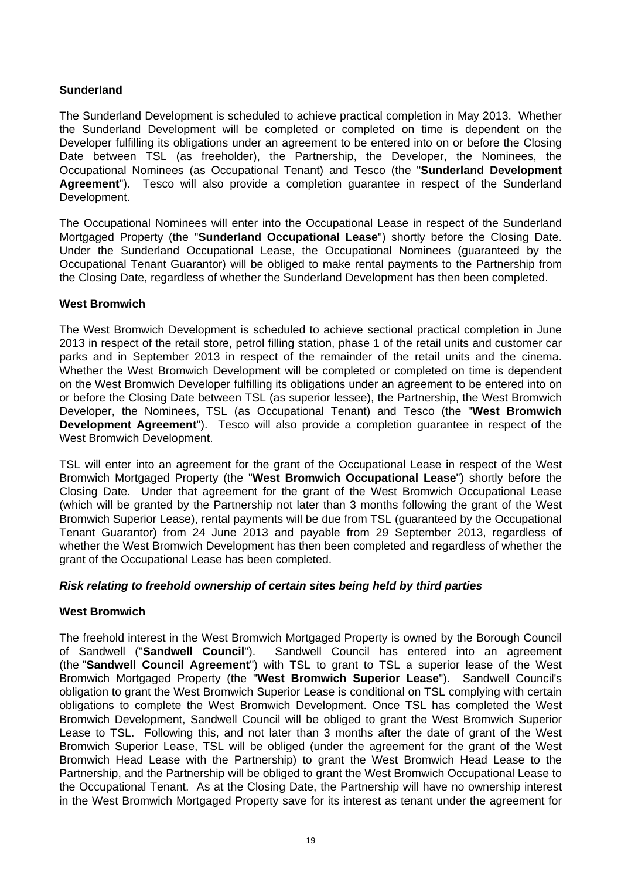## **Sunderland**

The Sunderland Development is scheduled to achieve practical completion in May 2013. Whether the Sunderland Development will be completed or completed on time is dependent on the Developer fulfilling its obligations under an agreement to be entered into on or before the Closing Date between TSL (as freeholder), the Partnership, the Developer, the Nominees, the Occupational Nominees (as Occupational Tenant) and Tesco (the "**Sunderland Development Agreement**"). Tesco will also provide a completion guarantee in respect of the Sunderland Development.

The Occupational Nominees will enter into the Occupational Lease in respect of the Sunderland Mortgaged Property (the "**Sunderland Occupational Lease**") shortly before the Closing Date. Under the Sunderland Occupational Lease, the Occupational Nominees (guaranteed by the Occupational Tenant Guarantor) will be obliged to make rental payments to the Partnership from the Closing Date, regardless of whether the Sunderland Development has then been completed.

#### **West Bromwich**

The West Bromwich Development is scheduled to achieve sectional practical completion in June 2013 in respect of the retail store, petrol filling station, phase 1 of the retail units and customer car parks and in September 2013 in respect of the remainder of the retail units and the cinema. Whether the West Bromwich Development will be completed or completed on time is dependent on the West Bromwich Developer fulfilling its obligations under an agreement to be entered into on or before the Closing Date between TSL (as superior lessee), the Partnership, the West Bromwich Developer, the Nominees, TSL (as Occupational Tenant) and Tesco (the "**West Bromwich Development Agreement**"). Tesco will also provide a completion guarantee in respect of the West Bromwich Development.

TSL will enter into an agreement for the grant of the Occupational Lease in respect of the West Bromwich Mortgaged Property (the "**West Bromwich Occupational Lease**") shortly before the Closing Date. Under that agreement for the grant of the West Bromwich Occupational Lease (which will be granted by the Partnership not later than 3 months following the grant of the West Bromwich Superior Lease), rental payments will be due from TSL (guaranteed by the Occupational Tenant Guarantor) from 24 June 2013 and payable from 29 September 2013, regardless of whether the West Bromwich Development has then been completed and regardless of whether the grant of the Occupational Lease has been completed.

#### *Risk relating to freehold ownership of certain sites being held by third parties*

#### **West Bromwich**

The freehold interest in the West Bromwich Mortgaged Property is owned by the Borough Council of Sandwell ("**Sandwell Council**"). Sandwell Council has entered into an agreement (the "**Sandwell Council Agreement**") with TSL to grant to TSL a superior lease of the West Bromwich Mortgaged Property (the "**West Bromwich Superior Lease**"). Sandwell Council's obligation to grant the West Bromwich Superior Lease is conditional on TSL complying with certain obligations to complete the West Bromwich Development. Once TSL has completed the West Bromwich Development, Sandwell Council will be obliged to grant the West Bromwich Superior Lease to TSL. Following this, and not later than 3 months after the date of grant of the West Bromwich Superior Lease, TSL will be obliged (under the agreement for the grant of the West Bromwich Head Lease with the Partnership) to grant the West Bromwich Head Lease to the Partnership, and the Partnership will be obliged to grant the West Bromwich Occupational Lease to the Occupational Tenant. As at the Closing Date, the Partnership will have no ownership interest in the West Bromwich Mortgaged Property save for its interest as tenant under the agreement for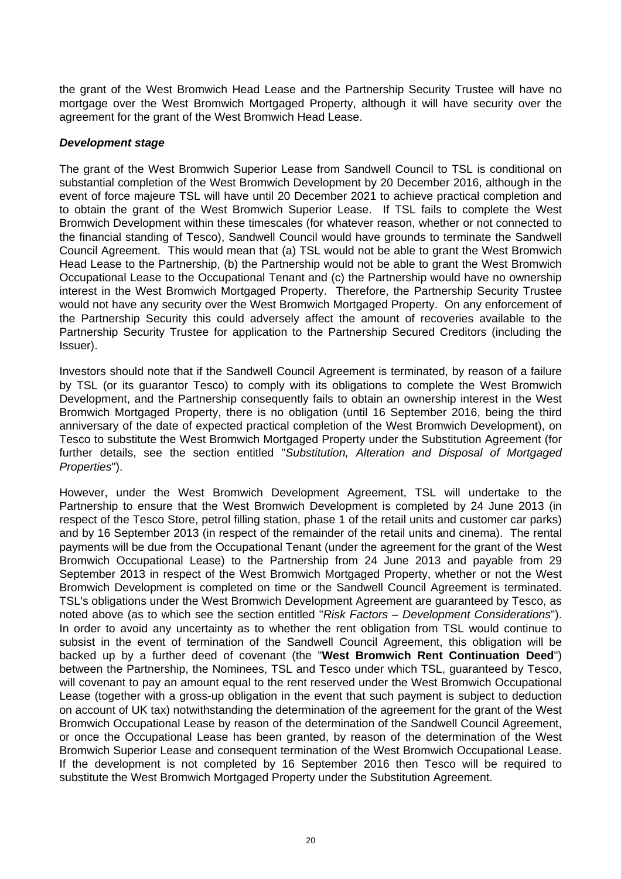the grant of the West Bromwich Head Lease and the Partnership Security Trustee will have no mortgage over the West Bromwich Mortgaged Property, although it will have security over the agreement for the grant of the West Bromwich Head Lease.

#### *Development stage*

The grant of the West Bromwich Superior Lease from Sandwell Council to TSL is conditional on substantial completion of the West Bromwich Development by 20 December 2016, although in the event of force majeure TSL will have until 20 December 2021 to achieve practical completion and to obtain the grant of the West Bromwich Superior Lease. If TSL fails to complete the West Bromwich Development within these timescales (for whatever reason, whether or not connected to the financial standing of Tesco), Sandwell Council would have grounds to terminate the Sandwell Council Agreement. This would mean that (a) TSL would not be able to grant the West Bromwich Head Lease to the Partnership, (b) the Partnership would not be able to grant the West Bromwich Occupational Lease to the Occupational Tenant and (c) the Partnership would have no ownership interest in the West Bromwich Mortgaged Property. Therefore, the Partnership Security Trustee would not have any security over the West Bromwich Mortgaged Property. On any enforcement of the Partnership Security this could adversely affect the amount of recoveries available to the Partnership Security Trustee for application to the Partnership Secured Creditors (including the Issuer).

Investors should note that if the Sandwell Council Agreement is terminated, by reason of a failure by TSL (or its guarantor Tesco) to comply with its obligations to complete the West Bromwich Development, and the Partnership consequently fails to obtain an ownership interest in the West Bromwich Mortgaged Property, there is no obligation (until 16 September 2016, being the third anniversary of the date of expected practical completion of the West Bromwich Development), on Tesco to substitute the West Bromwich Mortgaged Property under the Substitution Agreement (for further details, see the section entitled "*Substitution, Alteration and Disposal of Mortgaged Properties*").

However, under the West Bromwich Development Agreement, TSL will undertake to the Partnership to ensure that the West Bromwich Development is completed by 24 June 2013 (in respect of the Tesco Store, petrol filling station, phase 1 of the retail units and customer car parks) and by 16 September 2013 (in respect of the remainder of the retail units and cinema). The rental payments will be due from the Occupational Tenant (under the agreement for the grant of the West Bromwich Occupational Lease) to the Partnership from 24 June 2013 and payable from 29 September 2013 in respect of the West Bromwich Mortgaged Property, whether or not the West Bromwich Development is completed on time or the Sandwell Council Agreement is terminated. TSL's obligations under the West Bromwich Development Agreement are guaranteed by Tesco, as noted above (as to which see the section entitled "*Risk Factors – Development Considerations*"). In order to avoid any uncertainty as to whether the rent obligation from TSL would continue to subsist in the event of termination of the Sandwell Council Agreement, this obligation will be backed up by a further deed of covenant (the "**West Bromwich Rent Continuation Deed**") between the Partnership, the Nominees, TSL and Tesco under which TSL, guaranteed by Tesco, will covenant to pay an amount equal to the rent reserved under the West Bromwich Occupational Lease (together with a gross-up obligation in the event that such payment is subject to deduction on account of UK tax) notwithstanding the determination of the agreement for the grant of the West Bromwich Occupational Lease by reason of the determination of the Sandwell Council Agreement, or once the Occupational Lease has been granted, by reason of the determination of the West Bromwich Superior Lease and consequent termination of the West Bromwich Occupational Lease. If the development is not completed by 16 September 2016 then Tesco will be required to substitute the West Bromwich Mortgaged Property under the Substitution Agreement.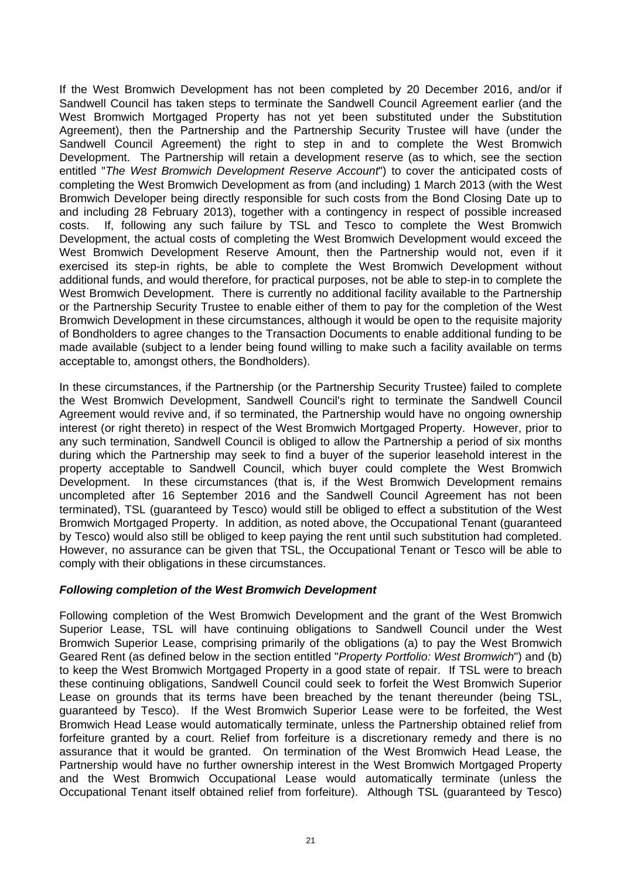If the West Bromwich Development has not been completed by 20 December 2016, and/or if Sandwell Council has taken steps to terminate the Sandwell Council Agreement earlier (and the West Bromwich Mortgaged Property has not yet been substituted under the Substitution Agreement), then the Partnership and the Partnership Security Trustee will have (under the Sandwell Council Agreement) the right to step in and to complete the West Bromwich Development. The Partnership will retain a development reserve (as to which, see the section entitled "*The West Bromwich Development Reserve Account*") to cover the anticipated costs of completing the West Bromwich Development as from (and including) 1 March 2013 (with the West Bromwich Developer being directly responsible for such costs from the Bond Closing Date up to and including 28 February 2013), together with a contingency in respect of possible increased costs. If, following any such failure by TSL and Tesco to complete the West Bromwich Development, the actual costs of completing the West Bromwich Development would exceed the West Bromwich Development Reserve Amount, then the Partnership would not, even if it exercised its step-in rights, be able to complete the West Bromwich Development without additional funds, and would therefore, for practical purposes, not be able to step-in to complete the West Bromwich Development. There is currently no additional facility available to the Partnership or the Partnership Security Trustee to enable either of them to pay for the completion of the West Bromwich Development in these circumstances, although it would be open to the requisite majority of Bondholders to agree changes to the Transaction Documents to enable additional funding to be made available (subject to a lender being found willing to make such a facility available on terms acceptable to, amongst others, the Bondholders).

In these circumstances, if the Partnership (or the Partnership Security Trustee) failed to complete the West Bromwich Development, Sandwell Council's right to terminate the Sandwell Council Agreement would revive and, if so terminated, the Partnership would have no ongoing ownership interest (or right thereto) in respect of the West Bromwich Mortgaged Property. However, prior to any such termination, Sandwell Council is obliged to allow the Partnership a period of six months during which the Partnership may seek to find a buyer of the superior leasehold interest in the property acceptable to Sandwell Council, which buyer could complete the West Bromwich Development. In these circumstances (that is, if the West Bromwich Development remains uncompleted after 16 September 2016 and the Sandwell Council Agreement has not been terminated), TSL (guaranteed by Tesco) would still be obliged to effect a substitution of the West Bromwich Mortgaged Property. In addition, as noted above, the Occupational Tenant (guaranteed by Tesco) would also still be obliged to keep paying the rent until such substitution had completed. However, no assurance can be given that TSL, the Occupational Tenant or Tesco will be able to comply with their obligations in these circumstances.

#### *Following completion of the West Bromwich Development*

Following completion of the West Bromwich Development and the grant of the West Bromwich Superior Lease, TSL will have continuing obligations to Sandwell Council under the West Bromwich Superior Lease, comprising primarily of the obligations (a) to pay the West Bromwich Geared Rent (as defined below in the section entitled "*Property Portfolio: West Bromwich*") and (b) to keep the West Bromwich Mortgaged Property in a good state of repair. If TSL were to breach these continuing obligations, Sandwell Council could seek to forfeit the West Bromwich Superior Lease on grounds that its terms have been breached by the tenant thereunder (being TSL, guaranteed by Tesco). If the West Bromwich Superior Lease were to be forfeited, the West Bromwich Head Lease would automatically terminate, unless the Partnership obtained relief from forfeiture granted by a court. Relief from forfeiture is a discretionary remedy and there is no assurance that it would be granted. On termination of the West Bromwich Head Lease, the Partnership would have no further ownership interest in the West Bromwich Mortgaged Property and the West Bromwich Occupational Lease would automatically terminate (unless the Occupational Tenant itself obtained relief from forfeiture). Although TSL (guaranteed by Tesco)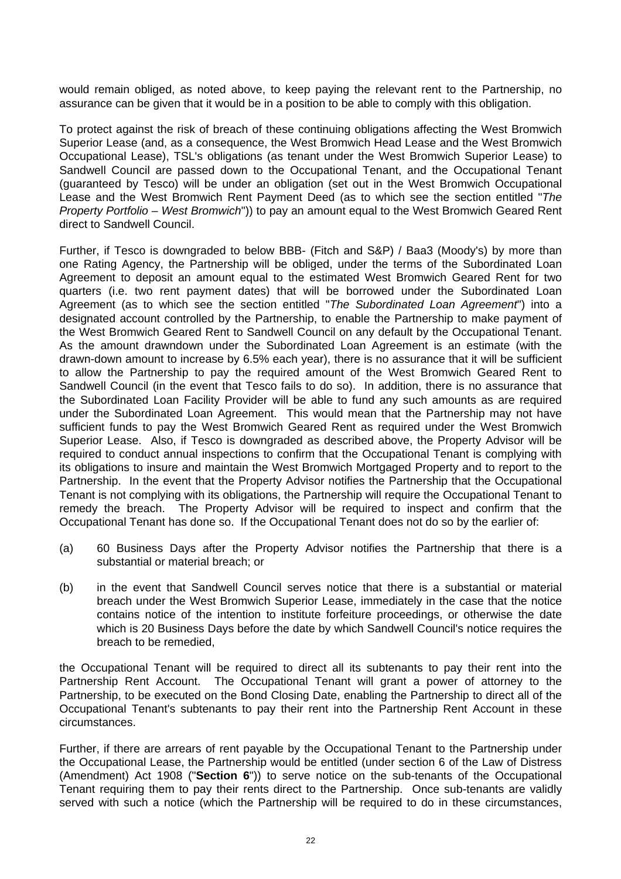would remain obliged, as noted above, to keep paying the relevant rent to the Partnership, no assurance can be given that it would be in a position to be able to comply with this obligation.

To protect against the risk of breach of these continuing obligations affecting the West Bromwich Superior Lease (and, as a consequence, the West Bromwich Head Lease and the West Bromwich Occupational Lease), TSL's obligations (as tenant under the West Bromwich Superior Lease) to Sandwell Council are passed down to the Occupational Tenant, and the Occupational Tenant (guaranteed by Tesco) will be under an obligation (set out in the West Bromwich Occupational Lease and the West Bromwich Rent Payment Deed (as to which see the section entitled "*The Property Portfolio – West Bromwich*")) to pay an amount equal to the West Bromwich Geared Rent direct to Sandwell Council.

Further, if Tesco is downgraded to below BBB- (Fitch and S&P) / Baa3 (Moody's) by more than one Rating Agency, the Partnership will be obliged, under the terms of the Subordinated Loan Agreement to deposit an amount equal to the estimated West Bromwich Geared Rent for two quarters (i.e. two rent payment dates) that will be borrowed under the Subordinated Loan Agreement (as to which see the section entitled "*The Subordinated Loan Agreement*") into a designated account controlled by the Partnership, to enable the Partnership to make payment of the West Bromwich Geared Rent to Sandwell Council on any default by the Occupational Tenant. As the amount drawndown under the Subordinated Loan Agreement is an estimate (with the drawn-down amount to increase by 6.5% each year), there is no assurance that it will be sufficient to allow the Partnership to pay the required amount of the West Bromwich Geared Rent to Sandwell Council (in the event that Tesco fails to do so). In addition, there is no assurance that the Subordinated Loan Facility Provider will be able to fund any such amounts as are required under the Subordinated Loan Agreement. This would mean that the Partnership may not have sufficient funds to pay the West Bromwich Geared Rent as required under the West Bromwich Superior Lease. Also, if Tesco is downgraded as described above, the Property Advisor will be required to conduct annual inspections to confirm that the Occupational Tenant is complying with its obligations to insure and maintain the West Bromwich Mortgaged Property and to report to the Partnership. In the event that the Property Advisor notifies the Partnership that the Occupational Tenant is not complying with its obligations, the Partnership will require the Occupational Tenant to remedy the breach. The Property Advisor will be required to inspect and confirm that the Occupational Tenant has done so. If the Occupational Tenant does not do so by the earlier of:

- (a) 60 Business Days after the Property Advisor notifies the Partnership that there is a substantial or material breach; or
- (b) in the event that Sandwell Council serves notice that there is a substantial or material breach under the West Bromwich Superior Lease, immediately in the case that the notice contains notice of the intention to institute forfeiture proceedings, or otherwise the date which is 20 Business Days before the date by which Sandwell Council's notice requires the breach to be remedied,

the Occupational Tenant will be required to direct all its subtenants to pay their rent into the Partnership Rent Account. The Occupational Tenant will grant a power of attorney to the Partnership, to be executed on the Bond Closing Date, enabling the Partnership to direct all of the Occupational Tenant's subtenants to pay their rent into the Partnership Rent Account in these circumstances.

Further, if there are arrears of rent payable by the Occupational Tenant to the Partnership under the Occupational Lease, the Partnership would be entitled (under section 6 of the Law of Distress (Amendment) Act 1908 ("**Section 6**")) to serve notice on the sub-tenants of the Occupational Tenant requiring them to pay their rents direct to the Partnership. Once sub-tenants are validly served with such a notice (which the Partnership will be required to do in these circumstances,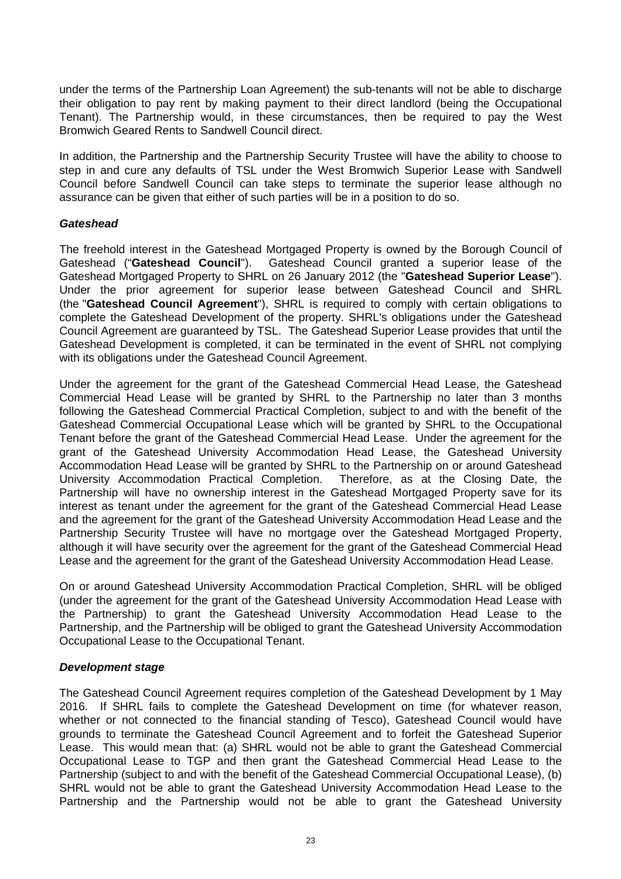under the terms of the Partnership Loan Agreement) the sub-tenants will not be able to discharge their obligation to pay rent by making payment to their direct landlord (being the Occupational Tenant). The Partnership would, in these circumstances, then be required to pay the West Bromwich Geared Rents to Sandwell Council direct.

In addition, the Partnership and the Partnership Security Trustee will have the ability to choose to step in and cure any defaults of TSL under the West Bromwich Superior Lease with Sandwell Council before Sandwell Council can take steps to terminate the superior lease although no assurance can be given that either of such parties will be in a position to do so.

#### *Gateshead*

The freehold interest in the Gateshead Mortgaged Property is owned by the Borough Council of Gateshead ("**Gateshead Council**"). Gateshead Council granted a superior lease of the Gateshead Mortgaged Property to SHRL on 26 January 2012 (the "**Gateshead Superior Lease**"). Under the prior agreement for superior lease between Gateshead Council and SHRL (the "**Gateshead Council Agreement**"), SHRL is required to comply with certain obligations to complete the Gateshead Development of the property. SHRL's obligations under the Gateshead Council Agreement are guaranteed by TSL. The Gateshead Superior Lease provides that until the Gateshead Development is completed, it can be terminated in the event of SHRL not complying with its obligations under the Gateshead Council Agreement.

Under the agreement for the grant of the Gateshead Commercial Head Lease, the Gateshead Commercial Head Lease will be granted by SHRL to the Partnership no later than 3 months following the Gateshead Commercial Practical Completion, subject to and with the benefit of the Gateshead Commercial Occupational Lease which will be granted by SHRL to the Occupational Tenant before the grant of the Gateshead Commercial Head Lease. Under the agreement for the grant of the Gateshead University Accommodation Head Lease, the Gateshead University Accommodation Head Lease will be granted by SHRL to the Partnership on or around Gateshead University Accommodation Practical Completion. Therefore, as at the Closing Date, the Partnership will have no ownership interest in the Gateshead Mortgaged Property save for its interest as tenant under the agreement for the grant of the Gateshead Commercial Head Lease and the agreement for the grant of the Gateshead University Accommodation Head Lease and the Partnership Security Trustee will have no mortgage over the Gateshead Mortgaged Property, although it will have security over the agreement for the grant of the Gateshead Commercial Head Lease and the agreement for the grant of the Gateshead University Accommodation Head Lease.

On or around Gateshead University Accommodation Practical Completion, SHRL will be obliged (under the agreement for the grant of the Gateshead University Accommodation Head Lease with the Partnership) to grant the Gateshead University Accommodation Head Lease to the Partnership, and the Partnership will be obliged to grant the Gateshead University Accommodation Occupational Lease to the Occupational Tenant.

#### *Development stage*

The Gateshead Council Agreement requires completion of the Gateshead Development by 1 May 2016. If SHRL fails to complete the Gateshead Development on time (for whatever reason, whether or not connected to the financial standing of Tesco), Gateshead Council would have grounds to terminate the Gateshead Council Agreement and to forfeit the Gateshead Superior Lease. This would mean that: (a) SHRL would not be able to grant the Gateshead Commercial Occupational Lease to TGP and then grant the Gateshead Commercial Head Lease to the Partnership (subject to and with the benefit of the Gateshead Commercial Occupational Lease), (b) SHRL would not be able to grant the Gateshead University Accommodation Head Lease to the Partnership and the Partnership would not be able to grant the Gateshead University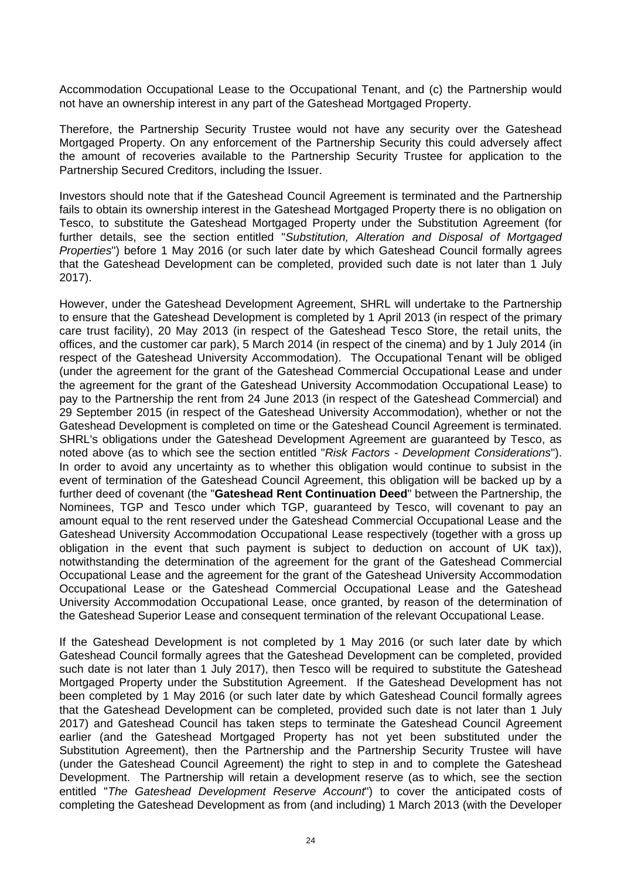Accommodation Occupational Lease to the Occupational Tenant, and (c) the Partnership would not have an ownership interest in any part of the Gateshead Mortgaged Property.

Therefore, the Partnership Security Trustee would not have any security over the Gateshead Mortgaged Property. On any enforcement of the Partnership Security this could adversely affect the amount of recoveries available to the Partnership Security Trustee for application to the Partnership Secured Creditors, including the Issuer.

Investors should note that if the Gateshead Council Agreement is terminated and the Partnership fails to obtain its ownership interest in the Gateshead Mortgaged Property there is no obligation on Tesco, to substitute the Gateshead Mortgaged Property under the Substitution Agreement (for further details, see the section entitled "*Substitution, Alteration and Disposal of Mortgaged Properties*") before 1 May 2016 (or such later date by which Gateshead Council formally agrees that the Gateshead Development can be completed, provided such date is not later than 1 July 2017).

However, under the Gateshead Development Agreement, SHRL will undertake to the Partnership to ensure that the Gateshead Development is completed by 1 April 2013 (in respect of the primary care trust facility), 20 May 2013 (in respect of the Gateshead Tesco Store, the retail units, the offices, and the customer car park), 5 March 2014 (in respect of the cinema) and by 1 July 2014 (in respect of the Gateshead University Accommodation). The Occupational Tenant will be obliged (under the agreement for the grant of the Gateshead Commercial Occupational Lease and under the agreement for the grant of the Gateshead University Accommodation Occupational Lease) to pay to the Partnership the rent from 24 June 2013 (in respect of the Gateshead Commercial) and 29 September 2015 (in respect of the Gateshead University Accommodation), whether or not the Gateshead Development is completed on time or the Gateshead Council Agreement is terminated. SHRL's obligations under the Gateshead Development Agreement are guaranteed by Tesco, as noted above (as to which see the section entitled "*Risk Factors - Development Considerations*"). In order to avoid any uncertainty as to whether this obligation would continue to subsist in the event of termination of the Gateshead Council Agreement, this obligation will be backed up by a further deed of covenant (the "**Gateshead Rent Continuation Deed**" between the Partnership, the Nominees, TGP and Tesco under which TGP, guaranteed by Tesco, will covenant to pay an amount equal to the rent reserved under the Gateshead Commercial Occupational Lease and the Gateshead University Accommodation Occupational Lease respectively (together with a gross up obligation in the event that such payment is subject to deduction on account of UK tax)), notwithstanding the determination of the agreement for the grant of the Gateshead Commercial Occupational Lease and the agreement for the grant of the Gateshead University Accommodation Occupational Lease or the Gateshead Commercial Occupational Lease and the Gateshead University Accommodation Occupational Lease, once granted, by reason of the determination of the Gateshead Superior Lease and consequent termination of the relevant Occupational Lease.

If the Gateshead Development is not completed by 1 May 2016 (or such later date by which Gateshead Council formally agrees that the Gateshead Development can be completed, provided such date is not later than 1 July 2017), then Tesco will be required to substitute the Gateshead Mortgaged Property under the Substitution Agreement. If the Gateshead Development has not been completed by 1 May 2016 (or such later date by which Gateshead Council formally agrees that the Gateshead Development can be completed, provided such date is not later than 1 July 2017) and Gateshead Council has taken steps to terminate the Gateshead Council Agreement earlier (and the Gateshead Mortgaged Property has not yet been substituted under the Substitution Agreement), then the Partnership and the Partnership Security Trustee will have (under the Gateshead Council Agreement) the right to step in and to complete the Gateshead Development. The Partnership will retain a development reserve (as to which, see the section entitled "*The Gateshead Development Reserve Account*") to cover the anticipated costs of completing the Gateshead Development as from (and including) 1 March 2013 (with the Developer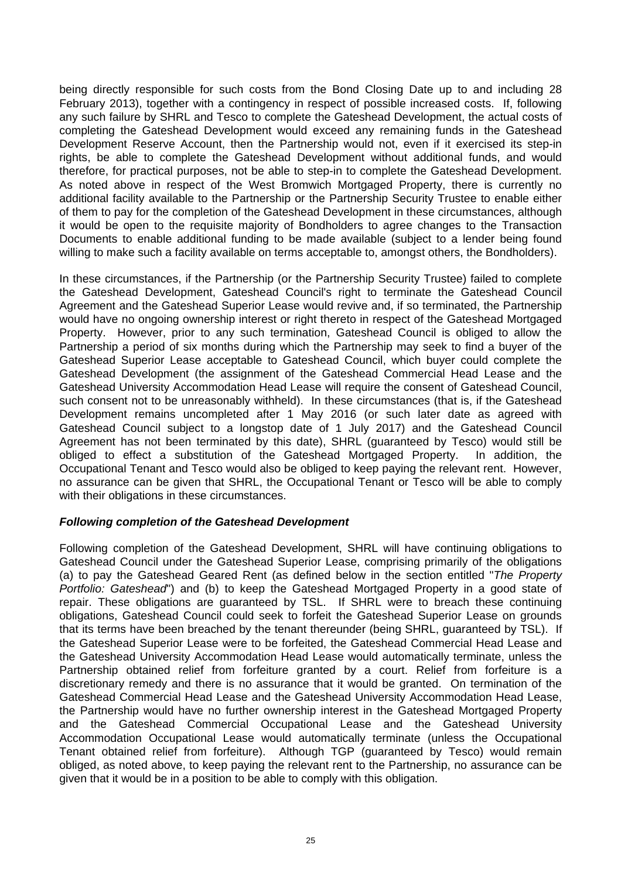being directly responsible for such costs from the Bond Closing Date up to and including 28 February 2013), together with a contingency in respect of possible increased costs. If, following any such failure by SHRL and Tesco to complete the Gateshead Development, the actual costs of completing the Gateshead Development would exceed any remaining funds in the Gateshead Development Reserve Account, then the Partnership would not, even if it exercised its step-in rights, be able to complete the Gateshead Development without additional funds, and would therefore, for practical purposes, not be able to step-in to complete the Gateshead Development. As noted above in respect of the West Bromwich Mortgaged Property, there is currently no additional facility available to the Partnership or the Partnership Security Trustee to enable either of them to pay for the completion of the Gateshead Development in these circumstances, although it would be open to the requisite majority of Bondholders to agree changes to the Transaction Documents to enable additional funding to be made available (subject to a lender being found willing to make such a facility available on terms acceptable to, amongst others, the Bondholders).

In these circumstances, if the Partnership (or the Partnership Security Trustee) failed to complete the Gateshead Development, Gateshead Council's right to terminate the Gateshead Council Agreement and the Gateshead Superior Lease would revive and, if so terminated, the Partnership would have no ongoing ownership interest or right thereto in respect of the Gateshead Mortgaged Property. However, prior to any such termination, Gateshead Council is obliged to allow the Partnership a period of six months during which the Partnership may seek to find a buyer of the Gateshead Superior Lease acceptable to Gateshead Council, which buyer could complete the Gateshead Development (the assignment of the Gateshead Commercial Head Lease and the Gateshead University Accommodation Head Lease will require the consent of Gateshead Council, such consent not to be unreasonably withheld). In these circumstances (that is, if the Gateshead Development remains uncompleted after 1 May 2016 (or such later date as agreed with Gateshead Council subject to a longstop date of 1 July 2017) and the Gateshead Council Agreement has not been terminated by this date), SHRL (guaranteed by Tesco) would still be obliged to effect a substitution of the Gateshead Mortgaged Property. In addition, the Occupational Tenant and Tesco would also be obliged to keep paying the relevant rent. However, no assurance can be given that SHRL, the Occupational Tenant or Tesco will be able to comply with their obligations in these circumstances.

#### *Following completion of the Gateshead Development*

Following completion of the Gateshead Development, SHRL will have continuing obligations to Gateshead Council under the Gateshead Superior Lease, comprising primarily of the obligations (a) to pay the Gateshead Geared Rent (as defined below in the section entitled "*The Property Portfolio: Gateshead*") and (b) to keep the Gateshead Mortgaged Property in a good state of repair. These obligations are guaranteed by TSL. If SHRL were to breach these continuing obligations, Gateshead Council could seek to forfeit the Gateshead Superior Lease on grounds that its terms have been breached by the tenant thereunder (being SHRL, guaranteed by TSL). If the Gateshead Superior Lease were to be forfeited, the Gateshead Commercial Head Lease and the Gateshead University Accommodation Head Lease would automatically terminate, unless the Partnership obtained relief from forfeiture granted by a court. Relief from forfeiture is a discretionary remedy and there is no assurance that it would be granted. On termination of the Gateshead Commercial Head Lease and the Gateshead University Accommodation Head Lease, the Partnership would have no further ownership interest in the Gateshead Mortgaged Property and the Gateshead Commercial Occupational Lease and the Gateshead University Accommodation Occupational Lease would automatically terminate (unless the Occupational Tenant obtained relief from forfeiture). Although TGP (guaranteed by Tesco) would remain obliged, as noted above, to keep paying the relevant rent to the Partnership, no assurance can be given that it would be in a position to be able to comply with this obligation.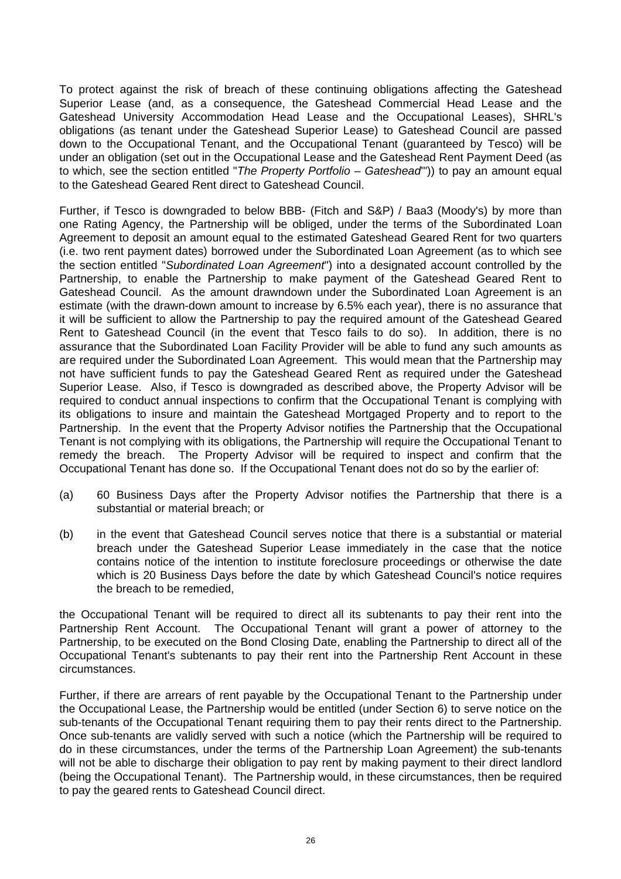To protect against the risk of breach of these continuing obligations affecting the Gateshead Superior Lease (and, as a consequence, the Gateshead Commercial Head Lease and the Gateshead University Accommodation Head Lease and the Occupational Leases), SHRL's obligations (as tenant under the Gateshead Superior Lease) to Gateshead Council are passed down to the Occupational Tenant, and the Occupational Tenant (guaranteed by Tesco) will be under an obligation (set out in the Occupational Lease and the Gateshead Rent Payment Deed (as to which, see the section entitled "*The Property Portfolio – Gateshead*'")) to pay an amount equal to the Gateshead Geared Rent direct to Gateshead Council.

Further, if Tesco is downgraded to below BBB- (Fitch and S&P) / Baa3 (Moody's) by more than one Rating Agency, the Partnership will be obliged, under the terms of the Subordinated Loan Agreement to deposit an amount equal to the estimated Gateshead Geared Rent for two quarters (i.e. two rent payment dates) borrowed under the Subordinated Loan Agreement (as to which see the section entitled "*Subordinated Loan Agreement*") into a designated account controlled by the Partnership, to enable the Partnership to make payment of the Gateshead Geared Rent to Gateshead Council. As the amount drawndown under the Subordinated Loan Agreement is an estimate (with the drawn-down amount to increase by 6.5% each year), there is no assurance that it will be sufficient to allow the Partnership to pay the required amount of the Gateshead Geared Rent to Gateshead Council (in the event that Tesco fails to do so). In addition, there is no assurance that the Subordinated Loan Facility Provider will be able to fund any such amounts as are required under the Subordinated Loan Agreement. This would mean that the Partnership may not have sufficient funds to pay the Gateshead Geared Rent as required under the Gateshead Superior Lease. Also, if Tesco is downgraded as described above, the Property Advisor will be required to conduct annual inspections to confirm that the Occupational Tenant is complying with its obligations to insure and maintain the Gateshead Mortgaged Property and to report to the Partnership. In the event that the Property Advisor notifies the Partnership that the Occupational Tenant is not complying with its obligations, the Partnership will require the Occupational Tenant to remedy the breach. The Property Advisor will be required to inspect and confirm that the Occupational Tenant has done so. If the Occupational Tenant does not do so by the earlier of:

- (a) 60 Business Days after the Property Advisor notifies the Partnership that there is a substantial or material breach; or
- (b) in the event that Gateshead Council serves notice that there is a substantial or material breach under the Gateshead Superior Lease immediately in the case that the notice contains notice of the intention to institute foreclosure proceedings or otherwise the date which is 20 Business Days before the date by which Gateshead Council's notice requires the breach to be remedied,

the Occupational Tenant will be required to direct all its subtenants to pay their rent into the Partnership Rent Account. The Occupational Tenant will grant a power of attorney to the Partnership, to be executed on the Bond Closing Date, enabling the Partnership to direct all of the Occupational Tenant's subtenants to pay their rent into the Partnership Rent Account in these circumstances.

Further, if there are arrears of rent payable by the Occupational Tenant to the Partnership under the Occupational Lease, the Partnership would be entitled (under Section 6) to serve notice on the sub-tenants of the Occupational Tenant requiring them to pay their rents direct to the Partnership. Once sub-tenants are validly served with such a notice (which the Partnership will be required to do in these circumstances, under the terms of the Partnership Loan Agreement) the sub-tenants will not be able to discharge their obligation to pay rent by making payment to their direct landlord (being the Occupational Tenant). The Partnership would, in these circumstances, then be required to pay the geared rents to Gateshead Council direct.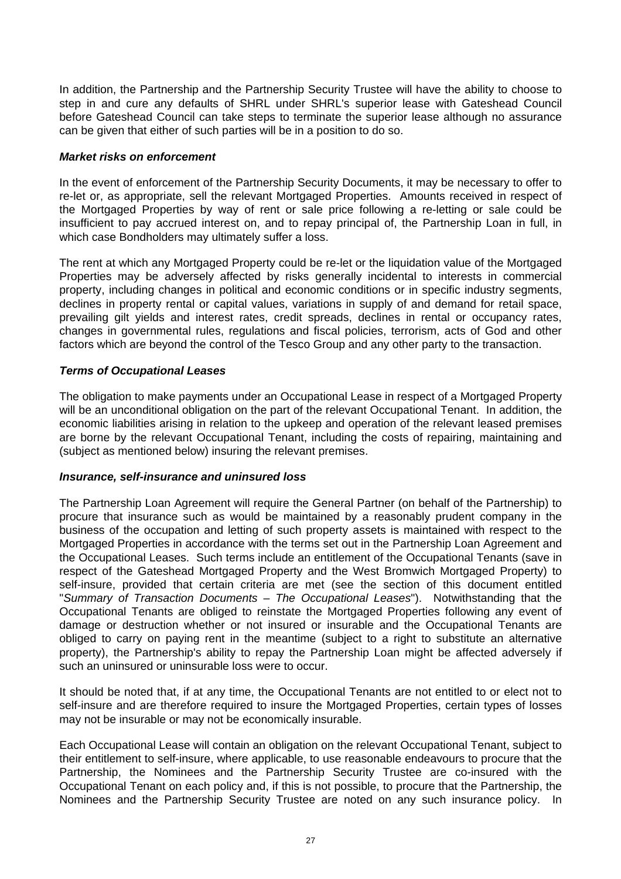In addition, the Partnership and the Partnership Security Trustee will have the ability to choose to step in and cure any defaults of SHRL under SHRL's superior lease with Gateshead Council before Gateshead Council can take steps to terminate the superior lease although no assurance can be given that either of such parties will be in a position to do so.

#### *Market risks on enforcement*

In the event of enforcement of the Partnership Security Documents, it may be necessary to offer to re-let or, as appropriate, sell the relevant Mortgaged Properties. Amounts received in respect of the Mortgaged Properties by way of rent or sale price following a re-letting or sale could be insufficient to pay accrued interest on, and to repay principal of, the Partnership Loan in full, in which case Bondholders may ultimately suffer a loss.

The rent at which any Mortgaged Property could be re-let or the liquidation value of the Mortgaged Properties may be adversely affected by risks generally incidental to interests in commercial property, including changes in political and economic conditions or in specific industry segments, declines in property rental or capital values, variations in supply of and demand for retail space, prevailing gilt yields and interest rates, credit spreads, declines in rental or occupancy rates, changes in governmental rules, regulations and fiscal policies, terrorism, acts of God and other factors which are beyond the control of the Tesco Group and any other party to the transaction.

#### *Terms of Occupational Leases*

The obligation to make payments under an Occupational Lease in respect of a Mortgaged Property will be an unconditional obligation on the part of the relevant Occupational Tenant. In addition, the economic liabilities arising in relation to the upkeep and operation of the relevant leased premises are borne by the relevant Occupational Tenant, including the costs of repairing, maintaining and (subject as mentioned below) insuring the relevant premises.

#### *Insurance, self-insurance and uninsured loss*

The Partnership Loan Agreement will require the General Partner (on behalf of the Partnership) to procure that insurance such as would be maintained by a reasonably prudent company in the business of the occupation and letting of such property assets is maintained with respect to the Mortgaged Properties in accordance with the terms set out in the Partnership Loan Agreement and the Occupational Leases. Such terms include an entitlement of the Occupational Tenants (save in respect of the Gateshead Mortgaged Property and the West Bromwich Mortgaged Property) to self-insure, provided that certain criteria are met (see the section of this document entitled "*Summary of Transaction Documents – The Occupational Leases*"). Notwithstanding that the Occupational Tenants are obliged to reinstate the Mortgaged Properties following any event of damage or destruction whether or not insured or insurable and the Occupational Tenants are obliged to carry on paying rent in the meantime (subject to a right to substitute an alternative property), the Partnership's ability to repay the Partnership Loan might be affected adversely if such an uninsured or uninsurable loss were to occur.

It should be noted that, if at any time, the Occupational Tenants are not entitled to or elect not to self-insure and are therefore required to insure the Mortgaged Properties, certain types of losses may not be insurable or may not be economically insurable.

Each Occupational Lease will contain an obligation on the relevant Occupational Tenant, subject to their entitlement to self-insure, where applicable, to use reasonable endeavours to procure that the Partnership, the Nominees and the Partnership Security Trustee are co-insured with the Occupational Tenant on each policy and, if this is not possible, to procure that the Partnership, the Nominees and the Partnership Security Trustee are noted on any such insurance policy. In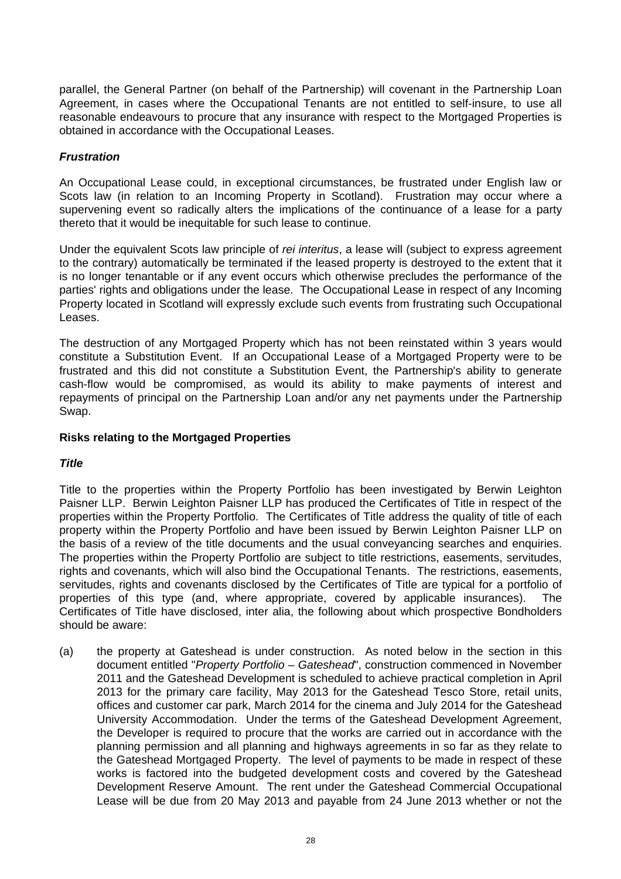parallel, the General Partner (on behalf of the Partnership) will covenant in the Partnership Loan Agreement, in cases where the Occupational Tenants are not entitled to self-insure, to use all reasonable endeavours to procure that any insurance with respect to the Mortgaged Properties is obtained in accordance with the Occupational Leases.

#### *Frustration*

An Occupational Lease could, in exceptional circumstances, be frustrated under English law or Scots law (in relation to an Incoming Property in Scotland). Frustration may occur where a supervening event so radically alters the implications of the continuance of a lease for a party thereto that it would be inequitable for such lease to continue.

Under the equivalent Scots law principle of *rei interitus*, a lease will (subject to express agreement to the contrary) automatically be terminated if the leased property is destroyed to the extent that it is no longer tenantable or if any event occurs which otherwise precludes the performance of the parties' rights and obligations under the lease. The Occupational Lease in respect of any Incoming Property located in Scotland will expressly exclude such events from frustrating such Occupational Leases.

The destruction of any Mortgaged Property which has not been reinstated within 3 years would constitute a Substitution Event. If an Occupational Lease of a Mortgaged Property were to be frustrated and this did not constitute a Substitution Event, the Partnership's ability to generate cash-flow would be compromised, as would its ability to make payments of interest and repayments of principal on the Partnership Loan and/or any net payments under the Partnership Swap.

#### **Risks relating to the Mortgaged Properties**

#### *Title*

Title to the properties within the Property Portfolio has been investigated by Berwin Leighton Paisner LLP. Berwin Leighton Paisner LLP has produced the Certificates of Title in respect of the properties within the Property Portfolio. The Certificates of Title address the quality of title of each property within the Property Portfolio and have been issued by Berwin Leighton Paisner LLP on the basis of a review of the title documents and the usual conveyancing searches and enquiries. The properties within the Property Portfolio are subject to title restrictions, easements, servitudes, rights and covenants, which will also bind the Occupational Tenants. The restrictions, easements, servitudes, rights and covenants disclosed by the Certificates of Title are typical for a portfolio of properties of this type (and, where appropriate, covered by applicable insurances). The Certificates of Title have disclosed, inter alia, the following about which prospective Bondholders should be aware:

(a) the property at Gateshead is under construction. As noted below in the section in this document entitled "*Property Portfolio – Gateshead*", construction commenced in November 2011 and the Gateshead Development is scheduled to achieve practical completion in April 2013 for the primary care facility, May 2013 for the Gateshead Tesco Store, retail units, offices and customer car park, March 2014 for the cinema and July 2014 for the Gateshead University Accommodation. Under the terms of the Gateshead Development Agreement, the Developer is required to procure that the works are carried out in accordance with the planning permission and all planning and highways agreements in so far as they relate to the Gateshead Mortgaged Property. The level of payments to be made in respect of these works is factored into the budgeted development costs and covered by the Gateshead Development Reserve Amount. The rent under the Gateshead Commercial Occupational Lease will be due from 20 May 2013 and payable from 24 June 2013 whether or not the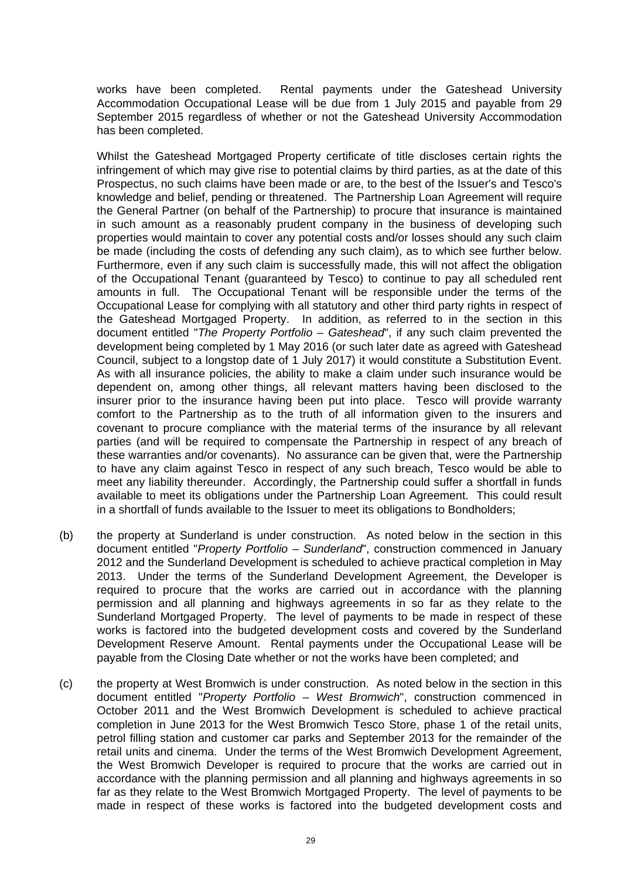works have been completed. Rental payments under the Gateshead University Accommodation Occupational Lease will be due from 1 July 2015 and payable from 29 September 2015 regardless of whether or not the Gateshead University Accommodation has been completed.

Whilst the Gateshead Mortgaged Property certificate of title discloses certain rights the infringement of which may give rise to potential claims by third parties, as at the date of this Prospectus, no such claims have been made or are, to the best of the Issuer's and Tesco's knowledge and belief, pending or threatened. The Partnership Loan Agreement will require the General Partner (on behalf of the Partnership) to procure that insurance is maintained in such amount as a reasonably prudent company in the business of developing such properties would maintain to cover any potential costs and/or losses should any such claim be made (including the costs of defending any such claim), as to which see further below. Furthermore, even if any such claim is successfully made, this will not affect the obligation of the Occupational Tenant (guaranteed by Tesco) to continue to pay all scheduled rent amounts in full. The Occupational Tenant will be responsible under the terms of the Occupational Lease for complying with all statutory and other third party rights in respect of the Gateshead Mortgaged Property. In addition, as referred to in the section in this document entitled "*The Property Portfolio – Gateshead*", if any such claim prevented the development being completed by 1 May 2016 (or such later date as agreed with Gateshead Council, subject to a longstop date of 1 July 2017) it would constitute a Substitution Event. As with all insurance policies, the ability to make a claim under such insurance would be dependent on, among other things, all relevant matters having been disclosed to the insurer prior to the insurance having been put into place. Tesco will provide warranty comfort to the Partnership as to the truth of all information given to the insurers and covenant to procure compliance with the material terms of the insurance by all relevant parties (and will be required to compensate the Partnership in respect of any breach of these warranties and/or covenants). No assurance can be given that, were the Partnership to have any claim against Tesco in respect of any such breach, Tesco would be able to meet any liability thereunder. Accordingly, the Partnership could suffer a shortfall in funds available to meet its obligations under the Partnership Loan Agreement. This could result in a shortfall of funds available to the Issuer to meet its obligations to Bondholders;

- (b) the property at Sunderland is under construction. As noted below in the section in this document entitled "*Property Portfolio – Sunderland*", construction commenced in January 2012 and the Sunderland Development is scheduled to achieve practical completion in May 2013. Under the terms of the Sunderland Development Agreement, the Developer is required to procure that the works are carried out in accordance with the planning permission and all planning and highways agreements in so far as they relate to the Sunderland Mortgaged Property. The level of payments to be made in respect of these works is factored into the budgeted development costs and covered by the Sunderland Development Reserve Amount. Rental payments under the Occupational Lease will be payable from the Closing Date whether or not the works have been completed; and
- (c) the property at West Bromwich is under construction. As noted below in the section in this document entitled "*Property Portfolio – West Bromwich*", construction commenced in October 2011 and the West Bromwich Development is scheduled to achieve practical completion in June 2013 for the West Bromwich Tesco Store, phase 1 of the retail units, petrol filling station and customer car parks and September 2013 for the remainder of the retail units and cinema. Under the terms of the West Bromwich Development Agreement, the West Bromwich Developer is required to procure that the works are carried out in accordance with the planning permission and all planning and highways agreements in so far as they relate to the West Bromwich Mortgaged Property. The level of payments to be made in respect of these works is factored into the budgeted development costs and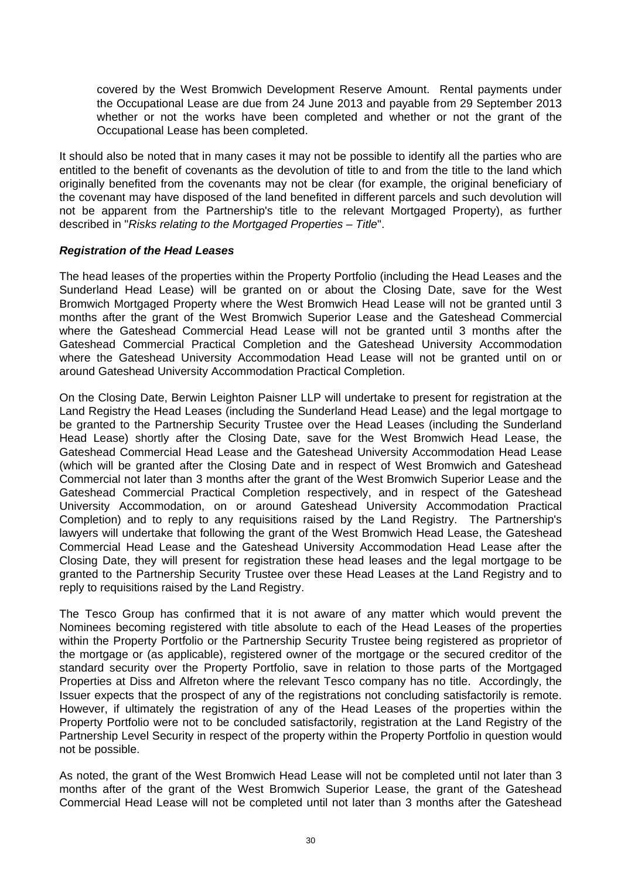covered by the West Bromwich Development Reserve Amount. Rental payments under the Occupational Lease are due from 24 June 2013 and payable from 29 September 2013 whether or not the works have been completed and whether or not the grant of the Occupational Lease has been completed.

It should also be noted that in many cases it may not be possible to identify all the parties who are entitled to the benefit of covenants as the devolution of title to and from the title to the land which originally benefited from the covenants may not be clear (for example, the original beneficiary of the covenant may have disposed of the land benefited in different parcels and such devolution will not be apparent from the Partnership's title to the relevant Mortgaged Property), as further described in "*Risks relating to the Mortgaged Properties – Title*".

#### *Registration of the Head Leases*

The head leases of the properties within the Property Portfolio (including the Head Leases and the Sunderland Head Lease) will be granted on or about the Closing Date, save for the West Bromwich Mortgaged Property where the West Bromwich Head Lease will not be granted until 3 months after the grant of the West Bromwich Superior Lease and the Gateshead Commercial where the Gateshead Commercial Head Lease will not be granted until 3 months after the Gateshead Commercial Practical Completion and the Gateshead University Accommodation where the Gateshead University Accommodation Head Lease will not be granted until on or around Gateshead University Accommodation Practical Completion.

On the Closing Date, Berwin Leighton Paisner LLP will undertake to present for registration at the Land Registry the Head Leases (including the Sunderland Head Lease) and the legal mortgage to be granted to the Partnership Security Trustee over the Head Leases (including the Sunderland Head Lease) shortly after the Closing Date, save for the West Bromwich Head Lease, the Gateshead Commercial Head Lease and the Gateshead University Accommodation Head Lease (which will be granted after the Closing Date and in respect of West Bromwich and Gateshead Commercial not later than 3 months after the grant of the West Bromwich Superior Lease and the Gateshead Commercial Practical Completion respectively, and in respect of the Gateshead University Accommodation, on or around Gateshead University Accommodation Practical Completion) and to reply to any requisitions raised by the Land Registry. The Partnership's lawyers will undertake that following the grant of the West Bromwich Head Lease, the Gateshead Commercial Head Lease and the Gateshead University Accommodation Head Lease after the Closing Date, they will present for registration these head leases and the legal mortgage to be granted to the Partnership Security Trustee over these Head Leases at the Land Registry and to reply to requisitions raised by the Land Registry.

The Tesco Group has confirmed that it is not aware of any matter which would prevent the Nominees becoming registered with title absolute to each of the Head Leases of the properties within the Property Portfolio or the Partnership Security Trustee being registered as proprietor of the mortgage or (as applicable), registered owner of the mortgage or the secured creditor of the standard security over the Property Portfolio, save in relation to those parts of the Mortgaged Properties at Diss and Alfreton where the relevant Tesco company has no title. Accordingly, the Issuer expects that the prospect of any of the registrations not concluding satisfactorily is remote. However, if ultimately the registration of any of the Head Leases of the properties within the Property Portfolio were not to be concluded satisfactorily, registration at the Land Registry of the Partnership Level Security in respect of the property within the Property Portfolio in question would not be possible.

As noted, the grant of the West Bromwich Head Lease will not be completed until not later than 3 months after of the grant of the West Bromwich Superior Lease, the grant of the Gateshead Commercial Head Lease will not be completed until not later than 3 months after the Gateshead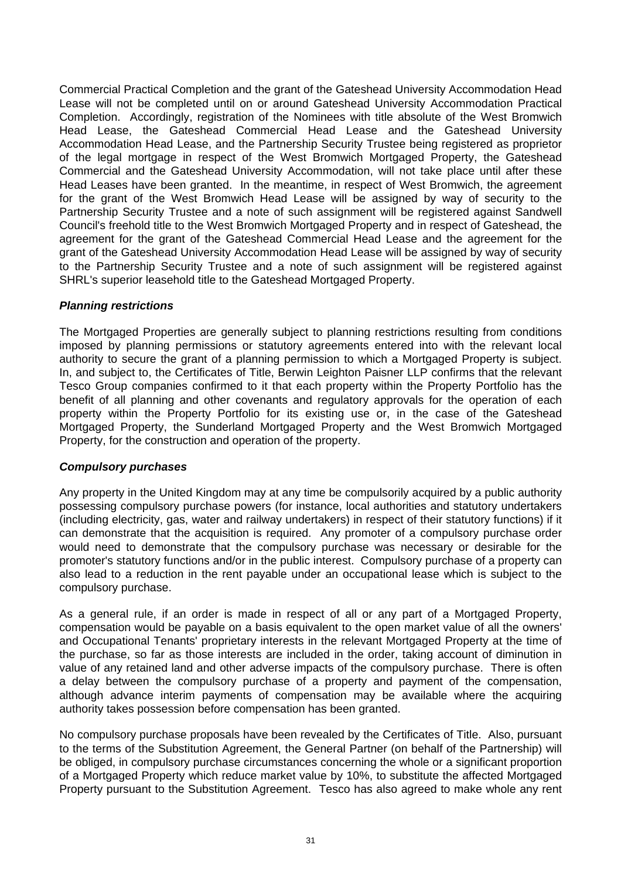Commercial Practical Completion and the grant of the Gateshead University Accommodation Head Lease will not be completed until on or around Gateshead University Accommodation Practical Completion. Accordingly, registration of the Nominees with title absolute of the West Bromwich Head Lease, the Gateshead Commercial Head Lease and the Gateshead University Accommodation Head Lease, and the Partnership Security Trustee being registered as proprietor of the legal mortgage in respect of the West Bromwich Mortgaged Property, the Gateshead Commercial and the Gateshead University Accommodation, will not take place until after these Head Leases have been granted. In the meantime, in respect of West Bromwich, the agreement for the grant of the West Bromwich Head Lease will be assigned by way of security to the Partnership Security Trustee and a note of such assignment will be registered against Sandwell Council's freehold title to the West Bromwich Mortgaged Property and in respect of Gateshead, the agreement for the grant of the Gateshead Commercial Head Lease and the agreement for the grant of the Gateshead University Accommodation Head Lease will be assigned by way of security to the Partnership Security Trustee and a note of such assignment will be registered against SHRL's superior leasehold title to the Gateshead Mortgaged Property.

## *Planning restrictions*

The Mortgaged Properties are generally subject to planning restrictions resulting from conditions imposed by planning permissions or statutory agreements entered into with the relevant local authority to secure the grant of a planning permission to which a Mortgaged Property is subject. In, and subject to, the Certificates of Title, Berwin Leighton Paisner LLP confirms that the relevant Tesco Group companies confirmed to it that each property within the Property Portfolio has the benefit of all planning and other covenants and regulatory approvals for the operation of each property within the Property Portfolio for its existing use or, in the case of the Gateshead Mortgaged Property, the Sunderland Mortgaged Property and the West Bromwich Mortgaged Property, for the construction and operation of the property.

#### *Compulsory purchases*

Any property in the United Kingdom may at any time be compulsorily acquired by a public authority possessing compulsory purchase powers (for instance, local authorities and statutory undertakers (including electricity, gas, water and railway undertakers) in respect of their statutory functions) if it can demonstrate that the acquisition is required. Any promoter of a compulsory purchase order would need to demonstrate that the compulsory purchase was necessary or desirable for the promoter's statutory functions and/or in the public interest. Compulsory purchase of a property can also lead to a reduction in the rent payable under an occupational lease which is subject to the compulsory purchase.

As a general rule, if an order is made in respect of all or any part of a Mortgaged Property, compensation would be payable on a basis equivalent to the open market value of all the owners' and Occupational Tenants' proprietary interests in the relevant Mortgaged Property at the time of the purchase, so far as those interests are included in the order, taking account of diminution in value of any retained land and other adverse impacts of the compulsory purchase. There is often a delay between the compulsory purchase of a property and payment of the compensation, although advance interim payments of compensation may be available where the acquiring authority takes possession before compensation has been granted.

No compulsory purchase proposals have been revealed by the Certificates of Title. Also, pursuant to the terms of the Substitution Agreement, the General Partner (on behalf of the Partnership) will be obliged, in compulsory purchase circumstances concerning the whole or a significant proportion of a Mortgaged Property which reduce market value by 10%, to substitute the affected Mortgaged Property pursuant to the Substitution Agreement. Tesco has also agreed to make whole any rent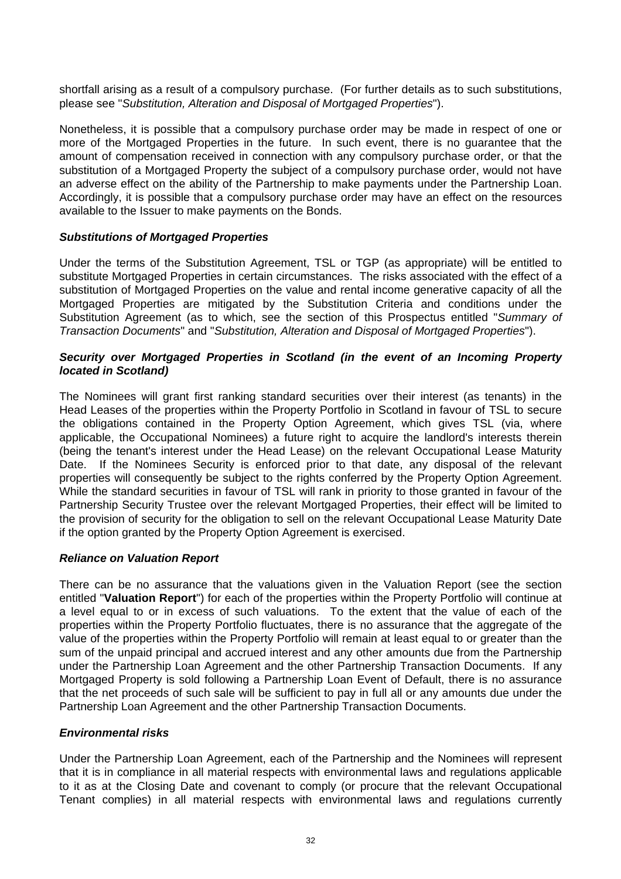shortfall arising as a result of a compulsory purchase. (For further details as to such substitutions, please see "*Substitution, Alteration and Disposal of Mortgaged Properties*").

Nonetheless, it is possible that a compulsory purchase order may be made in respect of one or more of the Mortgaged Properties in the future. In such event, there is no guarantee that the amount of compensation received in connection with any compulsory purchase order, or that the substitution of a Mortgaged Property the subject of a compulsory purchase order, would not have an adverse effect on the ability of the Partnership to make payments under the Partnership Loan. Accordingly, it is possible that a compulsory purchase order may have an effect on the resources available to the Issuer to make payments on the Bonds.

### *Substitutions of Mortgaged Properties*

Under the terms of the Substitution Agreement, TSL or TGP (as appropriate) will be entitled to substitute Mortgaged Properties in certain circumstances. The risks associated with the effect of a substitution of Mortgaged Properties on the value and rental income generative capacity of all the Mortgaged Properties are mitigated by the Substitution Criteria and conditions under the Substitution Agreement (as to which, see the section of this Prospectus entitled "*Summary of Transaction Documents*" and "*Substitution, Alteration and Disposal of Mortgaged Properties*").

### *Security over Mortgaged Properties in Scotland (in the event of an Incoming Property located in Scotland)*

The Nominees will grant first ranking standard securities over their interest (as tenants) in the Head Leases of the properties within the Property Portfolio in Scotland in favour of TSL to secure the obligations contained in the Property Option Agreement, which gives TSL (via, where applicable, the Occupational Nominees) a future right to acquire the landlord's interests therein (being the tenant's interest under the Head Lease) on the relevant Occupational Lease Maturity Date. If the Nominees Security is enforced prior to that date, any disposal of the relevant properties will consequently be subject to the rights conferred by the Property Option Agreement. While the standard securities in favour of TSL will rank in priority to those granted in favour of the Partnership Security Trustee over the relevant Mortgaged Properties, their effect will be limited to the provision of security for the obligation to sell on the relevant Occupational Lease Maturity Date if the option granted by the Property Option Agreement is exercised.

# *Reliance on Valuation Report*

There can be no assurance that the valuations given in the Valuation Report (see the section entitled "**Valuation Report**") for each of the properties within the Property Portfolio will continue at a level equal to or in excess of such valuations. To the extent that the value of each of the properties within the Property Portfolio fluctuates, there is no assurance that the aggregate of the value of the properties within the Property Portfolio will remain at least equal to or greater than the sum of the unpaid principal and accrued interest and any other amounts due from the Partnership under the Partnership Loan Agreement and the other Partnership Transaction Documents. If any Mortgaged Property is sold following a Partnership Loan Event of Default, there is no assurance that the net proceeds of such sale will be sufficient to pay in full all or any amounts due under the Partnership Loan Agreement and the other Partnership Transaction Documents.

#### *Environmental risks*

Under the Partnership Loan Agreement, each of the Partnership and the Nominees will represent that it is in compliance in all material respects with environmental laws and regulations applicable to it as at the Closing Date and covenant to comply (or procure that the relevant Occupational Tenant complies) in all material respects with environmental laws and regulations currently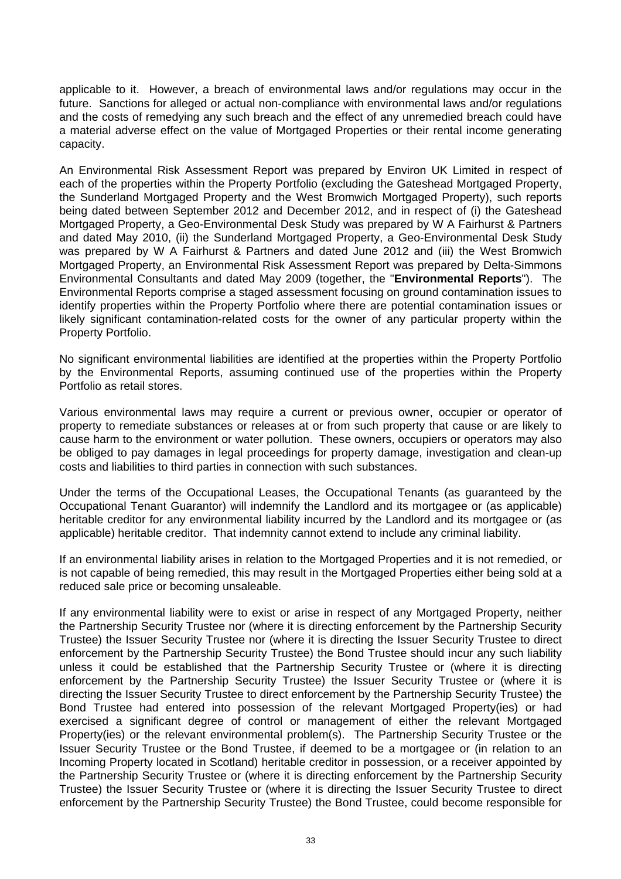applicable to it. However, a breach of environmental laws and/or regulations may occur in the future. Sanctions for alleged or actual non-compliance with environmental laws and/or regulations and the costs of remedying any such breach and the effect of any unremedied breach could have a material adverse effect on the value of Mortgaged Properties or their rental income generating capacity.

An Environmental Risk Assessment Report was prepared by Environ UK Limited in respect of each of the properties within the Property Portfolio (excluding the Gateshead Mortgaged Property, the Sunderland Mortgaged Property and the West Bromwich Mortgaged Property), such reports being dated between September 2012 and December 2012, and in respect of (i) the Gateshead Mortgaged Property, a Geo-Environmental Desk Study was prepared by W A Fairhurst & Partners and dated May 2010, (ii) the Sunderland Mortgaged Property, a Geo-Environmental Desk Study was prepared by W A Fairhurst & Partners and dated June 2012 and (iii) the West Bromwich Mortgaged Property, an Environmental Risk Assessment Report was prepared by Delta-Simmons Environmental Consultants and dated May 2009 (together, the "**Environmental Reports**"). The Environmental Reports comprise a staged assessment focusing on ground contamination issues to identify properties within the Property Portfolio where there are potential contamination issues or likely significant contamination-related costs for the owner of any particular property within the Property Portfolio.

No significant environmental liabilities are identified at the properties within the Property Portfolio by the Environmental Reports, assuming continued use of the properties within the Property Portfolio as retail stores.

Various environmental laws may require a current or previous owner, occupier or operator of property to remediate substances or releases at or from such property that cause or are likely to cause harm to the environment or water pollution. These owners, occupiers or operators may also be obliged to pay damages in legal proceedings for property damage, investigation and clean-up costs and liabilities to third parties in connection with such substances.

Under the terms of the Occupational Leases, the Occupational Tenants (as guaranteed by the Occupational Tenant Guarantor) will indemnify the Landlord and its mortgagee or (as applicable) heritable creditor for any environmental liability incurred by the Landlord and its mortgagee or (as applicable) heritable creditor. That indemnity cannot extend to include any criminal liability.

If an environmental liability arises in relation to the Mortgaged Properties and it is not remedied, or is not capable of being remedied, this may result in the Mortgaged Properties either being sold at a reduced sale price or becoming unsaleable.

If any environmental liability were to exist or arise in respect of any Mortgaged Property, neither the Partnership Security Trustee nor (where it is directing enforcement by the Partnership Security Trustee) the Issuer Security Trustee nor (where it is directing the Issuer Security Trustee to direct enforcement by the Partnership Security Trustee) the Bond Trustee should incur any such liability unless it could be established that the Partnership Security Trustee or (where it is directing enforcement by the Partnership Security Trustee) the Issuer Security Trustee or (where it is directing the Issuer Security Trustee to direct enforcement by the Partnership Security Trustee) the Bond Trustee had entered into possession of the relevant Mortgaged Property(ies) or had exercised a significant degree of control or management of either the relevant Mortgaged Property(ies) or the relevant environmental problem(s). The Partnership Security Trustee or the Issuer Security Trustee or the Bond Trustee, if deemed to be a mortgagee or (in relation to an Incoming Property located in Scotland) heritable creditor in possession, or a receiver appointed by the Partnership Security Trustee or (where it is directing enforcement by the Partnership Security Trustee) the Issuer Security Trustee or (where it is directing the Issuer Security Trustee to direct enforcement by the Partnership Security Trustee) the Bond Trustee, could become responsible for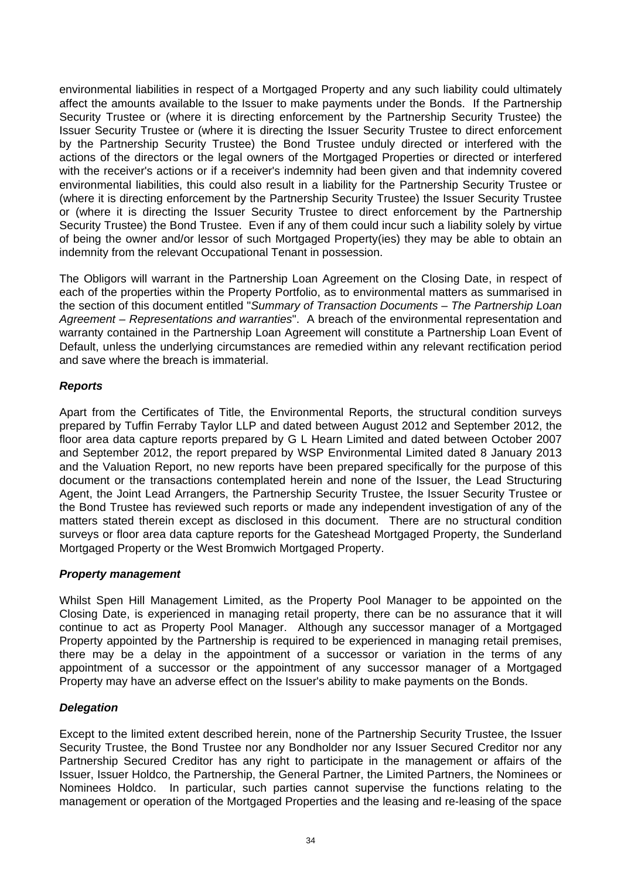environmental liabilities in respect of a Mortgaged Property and any such liability could ultimately affect the amounts available to the Issuer to make payments under the Bonds. If the Partnership Security Trustee or (where it is directing enforcement by the Partnership Security Trustee) the Issuer Security Trustee or (where it is directing the Issuer Security Trustee to direct enforcement by the Partnership Security Trustee) the Bond Trustee unduly directed or interfered with the actions of the directors or the legal owners of the Mortgaged Properties or directed or interfered with the receiver's actions or if a receiver's indemnity had been given and that indemnity covered environmental liabilities, this could also result in a liability for the Partnership Security Trustee or (where it is directing enforcement by the Partnership Security Trustee) the Issuer Security Trustee or (where it is directing the Issuer Security Trustee to direct enforcement by the Partnership Security Trustee) the Bond Trustee. Even if any of them could incur such a liability solely by virtue of being the owner and/or lessor of such Mortgaged Property(ies) they may be able to obtain an indemnity from the relevant Occupational Tenant in possession.

The Obligors will warrant in the Partnership Loan Agreement on the Closing Date, in respect of each of the properties within the Property Portfolio, as to environmental matters as summarised in the section of this document entitled "*Summary of Transaction Documents – The Partnership Loan Agreement – Representations and warranties*". A breach of the environmental representation and warranty contained in the Partnership Loan Agreement will constitute a Partnership Loan Event of Default, unless the underlying circumstances are remedied within any relevant rectification period and save where the breach is immaterial.

# *Reports*

Apart from the Certificates of Title, the Environmental Reports, the structural condition surveys prepared by Tuffin Ferraby Taylor LLP and dated between August 2012 and September 2012, the floor area data capture reports prepared by G L Hearn Limited and dated between October 2007 and September 2012, the report prepared by WSP Environmental Limited dated 8 January 2013 and the Valuation Report, no new reports have been prepared specifically for the purpose of this document or the transactions contemplated herein and none of the Issuer, the Lead Structuring Agent, the Joint Lead Arrangers, the Partnership Security Trustee, the Issuer Security Trustee or the Bond Trustee has reviewed such reports or made any independent investigation of any of the matters stated therein except as disclosed in this document. There are no structural condition surveys or floor area data capture reports for the Gateshead Mortgaged Property, the Sunderland Mortgaged Property or the West Bromwich Mortgaged Property.

# *Property management*

Whilst Spen Hill Management Limited, as the Property Pool Manager to be appointed on the Closing Date, is experienced in managing retail property, there can be no assurance that it will continue to act as Property Pool Manager. Although any successor manager of a Mortgaged Property appointed by the Partnership is required to be experienced in managing retail premises, there may be a delay in the appointment of a successor or variation in the terms of any appointment of a successor or the appointment of any successor manager of a Mortgaged Property may have an adverse effect on the Issuer's ability to make payments on the Bonds.

# *Delegation*

Except to the limited extent described herein, none of the Partnership Security Trustee, the Issuer Security Trustee, the Bond Trustee nor any Bondholder nor any Issuer Secured Creditor nor any Partnership Secured Creditor has any right to participate in the management or affairs of the Issuer, Issuer Holdco, the Partnership, the General Partner, the Limited Partners, the Nominees or Nominees Holdco. In particular, such parties cannot supervise the functions relating to the management or operation of the Mortgaged Properties and the leasing and re-leasing of the space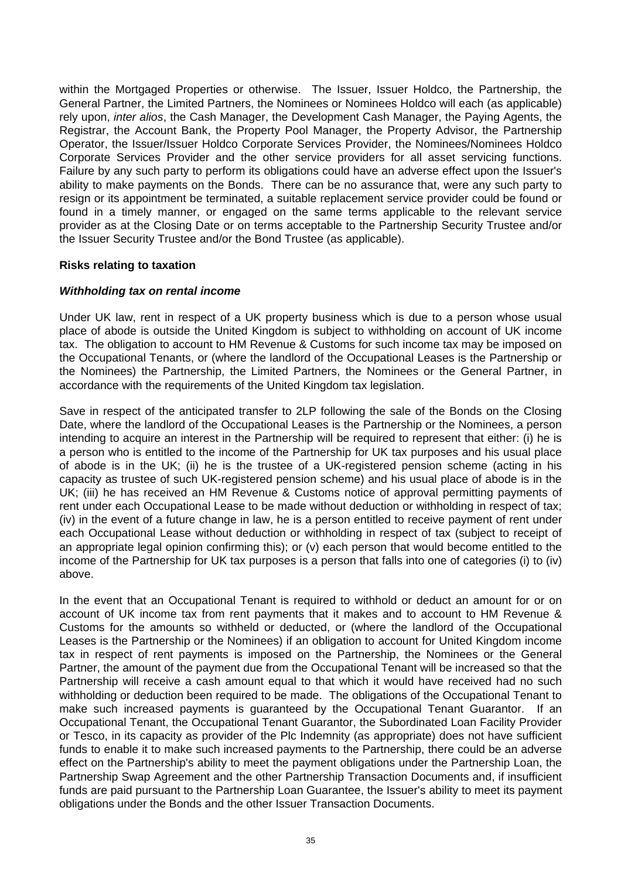within the Mortgaged Properties or otherwise. The Issuer, Issuer Holdco, the Partnership, the General Partner, the Limited Partners, the Nominees or Nominees Holdco will each (as applicable) rely upon, *inter alios*, the Cash Manager, the Development Cash Manager, the Paying Agents, the Registrar, the Account Bank, the Property Pool Manager, the Property Advisor, the Partnership Operator, the Issuer/Issuer Holdco Corporate Services Provider, the Nominees/Nominees Holdco Corporate Services Provider and the other service providers for all asset servicing functions. Failure by any such party to perform its obligations could have an adverse effect upon the Issuer's ability to make payments on the Bonds. There can be no assurance that, were any such party to resign or its appointment be terminated, a suitable replacement service provider could be found or found in a timely manner, or engaged on the same terms applicable to the relevant service provider as at the Closing Date or on terms acceptable to the Partnership Security Trustee and/or the Issuer Security Trustee and/or the Bond Trustee (as applicable).

#### **Risks relating to taxation**

### *Withholding tax on rental income*

Under UK law, rent in respect of a UK property business which is due to a person whose usual place of abode is outside the United Kingdom is subject to withholding on account of UK income tax. The obligation to account to HM Revenue & Customs for such income tax may be imposed on the Occupational Tenants, or (where the landlord of the Occupational Leases is the Partnership or the Nominees) the Partnership, the Limited Partners, the Nominees or the General Partner, in accordance with the requirements of the United Kingdom tax legislation.

Save in respect of the anticipated transfer to 2LP following the sale of the Bonds on the Closing Date, where the landlord of the Occupational Leases is the Partnership or the Nominees, a person intending to acquire an interest in the Partnership will be required to represent that either: (i) he is a person who is entitled to the income of the Partnership for UK tax purposes and his usual place of abode is in the UK; (ii) he is the trustee of a UK-registered pension scheme (acting in his capacity as trustee of such UK-registered pension scheme) and his usual place of abode is in the UK; (iii) he has received an HM Revenue & Customs notice of approval permitting payments of rent under each Occupational Lease to be made without deduction or withholding in respect of tax; (iv) in the event of a future change in law, he is a person entitled to receive payment of rent under each Occupational Lease without deduction or withholding in respect of tax (subject to receipt of an appropriate legal opinion confirming this); or (v) each person that would become entitled to the income of the Partnership for UK tax purposes is a person that falls into one of categories (i) to (iv) above.

In the event that an Occupational Tenant is required to withhold or deduct an amount for or on account of UK income tax from rent payments that it makes and to account to HM Revenue & Customs for the amounts so withheld or deducted, or (where the landlord of the Occupational Leases is the Partnership or the Nominees) if an obligation to account for United Kingdom income tax in respect of rent payments is imposed on the Partnership, the Nominees or the General Partner, the amount of the payment due from the Occupational Tenant will be increased so that the Partnership will receive a cash amount equal to that which it would have received had no such withholding or deduction been required to be made. The obligations of the Occupational Tenant to make such increased payments is guaranteed by the Occupational Tenant Guarantor. If an Occupational Tenant, the Occupational Tenant Guarantor, the Subordinated Loan Facility Provider or Tesco, in its capacity as provider of the Plc Indemnity (as appropriate) does not have sufficient funds to enable it to make such increased payments to the Partnership, there could be an adverse effect on the Partnership's ability to meet the payment obligations under the Partnership Loan, the Partnership Swap Agreement and the other Partnership Transaction Documents and, if insufficient funds are paid pursuant to the Partnership Loan Guarantee, the Issuer's ability to meet its payment obligations under the Bonds and the other Issuer Transaction Documents.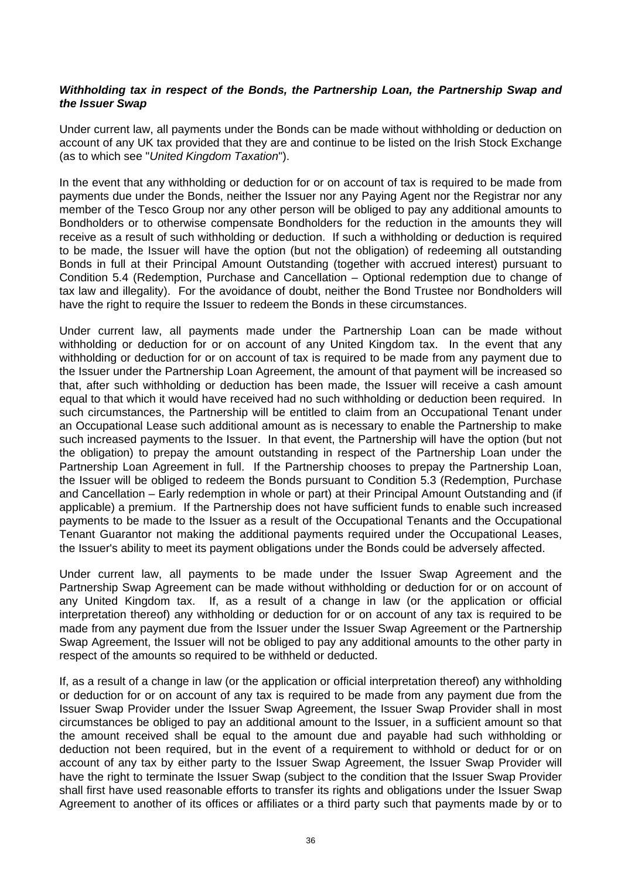### *Withholding tax in respect of the Bonds, the Partnership Loan, the Partnership Swap and the Issuer Swap*

Under current law, all payments under the Bonds can be made without withholding or deduction on account of any UK tax provided that they are and continue to be listed on the Irish Stock Exchange (as to which see "*United Kingdom Taxation*").

In the event that any withholding or deduction for or on account of tax is required to be made from payments due under the Bonds, neither the Issuer nor any Paying Agent nor the Registrar nor any member of the Tesco Group nor any other person will be obliged to pay any additional amounts to Bondholders or to otherwise compensate Bondholders for the reduction in the amounts they will receive as a result of such withholding or deduction. If such a withholding or deduction is required to be made, the Issuer will have the option (but not the obligation) of redeeming all outstanding Bonds in full at their Principal Amount Outstanding (together with accrued interest) pursuant to Condition 5.4 (Redemption, Purchase and Cancellation – Optional redemption due to change of tax law and illegality). For the avoidance of doubt, neither the Bond Trustee nor Bondholders will have the right to require the Issuer to redeem the Bonds in these circumstances.

Under current law, all payments made under the Partnership Loan can be made without withholding or deduction for or on account of any United Kingdom tax. In the event that any withholding or deduction for or on account of tax is required to be made from any payment due to the Issuer under the Partnership Loan Agreement, the amount of that payment will be increased so that, after such withholding or deduction has been made, the Issuer will receive a cash amount equal to that which it would have received had no such withholding or deduction been required. In such circumstances, the Partnership will be entitled to claim from an Occupational Tenant under an Occupational Lease such additional amount as is necessary to enable the Partnership to make such increased payments to the Issuer. In that event, the Partnership will have the option (but not the obligation) to prepay the amount outstanding in respect of the Partnership Loan under the Partnership Loan Agreement in full. If the Partnership chooses to prepay the Partnership Loan, the Issuer will be obliged to redeem the Bonds pursuant to Condition 5.3 (Redemption, Purchase and Cancellation – Early redemption in whole or part) at their Principal Amount Outstanding and (if applicable) a premium. If the Partnership does not have sufficient funds to enable such increased payments to be made to the Issuer as a result of the Occupational Tenants and the Occupational Tenant Guarantor not making the additional payments required under the Occupational Leases, the Issuer's ability to meet its payment obligations under the Bonds could be adversely affected.

Under current law, all payments to be made under the Issuer Swap Agreement and the Partnership Swap Agreement can be made without withholding or deduction for or on account of any United Kingdom tax. If, as a result of a change in law (or the application or official interpretation thereof) any withholding or deduction for or on account of any tax is required to be made from any payment due from the Issuer under the Issuer Swap Agreement or the Partnership Swap Agreement, the Issuer will not be obliged to pay any additional amounts to the other party in respect of the amounts so required to be withheld or deducted.

If, as a result of a change in law (or the application or official interpretation thereof) any withholding or deduction for or on account of any tax is required to be made from any payment due from the Issuer Swap Provider under the Issuer Swap Agreement, the Issuer Swap Provider shall in most circumstances be obliged to pay an additional amount to the Issuer, in a sufficient amount so that the amount received shall be equal to the amount due and payable had such withholding or deduction not been required, but in the event of a requirement to withhold or deduct for or on account of any tax by either party to the Issuer Swap Agreement, the Issuer Swap Provider will have the right to terminate the Issuer Swap (subject to the condition that the Issuer Swap Provider shall first have used reasonable efforts to transfer its rights and obligations under the Issuer Swap Agreement to another of its offices or affiliates or a third party such that payments made by or to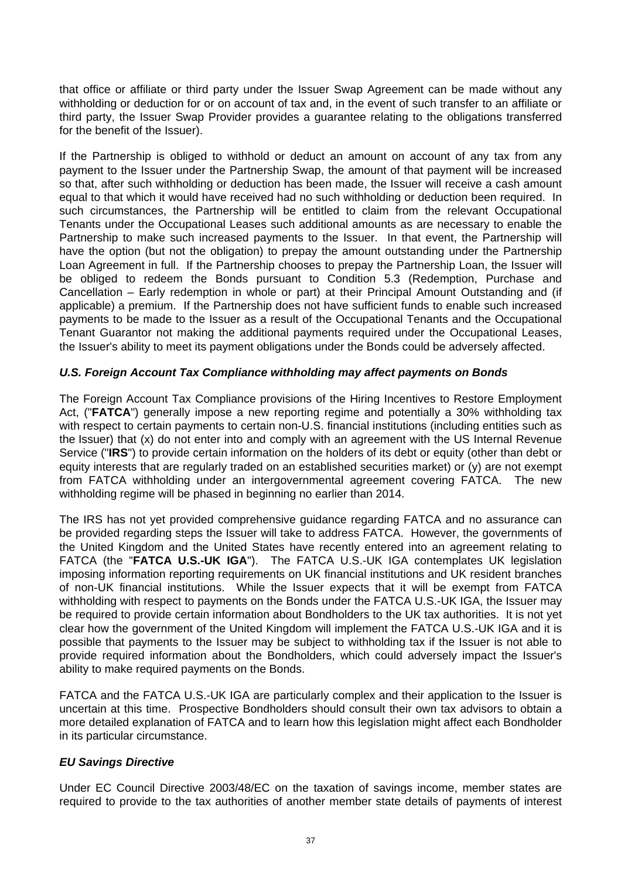that office or affiliate or third party under the Issuer Swap Agreement can be made without any withholding or deduction for or on account of tax and, in the event of such transfer to an affiliate or third party, the Issuer Swap Provider provides a guarantee relating to the obligations transferred for the benefit of the Issuer).

If the Partnership is obliged to withhold or deduct an amount on account of any tax from any payment to the Issuer under the Partnership Swap, the amount of that payment will be increased so that, after such withholding or deduction has been made, the Issuer will receive a cash amount equal to that which it would have received had no such withholding or deduction been required. In such circumstances, the Partnership will be entitled to claim from the relevant Occupational Tenants under the Occupational Leases such additional amounts as are necessary to enable the Partnership to make such increased payments to the Issuer. In that event, the Partnership will have the option (but not the obligation) to prepay the amount outstanding under the Partnership Loan Agreement in full. If the Partnership chooses to prepay the Partnership Loan, the Issuer will be obliged to redeem the Bonds pursuant to Condition 5.3 (Redemption, Purchase and Cancellation – Early redemption in whole or part) at their Principal Amount Outstanding and (if applicable) a premium. If the Partnership does not have sufficient funds to enable such increased payments to be made to the Issuer as a result of the Occupational Tenants and the Occupational Tenant Guarantor not making the additional payments required under the Occupational Leases, the Issuer's ability to meet its payment obligations under the Bonds could be adversely affected.

# *U.S. Foreign Account Tax Compliance withholding may affect payments on Bonds*

The Foreign Account Tax Compliance provisions of the Hiring Incentives to Restore Employment Act, ("**FATCA**") generally impose a new reporting regime and potentially a 30% withholding tax with respect to certain payments to certain non-U.S. financial institutions (including entities such as the Issuer) that (x) do not enter into and comply with an agreement with the US Internal Revenue Service ("**IRS**") to provide certain information on the holders of its debt or equity (other than debt or equity interests that are regularly traded on an established securities market) or (y) are not exempt from FATCA withholding under an intergovernmental agreement covering FATCA. The new withholding regime will be phased in beginning no earlier than 2014.

The IRS has not yet provided comprehensive guidance regarding FATCA and no assurance can be provided regarding steps the Issuer will take to address FATCA. However, the governments of the United Kingdom and the United States have recently entered into an agreement relating to FATCA (the "**FATCA U.S.-UK IGA**"). The FATCA U.S.-UK IGA contemplates UK legislation imposing information reporting requirements on UK financial institutions and UK resident branches of non-UK financial institutions. While the Issuer expects that it will be exempt from FATCA withholding with respect to payments on the Bonds under the FATCA U.S.-UK IGA, the Issuer may be required to provide certain information about Bondholders to the UK tax authorities. It is not yet clear how the government of the United Kingdom will implement the FATCA U.S.-UK IGA and it is possible that payments to the Issuer may be subject to withholding tax if the Issuer is not able to provide required information about the Bondholders, which could adversely impact the Issuer's ability to make required payments on the Bonds.

FATCA and the FATCA U.S.-UK IGA are particularly complex and their application to the Issuer is uncertain at this time. Prospective Bondholders should consult their own tax advisors to obtain a more detailed explanation of FATCA and to learn how this legislation might affect each Bondholder in its particular circumstance.

# *EU Savings Directive*

Under EC Council Directive 2003/48/EC on the taxation of savings income, member states are required to provide to the tax authorities of another member state details of payments of interest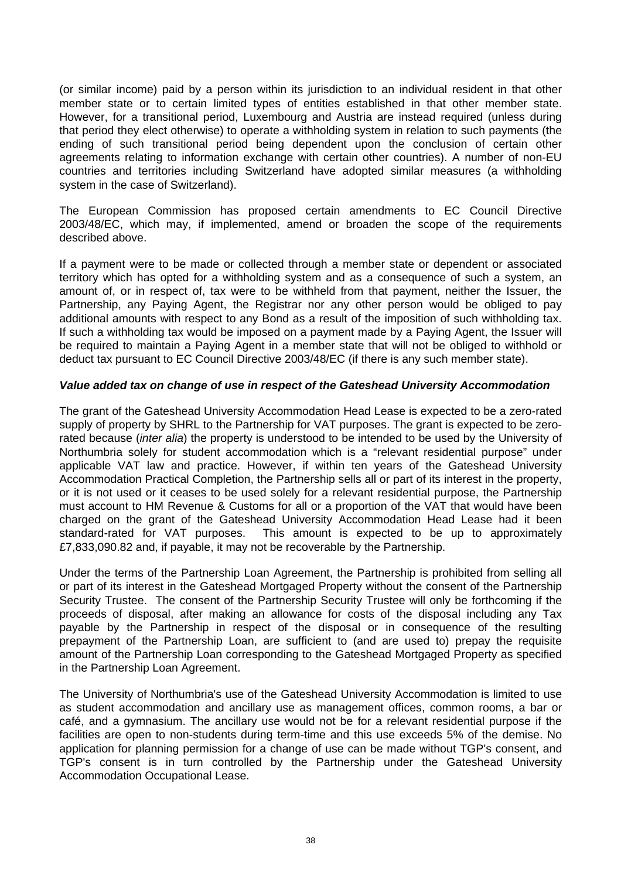(or similar income) paid by a person within its jurisdiction to an individual resident in that other member state or to certain limited types of entities established in that other member state. However, for a transitional period, Luxembourg and Austria are instead required (unless during that period they elect otherwise) to operate a withholding system in relation to such payments (the ending of such transitional period being dependent upon the conclusion of certain other agreements relating to information exchange with certain other countries). A number of non-EU countries and territories including Switzerland have adopted similar measures (a withholding system in the case of Switzerland).

The European Commission has proposed certain amendments to EC Council Directive 2003/48/EC, which may, if implemented, amend or broaden the scope of the requirements described above.

If a payment were to be made or collected through a member state or dependent or associated territory which has opted for a withholding system and as a consequence of such a system, an amount of, or in respect of, tax were to be withheld from that payment, neither the Issuer, the Partnership, any Paying Agent, the Registrar nor any other person would be obliged to pay additional amounts with respect to any Bond as a result of the imposition of such withholding tax. If such a withholding tax would be imposed on a payment made by a Paying Agent, the Issuer will be required to maintain a Paying Agent in a member state that will not be obliged to withhold or deduct tax pursuant to EC Council Directive 2003/48/EC (if there is any such member state).

# *Value added tax on change of use in respect of the Gateshead University Accommodation*

The grant of the Gateshead University Accommodation Head Lease is expected to be a zero-rated supply of property by SHRL to the Partnership for VAT purposes. The grant is expected to be zerorated because (*inter alia*) the property is understood to be intended to be used by the University of Northumbria solely for student accommodation which is a "relevant residential purpose" under applicable VAT law and practice. However, if within ten years of the Gateshead University Accommodation Practical Completion, the Partnership sells all or part of its interest in the property, or it is not used or it ceases to be used solely for a relevant residential purpose, the Partnership must account to HM Revenue & Customs for all or a proportion of the VAT that would have been charged on the grant of the Gateshead University Accommodation Head Lease had it been standard-rated for VAT purposes. This amount is expected to be up to approximately £7,833,090.82 and, if payable, it may not be recoverable by the Partnership.

Under the terms of the Partnership Loan Agreement, the Partnership is prohibited from selling all or part of its interest in the Gateshead Mortgaged Property without the consent of the Partnership Security Trustee. The consent of the Partnership Security Trustee will only be forthcoming if the proceeds of disposal, after making an allowance for costs of the disposal including any Tax payable by the Partnership in respect of the disposal or in consequence of the resulting prepayment of the Partnership Loan, are sufficient to (and are used to) prepay the requisite amount of the Partnership Loan corresponding to the Gateshead Mortgaged Property as specified in the Partnership Loan Agreement.

The University of Northumbria's use of the Gateshead University Accommodation is limited to use as student accommodation and ancillary use as management offices, common rooms, a bar or café, and a gymnasium. The ancillary use would not be for a relevant residential purpose if the facilities are open to non-students during term-time and this use exceeds 5% of the demise. No application for planning permission for a change of use can be made without TGP's consent, and TGP's consent is in turn controlled by the Partnership under the Gateshead University Accommodation Occupational Lease.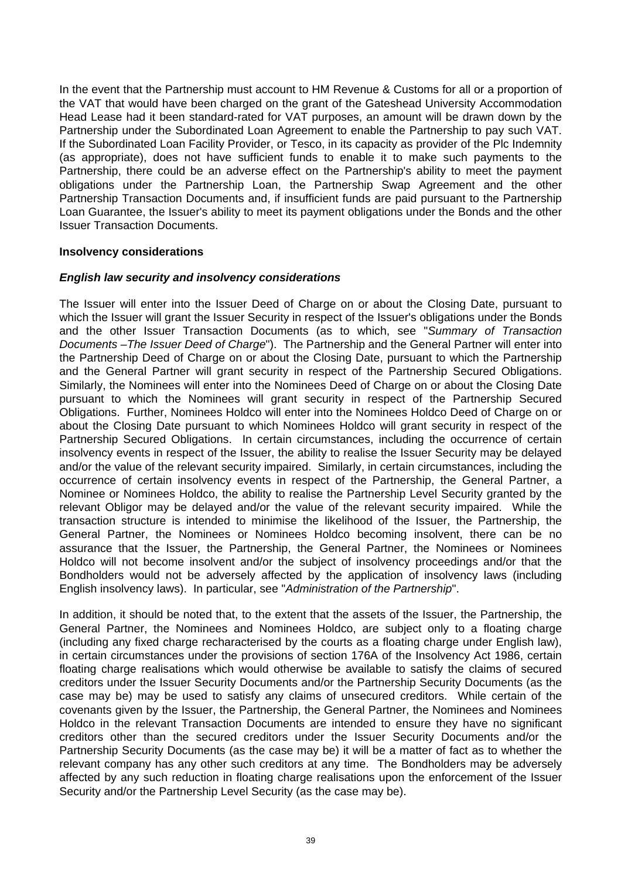In the event that the Partnership must account to HM Revenue & Customs for all or a proportion of the VAT that would have been charged on the grant of the Gateshead University Accommodation Head Lease had it been standard-rated for VAT purposes, an amount will be drawn down by the Partnership under the Subordinated Loan Agreement to enable the Partnership to pay such VAT. If the Subordinated Loan Facility Provider, or Tesco, in its capacity as provider of the Plc Indemnity (as appropriate), does not have sufficient funds to enable it to make such payments to the Partnership, there could be an adverse effect on the Partnership's ability to meet the payment obligations under the Partnership Loan, the Partnership Swap Agreement and the other Partnership Transaction Documents and, if insufficient funds are paid pursuant to the Partnership Loan Guarantee, the Issuer's ability to meet its payment obligations under the Bonds and the other Issuer Transaction Documents.

### **Insolvency considerations**

### *English law security and insolvency considerations*

The Issuer will enter into the Issuer Deed of Charge on or about the Closing Date, pursuant to which the Issuer will grant the Issuer Security in respect of the Issuer's obligations under the Bonds and the other Issuer Transaction Documents (as to which, see "*Summary of Transaction Documents –The Issuer Deed of Charge*"). The Partnership and the General Partner will enter into the Partnership Deed of Charge on or about the Closing Date, pursuant to which the Partnership and the General Partner will grant security in respect of the Partnership Secured Obligations. Similarly, the Nominees will enter into the Nominees Deed of Charge on or about the Closing Date pursuant to which the Nominees will grant security in respect of the Partnership Secured Obligations. Further, Nominees Holdco will enter into the Nominees Holdco Deed of Charge on or about the Closing Date pursuant to which Nominees Holdco will grant security in respect of the Partnership Secured Obligations. In certain circumstances, including the occurrence of certain insolvency events in respect of the Issuer, the ability to realise the Issuer Security may be delayed and/or the value of the relevant security impaired. Similarly, in certain circumstances, including the occurrence of certain insolvency events in respect of the Partnership, the General Partner, a Nominee or Nominees Holdco, the ability to realise the Partnership Level Security granted by the relevant Obligor may be delayed and/or the value of the relevant security impaired. While the transaction structure is intended to minimise the likelihood of the Issuer, the Partnership, the General Partner, the Nominees or Nominees Holdco becoming insolvent, there can be no assurance that the Issuer, the Partnership, the General Partner, the Nominees or Nominees Holdco will not become insolvent and/or the subject of insolvency proceedings and/or that the Bondholders would not be adversely affected by the application of insolvency laws (including English insolvency laws). In particular, see "*Administration of the Partnership*".

In addition, it should be noted that, to the extent that the assets of the Issuer, the Partnership, the General Partner, the Nominees and Nominees Holdco, are subject only to a floating charge (including any fixed charge recharacterised by the courts as a floating charge under English law), in certain circumstances under the provisions of section 176A of the Insolvency Act 1986, certain floating charge realisations which would otherwise be available to satisfy the claims of secured creditors under the Issuer Security Documents and/or the Partnership Security Documents (as the case may be) may be used to satisfy any claims of unsecured creditors. While certain of the covenants given by the Issuer, the Partnership, the General Partner, the Nominees and Nominees Holdco in the relevant Transaction Documents are intended to ensure they have no significant creditors other than the secured creditors under the Issuer Security Documents and/or the Partnership Security Documents (as the case may be) it will be a matter of fact as to whether the relevant company has any other such creditors at any time. The Bondholders may be adversely affected by any such reduction in floating charge realisations upon the enforcement of the Issuer Security and/or the Partnership Level Security (as the case may be).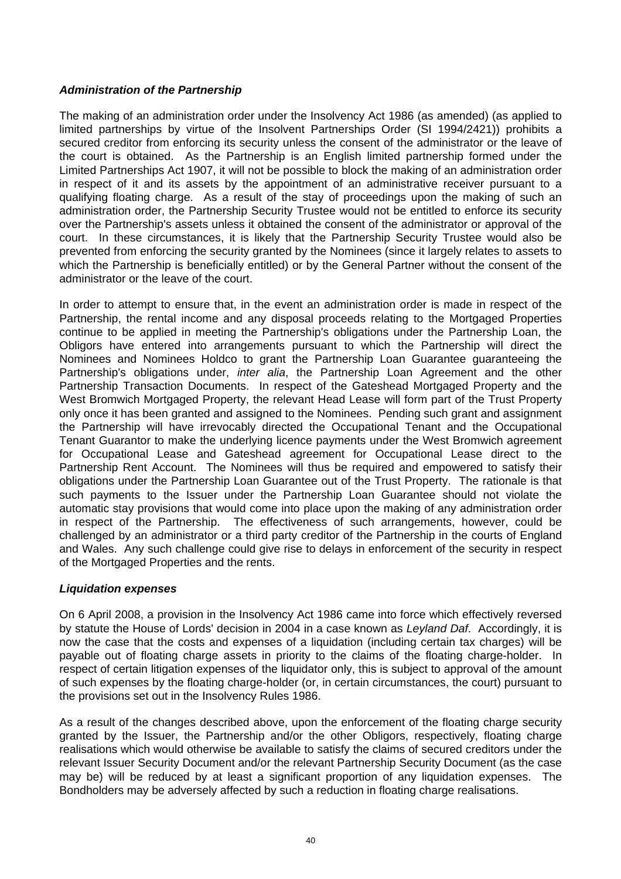# *Administration of the Partnership*

The making of an administration order under the Insolvency Act 1986 (as amended) (as applied to limited partnerships by virtue of the Insolvent Partnerships Order (SI 1994/2421)) prohibits a secured creditor from enforcing its security unless the consent of the administrator or the leave of the court is obtained. As the Partnership is an English limited partnership formed under the Limited Partnerships Act 1907, it will not be possible to block the making of an administration order in respect of it and its assets by the appointment of an administrative receiver pursuant to a qualifying floating charge. As a result of the stay of proceedings upon the making of such an administration order, the Partnership Security Trustee would not be entitled to enforce its security over the Partnership's assets unless it obtained the consent of the administrator or approval of the court. In these circumstances, it is likely that the Partnership Security Trustee would also be prevented from enforcing the security granted by the Nominees (since it largely relates to assets to which the Partnership is beneficially entitled) or by the General Partner without the consent of the administrator or the leave of the court.

In order to attempt to ensure that, in the event an administration order is made in respect of the Partnership, the rental income and any disposal proceeds relating to the Mortgaged Properties continue to be applied in meeting the Partnership's obligations under the Partnership Loan, the Obligors have entered into arrangements pursuant to which the Partnership will direct the Nominees and Nominees Holdco to grant the Partnership Loan Guarantee guaranteeing the Partnership's obligations under, *inter alia*, the Partnership Loan Agreement and the other Partnership Transaction Documents. In respect of the Gateshead Mortgaged Property and the West Bromwich Mortgaged Property, the relevant Head Lease will form part of the Trust Property only once it has been granted and assigned to the Nominees. Pending such grant and assignment the Partnership will have irrevocably directed the Occupational Tenant and the Occupational Tenant Guarantor to make the underlying licence payments under the West Bromwich agreement for Occupational Lease and Gateshead agreement for Occupational Lease direct to the Partnership Rent Account. The Nominees will thus be required and empowered to satisfy their obligations under the Partnership Loan Guarantee out of the Trust Property. The rationale is that such payments to the Issuer under the Partnership Loan Guarantee should not violate the automatic stay provisions that would come into place upon the making of any administration order in respect of the Partnership. The effectiveness of such arrangements, however, could be challenged by an administrator or a third party creditor of the Partnership in the courts of England and Wales. Any such challenge could give rise to delays in enforcement of the security in respect of the Mortgaged Properties and the rents.

# *Liquidation expenses*

On 6 April 2008, a provision in the Insolvency Act 1986 came into force which effectively reversed by statute the House of Lords' decision in 2004 in a case known as *Leyland Daf*. Accordingly, it is now the case that the costs and expenses of a liquidation (including certain tax charges) will be payable out of floating charge assets in priority to the claims of the floating charge-holder. In respect of certain litigation expenses of the liquidator only, this is subject to approval of the amount of such expenses by the floating charge-holder (or, in certain circumstances, the court) pursuant to the provisions set out in the Insolvency Rules 1986.

As a result of the changes described above, upon the enforcement of the floating charge security granted by the Issuer, the Partnership and/or the other Obligors, respectively, floating charge realisations which would otherwise be available to satisfy the claims of secured creditors under the relevant Issuer Security Document and/or the relevant Partnership Security Document (as the case may be) will be reduced by at least a significant proportion of any liquidation expenses. The Bondholders may be adversely affected by such a reduction in floating charge realisations.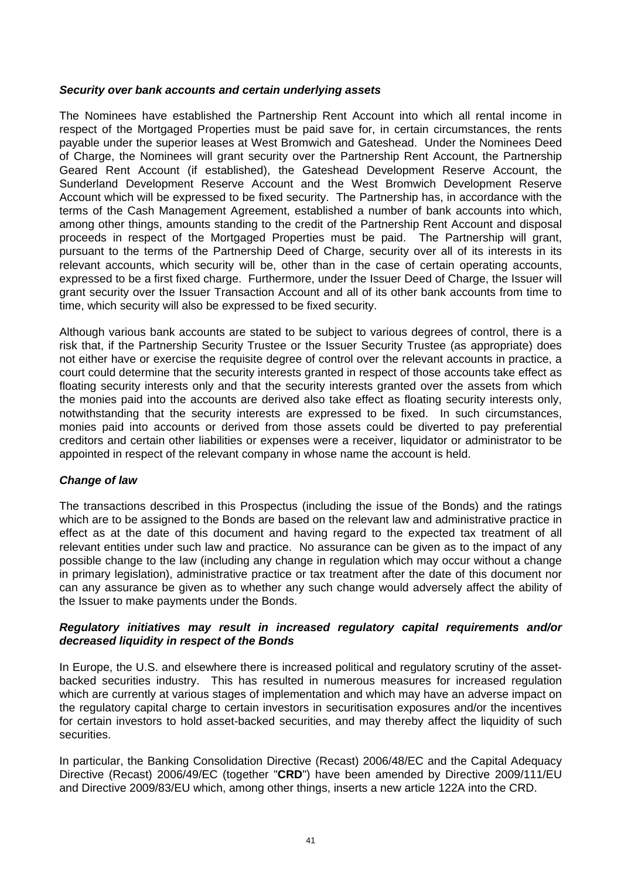### *Security over bank accounts and certain underlying assets*

The Nominees have established the Partnership Rent Account into which all rental income in respect of the Mortgaged Properties must be paid save for, in certain circumstances, the rents payable under the superior leases at West Bromwich and Gateshead. Under the Nominees Deed of Charge, the Nominees will grant security over the Partnership Rent Account, the Partnership Geared Rent Account (if established), the Gateshead Development Reserve Account, the Sunderland Development Reserve Account and the West Bromwich Development Reserve Account which will be expressed to be fixed security. The Partnership has, in accordance with the terms of the Cash Management Agreement, established a number of bank accounts into which, among other things, amounts standing to the credit of the Partnership Rent Account and disposal proceeds in respect of the Mortgaged Properties must be paid. The Partnership will grant, pursuant to the terms of the Partnership Deed of Charge, security over all of its interests in its relevant accounts, which security will be, other than in the case of certain operating accounts, expressed to be a first fixed charge. Furthermore, under the Issuer Deed of Charge, the Issuer will grant security over the Issuer Transaction Account and all of its other bank accounts from time to time, which security will also be expressed to be fixed security.

Although various bank accounts are stated to be subject to various degrees of control, there is a risk that, if the Partnership Security Trustee or the Issuer Security Trustee (as appropriate) does not either have or exercise the requisite degree of control over the relevant accounts in practice, a court could determine that the security interests granted in respect of those accounts take effect as floating security interests only and that the security interests granted over the assets from which the monies paid into the accounts are derived also take effect as floating security interests only, notwithstanding that the security interests are expressed to be fixed. In such circumstances, monies paid into accounts or derived from those assets could be diverted to pay preferential creditors and certain other liabilities or expenses were a receiver, liquidator or administrator to be appointed in respect of the relevant company in whose name the account is held.

# *Change of law*

The transactions described in this Prospectus (including the issue of the Bonds) and the ratings which are to be assigned to the Bonds are based on the relevant law and administrative practice in effect as at the date of this document and having regard to the expected tax treatment of all relevant entities under such law and practice. No assurance can be given as to the impact of any possible change to the law (including any change in regulation which may occur without a change in primary legislation), administrative practice or tax treatment after the date of this document nor can any assurance be given as to whether any such change would adversely affect the ability of the Issuer to make payments under the Bonds.

# *Regulatory initiatives may result in increased regulatory capital requirements and/or decreased liquidity in respect of the Bonds*

In Europe, the U.S. and elsewhere there is increased political and regulatory scrutiny of the assetbacked securities industry. This has resulted in numerous measures for increased regulation which are currently at various stages of implementation and which may have an adverse impact on the regulatory capital charge to certain investors in securitisation exposures and/or the incentives for certain investors to hold asset-backed securities, and may thereby affect the liquidity of such securities.

In particular, the Banking Consolidation Directive (Recast) 2006/48/EC and the Capital Adequacy Directive (Recast) 2006/49/EC (together "**CRD**") have been amended by Directive 2009/111/EU and Directive 2009/83/EU which, among other things, inserts a new article 122A into the CRD.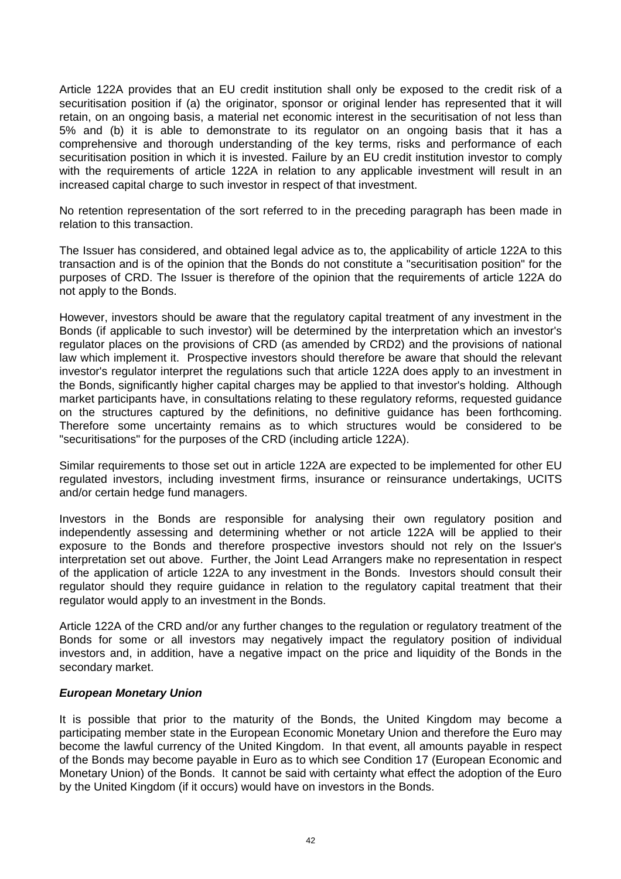Article 122A provides that an EU credit institution shall only be exposed to the credit risk of a securitisation position if (a) the originator, sponsor or original lender has represented that it will retain, on an ongoing basis, a material net economic interest in the securitisation of not less than 5% and (b) it is able to demonstrate to its regulator on an ongoing basis that it has a comprehensive and thorough understanding of the key terms, risks and performance of each securitisation position in which it is invested. Failure by an EU credit institution investor to comply with the requirements of article 122A in relation to any applicable investment will result in an increased capital charge to such investor in respect of that investment.

No retention representation of the sort referred to in the preceding paragraph has been made in relation to this transaction.

The Issuer has considered, and obtained legal advice as to, the applicability of article 122A to this transaction and is of the opinion that the Bonds do not constitute a "securitisation position" for the purposes of CRD. The Issuer is therefore of the opinion that the requirements of article 122A do not apply to the Bonds.

However, investors should be aware that the regulatory capital treatment of any investment in the Bonds (if applicable to such investor) will be determined by the interpretation which an investor's regulator places on the provisions of CRD (as amended by CRD2) and the provisions of national law which implement it. Prospective investors should therefore be aware that should the relevant investor's regulator interpret the regulations such that article 122A does apply to an investment in the Bonds, significantly higher capital charges may be applied to that investor's holding. Although market participants have, in consultations relating to these regulatory reforms, requested guidance on the structures captured by the definitions, no definitive guidance has been forthcoming. Therefore some uncertainty remains as to which structures would be considered to be "securitisations" for the purposes of the CRD (including article 122A).

Similar requirements to those set out in article 122A are expected to be implemented for other EU regulated investors, including investment firms, insurance or reinsurance undertakings, UCITS and/or certain hedge fund managers.

Investors in the Bonds are responsible for analysing their own regulatory position and independently assessing and determining whether or not article 122A will be applied to their exposure to the Bonds and therefore prospective investors should not rely on the Issuer's interpretation set out above. Further, the Joint Lead Arrangers make no representation in respect of the application of article 122A to any investment in the Bonds. Investors should consult their regulator should they require guidance in relation to the regulatory capital treatment that their regulator would apply to an investment in the Bonds.

Article 122A of the CRD and/or any further changes to the regulation or regulatory treatment of the Bonds for some or all investors may negatively impact the regulatory position of individual investors and, in addition, have a negative impact on the price and liquidity of the Bonds in the secondary market.

#### *European Monetary Union*

It is possible that prior to the maturity of the Bonds, the United Kingdom may become a participating member state in the European Economic Monetary Union and therefore the Euro may become the lawful currency of the United Kingdom. In that event, all amounts payable in respect of the Bonds may become payable in Euro as to which see Condition 17 (European Economic and Monetary Union) of the Bonds. It cannot be said with certainty what effect the adoption of the Euro by the United Kingdom (if it occurs) would have on investors in the Bonds.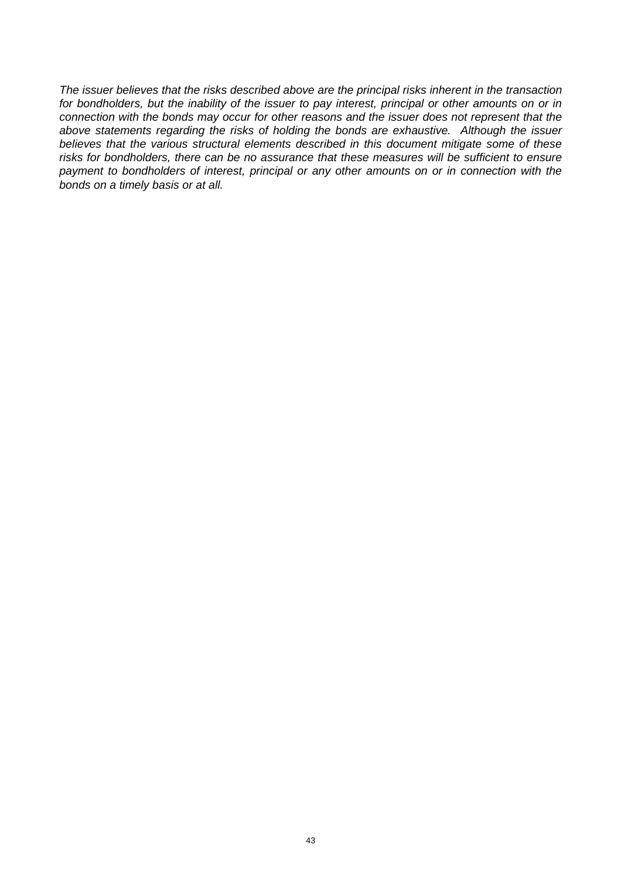*The issuer believes that the risks described above are the principal risks inherent in the transaction*  for bondholders, but the inability of the issuer to pay interest, principal or other amounts on or in *connection with the bonds may occur for other reasons and the issuer does not represent that the above statements regarding the risks of holding the bonds are exhaustive. Although the issuer believes that the various structural elements described in this document mitigate some of these risks for bondholders, there can be no assurance that these measures will be sufficient to ensure payment to bondholders of interest, principal or any other amounts on or in connection with the bonds on a timely basis or at all.*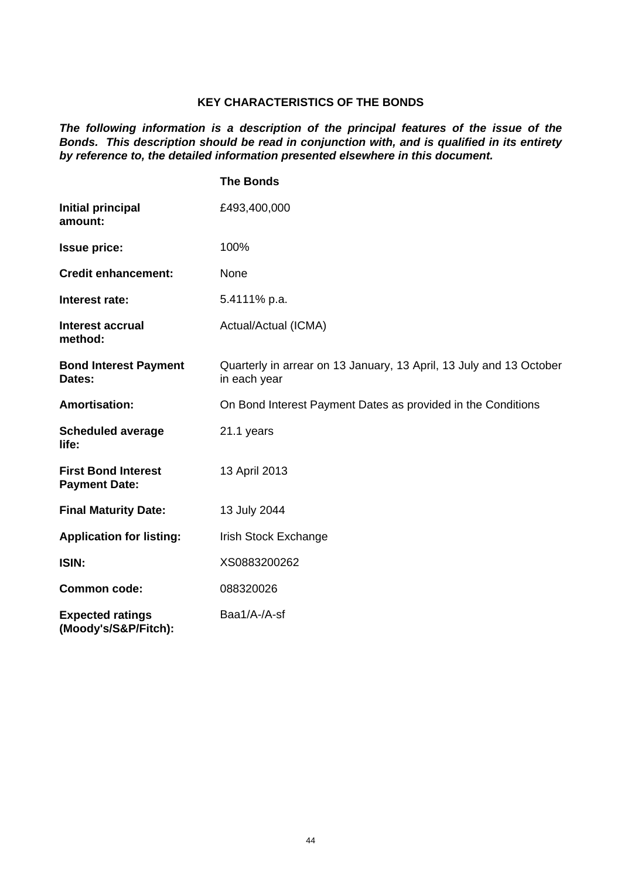# **KEY CHARACTERISTICS OF THE BONDS**

*The following information is a description of the principal features of the issue of the Bonds. This description should be read in conjunction with, and is qualified in its entirety by reference to, the detailed information presented elsewhere in this document.*

|                                                    | <b>The Bonds</b>                                                                    |
|----------------------------------------------------|-------------------------------------------------------------------------------------|
| Initial principal<br>amount:                       | £493,400,000                                                                        |
| <b>Issue price:</b>                                | 100%                                                                                |
| <b>Credit enhancement:</b>                         | None                                                                                |
| Interest rate:                                     | 5.4111% p.a.                                                                        |
| Interest accrual<br>method:                        | Actual/Actual (ICMA)                                                                |
| <b>Bond Interest Payment</b><br>Dates:             | Quarterly in arrear on 13 January, 13 April, 13 July and 13 October<br>in each year |
| <b>Amortisation:</b>                               | On Bond Interest Payment Dates as provided in the Conditions                        |
| <b>Scheduled average</b><br>life:                  | 21.1 years                                                                          |
| <b>First Bond Interest</b><br><b>Payment Date:</b> | 13 April 2013                                                                       |
| <b>Final Maturity Date:</b>                        | 13 July 2044                                                                        |
| <b>Application for listing:</b>                    | Irish Stock Exchange                                                                |
| ISIN:                                              | XS0883200262                                                                        |
| <b>Common code:</b>                                | 088320026                                                                           |
| <b>Expected ratings</b><br>(Moody's/S&P/Fitch):    | Baa1/A-/A-sf                                                                        |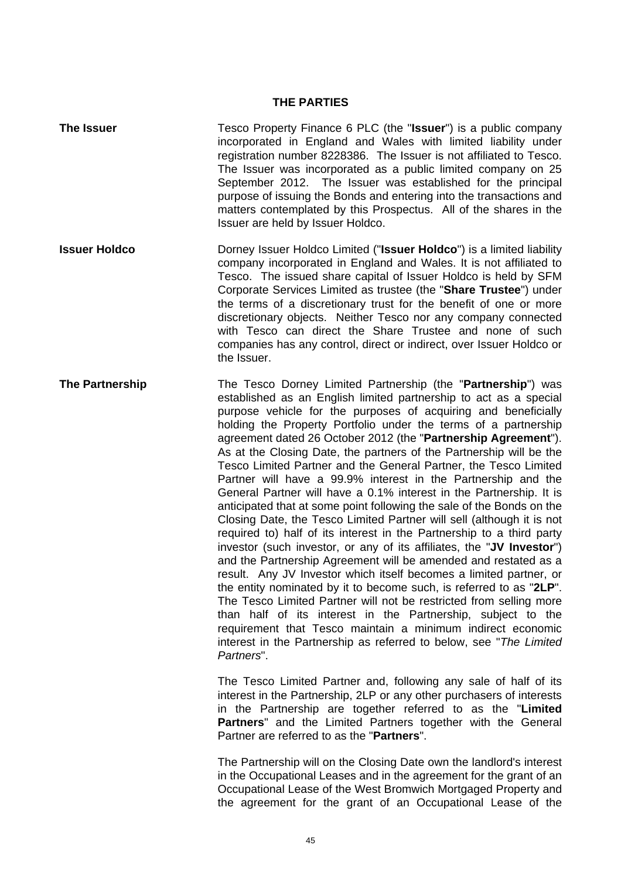# **THE PARTIES**

| <b>The Issuer</b>      | Tesco Property Finance 6 PLC (the "Issuer") is a public company<br>incorporated in England and Wales with limited liability under<br>registration number 8228386. The Issuer is not affiliated to Tesco.<br>The Issuer was incorporated as a public limited company on 25<br>September 2012. The Issuer was established for the principal<br>purpose of issuing the Bonds and entering into the transactions and<br>matters contemplated by this Prospectus. All of the shares in the<br>Issuer are held by Issuer Holdco.                                                                                                                                                                                                                                                                                                                                                                                                                                                                                                                                                                                                                                                                                                                                                                                                                                                                                                                |
|------------------------|-------------------------------------------------------------------------------------------------------------------------------------------------------------------------------------------------------------------------------------------------------------------------------------------------------------------------------------------------------------------------------------------------------------------------------------------------------------------------------------------------------------------------------------------------------------------------------------------------------------------------------------------------------------------------------------------------------------------------------------------------------------------------------------------------------------------------------------------------------------------------------------------------------------------------------------------------------------------------------------------------------------------------------------------------------------------------------------------------------------------------------------------------------------------------------------------------------------------------------------------------------------------------------------------------------------------------------------------------------------------------------------------------------------------------------------------|
| <b>Issuer Holdco</b>   | Dorney Issuer Holdco Limited ("Issuer Holdco") is a limited liability<br>company incorporated in England and Wales. It is not affiliated to<br>Tesco. The issued share capital of Issuer Holdco is held by SFM<br>Corporate Services Limited as trustee (the "Share Trustee") under<br>the terms of a discretionary trust for the benefit of one or more<br>discretionary objects. Neither Tesco nor any company connected<br>with Tesco can direct the Share Trustee and none of such<br>companies has any control, direct or indirect, over Issuer Holdco or<br>the Issuer.                                                                                                                                                                                                                                                                                                                                                                                                                                                                                                                                                                                                                                                                                                                                                                                                                                                             |
| <b>The Partnership</b> | The Tesco Dorney Limited Partnership (the "Partnership") was<br>established as an English limited partnership to act as a special<br>purpose vehicle for the purposes of acquiring and beneficially<br>holding the Property Portfolio under the terms of a partnership<br>agreement dated 26 October 2012 (the "Partnership Agreement").<br>As at the Closing Date, the partners of the Partnership will be the<br>Tesco Limited Partner and the General Partner, the Tesco Limited<br>Partner will have a 99.9% interest in the Partnership and the<br>General Partner will have a 0.1% interest in the Partnership. It is<br>anticipated that at some point following the sale of the Bonds on the<br>Closing Date, the Tesco Limited Partner will sell (although it is not<br>required to) half of its interest in the Partnership to a third party<br>investor (such investor, or any of its affiliates, the "JV Investor")<br>and the Partnership Agreement will be amended and restated as a<br>result. Any JV Investor which itself becomes a limited partner, or<br>the entity nominated by it to become such, is referred to as "2LP".<br>The Tesco Limited Partner will not be restricted from selling more<br>than half of its interest in the Partnership, subject to the<br>requirement that Tesco maintain a minimum indirect economic<br>interest in the Partnership as referred to below, see "The Limited"<br>Partners". |
|                        | The Tesco Limited Partner and, following any sale of half of its<br>interest in the Partnership, 2LP or any other purchasers of interests<br>in the Partnership are together referred to as the "Limited<br><b>Partners</b> " and the Limited Partners together with the General<br>Partner are referred to as the "Partners".                                                                                                                                                                                                                                                                                                                                                                                                                                                                                                                                                                                                                                                                                                                                                                                                                                                                                                                                                                                                                                                                                                            |
|                        | The Partnership will on the Closing Date own the landlord's interest<br>in the Occupational Leases and in the agreement for the graph of an                                                                                                                                                                                                                                                                                                                                                                                                                                                                                                                                                                                                                                                                                                                                                                                                                                                                                                                                                                                                                                                                                                                                                                                                                                                                                               |

in the Occupational Leases and in the agreement for the grant of an Occupational Lease of the West Bromwich Mortgaged Property and the agreement for the grant of an Occupational Lease of the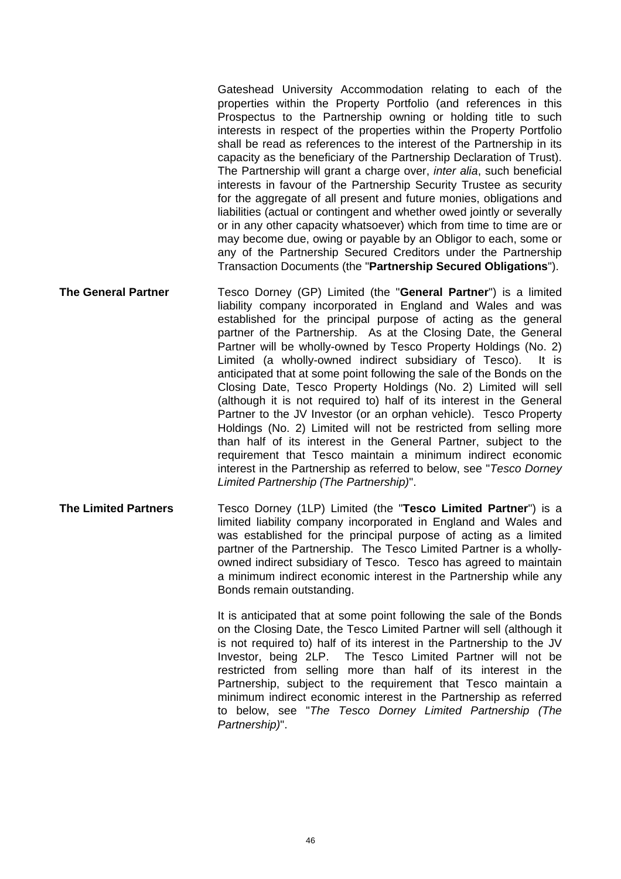Gateshead University Accommodation relating to each of the properties within the Property Portfolio (and references in this Prospectus to the Partnership owning or holding title to such interests in respect of the properties within the Property Portfolio shall be read as references to the interest of the Partnership in its capacity as the beneficiary of the Partnership Declaration of Trust). The Partnership will grant a charge over, *inter alia*, such beneficial interests in favour of the Partnership Security Trustee as security for the aggregate of all present and future monies, obligations and liabilities (actual or contingent and whether owed jointly or severally or in any other capacity whatsoever) which from time to time are or may become due, owing or payable by an Obligor to each, some or any of the Partnership Secured Creditors under the Partnership Transaction Documents (the "**Partnership Secured Obligations**").

- **The General Partner** Tesco Dorney (GP) Limited (the "**General Partner**") is a limited liability company incorporated in England and Wales and was established for the principal purpose of acting as the general partner of the Partnership. As at the Closing Date, the General Partner will be wholly-owned by Tesco Property Holdings (No. 2) Limited (a wholly-owned indirect subsidiary of Tesco). It is anticipated that at some point following the sale of the Bonds on the Closing Date, Tesco Property Holdings (No. 2) Limited will sell (although it is not required to) half of its interest in the General Partner to the JV Investor (or an orphan vehicle). Tesco Property Holdings (No. 2) Limited will not be restricted from selling more than half of its interest in the General Partner, subject to the requirement that Tesco maintain a minimum indirect economic interest in the Partnership as referred to below, see "*Tesco Dorney Limited Partnership (The Partnership)*".
- **The Limited Partners** Tesco Dorney (1LP) Limited (the "**Tesco Limited Partner**") is a limited liability company incorporated in England and Wales and was established for the principal purpose of acting as a limited partner of the Partnership. The Tesco Limited Partner is a whollyowned indirect subsidiary of Tesco. Tesco has agreed to maintain a minimum indirect economic interest in the Partnership while any Bonds remain outstanding.

 It is anticipated that at some point following the sale of the Bonds on the Closing Date, the Tesco Limited Partner will sell (although it is not required to) half of its interest in the Partnership to the JV Investor, being 2LP. The Tesco Limited Partner will not be restricted from selling more than half of its interest in the Partnership, subject to the requirement that Tesco maintain a minimum indirect economic interest in the Partnership as referred to below, see "*The Tesco Dorney Limited Partnership (The Partnership)*".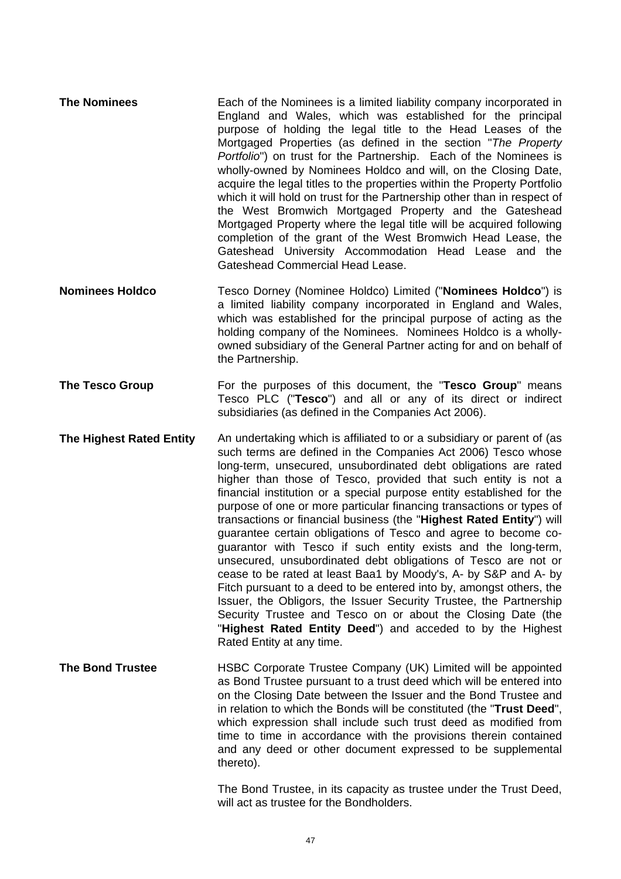- **The Nominees Each of the Nominees is a limited liability company incorporated in** England and Wales, which was established for the principal purpose of holding the legal title to the Head Leases of the Mortgaged Properties (as defined in the section "*The Property Portfolio*") on trust for the Partnership. Each of the Nominees is wholly-owned by Nominees Holdco and will, on the Closing Date, acquire the legal titles to the properties within the Property Portfolio which it will hold on trust for the Partnership other than in respect of the West Bromwich Mortgaged Property and the Gateshead Mortgaged Property where the legal title will be acquired following completion of the grant of the West Bromwich Head Lease, the Gateshead University Accommodation Head Lease and the Gateshead Commercial Head Lease.
- **Nominees Holdco** Tesco Dorney (Nominee Holdco) Limited ("Nominees Holdco") is a limited liability company incorporated in England and Wales, which was established for the principal purpose of acting as the holding company of the Nominees. Nominees Holdco is a whollyowned subsidiary of the General Partner acting for and on behalf of the Partnership.
- **The Tesco Group** For the purposes of this document, the "Tesco Group" means Tesco PLC ("**Tesco**") and all or any of its direct or indirect subsidiaries (as defined in the Companies Act 2006).
- **The Highest Rated Entity** An undertaking which is affiliated to or a subsidiary or parent of (as such terms are defined in the Companies Act 2006) Tesco whose long-term, unsecured, unsubordinated debt obligations are rated higher than those of Tesco, provided that such entity is not a financial institution or a special purpose entity established for the purpose of one or more particular financing transactions or types of transactions or financial business (the "**Highest Rated Entity**") will guarantee certain obligations of Tesco and agree to become coguarantor with Tesco if such entity exists and the long-term, unsecured, unsubordinated debt obligations of Tesco are not or cease to be rated at least Baa1 by Moody's, A- by S&P and A- by Fitch pursuant to a deed to be entered into by, amongst others, the Issuer, the Obligors, the Issuer Security Trustee, the Partnership Security Trustee and Tesco on or about the Closing Date (the "**Highest Rated Entity Deed**") and acceded to by the Highest Rated Entity at any time.
- **The Bond Trustee** HSBC Corporate Trustee Company (UK) Limited will be appointed as Bond Trustee pursuant to a trust deed which will be entered into on the Closing Date between the Issuer and the Bond Trustee and in relation to which the Bonds will be constituted (the "**Trust Deed**", which expression shall include such trust deed as modified from time to time in accordance with the provisions therein contained and any deed or other document expressed to be supplemental thereto).

 The Bond Trustee, in its capacity as trustee under the Trust Deed, will act as trustee for the Bondholders.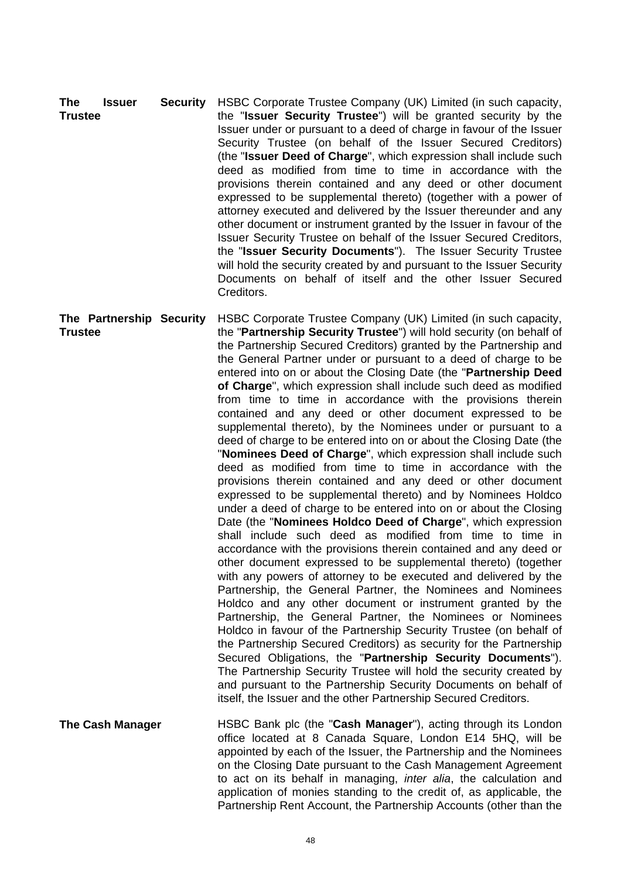| The<br><b>Trustee</b> | <b>Issuer</b>            | <b>Security</b> | HSBC Corporate Trustee Company (UK) Limited (in such capacity,<br>the "Issuer Security Trustee") will be granted security by the<br>Issuer under or pursuant to a deed of charge in favour of the Issuer<br>Security Trustee (on behalf of the Issuer Secured Creditors)<br>(the "Issuer Deed of Charge", which expression shall include such<br>deed as modified from time to time in accordance with the<br>provisions therein contained and any deed or other document<br>expressed to be supplemental thereto) (together with a power of<br>attorney executed and delivered by the Issuer thereunder and any<br>other document or instrument granted by the Issuer in favour of the<br>Issuer Security Trustee on behalf of the Issuer Secured Creditors,<br>the "Issuer Security Documents"). The Issuer Security Trustee<br>will hold the security created by and pursuant to the Issuer Security<br>Documents on behalf of itself and the other Issuer Secured<br>Creditors. |
|-----------------------|--------------------------|-----------------|-------------------------------------------------------------------------------------------------------------------------------------------------------------------------------------------------------------------------------------------------------------------------------------------------------------------------------------------------------------------------------------------------------------------------------------------------------------------------------------------------------------------------------------------------------------------------------------------------------------------------------------------------------------------------------------------------------------------------------------------------------------------------------------------------------------------------------------------------------------------------------------------------------------------------------------------------------------------------------------|
| <b>Trustee</b>        | The Partnership Security |                 | HSBC Corporate Trustee Company (UK) Limited (in such capacity,<br>the "Partnership Security Trustee") will hold security (on behalf of<br>the Partnership Secured Creditors) granted by the Partnership and<br>the General Partner under or pursuant to a deed of charge to be<br>entered into on or about the Closing Date (the "Partnership Deed<br>of Charge", which expression shall include such deed as modified<br>from time to time in accordance with the provisions therein<br>contained and any deed or other document expressed to be<br>supplemental thereto), by the Nominees under or pursuant to a<br>deed of charge to be entered into on or about the Closing Date (the                                                                                                                                                                                                                                                                                           |

deed of charge to be entered into on or about the Closing Date (the "**Nominees Deed of Charge**", which expression shall include such deed as modified from time to time in accordance with the provisions therein contained and any deed or other document expressed to be supplemental thereto) and by Nominees Holdco under a deed of charge to be entered into on or about the Closing Date (the "**Nominees Holdco Deed of Charge**", which expression shall include such deed as modified from time to time in accordance with the provisions therein contained and any deed or other document expressed to be supplemental thereto) (together with any powers of attorney to be executed and delivered by the Partnership, the General Partner, the Nominees and Nominees Holdco and any other document or instrument granted by the Partnership, the General Partner, the Nominees or Nominees Holdco in favour of the Partnership Security Trustee (on behalf of the Partnership Secured Creditors) as security for the Partnership Secured Obligations, the "**Partnership Security Documents**"). The Partnership Security Trustee will hold the security created by and pursuant to the Partnership Security Documents on behalf of itself, the Issuer and the other Partnership Secured Creditors.

**The Cash Manager** HSBC Bank plc (the "**Cash Manager**"), acting through its London office located at 8 Canada Square, London E14 5HQ, will be appointed by each of the Issuer, the Partnership and the Nominees on the Closing Date pursuant to the Cash Management Agreement to act on its behalf in managing, *inter alia*, the calculation and application of monies standing to the credit of, as applicable, the Partnership Rent Account, the Partnership Accounts (other than the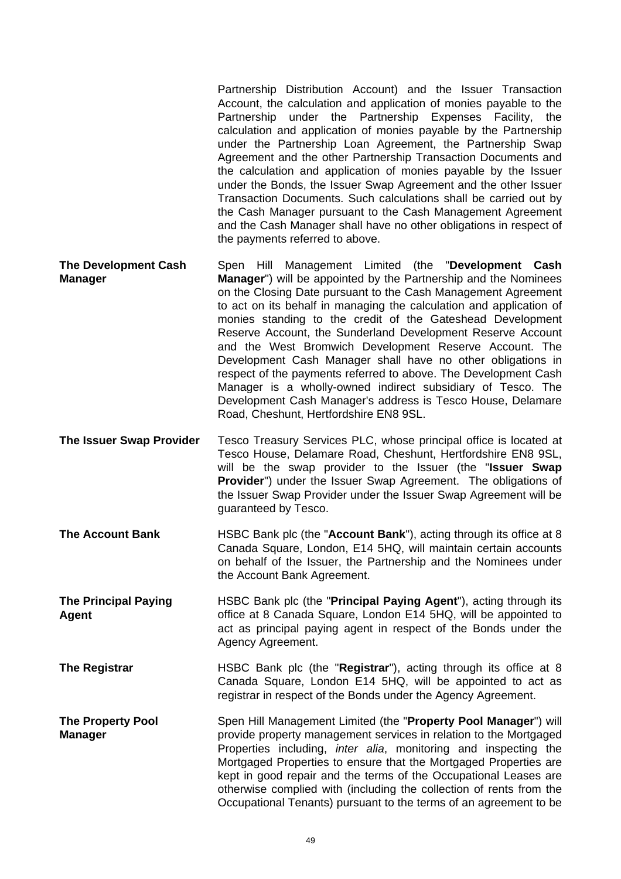Partnership Distribution Account) and the Issuer Transaction Account, the calculation and application of monies payable to the Partnership under the Partnership Expenses Facility, the calculation and application of monies payable by the Partnership under the Partnership Loan Agreement, the Partnership Swap Agreement and the other Partnership Transaction Documents and the calculation and application of monies payable by the Issuer under the Bonds, the Issuer Swap Agreement and the other Issuer Transaction Documents. Such calculations shall be carried out by the Cash Manager pursuant to the Cash Management Agreement and the Cash Manager shall have no other obligations in respect of the payments referred to above.

- **The Development Cash Manager** Spen Hill Management Limited (the "**Development Cash Manager**") will be appointed by the Partnership and the Nominees on the Closing Date pursuant to the Cash Management Agreement to act on its behalf in managing the calculation and application of monies standing to the credit of the Gateshead Development Reserve Account, the Sunderland Development Reserve Account and the West Bromwich Development Reserve Account. The Development Cash Manager shall have no other obligations in respect of the payments referred to above. The Development Cash Manager is a wholly-owned indirect subsidiary of Tesco. The Development Cash Manager's address is Tesco House, Delamare Road, Cheshunt, Hertfordshire EN8 9SL.
- **The Issuer Swap Provider** Tesco Treasury Services PLC, whose principal office is located at Tesco House, Delamare Road, Cheshunt, Hertfordshire EN8 9SL, will be the swap provider to the Issuer (the "**Issuer Swap Provider**") under the Issuer Swap Agreement. The obligations of the Issuer Swap Provider under the Issuer Swap Agreement will be guaranteed by Tesco.
- **The Account Bank HSBC Bank plc (the "Account Bank")**, acting through its office at 8 Canada Square, London, E14 5HQ, will maintain certain accounts on behalf of the Issuer, the Partnership and the Nominees under the Account Bank Agreement.
- **The Principal Paying Agent** HSBC Bank plc (the "**Principal Paying Agent**"), acting through its office at 8 Canada Square, London E14 5HQ, will be appointed to act as principal paying agent in respect of the Bonds under the Agency Agreement.

**The Registrar HSBC** Bank plc (the "**Registrar**"), acting through its office at 8 Canada Square, London E14 5HQ, will be appointed to act as registrar in respect of the Bonds under the Agency Agreement.

**The Property Pool Manager** Spen Hill Management Limited (the "**Property Pool Manager**") will provide property management services in relation to the Mortgaged Properties including, *inter alia*, monitoring and inspecting the Mortgaged Properties to ensure that the Mortgaged Properties are kept in good repair and the terms of the Occupational Leases are otherwise complied with (including the collection of rents from the Occupational Tenants) pursuant to the terms of an agreement to be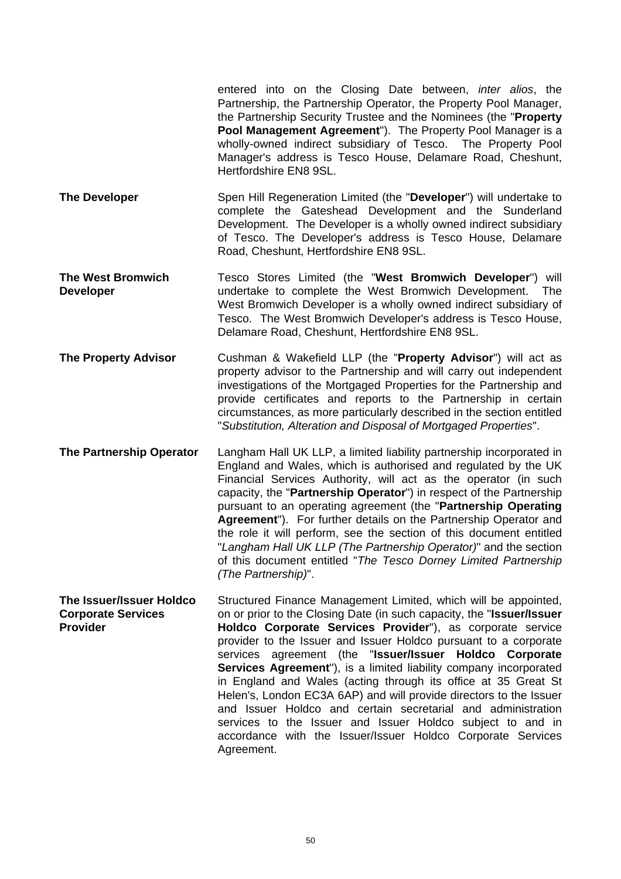|                                                                          | entered into on the Closing Date between, <i>inter alios</i> , the<br>Partnership, the Partnership Operator, the Property Pool Manager,<br>the Partnership Security Trustee and the Nominees (the "Property<br>Pool Management Agreement"). The Property Pool Manager is a<br>wholly-owned indirect subsidiary of Tesco. The Property Pool<br>Manager's address is Tesco House, Delamare Road, Cheshunt,<br>Hertfordshire EN8 9SL.                                                                                                                                                                                                                                                                                                              |
|--------------------------------------------------------------------------|-------------------------------------------------------------------------------------------------------------------------------------------------------------------------------------------------------------------------------------------------------------------------------------------------------------------------------------------------------------------------------------------------------------------------------------------------------------------------------------------------------------------------------------------------------------------------------------------------------------------------------------------------------------------------------------------------------------------------------------------------|
| <b>The Developer</b>                                                     | Spen Hill Regeneration Limited (the "Developer") will undertake to<br>complete the Gateshead Development and the Sunderland<br>Development. The Developer is a wholly owned indirect subsidiary<br>of Tesco. The Developer's address is Tesco House, Delamare<br>Road, Cheshunt, Hertfordshire EN8 9SL.                                                                                                                                                                                                                                                                                                                                                                                                                                         |
| <b>The West Bromwich</b><br><b>Developer</b>                             | Tesco Stores Limited (the "West Bromwich Developer") will<br>undertake to complete the West Bromwich Development. The<br>West Bromwich Developer is a wholly owned indirect subsidiary of<br>Tesco. The West Bromwich Developer's address is Tesco House,<br>Delamare Road, Cheshunt, Hertfordshire EN8 9SL.                                                                                                                                                                                                                                                                                                                                                                                                                                    |
| <b>The Property Advisor</b>                                              | Cushman & Wakefield LLP (the "Property Advisor") will act as<br>property advisor to the Partnership and will carry out independent<br>investigations of the Mortgaged Properties for the Partnership and<br>provide certificates and reports to the Partnership in certain<br>circumstances, as more particularly described in the section entitled<br>"Substitution, Alteration and Disposal of Mortgaged Properties".                                                                                                                                                                                                                                                                                                                         |
| The Partnership Operator                                                 | Langham Hall UK LLP, a limited liability partnership incorporated in<br>England and Wales, which is authorised and regulated by the UK<br>Financial Services Authority, will act as the operator (in such<br>capacity, the "Partnership Operator") in respect of the Partnership<br>pursuant to an operating agreement (the "Partnership Operating<br>Agreement"). For further details on the Partnership Operator and<br>the role it will perform, see the section of this document entitled<br>"Langham Hall UK LLP (The Partnership Operator)" and the section<br>of this document entitled "The Tesco Dorney Limited Partnership<br>(The Partnership)".                                                                                     |
| The Issuer/Issuer Holdco<br><b>Corporate Services</b><br><b>Provider</b> | Structured Finance Management Limited, which will be appointed,<br>on or prior to the Closing Date (in such capacity, the "Issuer/Issuer<br>Holdco Corporate Services Provider"), as corporate service<br>provider to the Issuer and Issuer Holdco pursuant to a corporate<br>services agreement (the "Issuer/Issuer Holdco Corporate<br>Services Agreement"), is a limited liability company incorporated<br>in England and Wales (acting through its office at 35 Great St<br>Helen's, London EC3A 6AP) and will provide directors to the Issuer<br>and Issuer Holdco and certain secretarial and administration<br>services to the Issuer and Issuer Holdco subject to and in<br>accordance with the Issuer/Issuer Holdco Corporate Services |

Agreement.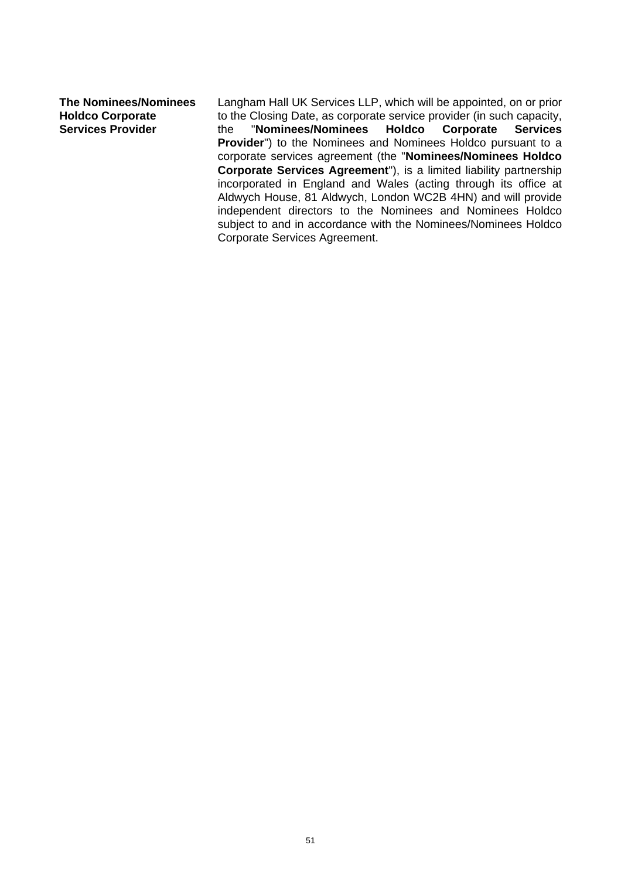**The Nominees/Nominees Holdco Corporate Services Provider**

Langham Hall UK Services LLP, which will be appointed, on or prior to the Closing Date, as corporate service provider (in such capacity, the "**Nominees/Nominees Holdco Corporate Services Provider**") to the Nominees and Nominees Holdco pursuant to a corporate services agreement (the "**Nominees/Nominees Holdco Corporate Services Agreement**"), is a limited liability partnership incorporated in England and Wales (acting through its office at Aldwych House, 81 Aldwych, London WC2B 4HN) and will provide independent directors to the Nominees and Nominees Holdco subject to and in accordance with the Nominees/Nominees Holdco Corporate Services Agreement.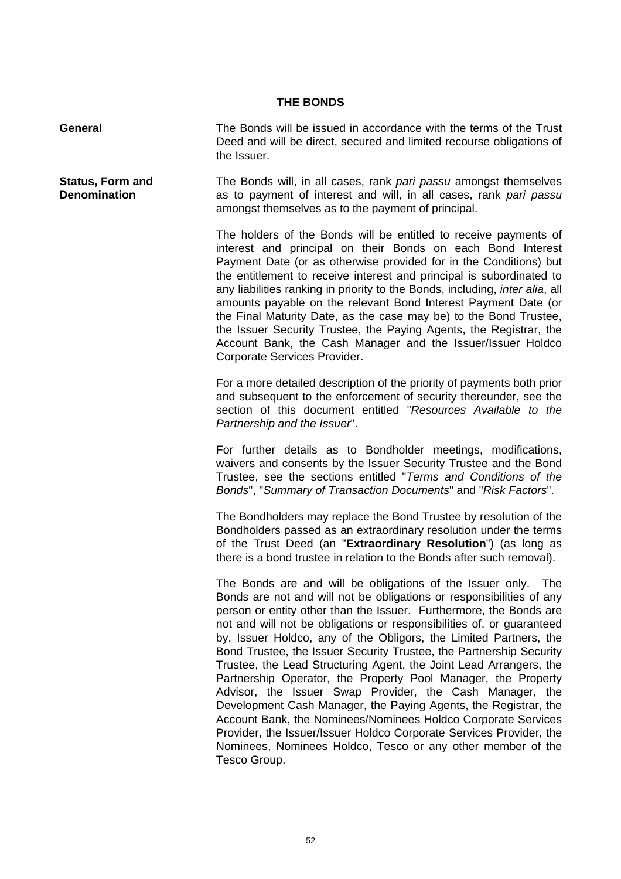#### **THE BONDS**

| <b>General</b>                                 | The Bonds will be issued in accordance with the terms of the Trust<br>Deed and will be direct, secured and limited recourse obligations of<br>the Issuer.                                                                                                                                                                                                                                                                                                                                           |
|------------------------------------------------|-----------------------------------------------------------------------------------------------------------------------------------------------------------------------------------------------------------------------------------------------------------------------------------------------------------------------------------------------------------------------------------------------------------------------------------------------------------------------------------------------------|
| <b>Status, Form and</b><br><b>Denomination</b> | The Bonds will, in all cases, rank pari passu amongst themselves<br>as to payment of interest and will, in all cases, rank pari passu<br>amongst themselves as to the payment of principal.                                                                                                                                                                                                                                                                                                         |
|                                                | The holders of the Bonds will be entitled to receive payments of<br>interest and principal on their Bonds on each Bond Interest<br>Payment Date (or as otherwise provided for in the Conditions) but<br>the entitlement to receive interest and principal is subordinated to<br>any liabilities ranking in priority to the Bonds, including, inter alia, all<br>amounts payable on the relevant Bond Interest Payment Date (or<br>the Final Maturity Date, as the case may be) to the Bond Trustee. |

the Final Maturity Date, as the case may be) to the Bond Trustee, the Issuer Security Trustee, the Paying Agents, the Registrar, the Account Bank, the Cash Manager and the Issuer/Issuer Holdco Corporate Services Provider.

 For a more detailed description of the priority of payments both prior and subsequent to the enforcement of security thereunder, see the section of this document entitled "*Resources Available to the Partnership and the Issuer*".

 For further details as to Bondholder meetings, modifications, waivers and consents by the Issuer Security Trustee and the Bond Trustee, see the sections entitled "*Terms and Conditions of the Bonds*", "*Summary of Transaction Documents*" and "*Risk Factors*".

 The Bondholders may replace the Bond Trustee by resolution of the Bondholders passed as an extraordinary resolution under the terms of the Trust Deed (an "**Extraordinary Resolution**") (as long as there is a bond trustee in relation to the Bonds after such removal).

 The Bonds are and will be obligations of the Issuer only. The Bonds are not and will not be obligations or responsibilities of any person or entity other than the Issuer. Furthermore, the Bonds are not and will not be obligations or responsibilities of, or guaranteed by, Issuer Holdco, any of the Obligors, the Limited Partners, the Bond Trustee, the Issuer Security Trustee, the Partnership Security Trustee, the Lead Structuring Agent, the Joint Lead Arrangers, the Partnership Operator, the Property Pool Manager, the Property Advisor, the Issuer Swap Provider, the Cash Manager, the Development Cash Manager, the Paying Agents, the Registrar, the Account Bank, the Nominees/Nominees Holdco Corporate Services Provider, the Issuer/Issuer Holdco Corporate Services Provider, the Nominees, Nominees Holdco, Tesco or any other member of the Tesco Group.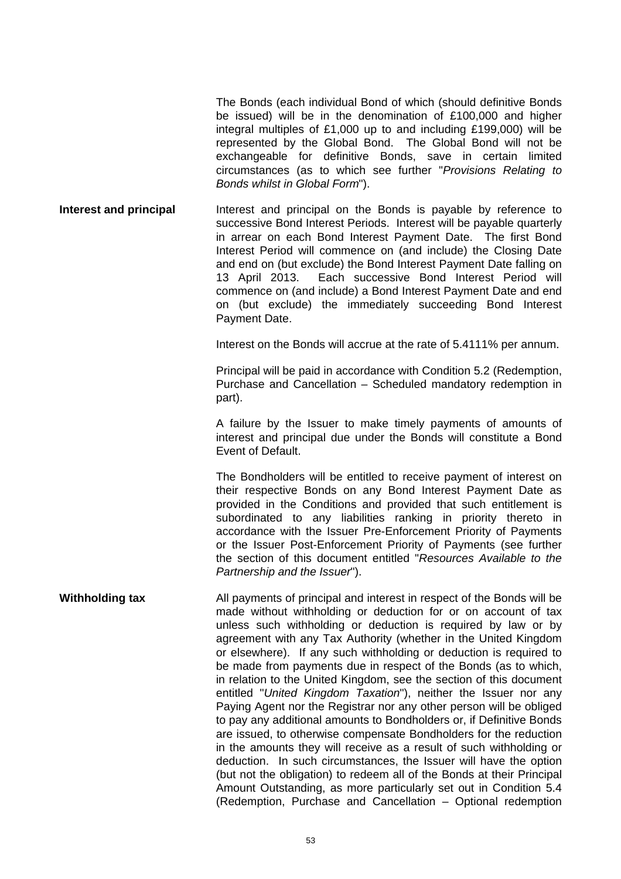The Bonds (each individual Bond of which (should definitive Bonds be issued) will be in the denomination of £100,000 and higher integral multiples of £1,000 up to and including £199,000) will be represented by the Global Bond. The Global Bond will not be exchangeable for definitive Bonds, save in certain limited circumstances (as to which see further "*Provisions Relating to Bonds whilst in Global Form*").

**Interest and principal** Interest and principal on the Bonds is payable by reference to successive Bond Interest Periods. Interest will be payable quarterly in arrear on each Bond Interest Payment Date. The first Bond Interest Period will commence on (and include) the Closing Date and end on (but exclude) the Bond Interest Payment Date falling on 13 April 2013. Each successive Bond Interest Period will commence on (and include) a Bond Interest Payment Date and end on (but exclude) the immediately succeeding Bond Interest Payment Date.

Interest on the Bonds will accrue at the rate of 5.4111% per annum.

 Principal will be paid in accordance with Condition 5.2(Redemption, Purchase and Cancellation – Scheduled mandatory redemption in part).

 A failure by the Issuer to make timely payments of amounts of interest and principal due under the Bonds will constitute a Bond Event of Default.

 The Bondholders will be entitled to receive payment of interest on their respective Bonds on any Bond Interest Payment Date as provided in the Conditions and provided that such entitlement is subordinated to any liabilities ranking in priority thereto in accordance with the Issuer Pre-Enforcement Priority of Payments or the Issuer Post-Enforcement Priority of Payments (see further the section of this document entitled "*Resources Available to the Partnership and the Issuer*").

**Withholding tax** All payments of principal and interest in respect of the Bonds will be made without withholding or deduction for or on account of tax unless such withholding or deduction is required by law or by agreement with any Tax Authority (whether in the United Kingdom or elsewhere). If any such withholding or deduction is required to be made from payments due in respect of the Bonds (as to which, in relation to the United Kingdom, see the section of this document entitled "*United Kingdom Taxation*"), neither the Issuer nor any Paying Agent nor the Registrar nor any other person will be obliged to pay any additional amounts to Bondholders or, if Definitive Bonds are issued, to otherwise compensate Bondholders for the reduction in the amounts they will receive as a result of such withholding or deduction. In such circumstances, the Issuer will have the option (but not the obligation) to redeem all of the Bonds at their Principal Amount Outstanding, as more particularly set out in Condition 5.4 (Redemption, Purchase and Cancellation – Optional redemption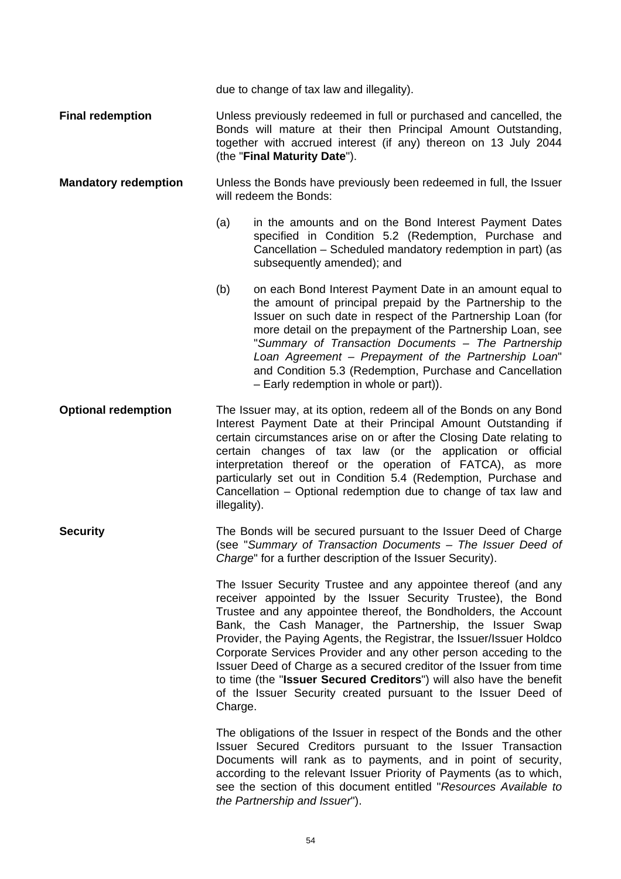due to change of tax law and illegality).

- **Final redemption** Unless previously redeemed in full or purchased and cancelled, the Bonds will mature at their then Principal Amount Outstanding, together with accrued interest (if any) thereon on 13 July 2044 (the "**Final Maturity Date**").
- **Mandatory redemption** Unless the Bonds have previously been redeemed in full, the Issuer will redeem the Bonds:
	- (a) in the amounts and on the Bond Interest Payment Dates specified in Condition 5.2 (Redemption, Purchase and Cancellation – Scheduled mandatory redemption in part) (as subsequently amended); and
	- (b) on each Bond Interest Payment Date in an amount equal to the amount of principal prepaid by the Partnership to the Issuer on such date in respect of the Partnership Loan (for more detail on the prepayment of the Partnership Loan, see "*Summary of Transaction Documents – The Partnership Loan Agreement – Prepayment of the Partnership Loan*" and Condition 5.3 (Redemption, Purchase and Cancellation – Early redemption in whole or part)).
- **Optional redemption** The Issuer may, at its option, redeem all of the Bonds on any Bond Interest Payment Date at their Principal Amount Outstanding if certain circumstances arise on or after the Closing Date relating to certain changes of tax law (or the application or official interpretation thereof or the operation of FATCA), as more particularly set out in Condition 5.4 (Redemption, Purchase and Cancellation – Optional redemption due to change of tax law and illegality).
- **Security** The Bonds will be secured pursuant to the Issuer Deed of Charge (see "*Summary of Transaction Documents – The Issuer Deed of Charge*" for a further description of the Issuer Security).

 The Issuer Security Trustee and any appointee thereof (and any receiver appointed by the Issuer Security Trustee), the Bond Trustee and any appointee thereof, the Bondholders, the Account Bank, the Cash Manager, the Partnership, the Issuer Swap Provider, the Paying Agents, the Registrar, the Issuer/Issuer Holdco Corporate Services Provider and any other person acceding to the Issuer Deed of Charge as a secured creditor of the Issuer from time to time (the "**Issuer Secured Creditors**") will also have the benefit of the Issuer Security created pursuant to the Issuer Deed of Charge.

 The obligations of the Issuer in respect of the Bonds and the other Issuer Secured Creditors pursuant to the Issuer Transaction Documents will rank as to payments, and in point of security, according to the relevant Issuer Priority of Payments (as to which, see the section of this document entitled "*Resources Available to the Partnership and Issuer*").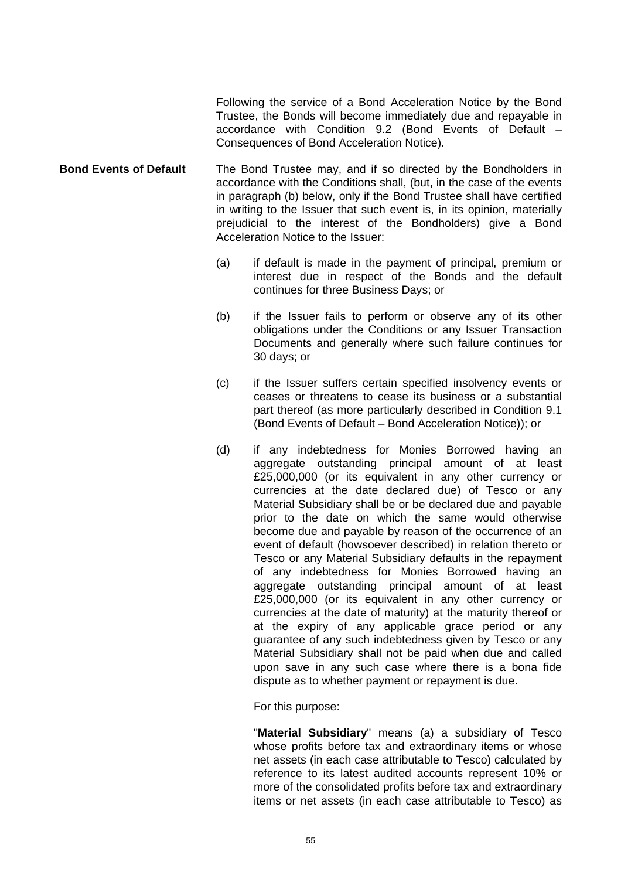Following the service of a Bond Acceleration Notice by the Bond Trustee, the Bonds will become immediately due and repayable in accordance with Condition 9.2 (Bond Events of Default – Consequences of Bond Acceleration Notice).

- **Bond Events of Default** The Bond Trustee may, and if so directed by the Bondholders in accordance with the Conditions shall, (but, in the case of the events in paragraph (b) below, only if the Bond Trustee shall have certified in writing to the Issuer that such event is, in its opinion, materially prejudicial to the interest of the Bondholders) give a Bond Acceleration Notice to the Issuer:
	- (a) if default is made in the payment of principal, premium or interest due in respect of the Bonds and the default continues for three Business Days; or
	- (b) if the Issuer fails to perform or observe any of its other obligations under the Conditions or any Issuer Transaction Documents and generally where such failure continues for 30 days; or
	- (c) if the Issuer suffers certain specified insolvency events or ceases or threatens to cease its business or a substantial part thereof (as more particularly described in Condition 9.1 (Bond Events of Default – Bond Acceleration Notice)); or
	- (d) if any indebtedness for Monies Borrowed having an aggregate outstanding principal amount of at least £25,000,000 (or its equivalent in any other currency or currencies at the date declared due) of Tesco or any Material Subsidiary shall be or be declared due and payable prior to the date on which the same would otherwise become due and payable by reason of the occurrence of an event of default (howsoever described) in relation thereto or Tesco or any Material Subsidiary defaults in the repayment of any indebtedness for Monies Borrowed having an aggregate outstanding principal amount of at least £25,000,000 (or its equivalent in any other currency or currencies at the date of maturity) at the maturity thereof or at the expiry of any applicable grace period or any guarantee of any such indebtedness given by Tesco or any Material Subsidiary shall not be paid when due and called upon save in any such case where there is a bona fide dispute as to whether payment or repayment is due.

For this purpose:

 "**Material Subsidiary**" means (a) a subsidiary of Tesco whose profits before tax and extraordinary items or whose net assets (in each case attributable to Tesco) calculated by reference to its latest audited accounts represent 10% or more of the consolidated profits before tax and extraordinary items or net assets (in each case attributable to Tesco) as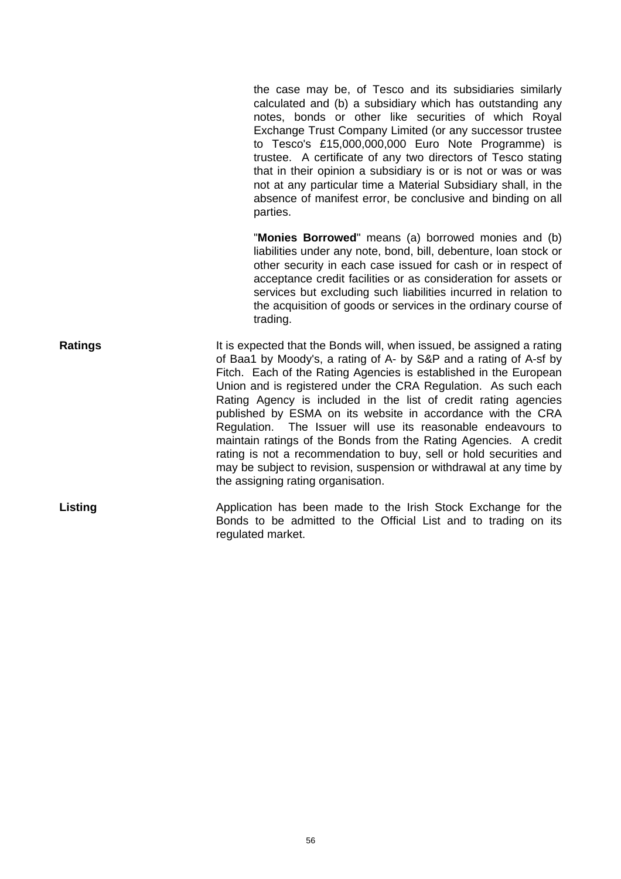the case may be, of Tesco and its subsidiaries similarly calculated and (b) a subsidiary which has outstanding any notes, bonds or other like securities of which Royal Exchange Trust Company Limited (or any successor trustee to Tesco's £15,000,000,000 Euro Note Programme) is trustee. A certificate of any two directors of Tesco stating that in their opinion a subsidiary is or is not or was or was not at any particular time a Material Subsidiary shall, in the absence of manifest error, be conclusive and binding on all parties.

 "**Monies Borrowed**" means (a) borrowed monies and (b) liabilities under any note, bond, bill, debenture, loan stock or other security in each case issued for cash or in respect of acceptance credit facilities or as consideration for assets or services but excluding such liabilities incurred in relation to the acquisition of goods or services in the ordinary course of trading.

**Ratings** Text is expected that the Bonds will, when issued, be assigned a rating of Baa1 by Moody's, a rating of A- by S&P and a rating of A-sf by Fitch. Each of the Rating Agencies is established in the European Union and is registered under the CRA Regulation. As such each Rating Agency is included in the list of credit rating agencies published by ESMA on its website in accordance with the CRA Regulation. The Issuer will use its reasonable endeavours to maintain ratings of the Bonds from the Rating Agencies. A credit rating is not a recommendation to buy, sell or hold securities and may be subject to revision, suspension or withdrawal at any time by the assigning rating organisation.

**Listing** Application has been made to the Irish Stock Exchange for the Bonds to be admitted to the Official List and to trading on its regulated market.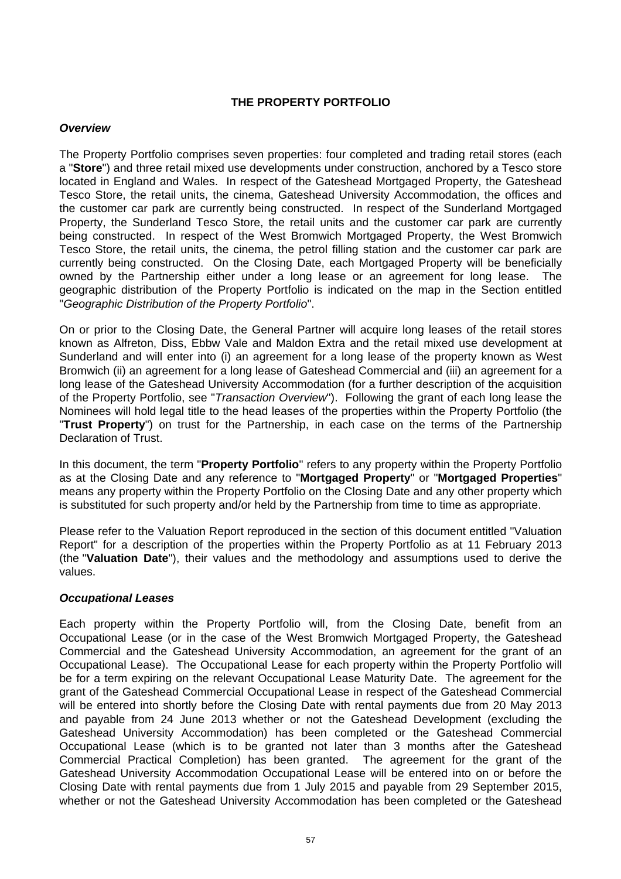# **THE PROPERTY PORTFOLIO**

### *Overview*

The Property Portfolio comprises seven properties: four completed and trading retail stores (each a "**Store**") and three retail mixed use developments under construction, anchored by a Tesco store located in England and Wales. In respect of the Gateshead Mortgaged Property, the Gateshead Tesco Store, the retail units, the cinema, Gateshead University Accommodation, the offices and the customer car park are currently being constructed. In respect of the Sunderland Mortgaged Property, the Sunderland Tesco Store, the retail units and the customer car park are currently being constructed. In respect of the West Bromwich Mortgaged Property, the West Bromwich Tesco Store, the retail units, the cinema, the petrol filling station and the customer car park are currently being constructed. On the Closing Date, each Mortgaged Property will be beneficially owned by the Partnership either under a long lease or an agreement for long lease. The geographic distribution of the Property Portfolio is indicated on the map in the Section entitled "*Geographic Distribution of the Property Portfolio*".

On or prior to the Closing Date, the General Partner will acquire long leases of the retail stores known as Alfreton, Diss, Ebbw Vale and Maldon Extra and the retail mixed use development at Sunderland and will enter into (i) an agreement for a long lease of the property known as West Bromwich (ii) an agreement for a long lease of Gateshead Commercial and (iii) an agreement for a long lease of the Gateshead University Accommodation (for a further description of the acquisition of the Property Portfolio, see "*Transaction Overview*"). Following the grant of each long lease the Nominees will hold legal title to the head leases of the properties within the Property Portfolio (the "**Trust Property**") on trust for the Partnership, in each case on the terms of the Partnership Declaration of Trust.

In this document, the term "**Property Portfolio**" refers to any property within the Property Portfolio as at the Closing Date and any reference to "**Mortgaged Property**" or "**Mortgaged Properties**" means any property within the Property Portfolio on the Closing Date and any other property which is substituted for such property and/or held by the Partnership from time to time as appropriate.

Please refer to the Valuation Report reproduced in the section of this document entitled "Valuation Report" for a description of the properties within the Property Portfolio as at 11 February 2013 (the "**Valuation Date**"), their values and the methodology and assumptions used to derive the values.

# *Occupational Leases*

Each property within the Property Portfolio will, from the Closing Date, benefit from an Occupational Lease (or in the case of the West Bromwich Mortgaged Property, the Gateshead Commercial and the Gateshead University Accommodation, an agreement for the grant of an Occupational Lease). The Occupational Lease for each property within the Property Portfolio will be for a term expiring on the relevant Occupational Lease Maturity Date. The agreement for the grant of the Gateshead Commercial Occupational Lease in respect of the Gateshead Commercial will be entered into shortly before the Closing Date with rental payments due from 20 May 2013 and payable from 24 June 2013 whether or not the Gateshead Development (excluding the Gateshead University Accommodation) has been completed or the Gateshead Commercial Occupational Lease (which is to be granted not later than 3 months after the Gateshead Commercial Practical Completion) has been granted. The agreement for the grant of the Gateshead University Accommodation Occupational Lease will be entered into on or before the Closing Date with rental payments due from 1 July 2015 and payable from 29 September 2015, whether or not the Gateshead University Accommodation has been completed or the Gateshead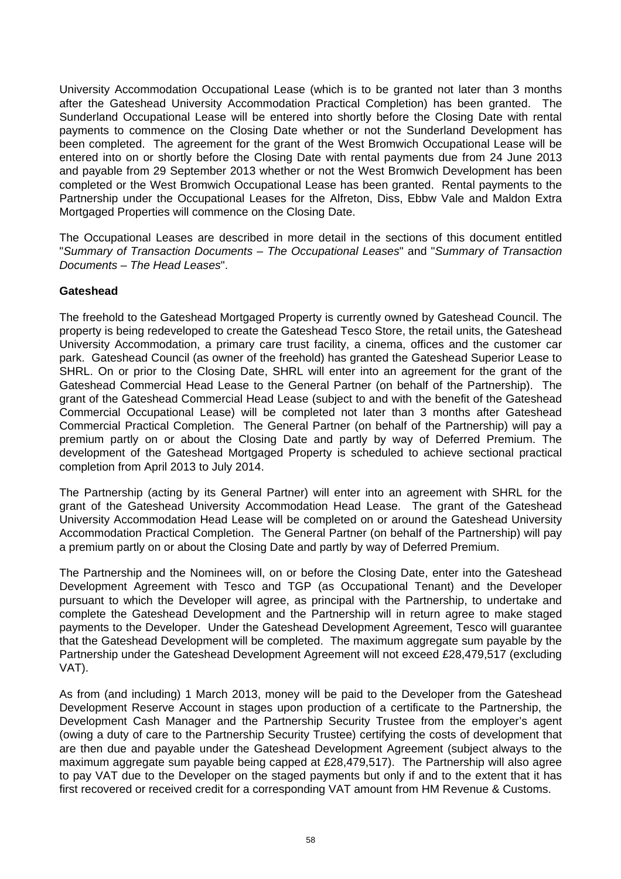University Accommodation Occupational Lease (which is to be granted not later than 3 months after the Gateshead University Accommodation Practical Completion) has been granted. The Sunderland Occupational Lease will be entered into shortly before the Closing Date with rental payments to commence on the Closing Date whether or not the Sunderland Development has been completed. The agreement for the grant of the West Bromwich Occupational Lease will be entered into on or shortly before the Closing Date with rental payments due from 24 June 2013 and payable from 29 September 2013 whether or not the West Bromwich Development has been completed or the West Bromwich Occupational Lease has been granted. Rental payments to the Partnership under the Occupational Leases for the Alfreton, Diss, Ebbw Vale and Maldon Extra Mortgaged Properties will commence on the Closing Date.

The Occupational Leases are described in more detail in the sections of this document entitled "*Summary of Transaction Documents – The Occupational Leases*" and "*Summary of Transaction Documents – The Head Leases*".

# **Gateshead**

The freehold to the Gateshead Mortgaged Property is currently owned by Gateshead Council. The property is being redeveloped to create the Gateshead Tesco Store, the retail units, the Gateshead University Accommodation, a primary care trust facility, a cinema, offices and the customer car park. Gateshead Council (as owner of the freehold) has granted the Gateshead Superior Lease to SHRL. On or prior to the Closing Date, SHRL will enter into an agreement for the grant of the Gateshead Commercial Head Lease to the General Partner (on behalf of the Partnership). The grant of the Gateshead Commercial Head Lease (subject to and with the benefit of the Gateshead Commercial Occupational Lease) will be completed not later than 3 months after Gateshead Commercial Practical Completion. The General Partner (on behalf of the Partnership) will pay a premium partly on or about the Closing Date and partly by way of Deferred Premium. The development of the Gateshead Mortgaged Property is scheduled to achieve sectional practical completion from April 2013 to July 2014.

The Partnership (acting by its General Partner) will enter into an agreement with SHRL for the grant of the Gateshead University Accommodation Head Lease. The grant of the Gateshead University Accommodation Head Lease will be completed on or around the Gateshead University Accommodation Practical Completion. The General Partner (on behalf of the Partnership) will pay a premium partly on or about the Closing Date and partly by way of Deferred Premium.

The Partnership and the Nominees will, on or before the Closing Date, enter into the Gateshead Development Agreement with Tesco and TGP (as Occupational Tenant) and the Developer pursuant to which the Developer will agree, as principal with the Partnership, to undertake and complete the Gateshead Development and the Partnership will in return agree to make staged payments to the Developer. Under the Gateshead Development Agreement, Tesco will guarantee that the Gateshead Development will be completed. The maximum aggregate sum payable by the Partnership under the Gateshead Development Agreement will not exceed £28,479,517 (excluding VAT).

As from (and including) 1 March 2013, money will be paid to the Developer from the Gateshead Development Reserve Account in stages upon production of a certificate to the Partnership, the Development Cash Manager and the Partnership Security Trustee from the employer's agent (owing a duty of care to the Partnership Security Trustee) certifying the costs of development that are then due and payable under the Gateshead Development Agreement (subject always to the maximum aggregate sum payable being capped at £28,479,517). The Partnership will also agree to pay VAT due to the Developer on the staged payments but only if and to the extent that it has first recovered or received credit for a corresponding VAT amount from HM Revenue & Customs.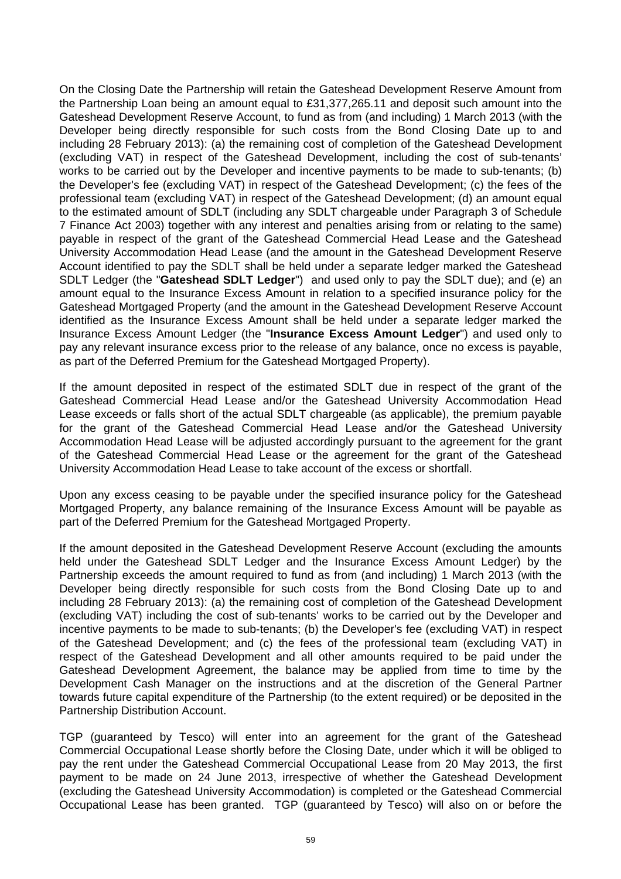On the Closing Date the Partnership will retain the Gateshead Development Reserve Amount from the Partnership Loan being an amount equal to £31,377,265.11 and deposit such amount into the Gateshead Development Reserve Account, to fund as from (and including) 1 March 2013 (with the Developer being directly responsible for such costs from the Bond Closing Date up to and including 28 February 2013): (a) the remaining cost of completion of the Gateshead Development (excluding VAT) in respect of the Gateshead Development, including the cost of sub-tenants' works to be carried out by the Developer and incentive payments to be made to sub-tenants; (b) the Developer's fee (excluding VAT) in respect of the Gateshead Development; (c) the fees of the professional team (excluding VAT) in respect of the Gateshead Development; (d) an amount equal to the estimated amount of SDLT (including any SDLT chargeable under Paragraph 3 of Schedule 7 Finance Act 2003) together with any interest and penalties arising from or relating to the same) payable in respect of the grant of the Gateshead Commercial Head Lease and the Gateshead University Accommodation Head Lease (and the amount in the Gateshead Development Reserve Account identified to pay the SDLT shall be held under a separate ledger marked the Gateshead SDLT Ledger (the "**Gateshead SDLT Ledger**") and used only to pay the SDLT due); and (e) an amount equal to the Insurance Excess Amount in relation to a specified insurance policy for the Gateshead Mortgaged Property (and the amount in the Gateshead Development Reserve Account identified as the Insurance Excess Amount shall be held under a separate ledger marked the Insurance Excess Amount Ledger (the "**Insurance Excess Amount Ledger**") and used only to pay any relevant insurance excess prior to the release of any balance, once no excess is payable, as part of the Deferred Premium for the Gateshead Mortgaged Property).

If the amount deposited in respect of the estimated SDLT due in respect of the grant of the Gateshead Commercial Head Lease and/or the Gateshead University Accommodation Head Lease exceeds or falls short of the actual SDLT chargeable (as applicable), the premium payable for the grant of the Gateshead Commercial Head Lease and/or the Gateshead University Accommodation Head Lease will be adjusted accordingly pursuant to the agreement for the grant of the Gateshead Commercial Head Lease or the agreement for the grant of the Gateshead University Accommodation Head Lease to take account of the excess or shortfall.

Upon any excess ceasing to be payable under the specified insurance policy for the Gateshead Mortgaged Property, any balance remaining of the Insurance Excess Amount will be payable as part of the Deferred Premium for the Gateshead Mortgaged Property.

If the amount deposited in the Gateshead Development Reserve Account (excluding the amounts held under the Gateshead SDLT Ledger and the Insurance Excess Amount Ledger) by the Partnership exceeds the amount required to fund as from (and including) 1 March 2013 (with the Developer being directly responsible for such costs from the Bond Closing Date up to and including 28 February 2013): (a) the remaining cost of completion of the Gateshead Development (excluding VAT) including the cost of sub-tenants' works to be carried out by the Developer and incentive payments to be made to sub-tenants; (b) the Developer's fee (excluding VAT) in respect of the Gateshead Development; and (c) the fees of the professional team (excluding VAT) in respect of the Gateshead Development and all other amounts required to be paid under the Gateshead Development Agreement, the balance may be applied from time to time by the Development Cash Manager on the instructions and at the discretion of the General Partner towards future capital expenditure of the Partnership (to the extent required) or be deposited in the Partnership Distribution Account.

TGP (guaranteed by Tesco) will enter into an agreement for the grant of the Gateshead Commercial Occupational Lease shortly before the Closing Date, under which it will be obliged to pay the rent under the Gateshead Commercial Occupational Lease from 20 May 2013, the first payment to be made on 24 June 2013, irrespective of whether the Gateshead Development (excluding the Gateshead University Accommodation) is completed or the Gateshead Commercial Occupational Lease has been granted. TGP (guaranteed by Tesco) will also on or before the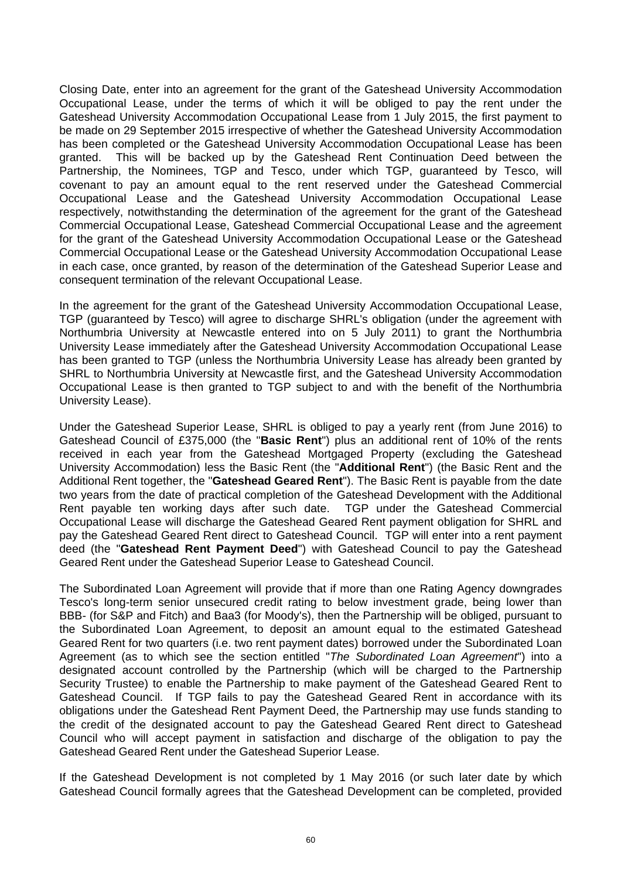Closing Date, enter into an agreement for the grant of the Gateshead University Accommodation Occupational Lease, under the terms of which it will be obliged to pay the rent under the Gateshead University Accommodation Occupational Lease from 1 July 2015, the first payment to be made on 29 September 2015 irrespective of whether the Gateshead University Accommodation has been completed or the Gateshead University Accommodation Occupational Lease has been granted. This will be backed up by the Gateshead Rent Continuation Deed between the Partnership, the Nominees, TGP and Tesco, under which TGP, guaranteed by Tesco, will covenant to pay an amount equal to the rent reserved under the Gateshead Commercial Occupational Lease and the Gateshead University Accommodation Occupational Lease respectively, notwithstanding the determination of the agreement for the grant of the Gateshead Commercial Occupational Lease, Gateshead Commercial Occupational Lease and the agreement for the grant of the Gateshead University Accommodation Occupational Lease or the Gateshead Commercial Occupational Lease or the Gateshead University Accommodation Occupational Lease in each case, once granted, by reason of the determination of the Gateshead Superior Lease and consequent termination of the relevant Occupational Lease.

In the agreement for the grant of the Gateshead University Accommodation Occupational Lease, TGP (guaranteed by Tesco) will agree to discharge SHRL's obligation (under the agreement with Northumbria University at Newcastle entered into on 5 July 2011) to grant the Northumbria University Lease immediately after the Gateshead University Accommodation Occupational Lease has been granted to TGP (unless the Northumbria University Lease has already been granted by SHRL to Northumbria University at Newcastle first, and the Gateshead University Accommodation Occupational Lease is then granted to TGP subject to and with the benefit of the Northumbria University Lease).

Under the Gateshead Superior Lease, SHRL is obliged to pay a yearly rent (from June 2016) to Gateshead Council of £375,000 (the "**Basic Rent**") plus an additional rent of 10% of the rents received in each year from the Gateshead Mortgaged Property (excluding the Gateshead University Accommodation) less the Basic Rent (the "**Additional Rent**") (the Basic Rent and the Additional Rent together, the "**Gateshead Geared Rent**"). The Basic Rent is payable from the date two years from the date of practical completion of the Gateshead Development with the Additional Rent payable ten working days after such date. TGP under the Gateshead Commercial Occupational Lease will discharge the Gateshead Geared Rent payment obligation for SHRL and pay the Gateshead Geared Rent direct to Gateshead Council. TGP will enter into a rent payment deed (the "**Gateshead Rent Payment Deed**") with Gateshead Council to pay the Gateshead Geared Rent under the Gateshead Superior Lease to Gateshead Council.

The Subordinated Loan Agreement will provide that if more than one Rating Agency downgrades Tesco's long-term senior unsecured credit rating to below investment grade, being lower than BBB- (for S&P and Fitch) and Baa3 (for Moody's), then the Partnership will be obliged, pursuant to the Subordinated Loan Agreement, to deposit an amount equal to the estimated Gateshead Geared Rent for two quarters (i.e. two rent payment dates) borrowed under the Subordinated Loan Agreement (as to which see the section entitled "*The Subordinated Loan Agreement*") into a designated account controlled by the Partnership (which will be charged to the Partnership Security Trustee) to enable the Partnership to make payment of the Gateshead Geared Rent to Gateshead Council. If TGP fails to pay the Gateshead Geared Rent in accordance with its obligations under the Gateshead Rent Payment Deed, the Partnership may use funds standing to the credit of the designated account to pay the Gateshead Geared Rent direct to Gateshead Council who will accept payment in satisfaction and discharge of the obligation to pay the Gateshead Geared Rent under the Gateshead Superior Lease.

If the Gateshead Development is not completed by 1 May 2016 (or such later date by which Gateshead Council formally agrees that the Gateshead Development can be completed, provided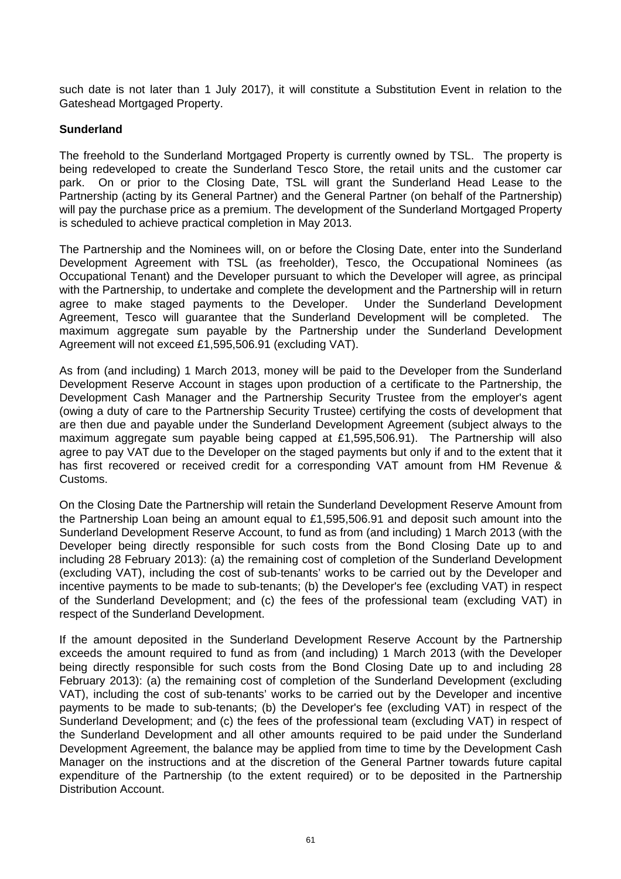such date is not later than 1 July 2017), it will constitute a Substitution Event in relation to the Gateshead Mortgaged Property.

### **Sunderland**

The freehold to the Sunderland Mortgaged Property is currently owned by TSL. The property is being redeveloped to create the Sunderland Tesco Store, the retail units and the customer car park. On or prior to the Closing Date, TSL will grant the Sunderland Head Lease to the Partnership (acting by its General Partner) and the General Partner (on behalf of the Partnership) will pay the purchase price as a premium. The development of the Sunderland Mortgaged Property is scheduled to achieve practical completion in May 2013.

The Partnership and the Nominees will, on or before the Closing Date, enter into the Sunderland Development Agreement with TSL (as freeholder), Tesco, the Occupational Nominees (as Occupational Tenant) and the Developer pursuant to which the Developer will agree, as principal with the Partnership, to undertake and complete the development and the Partnership will in return agree to make staged payments to the Developer. Under the Sunderland Development Agreement, Tesco will guarantee that the Sunderland Development will be completed. The maximum aggregate sum payable by the Partnership under the Sunderland Development Agreement will not exceed £1,595,506.91 (excluding VAT).

As from (and including) 1 March 2013, money will be paid to the Developer from the Sunderland Development Reserve Account in stages upon production of a certificate to the Partnership, the Development Cash Manager and the Partnership Security Trustee from the employer's agent (owing a duty of care to the Partnership Security Trustee) certifying the costs of development that are then due and payable under the Sunderland Development Agreement (subject always to the maximum aggregate sum payable being capped at £1,595,506.91). The Partnership will also agree to pay VAT due to the Developer on the staged payments but only if and to the extent that it has first recovered or received credit for a corresponding VAT amount from HM Revenue & Customs.

On the Closing Date the Partnership will retain the Sunderland Development Reserve Amount from the Partnership Loan being an amount equal to £1,595,506.91 and deposit such amount into the Sunderland Development Reserve Account, to fund as from (and including) 1 March 2013 (with the Developer being directly responsible for such costs from the Bond Closing Date up to and including 28 February 2013): (a) the remaining cost of completion of the Sunderland Development (excluding VAT), including the cost of sub-tenants' works to be carried out by the Developer and incentive payments to be made to sub-tenants; (b) the Developer's fee (excluding VAT) in respect of the Sunderland Development; and (c) the fees of the professional team (excluding VAT) in respect of the Sunderland Development.

If the amount deposited in the Sunderland Development Reserve Account by the Partnership exceeds the amount required to fund as from (and including) 1 March 2013 (with the Developer being directly responsible for such costs from the Bond Closing Date up to and including 28 February 2013): (a) the remaining cost of completion of the Sunderland Development (excluding VAT), including the cost of sub-tenants' works to be carried out by the Developer and incentive payments to be made to sub-tenants; (b) the Developer's fee (excluding VAT) in respect of the Sunderland Development; and (c) the fees of the professional team (excluding VAT) in respect of the Sunderland Development and all other amounts required to be paid under the Sunderland Development Agreement, the balance may be applied from time to time by the Development Cash Manager on the instructions and at the discretion of the General Partner towards future capital expenditure of the Partnership (to the extent required) or to be deposited in the Partnership Distribution Account.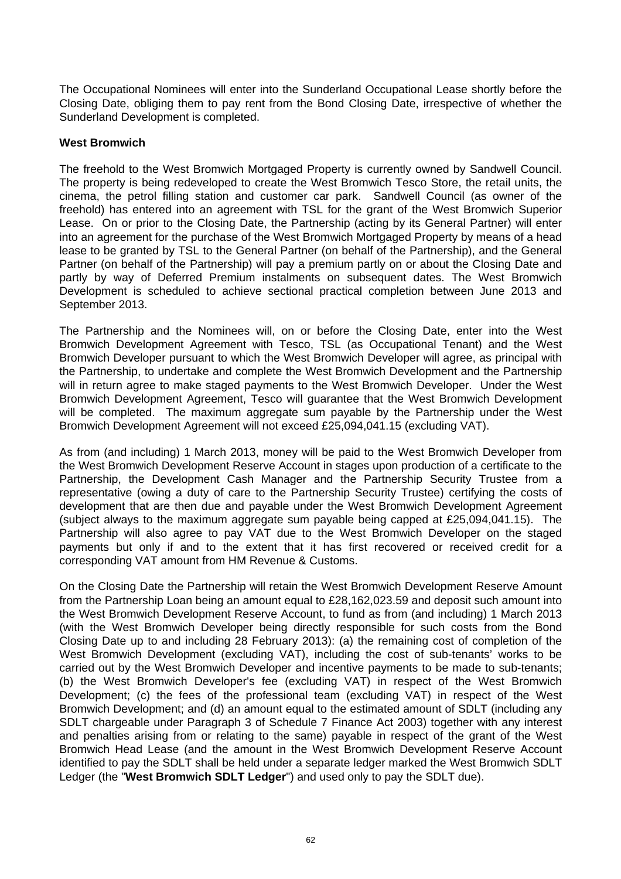The Occupational Nominees will enter into the Sunderland Occupational Lease shortly before the Closing Date, obliging them to pay rent from the Bond Closing Date, irrespective of whether the Sunderland Development is completed.

### **West Bromwich**

The freehold to the West Bromwich Mortgaged Property is currently owned by Sandwell Council. The property is being redeveloped to create the West Bromwich Tesco Store, the retail units, the cinema, the petrol filling station and customer car park. Sandwell Council (as owner of the freehold) has entered into an agreement with TSL for the grant of the West Bromwich Superior Lease. On or prior to the Closing Date, the Partnership (acting by its General Partner) will enter into an agreement for the purchase of the West Bromwich Mortgaged Property by means of a head lease to be granted by TSL to the General Partner (on behalf of the Partnership), and the General Partner (on behalf of the Partnership) will pay a premium partly on or about the Closing Date and partly by way of Deferred Premium instalments on subsequent dates. The West Bromwich Development is scheduled to achieve sectional practical completion between June 2013 and September 2013.

The Partnership and the Nominees will, on or before the Closing Date, enter into the West Bromwich Development Agreement with Tesco, TSL (as Occupational Tenant) and the West Bromwich Developer pursuant to which the West Bromwich Developer will agree, as principal with the Partnership, to undertake and complete the West Bromwich Development and the Partnership will in return agree to make staged payments to the West Bromwich Developer. Under the West Bromwich Development Agreement, Tesco will guarantee that the West Bromwich Development will be completed. The maximum aggregate sum payable by the Partnership under the West Bromwich Development Agreement will not exceed £25,094,041.15 (excluding VAT).

As from (and including) 1 March 2013, money will be paid to the West Bromwich Developer from the West Bromwich Development Reserve Account in stages upon production of a certificate to the Partnership, the Development Cash Manager and the Partnership Security Trustee from a representative (owing a duty of care to the Partnership Security Trustee) certifying the costs of development that are then due and payable under the West Bromwich Development Agreement (subject always to the maximum aggregate sum payable being capped at £25,094,041.15). The Partnership will also agree to pay VAT due to the West Bromwich Developer on the staged payments but only if and to the extent that it has first recovered or received credit for a corresponding VAT amount from HM Revenue & Customs.

On the Closing Date the Partnership will retain the West Bromwich Development Reserve Amount from the Partnership Loan being an amount equal to £28,162,023.59 and deposit such amount into the West Bromwich Development Reserve Account, to fund as from (and including) 1 March 2013 (with the West Bromwich Developer being directly responsible for such costs from the Bond Closing Date up to and including 28 February 2013): (a) the remaining cost of completion of the West Bromwich Development (excluding VAT), including the cost of sub-tenants' works to be carried out by the West Bromwich Developer and incentive payments to be made to sub-tenants; (b) the West Bromwich Developer's fee (excluding VAT) in respect of the West Bromwich Development; (c) the fees of the professional team (excluding VAT) in respect of the West Bromwich Development; and (d) an amount equal to the estimated amount of SDLT (including any SDLT chargeable under Paragraph 3 of Schedule 7 Finance Act 2003) together with any interest and penalties arising from or relating to the same) payable in respect of the grant of the West Bromwich Head Lease (and the amount in the West Bromwich Development Reserve Account identified to pay the SDLT shall be held under a separate ledger marked the West Bromwich SDLT Ledger (the "**West Bromwich SDLT Ledger**") and used only to pay the SDLT due).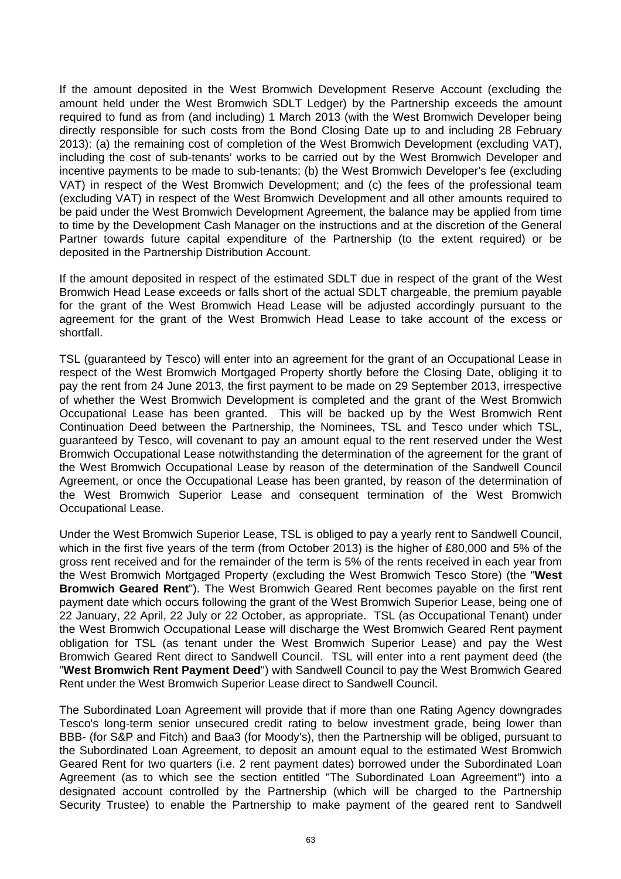If the amount deposited in the West Bromwich Development Reserve Account (excluding the amount held under the West Bromwich SDLT Ledger) by the Partnership exceeds the amount required to fund as from (and including) 1 March 2013 (with the West Bromwich Developer being directly responsible for such costs from the Bond Closing Date up to and including 28 February 2013): (a) the remaining cost of completion of the West Bromwich Development (excluding VAT), including the cost of sub-tenants' works to be carried out by the West Bromwich Developer and incentive payments to be made to sub-tenants; (b) the West Bromwich Developer's fee (excluding VAT) in respect of the West Bromwich Development; and (c) the fees of the professional team (excluding VAT) in respect of the West Bromwich Development and all other amounts required to be paid under the West Bromwich Development Agreement, the balance may be applied from time to time by the Development Cash Manager on the instructions and at the discretion of the General Partner towards future capital expenditure of the Partnership (to the extent required) or be deposited in the Partnership Distribution Account.

If the amount deposited in respect of the estimated SDLT due in respect of the grant of the West Bromwich Head Lease exceeds or falls short of the actual SDLT chargeable, the premium payable for the grant of the West Bromwich Head Lease will be adjusted accordingly pursuant to the agreement for the grant of the West Bromwich Head Lease to take account of the excess or shortfall.

TSL (guaranteed by Tesco) will enter into an agreement for the grant of an Occupational Lease in respect of the West Bromwich Mortgaged Property shortly before the Closing Date, obliging it to pay the rent from 24 June 2013, the first payment to be made on 29 September 2013, irrespective of whether the West Bromwich Development is completed and the grant of the West Bromwich Occupational Lease has been granted. This will be backed up by the West Bromwich Rent Continuation Deed between the Partnership, the Nominees, TSL and Tesco under which TSL, guaranteed by Tesco, will covenant to pay an amount equal to the rent reserved under the West Bromwich Occupational Lease notwithstanding the determination of the agreement for the grant of the West Bromwich Occupational Lease by reason of the determination of the Sandwell Council Agreement, or once the Occupational Lease has been granted, by reason of the determination of the West Bromwich Superior Lease and consequent termination of the West Bromwich Occupational Lease.

Under the West Bromwich Superior Lease, TSL is obliged to pay a yearly rent to Sandwell Council, which in the first five years of the term (from October 2013) is the higher of £80,000 and 5% of the gross rent received and for the remainder of the term is 5% of the rents received in each year from the West Bromwich Mortgaged Property (excluding the West Bromwich Tesco Store) (the "**West Bromwich Geared Rent**"). The West Bromwich Geared Rent becomes payable on the first rent payment date which occurs following the grant of the West Bromwich Superior Lease, being one of 22 January, 22 April, 22 July or 22 October, as appropriate. TSL (as Occupational Tenant) under the West Bromwich Occupational Lease will discharge the West Bromwich Geared Rent payment obligation for TSL (as tenant under the West Bromwich Superior Lease) and pay the West Bromwich Geared Rent direct to Sandwell Council. TSL will enter into a rent payment deed (the "**West Bromwich Rent Payment Deed**") with Sandwell Council to pay the West Bromwich Geared Rent under the West Bromwich Superior Lease direct to Sandwell Council.

The Subordinated Loan Agreement will provide that if more than one Rating Agency downgrades Tesco's long-term senior unsecured credit rating to below investment grade, being lower than BBB- (for S&P and Fitch) and Baa3 (for Moody's), then the Partnership will be obliged, pursuant to the Subordinated Loan Agreement, to deposit an amount equal to the estimated West Bromwich Geared Rent for two quarters (i.e. 2 rent payment dates) borrowed under the Subordinated Loan Agreement (as to which see the section entitled "The Subordinated Loan Agreement") into a designated account controlled by the Partnership (which will be charged to the Partnership Security Trustee) to enable the Partnership to make payment of the geared rent to Sandwell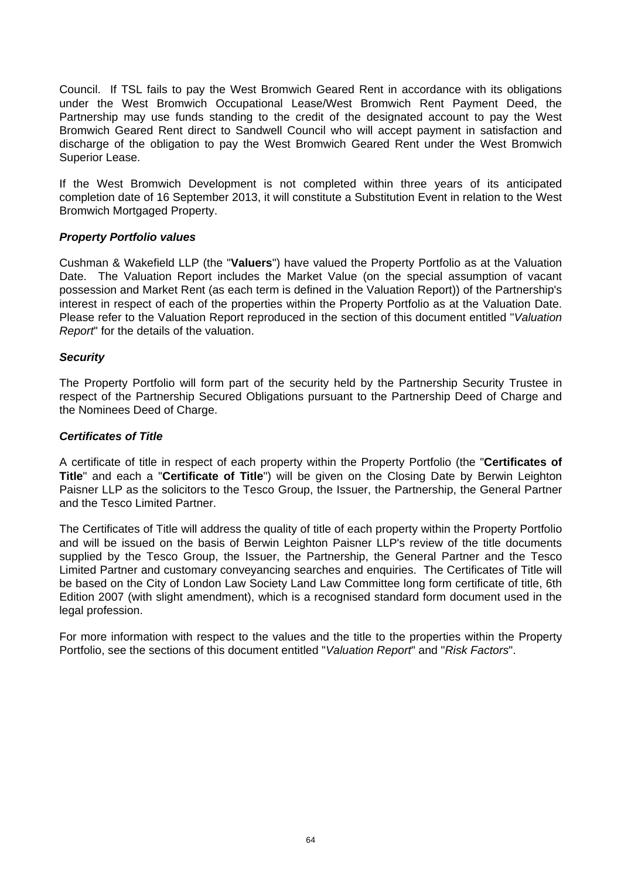Council. If TSL fails to pay the West Bromwich Geared Rent in accordance with its obligations under the West Bromwich Occupational Lease/West Bromwich Rent Payment Deed, the Partnership may use funds standing to the credit of the designated account to pay the West Bromwich Geared Rent direct to Sandwell Council who will accept payment in satisfaction and discharge of the obligation to pay the West Bromwich Geared Rent under the West Bromwich Superior Lease.

If the West Bromwich Development is not completed within three years of its anticipated completion date of 16 September 2013, it will constitute a Substitution Event in relation to the West Bromwich Mortgaged Property.

### *Property Portfolio values*

Cushman & Wakefield LLP (the "**Valuers**") have valued the Property Portfolio as at the Valuation Date. The Valuation Report includes the Market Value (on the special assumption of vacant possession and Market Rent (as each term is defined in the Valuation Report)) of the Partnership's interest in respect of each of the properties within the Property Portfolio as at the Valuation Date. Please refer to the Valuation Report reproduced in the section of this document entitled "*Valuation Report*" for the details of the valuation.

#### *Security*

The Property Portfolio will form part of the security held by the Partnership Security Trustee in respect of the Partnership Secured Obligations pursuant to the Partnership Deed of Charge and the Nominees Deed of Charge.

### *Certificates of Title*

A certificate of title in respect of each property within the Property Portfolio (the "**Certificates of Title**" and each a "**Certificate of Title**") will be given on the Closing Date by Berwin Leighton Paisner LLP as the solicitors to the Tesco Group, the Issuer, the Partnership, the General Partner and the Tesco Limited Partner.

The Certificates of Title will address the quality of title of each property within the Property Portfolio and will be issued on the basis of Berwin Leighton Paisner LLP's review of the title documents supplied by the Tesco Group, the Issuer, the Partnership, the General Partner and the Tesco Limited Partner and customary conveyancing searches and enquiries. The Certificates of Title will be based on the City of London Law Society Land Law Committee long form certificate of title, 6th Edition 2007 (with slight amendment), which is a recognised standard form document used in the legal profession.

For more information with respect to the values and the title to the properties within the Property Portfolio, see the sections of this document entitled "*Valuation Report*" and "*Risk Factors*".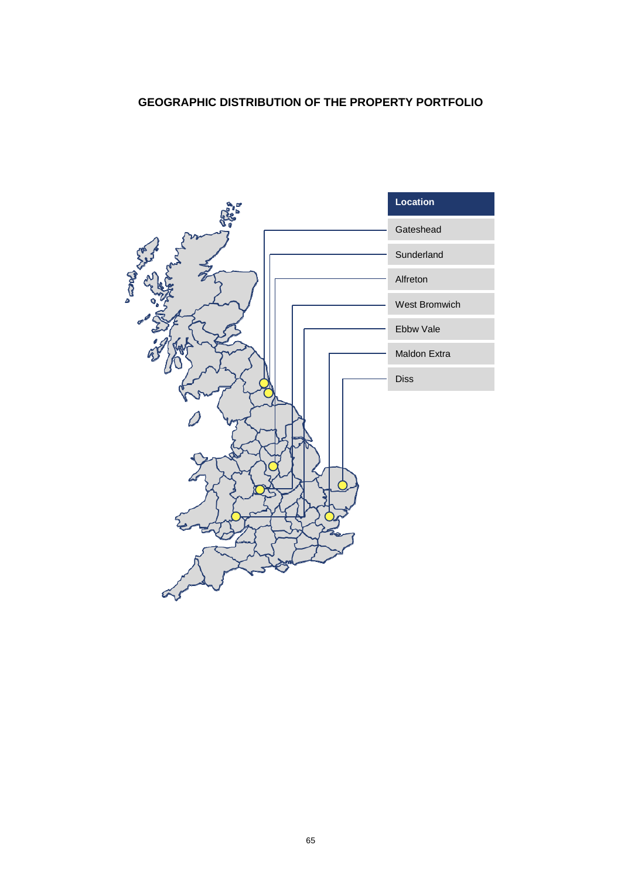# **GEOGRAPHIC DISTRIBUTION OF THE PROPERTY PORTFOLIO**

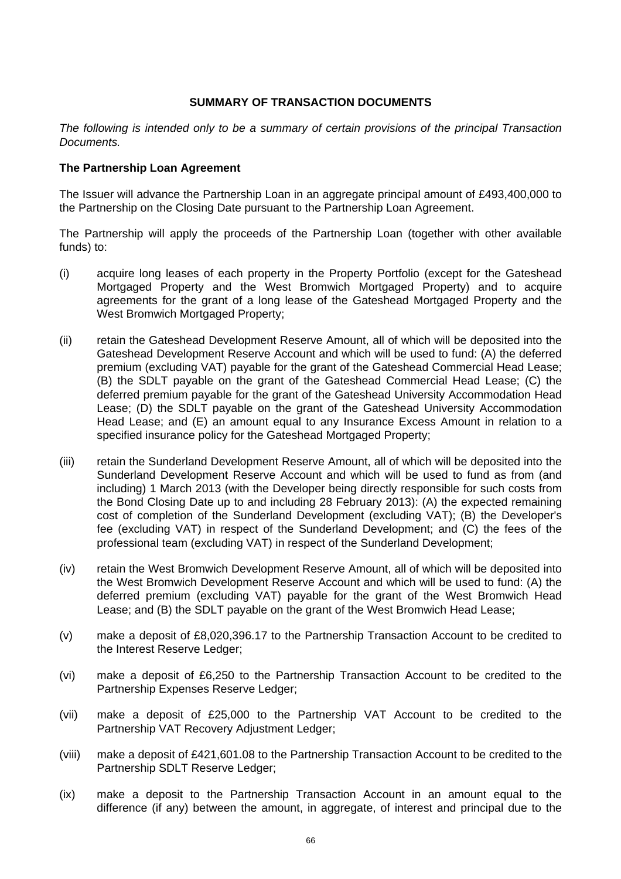### **SUMMARY OF TRANSACTION DOCUMENTS**

*The following is intended only to be a summary of certain provisions of the principal Transaction Documents.*

### **The Partnership Loan Agreement**

The Issuer will advance the Partnership Loan in an aggregate principal amount of £493,400,000 to the Partnership on the Closing Date pursuant to the Partnership Loan Agreement.

The Partnership will apply the proceeds of the Partnership Loan (together with other available funds) to:

- (i) acquire long leases of each property in the Property Portfolio (except for the Gateshead Mortgaged Property and the West Bromwich Mortgaged Property) and to acquire agreements for the grant of a long lease of the Gateshead Mortgaged Property and the West Bromwich Mortgaged Property;
- (ii) retain the Gateshead Development Reserve Amount, all of which will be deposited into the Gateshead Development Reserve Account and which will be used to fund: (A) the deferred premium (excluding VAT) payable for the grant of the Gateshead Commercial Head Lease; (B) the SDLT payable on the grant of the Gateshead Commercial Head Lease; (C) the deferred premium payable for the grant of the Gateshead University Accommodation Head Lease; (D) the SDLT payable on the grant of the Gateshead University Accommodation Head Lease; and (E) an amount equal to any Insurance Excess Amount in relation to a specified insurance policy for the Gateshead Mortgaged Property;
- (iii) retain the Sunderland Development Reserve Amount, all of which will be deposited into the Sunderland Development Reserve Account and which will be used to fund as from (and including) 1 March 2013 (with the Developer being directly responsible for such costs from the Bond Closing Date up to and including 28 February 2013): (A) the expected remaining cost of completion of the Sunderland Development (excluding VAT); (B) the Developer's fee (excluding VAT) in respect of the Sunderland Development; and (C) the fees of the professional team (excluding VAT) in respect of the Sunderland Development;
- (iv) retain the West Bromwich Development Reserve Amount, all of which will be deposited into the West Bromwich Development Reserve Account and which will be used to fund: (A) the deferred premium (excluding VAT) payable for the grant of the West Bromwich Head Lease; and (B) the SDLT payable on the grant of the West Bromwich Head Lease;
- (v) make a deposit of £8,020,396.17 to the Partnership Transaction Account to be credited to the Interest Reserve Ledger;
- (vi) make a deposit of £6,250 to the Partnership Transaction Account to be credited to the Partnership Expenses Reserve Ledger;
- (vii) make a deposit of £25,000 to the Partnership VAT Account to be credited to the Partnership VAT Recovery Adjustment Ledger;
- (viii) make a deposit of £421,601.08 to the Partnership Transaction Account to be credited to the Partnership SDLT Reserve Ledger;
- (ix) make a deposit to the Partnership Transaction Account in an amount equal to the difference (if any) between the amount, in aggregate, of interest and principal due to the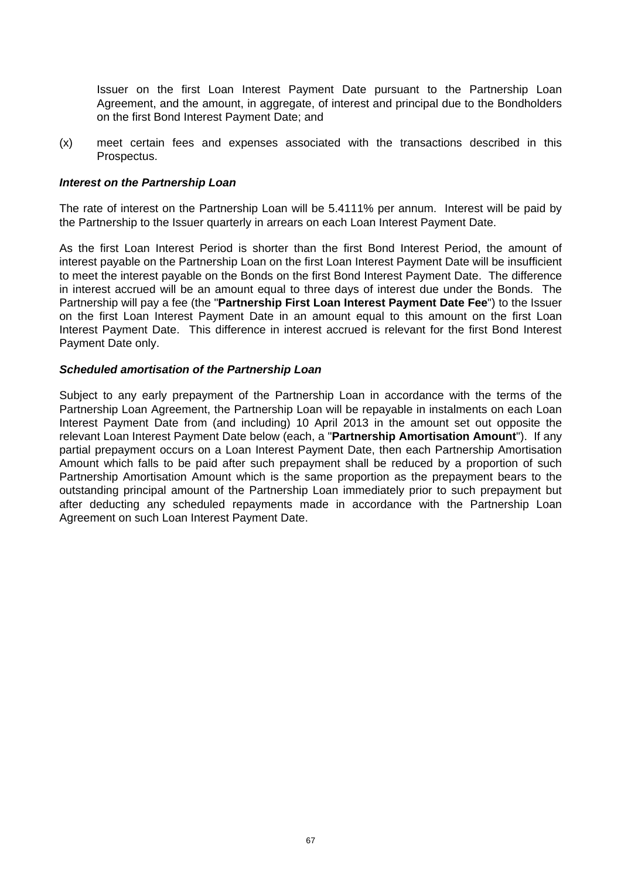Issuer on the first Loan Interest Payment Date pursuant to the Partnership Loan Agreement, and the amount, in aggregate, of interest and principal due to the Bondholders on the first Bond Interest Payment Date; and

(x) meet certain fees and expenses associated with the transactions described in this Prospectus.

### *Interest on the Partnership Loan*

The rate of interest on the Partnership Loan will be 5.4111% per annum. Interest will be paid by the Partnership to the Issuer quarterly in arrears on each Loan Interest Payment Date.

As the first Loan Interest Period is shorter than the first Bond Interest Period, the amount of interest payable on the Partnership Loan on the first Loan Interest Payment Date will be insufficient to meet the interest payable on the Bonds on the first Bond Interest Payment Date. The difference in interest accrued will be an amount equal to three days of interest due under the Bonds. The Partnership will pay a fee (the "**Partnership First Loan Interest Payment Date Fee**") to the Issuer on the first Loan Interest Payment Date in an amount equal to this amount on the first Loan Interest Payment Date. This difference in interest accrued is relevant for the first Bond Interest Payment Date only.

### *Scheduled amortisation of the Partnership Loan*

Subject to any early prepayment of the Partnership Loan in accordance with the terms of the Partnership Loan Agreement, the Partnership Loan will be repayable in instalments on each Loan Interest Payment Date from (and including) 10 April 2013 in the amount set out opposite the relevant Loan Interest Payment Date below (each, a "**Partnership Amortisation Amount**"). If any partial prepayment occurs on a Loan Interest Payment Date, then each Partnership Amortisation Amount which falls to be paid after such prepayment shall be reduced by a proportion of such Partnership Amortisation Amount which is the same proportion as the prepayment bears to the outstanding principal amount of the Partnership Loan immediately prior to such prepayment but after deducting any scheduled repayments made in accordance with the Partnership Loan Agreement on such Loan Interest Payment Date.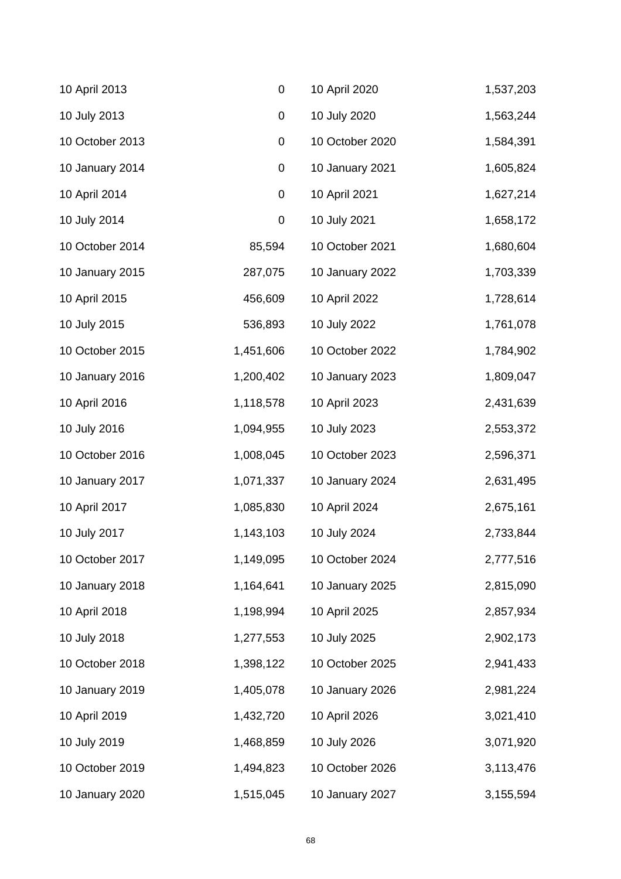| 10 April 2013   | $\mathbf 0$      | 10 April 2020   | 1,537,203 |
|-----------------|------------------|-----------------|-----------|
| 10 July 2013    | 0                | 10 July 2020    | 1,563,244 |
| 10 October 2013 | $\pmb{0}$        | 10 October 2020 | 1,584,391 |
| 10 January 2014 | $\pmb{0}$        | 10 January 2021 | 1,605,824 |
| 10 April 2014   | $\pmb{0}$        | 10 April 2021   | 1,627,214 |
| 10 July 2014    | $\boldsymbol{0}$ | 10 July 2021    | 1,658,172 |
| 10 October 2014 | 85,594           | 10 October 2021 | 1,680,604 |
| 10 January 2015 | 287,075          | 10 January 2022 | 1,703,339 |
| 10 April 2015   | 456,609          | 10 April 2022   | 1,728,614 |
| 10 July 2015    | 536,893          | 10 July 2022    | 1,761,078 |
| 10 October 2015 | 1,451,606        | 10 October 2022 | 1,784,902 |
| 10 January 2016 | 1,200,402        | 10 January 2023 | 1,809,047 |
| 10 April 2016   | 1,118,578        | 10 April 2023   | 2,431,639 |
| 10 July 2016    | 1,094,955        | 10 July 2023    | 2,553,372 |
| 10 October 2016 | 1,008,045        | 10 October 2023 | 2,596,371 |
| 10 January 2017 | 1,071,337        | 10 January 2024 | 2,631,495 |
| 10 April 2017   | 1,085,830        | 10 April 2024   | 2,675,161 |
| 10 July 2017    | 1,143,103        | 10 July 2024    | 2,733,844 |
| 10 October 2017 | 1,149,095        | 10 October 2024 | 2,777,516 |
| 10 January 2018 | 1,164,641        | 10 January 2025 | 2,815,090 |
| 10 April 2018   | 1,198,994        | 10 April 2025   | 2,857,934 |
| 10 July 2018    | 1,277,553        | 10 July 2025    | 2,902,173 |
| 10 October 2018 | 1,398,122        | 10 October 2025 | 2,941,433 |
| 10 January 2019 | 1,405,078        | 10 January 2026 | 2,981,224 |
| 10 April 2019   | 1,432,720        | 10 April 2026   | 3,021,410 |
| 10 July 2019    | 1,468,859        | 10 July 2026    | 3,071,920 |
| 10 October 2019 | 1,494,823        | 10 October 2026 | 3,113,476 |
| 10 January 2020 | 1,515,045        | 10 January 2027 | 3,155,594 |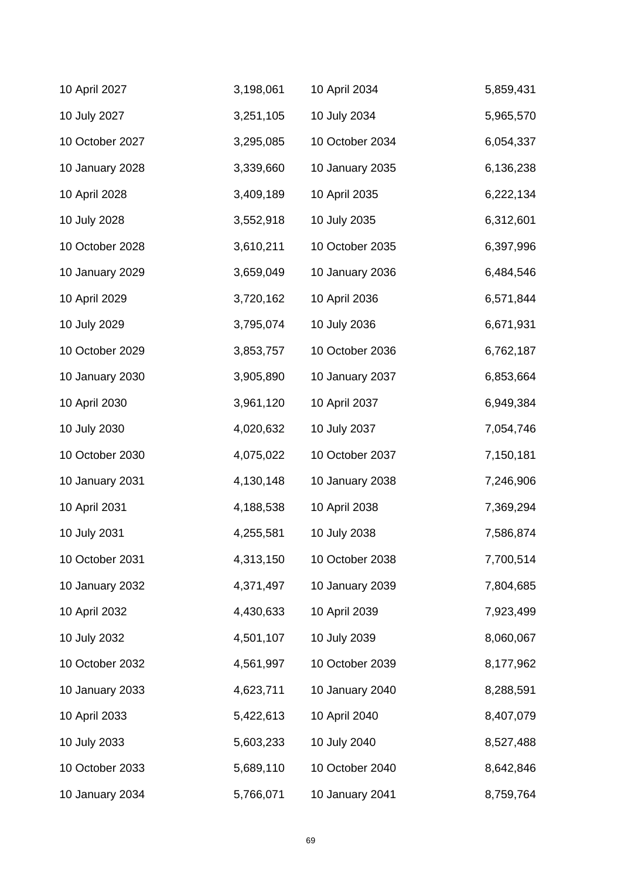| 10 April 2027   | 3,198,061 | 10 April 2034   | 5,859,431 |
|-----------------|-----------|-----------------|-----------|
| 10 July 2027    | 3,251,105 | 10 July 2034    | 5,965,570 |
| 10 October 2027 | 3,295,085 | 10 October 2034 | 6,054,337 |
| 10 January 2028 | 3,339,660 | 10 January 2035 | 6,136,238 |
| 10 April 2028   | 3,409,189 | 10 April 2035   | 6,222,134 |
| 10 July 2028    | 3,552,918 | 10 July 2035    | 6,312,601 |
| 10 October 2028 | 3,610,211 | 10 October 2035 | 6,397,996 |
| 10 January 2029 | 3,659,049 | 10 January 2036 | 6,484,546 |
| 10 April 2029   | 3,720,162 | 10 April 2036   | 6,571,844 |
| 10 July 2029    | 3,795,074 | 10 July 2036    | 6,671,931 |
| 10 October 2029 | 3,853,757 | 10 October 2036 | 6,762,187 |
| 10 January 2030 | 3,905,890 | 10 January 2037 | 6,853,664 |
| 10 April 2030   | 3,961,120 | 10 April 2037   | 6,949,384 |
| 10 July 2030    | 4,020,632 | 10 July 2037    | 7,054,746 |
| 10 October 2030 | 4,075,022 | 10 October 2037 | 7,150,181 |
| 10 January 2031 | 4,130,148 | 10 January 2038 | 7,246,906 |
| 10 April 2031   | 4,188,538 | 10 April 2038   | 7,369,294 |
| 10 July 2031    | 4,255,581 | 10 July 2038    | 7,586,874 |
| 10 October 2031 | 4,313,150 | 10 October 2038 | 7,700,514 |
| 10 January 2032 | 4,371,497 | 10 January 2039 | 7,804,685 |
| 10 April 2032   | 4,430,633 | 10 April 2039   | 7,923,499 |
| 10 July 2032    | 4,501,107 | 10 July 2039    | 8,060,067 |
| 10 October 2032 | 4,561,997 | 10 October 2039 | 8,177,962 |
| 10 January 2033 | 4,623,711 | 10 January 2040 | 8,288,591 |
| 10 April 2033   | 5,422,613 | 10 April 2040   | 8,407,079 |
| 10 July 2033    | 5,603,233 | 10 July 2040    | 8,527,488 |
| 10 October 2033 | 5,689,110 | 10 October 2040 | 8,642,846 |
| 10 January 2034 | 5,766,071 | 10 January 2041 | 8,759,764 |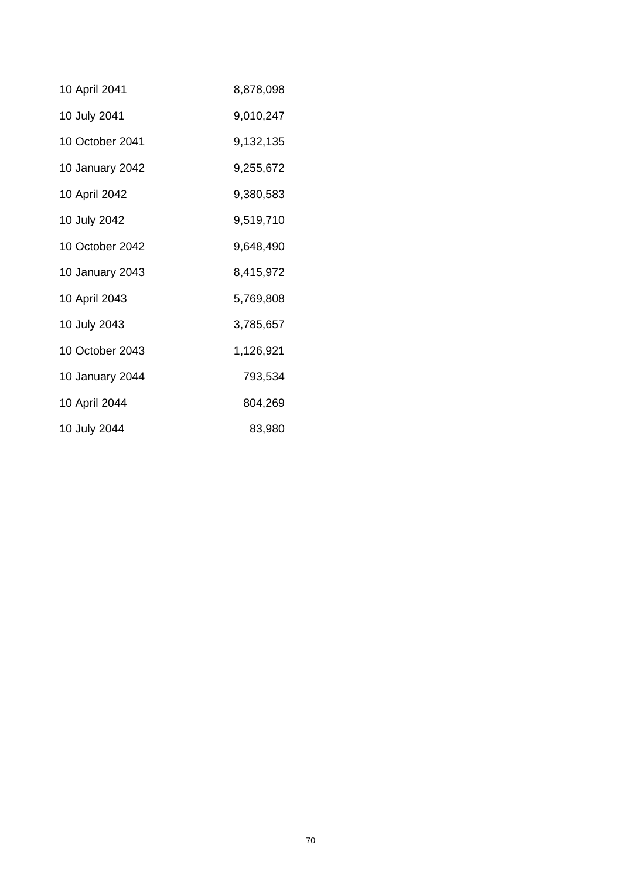| 10 April 2041   | 8,878,098 |
|-----------------|-----------|
| 10 July 2041    | 9,010,247 |
| 10 October 2041 | 9,132,135 |
| 10 January 2042 | 9,255,672 |
| 10 April 2042   | 9,380,583 |
| 10 July 2042    | 9,519,710 |
| 10 October 2042 | 9,648,490 |
| 10 January 2043 | 8,415,972 |
| 10 April 2043   | 5,769,808 |
| 10 July 2043    | 3,785,657 |
| 10 October 2043 | 1,126,921 |
| 10 January 2044 | 793,534   |
| 10 April 2044   | 804,269   |
| 10 July 2044    | 83,980    |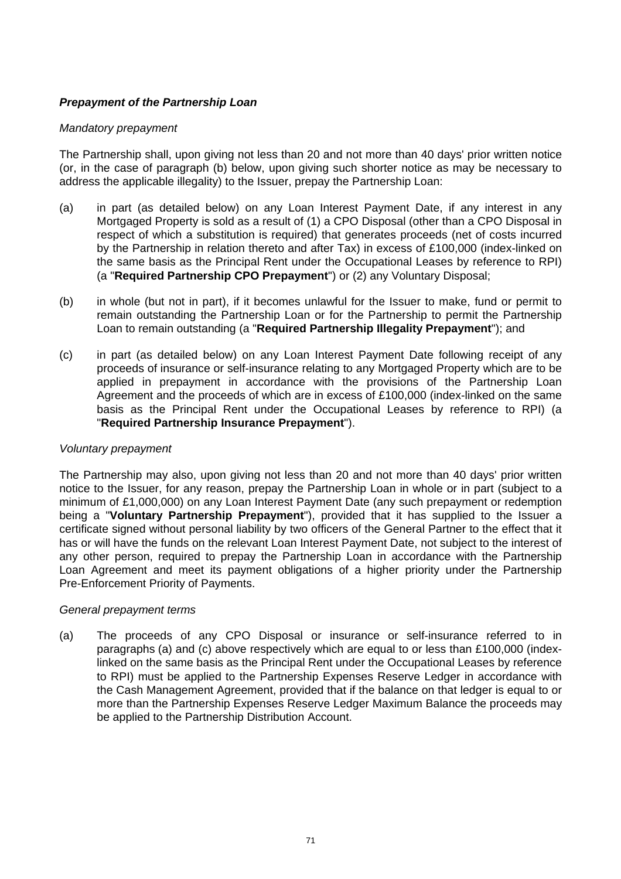# *Prepayment of the Partnership Loan*

### *Mandatory prepayment*

The Partnership shall, upon giving not less than 20 and not more than 40 days' prior written notice (or, in the case of paragraph (b) below, upon giving such shorter notice as may be necessary to address the applicable illegality) to the Issuer, prepay the Partnership Loan:

- (a) in part (as detailed below) on any Loan Interest Payment Date, if any interest in any Mortgaged Property is sold as a result of (1) a CPO Disposal (other than a CPO Disposal in respect of which a substitution is required) that generates proceeds (net of costs incurred by the Partnership in relation thereto and after Tax) in excess of £100,000 (index-linked on the same basis as the Principal Rent under the Occupational Leases by reference to RPI) (a "**Required Partnership CPO Prepayment**") or (2) any Voluntary Disposal;
- (b) in whole (but not in part), if it becomes unlawful for the Issuer to make, fund or permit to remain outstanding the Partnership Loan or for the Partnership to permit the Partnership Loan to remain outstanding (a "**Required Partnership Illegality Prepayment**"); and
- (c) in part (as detailed below) on any Loan Interest Payment Date following receipt of any proceeds of insurance or self-insurance relating to any Mortgaged Property which are to be applied in prepayment in accordance with the provisions of the Partnership Loan Agreement and the proceeds of which are in excess of £100,000 (index-linked on the same basis as the Principal Rent under the Occupational Leases by reference to RPI) (a "**Required Partnership Insurance Prepayment**").

#### *Voluntary prepayment*

The Partnership may also, upon giving not less than 20 and not more than 40 days' prior written notice to the Issuer, for any reason, prepay the Partnership Loan in whole or in part (subject to a minimum of £1,000,000) on any Loan Interest Payment Date (any such prepayment or redemption being a "**Voluntary Partnership Prepayment**"), provided that it has supplied to the Issuer a certificate signed without personal liability by two officers of the General Partner to the effect that it has or will have the funds on the relevant Loan Interest Payment Date, not subject to the interest of any other person, required to prepay the Partnership Loan in accordance with the Partnership Loan Agreement and meet its payment obligations of a higher priority under the Partnership Pre-Enforcement Priority of Payments.

#### *General prepayment terms*

(a) The proceeds of any CPO Disposal or insurance or self-insurance referred to in paragraphs (a) and (c) above respectively which are equal to or less than £100,000 (indexlinked on the same basis as the Principal Rent under the Occupational Leases by reference to RPI) must be applied to the Partnership Expenses Reserve Ledger in accordance with the Cash Management Agreement, provided that if the balance on that ledger is equal to or more than the Partnership Expenses Reserve Ledger Maximum Balance the proceeds may be applied to the Partnership Distribution Account.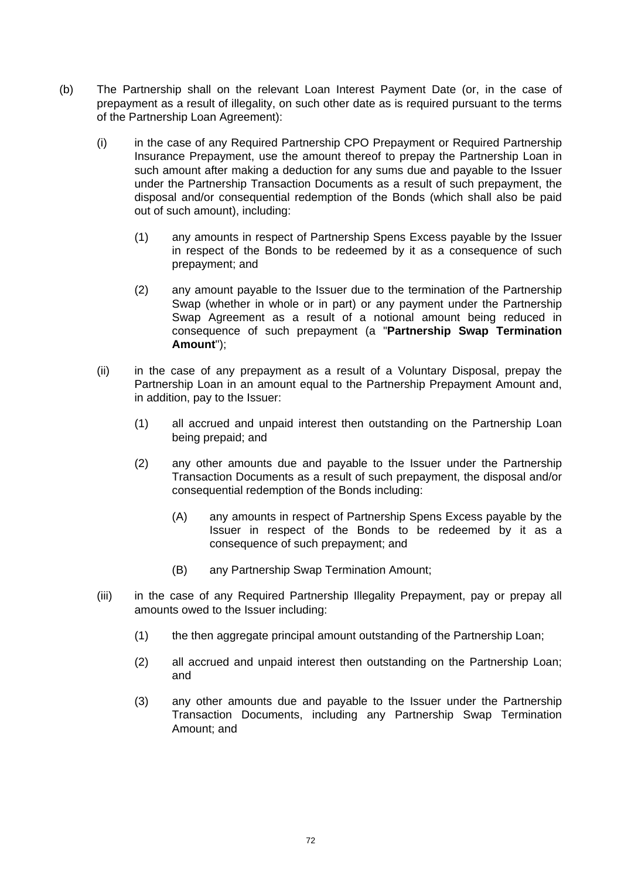- (b) The Partnership shall on the relevant Loan Interest Payment Date (or, in the case of prepayment as a result of illegality, on such other date as is required pursuant to the terms of the Partnership Loan Agreement):
	- (i) in the case of any Required Partnership CPO Prepayment or Required Partnership Insurance Prepayment, use the amount thereof to prepay the Partnership Loan in such amount after making a deduction for any sums due and payable to the Issuer under the Partnership Transaction Documents as a result of such prepayment, the disposal and/or consequential redemption of the Bonds (which shall also be paid out of such amount), including:
		- (1) any amounts in respect of Partnership Spens Excess payable by the Issuer in respect of the Bonds to be redeemed by it as a consequence of such prepayment; and
		- (2) any amount payable to the Issuer due to the termination of the Partnership Swap (whether in whole or in part) or any payment under the Partnership Swap Agreement as a result of a notional amount being reduced in consequence of such prepayment (a "**Partnership Swap Termination Amount**");
	- (ii) in the case of any prepayment as a result of a Voluntary Disposal, prepay the Partnership Loan in an amount equal to the Partnership Prepayment Amount and, in addition, pay to the Issuer:
		- (1) all accrued and unpaid interest then outstanding on the Partnership Loan being prepaid; and
		- (2) any other amounts due and payable to the Issuer under the Partnership Transaction Documents as a result of such prepayment, the disposal and/or consequential redemption of the Bonds including:
			- (A) any amounts in respect of Partnership Spens Excess payable by the Issuer in respect of the Bonds to be redeemed by it as a consequence of such prepayment; and
			- (B) any Partnership Swap Termination Amount;
	- (iii) in the case of any Required Partnership Illegality Prepayment, pay or prepay all amounts owed to the Issuer including:
		- (1) the then aggregate principal amount outstanding of the Partnership Loan;
		- (2) all accrued and unpaid interest then outstanding on the Partnership Loan; and
		- (3) any other amounts due and payable to the Issuer under the Partnership Transaction Documents, including any Partnership Swap Termination Amount; and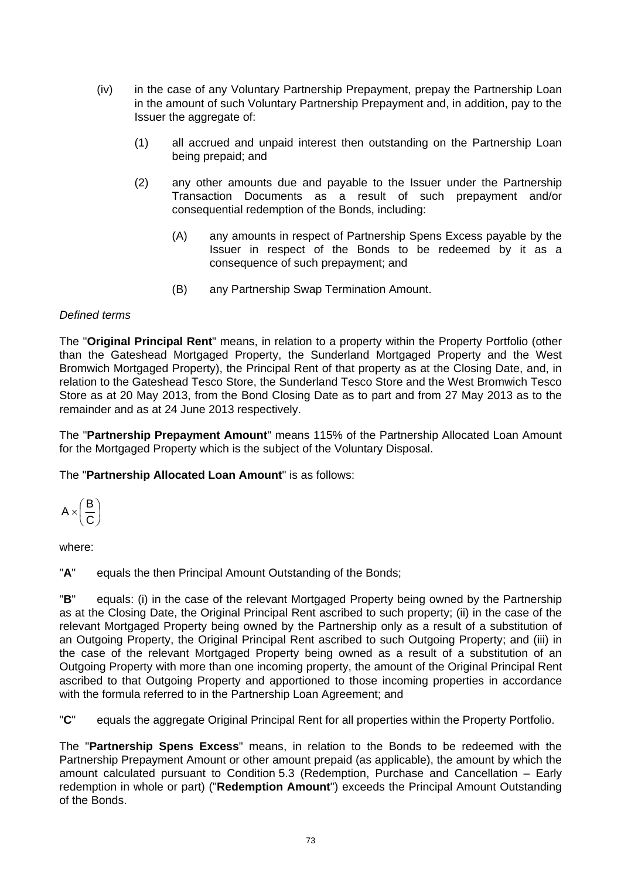- (iv) in the case of any Voluntary Partnership Prepayment, prepay the Partnership Loan in the amount of such Voluntary Partnership Prepayment and, in addition, pay to the Issuer the aggregate of:
	- (1) all accrued and unpaid interest then outstanding on the Partnership Loan being prepaid; and
	- (2) any other amounts due and payable to the Issuer under the Partnership Transaction Documents as a result of such prepayment and/or consequential redemption of the Bonds, including:
		- (A) any amounts in respect of Partnership Spens Excess payable by the Issuer in respect of the Bonds to be redeemed by it as a consequence of such prepayment; and
		- (B) any Partnership Swap Termination Amount.

# *Defined terms*

The "**Original Principal Rent**" means, in relation to a property within the Property Portfolio (other than the Gateshead Mortgaged Property, the Sunderland Mortgaged Property and the West Bromwich Mortgaged Property), the Principal Rent of that property as at the Closing Date, and, in relation to the Gateshead Tesco Store, the Sunderland Tesco Store and the West Bromwich Tesco Store as at 20 May 2013, from the Bond Closing Date as to part and from 27 May 2013 as to the remainder and as at 24 June 2013 respectively.

The "**Partnership Prepayment Amount**" means 115% of the Partnership Allocated Loan Amount for the Mortgaged Property which is the subject of the Voluntary Disposal.

The "**Partnership Allocated Loan Amount**" is as follows:

$$
A \times \left(\frac{B}{C}\right)
$$

where:

"**A**" equals the then Principal Amount Outstanding of the Bonds;

"**B**" equals: (i) in the case of the relevant Mortgaged Property being owned by the Partnership as at the Closing Date, the Original Principal Rent ascribed to such property; (ii) in the case of the relevant Mortgaged Property being owned by the Partnership only as a result of a substitution of an Outgoing Property, the Original Principal Rent ascribed to such Outgoing Property; and (iii) in the case of the relevant Mortgaged Property being owned as a result of a substitution of an Outgoing Property with more than one incoming property, the amount of the Original Principal Rent ascribed to that Outgoing Property and apportioned to those incoming properties in accordance with the formula referred to in the Partnership Loan Agreement; and

"**C**" equals the aggregate Original Principal Rent for all properties within the Property Portfolio.

The "**Partnership Spens Excess**" means, in relation to the Bonds to be redeemed with the Partnership Prepayment Amount or other amount prepaid (as applicable), the amount by which the amount calculated pursuant to Condition 5.3 (Redemption, Purchase and Cancellation – Early redemption in whole or part) ("**Redemption Amount**") exceeds the Principal Amount Outstanding of the Bonds.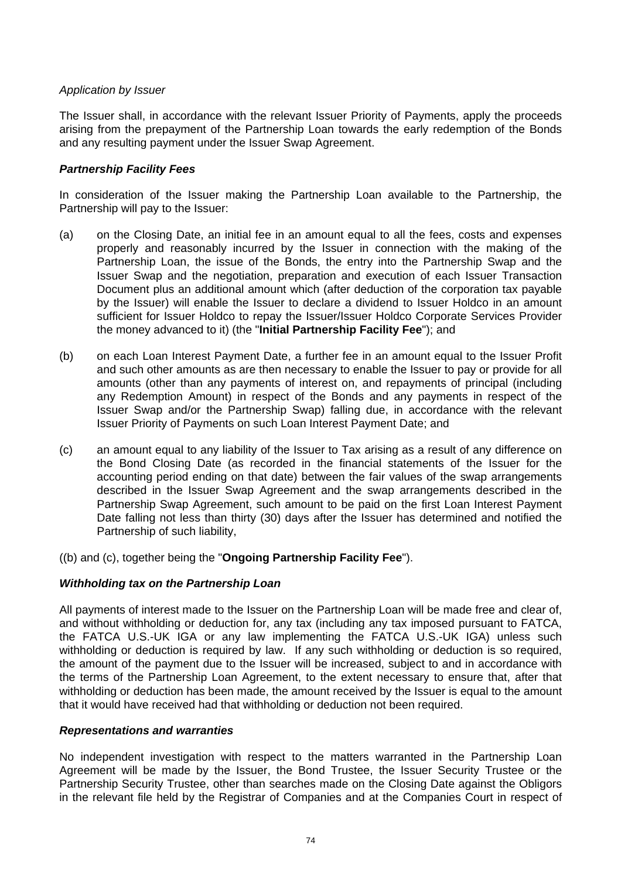## *Application by Issuer*

The Issuer shall, in accordance with the relevant Issuer Priority of Payments, apply the proceeds arising from the prepayment of the Partnership Loan towards the early redemption of the Bonds and any resulting payment under the Issuer Swap Agreement.

## *Partnership Facility Fees*

In consideration of the Issuer making the Partnership Loan available to the Partnership, the Partnership will pay to the Issuer:

- (a) on the Closing Date, an initial fee in an amount equal to all the fees, costs and expenses properly and reasonably incurred by the Issuer in connection with the making of the Partnership Loan, the issue of the Bonds, the entry into the Partnership Swap and the Issuer Swap and the negotiation, preparation and execution of each Issuer Transaction Document plus an additional amount which (after deduction of the corporation tax payable by the Issuer) will enable the Issuer to declare a dividend to Issuer Holdco in an amount sufficient for Issuer Holdco to repay the Issuer/Issuer Holdco Corporate Services Provider the money advanced to it) (the "**Initial Partnership Facility Fee**"); and
- (b) on each Loan Interest Payment Date, a further fee in an amount equal to the Issuer Profit and such other amounts as are then necessary to enable the Issuer to pay or provide for all amounts (other than any payments of interest on, and repayments of principal (including any Redemption Amount) in respect of the Bonds and any payments in respect of the Issuer Swap and/or the Partnership Swap) falling due, in accordance with the relevant Issuer Priority of Payments on such Loan Interest Payment Date; and
- (c) an amount equal to any liability of the Issuer to Tax arising as a result of any difference on the Bond Closing Date (as recorded in the financial statements of the Issuer for the accounting period ending on that date) between the fair values of the swap arrangements described in the Issuer Swap Agreement and the swap arrangements described in the Partnership Swap Agreement, such amount to be paid on the first Loan Interest Payment Date falling not less than thirty (30) days after the Issuer has determined and notified the Partnership of such liability,
- ((b) and (c), together being the "**Ongoing Partnership Facility Fee**").

## *Withholding tax on the Partnership Loan*

All payments of interest made to the Issuer on the Partnership Loan will be made free and clear of, and without withholding or deduction for, any tax (including any tax imposed pursuant to FATCA, the FATCA U.S.-UK IGA or any law implementing the FATCA U.S.-UK IGA) unless such withholding or deduction is required by law. If any such withholding or deduction is so required, the amount of the payment due to the Issuer will be increased, subject to and in accordance with the terms of the Partnership Loan Agreement, to the extent necessary to ensure that, after that withholding or deduction has been made, the amount received by the Issuer is equal to the amount that it would have received had that withholding or deduction not been required.

## *Representations and warranties*

No independent investigation with respect to the matters warranted in the Partnership Loan Agreement will be made by the Issuer, the Bond Trustee, the Issuer Security Trustee or the Partnership Security Trustee, other than searches made on the Closing Date against the Obligors in the relevant file held by the Registrar of Companies and at the Companies Court in respect of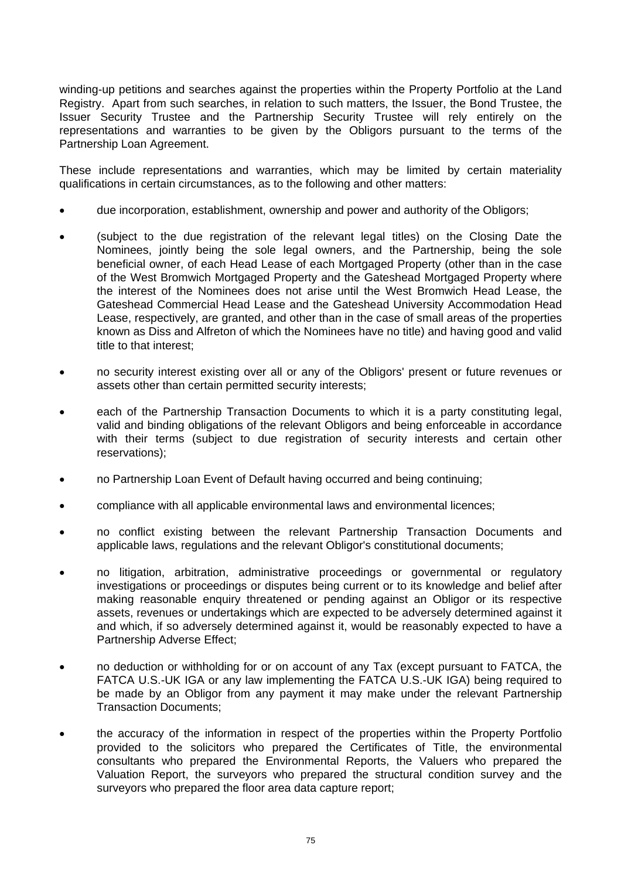winding-up petitions and searches against the properties within the Property Portfolio at the Land Registry. Apart from such searches, in relation to such matters, the Issuer, the Bond Trustee, the Issuer Security Trustee and the Partnership Security Trustee will rely entirely on the representations and warranties to be given by the Obligors pursuant to the terms of the Partnership Loan Agreement.

These include representations and warranties, which may be limited by certain materiality qualifications in certain circumstances, as to the following and other matters:

- due incorporation, establishment, ownership and power and authority of the Obligors;
- (subject to the due registration of the relevant legal titles) on the Closing Date the Nominees, jointly being the sole legal owners, and the Partnership, being the sole beneficial owner, of each Head Lease of each Mortgaged Property (other than in the case of the West Bromwich Mortgaged Property and the Gateshead Mortgaged Property where the interest of the Nominees does not arise until the West Bromwich Head Lease, the Gateshead Commercial Head Lease and the Gateshead University Accommodation Head Lease, respectively, are granted, and other than in the case of small areas of the properties known as Diss and Alfreton of which the Nominees have no title) and having good and valid title to that interest;
- no security interest existing over all or any of the Obligors' present or future revenues or assets other than certain permitted security interests;
- each of the Partnership Transaction Documents to which it is a party constituting legal, valid and binding obligations of the relevant Obligors and being enforceable in accordance with their terms (subject to due registration of security interests and certain other reservations);
- no Partnership Loan Event of Default having occurred and being continuing;
- compliance with all applicable environmental laws and environmental licences;
- no conflict existing between the relevant Partnership Transaction Documents and applicable laws, regulations and the relevant Obligor's constitutional documents;
- no litigation, arbitration, administrative proceedings or governmental or regulatory investigations or proceedings or disputes being current or to its knowledge and belief after making reasonable enquiry threatened or pending against an Obligor or its respective assets, revenues or undertakings which are expected to be adversely determined against it and which, if so adversely determined against it, would be reasonably expected to have a Partnership Adverse Effect;
- no deduction or withholding for or on account of any Tax (except pursuant to FATCA, the FATCA U.S.-UK IGA or any law implementing the FATCA U.S.-UK IGA) being required to be made by an Obligor from any payment it may make under the relevant Partnership Transaction Documents;
- the accuracy of the information in respect of the properties within the Property Portfolio provided to the solicitors who prepared the Certificates of Title, the environmental consultants who prepared the Environmental Reports, the Valuers who prepared the Valuation Report, the surveyors who prepared the structural condition survey and the surveyors who prepared the floor area data capture report;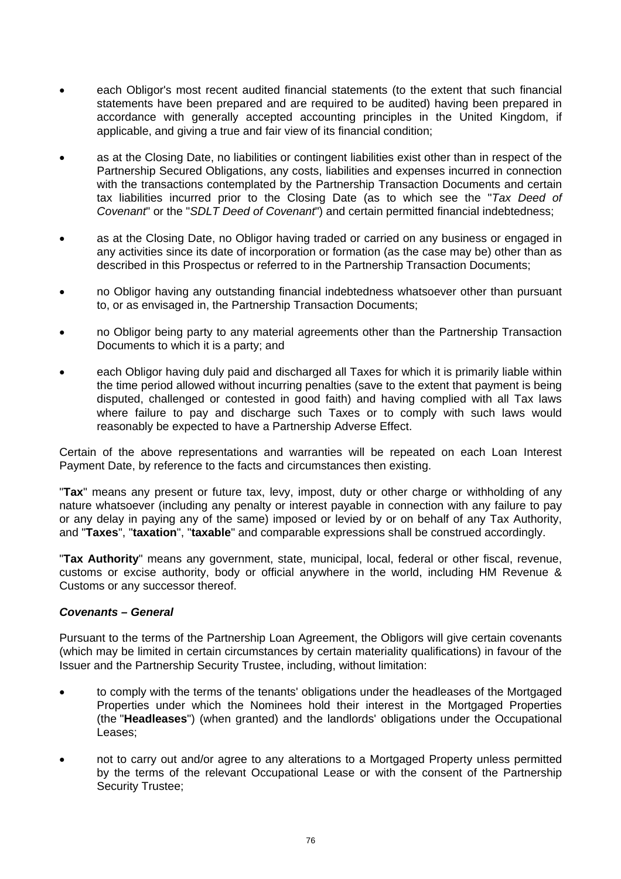- each Obligor's most recent audited financial statements (to the extent that such financial statements have been prepared and are required to be audited) having been prepared in accordance with generally accepted accounting principles in the United Kingdom, if applicable, and giving a true and fair view of its financial condition;
- as at the Closing Date, no liabilities or contingent liabilities exist other than in respect of the Partnership Secured Obligations, any costs, liabilities and expenses incurred in connection with the transactions contemplated by the Partnership Transaction Documents and certain tax liabilities incurred prior to the Closing Date (as to which see the "*Tax Deed of Covenant*" or the "*SDLT Deed of Covenant*") and certain permitted financial indebtedness;
- as at the Closing Date, no Obligor having traded or carried on any business or engaged in any activities since its date of incorporation or formation (as the case may be) other than as described in this Prospectus or referred to in the Partnership Transaction Documents;
- no Obligor having any outstanding financial indebtedness whatsoever other than pursuant to, or as envisaged in, the Partnership Transaction Documents;
- no Obligor being party to any material agreements other than the Partnership Transaction Documents to which it is a party; and
- each Obligor having duly paid and discharged all Taxes for which it is primarily liable within the time period allowed without incurring penalties (save to the extent that payment is being disputed, challenged or contested in good faith) and having complied with all Tax laws where failure to pay and discharge such Taxes or to comply with such laws would reasonably be expected to have a Partnership Adverse Effect.

Certain of the above representations and warranties will be repeated on each Loan Interest Payment Date, by reference to the facts and circumstances then existing.

"**Tax**" means any present or future tax, levy, impost, duty or other charge or withholding of any nature whatsoever (including any penalty or interest payable in connection with any failure to pay or any delay in paying any of the same) imposed or levied by or on behalf of any Tax Authority, and "**Taxes**", "**taxation**", "**taxable**" and comparable expressions shall be construed accordingly.

"**Tax Authority**" means any government, state, municipal, local, federal or other fiscal, revenue, customs or excise authority, body or official anywhere in the world, including HM Revenue & Customs or any successor thereof.

#### *Covenants – General*

Pursuant to the terms of the Partnership Loan Agreement, the Obligors will give certain covenants (which may be limited in certain circumstances by certain materiality qualifications) in favour of the Issuer and the Partnership Security Trustee, including, without limitation:

- to comply with the terms of the tenants' obligations under the headleases of the Mortgaged Properties under which the Nominees hold their interest in the Mortgaged Properties (the "**Headleases**") (when granted) and the landlords' obligations under the Occupational Leases;
- not to carry out and/or agree to any alterations to a Mortgaged Property unless permitted by the terms of the relevant Occupational Lease or with the consent of the Partnership Security Trustee;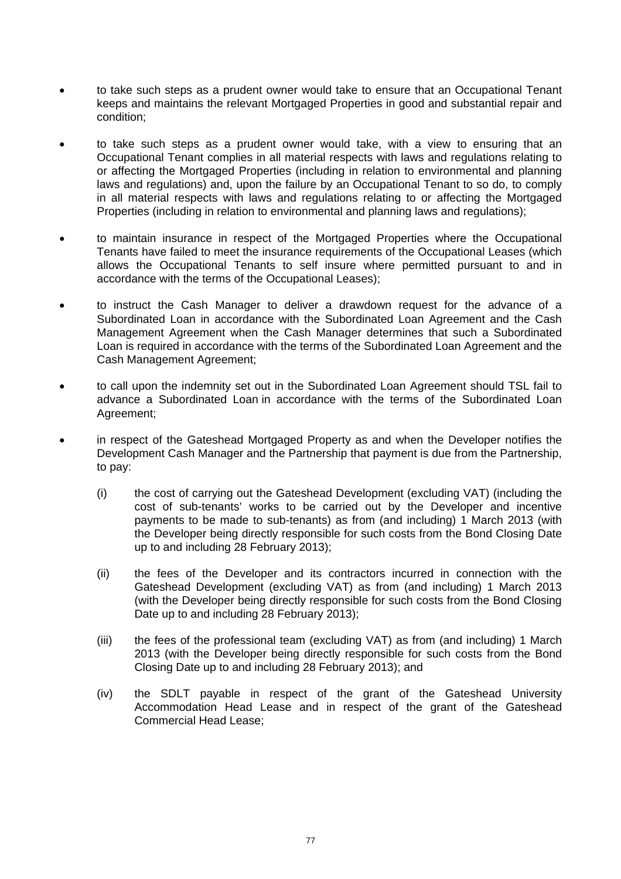- to take such steps as a prudent owner would take to ensure that an Occupational Tenant keeps and maintains the relevant Mortgaged Properties in good and substantial repair and condition;
- to take such steps as a prudent owner would take, with a view to ensuring that an Occupational Tenant complies in all material respects with laws and regulations relating to or affecting the Mortgaged Properties (including in relation to environmental and planning laws and regulations) and, upon the failure by an Occupational Tenant to so do, to comply in all material respects with laws and regulations relating to or affecting the Mortgaged Properties (including in relation to environmental and planning laws and regulations);
- to maintain insurance in respect of the Mortgaged Properties where the Occupational Tenants have failed to meet the insurance requirements of the Occupational Leases (which allows the Occupational Tenants to self insure where permitted pursuant to and in accordance with the terms of the Occupational Leases);
- to instruct the Cash Manager to deliver a drawdown request for the advance of a Subordinated Loan in accordance with the Subordinated Loan Agreement and the Cash Management Agreement when the Cash Manager determines that such a Subordinated Loan is required in accordance with the terms of the Subordinated Loan Agreement and the Cash Management Agreement;
- to call upon the indemnity set out in the Subordinated Loan Agreement should TSL fail to advance a Subordinated Loan in accordance with the terms of the Subordinated Loan Agreement;
- in respect of the Gateshead Mortgaged Property as and when the Developer notifies the Development Cash Manager and the Partnership that payment is due from the Partnership, to pay:
	- (i) the cost of carrying out the Gateshead Development (excluding VAT) (including the cost of sub-tenants' works to be carried out by the Developer and incentive payments to be made to sub-tenants) as from (and including) 1 March 2013 (with the Developer being directly responsible for such costs from the Bond Closing Date up to and including 28 February 2013);
	- (ii) the fees of the Developer and its contractors incurred in connection with the Gateshead Development (excluding VAT) as from (and including) 1 March 2013 (with the Developer being directly responsible for such costs from the Bond Closing Date up to and including 28 February 2013);
	- (iii) the fees of the professional team (excluding VAT) as from (and including) 1 March 2013 (with the Developer being directly responsible for such costs from the Bond Closing Date up to and including 28 February 2013); and
	- (iv) the SDLT payable in respect of the grant of the Gateshead University Accommodation Head Lease and in respect of the grant of the Gateshead Commercial Head Lease;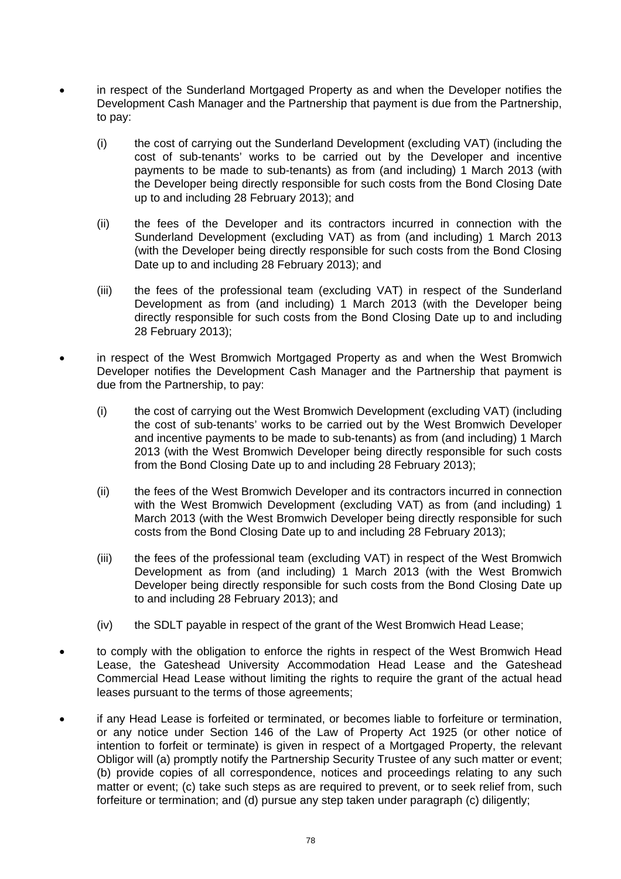- in respect of the Sunderland Mortgaged Property as and when the Developer notifies the Development Cash Manager and the Partnership that payment is due from the Partnership, to pay:
	- (i) the cost of carrying out the Sunderland Development (excluding VAT) (including the cost of sub-tenants' works to be carried out by the Developer and incentive payments to be made to sub-tenants) as from (and including) 1 March 2013 (with the Developer being directly responsible for such costs from the Bond Closing Date up to and including 28 February 2013); and
	- (ii) the fees of the Developer and its contractors incurred in connection with the Sunderland Development (excluding VAT) as from (and including) 1 March 2013 (with the Developer being directly responsible for such costs from the Bond Closing Date up to and including 28 February 2013); and
	- (iii) the fees of the professional team (excluding VAT) in respect of the Sunderland Development as from (and including) 1 March 2013 (with the Developer being directly responsible for such costs from the Bond Closing Date up to and including 28 February 2013);
- in respect of the West Bromwich Mortgaged Property as and when the West Bromwich Developer notifies the Development Cash Manager and the Partnership that payment is due from the Partnership, to pay:
	- (i) the cost of carrying out the West Bromwich Development (excluding VAT) (including the cost of sub-tenants' works to be carried out by the West Bromwich Developer and incentive payments to be made to sub-tenants) as from (and including) 1 March 2013 (with the West Bromwich Developer being directly responsible for such costs from the Bond Closing Date up to and including 28 February 2013);
	- (ii) the fees of the West Bromwich Developer and its contractors incurred in connection with the West Bromwich Development (excluding VAT) as from (and including) 1 March 2013 (with the West Bromwich Developer being directly responsible for such costs from the Bond Closing Date up to and including 28 February 2013);
	- (iii) the fees of the professional team (excluding VAT) in respect of the West Bromwich Development as from (and including) 1 March 2013 (with the West Bromwich Developer being directly responsible for such costs from the Bond Closing Date up to and including 28 February 2013); and
	- (iv) the SDLT payable in respect of the grant of the West Bromwich Head Lease;
- to comply with the obligation to enforce the rights in respect of the West Bromwich Head Lease, the Gateshead University Accommodation Head Lease and the Gateshead Commercial Head Lease without limiting the rights to require the grant of the actual head leases pursuant to the terms of those agreements;
- if any Head Lease is forfeited or terminated, or becomes liable to forfeiture or termination, or any notice under Section 146 of the Law of Property Act 1925 (or other notice of intention to forfeit or terminate) is given in respect of a Mortgaged Property, the relevant Obligor will (a) promptly notify the Partnership Security Trustee of any such matter or event; (b) provide copies of all correspondence, notices and proceedings relating to any such matter or event; (c) take such steps as are required to prevent, or to seek relief from, such forfeiture or termination; and (d) pursue any step taken under paragraph (c) diligently;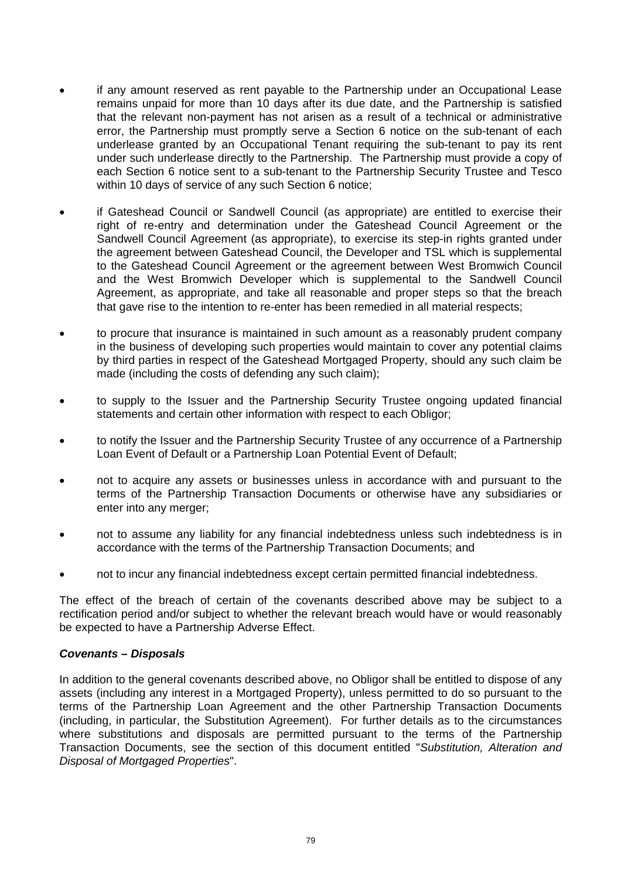- if any amount reserved as rent payable to the Partnership under an Occupational Lease remains unpaid for more than 10 days after its due date, and the Partnership is satisfied that the relevant non-payment has not arisen as a result of a technical or administrative error, the Partnership must promptly serve a Section 6 notice on the sub-tenant of each underlease granted by an Occupational Tenant requiring the sub-tenant to pay its rent under such underlease directly to the Partnership. The Partnership must provide a copy of each Section 6 notice sent to a sub-tenant to the Partnership Security Trustee and Tesco within 10 days of service of any such Section 6 notice;
- if Gateshead Council or Sandwell Council (as appropriate) are entitled to exercise their right of re-entry and determination under the Gateshead Council Agreement or the Sandwell Council Agreement (as appropriate), to exercise its step-in rights granted under the agreement between Gateshead Council, the Developer and TSL which is supplemental to the Gateshead Council Agreement or the agreement between West Bromwich Council and the West Bromwich Developer which is supplemental to the Sandwell Council Agreement, as appropriate, and take all reasonable and proper steps so that the breach that gave rise to the intention to re-enter has been remedied in all material respects;
- to procure that insurance is maintained in such amount as a reasonably prudent company in the business of developing such properties would maintain to cover any potential claims by third parties in respect of the Gateshead Mortgaged Property, should any such claim be made (including the costs of defending any such claim);
- to supply to the Issuer and the Partnership Security Trustee ongoing updated financial statements and certain other information with respect to each Obligor;
- to notify the Issuer and the Partnership Security Trustee of any occurrence of a Partnership Loan Event of Default or a Partnership Loan Potential Event of Default;
- not to acquire any assets or businesses unless in accordance with and pursuant to the terms of the Partnership Transaction Documents or otherwise have any subsidiaries or enter into any merger;
- not to assume any liability for any financial indebtedness unless such indebtedness is in accordance with the terms of the Partnership Transaction Documents; and
- not to incur any financial indebtedness except certain permitted financial indebtedness.

The effect of the breach of certain of the covenants described above may be subject to a rectification period and/or subject to whether the relevant breach would have or would reasonably be expected to have a Partnership Adverse Effect.

## *Covenants – Disposals*

In addition to the general covenants described above, no Obligor shall be entitled to dispose of any assets (including any interest in a Mortgaged Property), unless permitted to do so pursuant to the terms of the Partnership Loan Agreement and the other Partnership Transaction Documents (including, in particular, the Substitution Agreement). For further details as to the circumstances where substitutions and disposals are permitted pursuant to the terms of the Partnership Transaction Documents, see the section of this document entitled "*Substitution, Alteration and Disposal of Mortgaged Properties*".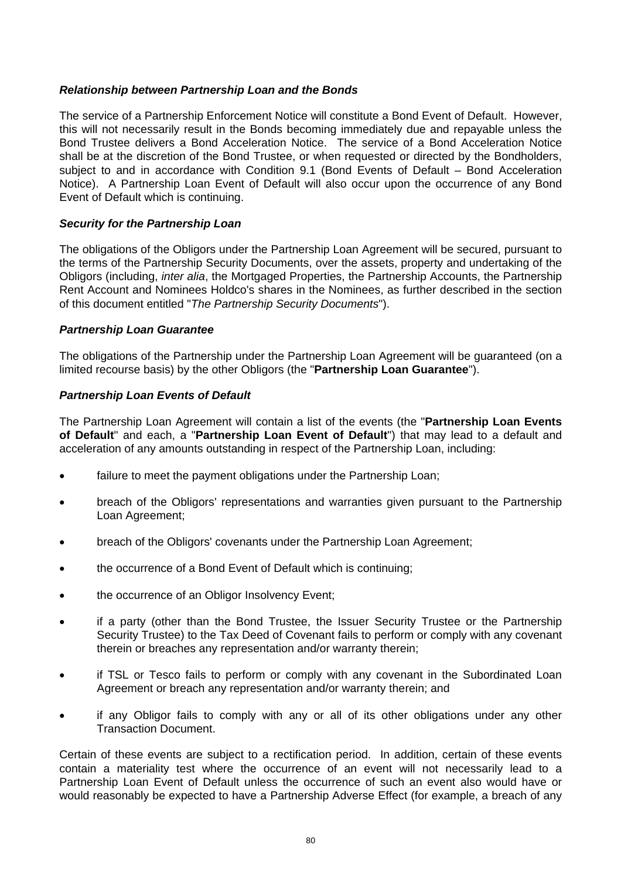### *Relationship between Partnership Loan and the Bonds*

The service of a Partnership Enforcement Notice will constitute a Bond Event of Default. However, this will not necessarily result in the Bonds becoming immediately due and repayable unless the Bond Trustee delivers a Bond Acceleration Notice. The service of a Bond Acceleration Notice shall be at the discretion of the Bond Trustee, or when requested or directed by the Bondholders, subject to and in accordance with Condition 9.1 (Bond Events of Default – Bond Acceleration Notice). A Partnership Loan Event of Default will also occur upon the occurrence of any Bond Event of Default which is continuing.

## *Security for the Partnership Loan*

The obligations of the Obligors under the Partnership Loan Agreement will be secured, pursuant to the terms of the Partnership Security Documents, over the assets, property and undertaking of the Obligors (including, *inter alia*, the Mortgaged Properties, the Partnership Accounts, the Partnership Rent Account and Nominees Holdco's shares in the Nominees, as further described in the section of this document entitled "*The Partnership Security Documents*").

### *Partnership Loan Guarantee*

The obligations of the Partnership under the Partnership Loan Agreement will be guaranteed (on a limited recourse basis) by the other Obligors (the "**Partnership Loan Guarantee**").

## *Partnership Loan Events of Default*

The Partnership Loan Agreement will contain a list of the events (the "**Partnership Loan Events of Default**" and each, a "**Partnership Loan Event of Default**") that may lead to a default and acceleration of any amounts outstanding in respect of the Partnership Loan, including:

- failure to meet the payment obligations under the Partnership Loan:
- breach of the Obligors' representations and warranties given pursuant to the Partnership Loan Agreement;
- breach of the Obligors' covenants under the Partnership Loan Agreement;
- the occurrence of a Bond Event of Default which is continuing;
- the occurrence of an Obligor Insolvency Event;
- if a party (other than the Bond Trustee, the Issuer Security Trustee or the Partnership Security Trustee) to the Tax Deed of Covenant fails to perform or comply with any covenant therein or breaches any representation and/or warranty therein;
- if TSL or Tesco fails to perform or comply with any covenant in the Subordinated Loan Agreement or breach any representation and/or warranty therein; and
- if any Obligor fails to comply with any or all of its other obligations under any other Transaction Document.

Certain of these events are subject to a rectification period. In addition, certain of these events contain a materiality test where the occurrence of an event will not necessarily lead to a Partnership Loan Event of Default unless the occurrence of such an event also would have or would reasonably be expected to have a Partnership Adverse Effect (for example, a breach of any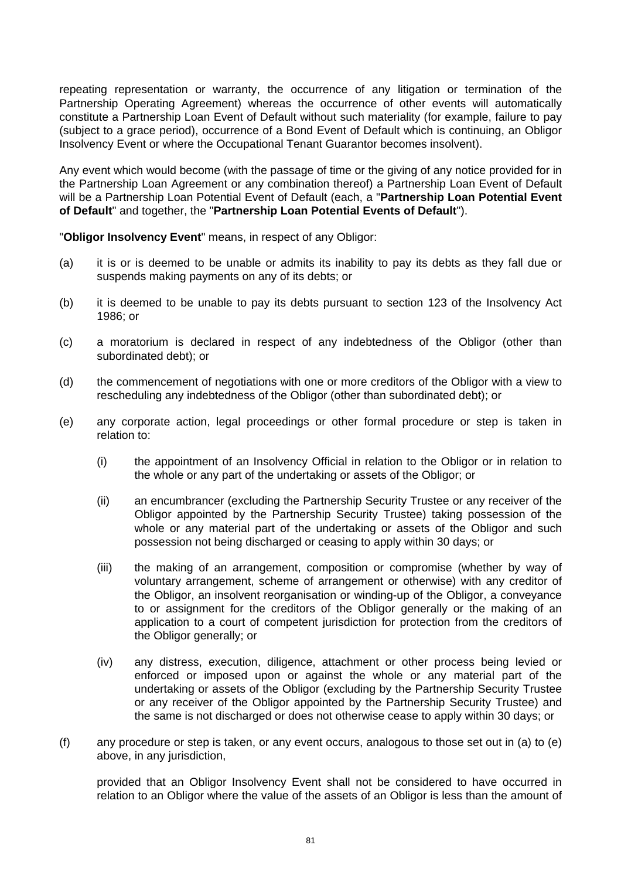repeating representation or warranty, the occurrence of any litigation or termination of the Partnership Operating Agreement) whereas the occurrence of other events will automatically constitute a Partnership Loan Event of Default without such materiality (for example, failure to pay (subject to a grace period), occurrence of a Bond Event of Default which is continuing, an Obligor Insolvency Event or where the Occupational Tenant Guarantor becomes insolvent).

Any event which would become (with the passage of time or the giving of any notice provided for in the Partnership Loan Agreement or any combination thereof) a Partnership Loan Event of Default will be a Partnership Loan Potential Event of Default (each, a "**Partnership Loan Potential Event of Default**" and together, the "**Partnership Loan Potential Events of Default**").

"**Obligor Insolvency Event**" means, in respect of any Obligor:

- (a) it is or is deemed to be unable or admits its inability to pay its debts as they fall due or suspends making payments on any of its debts; or
- (b) it is deemed to be unable to pay its debts pursuant to section 123 of the Insolvency Act 1986; or
- (c) a moratorium is declared in respect of any indebtedness of the Obligor (other than subordinated debt); or
- (d) the commencement of negotiations with one or more creditors of the Obligor with a view to rescheduling any indebtedness of the Obligor (other than subordinated debt); or
- (e) any corporate action, legal proceedings or other formal procedure or step is taken in relation to:
	- (i) the appointment of an Insolvency Official in relation to the Obligor or in relation to the whole or any part of the undertaking or assets of the Obligor; or
	- (ii) an encumbrancer (excluding the Partnership Security Trustee or any receiver of the Obligor appointed by the Partnership Security Trustee) taking possession of the whole or any material part of the undertaking or assets of the Obligor and such possession not being discharged or ceasing to apply within 30 days; or
	- (iii) the making of an arrangement, composition or compromise (whether by way of voluntary arrangement, scheme of arrangement or otherwise) with any creditor of the Obligor, an insolvent reorganisation or winding-up of the Obligor, a conveyance to or assignment for the creditors of the Obligor generally or the making of an application to a court of competent jurisdiction for protection from the creditors of the Obligor generally; or
	- (iv) any distress, execution, diligence, attachment or other process being levied or enforced or imposed upon or against the whole or any material part of the undertaking or assets of the Obligor (excluding by the Partnership Security Trustee or any receiver of the Obligor appointed by the Partnership Security Trustee) and the same is not discharged or does not otherwise cease to apply within 30 days; or
- (f) any procedure or step is taken, or any event occurs, analogous to those set out in (a) to (e) above, in any jurisdiction,

provided that an Obligor Insolvency Event shall not be considered to have occurred in relation to an Obligor where the value of the assets of an Obligor is less than the amount of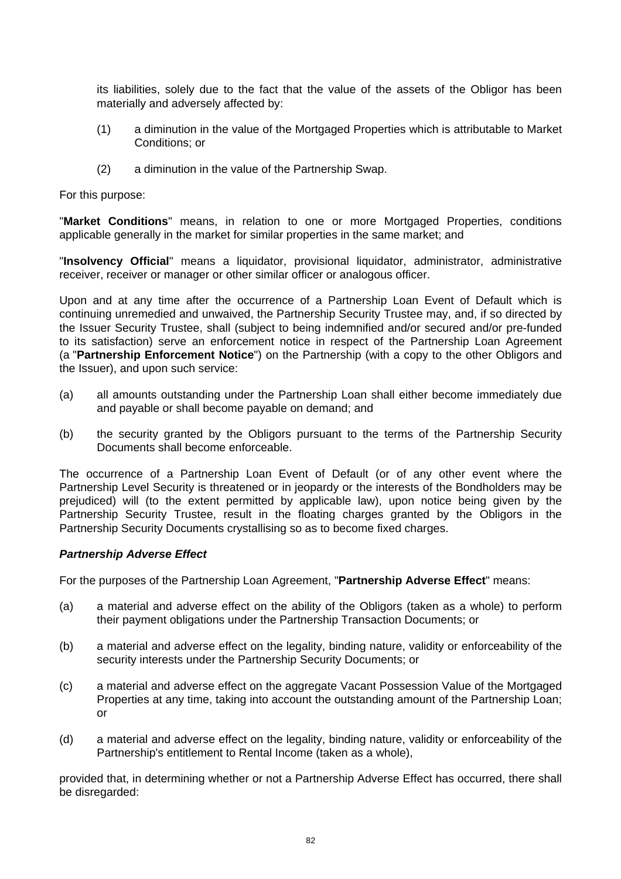its liabilities, solely due to the fact that the value of the assets of the Obligor has been materially and adversely affected by:

- (1) a diminution in the value of the Mortgaged Properties which is attributable to Market Conditions; or
- (2) a diminution in the value of the Partnership Swap.

For this purpose:

"**Market Conditions**" means, in relation to one or more Mortgaged Properties, conditions applicable generally in the market for similar properties in the same market; and

"**Insolvency Official**" means a liquidator, provisional liquidator, administrator, administrative receiver, receiver or manager or other similar officer or analogous officer.

Upon and at any time after the occurrence of a Partnership Loan Event of Default which is continuing unremedied and unwaived, the Partnership Security Trustee may, and, if so directed by the Issuer Security Trustee, shall (subject to being indemnified and/or secured and/or pre-funded to its satisfaction) serve an enforcement notice in respect of the Partnership Loan Agreement (a "**Partnership Enforcement Notice**") on the Partnership (with a copy to the other Obligors and the Issuer), and upon such service:

- (a) all amounts outstanding under the Partnership Loan shall either become immediately due and payable or shall become payable on demand; and
- (b) the security granted by the Obligors pursuant to the terms of the Partnership Security Documents shall become enforceable.

The occurrence of a Partnership Loan Event of Default (or of any other event where the Partnership Level Security is threatened or in jeopardy or the interests of the Bondholders may be prejudiced) will (to the extent permitted by applicable law), upon notice being given by the Partnership Security Trustee, result in the floating charges granted by the Obligors in the Partnership Security Documents crystallising so as to become fixed charges.

#### *Partnership Adverse Effect*

For the purposes of the Partnership Loan Agreement, "**Partnership Adverse Effect**" means:

- (a) a material and adverse effect on the ability of the Obligors (taken as a whole) to perform their payment obligations under the Partnership Transaction Documents; or
- (b) a material and adverse effect on the legality, binding nature, validity or enforceability of the security interests under the Partnership Security Documents; or
- (c) a material and adverse effect on the aggregate Vacant Possession Value of the Mortgaged Properties at any time, taking into account the outstanding amount of the Partnership Loan; or
- (d) a material and adverse effect on the legality, binding nature, validity or enforceability of the Partnership's entitlement to Rental Income (taken as a whole),

provided that, in determining whether or not a Partnership Adverse Effect has occurred, there shall be disregarded: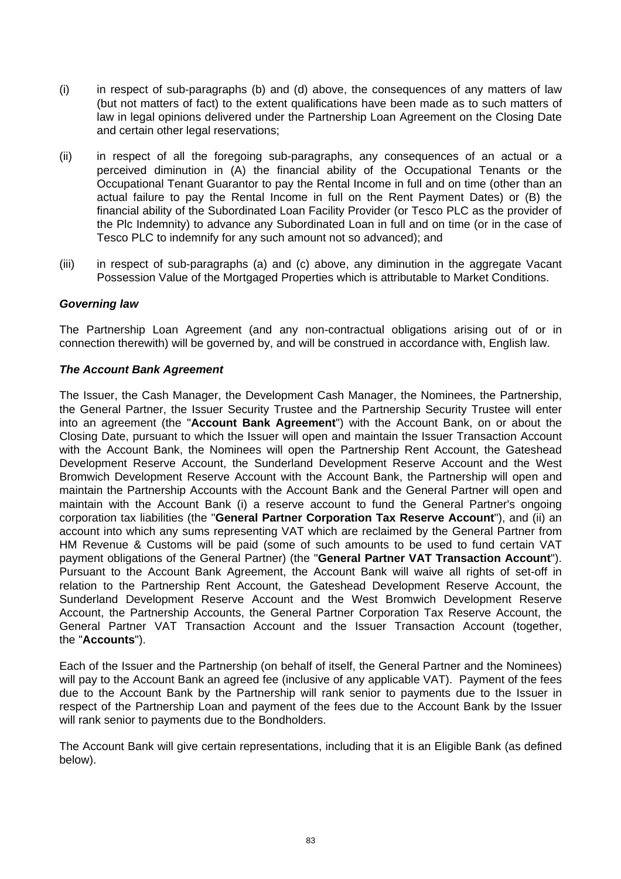- (i) in respect of sub-paragraphs (b) and (d) above, the consequences of any matters of law (but not matters of fact) to the extent qualifications have been made as to such matters of law in legal opinions delivered under the Partnership Loan Agreement on the Closing Date and certain other legal reservations;
- (ii) in respect of all the foregoing sub-paragraphs, any consequences of an actual or a perceived diminution in (A) the financial ability of the Occupational Tenants or the Occupational Tenant Guarantor to pay the Rental Income in full and on time (other than an actual failure to pay the Rental Income in full on the Rent Payment Dates) or (B) the financial ability of the Subordinated Loan Facility Provider (or Tesco PLC as the provider of the Plc Indemnity) to advance any Subordinated Loan in full and on time (or in the case of Tesco PLC to indemnify for any such amount not so advanced); and
- (iii) in respect of sub-paragraphs (a) and (c) above, any diminution in the aggregate Vacant Possession Value of the Mortgaged Properties which is attributable to Market Conditions.

### *Governing law*

The Partnership Loan Agreement (and any non-contractual obligations arising out of or in connection therewith) will be governed by, and will be construed in accordance with, English law.

### *The Account Bank Agreement*

The Issuer, the Cash Manager, the Development Cash Manager, the Nominees, the Partnership, the General Partner, the Issuer Security Trustee and the Partnership Security Trustee will enter into an agreement (the "**Account Bank Agreement**") with the Account Bank, on or about the Closing Date, pursuant to which the Issuer will open and maintain the Issuer Transaction Account with the Account Bank, the Nominees will open the Partnership Rent Account, the Gateshead Development Reserve Account, the Sunderland Development Reserve Account and the West Bromwich Development Reserve Account with the Account Bank, the Partnership will open and maintain the Partnership Accounts with the Account Bank and the General Partner will open and maintain with the Account Bank (i) a reserve account to fund the General Partner's ongoing corporation tax liabilities (the "**General Partner Corporation Tax Reserve Account**"), and (ii) an account into which any sums representing VAT which are reclaimed by the General Partner from HM Revenue & Customs will be paid (some of such amounts to be used to fund certain VAT payment obligations of the General Partner) (the "**General Partner VAT Transaction Account**"). Pursuant to the Account Bank Agreement, the Account Bank will waive all rights of set-off in relation to the Partnership Rent Account, the Gateshead Development Reserve Account, the Sunderland Development Reserve Account and the West Bromwich Development Reserve Account, the Partnership Accounts, the General Partner Corporation Tax Reserve Account, the General Partner VAT Transaction Account and the Issuer Transaction Account (together, the "**Accounts**").

Each of the Issuer and the Partnership (on behalf of itself, the General Partner and the Nominees) will pay to the Account Bank an agreed fee (inclusive of any applicable VAT). Payment of the fees due to the Account Bank by the Partnership will rank senior to payments due to the Issuer in respect of the Partnership Loan and payment of the fees due to the Account Bank by the Issuer will rank senior to payments due to the Bondholders.

The Account Bank will give certain representations, including that it is an Eligible Bank (as defined below).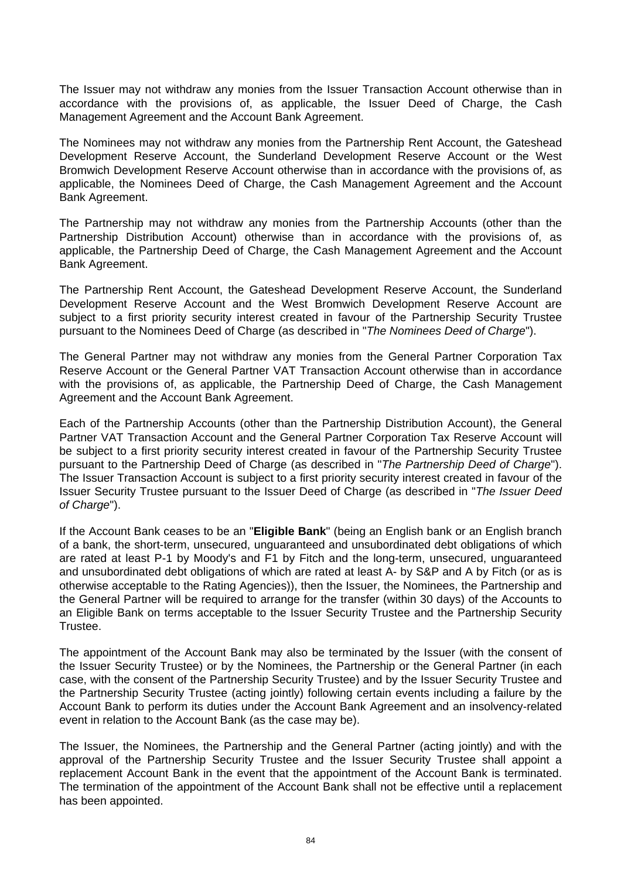The Issuer may not withdraw any monies from the Issuer Transaction Account otherwise than in accordance with the provisions of, as applicable, the Issuer Deed of Charge, the Cash Management Agreement and the Account Bank Agreement.

The Nominees may not withdraw any monies from the Partnership Rent Account, the Gateshead Development Reserve Account, the Sunderland Development Reserve Account or the West Bromwich Development Reserve Account otherwise than in accordance with the provisions of, as applicable, the Nominees Deed of Charge, the Cash Management Agreement and the Account Bank Agreement.

The Partnership may not withdraw any monies from the Partnership Accounts (other than the Partnership Distribution Account) otherwise than in accordance with the provisions of, as applicable, the Partnership Deed of Charge, the Cash Management Agreement and the Account Bank Agreement.

The Partnership Rent Account, the Gateshead Development Reserve Account, the Sunderland Development Reserve Account and the West Bromwich Development Reserve Account are subject to a first priority security interest created in favour of the Partnership Security Trustee pursuant to the Nominees Deed of Charge (as described in "*The Nominees Deed of Charge*").

The General Partner may not withdraw any monies from the General Partner Corporation Tax Reserve Account or the General Partner VAT Transaction Account otherwise than in accordance with the provisions of, as applicable, the Partnership Deed of Charge, the Cash Management Agreement and the Account Bank Agreement.

Each of the Partnership Accounts (other than the Partnership Distribution Account), the General Partner VAT Transaction Account and the General Partner Corporation Tax Reserve Account will be subject to a first priority security interest created in favour of the Partnership Security Trustee pursuant to the Partnership Deed of Charge (as described in "*The Partnership Deed of Charge*"). The Issuer Transaction Account is subject to a first priority security interest created in favour of the Issuer Security Trustee pursuant to the Issuer Deed of Charge (as described in "*The Issuer Deed of Charge*").

If the Account Bank ceases to be an "**Eligible Bank**" (being an English bank or an English branch of a bank, the short-term, unsecured, unguaranteed and unsubordinated debt obligations of which are rated at least P-1 by Moody's and F1 by Fitch and the long-term, unsecured, unguaranteed and unsubordinated debt obligations of which are rated at least A- by S&P and A by Fitch (or as is otherwise acceptable to the Rating Agencies)), then the Issuer, the Nominees, the Partnership and the General Partner will be required to arrange for the transfer (within 30 days) of the Accounts to an Eligible Bank on terms acceptable to the Issuer Security Trustee and the Partnership Security Trustee.

The appointment of the Account Bank may also be terminated by the Issuer (with the consent of the Issuer Security Trustee) or by the Nominees, the Partnership or the General Partner (in each case, with the consent of the Partnership Security Trustee) and by the Issuer Security Trustee and the Partnership Security Trustee (acting jointly) following certain events including a failure by the Account Bank to perform its duties under the Account Bank Agreement and an insolvency-related event in relation to the Account Bank (as the case may be).

The Issuer, the Nominees, the Partnership and the General Partner (acting jointly) and with the approval of the Partnership Security Trustee and the Issuer Security Trustee shall appoint a replacement Account Bank in the event that the appointment of the Account Bank is terminated. The termination of the appointment of the Account Bank shall not be effective until a replacement has been appointed.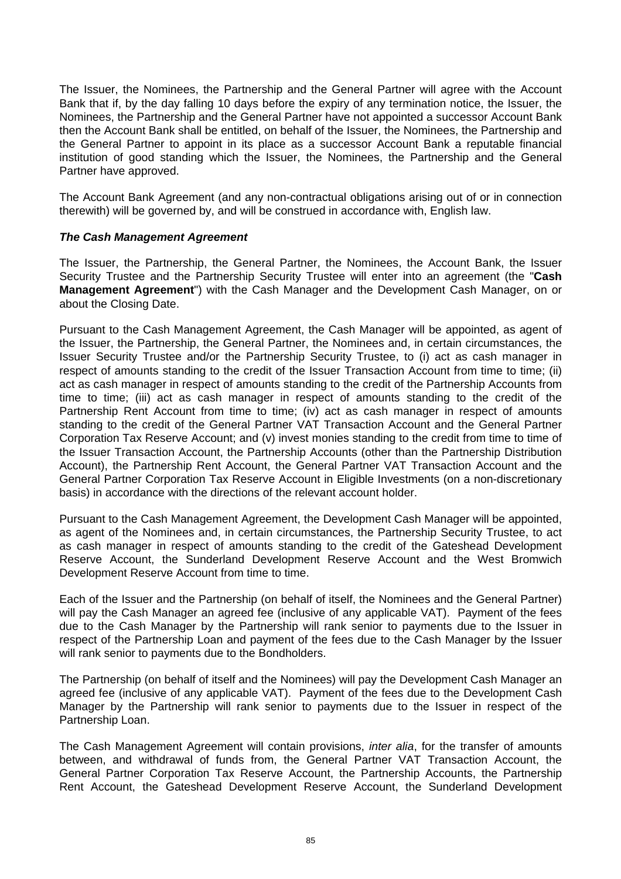The Issuer, the Nominees, the Partnership and the General Partner will agree with the Account Bank that if, by the day falling 10 days before the expiry of any termination notice, the Issuer, the Nominees, the Partnership and the General Partner have not appointed a successor Account Bank then the Account Bank shall be entitled, on behalf of the Issuer, the Nominees, the Partnership and the General Partner to appoint in its place as a successor Account Bank a reputable financial institution of good standing which the Issuer, the Nominees, the Partnership and the General Partner have approved.

The Account Bank Agreement (and any non-contractual obligations arising out of or in connection therewith) will be governed by, and will be construed in accordance with, English law.

### *The Cash Management Agreement*

The Issuer, the Partnership, the General Partner, the Nominees, the Account Bank, the Issuer Security Trustee and the Partnership Security Trustee will enter into an agreement (the "**Cash Management Agreement**") with the Cash Manager and the Development Cash Manager, on or about the Closing Date.

Pursuant to the Cash Management Agreement, the Cash Manager will be appointed, as agent of the Issuer, the Partnership, the General Partner, the Nominees and, in certain circumstances, the Issuer Security Trustee and/or the Partnership Security Trustee, to (i) act as cash manager in respect of amounts standing to the credit of the Issuer Transaction Account from time to time; (ii) act as cash manager in respect of amounts standing to the credit of the Partnership Accounts from time to time; (iii) act as cash manager in respect of amounts standing to the credit of the Partnership Rent Account from time to time; (iv) act as cash manager in respect of amounts standing to the credit of the General Partner VAT Transaction Account and the General Partner Corporation Tax Reserve Account; and (v) invest monies standing to the credit from time to time of the Issuer Transaction Account, the Partnership Accounts (other than the Partnership Distribution Account), the Partnership Rent Account, the General Partner VAT Transaction Account and the General Partner Corporation Tax Reserve Account in Eligible Investments (on a non-discretionary basis) in accordance with the directions of the relevant account holder.

Pursuant to the Cash Management Agreement, the Development Cash Manager will be appointed, as agent of the Nominees and, in certain circumstances, the Partnership Security Trustee, to act as cash manager in respect of amounts standing to the credit of the Gateshead Development Reserve Account, the Sunderland Development Reserve Account and the West Bromwich Development Reserve Account from time to time.

Each of the Issuer and the Partnership (on behalf of itself, the Nominees and the General Partner) will pay the Cash Manager an agreed fee (inclusive of any applicable VAT). Payment of the fees due to the Cash Manager by the Partnership will rank senior to payments due to the Issuer in respect of the Partnership Loan and payment of the fees due to the Cash Manager by the Issuer will rank senior to payments due to the Bondholders.

The Partnership (on behalf of itself and the Nominees) will pay the Development Cash Manager an agreed fee (inclusive of any applicable VAT). Payment of the fees due to the Development Cash Manager by the Partnership will rank senior to payments due to the Issuer in respect of the Partnership Loan.

The Cash Management Agreement will contain provisions, *inter alia*, for the transfer of amounts between, and withdrawal of funds from, the General Partner VAT Transaction Account, the General Partner Corporation Tax Reserve Account, the Partnership Accounts, the Partnership Rent Account, the Gateshead Development Reserve Account, the Sunderland Development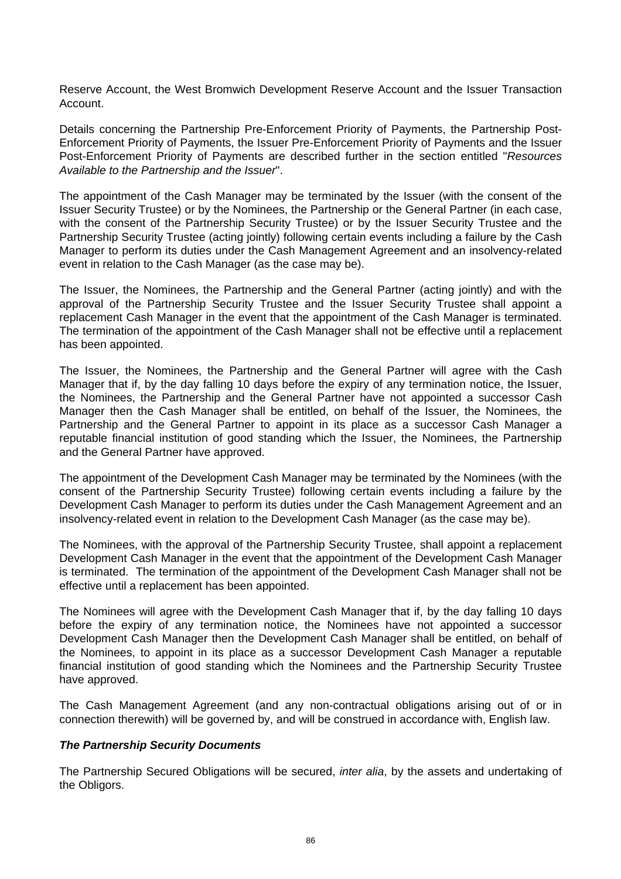Reserve Account, the West Bromwich Development Reserve Account and the Issuer Transaction Account.

Details concerning the Partnership Pre-Enforcement Priority of Payments, the Partnership Post-Enforcement Priority of Payments, the Issuer Pre-Enforcement Priority of Payments and the Issuer Post-Enforcement Priority of Payments are described further in the section entitled "*Resources Available to the Partnership and the Issuer*".

The appointment of the Cash Manager may be terminated by the Issuer (with the consent of the Issuer Security Trustee) or by the Nominees, the Partnership or the General Partner (in each case, with the consent of the Partnership Security Trustee) or by the Issuer Security Trustee and the Partnership Security Trustee (acting jointly) following certain events including a failure by the Cash Manager to perform its duties under the Cash Management Agreement and an insolvency-related event in relation to the Cash Manager (as the case may be).

The Issuer, the Nominees, the Partnership and the General Partner (acting jointly) and with the approval of the Partnership Security Trustee and the Issuer Security Trustee shall appoint a replacement Cash Manager in the event that the appointment of the Cash Manager is terminated. The termination of the appointment of the Cash Manager shall not be effective until a replacement has been appointed.

The Issuer, the Nominees, the Partnership and the General Partner will agree with the Cash Manager that if, by the day falling 10 days before the expiry of any termination notice, the Issuer, the Nominees, the Partnership and the General Partner have not appointed a successor Cash Manager then the Cash Manager shall be entitled, on behalf of the Issuer, the Nominees, the Partnership and the General Partner to appoint in its place as a successor Cash Manager a reputable financial institution of good standing which the Issuer, the Nominees, the Partnership and the General Partner have approved.

The appointment of the Development Cash Manager may be terminated by the Nominees (with the consent of the Partnership Security Trustee) following certain events including a failure by the Development Cash Manager to perform its duties under the Cash Management Agreement and an insolvency-related event in relation to the Development Cash Manager (as the case may be).

The Nominees, with the approval of the Partnership Security Trustee, shall appoint a replacement Development Cash Manager in the event that the appointment of the Development Cash Manager is terminated. The termination of the appointment of the Development Cash Manager shall not be effective until a replacement has been appointed.

The Nominees will agree with the Development Cash Manager that if, by the day falling 10 days before the expiry of any termination notice, the Nominees have not appointed a successor Development Cash Manager then the Development Cash Manager shall be entitled, on behalf of the Nominees, to appoint in its place as a successor Development Cash Manager a reputable financial institution of good standing which the Nominees and the Partnership Security Trustee have approved.

The Cash Management Agreement (and any non-contractual obligations arising out of or in connection therewith) will be governed by, and will be construed in accordance with, English law.

#### *The Partnership Security Documents*

The Partnership Secured Obligations will be secured, *inter alia*, by the assets and undertaking of the Obligors.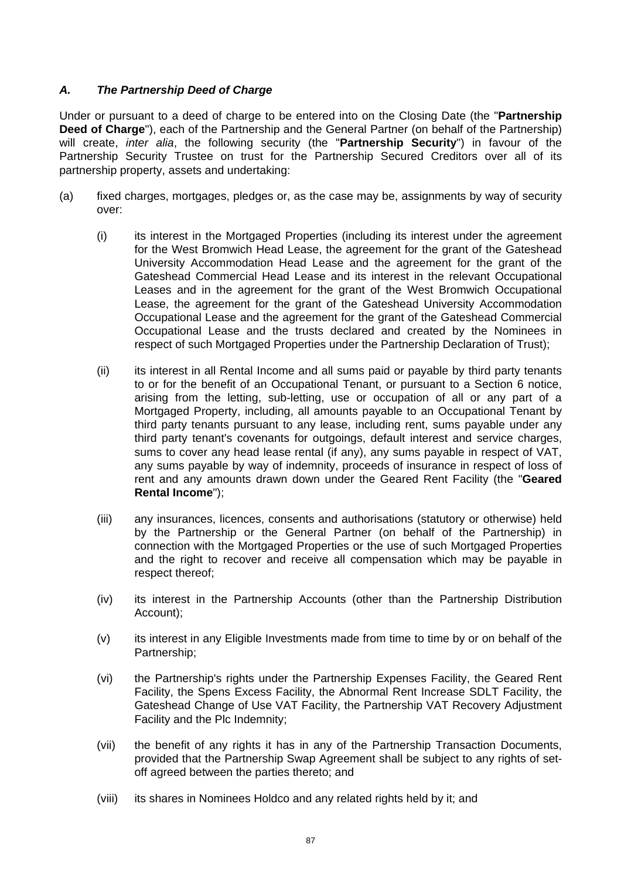# *A. The Partnership Deed of Charge*

Under or pursuant to a deed of charge to be entered into on the Closing Date (the "**Partnership Deed of Charge**"), each of the Partnership and the General Partner (on behalf of the Partnership) will create, *inter alia*, the following security (the "**Partnership Security**") in favour of the Partnership Security Trustee on trust for the Partnership Secured Creditors over all of its partnership property, assets and undertaking:

- (a) fixed charges, mortgages, pledges or, as the case may be, assignments by way of security over:
	- (i) its interest in the Mortgaged Properties (including its interest under the agreement for the West Bromwich Head Lease, the agreement for the grant of the Gateshead University Accommodation Head Lease and the agreement for the grant of the Gateshead Commercial Head Lease and its interest in the relevant Occupational Leases and in the agreement for the grant of the West Bromwich Occupational Lease, the agreement for the grant of the Gateshead University Accommodation Occupational Lease and the agreement for the grant of the Gateshead Commercial Occupational Lease and the trusts declared and created by the Nominees in respect of such Mortgaged Properties under the Partnership Declaration of Trust);
	- (ii) its interest in all Rental Income and all sums paid or payable by third party tenants to or for the benefit of an Occupational Tenant, or pursuant to a Section 6 notice, arising from the letting, sub-letting, use or occupation of all or any part of a Mortgaged Property, including, all amounts payable to an Occupational Tenant by third party tenants pursuant to any lease, including rent, sums payable under any third party tenant's covenants for outgoings, default interest and service charges, sums to cover any head lease rental (if any), any sums payable in respect of VAT, any sums payable by way of indemnity, proceeds of insurance in respect of loss of rent and any amounts drawn down under the Geared Rent Facility (the "**Geared Rental Income**");
	- (iii) any insurances, licences, consents and authorisations (statutory or otherwise) held by the Partnership or the General Partner (on behalf of the Partnership) in connection with the Mortgaged Properties or the use of such Mortgaged Properties and the right to recover and receive all compensation which may be payable in respect thereof;
	- (iv) its interest in the Partnership Accounts (other than the Partnership Distribution Account);
	- $(v)$  its interest in any Eligible Investments made from time to time by or on behalf of the Partnership;
	- (vi) the Partnership's rights under the Partnership Expenses Facility, the Geared Rent Facility, the Spens Excess Facility, the Abnormal Rent Increase SDLT Facility, the Gateshead Change of Use VAT Facility, the Partnership VAT Recovery Adjustment Facility and the Plc Indemnity;
	- (vii) the benefit of any rights it has in any of the Partnership Transaction Documents, provided that the Partnership Swap Agreement shall be subject to any rights of setoff agreed between the parties thereto; and
	- (viii) its shares in Nominees Holdco and any related rights held by it; and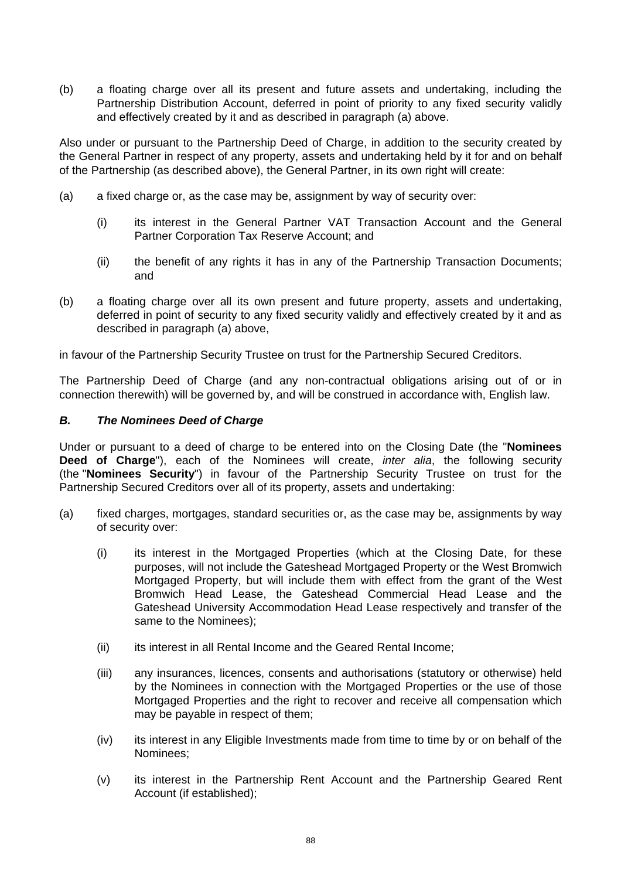(b) a floating charge over all its present and future assets and undertaking, including the Partnership Distribution Account, deferred in point of priority to any fixed security validly and effectively created by it and as described in paragraph (a) above.

Also under or pursuant to the Partnership Deed of Charge, in addition to the security created by the General Partner in respect of any property, assets and undertaking held by it for and on behalf of the Partnership (as described above), the General Partner, in its own right will create:

- (a) a fixed charge or, as the case may be, assignment by way of security over:
	- (i) its interest in the General Partner VAT Transaction Account and the General Partner Corporation Tax Reserve Account; and
	- (ii) the benefit of any rights it has in any of the Partnership Transaction Documents; and
- (b) a floating charge over all its own present and future property, assets and undertaking, deferred in point of security to any fixed security validly and effectively created by it and as described in paragraph (a) above,

in favour of the Partnership Security Trustee on trust for the Partnership Secured Creditors.

The Partnership Deed of Charge (and any non-contractual obligations arising out of or in connection therewith) will be governed by, and will be construed in accordance with, English law.

### *B. The Nominees Deed of Charge*

Under or pursuant to a deed of charge to be entered into on the Closing Date (the "**Nominees Deed of Charge**"), each of the Nominees will create, *inter alia*, the following security (the "**Nominees Security**") in favour of the Partnership Security Trustee on trust for the Partnership Secured Creditors over all of its property, assets and undertaking:

- (a) fixed charges, mortgages, standard securities or, as the case may be, assignments by way of security over:
	- (i) its interest in the Mortgaged Properties (which at the Closing Date, for these purposes, will not include the Gateshead Mortgaged Property or the West Bromwich Mortgaged Property, but will include them with effect from the grant of the West Bromwich Head Lease, the Gateshead Commercial Head Lease and the Gateshead University Accommodation Head Lease respectively and transfer of the same to the Nominees);
	- (ii) its interest in all Rental Income and the Geared Rental Income;
	- (iii) any insurances, licences, consents and authorisations (statutory or otherwise) held by the Nominees in connection with the Mortgaged Properties or the use of those Mortgaged Properties and the right to recover and receive all compensation which may be payable in respect of them;
	- (iv) its interest in any Eligible Investments made from time to time by or on behalf of the Nominees;
	- (v) its interest in the Partnership Rent Account and the Partnership Geared Rent Account (if established);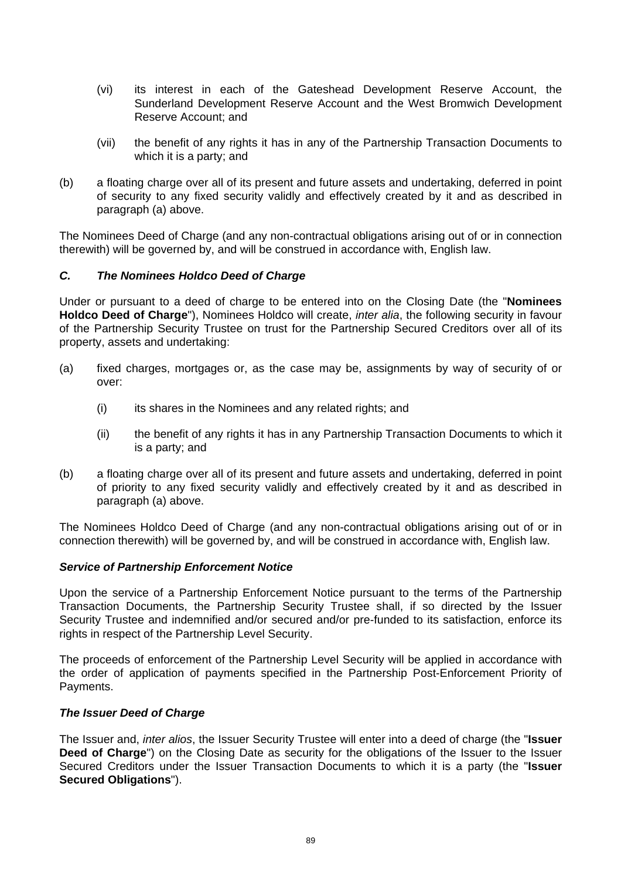- (vi) its interest in each of the Gateshead Development Reserve Account, the Sunderland Development Reserve Account and the West Bromwich Development Reserve Account; and
- (vii) the benefit of any rights it has in any of the Partnership Transaction Documents to which it is a party; and
- (b) a floating charge over all of its present and future assets and undertaking, deferred in point of security to any fixed security validly and effectively created by it and as described in paragraph (a) above.

The Nominees Deed of Charge (and any non-contractual obligations arising out of or in connection therewith) will be governed by, and will be construed in accordance with, English law.

## *C. The Nominees Holdco Deed of Charge*

Under or pursuant to a deed of charge to be entered into on the Closing Date (the "**Nominees Holdco Deed of Charge**"), Nominees Holdco will create, *inter alia*, the following security in favour of the Partnership Security Trustee on trust for the Partnership Secured Creditors over all of its property, assets and undertaking:

- (a) fixed charges, mortgages or, as the case may be, assignments by way of security of or over:
	- (i) its shares in the Nominees and any related rights; and
	- (ii) the benefit of any rights it has in any Partnership Transaction Documents to which it is a party; and
- (b) a floating charge over all of its present and future assets and undertaking, deferred in point of priority to any fixed security validly and effectively created by it and as described in paragraph (a) above.

The Nominees Holdco Deed of Charge (and any non-contractual obligations arising out of or in connection therewith) will be governed by, and will be construed in accordance with, English law.

#### *Service of Partnership Enforcement Notice*

Upon the service of a Partnership Enforcement Notice pursuant to the terms of the Partnership Transaction Documents, the Partnership Security Trustee shall, if so directed by the Issuer Security Trustee and indemnified and/or secured and/or pre-funded to its satisfaction, enforce its rights in respect of the Partnership Level Security.

The proceeds of enforcement of the Partnership Level Security will be applied in accordance with the order of application of payments specified in the Partnership Post-Enforcement Priority of Payments.

## *The Issuer Deed of Charge*

The Issuer and, *inter alios*, the Issuer Security Trustee will enter into a deed of charge (the "**Issuer Deed of Charge**") on the Closing Date as security for the obligations of the Issuer to the Issuer Secured Creditors under the Issuer Transaction Documents to which it is a party (the "**Issuer Secured Obligations**").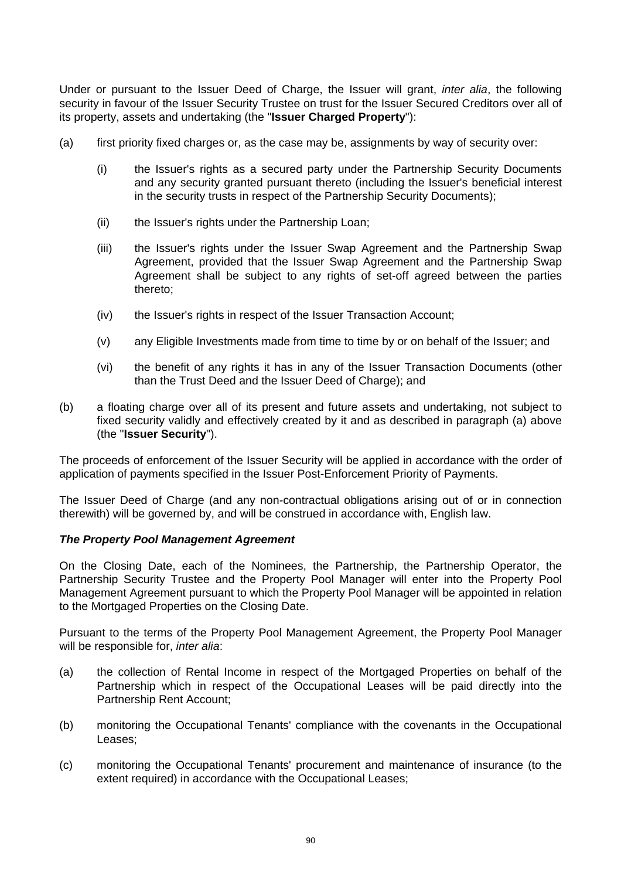Under or pursuant to the Issuer Deed of Charge, the Issuer will grant, *inter alia*, the following security in favour of the Issuer Security Trustee on trust for the Issuer Secured Creditors over all of its property, assets and undertaking (the "**Issuer Charged Property**"):

- (a) first priority fixed charges or, as the case may be, assignments by way of security over:
	- (i) the Issuer's rights as a secured party under the Partnership Security Documents and any security granted pursuant thereto (including the Issuer's beneficial interest in the security trusts in respect of the Partnership Security Documents);
	- (ii) the Issuer's rights under the Partnership Loan;
	- (iii) the Issuer's rights under the Issuer Swap Agreement and the Partnership Swap Agreement, provided that the Issuer Swap Agreement and the Partnership Swap Agreement shall be subject to any rights of set-off agreed between the parties thereto;
	- (iv) the Issuer's rights in respect of the Issuer Transaction Account;
	- (v) any Eligible Investments made from time to time by or on behalf of the Issuer; and
	- (vi) the benefit of any rights it has in any of the Issuer Transaction Documents (other than the Trust Deed and the Issuer Deed of Charge); and
- (b) a floating charge over all of its present and future assets and undertaking, not subject to fixed security validly and effectively created by it and as described in paragraph (a) above (the "**Issuer Security**").

The proceeds of enforcement of the Issuer Security will be applied in accordance with the order of application of payments specified in the Issuer Post-Enforcement Priority of Payments.

The Issuer Deed of Charge (and any non-contractual obligations arising out of or in connection therewith) will be governed by, and will be construed in accordance with, English law.

#### *The Property Pool Management Agreement*

On the Closing Date, each of the Nominees, the Partnership, the Partnership Operator, the Partnership Security Trustee and the Property Pool Manager will enter into the Property Pool Management Agreement pursuant to which the Property Pool Manager will be appointed in relation to the Mortgaged Properties on the Closing Date.

Pursuant to the terms of the Property Pool Management Agreement, the Property Pool Manager will be responsible for, *inter alia*:

- (a) the collection of Rental Income in respect of the Mortgaged Properties on behalf of the Partnership which in respect of the Occupational Leases will be paid directly into the Partnership Rent Account;
- (b) monitoring the Occupational Tenants' compliance with the covenants in the Occupational Leases;
- (c) monitoring the Occupational Tenants' procurement and maintenance of insurance (to the extent required) in accordance with the Occupational Leases;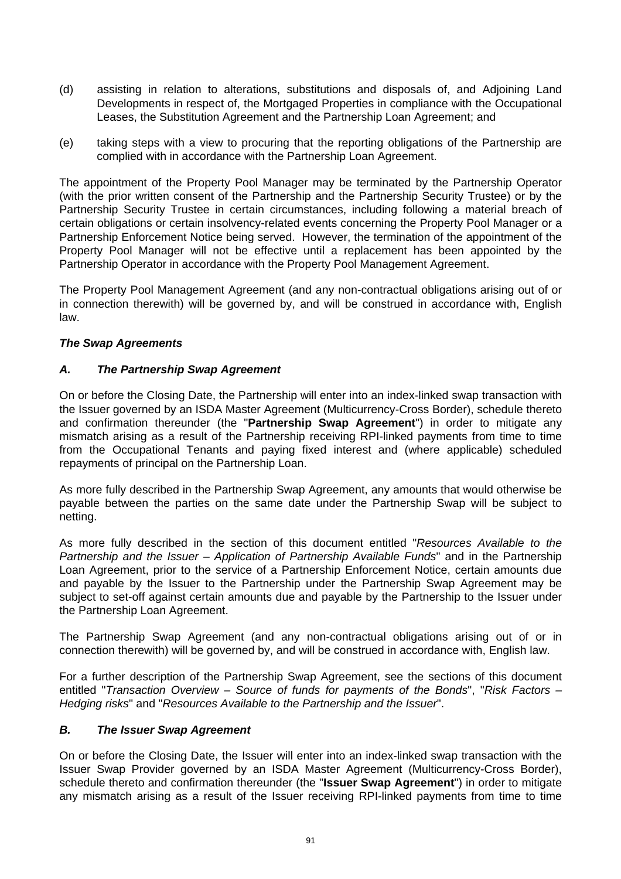- (d) assisting in relation to alterations, substitutions and disposals of, and Adjoining Land Developments in respect of, the Mortgaged Properties in compliance with the Occupational Leases, the Substitution Agreement and the Partnership Loan Agreement; and
- (e) taking steps with a view to procuring that the reporting obligations of the Partnership are complied with in accordance with the Partnership Loan Agreement.

The appointment of the Property Pool Manager may be terminated by the Partnership Operator (with the prior written consent of the Partnership and the Partnership Security Trustee) or by the Partnership Security Trustee in certain circumstances, including following a material breach of certain obligations or certain insolvency-related events concerning the Property Pool Manager or a Partnership Enforcement Notice being served. However, the termination of the appointment of the Property Pool Manager will not be effective until a replacement has been appointed by the Partnership Operator in accordance with the Property Pool Management Agreement.

The Property Pool Management Agreement (and any non-contractual obligations arising out of or in connection therewith) will be governed by, and will be construed in accordance with, English law.

## *The Swap Agreements*

## *A. The Partnership Swap Agreement*

On or before the Closing Date, the Partnership will enter into an index-linked swap transaction with the Issuer governed by an ISDA Master Agreement (Multicurrency-Cross Border), schedule thereto and confirmation thereunder (the "**Partnership Swap Agreement**") in order to mitigate any mismatch arising as a result of the Partnership receiving RPI-linked payments from time to time from the Occupational Tenants and paying fixed interest and (where applicable) scheduled repayments of principal on the Partnership Loan.

As more fully described in the Partnership Swap Agreement, any amounts that would otherwise be payable between the parties on the same date under the Partnership Swap will be subject to netting.

As more fully described in the section of this document entitled "*Resources Available to the Partnership and the Issuer – Application of Partnership Available Funds*" and in the Partnership Loan Agreement, prior to the service of a Partnership Enforcement Notice, certain amounts due and payable by the Issuer to the Partnership under the Partnership Swap Agreement may be subject to set-off against certain amounts due and payable by the Partnership to the Issuer under the Partnership Loan Agreement.

The Partnership Swap Agreement (and any non-contractual obligations arising out of or in connection therewith) will be governed by, and will be construed in accordance with, English law.

For a further description of the Partnership Swap Agreement, see the sections of this document entitled "*Transaction Overview – Source of funds for payments of the Bonds*", "*Risk Factors – Hedging risks*" and "*Resources Available to the Partnership and the Issuer*".

## *B. The Issuer Swap Agreement*

On or before the Closing Date, the Issuer will enter into an index-linked swap transaction with the Issuer Swap Provider governed by an ISDA Master Agreement (Multicurrency-Cross Border), schedule thereto and confirmation thereunder (the "**Issuer Swap Agreement**") in order to mitigate any mismatch arising as a result of the Issuer receiving RPI-linked payments from time to time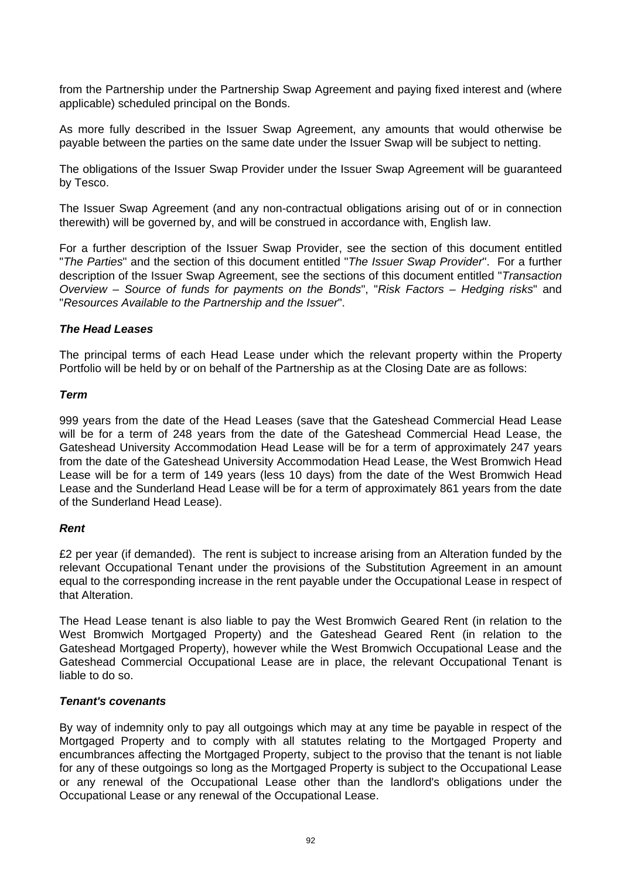from the Partnership under the Partnership Swap Agreement and paying fixed interest and (where applicable) scheduled principal on the Bonds.

As more fully described in the Issuer Swap Agreement, any amounts that would otherwise be payable between the parties on the same date under the Issuer Swap will be subject to netting.

The obligations of the Issuer Swap Provider under the Issuer Swap Agreement will be guaranteed by Tesco.

The Issuer Swap Agreement (and any non-contractual obligations arising out of or in connection therewith) will be governed by, and will be construed in accordance with, English law.

For a further description of the Issuer Swap Provider, see the section of this document entitled "*The Parties*" and the section of this document entitled "*The Issuer Swap Provider*". For a further description of the Issuer Swap Agreement, see the sections of this document entitled "*Transaction Overview – Source of funds for payments on the Bonds*", "*Risk Factors – Hedging risks*" and "*Resources Available to the Partnership and the Issuer*".

### *The Head Leases*

The principal terms of each Head Lease under which the relevant property within the Property Portfolio will be held by or on behalf of the Partnership as at the Closing Date are as follows:

#### *Term*

999 years from the date of the Head Leases (save that the Gateshead Commercial Head Lease will be for a term of 248 years from the date of the Gateshead Commercial Head Lease, the Gateshead University Accommodation Head Lease will be for a term of approximately 247 years from the date of the Gateshead University Accommodation Head Lease, the West Bromwich Head Lease will be for a term of 149 years (less 10 days) from the date of the West Bromwich Head Lease and the Sunderland Head Lease will be for a term of approximately 861 years from the date of the Sunderland Head Lease).

#### *Rent*

£2 per year (if demanded). The rent is subject to increase arising from an Alteration funded by the relevant Occupational Tenant under the provisions of the Substitution Agreement in an amount equal to the corresponding increase in the rent payable under the Occupational Lease in respect of that Alteration.

The Head Lease tenant is also liable to pay the West Bromwich Geared Rent (in relation to the West Bromwich Mortgaged Property) and the Gateshead Geared Rent (in relation to the Gateshead Mortgaged Property), however while the West Bromwich Occupational Lease and the Gateshead Commercial Occupational Lease are in place, the relevant Occupational Tenant is liable to do so.

#### *Tenant's covenants*

By way of indemnity only to pay all outgoings which may at any time be payable in respect of the Mortgaged Property and to comply with all statutes relating to the Mortgaged Property and encumbrances affecting the Mortgaged Property, subject to the proviso that the tenant is not liable for any of these outgoings so long as the Mortgaged Property is subject to the Occupational Lease or any renewal of the Occupational Lease other than the landlord's obligations under the Occupational Lease or any renewal of the Occupational Lease.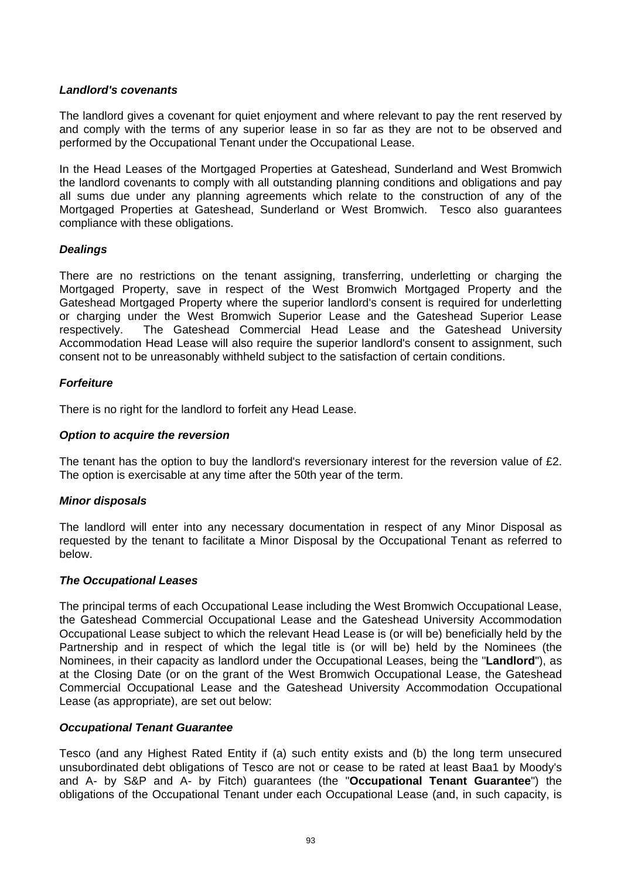## *Landlord's covenants*

The landlord gives a covenant for quiet enjoyment and where relevant to pay the rent reserved by and comply with the terms of any superior lease in so far as they are not to be observed and performed by the Occupational Tenant under the Occupational Lease.

In the Head Leases of the Mortgaged Properties at Gateshead, Sunderland and West Bromwich the landlord covenants to comply with all outstanding planning conditions and obligations and pay all sums due under any planning agreements which relate to the construction of any of the Mortgaged Properties at Gateshead, Sunderland or West Bromwich. Tesco also guarantees compliance with these obligations.

## *Dealings*

There are no restrictions on the tenant assigning, transferring, underletting or charging the Mortgaged Property, save in respect of the West Bromwich Mortgaged Property and the Gateshead Mortgaged Property where the superior landlord's consent is required for underletting or charging under the West Bromwich Superior Lease and the Gateshead Superior Lease respectively. The Gateshead Commercial Head Lease and the Gateshead University Accommodation Head Lease will also require the superior landlord's consent to assignment, such consent not to be unreasonably withheld subject to the satisfaction of certain conditions.

### *Forfeiture*

There is no right for the landlord to forfeit any Head Lease.

### *Option to acquire the reversion*

The tenant has the option to buy the landlord's reversionary interest for the reversion value of £2. The option is exercisable at any time after the 50th year of the term.

#### *Minor disposals*

The landlord will enter into any necessary documentation in respect of any Minor Disposal as requested by the tenant to facilitate a Minor Disposal by the Occupational Tenant as referred to below.

#### *The Occupational Leases*

The principal terms of each Occupational Lease including the West Bromwich Occupational Lease, the Gateshead Commercial Occupational Lease and the Gateshead University Accommodation Occupational Lease subject to which the relevant Head Lease is (or will be) beneficially held by the Partnership and in respect of which the legal title is (or will be) held by the Nominees (the Nominees, in their capacity as landlord under the Occupational Leases, being the "**Landlord**"), as at the Closing Date (or on the grant of the West Bromwich Occupational Lease, the Gateshead Commercial Occupational Lease and the Gateshead University Accommodation Occupational Lease (as appropriate), are set out below:

#### *Occupational Tenant Guarantee*

Tesco (and any Highest Rated Entity if (a) such entity exists and (b) the long term unsecured unsubordinated debt obligations of Tesco are not or cease to be rated at least Baa1 by Moody's and A- by S&P and A- by Fitch) guarantees (the "**Occupational Tenant Guarantee**") the obligations of the Occupational Tenant under each Occupational Lease (and, in such capacity, is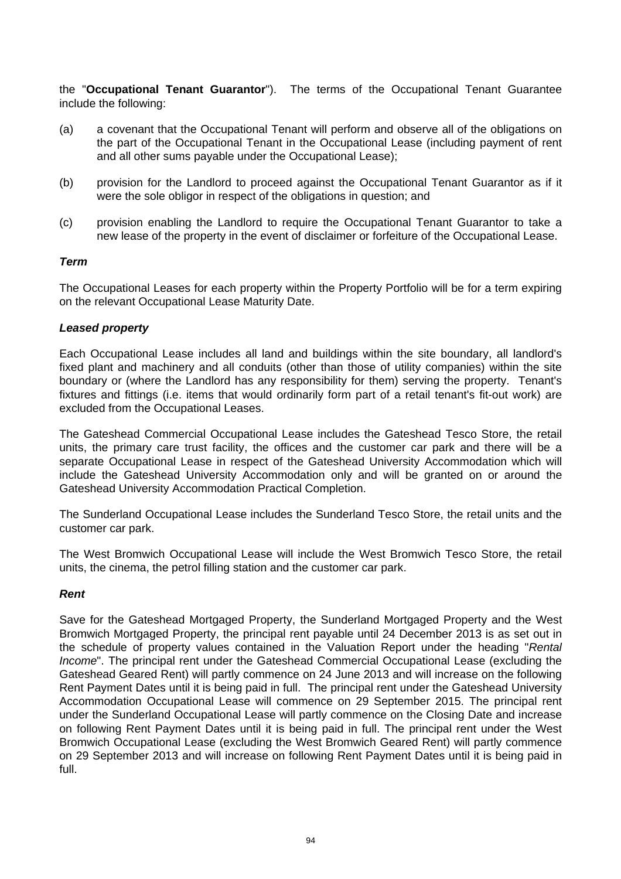the "**Occupational Tenant Guarantor**"). The terms of the Occupational Tenant Guarantee include the following:

- (a) a covenant that the Occupational Tenant will perform and observe all of the obligations on the part of the Occupational Tenant in the Occupational Lease (including payment of rent and all other sums payable under the Occupational Lease);
- (b) provision for the Landlord to proceed against the Occupational Tenant Guarantor as if it were the sole obligor in respect of the obligations in question; and
- (c) provision enabling the Landlord to require the Occupational Tenant Guarantor to take a new lease of the property in the event of disclaimer or forfeiture of the Occupational Lease.

## *Term*

The Occupational Leases for each property within the Property Portfolio will be for a term expiring on the relevant Occupational Lease Maturity Date.

### *Leased property*

Each Occupational Lease includes all land and buildings within the site boundary, all landlord's fixed plant and machinery and all conduits (other than those of utility companies) within the site boundary or (where the Landlord has any responsibility for them) serving the property. Tenant's fixtures and fittings (i.e. items that would ordinarily form part of a retail tenant's fit-out work) are excluded from the Occupational Leases.

The Gateshead Commercial Occupational Lease includes the Gateshead Tesco Store, the retail units, the primary care trust facility, the offices and the customer car park and there will be a separate Occupational Lease in respect of the Gateshead University Accommodation which will include the Gateshead University Accommodation only and will be granted on or around the Gateshead University Accommodation Practical Completion.

The Sunderland Occupational Lease includes the Sunderland Tesco Store, the retail units and the customer car park.

The West Bromwich Occupational Lease will include the West Bromwich Tesco Store, the retail units, the cinema, the petrol filling station and the customer car park.

#### *Rent*

Save for the Gateshead Mortgaged Property, the Sunderland Mortgaged Property and the West Bromwich Mortgaged Property, the principal rent payable until 24 December 2013 is as set out in the schedule of property values contained in the Valuation Report under the heading "*Rental Income*". The principal rent under the Gateshead Commercial Occupational Lease (excluding the Gateshead Geared Rent) will partly commence on 24 June 2013 and will increase on the following Rent Payment Dates until it is being paid in full. The principal rent under the Gateshead University Accommodation Occupational Lease will commence on 29 September 2015. The principal rent under the Sunderland Occupational Lease will partly commence on the Closing Date and increase on following Rent Payment Dates until it is being paid in full. The principal rent under the West Bromwich Occupational Lease (excluding the West Bromwich Geared Rent) will partly commence on 29 September 2013 and will increase on following Rent Payment Dates until it is being paid in full.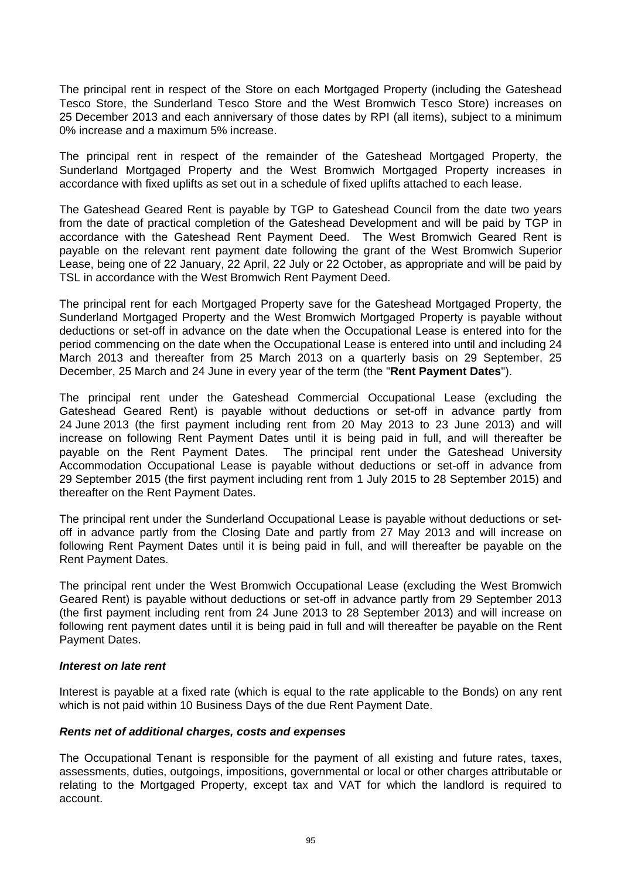The principal rent in respect of the Store on each Mortgaged Property (including the Gateshead Tesco Store, the Sunderland Tesco Store and the West Bromwich Tesco Store) increases on 25 December 2013 and each anniversary of those dates by RPI (all items), subject to a minimum 0% increase and a maximum 5% increase.

The principal rent in respect of the remainder of the Gateshead Mortgaged Property, the Sunderland Mortgaged Property and the West Bromwich Mortgaged Property increases in accordance with fixed uplifts as set out in a schedule of fixed uplifts attached to each lease.

The Gateshead Geared Rent is payable by TGP to Gateshead Council from the date two years from the date of practical completion of the Gateshead Development and will be paid by TGP in accordance with the Gateshead Rent Payment Deed. The West Bromwich Geared Rent is payable on the relevant rent payment date following the grant of the West Bromwich Superior Lease, being one of 22 January, 22 April, 22 July or 22 October, as appropriate and will be paid by TSL in accordance with the West Bromwich Rent Payment Deed.

The principal rent for each Mortgaged Property save for the Gateshead Mortgaged Property, the Sunderland Mortgaged Property and the West Bromwich Mortgaged Property is payable without deductions or set-off in advance on the date when the Occupational Lease is entered into for the period commencing on the date when the Occupational Lease is entered into until and including 24 March 2013 and thereafter from 25 March 2013 on a quarterly basis on 29 September, 25 December, 25 March and 24 June in every year of the term (the "**Rent Payment Dates**").

The principal rent under the Gateshead Commercial Occupational Lease (excluding the Gateshead Geared Rent) is payable without deductions or set-off in advance partly from 24 June 2013 (the first payment including rent from 20 May 2013 to 23 June 2013) and will increase on following Rent Payment Dates until it is being paid in full, and will thereafter be payable on the Rent Payment Dates. The principal rent under the Gateshead University Accommodation Occupational Lease is payable without deductions or set-off in advance from 29 September 2015 (the first payment including rent from 1 July 2015 to 28 September 2015) and thereafter on the Rent Payment Dates.

The principal rent under the Sunderland Occupational Lease is payable without deductions or setoff in advance partly from the Closing Date and partly from 27 May 2013 and will increase on following Rent Payment Dates until it is being paid in full, and will thereafter be payable on the Rent Payment Dates.

The principal rent under the West Bromwich Occupational Lease (excluding the West Bromwich Geared Rent) is payable without deductions or set-off in advance partly from 29 September 2013 (the first payment including rent from 24 June 2013 to 28 September 2013) and will increase on following rent payment dates until it is being paid in full and will thereafter be payable on the Rent Payment Dates.

#### *Interest on late rent*

Interest is payable at a fixed rate (which is equal to the rate applicable to the Bonds) on any rent which is not paid within 10 Business Days of the due Rent Payment Date.

## *Rents net of additional charges, costs and expenses*

The Occupational Tenant is responsible for the payment of all existing and future rates, taxes, assessments, duties, outgoings, impositions, governmental or local or other charges attributable or relating to the Mortgaged Property, except tax and VAT for which the landlord is required to account.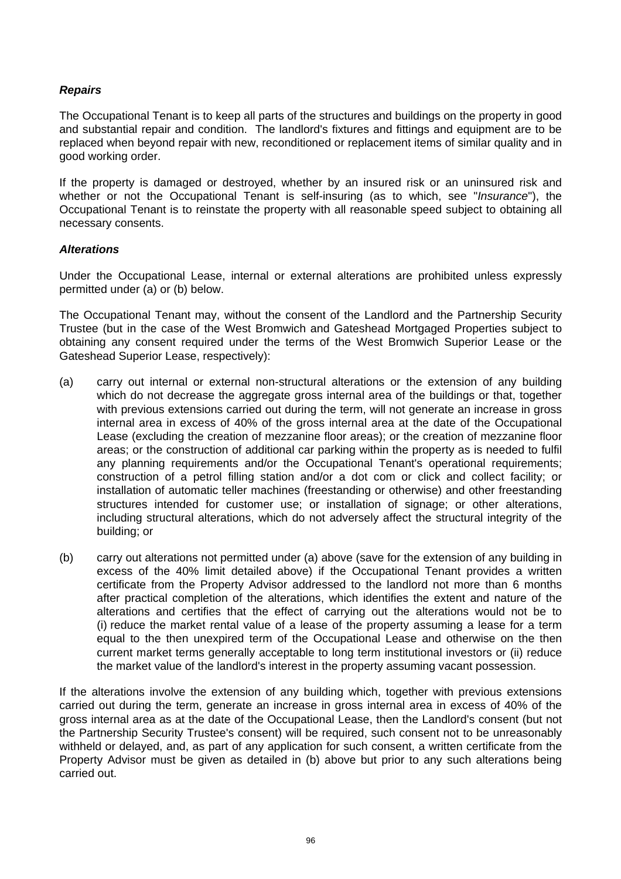# *Repairs*

The Occupational Tenant is to keep all parts of the structures and buildings on the property in good and substantial repair and condition. The landlord's fixtures and fittings and equipment are to be replaced when beyond repair with new, reconditioned or replacement items of similar quality and in good working order.

If the property is damaged or destroyed, whether by an insured risk or an uninsured risk and whether or not the Occupational Tenant is self-insuring (as to which, see "*Insurance*"), the Occupational Tenant is to reinstate the property with all reasonable speed subject to obtaining all necessary consents.

## *Alterations*

Under the Occupational Lease, internal or external alterations are prohibited unless expressly permitted under (a) or (b) below.

The Occupational Tenant may, without the consent of the Landlord and the Partnership Security Trustee (but in the case of the West Bromwich and Gateshead Mortgaged Properties subject to obtaining any consent required under the terms of the West Bromwich Superior Lease or the Gateshead Superior Lease, respectively):

- (a) carry out internal or external non-structural alterations or the extension of any building which do not decrease the aggregate gross internal area of the buildings or that, together with previous extensions carried out during the term, will not generate an increase in gross internal area in excess of 40% of the gross internal area at the date of the Occupational Lease (excluding the creation of mezzanine floor areas); or the creation of mezzanine floor areas; or the construction of additional car parking within the property as is needed to fulfil any planning requirements and/or the Occupational Tenant's operational requirements; construction of a petrol filling station and/or a dot com or click and collect facility; or installation of automatic teller machines (freestanding or otherwise) and other freestanding structures intended for customer use; or installation of signage; or other alterations, including structural alterations, which do not adversely affect the structural integrity of the building; or
- (b) carry out alterations not permitted under (a) above (save for the extension of any building in excess of the 40% limit detailed above) if the Occupational Tenant provides a written certificate from the Property Advisor addressed to the landlord not more than 6 months after practical completion of the alterations, which identifies the extent and nature of the alterations and certifies that the effect of carrying out the alterations would not be to (i) reduce the market rental value of a lease of the property assuming a lease for a term equal to the then unexpired term of the Occupational Lease and otherwise on the then current market terms generally acceptable to long term institutional investors or (ii) reduce the market value of the landlord's interest in the property assuming vacant possession.

If the alterations involve the extension of any building which, together with previous extensions carried out during the term, generate an increase in gross internal area in excess of 40% of the gross internal area as at the date of the Occupational Lease, then the Landlord's consent (but not the Partnership Security Trustee's consent) will be required, such consent not to be unreasonably withheld or delayed, and, as part of any application for such consent, a written certificate from the Property Advisor must be given as detailed in (b) above but prior to any such alterations being carried out.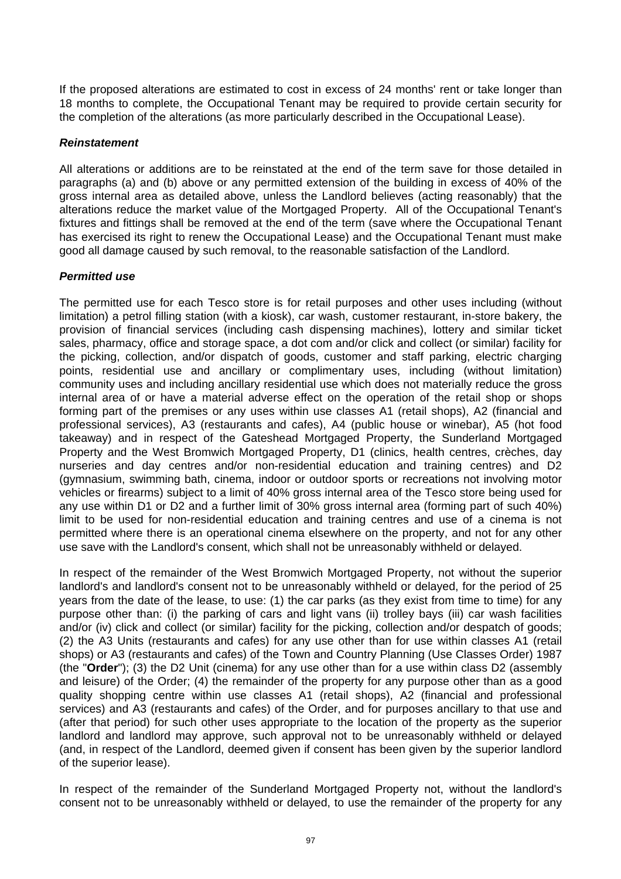If the proposed alterations are estimated to cost in excess of 24 months' rent or take longer than 18 months to complete, the Occupational Tenant may be required to provide certain security for the completion of the alterations (as more particularly described in the Occupational Lease).

### *Reinstatement*

All alterations or additions are to be reinstated at the end of the term save for those detailed in paragraphs (a) and (b) above or any permitted extension of the building in excess of 40% of the gross internal area as detailed above, unless the Landlord believes (acting reasonably) that the alterations reduce the market value of the Mortgaged Property. All of the Occupational Tenant's fixtures and fittings shall be removed at the end of the term (save where the Occupational Tenant has exercised its right to renew the Occupational Lease) and the Occupational Tenant must make good all damage caused by such removal, to the reasonable satisfaction of the Landlord.

## *Permitted use*

The permitted use for each Tesco store is for retail purposes and other uses including (without limitation) a petrol filling station (with a kiosk), car wash, customer restaurant, in-store bakery, the provision of financial services (including cash dispensing machines), lottery and similar ticket sales, pharmacy, office and storage space, a dot com and/or click and collect (or similar) facility for the picking, collection, and/or dispatch of goods, customer and staff parking, electric charging points, residential use and ancillary or complimentary uses, including (without limitation) community uses and including ancillary residential use which does not materially reduce the gross internal area of or have a material adverse effect on the operation of the retail shop or shops forming part of the premises or any uses within use classes A1 (retail shops), A2 (financial and professional services), A3 (restaurants and cafes), A4 (public house or winebar), A5 (hot food takeaway) and in respect of the Gateshead Mortgaged Property, the Sunderland Mortgaged Property and the West Bromwich Mortgaged Property, D1 (clinics, health centres, crèches, day nurseries and day centres and/or non-residential education and training centres) and D2 (gymnasium, swimming bath, cinema, indoor or outdoor sports or recreations not involving motor vehicles or firearms) subject to a limit of 40% gross internal area of the Tesco store being used for any use within D1 or D2 and a further limit of 30% gross internal area (forming part of such 40%) limit to be used for non-residential education and training centres and use of a cinema is not permitted where there is an operational cinema elsewhere on the property, and not for any other use save with the Landlord's consent, which shall not be unreasonably withheld or delayed.

In respect of the remainder of the West Bromwich Mortgaged Property, not without the superior landlord's and landlord's consent not to be unreasonably withheld or delayed, for the period of 25 years from the date of the lease, to use: (1) the car parks (as they exist from time to time) for any purpose other than: (i) the parking of cars and light vans (ii) trolley bays (iii) car wash facilities and/or (iv) click and collect (or similar) facility for the picking, collection and/or despatch of goods; (2) the A3 Units (restaurants and cafes) for any use other than for use within classes A1 (retail shops) or A3 (restaurants and cafes) of the Town and Country Planning (Use Classes Order) 1987 (the "**Order**"); (3) the D2 Unit (cinema) for any use other than for a use within class D2 (assembly and leisure) of the Order; (4) the remainder of the property for any purpose other than as a good quality shopping centre within use classes A1 (retail shops), A2 (financial and professional services) and A3 (restaurants and cafes) of the Order, and for purposes ancillary to that use and (after that period) for such other uses appropriate to the location of the property as the superior landlord and landlord may approve, such approval not to be unreasonably withheld or delayed (and, in respect of the Landlord, deemed given if consent has been given by the superior landlord of the superior lease).

In respect of the remainder of the Sunderland Mortgaged Property not, without the landlord's consent not to be unreasonably withheld or delayed, to use the remainder of the property for any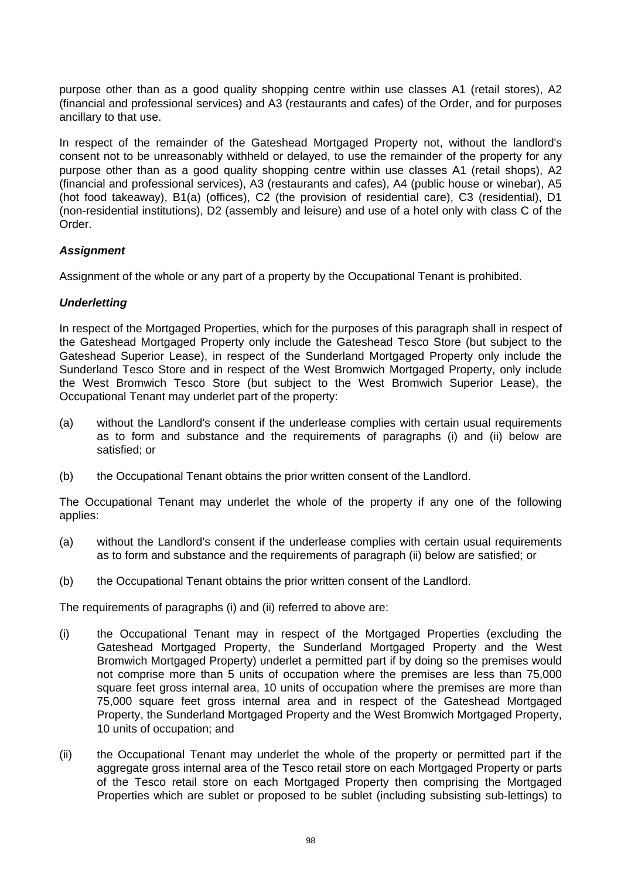purpose other than as a good quality shopping centre within use classes A1 (retail stores), A2 (financial and professional services) and A3 (restaurants and cafes) of the Order, and for purposes ancillary to that use.

In respect of the remainder of the Gateshead Mortgaged Property not, without the landlord's consent not to be unreasonably withheld or delayed, to use the remainder of the property for any purpose other than as a good quality shopping centre within use classes A1 (retail shops), A2 (financial and professional services), A3 (restaurants and cafes), A4 (public house or winebar), A5 (hot food takeaway), B1(a) (offices), C2 (the provision of residential care), C3 (residential), D1 (non-residential institutions), D2 (assembly and leisure) and use of a hotel only with class C of the Order.

# *Assignment*

Assignment of the whole or any part of a property by the Occupational Tenant is prohibited.

## *Underletting*

In respect of the Mortgaged Properties, which for the purposes of this paragraph shall in respect of the Gateshead Mortgaged Property only include the Gateshead Tesco Store (but subject to the Gateshead Superior Lease), in respect of the Sunderland Mortgaged Property only include the Sunderland Tesco Store and in respect of the West Bromwich Mortgaged Property, only include the West Bromwich Tesco Store (but subject to the West Bromwich Superior Lease), the Occupational Tenant may underlet part of the property:

- (a) without the Landlord's consent if the underlease complies with certain usual requirements as to form and substance and the requirements of paragraphs (i) and (ii) below are satisfied; or
- (b) the Occupational Tenant obtains the prior written consent of the Landlord.

The Occupational Tenant may underlet the whole of the property if any one of the following applies:

- (a) without the Landlord's consent if the underlease complies with certain usual requirements as to form and substance and the requirements of paragraph (ii) below are satisfied; or
- (b) the Occupational Tenant obtains the prior written consent of the Landlord.

The requirements of paragraphs (i) and (ii) referred to above are:

- (i) the Occupational Tenant may in respect of the Mortgaged Properties (excluding the Gateshead Mortgaged Property, the Sunderland Mortgaged Property and the West Bromwich Mortgaged Property) underlet a permitted part if by doing so the premises would not comprise more than 5 units of occupation where the premises are less than 75,000 square feet gross internal area, 10 units of occupation where the premises are more than 75,000 square feet gross internal area and in respect of the Gateshead Mortgaged Property, the Sunderland Mortgaged Property and the West Bromwich Mortgaged Property, 10 units of occupation; and
- (ii) the Occupational Tenant may underlet the whole of the property or permitted part if the aggregate gross internal area of the Tesco retail store on each Mortgaged Property or parts of the Tesco retail store on each Mortgaged Property then comprising the Mortgaged Properties which are sublet or proposed to be sublet (including subsisting sub-lettings) to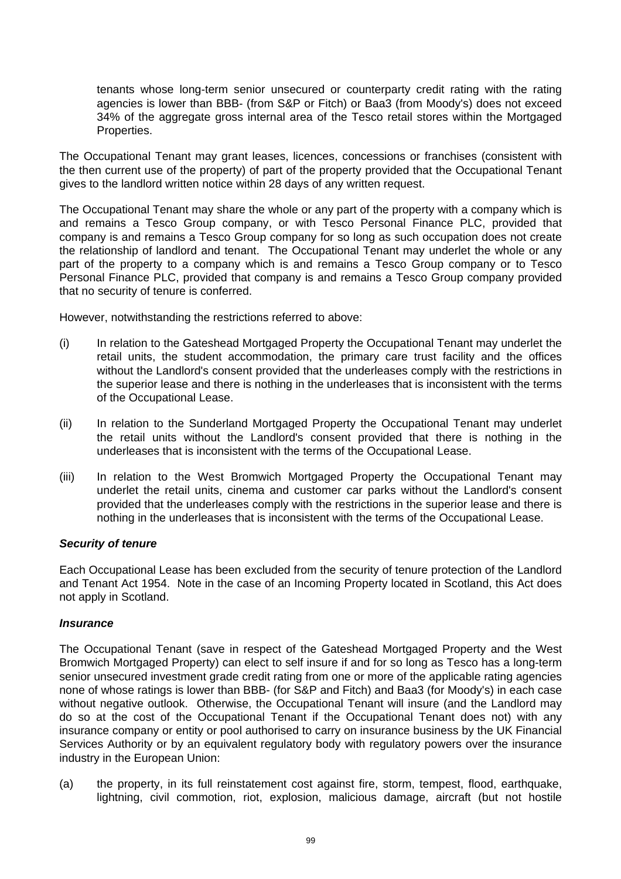tenants whose long-term senior unsecured or counterparty credit rating with the rating agencies is lower than BBB- (from S&P or Fitch) or Baa3 (from Moody's) does not exceed 34% of the aggregate gross internal area of the Tesco retail stores within the Mortgaged Properties.

The Occupational Tenant may grant leases, licences, concessions or franchises (consistent with the then current use of the property) of part of the property provided that the Occupational Tenant gives to the landlord written notice within 28 days of any written request.

The Occupational Tenant may share the whole or any part of the property with a company which is and remains a Tesco Group company, or with Tesco Personal Finance PLC, provided that company is and remains a Tesco Group company for so long as such occupation does not create the relationship of landlord and tenant. The Occupational Tenant may underlet the whole or any part of the property to a company which is and remains a Tesco Group company or to Tesco Personal Finance PLC, provided that company is and remains a Tesco Group company provided that no security of tenure is conferred.

However, notwithstanding the restrictions referred to above:

- (i) In relation to the Gateshead Mortgaged Property the Occupational Tenant may underlet the retail units, the student accommodation, the primary care trust facility and the offices without the Landlord's consent provided that the underleases comply with the restrictions in the superior lease and there is nothing in the underleases that is inconsistent with the terms of the Occupational Lease.
- (ii) In relation to the Sunderland Mortgaged Property the Occupational Tenant may underlet the retail units without the Landlord's consent provided that there is nothing in the underleases that is inconsistent with the terms of the Occupational Lease.
- (iii) In relation to the West Bromwich Mortgaged Property the Occupational Tenant may underlet the retail units, cinema and customer car parks without the Landlord's consent provided that the underleases comply with the restrictions in the superior lease and there is nothing in the underleases that is inconsistent with the terms of the Occupational Lease.

## *Security of tenure*

Each Occupational Lease has been excluded from the security of tenure protection of the Landlord and Tenant Act 1954. Note in the case of an Incoming Property located in Scotland, this Act does not apply in Scotland.

#### *Insurance*

The Occupational Tenant (save in respect of the Gateshead Mortgaged Property and the West Bromwich Mortgaged Property) can elect to self insure if and for so long as Tesco has a long-term senior unsecured investment grade credit rating from one or more of the applicable rating agencies none of whose ratings is lower than BBB- (for S&P and Fitch) and Baa3 (for Moody's) in each case without negative outlook. Otherwise, the Occupational Tenant will insure (and the Landlord may do so at the cost of the Occupational Tenant if the Occupational Tenant does not) with any insurance company or entity or pool authorised to carry on insurance business by the UK Financial Services Authority or by an equivalent regulatory body with regulatory powers over the insurance industry in the European Union:

(a) the property, in its full reinstatement cost against fire, storm, tempest, flood, earthquake, lightning, civil commotion, riot, explosion, malicious damage, aircraft (but not hostile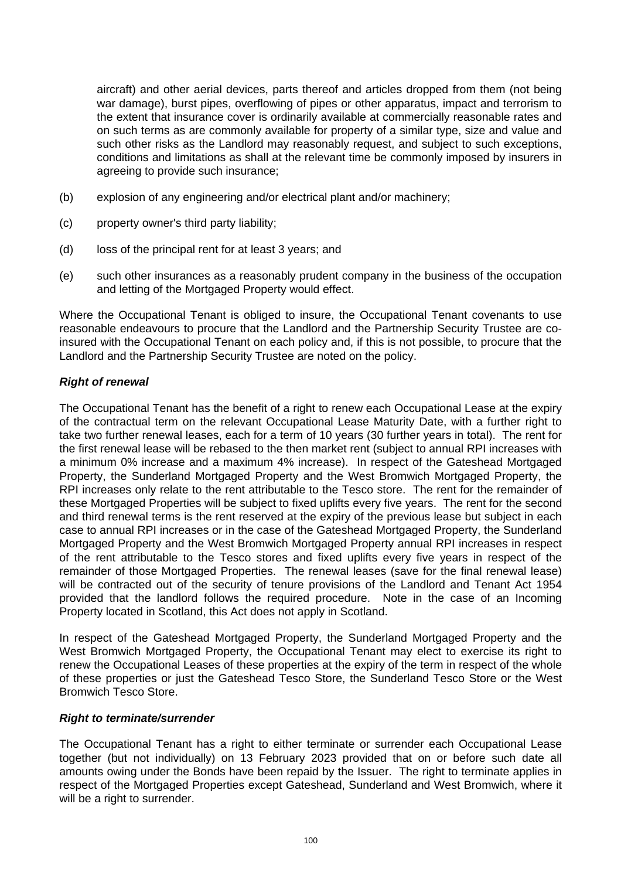aircraft) and other aerial devices, parts thereof and articles dropped from them (not being war damage), burst pipes, overflowing of pipes or other apparatus, impact and terrorism to the extent that insurance cover is ordinarily available at commercially reasonable rates and on such terms as are commonly available for property of a similar type, size and value and such other risks as the Landlord may reasonably request, and subject to such exceptions, conditions and limitations as shall at the relevant time be commonly imposed by insurers in agreeing to provide such insurance;

- (b) explosion of any engineering and/or electrical plant and/or machinery;
- (c) property owner's third party liability;
- (d) loss of the principal rent for at least 3 years; and
- (e) such other insurances as a reasonably prudent company in the business of the occupation and letting of the Mortgaged Property would effect.

Where the Occupational Tenant is obliged to insure, the Occupational Tenant covenants to use reasonable endeavours to procure that the Landlord and the Partnership Security Trustee are coinsured with the Occupational Tenant on each policy and, if this is not possible, to procure that the Landlord and the Partnership Security Trustee are noted on the policy.

## *Right of renewal*

The Occupational Tenant has the benefit of a right to renew each Occupational Lease at the expiry of the contractual term on the relevant Occupational Lease Maturity Date, with a further right to take two further renewal leases, each for a term of 10 years (30 further years in total). The rent for the first renewal lease will be rebased to the then market rent (subject to annual RPI increases with a minimum 0% increase and a maximum 4% increase). In respect of the Gateshead Mortgaged Property, the Sunderland Mortgaged Property and the West Bromwich Mortgaged Property, the RPI increases only relate to the rent attributable to the Tesco store. The rent for the remainder of these Mortgaged Properties will be subject to fixed uplifts every five years. The rent for the second and third renewal terms is the rent reserved at the expiry of the previous lease but subject in each case to annual RPI increases or in the case of the Gateshead Mortgaged Property, the Sunderland Mortgaged Property and the West Bromwich Mortgaged Property annual RPI increases in respect of the rent attributable to the Tesco stores and fixed uplifts every five years in respect of the remainder of those Mortgaged Properties. The renewal leases (save for the final renewal lease) will be contracted out of the security of tenure provisions of the Landlord and Tenant Act 1954 provided that the landlord follows the required procedure. Note in the case of an Incoming Property located in Scotland, this Act does not apply in Scotland.

In respect of the Gateshead Mortgaged Property, the Sunderland Mortgaged Property and the West Bromwich Mortgaged Property, the Occupational Tenant may elect to exercise its right to renew the Occupational Leases of these properties at the expiry of the term in respect of the whole of these properties or just the Gateshead Tesco Store, the Sunderland Tesco Store or the West Bromwich Tesco Store.

#### *Right to terminate/surrender*

The Occupational Tenant has a right to either terminate or surrender each Occupational Lease together (but not individually) on 13 February 2023 provided that on or before such date all amounts owing under the Bonds have been repaid by the Issuer. The right to terminate applies in respect of the Mortgaged Properties except Gateshead, Sunderland and West Bromwich, where it will be a right to surrender.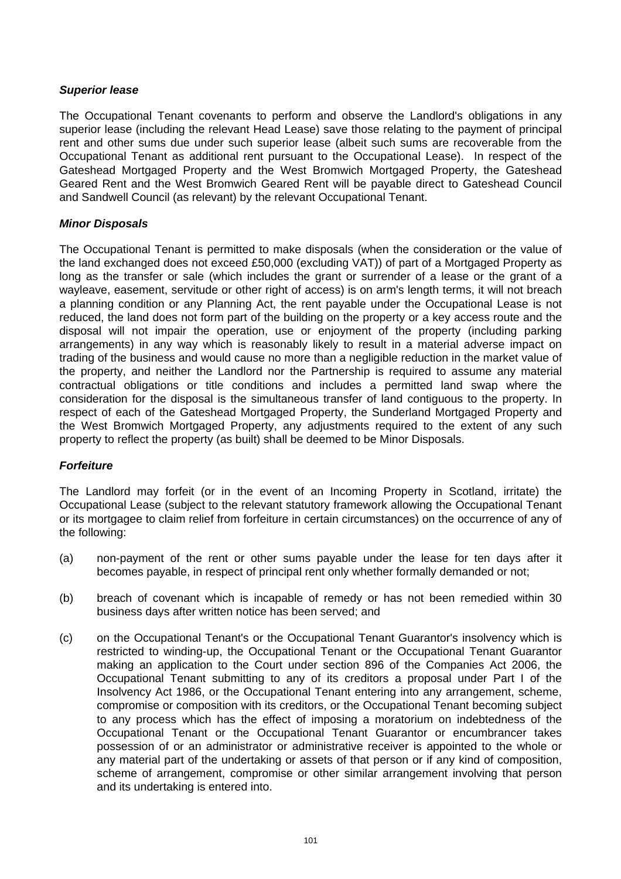## *Superior lease*

The Occupational Tenant covenants to perform and observe the Landlord's obligations in any superior lease (including the relevant Head Lease) save those relating to the payment of principal rent and other sums due under such superior lease (albeit such sums are recoverable from the Occupational Tenant as additional rent pursuant to the Occupational Lease). In respect of the Gateshead Mortgaged Property and the West Bromwich Mortgaged Property, the Gateshead Geared Rent and the West Bromwich Geared Rent will be payable direct to Gateshead Council and Sandwell Council (as relevant) by the relevant Occupational Tenant.

# *Minor Disposals*

The Occupational Tenant is permitted to make disposals (when the consideration or the value of the land exchanged does not exceed £50,000 (excluding VAT)) of part of a Mortgaged Property as long as the transfer or sale (which includes the grant or surrender of a lease or the grant of a wayleave, easement, servitude or other right of access) is on arm's length terms, it will not breach a planning condition or any Planning Act, the rent payable under the Occupational Lease is not reduced, the land does not form part of the building on the property or a key access route and the disposal will not impair the operation, use or enjoyment of the property (including parking arrangements) in any way which is reasonably likely to result in a material adverse impact on trading of the business and would cause no more than a negligible reduction in the market value of the property, and neither the Landlord nor the Partnership is required to assume any material contractual obligations or title conditions and includes a permitted land swap where the consideration for the disposal is the simultaneous transfer of land contiguous to the property. In respect of each of the Gateshead Mortgaged Property, the Sunderland Mortgaged Property and the West Bromwich Mortgaged Property, any adjustments required to the extent of any such property to reflect the property (as built) shall be deemed to be Minor Disposals.

## *Forfeiture*

The Landlord may forfeit (or in the event of an Incoming Property in Scotland, irritate) the Occupational Lease (subject to the relevant statutory framework allowing the Occupational Tenant or its mortgagee to claim relief from forfeiture in certain circumstances) on the occurrence of any of the following:

- (a) non-payment of the rent or other sums payable under the lease for ten days after it becomes payable, in respect of principal rent only whether formally demanded or not;
- (b) breach of covenant which is incapable of remedy or has not been remedied within 30 business days after written notice has been served; and
- (c) on the Occupational Tenant's or the Occupational Tenant Guarantor's insolvency which is restricted to winding-up, the Occupational Tenant or the Occupational Tenant Guarantor making an application to the Court under section 896 of the Companies Act 2006, the Occupational Tenant submitting to any of its creditors a proposal under Part I of the Insolvency Act 1986, or the Occupational Tenant entering into any arrangement, scheme, compromise or composition with its creditors, or the Occupational Tenant becoming subject to any process which has the effect of imposing a moratorium on indebtedness of the Occupational Tenant or the Occupational Tenant Guarantor or encumbrancer takes possession of or an administrator or administrative receiver is appointed to the whole or any material part of the undertaking or assets of that person or if any kind of composition, scheme of arrangement, compromise or other similar arrangement involving that person and its undertaking is entered into.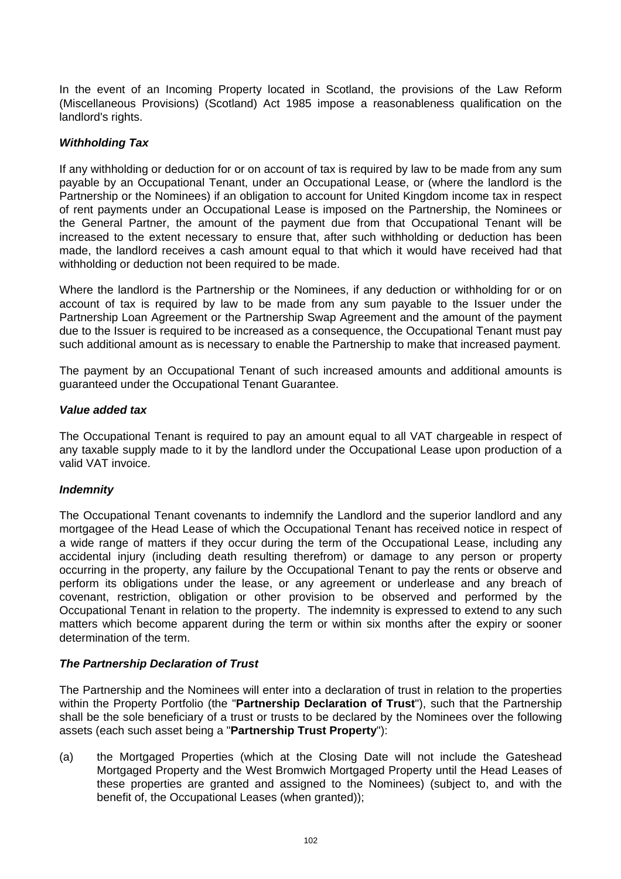In the event of an Incoming Property located in Scotland, the provisions of the Law Reform (Miscellaneous Provisions) (Scotland) Act 1985 impose a reasonableness qualification on the landlord's rights.

## *Withholding Tax*

If any withholding or deduction for or on account of tax is required by law to be made from any sum payable by an Occupational Tenant, under an Occupational Lease, or (where the landlord is the Partnership or the Nominees) if an obligation to account for United Kingdom income tax in respect of rent payments under an Occupational Lease is imposed on the Partnership, the Nominees or the General Partner, the amount of the payment due from that Occupational Tenant will be increased to the extent necessary to ensure that, after such withholding or deduction has been made, the landlord receives a cash amount equal to that which it would have received had that withholding or deduction not been required to be made.

Where the landlord is the Partnership or the Nominees, if any deduction or withholding for or on account of tax is required by law to be made from any sum payable to the Issuer under the Partnership Loan Agreement or the Partnership Swap Agreement and the amount of the payment due to the Issuer is required to be increased as a consequence, the Occupational Tenant must pay such additional amount as is necessary to enable the Partnership to make that increased payment.

The payment by an Occupational Tenant of such increased amounts and additional amounts is guaranteed under the Occupational Tenant Guarantee.

#### *Value added tax*

The Occupational Tenant is required to pay an amount equal to all VAT chargeable in respect of any taxable supply made to it by the landlord under the Occupational Lease upon production of a valid VAT invoice.

#### *Indemnity*

The Occupational Tenant covenants to indemnify the Landlord and the superior landlord and any mortgagee of the Head Lease of which the Occupational Tenant has received notice in respect of a wide range of matters if they occur during the term of the Occupational Lease, including any accidental injury (including death resulting therefrom) or damage to any person or property occurring in the property, any failure by the Occupational Tenant to pay the rents or observe and perform its obligations under the lease, or any agreement or underlease and any breach of covenant, restriction, obligation or other provision to be observed and performed by the Occupational Tenant in relation to the property. The indemnity is expressed to extend to any such matters which become apparent during the term or within six months after the expiry or sooner determination of the term.

#### *The Partnership Declaration of Trust*

The Partnership and the Nominees will enter into a declaration of trust in relation to the properties within the Property Portfolio (the "**Partnership Declaration of Trust**"), such that the Partnership shall be the sole beneficiary of a trust or trusts to be declared by the Nominees over the following assets (each such asset being a "**Partnership Trust Property**"):

(a) the Mortgaged Properties (which at the Closing Date will not include the Gateshead Mortgaged Property and the West Bromwich Mortgaged Property until the Head Leases of these properties are granted and assigned to the Nominees) (subject to, and with the benefit of, the Occupational Leases (when granted));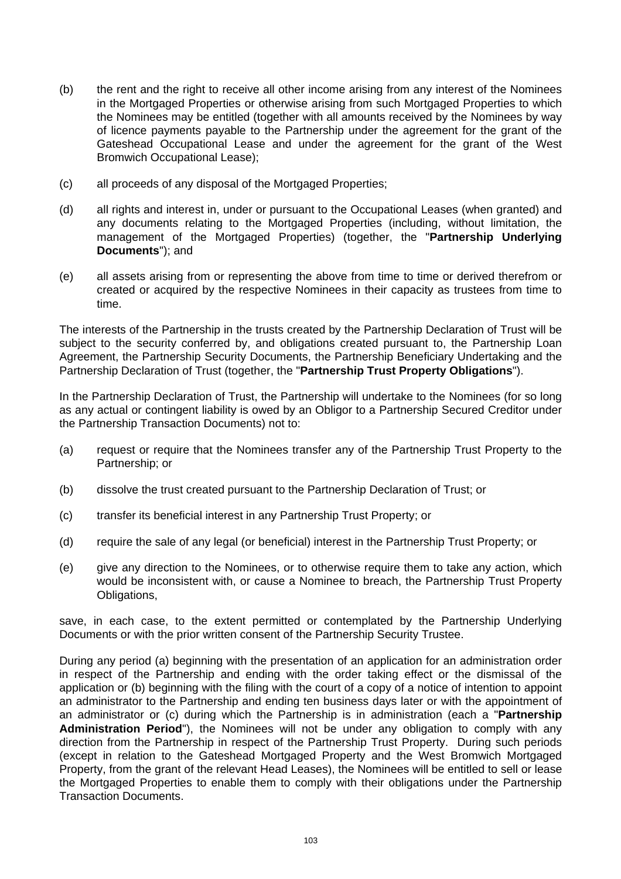- (b) the rent and the right to receive all other income arising from any interest of the Nominees in the Mortgaged Properties or otherwise arising from such Mortgaged Properties to which the Nominees may be entitled (together with all amounts received by the Nominees by way of licence payments payable to the Partnership under the agreement for the grant of the Gateshead Occupational Lease and under the agreement for the grant of the West Bromwich Occupational Lease);
- (c) all proceeds of any disposal of the Mortgaged Properties;
- (d) all rights and interest in, under or pursuant to the Occupational Leases (when granted) and any documents relating to the Mortgaged Properties (including, without limitation, the management of the Mortgaged Properties) (together, the "**Partnership Underlying Documents**"); and
- (e) all assets arising from or representing the above from time to time or derived therefrom or created or acquired by the respective Nominees in their capacity as trustees from time to time.

The interests of the Partnership in the trusts created by the Partnership Declaration of Trust will be subject to the security conferred by, and obligations created pursuant to, the Partnership Loan Agreement, the Partnership Security Documents, the Partnership Beneficiary Undertaking and the Partnership Declaration of Trust (together, the "**Partnership Trust Property Obligations**").

In the Partnership Declaration of Trust, the Partnership will undertake to the Nominees (for so long as any actual or contingent liability is owed by an Obligor to a Partnership Secured Creditor under the Partnership Transaction Documents) not to:

- (a) request or require that the Nominees transfer any of the Partnership Trust Property to the Partnership; or
- (b) dissolve the trust created pursuant to the Partnership Declaration of Trust; or
- (c) transfer its beneficial interest in any Partnership Trust Property; or
- (d) require the sale of any legal (or beneficial) interest in the Partnership Trust Property; or
- (e) give any direction to the Nominees, or to otherwise require them to take any action, which would be inconsistent with, or cause a Nominee to breach, the Partnership Trust Property Obligations.

save, in each case, to the extent permitted or contemplated by the Partnership Underlying Documents or with the prior written consent of the Partnership Security Trustee.

During any period (a) beginning with the presentation of an application for an administration order in respect of the Partnership and ending with the order taking effect or the dismissal of the application or (b) beginning with the filing with the court of a copy of a notice of intention to appoint an administrator to the Partnership and ending ten business days later or with the appointment of an administrator or (c) during which the Partnership is in administration (each a "**Partnership Administration Period**"), the Nominees will not be under any obligation to comply with any direction from the Partnership in respect of the Partnership Trust Property. During such periods (except in relation to the Gateshead Mortgaged Property and the West Bromwich Mortgaged Property, from the grant of the relevant Head Leases), the Nominees will be entitled to sell or lease the Mortgaged Properties to enable them to comply with their obligations under the Partnership Transaction Documents.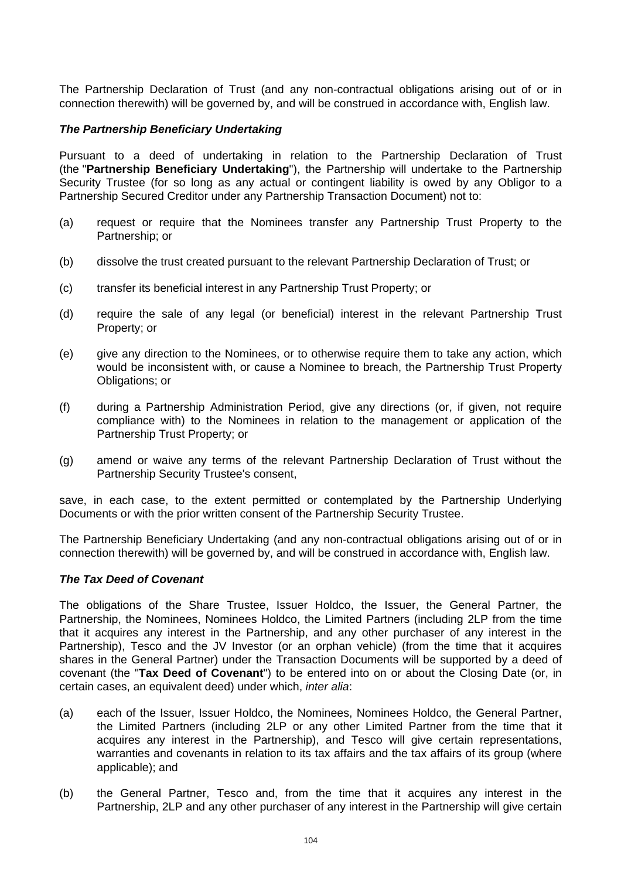The Partnership Declaration of Trust (and any non-contractual obligations arising out of or in connection therewith) will be governed by, and will be construed in accordance with, English law.

#### *The Partnership Beneficiary Undertaking*

Pursuant to a deed of undertaking in relation to the Partnership Declaration of Trust (the "**Partnership Beneficiary Undertaking**"), the Partnership will undertake to the Partnership Security Trustee (for so long as any actual or contingent liability is owed by any Obligor to a Partnership Secured Creditor under any Partnership Transaction Document) not to:

- (a) request or require that the Nominees transfer any Partnership Trust Property to the Partnership; or
- (b) dissolve the trust created pursuant to the relevant Partnership Declaration of Trust; or
- (c) transfer its beneficial interest in any Partnership Trust Property; or
- (d) require the sale of any legal (or beneficial) interest in the relevant Partnership Trust Property; or
- (e) give any direction to the Nominees, or to otherwise require them to take any action, which would be inconsistent with, or cause a Nominee to breach, the Partnership Trust Property Obligations; or
- (f) during a Partnership Administration Period, give any directions (or, if given, not require compliance with) to the Nominees in relation to the management or application of the Partnership Trust Property; or
- (g) amend or waive any terms of the relevant Partnership Declaration of Trust without the Partnership Security Trustee's consent,

save, in each case, to the extent permitted or contemplated by the Partnership Underlying Documents or with the prior written consent of the Partnership Security Trustee.

The Partnership Beneficiary Undertaking (and any non-contractual obligations arising out of or in connection therewith) will be governed by, and will be construed in accordance with, English law.

#### *The Tax Deed of Covenant*

The obligations of the Share Trustee, Issuer Holdco, the Issuer, the General Partner, the Partnership, the Nominees, Nominees Holdco, the Limited Partners (including 2LP from the time that it acquires any interest in the Partnership, and any other purchaser of any interest in the Partnership), Tesco and the JV Investor (or an orphan vehicle) (from the time that it acquires shares in the General Partner) under the Transaction Documents will be supported by a deed of covenant (the "**Tax Deed of Covenant**") to be entered into on or about the Closing Date (or, in certain cases, an equivalent deed) under which, *inter alia*:

- (a) each of the Issuer, Issuer Holdco, the Nominees, Nominees Holdco, the General Partner, the Limited Partners (including 2LP or any other Limited Partner from the time that it acquires any interest in the Partnership), and Tesco will give certain representations, warranties and covenants in relation to its tax affairs and the tax affairs of its group (where applicable); and
- (b) the General Partner, Tesco and, from the time that it acquires any interest in the Partnership, 2LP and any other purchaser of any interest in the Partnership will give certain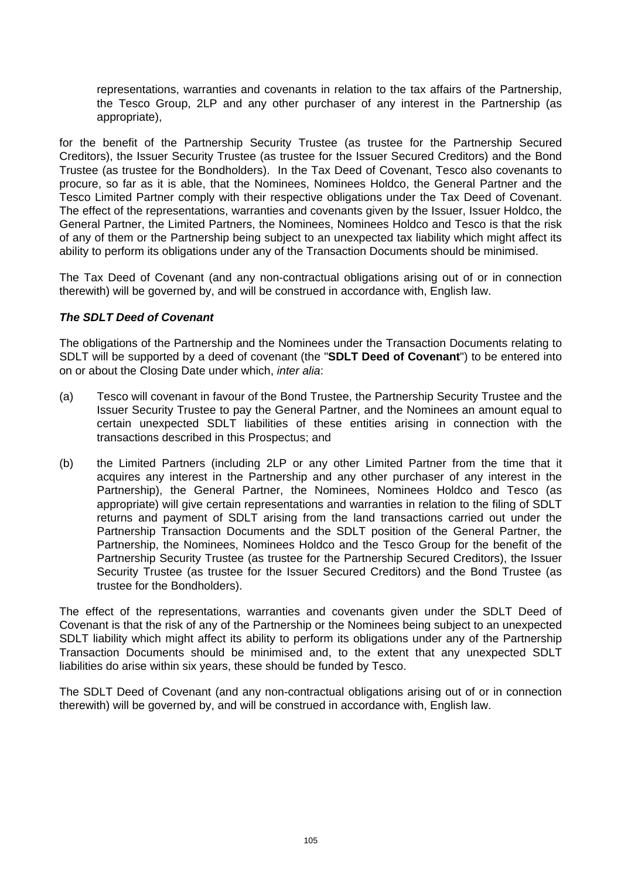representations, warranties and covenants in relation to the tax affairs of the Partnership, the Tesco Group, 2LP and any other purchaser of any interest in the Partnership (as appropriate),

for the benefit of the Partnership Security Trustee (as trustee for the Partnership Secured Creditors), the Issuer Security Trustee (as trustee for the Issuer Secured Creditors) and the Bond Trustee (as trustee for the Bondholders). In the Tax Deed of Covenant, Tesco also covenants to procure, so far as it is able, that the Nominees, Nominees Holdco, the General Partner and the Tesco Limited Partner comply with their respective obligations under the Tax Deed of Covenant. The effect of the representations, warranties and covenants given by the Issuer, Issuer Holdco, the General Partner, the Limited Partners, the Nominees, Nominees Holdco and Tesco is that the risk of any of them or the Partnership being subject to an unexpected tax liability which might affect its ability to perform its obligations under any of the Transaction Documents should be minimised.

The Tax Deed of Covenant (and any non-contractual obligations arising out of or in connection therewith) will be governed by, and will be construed in accordance with, English law.

## *The SDLT Deed of Covenant*

The obligations of the Partnership and the Nominees under the Transaction Documents relating to SDLT will be supported by a deed of covenant (the "**SDLT Deed of Covenant**") to be entered into on or about the Closing Date under which, *inter alia*:

- (a) Tesco will covenant in favour of the Bond Trustee, the Partnership Security Trustee and the Issuer Security Trustee to pay the General Partner, and the Nominees an amount equal to certain unexpected SDLT liabilities of these entities arising in connection with the transactions described in this Prospectus; and
- (b) the Limited Partners (including 2LP or any other Limited Partner from the time that it acquires any interest in the Partnership and any other purchaser of any interest in the Partnership), the General Partner, the Nominees, Nominees Holdco and Tesco (as appropriate) will give certain representations and warranties in relation to the filing of SDLT returns and payment of SDLT arising from the land transactions carried out under the Partnership Transaction Documents and the SDLT position of the General Partner, the Partnership, the Nominees, Nominees Holdco and the Tesco Group for the benefit of the Partnership Security Trustee (as trustee for the Partnership Secured Creditors), the Issuer Security Trustee (as trustee for the Issuer Secured Creditors) and the Bond Trustee (as trustee for the Bondholders).

The effect of the representations, warranties and covenants given under the SDLT Deed of Covenant is that the risk of any of the Partnership or the Nominees being subject to an unexpected SDLT liability which might affect its ability to perform its obligations under any of the Partnership Transaction Documents should be minimised and, to the extent that any unexpected SDLT liabilities do arise within six years, these should be funded by Tesco.

The SDLT Deed of Covenant (and any non-contractual obligations arising out of or in connection therewith) will be governed by, and will be construed in accordance with, English law.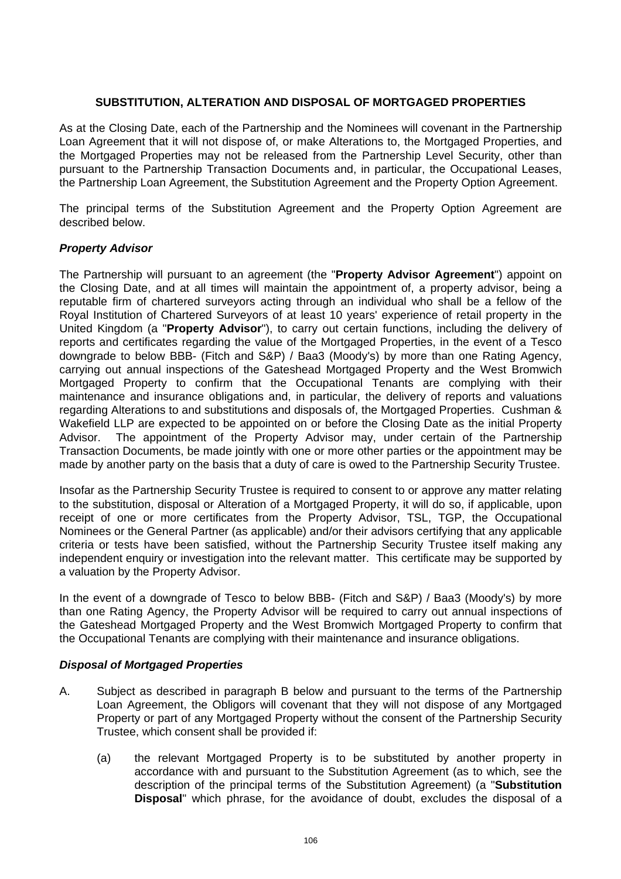# **SUBSTITUTION, ALTERATION AND DISPOSAL OF MORTGAGED PROPERTIES**

As at the Closing Date, each of the Partnership and the Nominees will covenant in the Partnership Loan Agreement that it will not dispose of, or make Alterations to, the Mortgaged Properties, and the Mortgaged Properties may not be released from the Partnership Level Security, other than pursuant to the Partnership Transaction Documents and, in particular, the Occupational Leases, the Partnership Loan Agreement, the Substitution Agreement and the Property Option Agreement.

The principal terms of the Substitution Agreement and the Property Option Agreement are described below.

# *Property Advisor*

The Partnership will pursuant to an agreement (the "**Property Advisor Agreement**") appoint on the Closing Date, and at all times will maintain the appointment of, a property advisor, being a reputable firm of chartered surveyors acting through an individual who shall be a fellow of the Royal Institution of Chartered Surveyors of at least 10 years' experience of retail property in the United Kingdom (a "**Property Advisor**"), to carry out certain functions, including the delivery of reports and certificates regarding the value of the Mortgaged Properties, in the event of a Tesco downgrade to below BBB- (Fitch and S&P) / Baa3 (Moody's) by more than one Rating Agency, carrying out annual inspections of the Gateshead Mortgaged Property and the West Bromwich Mortgaged Property to confirm that the Occupational Tenants are complying with their maintenance and insurance obligations and, in particular, the delivery of reports and valuations regarding Alterations to and substitutions and disposals of, the Mortgaged Properties. Cushman & Wakefield LLP are expected to be appointed on or before the Closing Date as the initial Property Advisor. The appointment of the Property Advisor may, under certain of the Partnership Transaction Documents, be made jointly with one or more other parties or the appointment may be made by another party on the basis that a duty of care is owed to the Partnership Security Trustee.

Insofar as the Partnership Security Trustee is required to consent to or approve any matter relating to the substitution, disposal or Alteration of a Mortgaged Property, it will do so, if applicable, upon receipt of one or more certificates from the Property Advisor, TSL, TGP, the Occupational Nominees or the General Partner (as applicable) and/or their advisors certifying that any applicable criteria or tests have been satisfied, without the Partnership Security Trustee itself making any independent enquiry or investigation into the relevant matter. This certificate may be supported by a valuation by the Property Advisor.

In the event of a downgrade of Tesco to below BBB- (Fitch and S&P) / Baa3 (Moody's) by more than one Rating Agency, the Property Advisor will be required to carry out annual inspections of the Gateshead Mortgaged Property and the West Bromwich Mortgaged Property to confirm that the Occupational Tenants are complying with their maintenance and insurance obligations.

## *Disposal of Mortgaged Properties*

- A. Subject as described in paragraph B below and pursuant to the terms of the Partnership Loan Agreement, the Obligors will covenant that they will not dispose of any Mortgaged Property or part of any Mortgaged Property without the consent of the Partnership Security Trustee, which consent shall be provided if:
	- (a) the relevant Mortgaged Property is to be substituted by another property in accordance with and pursuant to the Substitution Agreement (as to which, see the description of the principal terms of the Substitution Agreement) (a "**Substitution Disposal**" which phrase, for the avoidance of doubt, excludes the disposal of a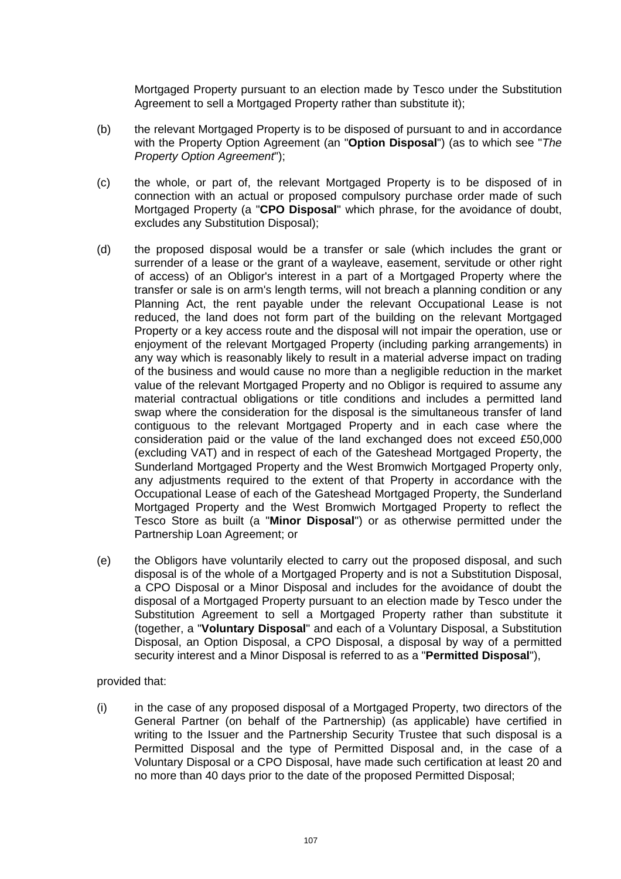Mortgaged Property pursuant to an election made by Tesco under the Substitution Agreement to sell a Mortgaged Property rather than substitute it);

- (b) the relevant Mortgaged Property is to be disposed of pursuant to and in accordance with the Property Option Agreement (an "**Option Disposal**") (as to which see "*The Property Option Agreement*");
- (c) the whole, or part of, the relevant Mortgaged Property is to be disposed of in connection with an actual or proposed compulsory purchase order made of such Mortgaged Property (a "**CPO Disposal**" which phrase, for the avoidance of doubt, excludes any Substitution Disposal);
- (d) the proposed disposal would be a transfer or sale (which includes the grant or surrender of a lease or the grant of a wayleave, easement, servitude or other right of access) of an Obligor's interest in a part of a Mortgaged Property where the transfer or sale is on arm's length terms, will not breach a planning condition or any Planning Act, the rent payable under the relevant Occupational Lease is not reduced, the land does not form part of the building on the relevant Mortgaged Property or a key access route and the disposal will not impair the operation, use or enjoyment of the relevant Mortgaged Property (including parking arrangements) in any way which is reasonably likely to result in a material adverse impact on trading of the business and would cause no more than a negligible reduction in the market value of the relevant Mortgaged Property and no Obligor is required to assume any material contractual obligations or title conditions and includes a permitted land swap where the consideration for the disposal is the simultaneous transfer of land contiguous to the relevant Mortgaged Property and in each case where the consideration paid or the value of the land exchanged does not exceed £50,000 (excluding VAT) and in respect of each of the Gateshead Mortgaged Property, the Sunderland Mortgaged Property and the West Bromwich Mortgaged Property only, any adjustments required to the extent of that Property in accordance with the Occupational Lease of each of the Gateshead Mortgaged Property, the Sunderland Mortgaged Property and the West Bromwich Mortgaged Property to reflect the Tesco Store as built (a "**Minor Disposal**") or as otherwise permitted under the Partnership Loan Agreement; or
- (e) the Obligors have voluntarily elected to carry out the proposed disposal, and such disposal is of the whole of a Mortgaged Property and is not a Substitution Disposal, a CPO Disposal or a Minor Disposal and includes for the avoidance of doubt the disposal of a Mortgaged Property pursuant to an election made by Tesco under the Substitution Agreement to sell a Mortgaged Property rather than substitute it (together, a "**Voluntary Disposal**" and each of a Voluntary Disposal, a Substitution Disposal, an Option Disposal, a CPO Disposal, a disposal by way of a permitted security interest and a Minor Disposal is referred to as a "**Permitted Disposal**"),

provided that:

(i) in the case of any proposed disposal of a Mortgaged Property, two directors of the General Partner (on behalf of the Partnership) (as applicable) have certified in writing to the Issuer and the Partnership Security Trustee that such disposal is a Permitted Disposal and the type of Permitted Disposal and, in the case of a Voluntary Disposal or a CPO Disposal, have made such certification at least 20 and no more than 40 days prior to the date of the proposed Permitted Disposal;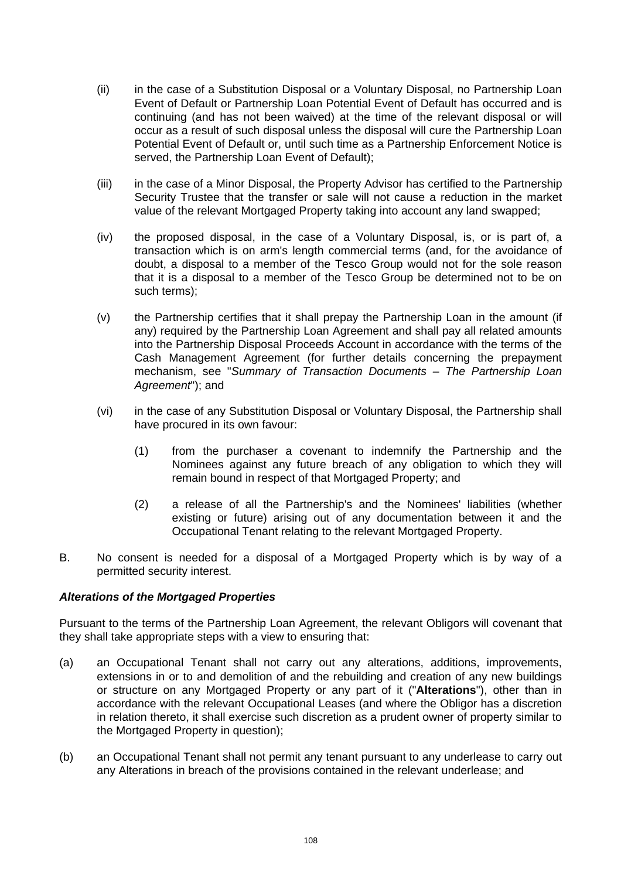- (ii) in the case of a Substitution Disposal or a Voluntary Disposal, no Partnership Loan Event of Default or Partnership Loan Potential Event of Default has occurred and is continuing (and has not been waived) at the time of the relevant disposal or will occur as a result of such disposal unless the disposal will cure the Partnership Loan Potential Event of Default or, until such time as a Partnership Enforcement Notice is served, the Partnership Loan Event of Default);
- (iii) in the case of a Minor Disposal, the Property Advisor has certified to the Partnership Security Trustee that the transfer or sale will not cause a reduction in the market value of the relevant Mortgaged Property taking into account any land swapped;
- (iv) the proposed disposal, in the case of a Voluntary Disposal, is, or is part of, a transaction which is on arm's length commercial terms (and, for the avoidance of doubt, a disposal to a member of the Tesco Group would not for the sole reason that it is a disposal to a member of the Tesco Group be determined not to be on such terms);
- (v) the Partnership certifies that it shall prepay the Partnership Loan in the amount (if any) required by the Partnership Loan Agreement and shall pay all related amounts into the Partnership Disposal Proceeds Account in accordance with the terms of the Cash Management Agreement (for further details concerning the prepayment mechanism, see "*Summary of Transaction Documents – The Partnership Loan Agreement*"); and
- (vi) in the case of any Substitution Disposal or Voluntary Disposal, the Partnership shall have procured in its own favour:
	- (1) from the purchaser a covenant to indemnify the Partnership and the Nominees against any future breach of any obligation to which they will remain bound in respect of that Mortgaged Property; and
	- (2) a release of all the Partnership's and the Nominees' liabilities (whether existing or future) arising out of any documentation between it and the Occupational Tenant relating to the relevant Mortgaged Property.
- B. No consent is needed for a disposal of a Mortgaged Property which is by way of a permitted security interest.

## *Alterations of the Mortgaged Properties*

Pursuant to the terms of the Partnership Loan Agreement, the relevant Obligors will covenant that they shall take appropriate steps with a view to ensuring that:

- (a) an Occupational Tenant shall not carry out any alterations, additions, improvements, extensions in or to and demolition of and the rebuilding and creation of any new buildings or structure on any Mortgaged Property or any part of it ("**Alterations**"), other than in accordance with the relevant Occupational Leases (and where the Obligor has a discretion in relation thereto, it shall exercise such discretion as a prudent owner of property similar to the Mortgaged Property in question);
- (b) an Occupational Tenant shall not permit any tenant pursuant to any underlease to carry out any Alterations in breach of the provisions contained in the relevant underlease; and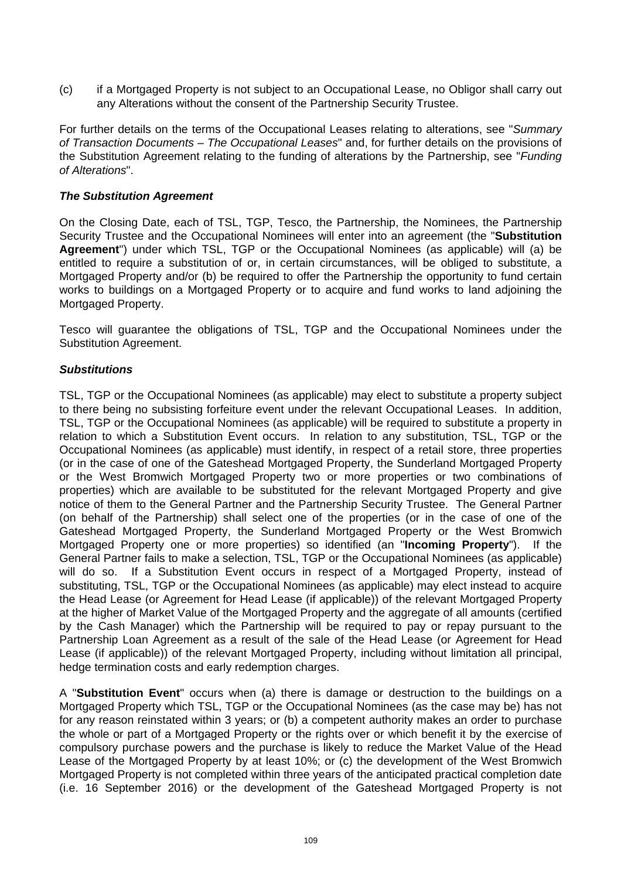(c) if a Mortgaged Property is not subject to an Occupational Lease, no Obligor shall carry out any Alterations without the consent of the Partnership Security Trustee.

For further details on the terms of the Occupational Leases relating to alterations, see "*Summary of Transaction Documents – The Occupational Leases*" and, for further details on the provisions of the Substitution Agreement relating to the funding of alterations by the Partnership, see "*Funding of Alterations*".

#### *The Substitution Agreement*

On the Closing Date, each of TSL, TGP, Tesco, the Partnership, the Nominees, the Partnership Security Trustee and the Occupational Nominees will enter into an agreement (the "**Substitution Agreement**") under which TSL, TGP or the Occupational Nominees (as applicable) will (a) be entitled to require a substitution of or, in certain circumstances, will be obliged to substitute, a Mortgaged Property and/or (b) be required to offer the Partnership the opportunity to fund certain works to buildings on a Mortgaged Property or to acquire and fund works to land adjoining the Mortgaged Property.

Tesco will guarantee the obligations of TSL, TGP and the Occupational Nominees under the Substitution Agreement.

## *Substitutions*

TSL, TGP or the Occupational Nominees (as applicable) may elect to substitute a property subject to there being no subsisting forfeiture event under the relevant Occupational Leases. In addition, TSL, TGP or the Occupational Nominees (as applicable) will be required to substitute a property in relation to which a Substitution Event occurs. In relation to any substitution, TSL, TGP or the Occupational Nominees (as applicable) must identify, in respect of a retail store, three properties (or in the case of one of the Gateshead Mortgaged Property, the Sunderland Mortgaged Property or the West Bromwich Mortgaged Property two or more properties or two combinations of properties) which are available to be substituted for the relevant Mortgaged Property and give notice of them to the General Partner and the Partnership Security Trustee. The General Partner (on behalf of the Partnership) shall select one of the properties (or in the case of one of the Gateshead Mortgaged Property, the Sunderland Mortgaged Property or the West Bromwich Mortgaged Property one or more properties) so identified (an "**Incoming Property**"). If the General Partner fails to make a selection, TSL, TGP or the Occupational Nominees (as applicable) will do so. If a Substitution Event occurs in respect of a Mortgaged Property, instead of substituting, TSL, TGP or the Occupational Nominees (as applicable) may elect instead to acquire the Head Lease (or Agreement for Head Lease (if applicable)) of the relevant Mortgaged Property at the higher of Market Value of the Mortgaged Property and the aggregate of all amounts (certified by the Cash Manager) which the Partnership will be required to pay or repay pursuant to the Partnership Loan Agreement as a result of the sale of the Head Lease (or Agreement for Head Lease (if applicable)) of the relevant Mortgaged Property, including without limitation all principal, hedge termination costs and early redemption charges.

A "**Substitution Event**" occurs when (a) there is damage or destruction to the buildings on a Mortgaged Property which TSL, TGP or the Occupational Nominees (as the case may be) has not for any reason reinstated within 3 years; or (b) a competent authority makes an order to purchase the whole or part of a Mortgaged Property or the rights over or which benefit it by the exercise of compulsory purchase powers and the purchase is likely to reduce the Market Value of the Head Lease of the Mortgaged Property by at least 10%; or (c) the development of the West Bromwich Mortgaged Property is not completed within three years of the anticipated practical completion date (i.e. 16 September 2016) or the development of the Gateshead Mortgaged Property is not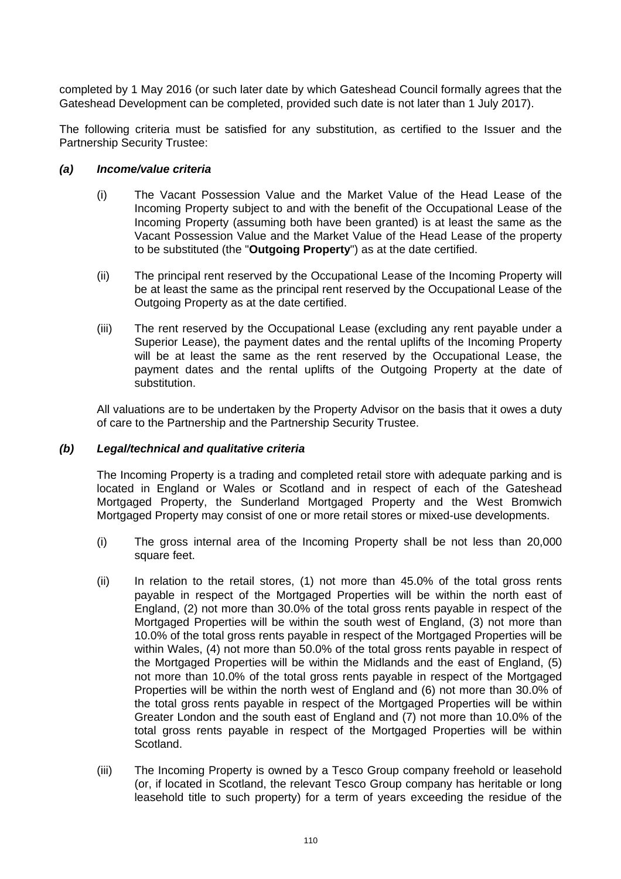completed by 1 May 2016 (or such later date by which Gateshead Council formally agrees that the Gateshead Development can be completed, provided such date is not later than 1 July 2017).

The following criteria must be satisfied for any substitution, as certified to the Issuer and the Partnership Security Trustee:

#### *(a) Income/value criteria*

- (i) The Vacant Possession Value and the Market Value of the Head Lease of the Incoming Property subject to and with the benefit of the Occupational Lease of the Incoming Property (assuming both have been granted) is at least the same as the Vacant Possession Value and the Market Value of the Head Lease of the property to be substituted (the "**Outgoing Property**") as at the date certified.
- (ii) The principal rent reserved by the Occupational Lease of the Incoming Property will be at least the same as the principal rent reserved by the Occupational Lease of the Outgoing Property as at the date certified.
- (iii) The rent reserved by the Occupational Lease (excluding any rent payable under a Superior Lease), the payment dates and the rental uplifts of the Incoming Property will be at least the same as the rent reserved by the Occupational Lease, the payment dates and the rental uplifts of the Outgoing Property at the date of substitution.

All valuations are to be undertaken by the Property Advisor on the basis that it owes a duty of care to the Partnership and the Partnership Security Trustee.

#### *(b) Legal/technical and qualitative criteria*

The Incoming Property is a trading and completed retail store with adequate parking and is located in England or Wales or Scotland and in respect of each of the Gateshead Mortgaged Property, the Sunderland Mortgaged Property and the West Bromwich Mortgaged Property may consist of one or more retail stores or mixed-use developments.

- (i) The gross internal area of the Incoming Property shall be not less than 20,000 square feet.
- (ii) In relation to the retail stores, (1) not more than 45.0% of the total gross rents payable in respect of the Mortgaged Properties will be within the north east of England, (2) not more than 30.0% of the total gross rents payable in respect of the Mortgaged Properties will be within the south west of England, (3) not more than 10.0% of the total gross rents payable in respect of the Mortgaged Properties will be within Wales, (4) not more than 50.0% of the total gross rents payable in respect of the Mortgaged Properties will be within the Midlands and the east of England, (5) not more than 10.0% of the total gross rents payable in respect of the Mortgaged Properties will be within the north west of England and (6) not more than 30.0% of the total gross rents payable in respect of the Mortgaged Properties will be within Greater London and the south east of England and (7) not more than 10.0% of the total gross rents payable in respect of the Mortgaged Properties will be within Scotland.
- (iii) The Incoming Property is owned by a Tesco Group company freehold or leasehold (or, if located in Scotland, the relevant Tesco Group company has heritable or long leasehold title to such property) for a term of years exceeding the residue of the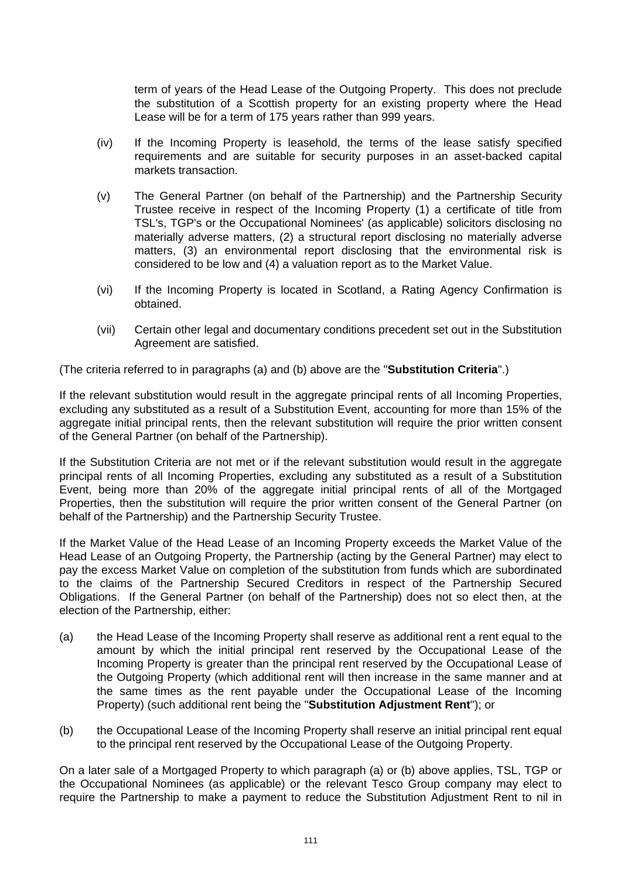term of years of the Head Lease of the Outgoing Property. This does not preclude the substitution of a Scottish property for an existing property where the Head Lease will be for a term of 175 years rather than 999 years.

- (iv) If the Incoming Property is leasehold, the terms of the lease satisfy specified requirements and are suitable for security purposes in an asset-backed capital markets transaction.
- (v) The General Partner (on behalf of the Partnership) and the Partnership Security Trustee receive in respect of the Incoming Property (1) a certificate of title from TSL's, TGP's or the Occupational Nominees' (as applicable) solicitors disclosing no materially adverse matters, (2) a structural report disclosing no materially adverse matters, (3) an environmental report disclosing that the environmental risk is considered to be low and (4) a valuation report as to the Market Value.
- (vi) If the Incoming Property is located in Scotland, a Rating Agency Confirmation is obtained.
- (vii) Certain other legal and documentary conditions precedent set out in the Substitution Agreement are satisfied.

(The criteria referred to in paragraphs (a) and (b) above are the "**Substitution Criteria**".)

If the relevant substitution would result in the aggregate principal rents of all Incoming Properties, excluding any substituted as a result of a Substitution Event, accounting for more than 15% of the aggregate initial principal rents, then the relevant substitution will require the prior written consent of the General Partner (on behalf of the Partnership).

If the Substitution Criteria are not met or if the relevant substitution would result in the aggregate principal rents of all Incoming Properties, excluding any substituted as a result of a Substitution Event, being more than 20% of the aggregate initial principal rents of all of the Mortgaged Properties, then the substitution will require the prior written consent of the General Partner (on behalf of the Partnership) and the Partnership Security Trustee.

If the Market Value of the Head Lease of an Incoming Property exceeds the Market Value of the Head Lease of an Outgoing Property, the Partnership (acting by the General Partner) may elect to pay the excess Market Value on completion of the substitution from funds which are subordinated to the claims of the Partnership Secured Creditors in respect of the Partnership Secured Obligations. If the General Partner (on behalf of the Partnership) does not so elect then, at the election of the Partnership, either:

- (a) the Head Lease of the Incoming Property shall reserve as additional rent a rent equal to the amount by which the initial principal rent reserved by the Occupational Lease of the Incoming Property is greater than the principal rent reserved by the Occupational Lease of the Outgoing Property (which additional rent will then increase in the same manner and at the same times as the rent payable under the Occupational Lease of the Incoming Property) (such additional rent being the "**Substitution Adjustment Rent**"); or
- (b) the Occupational Lease of the Incoming Property shall reserve an initial principal rent equal to the principal rent reserved by the Occupational Lease of the Outgoing Property.

On a later sale of a Mortgaged Property to which paragraph (a) or (b) above applies, TSL, TGP or the Occupational Nominees (as applicable) or the relevant Tesco Group company may elect to require the Partnership to make a payment to reduce the Substitution Adjustment Rent to nil in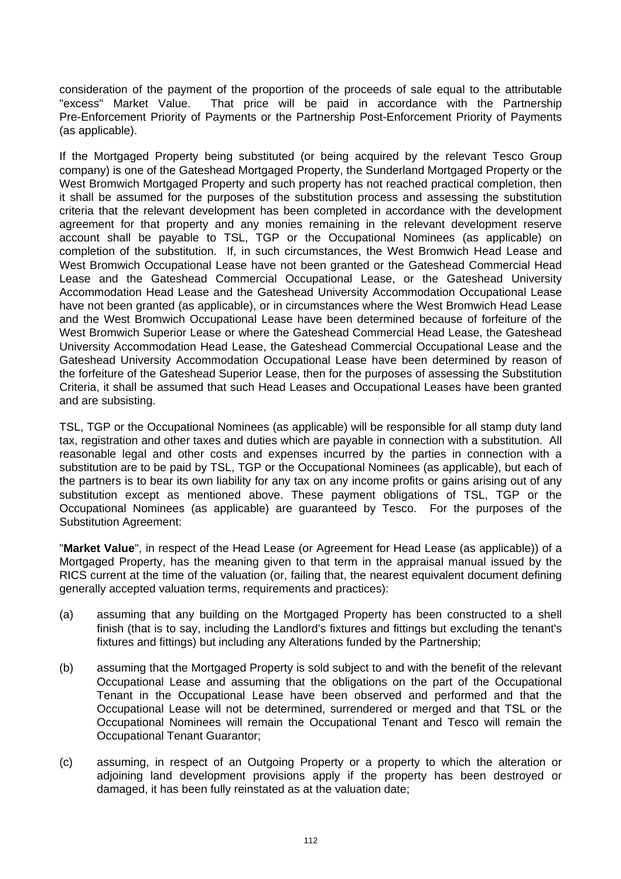consideration of the payment of the proportion of the proceeds of sale equal to the attributable "excess" Market Value. That price will be paid in accordance with the Partnership Pre-Enforcement Priority of Payments or the Partnership Post-Enforcement Priority of Payments (as applicable).

If the Mortgaged Property being substituted (or being acquired by the relevant Tesco Group company) is one of the Gateshead Mortgaged Property, the Sunderland Mortgaged Property or the West Bromwich Mortgaged Property and such property has not reached practical completion, then it shall be assumed for the purposes of the substitution process and assessing the substitution criteria that the relevant development has been completed in accordance with the development agreement for that property and any monies remaining in the relevant development reserve account shall be payable to TSL, TGP or the Occupational Nominees (as applicable) on completion of the substitution. If, in such circumstances, the West Bromwich Head Lease and West Bromwich Occupational Lease have not been granted or the Gateshead Commercial Head Lease and the Gateshead Commercial Occupational Lease, or the Gateshead University Accommodation Head Lease and the Gateshead University Accommodation Occupational Lease have not been granted (as applicable), or in circumstances where the West Bromwich Head Lease and the West Bromwich Occupational Lease have been determined because of forfeiture of the West Bromwich Superior Lease or where the Gateshead Commercial Head Lease, the Gateshead University Accommodation Head Lease, the Gateshead Commercial Occupational Lease and the Gateshead University Accommodation Occupational Lease have been determined by reason of the forfeiture of the Gateshead Superior Lease, then for the purposes of assessing the Substitution Criteria, it shall be assumed that such Head Leases and Occupational Leases have been granted and are subsisting.

TSL, TGP or the Occupational Nominees (as applicable) will be responsible for all stamp duty land tax, registration and other taxes and duties which are payable in connection with a substitution. All reasonable legal and other costs and expenses incurred by the parties in connection with a substitution are to be paid by TSL, TGP or the Occupational Nominees (as applicable), but each of the partners is to bear its own liability for any tax on any income profits or gains arising out of any substitution except as mentioned above. These payment obligations of TSL, TGP or the Occupational Nominees (as applicable) are guaranteed by Tesco. For the purposes of the Substitution Agreement:

"**Market Value**", in respect of the Head Lease (or Agreement for Head Lease (as applicable)) of a Mortgaged Property, has the meaning given to that term in the appraisal manual issued by the RICS current at the time of the valuation (or, failing that, the nearest equivalent document defining generally accepted valuation terms, requirements and practices):

- (a) assuming that any building on the Mortgaged Property has been constructed to a shell finish (that is to say, including the Landlord's fixtures and fittings but excluding the tenant's fixtures and fittings) but including any Alterations funded by the Partnership;
- (b) assuming that the Mortgaged Property is sold subject to and with the benefit of the relevant Occupational Lease and assuming that the obligations on the part of the Occupational Tenant in the Occupational Lease have been observed and performed and that the Occupational Lease will not be determined, surrendered or merged and that TSL or the Occupational Nominees will remain the Occupational Tenant and Tesco will remain the Occupational Tenant Guarantor;
- (c) assuming, in respect of an Outgoing Property or a property to which the alteration or adjoining land development provisions apply if the property has been destroyed or damaged, it has been fully reinstated as at the valuation date;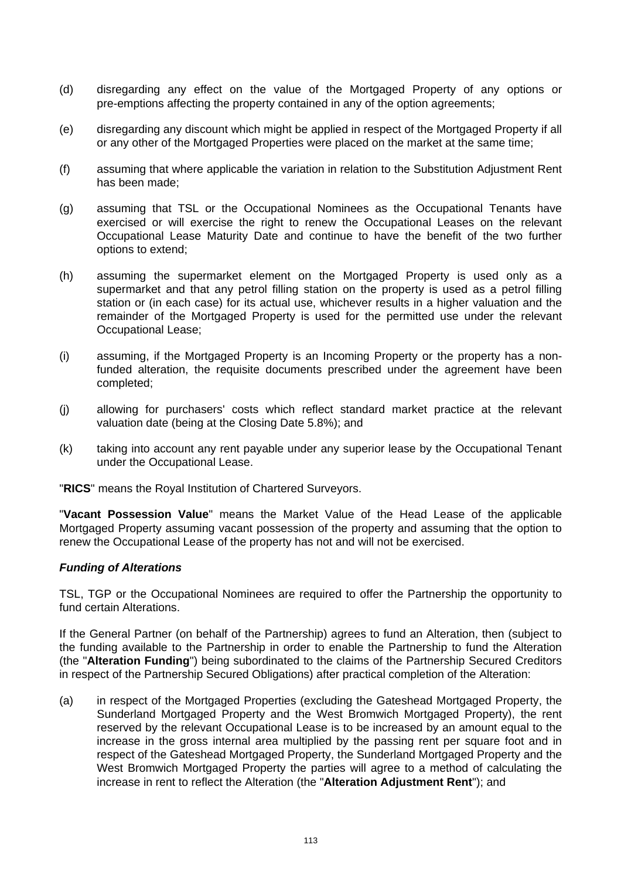- (d) disregarding any effect on the value of the Mortgaged Property of any options or pre-emptions affecting the property contained in any of the option agreements;
- (e) disregarding any discount which might be applied in respect of the Mortgaged Property if all or any other of the Mortgaged Properties were placed on the market at the same time;
- (f) assuming that where applicable the variation in relation to the Substitution Adjustment Rent has been made;
- (g) assuming that TSL or the Occupational Nominees as the Occupational Tenants have exercised or will exercise the right to renew the Occupational Leases on the relevant Occupational Lease Maturity Date and continue to have the benefit of the two further options to extend;
- (h) assuming the supermarket element on the Mortgaged Property is used only as a supermarket and that any petrol filling station on the property is used as a petrol filling station or (in each case) for its actual use, whichever results in a higher valuation and the remainder of the Mortgaged Property is used for the permitted use under the relevant Occupational Lease;
- (i) assuming, if the Mortgaged Property is an Incoming Property or the property has a nonfunded alteration, the requisite documents prescribed under the agreement have been completed;
- (j) allowing for purchasers' costs which reflect standard market practice at the relevant valuation date (being at the Closing Date 5.8%); and
- (k) taking into account any rent payable under any superior lease by the Occupational Tenant under the Occupational Lease.

"**RICS**" means the Royal Institution of Chartered Surveyors.

"**Vacant Possession Value**" means the Market Value of the Head Lease of the applicable Mortgaged Property assuming vacant possession of the property and assuming that the option to renew the Occupational Lease of the property has not and will not be exercised.

## *Funding of Alterations*

TSL, TGP or the Occupational Nominees are required to offer the Partnership the opportunity to fund certain Alterations.

If the General Partner (on behalf of the Partnership) agrees to fund an Alteration, then (subject to the funding available to the Partnership in order to enable the Partnership to fund the Alteration (the "**Alteration Funding**") being subordinated to the claims of the Partnership Secured Creditors in respect of the Partnership Secured Obligations) after practical completion of the Alteration:

(a) in respect of the Mortgaged Properties (excluding the Gateshead Mortgaged Property, the Sunderland Mortgaged Property and the West Bromwich Mortgaged Property), the rent reserved by the relevant Occupational Lease is to be increased by an amount equal to the increase in the gross internal area multiplied by the passing rent per square foot and in respect of the Gateshead Mortgaged Property, the Sunderland Mortgaged Property and the West Bromwich Mortgaged Property the parties will agree to a method of calculating the increase in rent to reflect the Alteration (the "**Alteration Adjustment Rent**"); and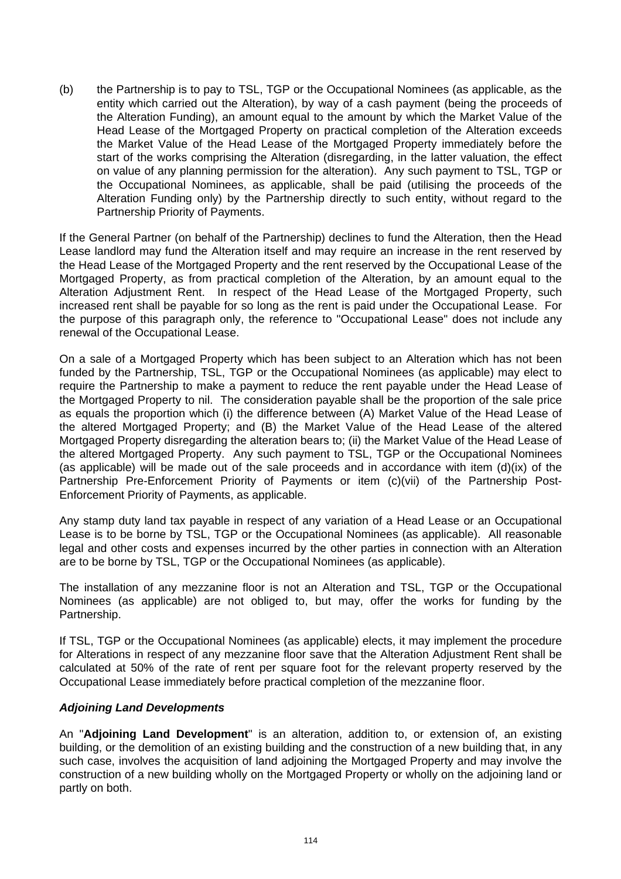(b) the Partnership is to pay to TSL, TGP or the Occupational Nominees (as applicable, as the entity which carried out the Alteration), by way of a cash payment (being the proceeds of the Alteration Funding), an amount equal to the amount by which the Market Value of the Head Lease of the Mortgaged Property on practical completion of the Alteration exceeds the Market Value of the Head Lease of the Mortgaged Property immediately before the start of the works comprising the Alteration (disregarding, in the latter valuation, the effect on value of any planning permission for the alteration). Any such payment to TSL, TGP or the Occupational Nominees, as applicable, shall be paid (utilising the proceeds of the Alteration Funding only) by the Partnership directly to such entity, without regard to the Partnership Priority of Payments.

If the General Partner (on behalf of the Partnership) declines to fund the Alteration, then the Head Lease landlord may fund the Alteration itself and may require an increase in the rent reserved by the Head Lease of the Mortgaged Property and the rent reserved by the Occupational Lease of the Mortgaged Property, as from practical completion of the Alteration, by an amount equal to the Alteration Adjustment Rent. In respect of the Head Lease of the Mortgaged Property, such increased rent shall be payable for so long as the rent is paid under the Occupational Lease. For the purpose of this paragraph only, the reference to "Occupational Lease" does not include any renewal of the Occupational Lease.

On a sale of a Mortgaged Property which has been subject to an Alteration which has not been funded by the Partnership, TSL, TGP or the Occupational Nominees (as applicable) may elect to require the Partnership to make a payment to reduce the rent payable under the Head Lease of the Mortgaged Property to nil. The consideration payable shall be the proportion of the sale price as equals the proportion which (i) the difference between (A) Market Value of the Head Lease of the altered Mortgaged Property; and (B) the Market Value of the Head Lease of the altered Mortgaged Property disregarding the alteration bears to; (ii) the Market Value of the Head Lease of the altered Mortgaged Property. Any such payment to TSL, TGP or the Occupational Nominees (as applicable) will be made out of the sale proceeds and in accordance with item (d)(ix) of the Partnership Pre-Enforcement Priority of Payments or item (c)(vii) of the Partnership Post-Enforcement Priority of Payments, as applicable.

Any stamp duty land tax payable in respect of any variation of a Head Lease or an Occupational Lease is to be borne by TSL, TGP or the Occupational Nominees (as applicable). All reasonable legal and other costs and expenses incurred by the other parties in connection with an Alteration are to be borne by TSL, TGP or the Occupational Nominees (as applicable).

The installation of any mezzanine floor is not an Alteration and TSL, TGP or the Occupational Nominees (as applicable) are not obliged to, but may, offer the works for funding by the Partnership.

If TSL, TGP or the Occupational Nominees (as applicable) elects, it may implement the procedure for Alterations in respect of any mezzanine floor save that the Alteration Adjustment Rent shall be calculated at 50% of the rate of rent per square foot for the relevant property reserved by the Occupational Lease immediately before practical completion of the mezzanine floor.

## *Adjoining Land Developments*

An "**Adjoining Land Development**" is an alteration, addition to, or extension of, an existing building, or the demolition of an existing building and the construction of a new building that, in any such case, involves the acquisition of land adjoining the Mortgaged Property and may involve the construction of a new building wholly on the Mortgaged Property or wholly on the adjoining land or partly on both.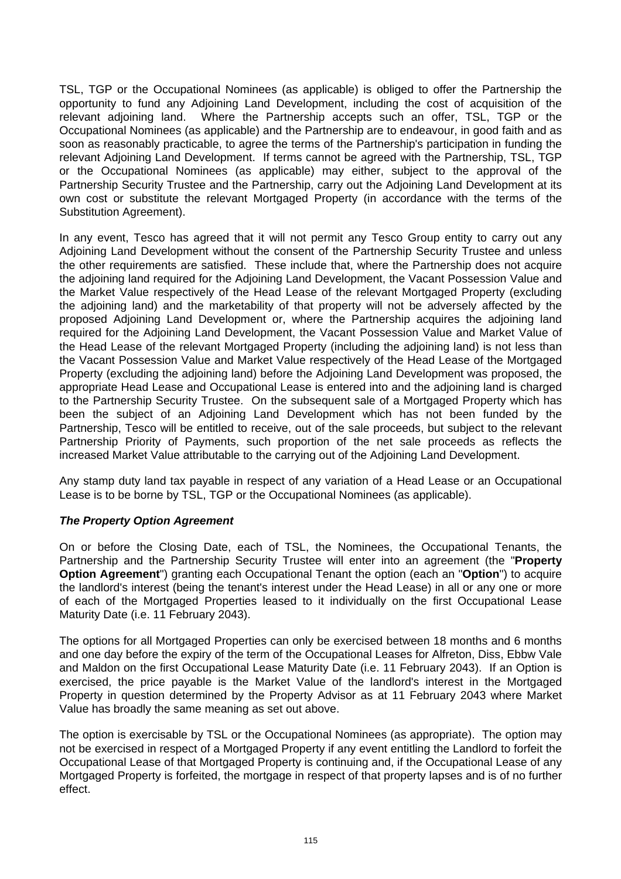TSL, TGP or the Occupational Nominees (as applicable) is obliged to offer the Partnership the opportunity to fund any Adjoining Land Development, including the cost of acquisition of the relevant adjoining land. Where the Partnership accepts such an offer, TSL, TGP or the Occupational Nominees (as applicable) and the Partnership are to endeavour, in good faith and as soon as reasonably practicable, to agree the terms of the Partnership's participation in funding the relevant Adjoining Land Development. If terms cannot be agreed with the Partnership, TSL, TGP or the Occupational Nominees (as applicable) may either, subject to the approval of the Partnership Security Trustee and the Partnership, carry out the Adjoining Land Development at its own cost or substitute the relevant Mortgaged Property (in accordance with the terms of the Substitution Agreement).

In any event, Tesco has agreed that it will not permit any Tesco Group entity to carry out any Adjoining Land Development without the consent of the Partnership Security Trustee and unless the other requirements are satisfied. These include that, where the Partnership does not acquire the adjoining land required for the Adjoining Land Development, the Vacant Possession Value and the Market Value respectively of the Head Lease of the relevant Mortgaged Property (excluding the adjoining land) and the marketability of that property will not be adversely affected by the proposed Adjoining Land Development or, where the Partnership acquires the adjoining land required for the Adjoining Land Development, the Vacant Possession Value and Market Value of the Head Lease of the relevant Mortgaged Property (including the adjoining land) is not less than the Vacant Possession Value and Market Value respectively of the Head Lease of the Mortgaged Property (excluding the adjoining land) before the Adjoining Land Development was proposed, the appropriate Head Lease and Occupational Lease is entered into and the adjoining land is charged to the Partnership Security Trustee. On the subsequent sale of a Mortgaged Property which has been the subject of an Adjoining Land Development which has not been funded by the Partnership, Tesco will be entitled to receive, out of the sale proceeds, but subject to the relevant Partnership Priority of Payments, such proportion of the net sale proceeds as reflects the increased Market Value attributable to the carrying out of the Adjoining Land Development.

Any stamp duty land tax payable in respect of any variation of a Head Lease or an Occupational Lease is to be borne by TSL, TGP or the Occupational Nominees (as applicable).

## *The Property Option Agreement*

On or before the Closing Date, each of TSL, the Nominees, the Occupational Tenants, the Partnership and the Partnership Security Trustee will enter into an agreement (the "**Property Option Agreement**") granting each Occupational Tenant the option (each an "**Option**") to acquire the landlord's interest (being the tenant's interest under the Head Lease) in all or any one or more of each of the Mortgaged Properties leased to it individually on the first Occupational Lease Maturity Date (i.e. 11 February 2043).

The options for all Mortgaged Properties can only be exercised between 18 months and 6 months and one day before the expiry of the term of the Occupational Leases for Alfreton, Diss, Ebbw Vale and Maldon on the first Occupational Lease Maturity Date (i.e. 11 February 2043). If an Option is exercised, the price payable is the Market Value of the landlord's interest in the Mortgaged Property in question determined by the Property Advisor as at 11 February 2043 where Market Value has broadly the same meaning as set out above.

The option is exercisable by TSL or the Occupational Nominees (as appropriate). The option may not be exercised in respect of a Mortgaged Property if any event entitling the Landlord to forfeit the Occupational Lease of that Mortgaged Property is continuing and, if the Occupational Lease of any Mortgaged Property is forfeited, the mortgage in respect of that property lapses and is of no further effect.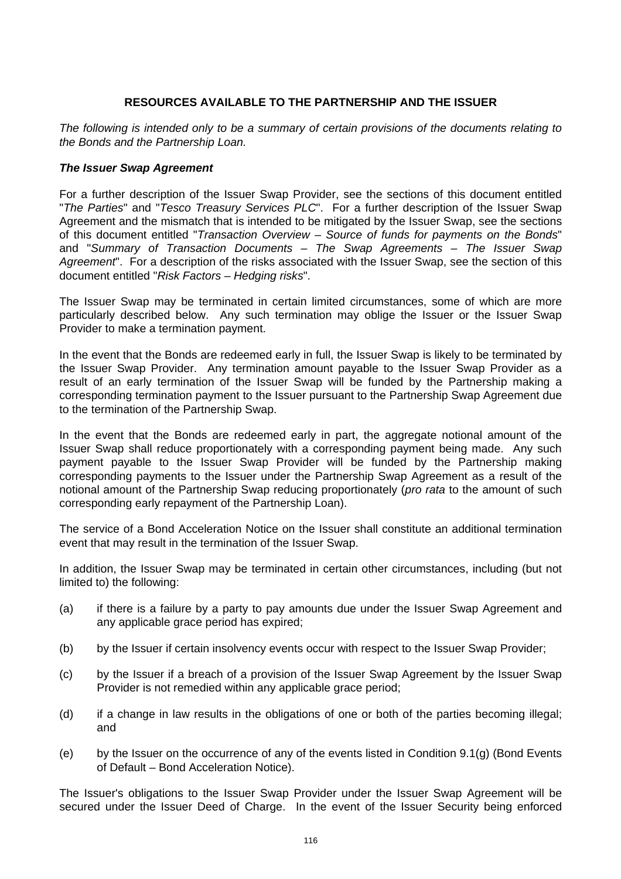# **RESOURCES AVAILABLE TO THE PARTNERSHIP AND THE ISSUER**

*The following is intended only to be a summary of certain provisions of the documents relating to the Bonds and the Partnership Loan.*

#### *The Issuer Swap Agreement*

For a further description of the Issuer Swap Provider, see the sections of this document entitled "*The Parties*" and "*Tesco Treasury Services PLC*". For a further description of the Issuer Swap Agreement and the mismatch that is intended to be mitigated by the Issuer Swap, see the sections of this document entitled "*Transaction Overview – Source of funds for payments on the Bonds*" and "*Summary of Transaction Documents – The Swap Agreements – The Issuer Swap Agreement*". For a description of the risks associated with the Issuer Swap, see the section of this document entitled "*Risk Factors – Hedging risks*".

The Issuer Swap may be terminated in certain limited circumstances, some of which are more particularly described below. Any such termination may oblige the Issuer or the Issuer Swap Provider to make a termination payment.

In the event that the Bonds are redeemed early in full, the Issuer Swap is likely to be terminated by the Issuer Swap Provider. Any termination amount payable to the Issuer Swap Provider as a result of an early termination of the Issuer Swap will be funded by the Partnership making a corresponding termination payment to the Issuer pursuant to the Partnership Swap Agreement due to the termination of the Partnership Swap.

In the event that the Bonds are redeemed early in part, the aggregate notional amount of the Issuer Swap shall reduce proportionately with a corresponding payment being made. Any such payment payable to the Issuer Swap Provider will be funded by the Partnership making corresponding payments to the Issuer under the Partnership Swap Agreement as a result of the notional amount of the Partnership Swap reducing proportionately (*pro rata* to the amount of such corresponding early repayment of the Partnership Loan).

The service of a Bond Acceleration Notice on the Issuer shall constitute an additional termination event that may result in the termination of the Issuer Swap.

In addition, the Issuer Swap may be terminated in certain other circumstances, including (but not limited to) the following:

- (a) if there is a failure by a party to pay amounts due under the Issuer Swap Agreement and any applicable grace period has expired;
- (b) by the Issuer if certain insolvency events occur with respect to the Issuer Swap Provider;
- (c) by the Issuer if a breach of a provision of the Issuer Swap Agreement by the Issuer Swap Provider is not remedied within any applicable grace period;
- (d) if a change in law results in the obligations of one or both of the parties becoming illegal; and
- (e) by the Issuer on the occurrence of any of the events listed in Condition 9.1(g) (Bond Events of Default – Bond Acceleration Notice).

The Issuer's obligations to the Issuer Swap Provider under the Issuer Swap Agreement will be secured under the Issuer Deed of Charge. In the event of the Issuer Security being enforced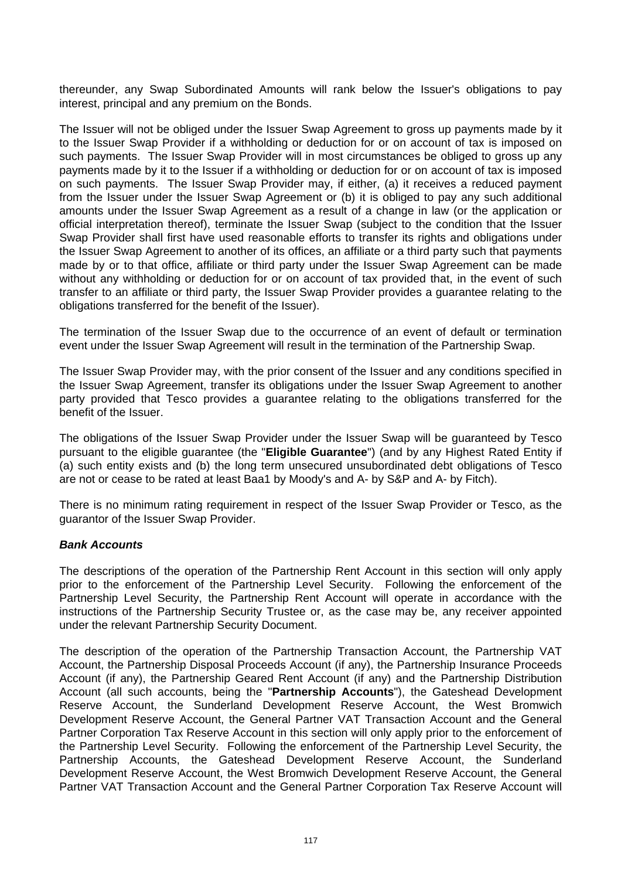thereunder, any Swap Subordinated Amounts will rank below the Issuer's obligations to pay interest, principal and any premium on the Bonds.

The Issuer will not be obliged under the Issuer Swap Agreement to gross up payments made by it to the Issuer Swap Provider if a withholding or deduction for or on account of tax is imposed on such payments. The Issuer Swap Provider will in most circumstances be obliged to gross up any payments made by it to the Issuer if a withholding or deduction for or on account of tax is imposed on such payments. The Issuer Swap Provider may, if either, (a) it receives a reduced payment from the Issuer under the Issuer Swap Agreement or (b) it is obliged to pay any such additional amounts under the Issuer Swap Agreement as a result of a change in law (or the application or official interpretation thereof), terminate the Issuer Swap (subject to the condition that the Issuer Swap Provider shall first have used reasonable efforts to transfer its rights and obligations under the Issuer Swap Agreement to another of its offices, an affiliate or a third party such that payments made by or to that office, affiliate or third party under the Issuer Swap Agreement can be made without any withholding or deduction for or on account of tax provided that, in the event of such transfer to an affiliate or third party, the Issuer Swap Provider provides a guarantee relating to the obligations transferred for the benefit of the Issuer).

The termination of the Issuer Swap due to the occurrence of an event of default or termination event under the Issuer Swap Agreement will result in the termination of the Partnership Swap.

The Issuer Swap Provider may, with the prior consent of the Issuer and any conditions specified in the Issuer Swap Agreement, transfer its obligations under the Issuer Swap Agreement to another party provided that Tesco provides a guarantee relating to the obligations transferred for the benefit of the Issuer.

The obligations of the Issuer Swap Provider under the Issuer Swap will be guaranteed by Tesco pursuant to the eligible guarantee (the "**Eligible Guarantee**") (and by any Highest Rated Entity if (a) such entity exists and (b) the long term unsecured unsubordinated debt obligations of Tesco are not or cease to be rated at least Baa1 by Moody's and A- by S&P and A- by Fitch).

There is no minimum rating requirement in respect of the Issuer Swap Provider or Tesco, as the guarantor of the Issuer Swap Provider.

#### *Bank Accounts*

The descriptions of the operation of the Partnership Rent Account in this section will only apply prior to the enforcement of the Partnership Level Security. Following the enforcement of the Partnership Level Security, the Partnership Rent Account will operate in accordance with the instructions of the Partnership Security Trustee or, as the case may be, any receiver appointed under the relevant Partnership Security Document.

The description of the operation of the Partnership Transaction Account, the Partnership VAT Account, the Partnership Disposal Proceeds Account (if any), the Partnership Insurance Proceeds Account (if any), the Partnership Geared Rent Account (if any) and the Partnership Distribution Account (all such accounts, being the "**Partnership Accounts**"), the Gateshead Development Reserve Account, the Sunderland Development Reserve Account, the West Bromwich Development Reserve Account, the General Partner VAT Transaction Account and the General Partner Corporation Tax Reserve Account in this section will only apply prior to the enforcement of the Partnership Level Security. Following the enforcement of the Partnership Level Security, the Partnership Accounts, the Gateshead Development Reserve Account, the Sunderland Development Reserve Account, the West Bromwich Development Reserve Account, the General Partner VAT Transaction Account and the General Partner Corporation Tax Reserve Account will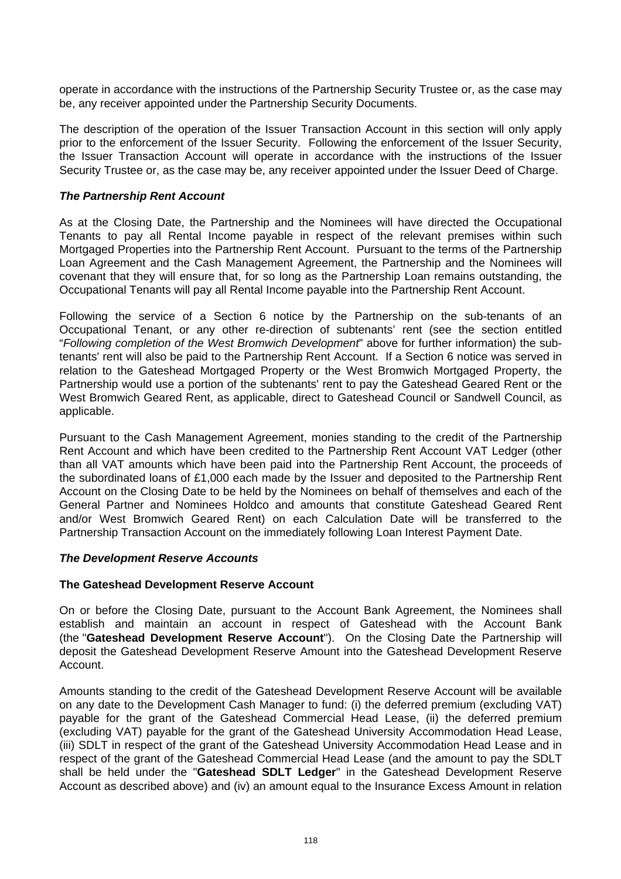operate in accordance with the instructions of the Partnership Security Trustee or, as the case may be, any receiver appointed under the Partnership Security Documents.

The description of the operation of the Issuer Transaction Account in this section will only apply prior to the enforcement of the Issuer Security. Following the enforcement of the Issuer Security, the Issuer Transaction Account will operate in accordance with the instructions of the Issuer Security Trustee or, as the case may be, any receiver appointed under the Issuer Deed of Charge.

#### *The Partnership Rent Account*

As at the Closing Date, the Partnership and the Nominees will have directed the Occupational Tenants to pay all Rental Income payable in respect of the relevant premises within such Mortgaged Properties into the Partnership Rent Account. Pursuant to the terms of the Partnership Loan Agreement and the Cash Management Agreement, the Partnership and the Nominees will covenant that they will ensure that, for so long as the Partnership Loan remains outstanding, the Occupational Tenants will pay all Rental Income payable into the Partnership Rent Account.

Following the service of a Section 6 notice by the Partnership on the sub-tenants of an Occupational Tenant, or any other re-direction of subtenants' rent (see the section entitled "*Following completion of the West Bromwich Development*" above for further information) the subtenants' rent will also be paid to the Partnership Rent Account. If a Section 6 notice was served in relation to the Gateshead Mortgaged Property or the West Bromwich Mortgaged Property, the Partnership would use a portion of the subtenants' rent to pay the Gateshead Geared Rent or the West Bromwich Geared Rent, as applicable, direct to Gateshead Council or Sandwell Council, as applicable.

Pursuant to the Cash Management Agreement, monies standing to the credit of the Partnership Rent Account and which have been credited to the Partnership Rent Account VAT Ledger (other than all VAT amounts which have been paid into the Partnership Rent Account, the proceeds of the subordinated loans of £1,000 each made by the Issuer and deposited to the Partnership Rent Account on the Closing Date to be held by the Nominees on behalf of themselves and each of the General Partner and Nominees Holdco and amounts that constitute Gateshead Geared Rent and/or West Bromwich Geared Rent) on each Calculation Date will be transferred to the Partnership Transaction Account on the immediately following Loan Interest Payment Date.

#### *The Development Reserve Accounts*

## **The Gateshead Development Reserve Account**

On or before the Closing Date, pursuant to the Account Bank Agreement, the Nominees shall establish and maintain an account in respect of Gateshead with the Account Bank (the "**Gateshead Development Reserve Account**"). On the Closing Date the Partnership will deposit the Gateshead Development Reserve Amount into the Gateshead Development Reserve Account.

Amounts standing to the credit of the Gateshead Development Reserve Account will be available on any date to the Development Cash Manager to fund: (i) the deferred premium (excluding VAT) payable for the grant of the Gateshead Commercial Head Lease, (ii) the deferred premium (excluding VAT) payable for the grant of the Gateshead University Accommodation Head Lease, (iii) SDLT in respect of the grant of the Gateshead University Accommodation Head Lease and in respect of the grant of the Gateshead Commercial Head Lease (and the amount to pay the SDLT shall be held under the "**Gateshead SDLT Ledger**" in the Gateshead Development Reserve Account as described above) and (iv) an amount equal to the Insurance Excess Amount in relation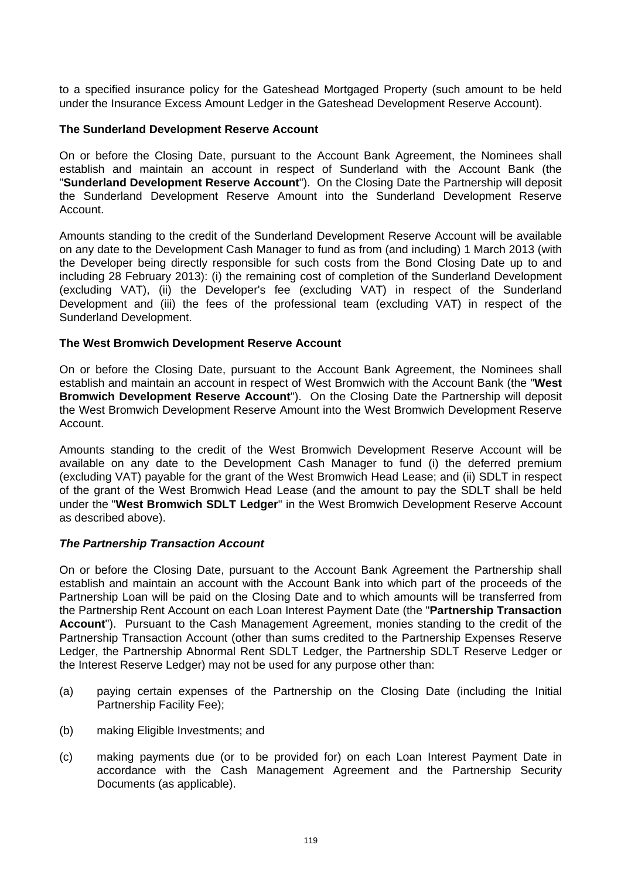to a specified insurance policy for the Gateshead Mortgaged Property (such amount to be held under the Insurance Excess Amount Ledger in the Gateshead Development Reserve Account).

#### **The Sunderland Development Reserve Account**

On or before the Closing Date, pursuant to the Account Bank Agreement, the Nominees shall establish and maintain an account in respect of Sunderland with the Account Bank (the "**Sunderland Development Reserve Account**"). On the Closing Date the Partnership will deposit the Sunderland Development Reserve Amount into the Sunderland Development Reserve Account.

Amounts standing to the credit of the Sunderland Development Reserve Account will be available on any date to the Development Cash Manager to fund as from (and including) 1 March 2013 (with the Developer being directly responsible for such costs from the Bond Closing Date up to and including 28 February 2013): (i) the remaining cost of completion of the Sunderland Development (excluding VAT), (ii) the Developer's fee (excluding VAT) in respect of the Sunderland Development and (iii) the fees of the professional team (excluding VAT) in respect of the Sunderland Development.

#### **The West Bromwich Development Reserve Account**

On or before the Closing Date, pursuant to the Account Bank Agreement, the Nominees shall establish and maintain an account in respect of West Bromwich with the Account Bank (the "**West Bromwich Development Reserve Account**"). On the Closing Date the Partnership will deposit the West Bromwich Development Reserve Amount into the West Bromwich Development Reserve Account.

Amounts standing to the credit of the West Bromwich Development Reserve Account will be available on any date to the Development Cash Manager to fund (i) the deferred premium (excluding VAT) payable for the grant of the West Bromwich Head Lease; and (ii) SDLT in respect of the grant of the West Bromwich Head Lease (and the amount to pay the SDLT shall be held under the "**West Bromwich SDLT Ledger**" in the West Bromwich Development Reserve Account as described above).

## *The Partnership Transaction Account*

On or before the Closing Date, pursuant to the Account Bank Agreement the Partnership shall establish and maintain an account with the Account Bank into which part of the proceeds of the Partnership Loan will be paid on the Closing Date and to which amounts will be transferred from the Partnership Rent Account on each Loan Interest Payment Date (the "**Partnership Transaction Account**"). Pursuant to the Cash Management Agreement, monies standing to the credit of the Partnership Transaction Account (other than sums credited to the Partnership Expenses Reserve Ledger, the Partnership Abnormal Rent SDLT Ledger, the Partnership SDLT Reserve Ledger or the Interest Reserve Ledger) may not be used for any purpose other than:

- (a) paying certain expenses of the Partnership on the Closing Date (including the Initial Partnership Facility Fee);
- (b) making Eligible Investments; and
- (c) making payments due (or to be provided for) on each Loan Interest Payment Date in accordance with the Cash Management Agreement and the Partnership Security Documents (as applicable).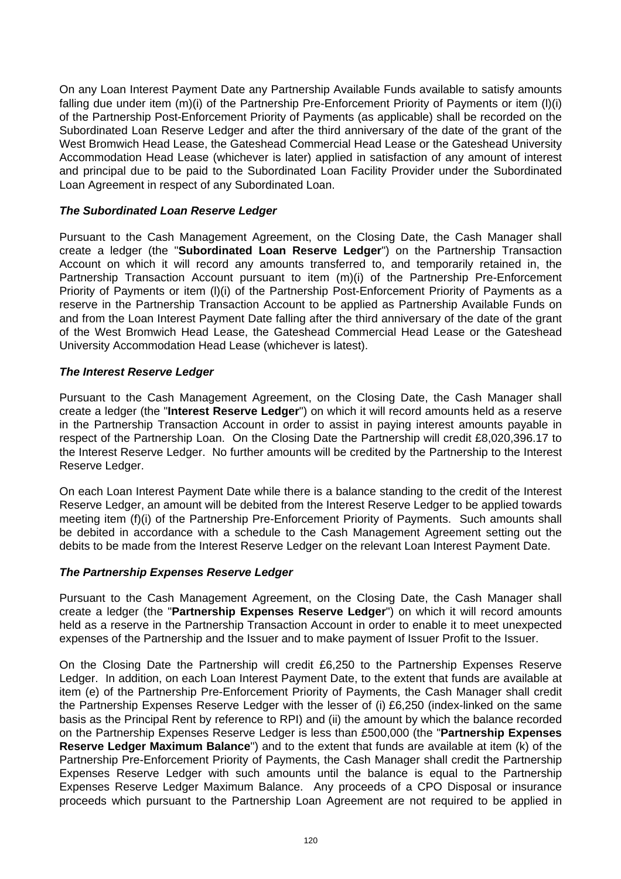On any Loan Interest Payment Date any Partnership Available Funds available to satisfy amounts falling due under item (m)(i) of the Partnership Pre-Enforcement Priority of Payments or item (l)(i) of the Partnership Post-Enforcement Priority of Payments (as applicable) shall be recorded on the Subordinated Loan Reserve Ledger and after the third anniversary of the date of the grant of the West Bromwich Head Lease, the Gateshead Commercial Head Lease or the Gateshead University Accommodation Head Lease (whichever is later) applied in satisfaction of any amount of interest and principal due to be paid to the Subordinated Loan Facility Provider under the Subordinated Loan Agreement in respect of any Subordinated Loan.

## *The Subordinated Loan Reserve Ledger*

Pursuant to the Cash Management Agreement, on the Closing Date, the Cash Manager shall create a ledger (the "**Subordinated Loan Reserve Ledger**") on the Partnership Transaction Account on which it will record any amounts transferred to, and temporarily retained in, the Partnership Transaction Account pursuant to item (m)(i) of the Partnership Pre-Enforcement Priority of Payments or item (I)(i) of the Partnership Post-Enforcement Priority of Payments as a reserve in the Partnership Transaction Account to be applied as Partnership Available Funds on and from the Loan Interest Payment Date falling after the third anniversary of the date of the grant of the West Bromwich Head Lease, the Gateshead Commercial Head Lease or the Gateshead University Accommodation Head Lease (whichever is latest).

#### *The Interest Reserve Ledger*

Pursuant to the Cash Management Agreement, on the Closing Date, the Cash Manager shall create a ledger (the "**Interest Reserve Ledger**") on which it will record amounts held as a reserve in the Partnership Transaction Account in order to assist in paying interest amounts payable in respect of the Partnership Loan. On the Closing Date the Partnership will credit £8,020,396.17 to the Interest Reserve Ledger. No further amounts will be credited by the Partnership to the Interest Reserve Ledger.

On each Loan Interest Payment Date while there is a balance standing to the credit of the Interest Reserve Ledger, an amount will be debited from the Interest Reserve Ledger to be applied towards meeting item (f)(i) of the Partnership Pre-Enforcement Priority of Payments. Such amounts shall be debited in accordance with a schedule to the Cash Management Agreement setting out the debits to be made from the Interest Reserve Ledger on the relevant Loan Interest Payment Date.

#### *The Partnership Expenses Reserve Ledger*

Pursuant to the Cash Management Agreement, on the Closing Date, the Cash Manager shall create a ledger (the "**Partnership Expenses Reserve Ledger**") on which it will record amounts held as a reserve in the Partnership Transaction Account in order to enable it to meet unexpected expenses of the Partnership and the Issuer and to make payment of Issuer Profit to the Issuer.

On the Closing Date the Partnership will credit £6,250 to the Partnership Expenses Reserve Ledger. In addition, on each Loan Interest Payment Date, to the extent that funds are available at item (e) of the Partnership Pre-Enforcement Priority of Payments, the Cash Manager shall credit the Partnership Expenses Reserve Ledger with the lesser of (i) £6,250 (index-linked on the same basis as the Principal Rent by reference to RPI) and (ii) the amount by which the balance recorded on the Partnership Expenses Reserve Ledger is less than £500,000 (the "**Partnership Expenses Reserve Ledger Maximum Balance**") and to the extent that funds are available at item (k) of the Partnership Pre-Enforcement Priority of Payments, the Cash Manager shall credit the Partnership Expenses Reserve Ledger with such amounts until the balance is equal to the Partnership Expenses Reserve Ledger Maximum Balance. Any proceeds of a CPO Disposal or insurance proceeds which pursuant to the Partnership Loan Agreement are not required to be applied in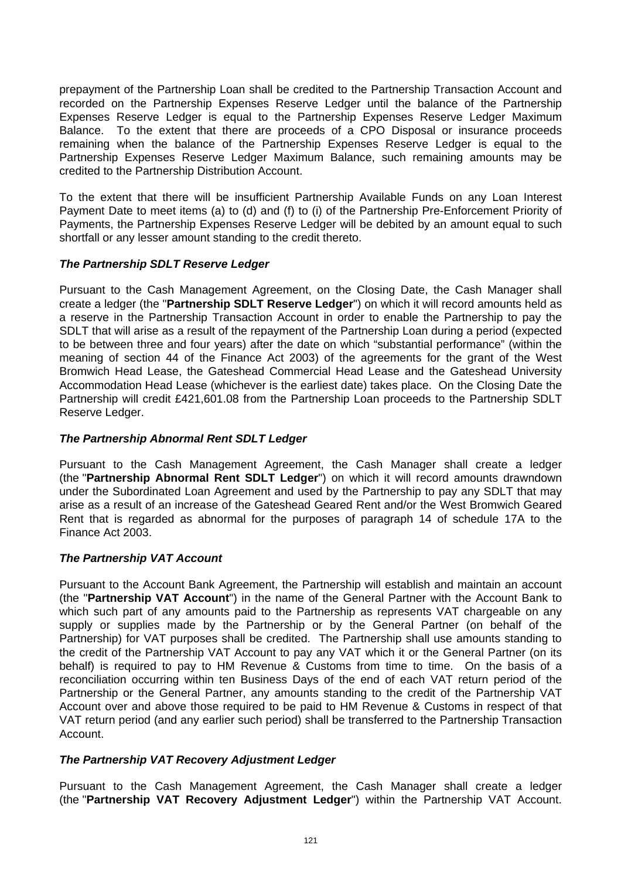prepayment of the Partnership Loan shall be credited to the Partnership Transaction Account and recorded on the Partnership Expenses Reserve Ledger until the balance of the Partnership Expenses Reserve Ledger is equal to the Partnership Expenses Reserve Ledger Maximum Balance. To the extent that there are proceeds of a CPO Disposal or insurance proceeds remaining when the balance of the Partnership Expenses Reserve Ledger is equal to the Partnership Expenses Reserve Ledger Maximum Balance, such remaining amounts may be credited to the Partnership Distribution Account.

To the extent that there will be insufficient Partnership Available Funds on any Loan Interest Payment Date to meet items (a) to (d) and (f) to (i) of the Partnership Pre-Enforcement Priority of Payments, the Partnership Expenses Reserve Ledger will be debited by an amount equal to such shortfall or any lesser amount standing to the credit thereto.

## *The Partnership SDLT Reserve Ledger*

Pursuant to the Cash Management Agreement, on the Closing Date, the Cash Manager shall create a ledger (the "**Partnership SDLT Reserve Ledger**") on which it will record amounts held as a reserve in the Partnership Transaction Account in order to enable the Partnership to pay the SDLT that will arise as a result of the repayment of the Partnership Loan during a period (expected to be between three and four years) after the date on which "substantial performance" (within the meaning of section 44 of the Finance Act 2003) of the agreements for the grant of the West Bromwich Head Lease, the Gateshead Commercial Head Lease and the Gateshead University Accommodation Head Lease (whichever is the earliest date) takes place. On the Closing Date the Partnership will credit £421,601.08 from the Partnership Loan proceeds to the Partnership SDLT Reserve Ledger.

# *The Partnership Abnormal Rent SDLT Ledger*

Pursuant to the Cash Management Agreement, the Cash Manager shall create a ledger (the "**Partnership Abnormal Rent SDLT Ledger**") on which it will record amounts drawndown under the Subordinated Loan Agreement and used by the Partnership to pay any SDLT that may arise as a result of an increase of the Gateshead Geared Rent and/or the West Bromwich Geared Rent that is regarded as abnormal for the purposes of paragraph 14 of schedule 17A to the Finance Act 2003.

# *The Partnership VAT Account*

Pursuant to the Account Bank Agreement, the Partnership will establish and maintain an account (the "**Partnership VAT Account**") in the name of the General Partner with the Account Bank to which such part of any amounts paid to the Partnership as represents VAT chargeable on any supply or supplies made by the Partnership or by the General Partner (on behalf of the Partnership) for VAT purposes shall be credited. The Partnership shall use amounts standing to the credit of the Partnership VAT Account to pay any VAT which it or the General Partner (on its behalf) is required to pay to HM Revenue & Customs from time to time. On the basis of a reconciliation occurring within ten Business Days of the end of each VAT return period of the Partnership or the General Partner, any amounts standing to the credit of the Partnership VAT Account over and above those required to be paid to HM Revenue & Customs in respect of that VAT return period (and any earlier such period) shall be transferred to the Partnership Transaction Account.

## *The Partnership VAT Recovery Adjustment Ledger*

Pursuant to the Cash Management Agreement, the Cash Manager shall create a ledger (the "**Partnership VAT Recovery Adjustment Ledger**") within the Partnership VAT Account.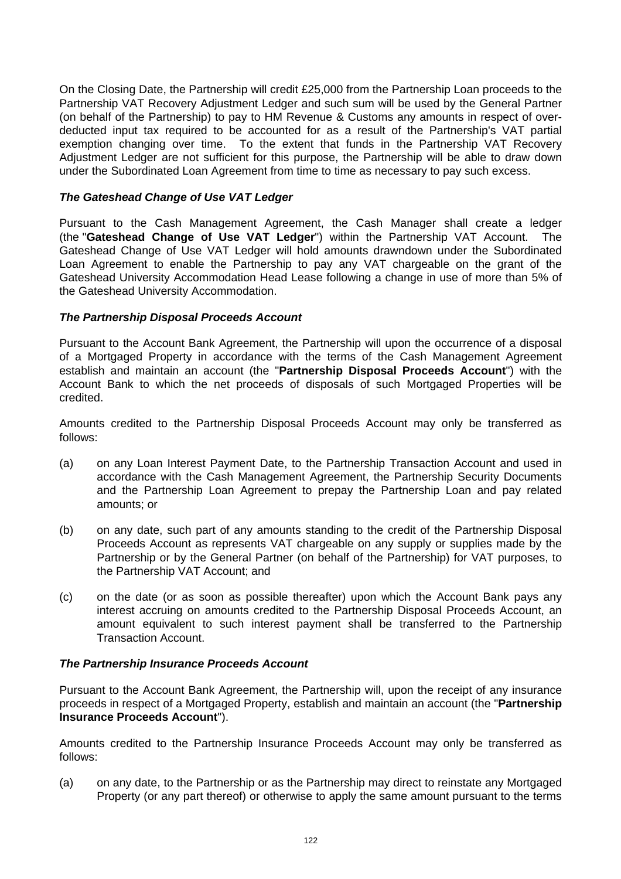On the Closing Date, the Partnership will credit £25,000 from the Partnership Loan proceeds to the Partnership VAT Recovery Adjustment Ledger and such sum will be used by the General Partner (on behalf of the Partnership) to pay to HM Revenue & Customs any amounts in respect of overdeducted input tax required to be accounted for as a result of the Partnership's VAT partial exemption changing over time. To the extent that funds in the Partnership VAT Recovery Adjustment Ledger are not sufficient for this purpose, the Partnership will be able to draw down under the Subordinated Loan Agreement from time to time as necessary to pay such excess.

# *The Gateshead Change of Use VAT Ledger*

Pursuant to the Cash Management Agreement, the Cash Manager shall create a ledger (the "**Gateshead Change of Use VAT Ledger**") within the Partnership VAT Account. The Gateshead Change of Use VAT Ledger will hold amounts drawndown under the Subordinated Loan Agreement to enable the Partnership to pay any VAT chargeable on the grant of the Gateshead University Accommodation Head Lease following a change in use of more than 5% of the Gateshead University Accommodation.

## *The Partnership Disposal Proceeds Account*

Pursuant to the Account Bank Agreement, the Partnership will upon the occurrence of a disposal of a Mortgaged Property in accordance with the terms of the Cash Management Agreement establish and maintain an account (the "**Partnership Disposal Proceeds Account**") with the Account Bank to which the net proceeds of disposals of such Mortgaged Properties will be credited.

Amounts credited to the Partnership Disposal Proceeds Account may only be transferred as follows:

- (a) on any Loan Interest Payment Date, to the Partnership Transaction Account and used in accordance with the Cash Management Agreement, the Partnership Security Documents and the Partnership Loan Agreement to prepay the Partnership Loan and pay related amounts; or
- (b) on any date, such part of any amounts standing to the credit of the Partnership Disposal Proceeds Account as represents VAT chargeable on any supply or supplies made by the Partnership or by the General Partner (on behalf of the Partnership) for VAT purposes, to the Partnership VAT Account; and
- (c) on the date (or as soon as possible thereafter) upon which the Account Bank pays any interest accruing on amounts credited to the Partnership Disposal Proceeds Account, an amount equivalent to such interest payment shall be transferred to the Partnership Transaction Account.

## *The Partnership Insurance Proceeds Account*

Pursuant to the Account Bank Agreement, the Partnership will, upon the receipt of any insurance proceeds in respect of a Mortgaged Property, establish and maintain an account (the "**Partnership Insurance Proceeds Account**").

Amounts credited to the Partnership Insurance Proceeds Account may only be transferred as follows:

(a) on any date, to the Partnership or as the Partnership may direct to reinstate any Mortgaged Property (or any part thereof) or otherwise to apply the same amount pursuant to the terms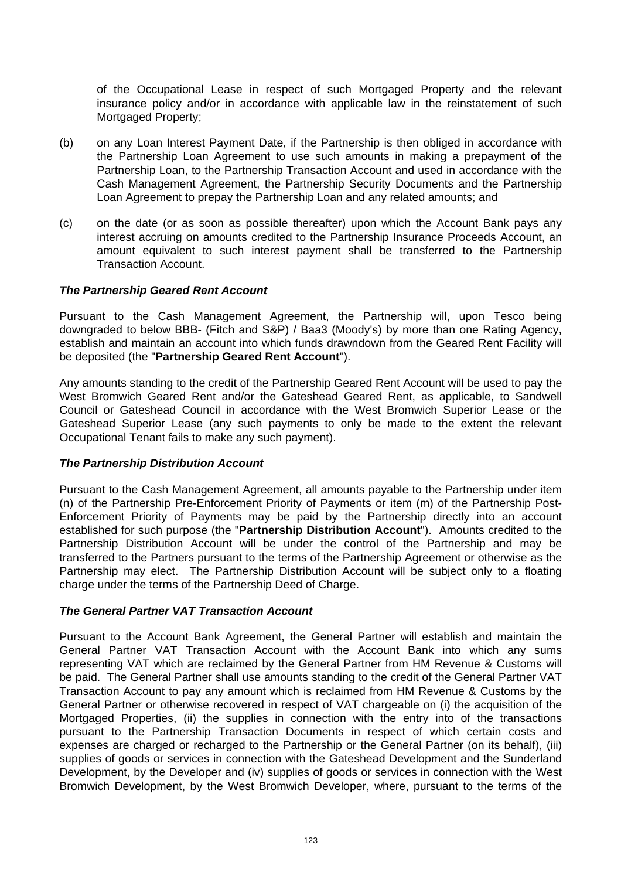of the Occupational Lease in respect of such Mortgaged Property and the relevant insurance policy and/or in accordance with applicable law in the reinstatement of such Mortgaged Property;

- (b) on any Loan Interest Payment Date, if the Partnership is then obliged in accordance with the Partnership Loan Agreement to use such amounts in making a prepayment of the Partnership Loan, to the Partnership Transaction Account and used in accordance with the Cash Management Agreement, the Partnership Security Documents and the Partnership Loan Agreement to prepay the Partnership Loan and any related amounts; and
- (c) on the date (or as soon as possible thereafter) upon which the Account Bank pays any interest accruing on amounts credited to the Partnership Insurance Proceeds Account, an amount equivalent to such interest payment shall be transferred to the Partnership Transaction Account.

#### *The Partnership Geared Rent Account*

Pursuant to the Cash Management Agreement, the Partnership will, upon Tesco being downgraded to below BBB- (Fitch and S&P) / Baa3 (Moody's) by more than one Rating Agency, establish and maintain an account into which funds drawndown from the Geared Rent Facility will be deposited (the "**Partnership Geared Rent Account**").

Any amounts standing to the credit of the Partnership Geared Rent Account will be used to pay the West Bromwich Geared Rent and/or the Gateshead Geared Rent, as applicable, to Sandwell Council or Gateshead Council in accordance with the West Bromwich Superior Lease or the Gateshead Superior Lease (any such payments to only be made to the extent the relevant Occupational Tenant fails to make any such payment).

#### *The Partnership Distribution Account*

Pursuant to the Cash Management Agreement, all amounts payable to the Partnership under item (n) of the Partnership Pre-Enforcement Priority of Payments or item (m) of the Partnership Post-Enforcement Priority of Payments may be paid by the Partnership directly into an account established for such purpose (the "**Partnership Distribution Account**"). Amounts credited to the Partnership Distribution Account will be under the control of the Partnership and may be transferred to the Partners pursuant to the terms of the Partnership Agreement or otherwise as the Partnership may elect. The Partnership Distribution Account will be subject only to a floating charge under the terms of the Partnership Deed of Charge.

#### *The General Partner VAT Transaction Account*

Pursuant to the Account Bank Agreement, the General Partner will establish and maintain the General Partner VAT Transaction Account with the Account Bank into which any sums representing VAT which are reclaimed by the General Partner from HM Revenue & Customs will be paid. The General Partner shall use amounts standing to the credit of the General Partner VAT Transaction Account to pay any amount which is reclaimed from HM Revenue & Customs by the General Partner or otherwise recovered in respect of VAT chargeable on (i) the acquisition of the Mortgaged Properties, (ii) the supplies in connection with the entry into of the transactions pursuant to the Partnership Transaction Documents in respect of which certain costs and expenses are charged or recharged to the Partnership or the General Partner (on its behalf), (iii) supplies of goods or services in connection with the Gateshead Development and the Sunderland Development, by the Developer and (iv) supplies of goods or services in connection with the West Bromwich Development, by the West Bromwich Developer, where, pursuant to the terms of the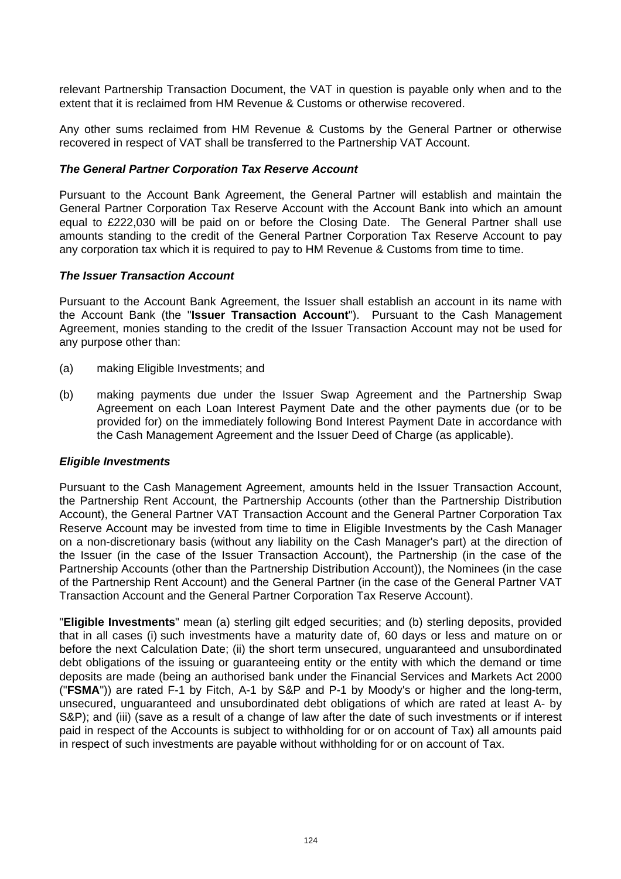relevant Partnership Transaction Document, the VAT in question is payable only when and to the extent that it is reclaimed from HM Revenue & Customs or otherwise recovered.

Any other sums reclaimed from HM Revenue & Customs by the General Partner or otherwise recovered in respect of VAT shall be transferred to the Partnership VAT Account.

#### *The General Partner Corporation Tax Reserve Account*

Pursuant to the Account Bank Agreement, the General Partner will establish and maintain the General Partner Corporation Tax Reserve Account with the Account Bank into which an amount equal to £222,030 will be paid on or before the Closing Date. The General Partner shall use amounts standing to the credit of the General Partner Corporation Tax Reserve Account to pay any corporation tax which it is required to pay to HM Revenue & Customs from time to time.

#### *The Issuer Transaction Account*

Pursuant to the Account Bank Agreement, the Issuer shall establish an account in its name with the Account Bank (the "**Issuer Transaction Account**"). Pursuant to the Cash Management Agreement, monies standing to the credit of the Issuer Transaction Account may not be used for any purpose other than:

- (a) making Eligible Investments; and
- (b) making payments due under the Issuer Swap Agreement and the Partnership Swap Agreement on each Loan Interest Payment Date and the other payments due (or to be provided for) on the immediately following Bond Interest Payment Date in accordance with the Cash Management Agreement and the Issuer Deed of Charge (as applicable).

#### *Eligible Investments*

Pursuant to the Cash Management Agreement, amounts held in the Issuer Transaction Account, the Partnership Rent Account, the Partnership Accounts (other than the Partnership Distribution Account), the General Partner VAT Transaction Account and the General Partner Corporation Tax Reserve Account may be invested from time to time in Eligible Investments by the Cash Manager on a non-discretionary basis (without any liability on the Cash Manager's part) at the direction of the Issuer (in the case of the Issuer Transaction Account), the Partnership (in the case of the Partnership Accounts (other than the Partnership Distribution Account)), the Nominees (in the case of the Partnership Rent Account) and the General Partner (in the case of the General Partner VAT Transaction Account and the General Partner Corporation Tax Reserve Account).

"**Eligible Investments**" mean (a) sterling gilt edged securities; and (b) sterling deposits, provided that in all cases (i) such investments have a maturity date of, 60 days or less and mature on or before the next Calculation Date; (ii) the short term unsecured, unguaranteed and unsubordinated debt obligations of the issuing or guaranteeing entity or the entity with which the demand or time deposits are made (being an authorised bank under the Financial Services and Markets Act 2000 ("**FSMA**")) are rated F-1 by Fitch, A-1 by S&P and P-1 by Moody's or higher and the long-term, unsecured, unguaranteed and unsubordinated debt obligations of which are rated at least A- by S&P); and (iii) (save as a result of a change of law after the date of such investments or if interest paid in respect of the Accounts is subject to withholding for or on account of Tax) all amounts paid in respect of such investments are payable without withholding for or on account of Tax.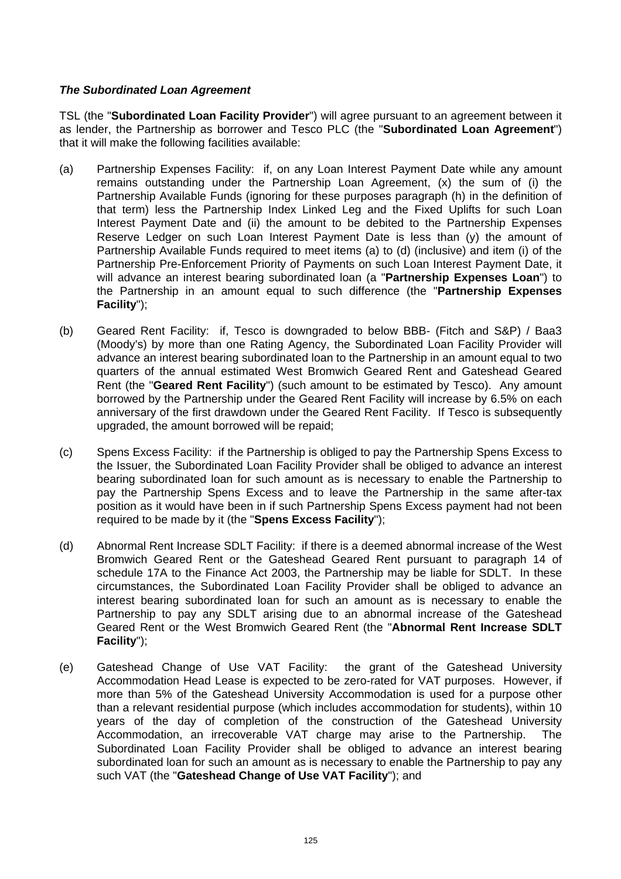# *The Subordinated Loan Agreement*

TSL (the "**Subordinated Loan Facility Provider**") will agree pursuant to an agreement between it as lender, the Partnership as borrower and Tesco PLC (the "**Subordinated Loan Agreement**") that it will make the following facilities available:

- (a) Partnership Expenses Facility: if, on any Loan Interest Payment Date while any amount remains outstanding under the Partnership Loan Agreement, (x) the sum of (i) the Partnership Available Funds (ignoring for these purposes paragraph (h) in the definition of that term) less the Partnership Index Linked Leg and the Fixed Uplifts for such Loan Interest Payment Date and (ii) the amount to be debited to the Partnership Expenses Reserve Ledger on such Loan Interest Payment Date is less than (y) the amount of Partnership Available Funds required to meet items (a) to (d) (inclusive) and item (i) of the Partnership Pre-Enforcement Priority of Payments on such Loan Interest Payment Date, it will advance an interest bearing subordinated loan (a "**Partnership Expenses Loan**") to the Partnership in an amount equal to such difference (the "**Partnership Expenses Facility**");
- (b) Geared Rent Facility: if, Tesco is downgraded to below BBB- (Fitch and S&P) / Baa3 (Moody's) by more than one Rating Agency, the Subordinated Loan Facility Provider will advance an interest bearing subordinated loan to the Partnership in an amount equal to two quarters of the annual estimated West Bromwich Geared Rent and Gateshead Geared Rent (the "**Geared Rent Facility**") (such amount to be estimated by Tesco). Any amount borrowed by the Partnership under the Geared Rent Facility will increase by 6.5% on each anniversary of the first drawdown under the Geared Rent Facility. If Tesco is subsequently upgraded, the amount borrowed will be repaid;
- (c) Spens Excess Facility: if the Partnership is obliged to pay the Partnership Spens Excess to the Issuer, the Subordinated Loan Facility Provider shall be obliged to advance an interest bearing subordinated loan for such amount as is necessary to enable the Partnership to pay the Partnership Spens Excess and to leave the Partnership in the same after-tax position as it would have been in if such Partnership Spens Excess payment had not been required to be made by it (the "**Spens Excess Facility**");
- (d) Abnormal Rent Increase SDLT Facility: if there is a deemed abnormal increase of the West Bromwich Geared Rent or the Gateshead Geared Rent pursuant to paragraph 14 of schedule 17A to the Finance Act 2003, the Partnership may be liable for SDLT. In these circumstances, the Subordinated Loan Facility Provider shall be obliged to advance an interest bearing subordinated loan for such an amount as is necessary to enable the Partnership to pay any SDLT arising due to an abnormal increase of the Gateshead Geared Rent or the West Bromwich Geared Rent (the "**Abnormal Rent Increase SDLT Facility**");
- (e) Gateshead Change of Use VAT Facility: the grant of the Gateshead University Accommodation Head Lease is expected to be zero-rated for VAT purposes. However, if more than 5% of the Gateshead University Accommodation is used for a purpose other than a relevant residential purpose (which includes accommodation for students), within 10 years of the day of completion of the construction of the Gateshead University Accommodation, an irrecoverable VAT charge may arise to the Partnership. The Subordinated Loan Facility Provider shall be obliged to advance an interest bearing subordinated loan for such an amount as is necessary to enable the Partnership to pay any such VAT (the "**Gateshead Change of Use VAT Facility**"); and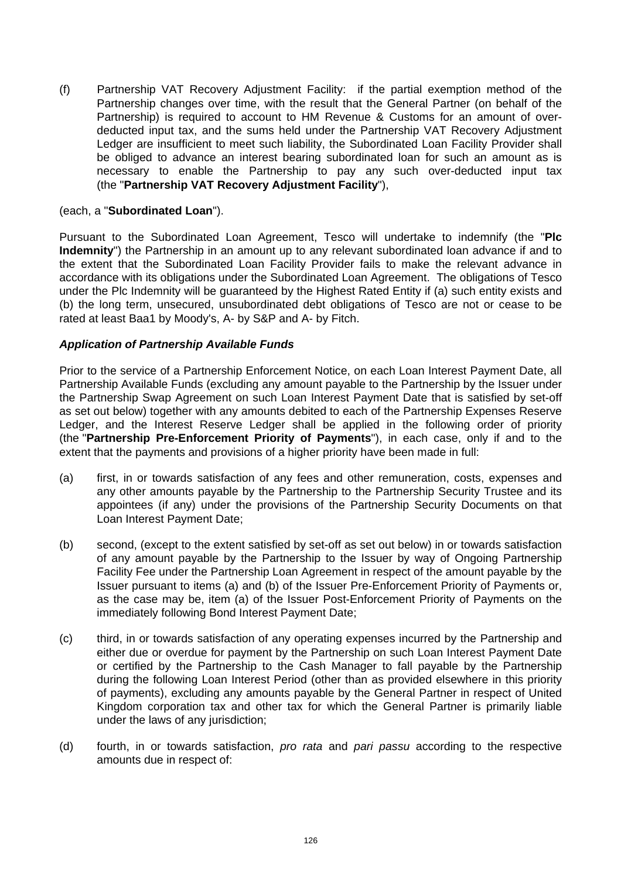(f) Partnership VAT Recovery Adjustment Facility: if the partial exemption method of the Partnership changes over time, with the result that the General Partner (on behalf of the Partnership) is required to account to HM Revenue & Customs for an amount of overdeducted input tax, and the sums held under the Partnership VAT Recovery Adjustment Ledger are insufficient to meet such liability, the Subordinated Loan Facility Provider shall be obliged to advance an interest bearing subordinated loan for such an amount as is necessary to enable the Partnership to pay any such over-deducted input tax (the "**Partnership VAT Recovery Adjustment Facility**"),

#### (each, a "**Subordinated Loan**").

Pursuant to the Subordinated Loan Agreement, Tesco will undertake to indemnify (the "**Plc Indemnity**") the Partnership in an amount up to any relevant subordinated loan advance if and to the extent that the Subordinated Loan Facility Provider fails to make the relevant advance in accordance with its obligations under the Subordinated Loan Agreement. The obligations of Tesco under the Plc Indemnity will be guaranteed by the Highest Rated Entity if (a) such entity exists and (b) the long term, unsecured, unsubordinated debt obligations of Tesco are not or cease to be rated at least Baa1 by Moody's, A- by S&P and A- by Fitch.

## *Application of Partnership Available Funds*

Prior to the service of a Partnership Enforcement Notice, on each Loan Interest Payment Date, all Partnership Available Funds (excluding any amount payable to the Partnership by the Issuer under the Partnership Swap Agreement on such Loan Interest Payment Date that is satisfied by set-off as set out below) together with any amounts debited to each of the Partnership Expenses Reserve Ledger, and the Interest Reserve Ledger shall be applied in the following order of priority (the "**Partnership Pre-Enforcement Priority of Payments**"), in each case, only if and to the extent that the payments and provisions of a higher priority have been made in full:

- (a) first, in or towards satisfaction of any fees and other remuneration, costs, expenses and any other amounts payable by the Partnership to the Partnership Security Trustee and its appointees (if any) under the provisions of the Partnership Security Documents on that Loan Interest Payment Date;
- (b) second, (except to the extent satisfied by set-off as set out below) in or towards satisfaction of any amount payable by the Partnership to the Issuer by way of Ongoing Partnership Facility Fee under the Partnership Loan Agreement in respect of the amount payable by the Issuer pursuant to items (a) and (b) of the Issuer Pre-Enforcement Priority of Payments or, as the case may be, item (a) of the Issuer Post-Enforcement Priority of Payments on the immediately following Bond Interest Payment Date;
- (c) third, in or towards satisfaction of any operating expenses incurred by the Partnership and either due or overdue for payment by the Partnership on such Loan Interest Payment Date or certified by the Partnership to the Cash Manager to fall payable by the Partnership during the following Loan Interest Period (other than as provided elsewhere in this priority of payments), excluding any amounts payable by the General Partner in respect of United Kingdom corporation tax and other tax for which the General Partner is primarily liable under the laws of any jurisdiction;
- (d) fourth, in or towards satisfaction, *pro rata* and *pari passu* according to the respective amounts due in respect of: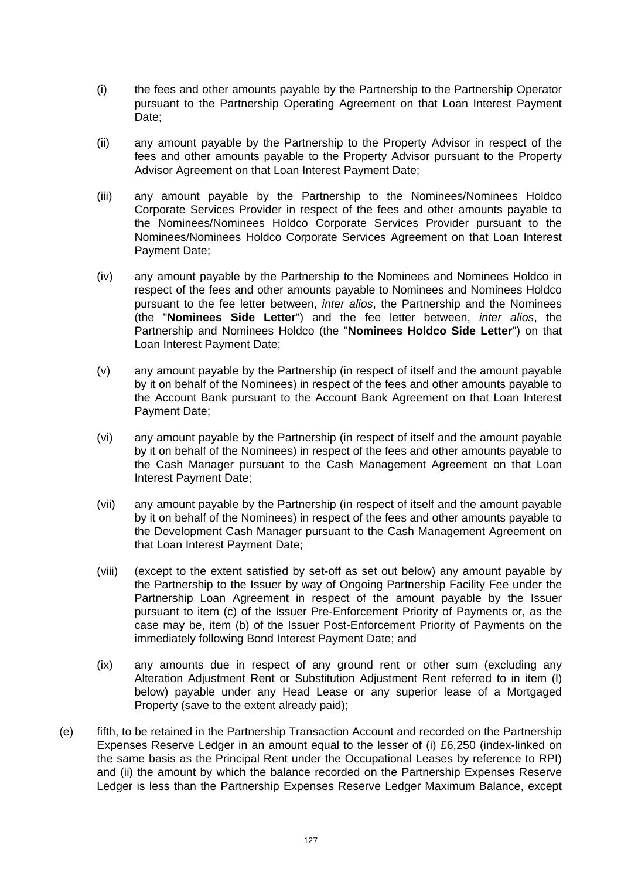- (i) the fees and other amounts payable by the Partnership to the Partnership Operator pursuant to the Partnership Operating Agreement on that Loan Interest Payment Date;
- (ii) any amount payable by the Partnership to the Property Advisor in respect of the fees and other amounts payable to the Property Advisor pursuant to the Property Advisor Agreement on that Loan Interest Payment Date;
- (iii) any amount payable by the Partnership to the Nominees/Nominees Holdco Corporate Services Provider in respect of the fees and other amounts payable to the Nominees/Nominees Holdco Corporate Services Provider pursuant to the Nominees/Nominees Holdco Corporate Services Agreement on that Loan Interest Payment Date;
- (iv) any amount payable by the Partnership to the Nominees and Nominees Holdco in respect of the fees and other amounts payable to Nominees and Nominees Holdco pursuant to the fee letter between, *inter alios*, the Partnership and the Nominees (the "**Nominees Side Letter**") and the fee letter between, *inter alios*, the Partnership and Nominees Holdco (the "**Nominees Holdco Side Letter**") on that Loan Interest Payment Date;
- (v) any amount payable by the Partnership (in respect of itself and the amount payable by it on behalf of the Nominees) in respect of the fees and other amounts payable to the Account Bank pursuant to the Account Bank Agreement on that Loan Interest Payment Date;
- (vi) any amount payable by the Partnership (in respect of itself and the amount payable by it on behalf of the Nominees) in respect of the fees and other amounts payable to the Cash Manager pursuant to the Cash Management Agreement on that Loan Interest Payment Date;
- (vii) any amount payable by the Partnership (in respect of itself and the amount payable by it on behalf of the Nominees) in respect of the fees and other amounts payable to the Development Cash Manager pursuant to the Cash Management Agreement on that Loan Interest Payment Date;
- (viii) (except to the extent satisfied by set-off as set out below) any amount payable by the Partnership to the Issuer by way of Ongoing Partnership Facility Fee under the Partnership Loan Agreement in respect of the amount payable by the Issuer pursuant to item (c) of the Issuer Pre-Enforcement Priority of Payments or, as the case may be, item (b) of the Issuer Post-Enforcement Priority of Payments on the immediately following Bond Interest Payment Date; and
- (ix) any amounts due in respect of any ground rent or other sum (excluding any Alteration Adjustment Rent or Substitution Adjustment Rent referred to in item (l) below) payable under any Head Lease or any superior lease of a Mortgaged Property (save to the extent already paid);
- (e) fifth, to be retained in the Partnership Transaction Account and recorded on the Partnership Expenses Reserve Ledger in an amount equal to the lesser of (i) £6,250 (index-linked on the same basis as the Principal Rent under the Occupational Leases by reference to RPI) and (ii) the amount by which the balance recorded on the Partnership Expenses Reserve Ledger is less than the Partnership Expenses Reserve Ledger Maximum Balance, except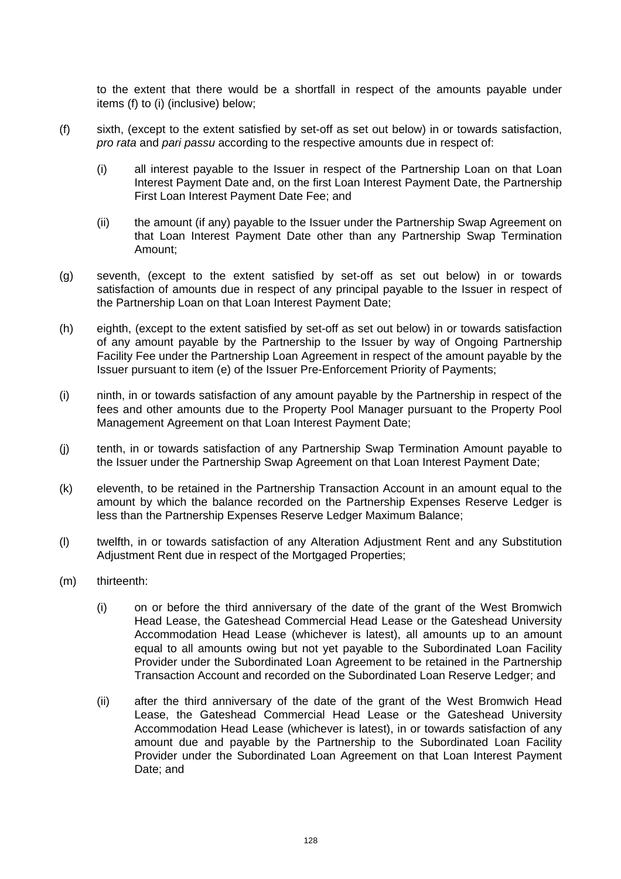to the extent that there would be a shortfall in respect of the amounts payable under items (f) to (i) (inclusive) below;

- (f) sixth, (except to the extent satisfied by set-off as set out below) in or towards satisfaction, *pro rata* and *pari passu* according to the respective amounts due in respect of:
	- (i) all interest payable to the Issuer in respect of the Partnership Loan on that Loan Interest Payment Date and, on the first Loan Interest Payment Date, the Partnership First Loan Interest Payment Date Fee; and
	- (ii) the amount (if any) payable to the Issuer under the Partnership Swap Agreement on that Loan Interest Payment Date other than any Partnership Swap Termination Amount;
- (g) seventh, (except to the extent satisfied by set-off as set out below) in or towards satisfaction of amounts due in respect of any principal payable to the Issuer in respect of the Partnership Loan on that Loan Interest Payment Date;
- (h) eighth, (except to the extent satisfied by set-off as set out below) in or towards satisfaction of any amount payable by the Partnership to the Issuer by way of Ongoing Partnership Facility Fee under the Partnership Loan Agreement in respect of the amount payable by the Issuer pursuant to item (e) of the Issuer Pre-Enforcement Priority of Payments;
- (i) ninth, in or towards satisfaction of any amount payable by the Partnership in respect of the fees and other amounts due to the Property Pool Manager pursuant to the Property Pool Management Agreement on that Loan Interest Payment Date;
- (j) tenth, in or towards satisfaction of any Partnership Swap Termination Amount payable to the Issuer under the Partnership Swap Agreement on that Loan Interest Payment Date;
- (k) eleventh, to be retained in the Partnership Transaction Account in an amount equal to the amount by which the balance recorded on the Partnership Expenses Reserve Ledger is less than the Partnership Expenses Reserve Ledger Maximum Balance;
- (l) twelfth, in or towards satisfaction of any Alteration Adjustment Rent and any Substitution Adjustment Rent due in respect of the Mortgaged Properties;
- (m) thirteenth:
	- (i) on or before the third anniversary of the date of the grant of the West Bromwich Head Lease, the Gateshead Commercial Head Lease or the Gateshead University Accommodation Head Lease (whichever is latest), all amounts up to an amount equal to all amounts owing but not yet payable to the Subordinated Loan Facility Provider under the Subordinated Loan Agreement to be retained in the Partnership Transaction Account and recorded on the Subordinated Loan Reserve Ledger; and
	- (ii) after the third anniversary of the date of the grant of the West Bromwich Head Lease, the Gateshead Commercial Head Lease or the Gateshead University Accommodation Head Lease (whichever is latest), in or towards satisfaction of any amount due and payable by the Partnership to the Subordinated Loan Facility Provider under the Subordinated Loan Agreement on that Loan Interest Payment Date; and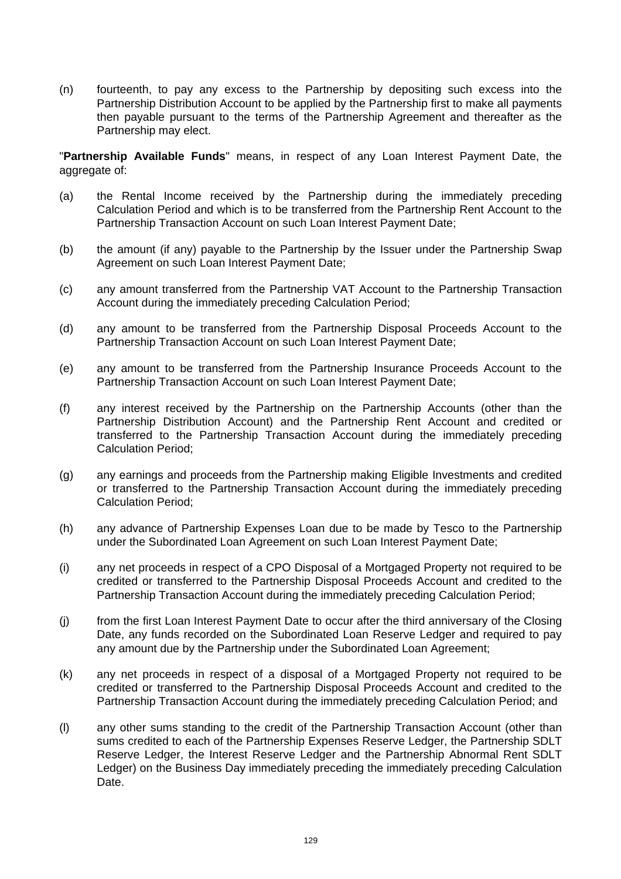(n) fourteenth, to pay any excess to the Partnership by depositing such excess into the Partnership Distribution Account to be applied by the Partnership first to make all payments then payable pursuant to the terms of the Partnership Agreement and thereafter as the Partnership may elect.

"**Partnership Available Funds**" means, in respect of any Loan Interest Payment Date, the aggregate of:

- (a) the Rental Income received by the Partnership during the immediately preceding Calculation Period and which is to be transferred from the Partnership Rent Account to the Partnership Transaction Account on such Loan Interest Payment Date;
- (b) the amount (if any) payable to the Partnership by the Issuer under the Partnership Swap Agreement on such Loan Interest Payment Date;
- (c) any amount transferred from the Partnership VAT Account to the Partnership Transaction Account during the immediately preceding Calculation Period;
- (d) any amount to be transferred from the Partnership Disposal Proceeds Account to the Partnership Transaction Account on such Loan Interest Payment Date;
- (e) any amount to be transferred from the Partnership Insurance Proceeds Account to the Partnership Transaction Account on such Loan Interest Payment Date;
- (f) any interest received by the Partnership on the Partnership Accounts (other than the Partnership Distribution Account) and the Partnership Rent Account and credited or transferred to the Partnership Transaction Account during the immediately preceding Calculation Period;
- (g) any earnings and proceeds from the Partnership making Eligible Investments and credited or transferred to the Partnership Transaction Account during the immediately preceding Calculation Period;
- (h) any advance of Partnership Expenses Loan due to be made by Tesco to the Partnership under the Subordinated Loan Agreement on such Loan Interest Payment Date;
- (i) any net proceeds in respect of a CPO Disposal of a Mortgaged Property not required to be credited or transferred to the Partnership Disposal Proceeds Account and credited to the Partnership Transaction Account during the immediately preceding Calculation Period;
- (j) from the first Loan Interest Payment Date to occur after the third anniversary of the Closing Date, any funds recorded on the Subordinated Loan Reserve Ledger and required to pay any amount due by the Partnership under the Subordinated Loan Agreement;
- (k) any net proceeds in respect of a disposal of a Mortgaged Property not required to be credited or transferred to the Partnership Disposal Proceeds Account and credited to the Partnership Transaction Account during the immediately preceding Calculation Period; and
- (l) any other sums standing to the credit of the Partnership Transaction Account (other than sums credited to each of the Partnership Expenses Reserve Ledger, the Partnership SDLT Reserve Ledger, the Interest Reserve Ledger and the Partnership Abnormal Rent SDLT Ledger) on the Business Day immediately preceding the immediately preceding Calculation Date.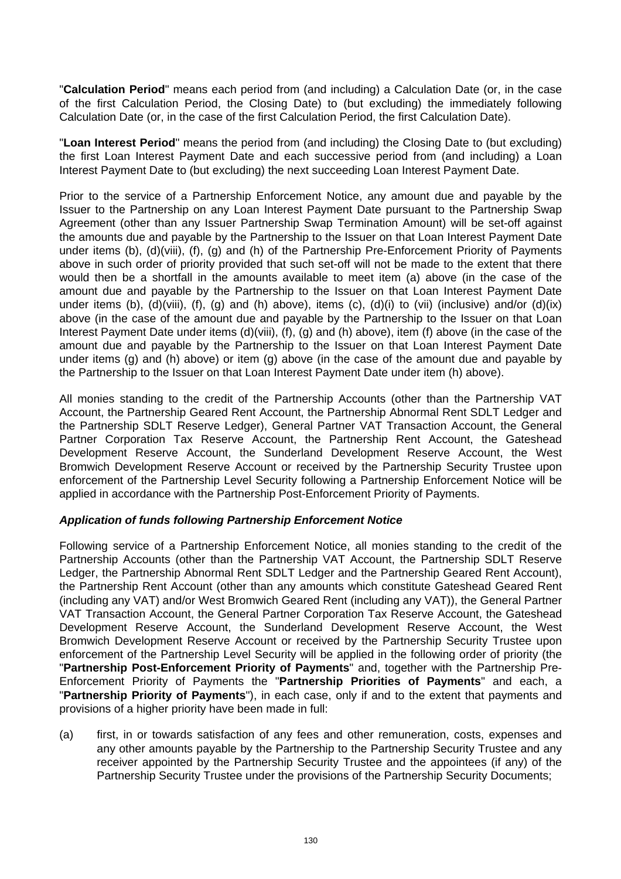"**Calculation Period**" means each period from (and including) a Calculation Date (or, in the case of the first Calculation Period, the Closing Date) to (but excluding) the immediately following Calculation Date (or, in the case of the first Calculation Period, the first Calculation Date).

"**Loan Interest Period**" means the period from (and including) the Closing Date to (but excluding) the first Loan Interest Payment Date and each successive period from (and including) a Loan Interest Payment Date to (but excluding) the next succeeding Loan Interest Payment Date.

Prior to the service of a Partnership Enforcement Notice, any amount due and payable by the Issuer to the Partnership on any Loan Interest Payment Date pursuant to the Partnership Swap Agreement (other than any Issuer Partnership Swap Termination Amount) will be set-off against the amounts due and payable by the Partnership to the Issuer on that Loan Interest Payment Date under items (b), (d)(viii), (f), (g) and (h) of the Partnership Pre-Enforcement Priority of Payments above in such order of priority provided that such set-off will not be made to the extent that there would then be a shortfall in the amounts available to meet item (a) above (in the case of the amount due and payable by the Partnership to the Issuer on that Loan Interest Payment Date under items (b), (d)(viii), (f), (g) and (h) above), items (c), (d)(i) to (vii) (inclusive) and/or (d)(ix) above (in the case of the amount due and payable by the Partnership to the Issuer on that Loan Interest Payment Date under items (d)(viii), (f), (g) and (h) above), item (f) above (in the case of the amount due and payable by the Partnership to the Issuer on that Loan Interest Payment Date under items (g) and (h) above) or item (g) above (in the case of the amount due and payable by the Partnership to the Issuer on that Loan Interest Payment Date under item (h) above).

All monies standing to the credit of the Partnership Accounts (other than the Partnership VAT Account, the Partnership Geared Rent Account, the Partnership Abnormal Rent SDLT Ledger and the Partnership SDLT Reserve Ledger), General Partner VAT Transaction Account, the General Partner Corporation Tax Reserve Account, the Partnership Rent Account, the Gateshead Development Reserve Account, the Sunderland Development Reserve Account, the West Bromwich Development Reserve Account or received by the Partnership Security Trustee upon enforcement of the Partnership Level Security following a Partnership Enforcement Notice will be applied in accordance with the Partnership Post-Enforcement Priority of Payments.

## *Application of funds following Partnership Enforcement Notice*

Following service of a Partnership Enforcement Notice, all monies standing to the credit of the Partnership Accounts (other than the Partnership VAT Account, the Partnership SDLT Reserve Ledger, the Partnership Abnormal Rent SDLT Ledger and the Partnership Geared Rent Account), the Partnership Rent Account (other than any amounts which constitute Gateshead Geared Rent (including any VAT) and/or West Bromwich Geared Rent (including any VAT)), the General Partner VAT Transaction Account, the General Partner Corporation Tax Reserve Account, the Gateshead Development Reserve Account, the Sunderland Development Reserve Account, the West Bromwich Development Reserve Account or received by the Partnership Security Trustee upon enforcement of the Partnership Level Security will be applied in the following order of priority (the "**Partnership Post-Enforcement Priority of Payments**" and, together with the Partnership Pre-Enforcement Priority of Payments the "**Partnership Priorities of Payments**" and each, a "**Partnership Priority of Payments**"), in each case, only if and to the extent that payments and provisions of a higher priority have been made in full:

(a) first, in or towards satisfaction of any fees and other remuneration, costs, expenses and any other amounts payable by the Partnership to the Partnership Security Trustee and any receiver appointed by the Partnership Security Trustee and the appointees (if any) of the Partnership Security Trustee under the provisions of the Partnership Security Documents;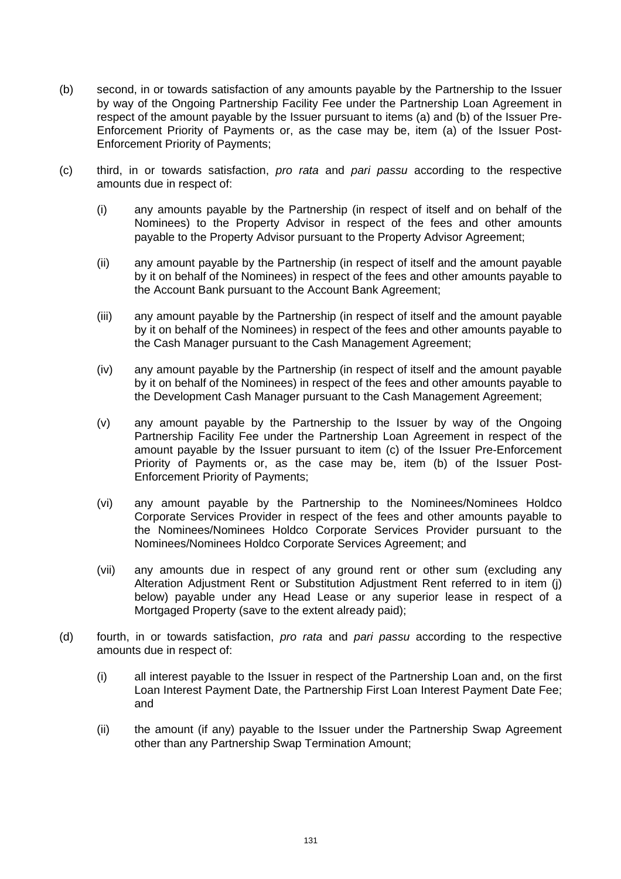- (b) second, in or towards satisfaction of any amounts payable by the Partnership to the Issuer by way of the Ongoing Partnership Facility Fee under the Partnership Loan Agreement in respect of the amount payable by the Issuer pursuant to items (a) and (b) of the Issuer Pre-Enforcement Priority of Payments or, as the case may be, item (a) of the Issuer Post-Enforcement Priority of Payments;
- (c) third, in or towards satisfaction, *pro rata* and *pari passu* according to the respective amounts due in respect of:
	- (i) any amounts payable by the Partnership (in respect of itself and on behalf of the Nominees) to the Property Advisor in respect of the fees and other amounts payable to the Property Advisor pursuant to the Property Advisor Agreement;
	- (ii) any amount payable by the Partnership (in respect of itself and the amount payable by it on behalf of the Nominees) in respect of the fees and other amounts payable to the Account Bank pursuant to the Account Bank Agreement;
	- (iii) any amount payable by the Partnership (in respect of itself and the amount payable by it on behalf of the Nominees) in respect of the fees and other amounts payable to the Cash Manager pursuant to the Cash Management Agreement;
	- (iv) any amount payable by the Partnership (in respect of itself and the amount payable by it on behalf of the Nominees) in respect of the fees and other amounts payable to the Development Cash Manager pursuant to the Cash Management Agreement;
	- (v) any amount payable by the Partnership to the Issuer by way of the Ongoing Partnership Facility Fee under the Partnership Loan Agreement in respect of the amount payable by the Issuer pursuant to item (c) of the Issuer Pre-Enforcement Priority of Payments or, as the case may be, item (b) of the Issuer Post-Enforcement Priority of Payments;
	- (vi) any amount payable by the Partnership to the Nominees/Nominees Holdco Corporate Services Provider in respect of the fees and other amounts payable to the Nominees/Nominees Holdco Corporate Services Provider pursuant to the Nominees/Nominees Holdco Corporate Services Agreement; and
	- (vii) any amounts due in respect of any ground rent or other sum (excluding any Alteration Adjustment Rent or Substitution Adjustment Rent referred to in item (j) below) payable under any Head Lease or any superior lease in respect of a Mortgaged Property (save to the extent already paid);
- (d) fourth, in or towards satisfaction, *pro rata* and *pari passu* according to the respective amounts due in respect of:
	- (i) all interest payable to the Issuer in respect of the Partnership Loan and, on the first Loan Interest Payment Date, the Partnership First Loan Interest Payment Date Fee; and
	- (ii) the amount (if any) payable to the Issuer under the Partnership Swap Agreement other than any Partnership Swap Termination Amount;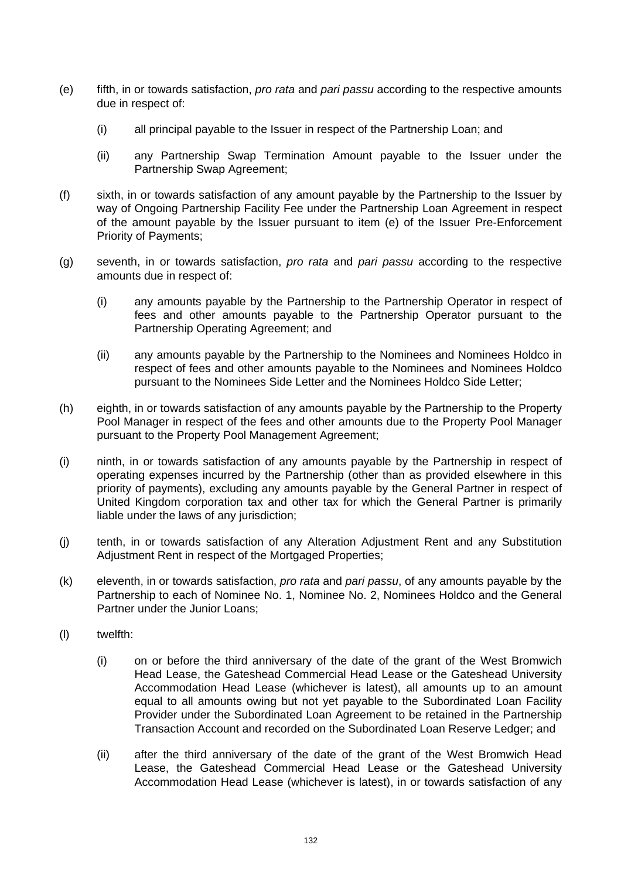- (e) fifth, in or towards satisfaction, *pro rata* and *pari passu* according to the respective amounts due in respect of:
	- (i) all principal payable to the Issuer in respect of the Partnership Loan; and
	- (ii) any Partnership Swap Termination Amount payable to the Issuer under the Partnership Swap Agreement;
- (f) sixth, in or towards satisfaction of any amount payable by the Partnership to the Issuer by way of Ongoing Partnership Facility Fee under the Partnership Loan Agreement in respect of the amount payable by the Issuer pursuant to item (e) of the Issuer Pre-Enforcement Priority of Payments;
- (g) seventh, in or towards satisfaction, *pro rata* and *pari passu* according to the respective amounts due in respect of:
	- (i) any amounts payable by the Partnership to the Partnership Operator in respect of fees and other amounts payable to the Partnership Operator pursuant to the Partnership Operating Agreement; and
	- (ii) any amounts payable by the Partnership to the Nominees and Nominees Holdco in respect of fees and other amounts payable to the Nominees and Nominees Holdco pursuant to the Nominees Side Letter and the Nominees Holdco Side Letter;
- (h) eighth, in or towards satisfaction of any amounts payable by the Partnership to the Property Pool Manager in respect of the fees and other amounts due to the Property Pool Manager pursuant to the Property Pool Management Agreement;
- (i) ninth, in or towards satisfaction of any amounts payable by the Partnership in respect of operating expenses incurred by the Partnership (other than as provided elsewhere in this priority of payments), excluding any amounts payable by the General Partner in respect of United Kingdom corporation tax and other tax for which the General Partner is primarily liable under the laws of any jurisdiction;
- (j) tenth, in or towards satisfaction of any Alteration Adjustment Rent and any Substitution Adjustment Rent in respect of the Mortgaged Properties;
- (k) eleventh, in or towards satisfaction, *pro rata* and *pari passu*, of any amounts payable by the Partnership to each of Nominee No. 1, Nominee No. 2, Nominees Holdco and the General Partner under the Junior Loans;
- (l) twelfth:
	- (i) on or before the third anniversary of the date of the grant of the West Bromwich Head Lease, the Gateshead Commercial Head Lease or the Gateshead University Accommodation Head Lease (whichever is latest), all amounts up to an amount equal to all amounts owing but not yet payable to the Subordinated Loan Facility Provider under the Subordinated Loan Agreement to be retained in the Partnership Transaction Account and recorded on the Subordinated Loan Reserve Ledger; and
	- (ii) after the third anniversary of the date of the grant of the West Bromwich Head Lease, the Gateshead Commercial Head Lease or the Gateshead University Accommodation Head Lease (whichever is latest), in or towards satisfaction of any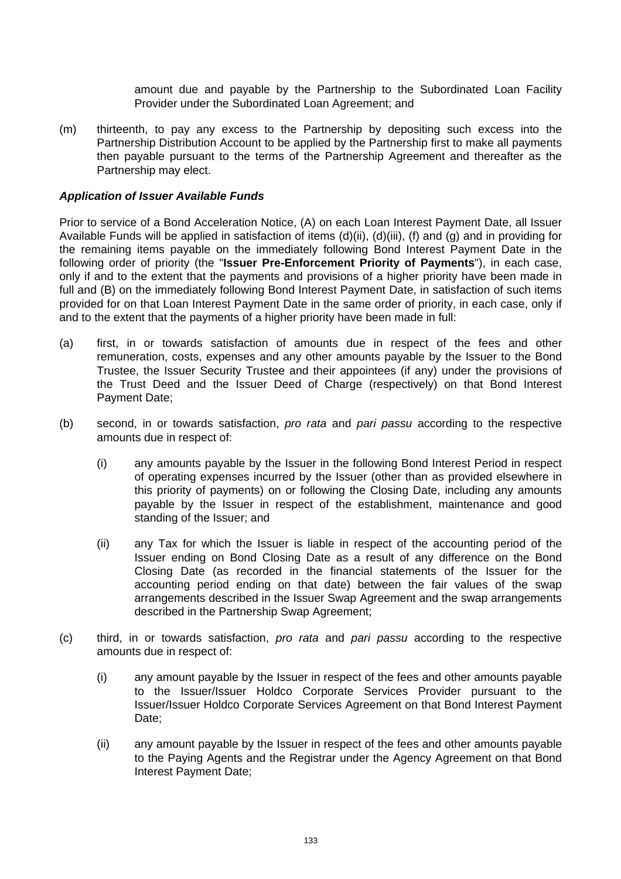amount due and payable by the Partnership to the Subordinated Loan Facility Provider under the Subordinated Loan Agreement; and

(m) thirteenth, to pay any excess to the Partnership by depositing such excess into the Partnership Distribution Account to be applied by the Partnership first to make all payments then payable pursuant to the terms of the Partnership Agreement and thereafter as the Partnership may elect.

#### *Application of Issuer Available Funds*

Prior to service of a Bond Acceleration Notice, (A) on each Loan Interest Payment Date, all Issuer Available Funds will be applied in satisfaction of items (d)(ii), (d)(iii), (f) and (g) and in providing for the remaining items payable on the immediately following Bond Interest Payment Date in the following order of priority (the "**Issuer Pre-Enforcement Priority of Payments**"), in each case, only if and to the extent that the payments and provisions of a higher priority have been made in full and (B) on the immediately following Bond Interest Payment Date, in satisfaction of such items provided for on that Loan Interest Payment Date in the same order of priority, in each case, only if and to the extent that the payments of a higher priority have been made in full:

- (a) first, in or towards satisfaction of amounts due in respect of the fees and other remuneration, costs, expenses and any other amounts payable by the Issuer to the Bond Trustee, the Issuer Security Trustee and their appointees (if any) under the provisions of the Trust Deed and the Issuer Deed of Charge (respectively) on that Bond Interest Payment Date;
- (b) second, in or towards satisfaction, *pro rata* and *pari passu* according to the respective amounts due in respect of:
	- (i) any amounts payable by the Issuer in the following Bond Interest Period in respect of operating expenses incurred by the Issuer (other than as provided elsewhere in this priority of payments) on or following the Closing Date, including any amounts payable by the Issuer in respect of the establishment, maintenance and good standing of the Issuer; and
	- (ii) any Tax for which the Issuer is liable in respect of the accounting period of the Issuer ending on Bond Closing Date as a result of any difference on the Bond Closing Date (as recorded in the financial statements of the Issuer for the accounting period ending on that date) between the fair values of the swap arrangements described in the Issuer Swap Agreement and the swap arrangements described in the Partnership Swap Agreement;
- (c) third, in or towards satisfaction, *pro rata* and *pari passu* according to the respective amounts due in respect of:
	- (i) any amount payable by the Issuer in respect of the fees and other amounts payable to the Issuer/Issuer Holdco Corporate Services Provider pursuant to the Issuer/Issuer Holdco Corporate Services Agreement on that Bond Interest Payment Date;
	- (ii) any amount payable by the Issuer in respect of the fees and other amounts payable to the Paying Agents and the Registrar under the Agency Agreement on that Bond Interest Payment Date;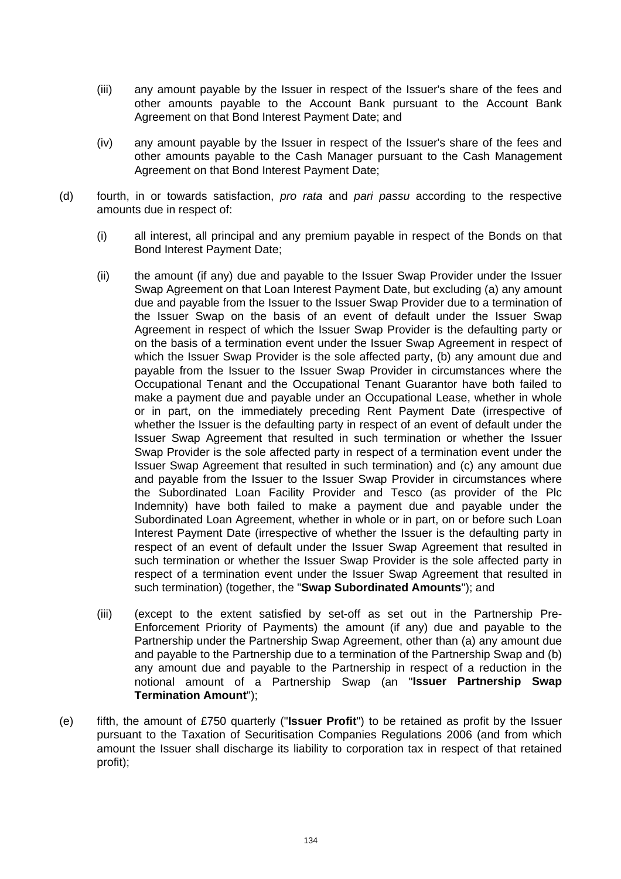- (iii) any amount payable by the Issuer in respect of the Issuer's share of the fees and other amounts payable to the Account Bank pursuant to the Account Bank Agreement on that Bond Interest Payment Date; and
- (iv) any amount payable by the Issuer in respect of the Issuer's share of the fees and other amounts payable to the Cash Manager pursuant to the Cash Management Agreement on that Bond Interest Payment Date;
- (d) fourth, in or towards satisfaction, *pro rata* and *pari passu* according to the respective amounts due in respect of:
	- (i) all interest, all principal and any premium payable in respect of the Bonds on that Bond Interest Payment Date;
	- (ii) the amount (if any) due and payable to the Issuer Swap Provider under the Issuer Swap Agreement on that Loan Interest Payment Date, but excluding (a) any amount due and payable from the Issuer to the Issuer Swap Provider due to a termination of the Issuer Swap on the basis of an event of default under the Issuer Swap Agreement in respect of which the Issuer Swap Provider is the defaulting party or on the basis of a termination event under the Issuer Swap Agreement in respect of which the Issuer Swap Provider is the sole affected party, (b) any amount due and payable from the Issuer to the Issuer Swap Provider in circumstances where the Occupational Tenant and the Occupational Tenant Guarantor have both failed to make a payment due and payable under an Occupational Lease, whether in whole or in part, on the immediately preceding Rent Payment Date (irrespective of whether the Issuer is the defaulting party in respect of an event of default under the Issuer Swap Agreement that resulted in such termination or whether the Issuer Swap Provider is the sole affected party in respect of a termination event under the Issuer Swap Agreement that resulted in such termination) and (c) any amount due and payable from the Issuer to the Issuer Swap Provider in circumstances where the Subordinated Loan Facility Provider and Tesco (as provider of the Plc Indemnity) have both failed to make a payment due and payable under the Subordinated Loan Agreement, whether in whole or in part, on or before such Loan Interest Payment Date (irrespective of whether the Issuer is the defaulting party in respect of an event of default under the Issuer Swap Agreement that resulted in such termination or whether the Issuer Swap Provider is the sole affected party in respect of a termination event under the Issuer Swap Agreement that resulted in such termination) (together, the "**Swap Subordinated Amounts**"); and
	- (iii) (except to the extent satisfied by set-off as set out in the Partnership Pre-Enforcement Priority of Payments) the amount (if any) due and payable to the Partnership under the Partnership Swap Agreement, other than (a) any amount due and payable to the Partnership due to a termination of the Partnership Swap and (b) any amount due and payable to the Partnership in respect of a reduction in the notional amount of a Partnership Swap (an "**Issuer Partnership Swap Termination Amount**");
- (e) fifth, the amount of £750 quarterly ("**Issuer Profit**") to be retained as profit by the Issuer pursuant to the Taxation of Securitisation Companies Regulations 2006 (and from which amount the Issuer shall discharge its liability to corporation tax in respect of that retained profit);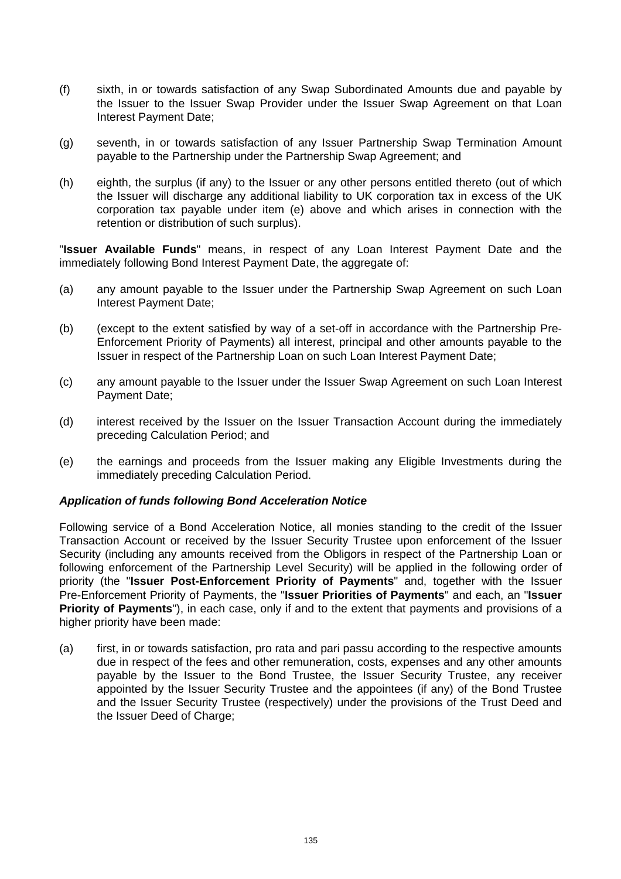- (f) sixth, in or towards satisfaction of any Swap Subordinated Amounts due and payable by the Issuer to the Issuer Swap Provider under the Issuer Swap Agreement on that Loan Interest Payment Date;
- (g) seventh, in or towards satisfaction of any Issuer Partnership Swap Termination Amount payable to the Partnership under the Partnership Swap Agreement; and
- (h) eighth, the surplus (if any) to the Issuer or any other persons entitled thereto (out of which the Issuer will discharge any additional liability to UK corporation tax in excess of the UK corporation tax payable under item (e) above and which arises in connection with the retention or distribution of such surplus).

"**Issuer Available Funds**" means, in respect of any Loan Interest Payment Date and the immediately following Bond Interest Payment Date, the aggregate of:

- (a) any amount payable to the Issuer under the Partnership Swap Agreement on such Loan Interest Payment Date;
- (b) (except to the extent satisfied by way of a set-off in accordance with the Partnership Pre-Enforcement Priority of Payments) all interest, principal and other amounts payable to the Issuer in respect of the Partnership Loan on such Loan Interest Payment Date;
- (c) any amount payable to the Issuer under the Issuer Swap Agreement on such Loan Interest Payment Date;
- (d) interest received by the Issuer on the Issuer Transaction Account during the immediately preceding Calculation Period; and
- (e) the earnings and proceeds from the Issuer making any Eligible Investments during the immediately preceding Calculation Period.

## *Application of funds following Bond Acceleration Notice*

Following service of a Bond Acceleration Notice, all monies standing to the credit of the Issuer Transaction Account or received by the Issuer Security Trustee upon enforcement of the Issuer Security (including any amounts received from the Obligors in respect of the Partnership Loan or following enforcement of the Partnership Level Security) will be applied in the following order of priority (the "**Issuer Post-Enforcement Priority of Payments**" and, together with the Issuer Pre-Enforcement Priority of Payments, the "**Issuer Priorities of Payments**" and each, an "**Issuer Priority of Payments**"), in each case, only if and to the extent that payments and provisions of a higher priority have been made:

(a) first, in or towards satisfaction, pro rata and pari passu according to the respective amounts due in respect of the fees and other remuneration, costs, expenses and any other amounts payable by the Issuer to the Bond Trustee, the Issuer Security Trustee, any receiver appointed by the Issuer Security Trustee and the appointees (if any) of the Bond Trustee and the Issuer Security Trustee (respectively) under the provisions of the Trust Deed and the Issuer Deed of Charge;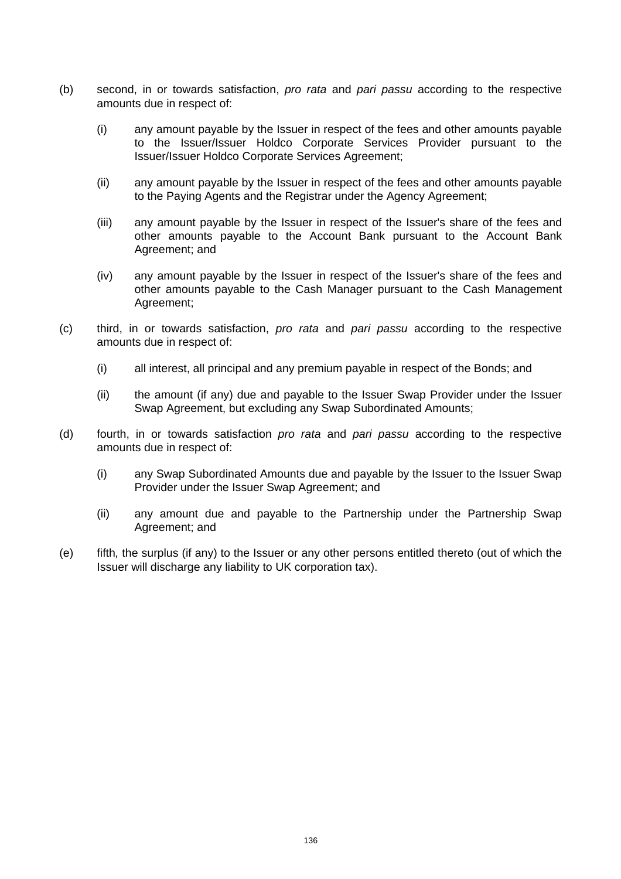- (b) second, in or towards satisfaction, *pro rata* and *pari passu* according to the respective amounts due in respect of:
	- (i) any amount payable by the Issuer in respect of the fees and other amounts payable to the Issuer/Issuer Holdco Corporate Services Provider pursuant to the Issuer/Issuer Holdco Corporate Services Agreement;
	- (ii) any amount payable by the Issuer in respect of the fees and other amounts payable to the Paying Agents and the Registrar under the Agency Agreement;
	- (iii) any amount payable by the Issuer in respect of the Issuer's share of the fees and other amounts payable to the Account Bank pursuant to the Account Bank Agreement; and
	- (iv) any amount payable by the Issuer in respect of the Issuer's share of the fees and other amounts payable to the Cash Manager pursuant to the Cash Management Agreement;
- (c) third, in or towards satisfaction, *pro rata* and *pari passu* according to the respective amounts due in respect of:
	- (i) all interest, all principal and any premium payable in respect of the Bonds; and
	- (ii) the amount (if any) due and payable to the Issuer Swap Provider under the Issuer Swap Agreement, but excluding any Swap Subordinated Amounts;
- (d) fourth, in or towards satisfaction *pro rata* and *pari passu* according to the respective amounts due in respect of:
	- (i) any Swap Subordinated Amounts due and payable by the Issuer to the Issuer Swap Provider under the Issuer Swap Agreement; and
	- (ii) any amount due and payable to the Partnership under the Partnership Swap Agreement; and
- (e) fifth*,* the surplus (if any) to the Issuer or any other persons entitled thereto (out of which the Issuer will discharge any liability to UK corporation tax).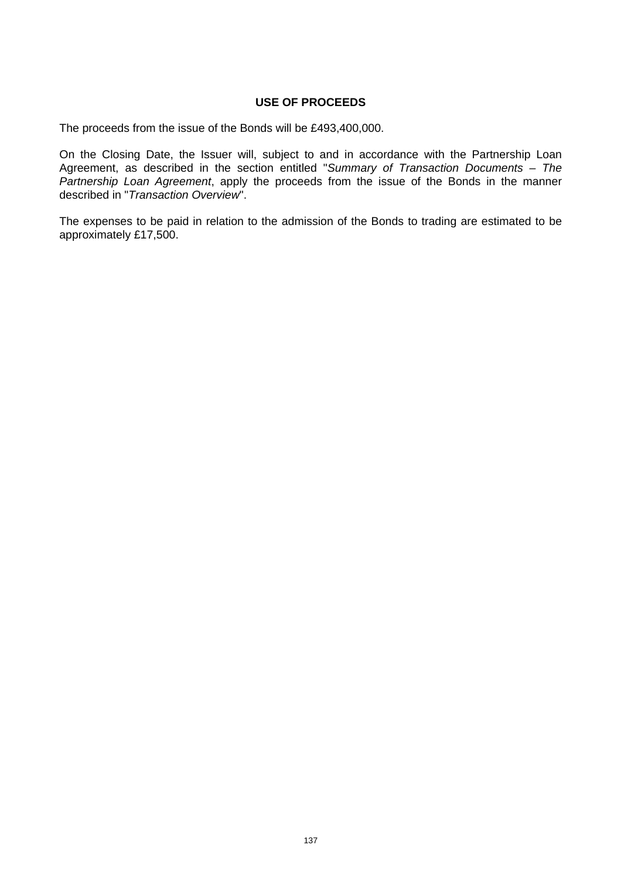# **USE OF PROCEEDS**

The proceeds from the issue of the Bonds will be £493,400,000.

On the Closing Date, the Issuer will, subject to and in accordance with the Partnership Loan Agreement, as described in the section entitled "*Summary of Transaction Documents – The Partnership Loan Agreement*, apply the proceeds from the issue of the Bonds in the manner described in "*Transaction Overview*".

The expenses to be paid in relation to the admission of the Bonds to trading are estimated to be approximately £17,500.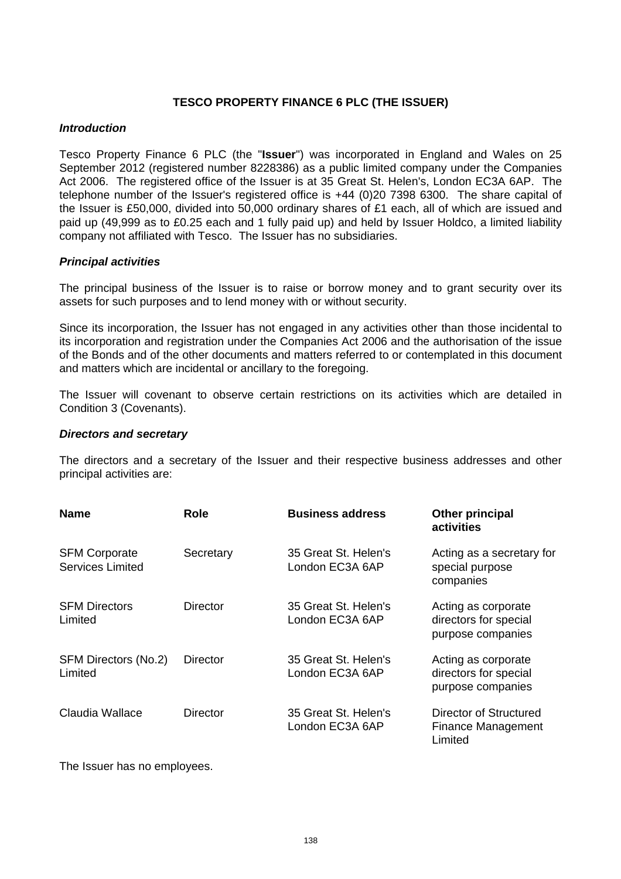# **TESCO PROPERTY FINANCE 6 PLC (THE ISSUER)**

### *Introduction*

Tesco Property Finance 6 PLC (the "**Issuer**") was incorporated in England and Wales on 25 September 2012 (registered number 8228386) as a public limited company under the Companies Act 2006. The registered office of the Issuer is at 35 Great St. Helen's, London EC3A 6AP. The telephone number of the Issuer's registered office is +44 (0)20 7398 6300. The share capital of the Issuer is £50,000, divided into 50,000 ordinary shares of £1 each, all of which are issued and paid up (49,999 as to £0.25 each and 1 fully paid up) and held by Issuer Holdco, a limited liability company not affiliated with Tesco. The Issuer has no subsidiaries.

## *Principal activities*

The principal business of the Issuer is to raise or borrow money and to grant security over its assets for such purposes and to lend money with or without security.

Since its incorporation, the Issuer has not engaged in any activities other than those incidental to its incorporation and registration under the Companies Act 2006 and the authorisation of the issue of the Bonds and of the other documents and matters referred to or contemplated in this document and matters which are incidental or ancillary to the foregoing.

The Issuer will covenant to observe certain restrictions on its activities which are detailed in Condition 3 (Covenants).

### *Directors and secretary*

The directors and a secretary of the Issuer and their respective business addresses and other principal activities are:

| <b>Name</b>                                     | <b>Role</b>     | <b>Business address</b>                 | <b>Other principal</b><br>activities                              |
|-------------------------------------------------|-----------------|-----------------------------------------|-------------------------------------------------------------------|
| <b>SFM Corporate</b><br><b>Services Limited</b> | Secretary       | 35 Great St. Helen's<br>London EC3A 6AP | Acting as a secretary for<br>special purpose<br>companies         |
| <b>SFM Directors</b><br>Limited                 | <b>Director</b> | 35 Great St. Helen's<br>London EC3A 6AP | Acting as corporate<br>directors for special<br>purpose companies |
| SFM Directors (No.2)<br>Limited                 | Director        | 35 Great St. Helen's<br>London EC3A 6AP | Acting as corporate<br>directors for special<br>purpose companies |
| Claudia Wallace                                 | Director        | 35 Great St. Helen's<br>London EC3A 6AP | Director of Structured<br><b>Finance Management</b><br>Limited    |

The Issuer has no employees.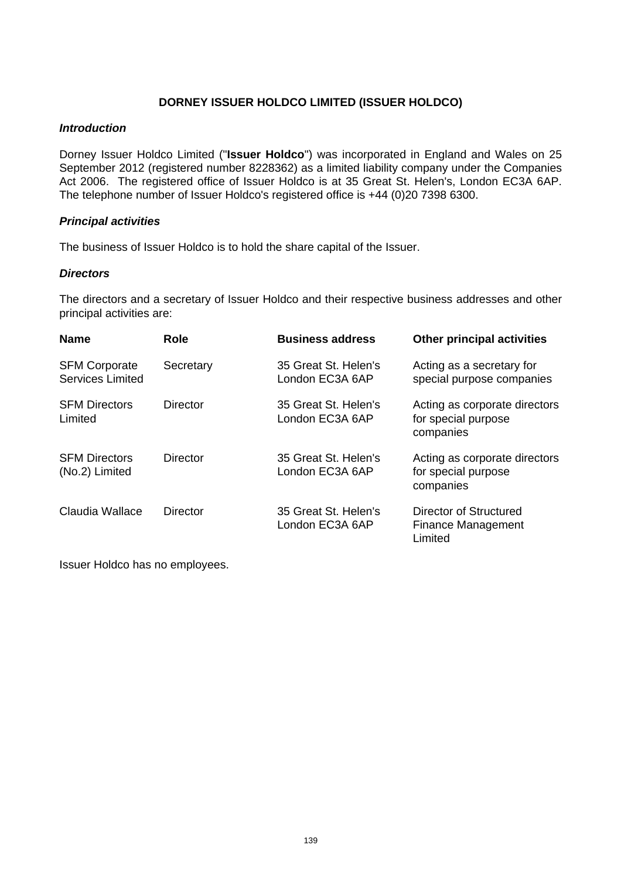# **DORNEY ISSUER HOLDCO LIMITED (ISSUER HOLDCO)**

### *Introduction*

Dorney Issuer Holdco Limited ("**Issuer Holdco**") was incorporated in England and Wales on 25 September 2012 (registered number 8228362) as a limited liability company under the Companies Act 2006. The registered office of Issuer Holdco is at 35 Great St. Helen's, London EC3A 6AP. The telephone number of Issuer Holdco's registered office is +44 (0)20 7398 6300.

## *Principal activities*

The business of Issuer Holdco is to hold the share capital of the Issuer.

#### *Directors*

The directors and a secretary of Issuer Holdco and their respective business addresses and other principal activities are:

| <b>Name</b>                                     | <b>Role</b>     | <b>Business address</b>                 | <b>Other principal activities</b>                                 |
|-------------------------------------------------|-----------------|-----------------------------------------|-------------------------------------------------------------------|
| <b>SFM Corporate</b><br><b>Services Limited</b> | Secretary       | 35 Great St. Helen's<br>London EC3A 6AP | Acting as a secretary for<br>special purpose companies            |
| <b>SFM Directors</b><br>Limited                 | <b>Director</b> | 35 Great St. Helen's<br>London EC3A 6AP | Acting as corporate directors<br>for special purpose<br>companies |
| <b>SFM Directors</b><br>(No.2) Limited          | Director        | 35 Great St. Helen's<br>London EC3A 6AP | Acting as corporate directors<br>for special purpose<br>companies |
| Claudia Wallace                                 | Director        | 35 Great St. Helen's<br>London EC3A 6AP | Director of Structured<br><b>Finance Management</b><br>Limited    |

Issuer Holdco has no employees.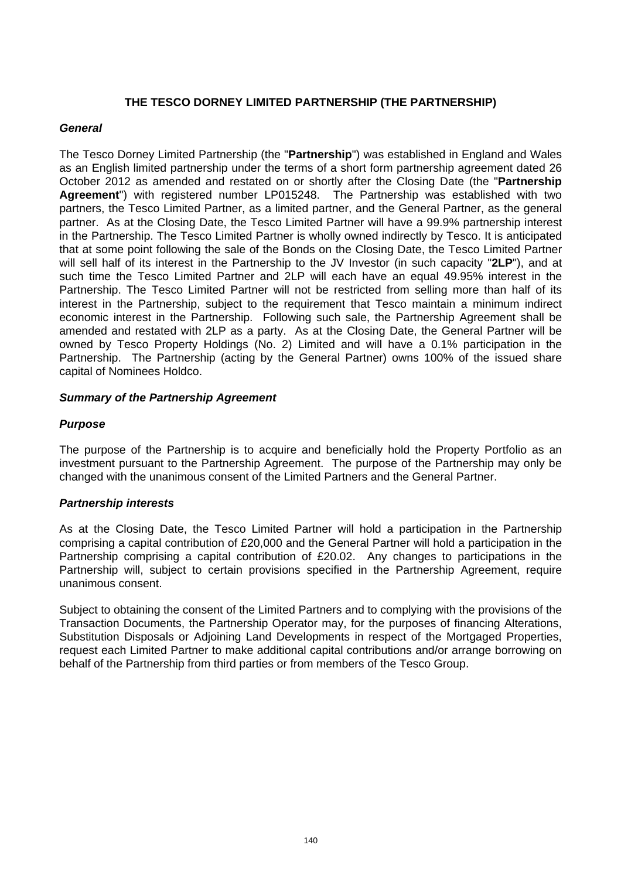## **THE TESCO DORNEY LIMITED PARTNERSHIP (THE PARTNERSHIP)**

#### *General*

The Tesco Dorney Limited Partnership (the "**Partnership**") was established in England and Wales as an English limited partnership under the terms of a short form partnership agreement dated 26 October 2012 as amended and restated on or shortly after the Closing Date (the "**Partnership Agreement**") with registered number LP015248. The Partnership was established with two partners, the Tesco Limited Partner, as a limited partner, and the General Partner, as the general partner. As at the Closing Date, the Tesco Limited Partner will have a 99.9% partnership interest in the Partnership. The Tesco Limited Partner is wholly owned indirectly by Tesco. It is anticipated that at some point following the sale of the Bonds on the Closing Date, the Tesco Limited Partner will sell half of its interest in the Partnership to the JV Investor (in such capacity "**2LP**"), and at such time the Tesco Limited Partner and 2LP will each have an equal 49.95% interest in the Partnership. The Tesco Limited Partner will not be restricted from selling more than half of its interest in the Partnership, subject to the requirement that Tesco maintain a minimum indirect economic interest in the Partnership. Following such sale, the Partnership Agreement shall be amended and restated with 2LP as a party. As at the Closing Date, the General Partner will be owned by Tesco Property Holdings (No. 2) Limited and will have a 0.1% participation in the Partnership. The Partnership (acting by the General Partner) owns 100% of the issued share capital of Nominees Holdco.

## *Summary of the Partnership Agreement*

## *Purpose*

The purpose of the Partnership is to acquire and beneficially hold the Property Portfolio as an investment pursuant to the Partnership Agreement. The purpose of the Partnership may only be changed with the unanimous consent of the Limited Partners and the General Partner.

#### *Partnership interests*

As at the Closing Date, the Tesco Limited Partner will hold a participation in the Partnership comprising a capital contribution of £20,000 and the General Partner will hold a participation in the Partnership comprising a capital contribution of £20.02. Any changes to participations in the Partnership will, subject to certain provisions specified in the Partnership Agreement, require unanimous consent.

Subject to obtaining the consent of the Limited Partners and to complying with the provisions of the Transaction Documents, the Partnership Operator may, for the purposes of financing Alterations, Substitution Disposals or Adjoining Land Developments in respect of the Mortgaged Properties, request each Limited Partner to make additional capital contributions and/or arrange borrowing on behalf of the Partnership from third parties or from members of the Tesco Group.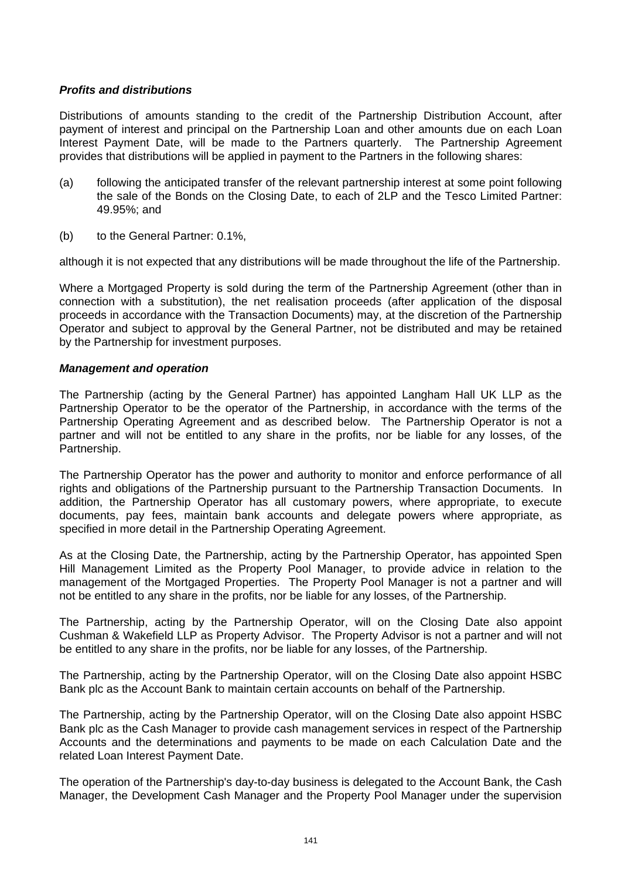## *Profits and distributions*

Distributions of amounts standing to the credit of the Partnership Distribution Account, after payment of interest and principal on the Partnership Loan and other amounts due on each Loan Interest Payment Date, will be made to the Partners quarterly. The Partnership Agreement provides that distributions will be applied in payment to the Partners in the following shares:

- (a) following the anticipated transfer of the relevant partnership interest at some point following the sale of the Bonds on the Closing Date, to each of 2LP and the Tesco Limited Partner: 49.95%; and
- (b) to the General Partner: 0.1%,

although it is not expected that any distributions will be made throughout the life of the Partnership.

Where a Mortgaged Property is sold during the term of the Partnership Agreement (other than in connection with a substitution), the net realisation proceeds (after application of the disposal proceeds in accordance with the Transaction Documents) may, at the discretion of the Partnership Operator and subject to approval by the General Partner, not be distributed and may be retained by the Partnership for investment purposes.

## *Management and operation*

The Partnership (acting by the General Partner) has appointed Langham Hall UK LLP as the Partnership Operator to be the operator of the Partnership, in accordance with the terms of the Partnership Operating Agreement and as described below. The Partnership Operator is not a partner and will not be entitled to any share in the profits, nor be liable for any losses, of the Partnership.

The Partnership Operator has the power and authority to monitor and enforce performance of all rights and obligations of the Partnership pursuant to the Partnership Transaction Documents. In addition, the Partnership Operator has all customary powers, where appropriate, to execute documents, pay fees, maintain bank accounts and delegate powers where appropriate, as specified in more detail in the Partnership Operating Agreement.

As at the Closing Date, the Partnership, acting by the Partnership Operator, has appointed Spen Hill Management Limited as the Property Pool Manager, to provide advice in relation to the management of the Mortgaged Properties. The Property Pool Manager is not a partner and will not be entitled to any share in the profits, nor be liable for any losses, of the Partnership.

The Partnership, acting by the Partnership Operator, will on the Closing Date also appoint Cushman & Wakefield LLP as Property Advisor. The Property Advisor is not a partner and will not be entitled to any share in the profits, nor be liable for any losses, of the Partnership.

The Partnership, acting by the Partnership Operator, will on the Closing Date also appoint HSBC Bank plc as the Account Bank to maintain certain accounts on behalf of the Partnership.

The Partnership, acting by the Partnership Operator, will on the Closing Date also appoint HSBC Bank plc as the Cash Manager to provide cash management services in respect of the Partnership Accounts and the determinations and payments to be made on each Calculation Date and the related Loan Interest Payment Date.

The operation of the Partnership's day-to-day business is delegated to the Account Bank, the Cash Manager, the Development Cash Manager and the Property Pool Manager under the supervision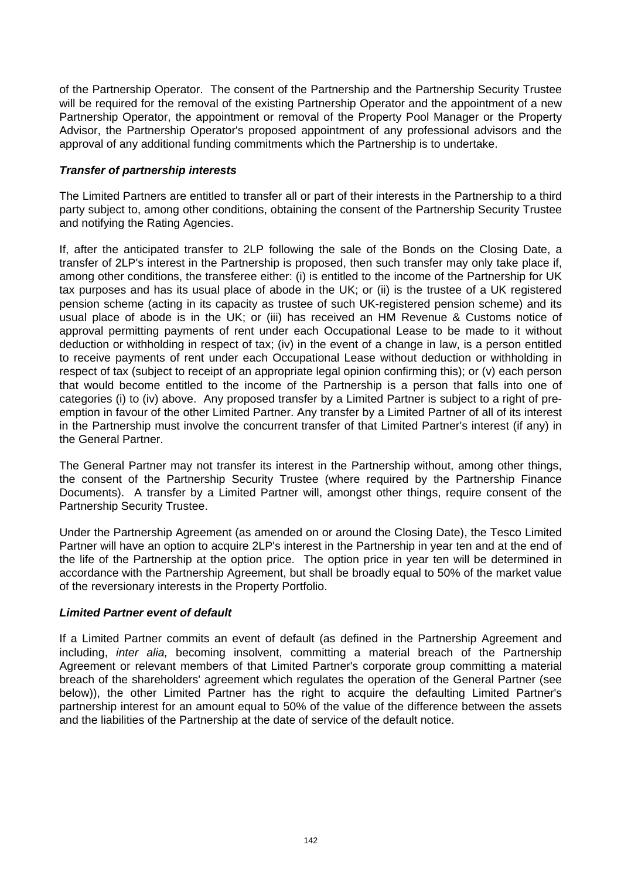of the Partnership Operator. The consent of the Partnership and the Partnership Security Trustee will be required for the removal of the existing Partnership Operator and the appointment of a new Partnership Operator, the appointment or removal of the Property Pool Manager or the Property Advisor, the Partnership Operator's proposed appointment of any professional advisors and the approval of any additional funding commitments which the Partnership is to undertake.

#### *Transfer of partnership interests*

The Limited Partners are entitled to transfer all or part of their interests in the Partnership to a third party subject to, among other conditions, obtaining the consent of the Partnership Security Trustee and notifying the Rating Agencies.

If, after the anticipated transfer to 2LP following the sale of the Bonds on the Closing Date, a transfer of 2LP's interest in the Partnership is proposed, then such transfer may only take place if, among other conditions, the transferee either: (i) is entitled to the income of the Partnership for UK tax purposes and has its usual place of abode in the UK; or (ii) is the trustee of a UK registered pension scheme (acting in its capacity as trustee of such UK-registered pension scheme) and its usual place of abode is in the UK; or (iii) has received an HM Revenue & Customs notice of approval permitting payments of rent under each Occupational Lease to be made to it without deduction or withholding in respect of tax; (iv) in the event of a change in law, is a person entitled to receive payments of rent under each Occupational Lease without deduction or withholding in respect of tax (subject to receipt of an appropriate legal opinion confirming this); or (v) each person that would become entitled to the income of the Partnership is a person that falls into one of categories (i) to (iv) above. Any proposed transfer by a Limited Partner is subject to a right of preemption in favour of the other Limited Partner. Any transfer by a Limited Partner of all of its interest in the Partnership must involve the concurrent transfer of that Limited Partner's interest (if any) in the General Partner.

The General Partner may not transfer its interest in the Partnership without, among other things, the consent of the Partnership Security Trustee (where required by the Partnership Finance Documents). A transfer by a Limited Partner will, amongst other things, require consent of the Partnership Security Trustee.

Under the Partnership Agreement (as amended on or around the Closing Date), the Tesco Limited Partner will have an option to acquire 2LP's interest in the Partnership in year ten and at the end of the life of the Partnership at the option price. The option price in year ten will be determined in accordance with the Partnership Agreement, but shall be broadly equal to 50% of the market value of the reversionary interests in the Property Portfolio.

## *Limited Partner event of default*

If a Limited Partner commits an event of default (as defined in the Partnership Agreement and including, *inter alia,* becoming insolvent, committing a material breach of the Partnership Agreement or relevant members of that Limited Partner's corporate group committing a material breach of the shareholders' agreement which regulates the operation of the General Partner (see below)), the other Limited Partner has the right to acquire the defaulting Limited Partner's partnership interest for an amount equal to 50% of the value of the difference between the assets and the liabilities of the Partnership at the date of service of the default notice.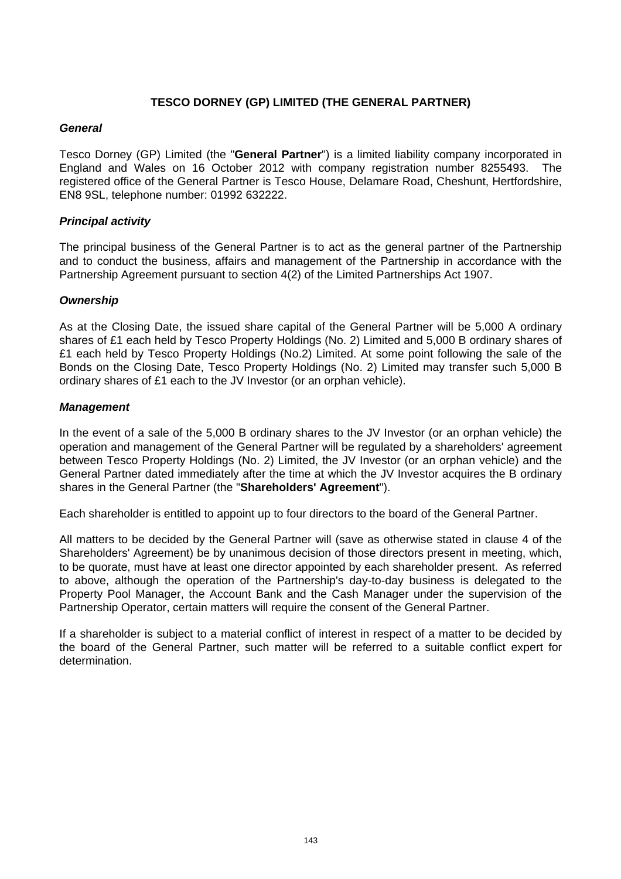## **TESCO DORNEY (GP) LIMITED (THE GENERAL PARTNER)**

#### *General*

Tesco Dorney (GP) Limited (the "**General Partner**") is a limited liability company incorporated in England and Wales on 16 October 2012 with company registration number 8255493. The registered office of the General Partner is Tesco House, Delamare Road, Cheshunt, Hertfordshire, EN8 9SL, telephone number: 01992 632222.

## *Principal activity*

The principal business of the General Partner is to act as the general partner of the Partnership and to conduct the business, affairs and management of the Partnership in accordance with the Partnership Agreement pursuant to section 4(2) of the Limited Partnerships Act 1907.

#### *Ownership*

As at the Closing Date, the issued share capital of the General Partner will be 5,000 A ordinary shares of £1 each held by Tesco Property Holdings (No. 2) Limited and 5,000 B ordinary shares of £1 each held by Tesco Property Holdings (No.2) Limited. At some point following the sale of the Bonds on the Closing Date, Tesco Property Holdings (No. 2) Limited may transfer such 5,000 B ordinary shares of £1 each to the JV Investor (or an orphan vehicle).

#### *Management*

In the event of a sale of the 5,000 B ordinary shares to the JV Investor (or an orphan vehicle) the operation and management of the General Partner will be regulated by a shareholders' agreement between Tesco Property Holdings (No. 2) Limited, the JV Investor (or an orphan vehicle) and the General Partner dated immediately after the time at which the JV Investor acquires the B ordinary shares in the General Partner (the "**Shareholders' Agreement**").

Each shareholder is entitled to appoint up to four directors to the board of the General Partner.

All matters to be decided by the General Partner will (save as otherwise stated in clause 4 of the Shareholders' Agreement) be by unanimous decision of those directors present in meeting, which, to be quorate, must have at least one director appointed by each shareholder present. As referred to above, although the operation of the Partnership's day-to-day business is delegated to the Property Pool Manager, the Account Bank and the Cash Manager under the supervision of the Partnership Operator, certain matters will require the consent of the General Partner.

If a shareholder is subject to a material conflict of interest in respect of a matter to be decided by the board of the General Partner, such matter will be referred to a suitable conflict expert for determination.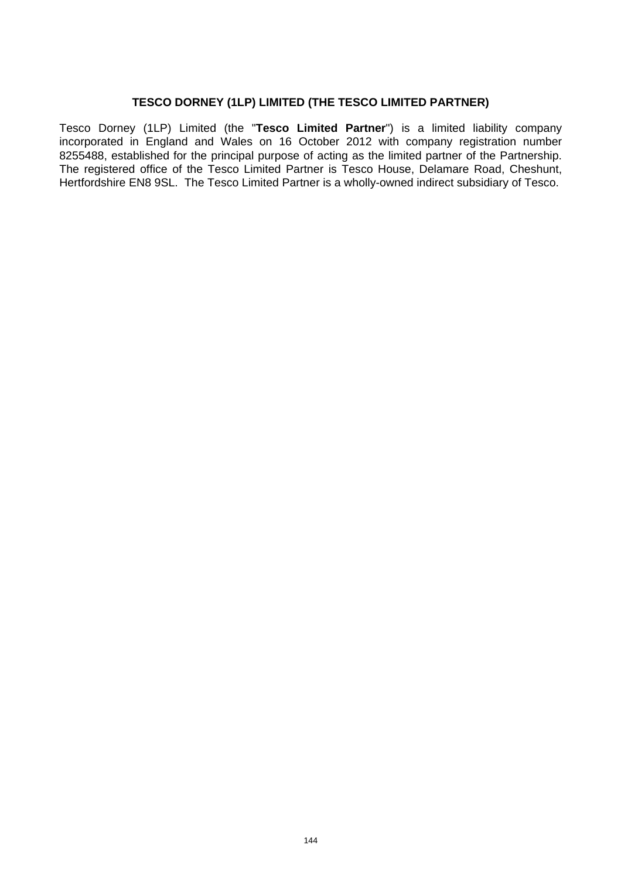## **TESCO DORNEY (1LP) LIMITED (THE TESCO LIMITED PARTNER)**

Tesco Dorney (1LP) Limited (the "**Tesco Limited Partner**") is a limited liability company incorporated in England and Wales on 16 October 2012 with company registration number 8255488, established for the principal purpose of acting as the limited partner of the Partnership. The registered office of the Tesco Limited Partner is Tesco House, Delamare Road, Cheshunt, Hertfordshire EN8 9SL. The Tesco Limited Partner is a wholly-owned indirect subsidiary of Tesco.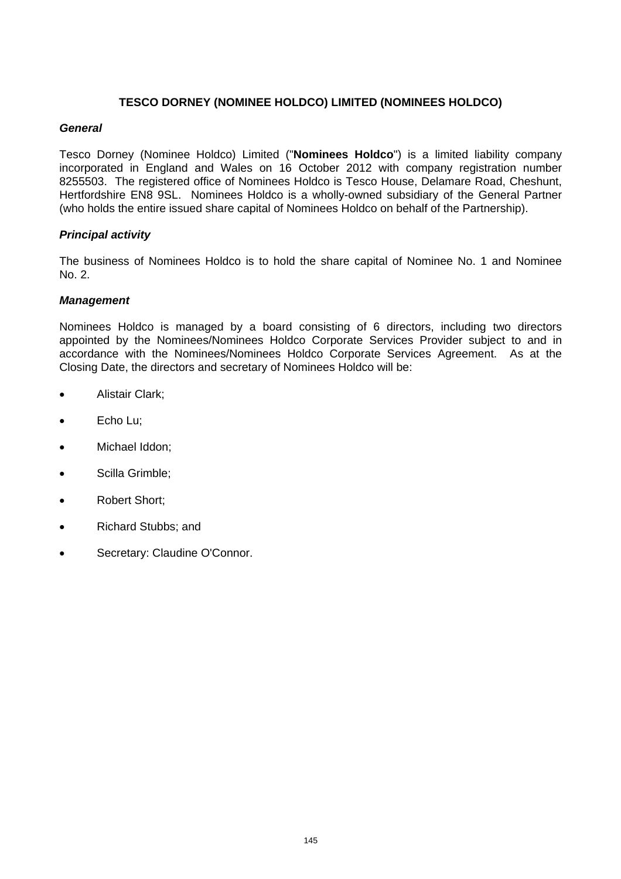## **TESCO DORNEY (NOMINEE HOLDCO) LIMITED (NOMINEES HOLDCO)**

## *General*

Tesco Dorney (Nominee Holdco) Limited ("**Nominees Holdco**") is a limited liability company incorporated in England and Wales on 16 October 2012 with company registration number 8255503. The registered office of Nominees Holdco is Tesco House, Delamare Road, Cheshunt, Hertfordshire EN8 9SL. Nominees Holdco is a wholly-owned subsidiary of the General Partner (who holds the entire issued share capital of Nominees Holdco on behalf of the Partnership).

## *Principal activity*

The business of Nominees Holdco is to hold the share capital of Nominee No. 1 and Nominee No. 2.

#### *Management*

Nominees Holdco is managed by a board consisting of 6 directors, including two directors appointed by the Nominees/Nominees Holdco Corporate Services Provider subject to and in accordance with the Nominees/Nominees Holdco Corporate Services Agreement. As at the Closing Date, the directors and secretary of Nominees Holdco will be:

- Alistair Clark;
- Echo Lu:
- Michael Iddon;
- Scilla Grimble;
- Robert Short;
- Richard Stubbs; and
- Secretary: Claudine O'Connor.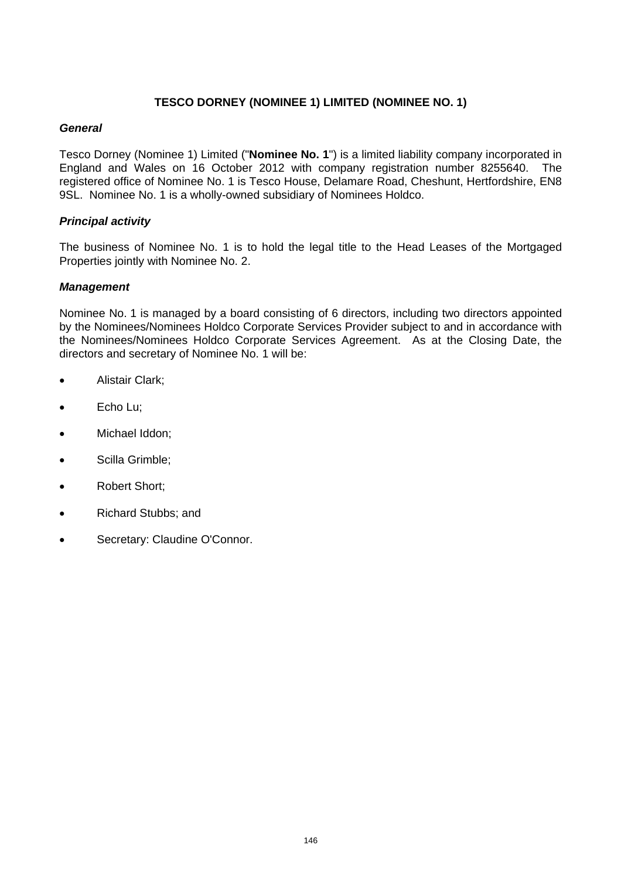## **TESCO DORNEY (NOMINEE 1) LIMITED (NOMINEE NO. 1)**

## *General*

Tesco Dorney (Nominee 1) Limited ("**Nominee No. 1**") is a limited liability company incorporated in England and Wales on 16 October 2012 with company registration number 8255640. The registered office of Nominee No. 1 is Tesco House, Delamare Road, Cheshunt, Hertfordshire, EN8 9SL. Nominee No. 1 is a wholly-owned subsidiary of Nominees Holdco.

## *Principal activity*

The business of Nominee No. 1 is to hold the legal title to the Head Leases of the Mortgaged Properties jointly with Nominee No. 2.

#### *Management*

Nominee No. 1 is managed by a board consisting of 6 directors, including two directors appointed by the Nominees/Nominees Holdco Corporate Services Provider subject to and in accordance with the Nominees/Nominees Holdco Corporate Services Agreement. As at the Closing Date, the directors and secretary of Nominee No. 1 will be:

- Alistair Clark;
- Echo Lu;
- Michael Iddon;
- Scilla Grimble;
- Robert Short;
- Richard Stubbs: and
- Secretary: Claudine O'Connor.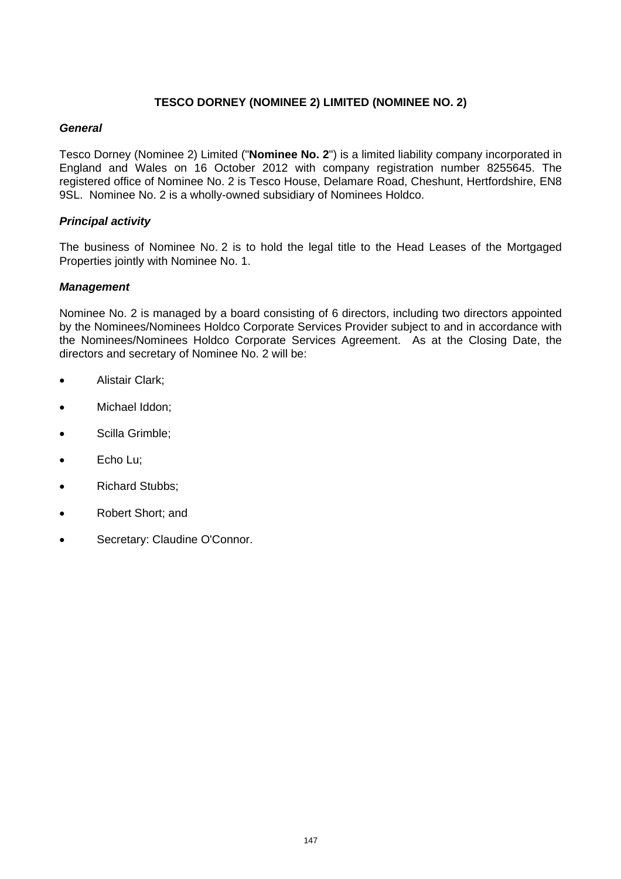## **TESCO DORNEY (NOMINEE 2) LIMITED (NOMINEE NO. 2)**

#### *General*

Tesco Dorney (Nominee 2) Limited ("**Nominee No. 2**") is a limited liability company incorporated in England and Wales on 16 October 2012 with company registration number 8255645. The registered office of Nominee No. 2 is Tesco House, Delamare Road, Cheshunt, Hertfordshire, EN8 9SL. Nominee No. 2 is a wholly-owned subsidiary of Nominees Holdco.

## *Principal activity*

The business of Nominee No. 2 is to hold the legal title to the Head Leases of the Mortgaged Properties jointly with Nominee No. 1.

#### *Management*

Nominee No. 2 is managed by a board consisting of 6 directors, including two directors appointed by the Nominees/Nominees Holdco Corporate Services Provider subject to and in accordance with the Nominees/Nominees Holdco Corporate Services Agreement. As at the Closing Date, the directors and secretary of Nominee No. 2 will be:

- Alistair Clark;
- Michael Iddon;
- Scilla Grimble;
- Echo Lu;
- Richard Stubbs;
- Robert Short: and
- Secretary: Claudine O'Connor.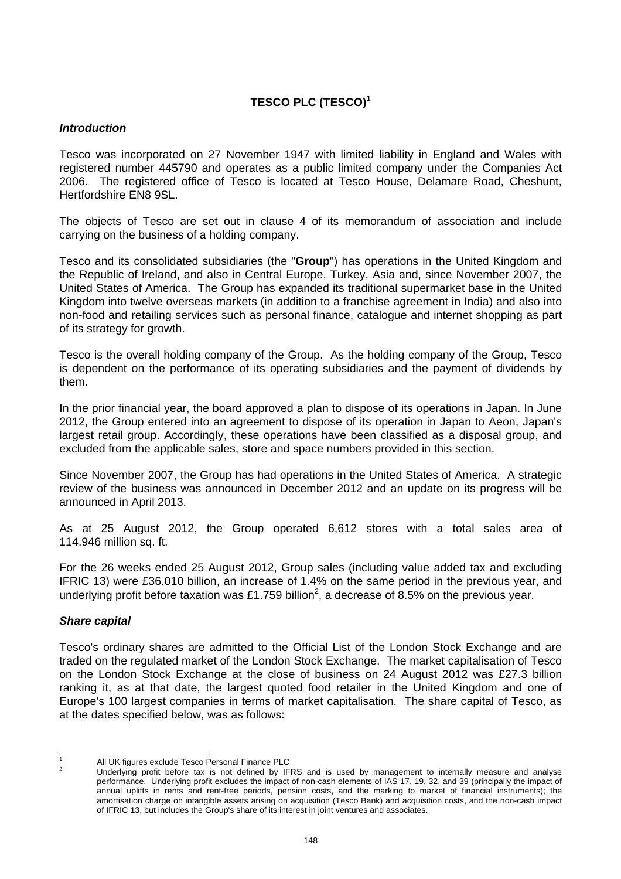# **TESCO PLC (TESCO)<sup>1</sup>**

#### *Introduction*

Tesco was incorporated on 27 November 1947 with limited liability in England and Wales with registered number 445790 and operates as a public limited company under the Companies Act 2006. The registered office of Tesco is located at Tesco House, Delamare Road, Cheshunt, Hertfordshire EN8 9SL.

The objects of Tesco are set out in clause 4 of its memorandum of association and include carrying on the business of a holding company.

Tesco and its consolidated subsidiaries (the "**Group**") has operations in the United Kingdom and the Republic of Ireland, and also in Central Europe, Turkey, Asia and, since November 2007, the United States of America. The Group has expanded its traditional supermarket base in the United Kingdom into twelve overseas markets (in addition to a franchise agreement in India) and also into non-food and retailing services such as personal finance, catalogue and internet shopping as part of its strategy for growth.

Tesco is the overall holding company of the Group. As the holding company of the Group, Tesco is dependent on the performance of its operating subsidiaries and the payment of dividends by them.

In the prior financial year, the board approved a plan to dispose of its operations in Japan. In June 2012, the Group entered into an agreement to dispose of its operation in Japan to Aeon, Japan's largest retail group. Accordingly, these operations have been classified as a disposal group, and excluded from the applicable sales, store and space numbers provided in this section.

Since November 2007, the Group has had operations in the United States of America. A strategic review of the business was announced in December 2012 and an update on its progress will be announced in April 2013.

As at 25 August 2012, the Group operated 6,612 stores with a total sales area of 114.946 million sq. ft.

For the 26 weeks ended 25 August 2012, Group sales (including value added tax and excluding IFRIC 13) were £36.010 billion, an increase of 1.4% on the same period in the previous year, and underlying profit before taxation was £1.759 billion<sup>2</sup>, a decrease of 8.5% on the previous year.

## *Share capital*

Tesco's ordinary shares are admitted to the Official List of the London Stock Exchange and are traded on the regulated market of the London Stock Exchange. The market capitalisation of Tesco on the London Stock Exchange at the close of business on 24 August 2012 was £27.3 billion ranking it, as at that date, the largest quoted food retailer in the United Kingdom and one of Europe's 100 largest companies in terms of market capitalisation. The share capital of Tesco, as at the dates specified below, was as follows:

 $\frac{1}{1}$  All UK figures exclude Tesco Personal Finance PLC  $\overline{2}$ 

Underlying profit before tax is not defined by IFRS and is used by management to internally measure and analyse performance. Underlying profit excludes the impact of non-cash elements of IAS 17, 19, 32, and 39 (principally the impact of annual uplifts in rents and rent-free periods, pension costs, and the marking to market of financial instruments); the amortisation charge on intangible assets arising on acquisition (Tesco Bank) and acquisition costs, and the non-cash impact of IFRIC 13, but includes the Group's share of its interest in joint ventures and associates.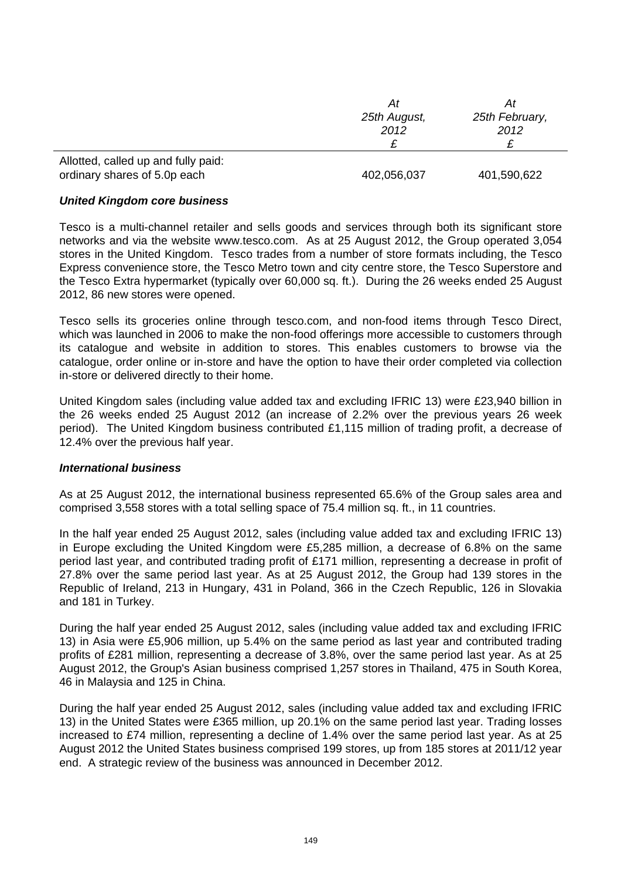|                                     | 25th August, | 25th February, |
|-------------------------------------|--------------|----------------|
|                                     | 2012         | 2012           |
|                                     |              |                |
| Allotted, called up and fully paid: |              |                |
| ordinary shares of 5.0p each        | 402,056,037  | 401,590,622    |

#### *United Kingdom core business*

Tesco is a multi-channel retailer and sells goods and services through both its significant store networks and via the website www.tesco.com. As at 25 August 2012, the Group operated 3,054 stores in the United Kingdom. Tesco trades from a number of store formats including, the Tesco Express convenience store, the Tesco Metro town and city centre store, the Tesco Superstore and the Tesco Extra hypermarket (typically over 60,000 sq. ft.). During the 26 weeks ended 25 August 2012, 86 new stores were opened.

Tesco sells its groceries online through tesco.com, and non-food items through Tesco Direct, which was launched in 2006 to make the non-food offerings more accessible to customers through its catalogue and website in addition to stores. This enables customers to browse via the catalogue, order online or in-store and have the option to have their order completed via collection in-store or delivered directly to their home.

United Kingdom sales (including value added tax and excluding IFRIC 13) were £23,940 billion in the 26 weeks ended 25 August 2012 (an increase of 2.2% over the previous years 26 week period). The United Kingdom business contributed £1,115 million of trading profit, a decrease of 12.4% over the previous half year.

#### *International business*

As at 25 August 2012, the international business represented 65.6% of the Group sales area and comprised 3,558 stores with a total selling space of 75.4 million sq. ft., in 11 countries.

In the half year ended 25 August 2012, sales (including value added tax and excluding IFRIC 13) in Europe excluding the United Kingdom were £5,285 million, a decrease of 6.8% on the same period last year, and contributed trading profit of £171 million, representing a decrease in profit of 27.8% over the same period last year. As at 25 August 2012, the Group had 139 stores in the Republic of Ireland, 213 in Hungary, 431 in Poland, 366 in the Czech Republic, 126 in Slovakia and 181 in Turkey.

During the half year ended 25 August 2012, sales (including value added tax and excluding IFRIC 13) in Asia were £5,906 million, up 5.4% on the same period as last year and contributed trading profits of £281 million, representing a decrease of 3.8%, over the same period last year. As at 25 August 2012, the Group's Asian business comprised 1,257 stores in Thailand, 475 in South Korea, 46 in Malaysia and 125 in China.

During the half year ended 25 August 2012, sales (including value added tax and excluding IFRIC 13) in the United States were £365 million, up 20.1% on the same period last year. Trading losses increased to £74 million, representing a decline of 1.4% over the same period last year. As at 25 August 2012 the United States business comprised 199 stores, up from 185 stores at 2011/12 year end. A strategic review of the business was announced in December 2012.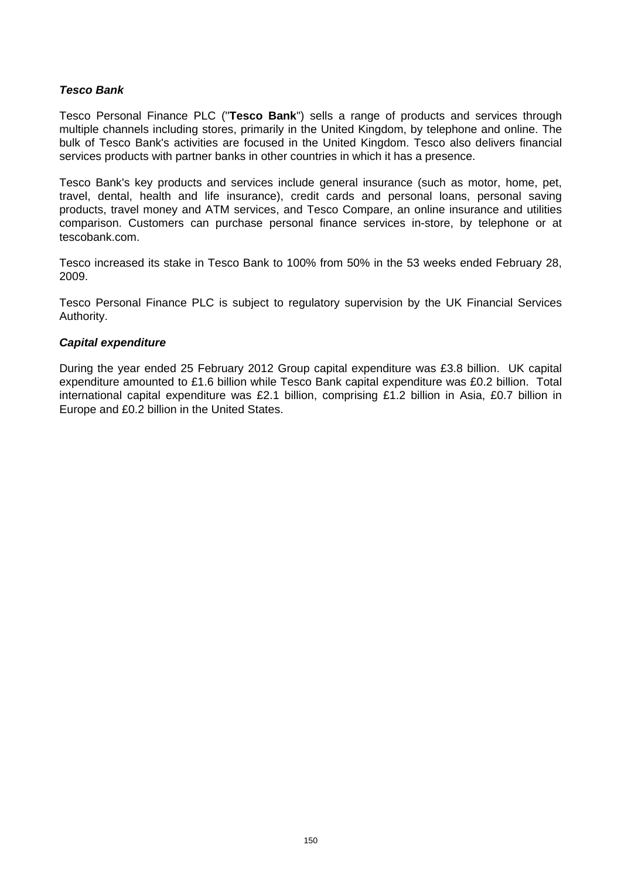## *Tesco Bank*

Tesco Personal Finance PLC ("**Tesco Bank**") sells a range of products and services through multiple channels including stores, primarily in the United Kingdom, by telephone and online. The bulk of Tesco Bank's activities are focused in the United Kingdom. Tesco also delivers financial services products with partner banks in other countries in which it has a presence.

Tesco Bank's key products and services include general insurance (such as motor, home, pet, travel, dental, health and life insurance), credit cards and personal loans, personal saving products, travel money and ATM services, and Tesco Compare, an online insurance and utilities comparison. Customers can purchase personal finance services in-store, by telephone or at tescobank.com.

Tesco increased its stake in Tesco Bank to 100% from 50% in the 53 weeks ended February 28, 2009.

Tesco Personal Finance PLC is subject to regulatory supervision by the UK Financial Services Authority.

## *Capital expenditure*

During the year ended 25 February 2012 Group capital expenditure was £3.8 billion. UK capital expenditure amounted to £1.6 billion while Tesco Bank capital expenditure was £0.2 billion. Total international capital expenditure was £2.1 billion, comprising £1.2 billion in Asia, £0.7 billion in Europe and £0.2 billion in the United States.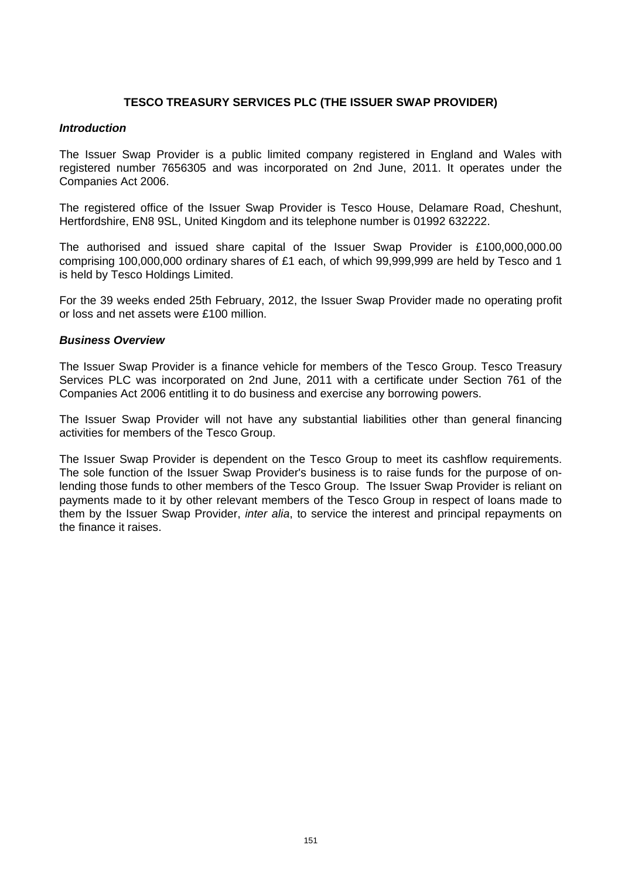## **TESCO TREASURY SERVICES PLC (THE ISSUER SWAP PROVIDER)**

#### *Introduction*

The Issuer Swap Provider is a public limited company registered in England and Wales with registered number 7656305 and was incorporated on 2nd June, 2011. It operates under the Companies Act 2006.

The registered office of the Issuer Swap Provider is Tesco House, Delamare Road, Cheshunt, Hertfordshire, EN8 9SL, United Kingdom and its telephone number is 01992 632222.

The authorised and issued share capital of the Issuer Swap Provider is £100,000,000.00 comprising 100,000,000 ordinary shares of £1 each, of which 99,999,999 are held by Tesco and 1 is held by Tesco Holdings Limited.

For the 39 weeks ended 25th February, 2012, the Issuer Swap Provider made no operating profit or loss and net assets were £100 million.

#### *Business Overview*

The Issuer Swap Provider is a finance vehicle for members of the Tesco Group. Tesco Treasury Services PLC was incorporated on 2nd June, 2011 with a certificate under Section 761 of the Companies Act 2006 entitling it to do business and exercise any borrowing powers.

The Issuer Swap Provider will not have any substantial liabilities other than general financing activities for members of the Tesco Group.

The Issuer Swap Provider is dependent on the Tesco Group to meet its cashflow requirements. The sole function of the Issuer Swap Provider's business is to raise funds for the purpose of onlending those funds to other members of the Tesco Group. The Issuer Swap Provider is reliant on payments made to it by other relevant members of the Tesco Group in respect of loans made to them by the Issuer Swap Provider, *inter alia*, to service the interest and principal repayments on the finance it raises.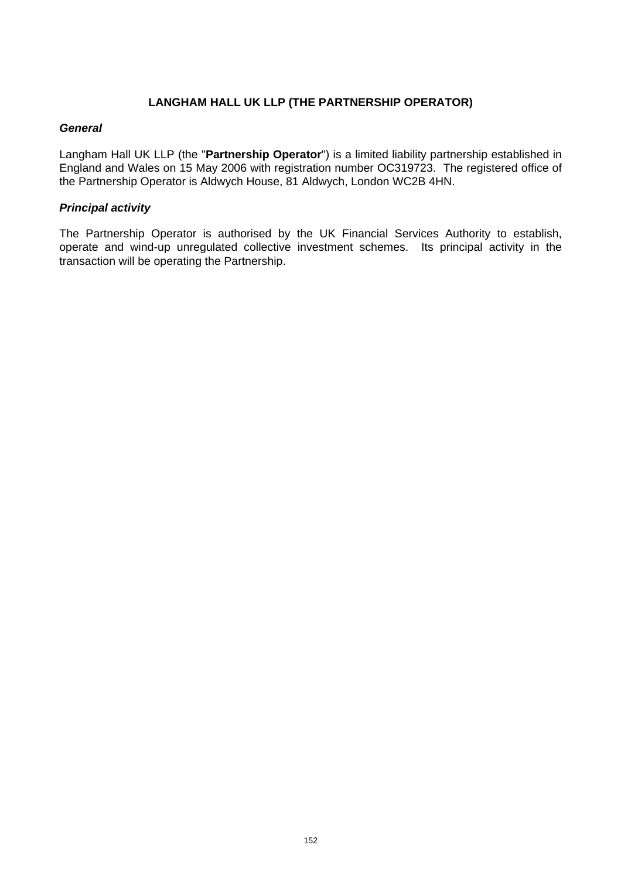## **LANGHAM HALL UK LLP (THE PARTNERSHIP OPERATOR)**

#### *General*

Langham Hall UK LLP (the "**Partnership Operator**") is a limited liability partnership established in England and Wales on 15 May 2006 with registration number OC319723. The registered office of the Partnership Operator is Aldwych House, 81 Aldwych, London WC2B 4HN.

## *Principal activity*

The Partnership Operator is authorised by the UK Financial Services Authority to establish, operate and wind-up unregulated collective investment schemes. Its principal activity in the transaction will be operating the Partnership.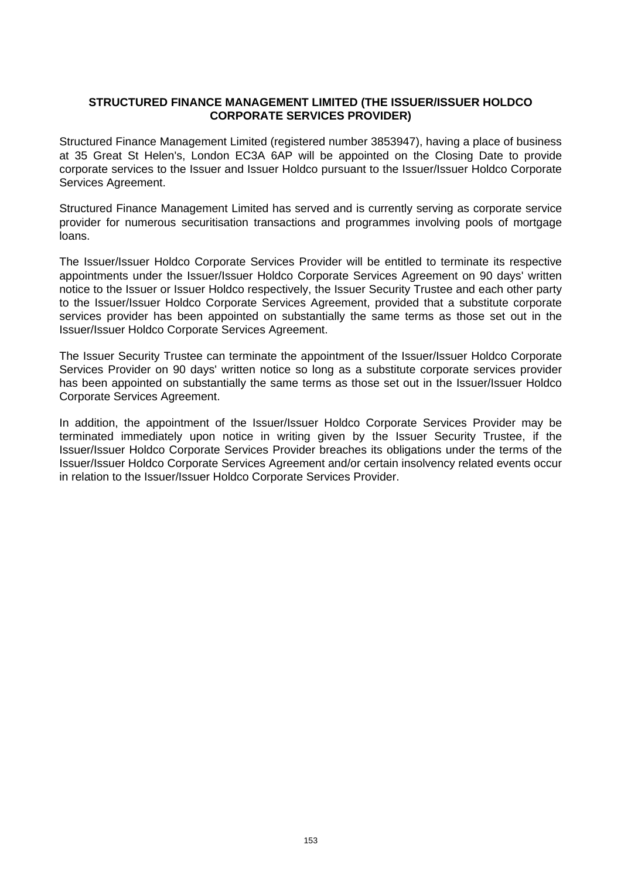## **STRUCTURED FINANCE MANAGEMENT LIMITED (THE ISSUER/ISSUER HOLDCO CORPORATE SERVICES PROVIDER)**

Structured Finance Management Limited (registered number 3853947), having a place of business at 35 Great St Helen's, London EC3A 6AP will be appointed on the Closing Date to provide corporate services to the Issuer and Issuer Holdco pursuant to the Issuer/Issuer Holdco Corporate Services Agreement.

Structured Finance Management Limited has served and is currently serving as corporate service provider for numerous securitisation transactions and programmes involving pools of mortgage loans.

The Issuer/Issuer Holdco Corporate Services Provider will be entitled to terminate its respective appointments under the Issuer/Issuer Holdco Corporate Services Agreement on 90 days' written notice to the Issuer or Issuer Holdco respectively, the Issuer Security Trustee and each other party to the Issuer/Issuer Holdco Corporate Services Agreement, provided that a substitute corporate services provider has been appointed on substantially the same terms as those set out in the Issuer/Issuer Holdco Corporate Services Agreement.

The Issuer Security Trustee can terminate the appointment of the Issuer/Issuer Holdco Corporate Services Provider on 90 days' written notice so long as a substitute corporate services provider has been appointed on substantially the same terms as those set out in the Issuer/Issuer Holdco Corporate Services Agreement.

In addition, the appointment of the Issuer/Issuer Holdco Corporate Services Provider may be terminated immediately upon notice in writing given by the Issuer Security Trustee, if the Issuer/Issuer Holdco Corporate Services Provider breaches its obligations under the terms of the Issuer/Issuer Holdco Corporate Services Agreement and/or certain insolvency related events occur in relation to the Issuer/Issuer Holdco Corporate Services Provider.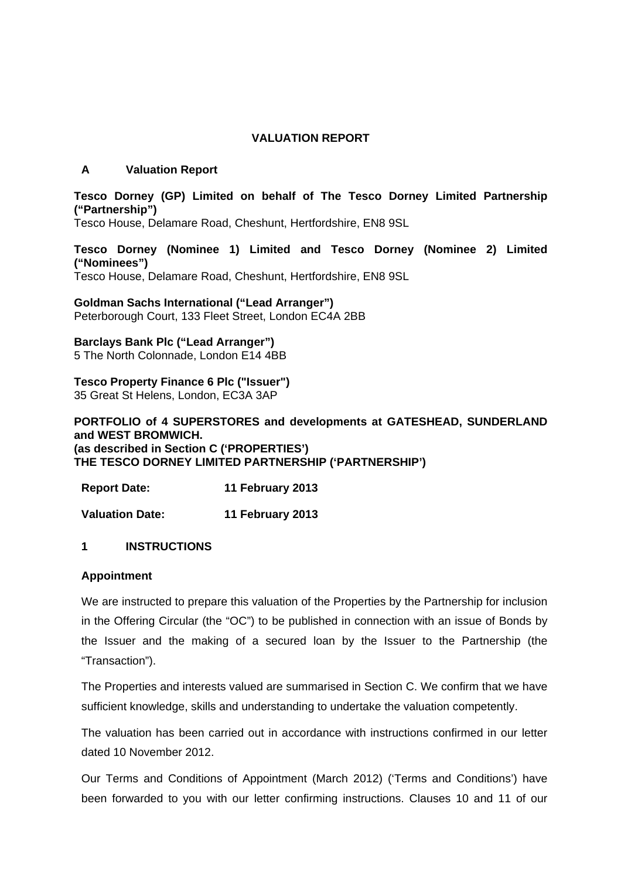## **VALUATION REPORT**

## **A Valuation Report**

**Tesco Dorney (GP) Limited on behalf of The Tesco Dorney Limited Partnership ("Partnership")** 

Tesco House, Delamare Road, Cheshunt, Hertfordshire, EN8 9SL

**Tesco Dorney (Nominee 1) Limited and Tesco Dorney (Nominee 2) Limited ("Nominees")** 

Tesco House, Delamare Road, Cheshunt, Hertfordshire, EN8 9SL

**Goldman Sachs International ("Lead Arranger")**  Peterborough Court, 133 Fleet Street, London EC4A 2BB

**Barclays Bank Plc ("Lead Arranger")**  5 The North Colonnade, London E14 4BB

**Tesco Property Finance 6 Plc ("Issuer")**  35 Great St Helens, London, EC3A 3AP

**PORTFOLIO of 4 SUPERSTORES and developments at GATESHEAD, SUNDERLAND and WEST BROMWICH. (as described in Section C ('PROPERTIES') THE TESCO DORNEY LIMITED PARTNERSHIP ('PARTNERSHIP')** 

**Report Date: 11 February 2013** 

**Valuation Date: 11 February 2013**

## **1 INSTRUCTIONS**

## **Appointment**

We are instructed to prepare this valuation of the Properties by the Partnership for inclusion in the Offering Circular (the "OC") to be published in connection with an issue of Bonds by the Issuer and the making of a secured loan by the Issuer to the Partnership (the "Transaction").

The Properties and interests valued are summarised in Section C. We confirm that we have sufficient knowledge, skills and understanding to undertake the valuation competently.

The valuation has been carried out in accordance with instructions confirmed in our letter dated 10 November 2012.

Our Terms and Conditions of Appointment (March 2012) ('Terms and Conditions') have been forwarded to you with our letter confirming instructions. Clauses 10 and 11 of our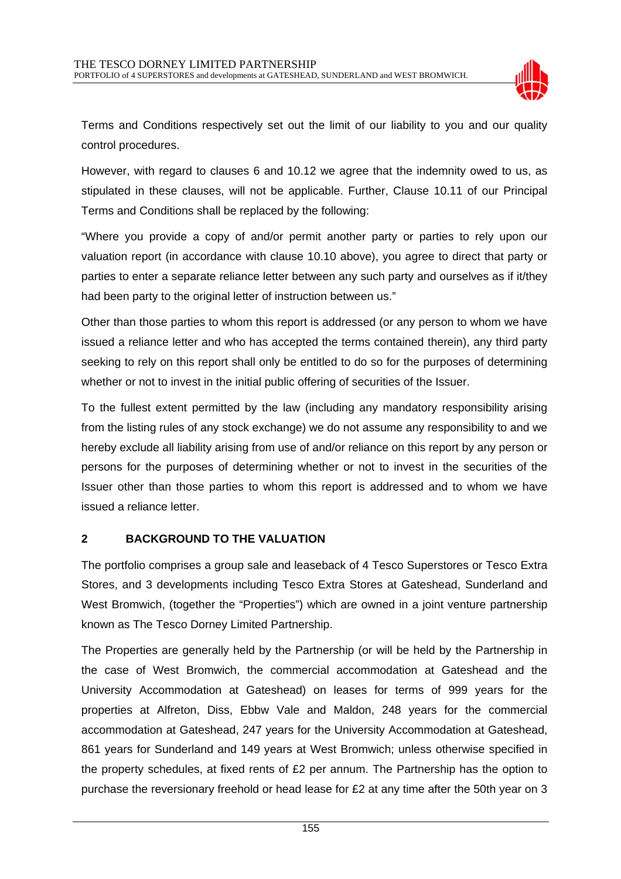

Terms and Conditions respectively set out the limit of our liability to you and our quality control procedures.

However, with regard to clauses 6 and 10.12 we agree that the indemnity owed to us, as stipulated in these clauses, will not be applicable. Further, Clause 10.11 of our Principal Terms and Conditions shall be replaced by the following:

"Where you provide a copy of and/or permit another party or parties to rely upon our valuation report (in accordance with clause 10.10 above), you agree to direct that party or parties to enter a separate reliance letter between any such party and ourselves as if it/they had been party to the original letter of instruction between us."

Other than those parties to whom this report is addressed (or any person to whom we have issued a reliance letter and who has accepted the terms contained therein), any third party seeking to rely on this report shall only be entitled to do so for the purposes of determining whether or not to invest in the initial public offering of securities of the Issuer.

To the fullest extent permitted by the law (including any mandatory responsibility arising from the listing rules of any stock exchange) we do not assume any responsibility to and we hereby exclude all liability arising from use of and/or reliance on this report by any person or persons for the purposes of determining whether or not to invest in the securities of the Issuer other than those parties to whom this report is addressed and to whom we have issued a reliance letter.

# **2 BACKGROUND TO THE VALUATION**

The portfolio comprises a group sale and leaseback of 4 Tesco Superstores or Tesco Extra Stores, and 3 developments including Tesco Extra Stores at Gateshead, Sunderland and West Bromwich, (together the "Properties") which are owned in a joint venture partnership known as The Tesco Dorney Limited Partnership.

The Properties are generally held by the Partnership (or will be held by the Partnership in the case of West Bromwich, the commercial accommodation at Gateshead and the University Accommodation at Gateshead) on leases for terms of 999 years for the properties at Alfreton, Diss, Ebbw Vale and Maldon, 248 years for the commercial accommodation at Gateshead, 247 years for the University Accommodation at Gateshead, 861 years for Sunderland and 149 years at West Bromwich; unless otherwise specified in the property schedules, at fixed rents of £2 per annum. The Partnership has the option to purchase the reversionary freehold or head lease for £2 at any time after the 50th year on 3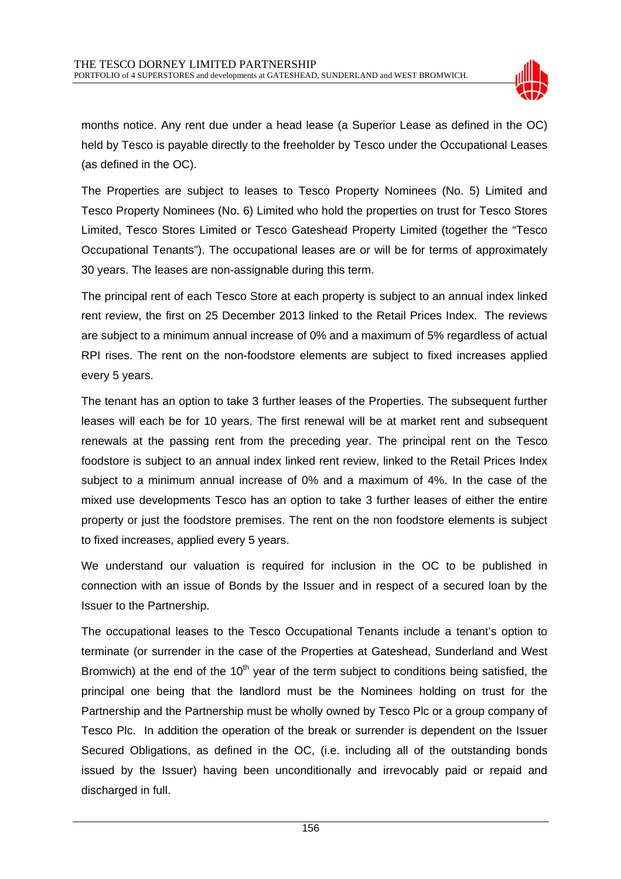

months notice. Any rent due under a head lease (a Superior Lease as defined in the OC) held by Tesco is payable directly to the freeholder by Tesco under the Occupational Leases (as defined in the OC).

The Properties are subject to leases to Tesco Property Nominees (No. 5) Limited and Tesco Property Nominees (No. 6) Limited who hold the properties on trust for Tesco Stores Limited, Tesco Stores Limited or Tesco Gateshead Property Limited (together the "Tesco Occupational Tenants"). The occupational leases are or will be for terms of approximately 30 years. The leases are non-assignable during this term.

The principal rent of each Tesco Store at each property is subject to an annual index linked rent review, the first on 25 December 2013 linked to the Retail Prices Index. The reviews are subject to a minimum annual increase of 0% and a maximum of 5% regardless of actual RPI rises. The rent on the non-foodstore elements are subject to fixed increases applied every 5 years.

The tenant has an option to take 3 further leases of the Properties. The subsequent further leases will each be for 10 years. The first renewal will be at market rent and subsequent renewals at the passing rent from the preceding year. The principal rent on the Tesco foodstore is subject to an annual index linked rent review, linked to the Retail Prices Index subject to a minimum annual increase of 0% and a maximum of 4%. In the case of the mixed use developments Tesco has an option to take 3 further leases of either the entire property or just the foodstore premises. The rent on the non foodstore elements is subject to fixed increases, applied every 5 years.

We understand our valuation is required for inclusion in the OC to be published in connection with an issue of Bonds by the Issuer and in respect of a secured loan by the Issuer to the Partnership.

The occupational leases to the Tesco Occupational Tenants include a tenant's option to terminate (or surrender in the case of the Properties at Gateshead, Sunderland and West Bromwich) at the end of the  $10<sup>th</sup>$  year of the term subject to conditions being satisfied, the principal one being that the landlord must be the Nominees holding on trust for the Partnership and the Partnership must be wholly owned by Tesco Plc or a group company of Tesco Plc. In addition the operation of the break or surrender is dependent on the Issuer Secured Obligations, as defined in the OC, (i.e. including all of the outstanding bonds issued by the Issuer) having been unconditionally and irrevocably paid or repaid and discharged in full.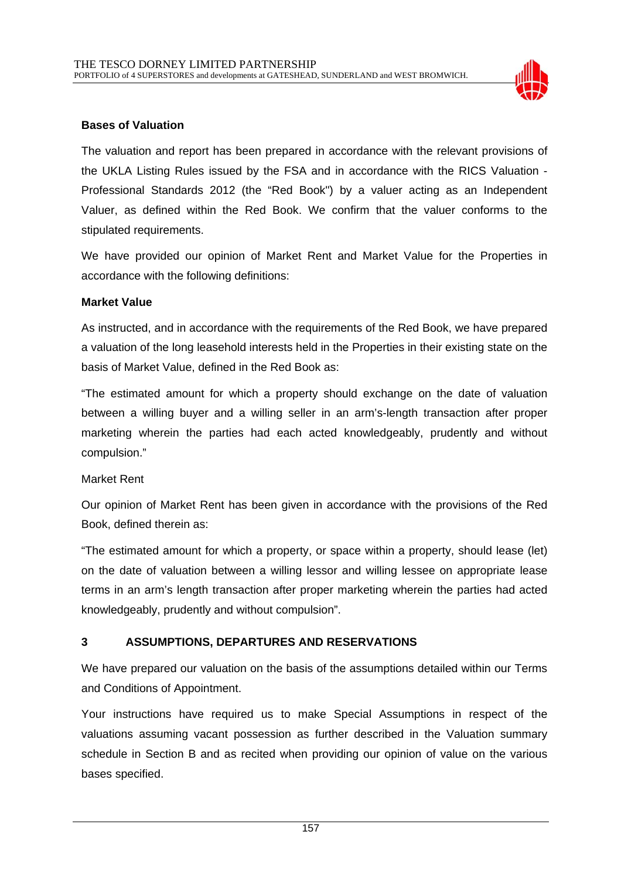

## **Bases of Valuation**

The valuation and report has been prepared in accordance with the relevant provisions of the UKLA Listing Rules issued by the FSA and in accordance with the RICS Valuation - Professional Standards 2012 (the "Red Book") by a valuer acting as an Independent Valuer, as defined within the Red Book. We confirm that the valuer conforms to the stipulated requirements.

We have provided our opinion of Market Rent and Market Value for the Properties in accordance with the following definitions:

## **Market Value**

As instructed, and in accordance with the requirements of the Red Book, we have prepared a valuation of the long leasehold interests held in the Properties in their existing state on the basis of Market Value, defined in the Red Book as:

"The estimated amount for which a property should exchange on the date of valuation between a willing buyer and a willing seller in an arm's-length transaction after proper marketing wherein the parties had each acted knowledgeably, prudently and without compulsion."

## Market Rent

Our opinion of Market Rent has been given in accordance with the provisions of the Red Book, defined therein as:

"The estimated amount for which a property, or space within a property, should lease (let) on the date of valuation between a willing lessor and willing lessee on appropriate lease terms in an arm's length transaction after proper marketing wherein the parties had acted knowledgeably, prudently and without compulsion".

# **3 ASSUMPTIONS, DEPARTURES AND RESERVATIONS**

We have prepared our valuation on the basis of the assumptions detailed within our Terms and Conditions of Appointment.

Your instructions have required us to make Special Assumptions in respect of the valuations assuming vacant possession as further described in the Valuation summary schedule in Section B and as recited when providing our opinion of value on the various bases specified.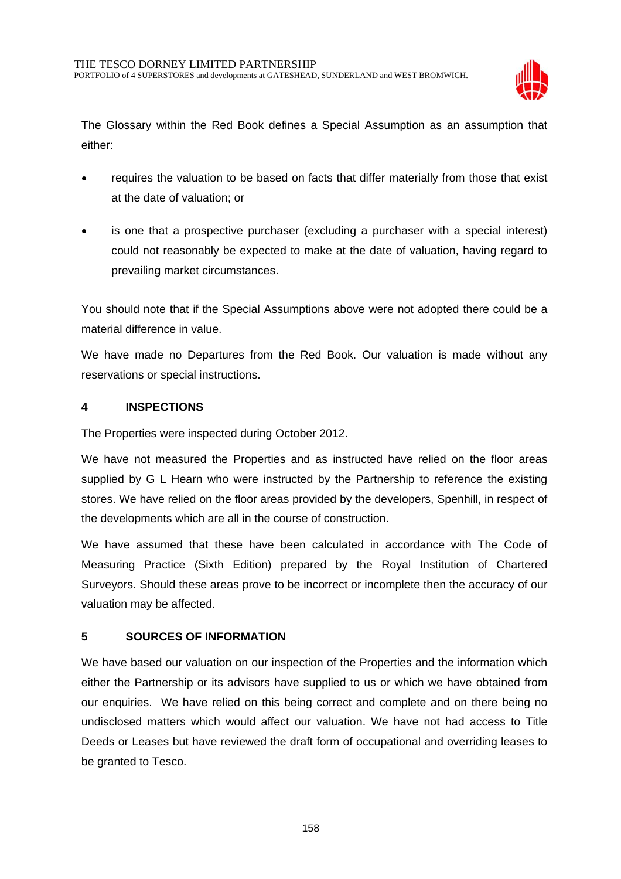

The Glossary within the Red Book defines a Special Assumption as an assumption that either:

- requires the valuation to be based on facts that differ materially from those that exist at the date of valuation; or
- is one that a prospective purchaser (excluding a purchaser with a special interest) could not reasonably be expected to make at the date of valuation, having regard to prevailing market circumstances.

You should note that if the Special Assumptions above were not adopted there could be a material difference in value.

We have made no Departures from the Red Book. Our valuation is made without any reservations or special instructions.

# **4 INSPECTIONS**

The Properties were inspected during October 2012.

We have not measured the Properties and as instructed have relied on the floor areas supplied by G L Hearn who were instructed by the Partnership to reference the existing stores. We have relied on the floor areas provided by the developers, Spenhill, in respect of the developments which are all in the course of construction.

We have assumed that these have been calculated in accordance with The Code of Measuring Practice (Sixth Edition) prepared by the Royal Institution of Chartered Surveyors. Should these areas prove to be incorrect or incomplete then the accuracy of our valuation may be affected.

# **5 SOURCES OF INFORMATION**

We have based our valuation on our inspection of the Properties and the information which either the Partnership or its advisors have supplied to us or which we have obtained from our enquiries. We have relied on this being correct and complete and on there being no undisclosed matters which would affect our valuation. We have not had access to Title Deeds or Leases but have reviewed the draft form of occupational and overriding leases to be granted to Tesco.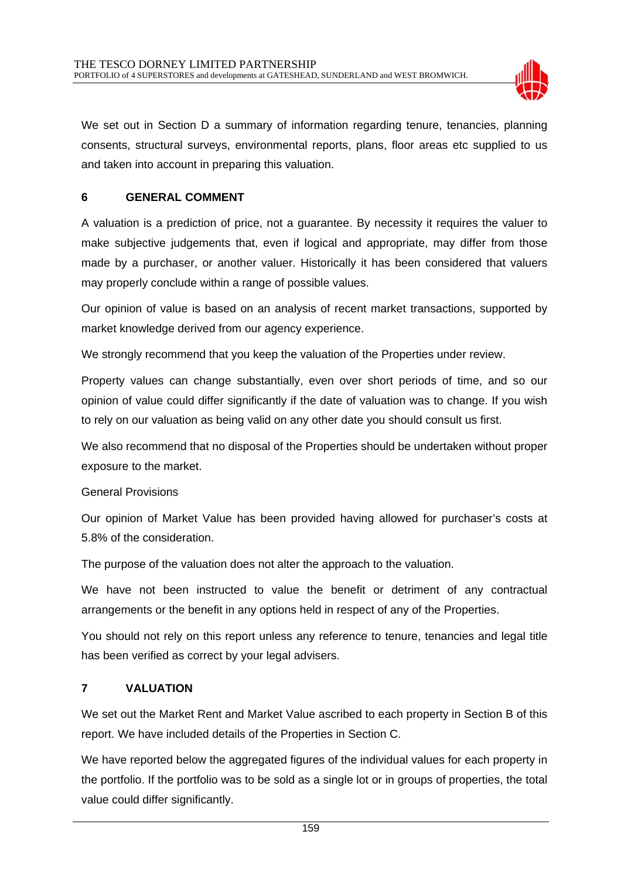

We set out in Section D a summary of information regarding tenure, tenancies, planning consents, structural surveys, environmental reports, plans, floor areas etc supplied to us and taken into account in preparing this valuation.

# **6 GENERAL COMMENT**

A valuation is a prediction of price, not a guarantee. By necessity it requires the valuer to make subjective judgements that, even if logical and appropriate, may differ from those made by a purchaser, or another valuer. Historically it has been considered that valuers may properly conclude within a range of possible values.

Our opinion of value is based on an analysis of recent market transactions, supported by market knowledge derived from our agency experience.

We strongly recommend that you keep the valuation of the Properties under review.

Property values can change substantially, even over short periods of time, and so our opinion of value could differ significantly if the date of valuation was to change. If you wish to rely on our valuation as being valid on any other date you should consult us first.

We also recommend that no disposal of the Properties should be undertaken without proper exposure to the market.

# General Provisions

Our opinion of Market Value has been provided having allowed for purchaser's costs at 5.8% of the consideration.

The purpose of the valuation does not alter the approach to the valuation.

We have not been instructed to value the benefit or detriment of any contractual arrangements or the benefit in any options held in respect of any of the Properties.

You should not rely on this report unless any reference to tenure, tenancies and legal title has been verified as correct by your legal advisers.

# **7 VALUATION**

We set out the Market Rent and Market Value ascribed to each property in Section B of this report. We have included details of the Properties in Section C.

We have reported below the aggregated figures of the individual values for each property in the portfolio. If the portfolio was to be sold as a single lot or in groups of properties, the total value could differ significantly.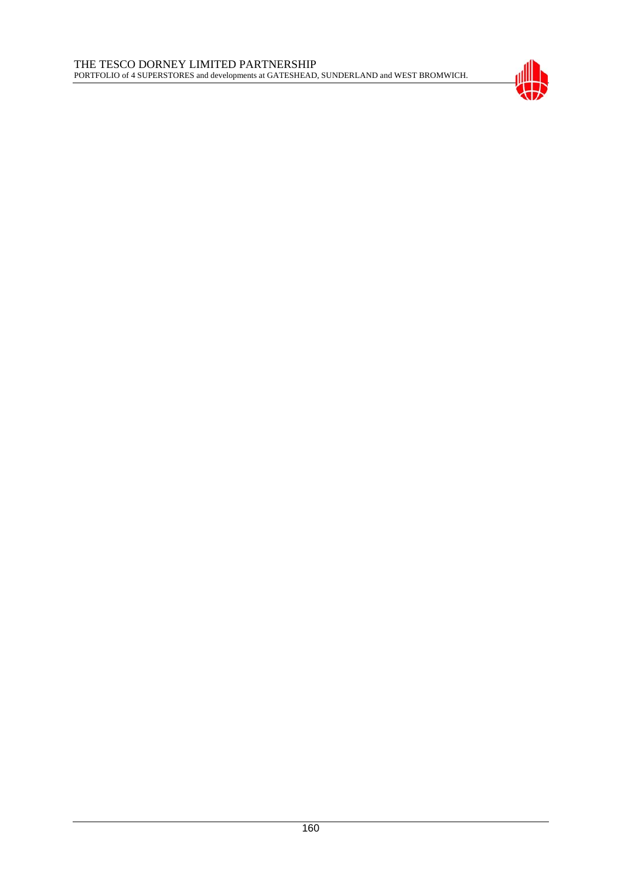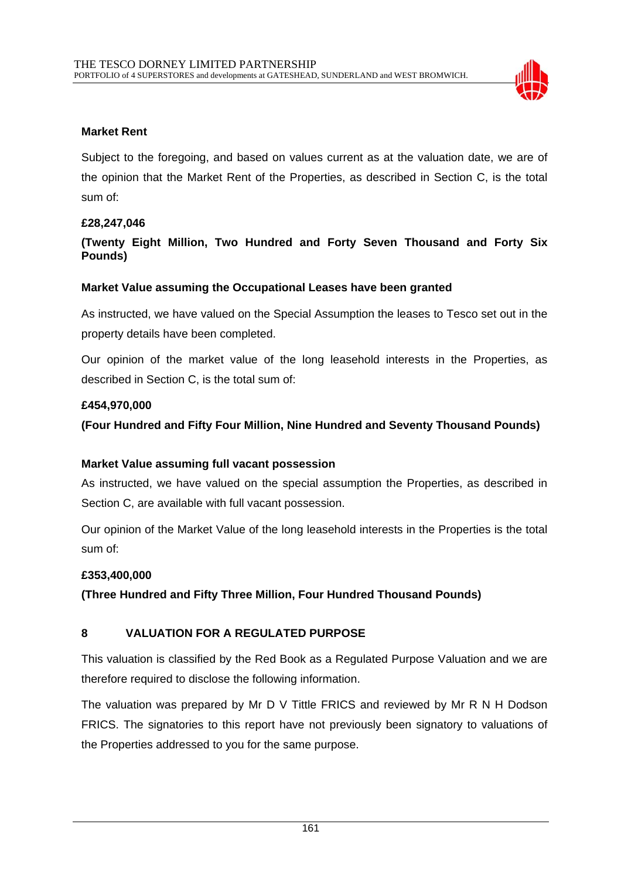

## **Market Rent**

Subject to the foregoing, and based on values current as at the valuation date, we are of the opinion that the Market Rent of the Properties, as described in Section C, is the total sum of:

## **£28,247,046**

# **(Twenty Eight Million, Two Hundred and Forty Seven Thousand and Forty Six Pounds)**

# **Market Value assuming the Occupational Leases have been granted**

As instructed, we have valued on the Special Assumption the leases to Tesco set out in the property details have been completed.

Our opinion of the market value of the long leasehold interests in the Properties, as described in Section C, is the total sum of:

## **£454,970,000**

**(Four Hundred and Fifty Four Million, Nine Hundred and Seventy Thousand Pounds)** 

# **Market Value assuming full vacant possession**

As instructed, we have valued on the special assumption the Properties, as described in Section C, are available with full vacant possession.

Our opinion of the Market Value of the long leasehold interests in the Properties is the total sum of:

## **£353,400,000**

**(Three Hundred and Fifty Three Million, Four Hundred Thousand Pounds)** 

# **8 VALUATION FOR A REGULATED PURPOSE**

This valuation is classified by the Red Book as a Regulated Purpose Valuation and we are therefore required to disclose the following information.

The valuation was prepared by Mr D V Tittle FRICS and reviewed by Mr R N H Dodson FRICS. The signatories to this report have not previously been signatory to valuations of the Properties addressed to you for the same purpose.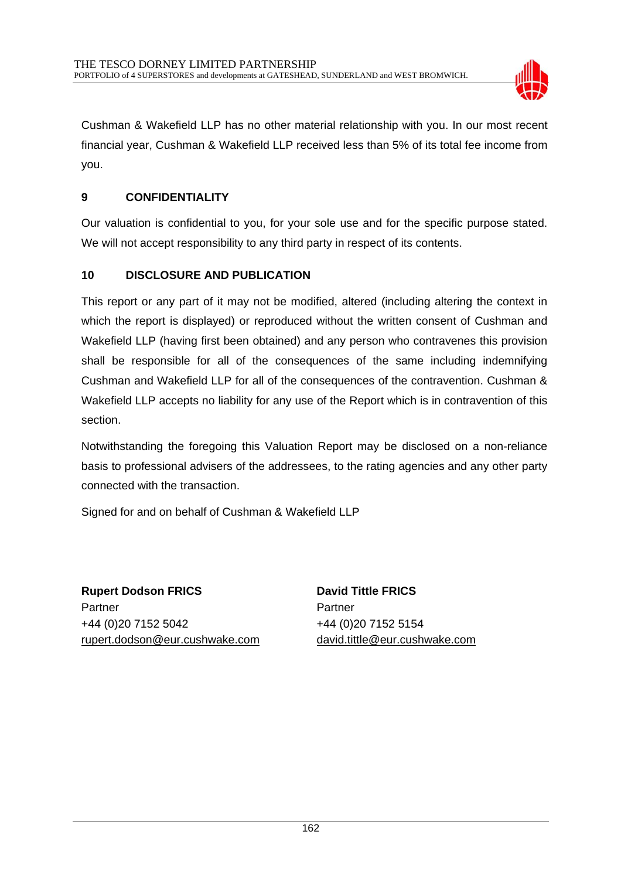

Cushman & Wakefield LLP has no other material relationship with you. In our most recent financial year, Cushman & Wakefield LLP received less than 5% of its total fee income from you.

# **9 CONFIDENTIALITY**

Our valuation is confidential to you, for your sole use and for the specific purpose stated. We will not accept responsibility to any third party in respect of its contents.

# **10 DISCLOSURE AND PUBLICATION**

This report or any part of it may not be modified, altered (including altering the context in which the report is displayed) or reproduced without the written consent of Cushman and Wakefield LLP (having first been obtained) and any person who contravenes this provision shall be responsible for all of the consequences of the same including indemnifying Cushman and Wakefield LLP for all of the consequences of the contravention. Cushman & Wakefield LLP accepts no liability for any use of the Report which is in contravention of this section.

Notwithstanding the foregoing this Valuation Report may be disclosed on a non-reliance basis to professional advisers of the addressees, to the rating agencies and any other party connected with the transaction.

Signed for and on behalf of Cushman & Wakefield LLP

**Rupert Dodson FRICS**  Partner +44 (0)20 7152 5042 rupert.dodson@eur.cushwake.com **David Tittle FRICS**  Partner +44 (0)20 7152 5154 david.tittle@eur.cushwake.com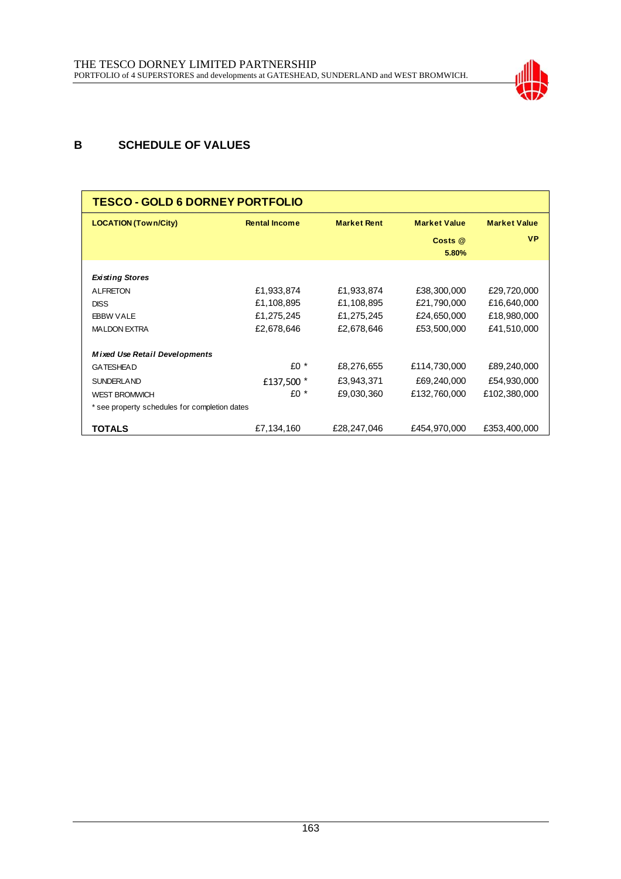

# **B SCHEDULE OF VALUES**

| <b>TESCO - GOLD 6 DORNEY PORTFOLIO</b>        |                      |                    |                      |                     |  |  |  |  |
|-----------------------------------------------|----------------------|--------------------|----------------------|---------------------|--|--|--|--|
| <b>LOCATION (Town/City)</b>                   | <b>Rental Income</b> | <b>Market Rent</b> | <b>Market Value</b>  | <b>Market Value</b> |  |  |  |  |
|                                               |                      |                    | $Costs$ $@$<br>5.80% | <b>VP</b>           |  |  |  |  |
|                                               |                      |                    |                      |                     |  |  |  |  |
| <b>Existing Stores</b>                        |                      |                    |                      |                     |  |  |  |  |
| <b>ALFRETON</b>                               | £1,933,874           | £1,933,874         | £38,300,000          | £29,720,000         |  |  |  |  |
| <b>DISS</b>                                   | £1,108,895           | £1,108,895         | £21,790,000          | £16,640,000         |  |  |  |  |
| <b>EBBW VALE</b>                              | £1,275,245           | £1,275,245         | £24,650,000          | £18,980,000         |  |  |  |  |
| <b>MALDON EXTRA</b>                           | £2,678,646           | £2,678,646         | £53,500,000          | £41,510,000         |  |  |  |  |
| <b>Mixed Use Retail Developments</b>          |                      |                    |                      |                     |  |  |  |  |
| <b>GATESHEAD</b>                              | $£0*$                | £8,276,655         | £114,730,000         | £89,240,000         |  |  |  |  |
| <b>SUNDERLAND</b>                             | £137,500 *           | £3,943,371         | £69,240,000          | £54,930,000         |  |  |  |  |
| <b>WEST BROMWICH</b>                          | $£0*$                | £9,030,360         | £132,760,000         | £102,380,000        |  |  |  |  |
| * see property schedules for completion dates |                      |                    |                      |                     |  |  |  |  |
| <b>TOTALS</b>                                 | £7,134,160           | £28,247,046        | £454,970,000         | £353,400,000        |  |  |  |  |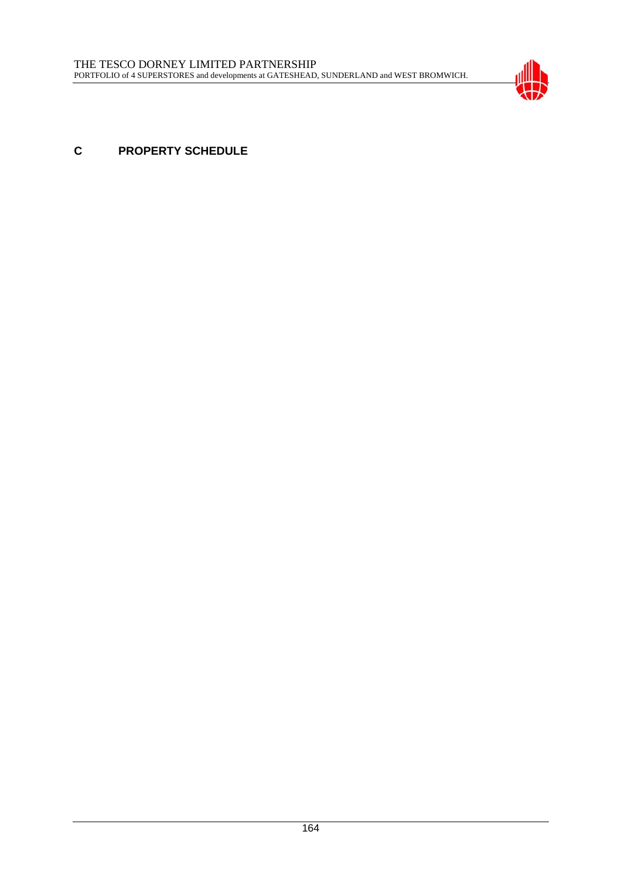

# **C PROPERTY SCHEDULE**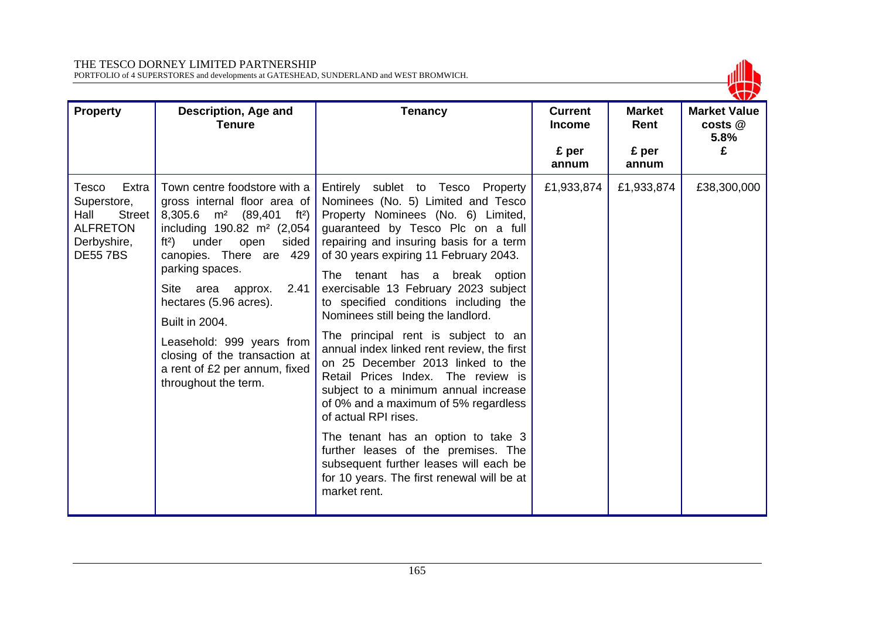

|                                                                                                             |                                                                                                                                                                                                                                                                                                                                                                                                                                                                |                                                                                                                                                                                                                                                                                                                                                                                                                                                                                                                                                                                                                                                                                                                                                                                                                                                              |                                 |                       | WZ                                     |
|-------------------------------------------------------------------------------------------------------------|----------------------------------------------------------------------------------------------------------------------------------------------------------------------------------------------------------------------------------------------------------------------------------------------------------------------------------------------------------------------------------------------------------------------------------------------------------------|--------------------------------------------------------------------------------------------------------------------------------------------------------------------------------------------------------------------------------------------------------------------------------------------------------------------------------------------------------------------------------------------------------------------------------------------------------------------------------------------------------------------------------------------------------------------------------------------------------------------------------------------------------------------------------------------------------------------------------------------------------------------------------------------------------------------------------------------------------------|---------------------------------|-----------------------|----------------------------------------|
| <b>Property</b>                                                                                             | Description, Age and<br><b>Tenure</b>                                                                                                                                                                                                                                                                                                                                                                                                                          | <b>Tenancy</b>                                                                                                                                                                                                                                                                                                                                                                                                                                                                                                                                                                                                                                                                                                                                                                                                                                               | <b>Current</b><br><b>Income</b> | <b>Market</b><br>Rent | <b>Market Value</b><br>costs @<br>5.8% |
|                                                                                                             |                                                                                                                                                                                                                                                                                                                                                                                                                                                                |                                                                                                                                                                                                                                                                                                                                                                                                                                                                                                                                                                                                                                                                                                                                                                                                                                                              | £ per<br>annum                  | £ per<br>annum        | £                                      |
| Tesco<br>Extra<br>Superstore,<br>Hall<br><b>Street</b><br><b>ALFRETON</b><br>Derbyshire,<br><b>DE55 7BS</b> | Town centre foodstore with a<br>gross internal floor area of<br>8,305.6 m <sup>2</sup> (89,401 ft <sup>2</sup> )<br>including 190.82 m <sup>2</sup> (2,054<br>under<br>sided<br>ft <sup>2</sup> )<br>open<br>canopies. There are 429<br>parking spaces.<br>Site area approx.<br>2.41<br>hectares (5.96 acres).<br><b>Built in 2004.</b><br>Leasehold: 999 years from<br>closing of the transaction at<br>a rent of £2 per annum, fixed<br>throughout the term. | Entirely sublet to Tesco Property<br>Nominees (No. 5) Limited and Tesco<br>Property Nominees (No. 6) Limited,<br>guaranteed by Tesco Plc on a full<br>repairing and insuring basis for a term<br>of 30 years expiring 11 February 2043.<br>The tenant has a break option<br>exercisable 13 February 2023 subject<br>to specified conditions including the<br>Nominees still being the landlord.<br>The principal rent is subject to an<br>annual index linked rent review, the first<br>on 25 December 2013 linked to the<br>Retail Prices Index. The review is<br>subject to a minimum annual increase<br>of 0% and a maximum of 5% regardless<br>of actual RPI rises.<br>The tenant has an option to take 3<br>further leases of the premises. The<br>subsequent further leases will each be<br>for 10 years. The first renewal will be at<br>market rent. | £1,933,874                      | £1,933,874            | £38,300,000                            |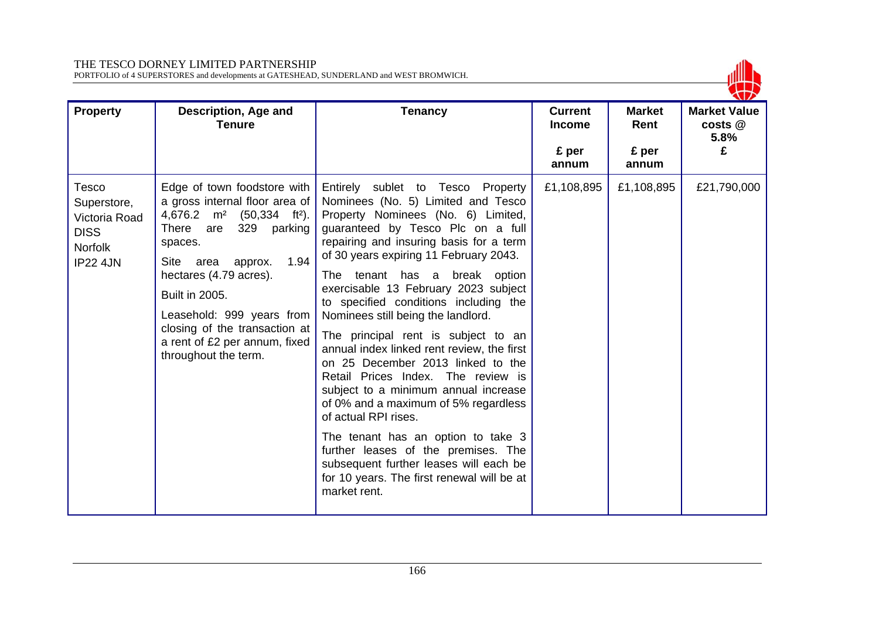

|                                                                                           |                                                                                                                                                                                                                                                                                                                                                  |                                                                                                                                                                                                                                                                                                                                                                                                                                                                                                                                                                                                                                                                                                                                                                                                                                                              |                                 |                       | WZ                                     |
|-------------------------------------------------------------------------------------------|--------------------------------------------------------------------------------------------------------------------------------------------------------------------------------------------------------------------------------------------------------------------------------------------------------------------------------------------------|--------------------------------------------------------------------------------------------------------------------------------------------------------------------------------------------------------------------------------------------------------------------------------------------------------------------------------------------------------------------------------------------------------------------------------------------------------------------------------------------------------------------------------------------------------------------------------------------------------------------------------------------------------------------------------------------------------------------------------------------------------------------------------------------------------------------------------------------------------------|---------------------------------|-----------------------|----------------------------------------|
| <b>Property</b>                                                                           | Description, Age and<br><b>Tenure</b>                                                                                                                                                                                                                                                                                                            | <b>Tenancy</b>                                                                                                                                                                                                                                                                                                                                                                                                                                                                                                                                                                                                                                                                                                                                                                                                                                               | <b>Current</b><br><b>Income</b> | <b>Market</b><br>Rent | <b>Market Value</b><br>costs @<br>5.8% |
|                                                                                           |                                                                                                                                                                                                                                                                                                                                                  |                                                                                                                                                                                                                                                                                                                                                                                                                                                                                                                                                                                                                                                                                                                                                                                                                                                              | £ per<br>annum                  | £ per<br>annum        | £                                      |
| Tesco<br>Superstore,<br>Victoria Road<br><b>DISS</b><br><b>Norfolk</b><br><b>IP22 4JN</b> | Edge of town foodstore with<br>a gross internal floor area of<br>4,676.2 $m^2$ (50,334 ft <sup>2</sup> ).<br>There are<br>329 parking<br>spaces.<br>1.94<br>Site area approx.<br>hectares (4.79 acres).<br>Built in 2005.<br>Leasehold: 999 years from<br>closing of the transaction at<br>a rent of £2 per annum, fixed<br>throughout the term. | Entirely sublet to Tesco Property<br>Nominees (No. 5) Limited and Tesco<br>Property Nominees (No. 6) Limited,<br>guaranteed by Tesco Plc on a full<br>repairing and insuring basis for a term<br>of 30 years expiring 11 February 2043.<br>The tenant has a break option<br>exercisable 13 February 2023 subject<br>to specified conditions including the<br>Nominees still being the landlord.<br>The principal rent is subject to an<br>annual index linked rent review, the first<br>on 25 December 2013 linked to the<br>Retail Prices Index. The review is<br>subject to a minimum annual increase<br>of 0% and a maximum of 5% regardless<br>of actual RPI rises.<br>The tenant has an option to take 3<br>further leases of the premises. The<br>subsequent further leases will each be<br>for 10 years. The first renewal will be at<br>market rent. | £1,108,895                      | £1,108,895            | £21,790,000                            |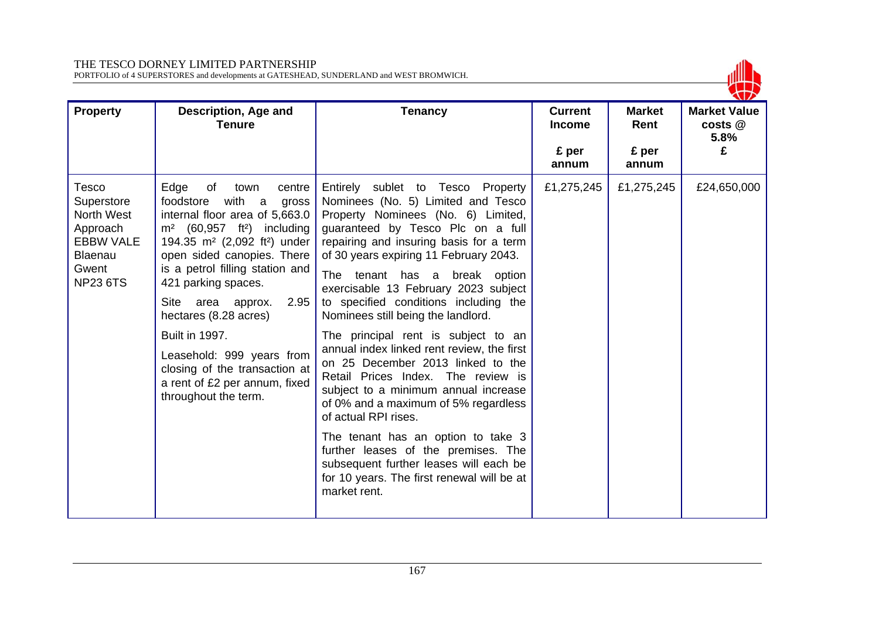

|                                                                                                          |                                                                                                                                                                                                                                                                                                                                                                                                                                                                                                  |                                                                                                                                                                                                                                                                                                                                                                                                                                                                                                                                                                                                                                                                                                                                                                                                                                                              |                                 |                       | WZ                                         |
|----------------------------------------------------------------------------------------------------------|--------------------------------------------------------------------------------------------------------------------------------------------------------------------------------------------------------------------------------------------------------------------------------------------------------------------------------------------------------------------------------------------------------------------------------------------------------------------------------------------------|--------------------------------------------------------------------------------------------------------------------------------------------------------------------------------------------------------------------------------------------------------------------------------------------------------------------------------------------------------------------------------------------------------------------------------------------------------------------------------------------------------------------------------------------------------------------------------------------------------------------------------------------------------------------------------------------------------------------------------------------------------------------------------------------------------------------------------------------------------------|---------------------------------|-----------------------|--------------------------------------------|
| <b>Property</b>                                                                                          | Description, Age and<br><b>Tenure</b>                                                                                                                                                                                                                                                                                                                                                                                                                                                            | <b>Tenancy</b>                                                                                                                                                                                                                                                                                                                                                                                                                                                                                                                                                                                                                                                                                                                                                                                                                                               | <b>Current</b><br><b>Income</b> | <b>Market</b><br>Rent | <b>Market Value</b><br>$costs$ $@$<br>5.8% |
|                                                                                                          |                                                                                                                                                                                                                                                                                                                                                                                                                                                                                                  |                                                                                                                                                                                                                                                                                                                                                                                                                                                                                                                                                                                                                                                                                                                                                                                                                                                              | £ per<br>annum                  | £ per<br>annum        | £                                          |
| Tesco<br>Superstore<br>North West<br>Approach<br><b>EBBW VALE</b><br>Blaenau<br>Gwent<br><b>NP23 6TS</b> | Edge<br>of<br>town<br>centre<br>with a<br>foodstore<br>gross<br>internal floor area of 5,663.0<br>$m2$ (60,957 ft <sup>2</sup> ) including<br>194.35 m <sup>2</sup> (2,092 ft <sup>2</sup> ) under<br>open sided canopies. There<br>is a petrol filling station and<br>421 parking spaces.<br>Site area approx.<br>2.95<br>hectares (8.28 acres)<br><b>Built in 1997.</b><br>Leasehold: 999 years from<br>closing of the transaction at<br>a rent of £2 per annum, fixed<br>throughout the term. | Entirely sublet to Tesco Property<br>Nominees (No. 5) Limited and Tesco<br>Property Nominees (No. 6) Limited,<br>guaranteed by Tesco Plc on a full<br>repairing and insuring basis for a term<br>of 30 years expiring 11 February 2043.<br>The tenant has a break option<br>exercisable 13 February 2023 subject<br>to specified conditions including the<br>Nominees still being the landlord.<br>The principal rent is subject to an<br>annual index linked rent review, the first<br>on 25 December 2013 linked to the<br>Retail Prices Index. The review is<br>subject to a minimum annual increase<br>of 0% and a maximum of 5% regardless<br>of actual RPI rises.<br>The tenant has an option to take 3<br>further leases of the premises. The<br>subsequent further leases will each be<br>for 10 years. The first renewal will be at<br>market rent. | £1,275,245                      | £1,275,245            | £24,650,000                                |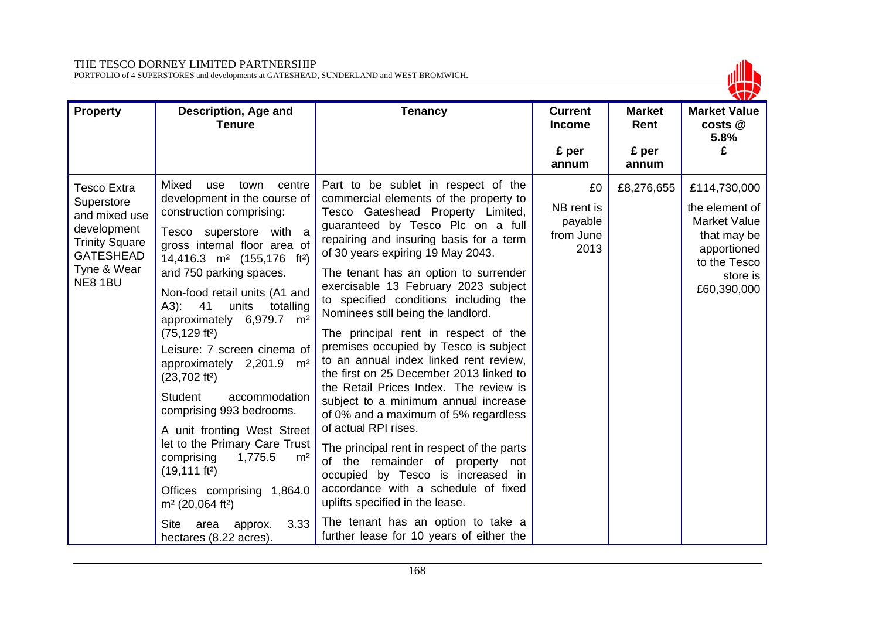

| <b>Property</b>                                                                                                                         | Description, Age and<br><b>Tenure</b>                                                                                                                                                                                                                                                                                                                                                                                                                                                                                                                                                                                                                                                                                                                                                                                                       | <b>Tenancy</b>                                                                                                                                                                                                                                                                                                                                                                                                                                                                                                                                                                                                                                                                                                                                                                                                                                                                                                                                                                                                     | <b>Current</b><br><b>Income</b>                  | <b>Market</b><br>Rent | <b>Market Value</b><br>costs @                                                                                          |
|-----------------------------------------------------------------------------------------------------------------------------------------|---------------------------------------------------------------------------------------------------------------------------------------------------------------------------------------------------------------------------------------------------------------------------------------------------------------------------------------------------------------------------------------------------------------------------------------------------------------------------------------------------------------------------------------------------------------------------------------------------------------------------------------------------------------------------------------------------------------------------------------------------------------------------------------------------------------------------------------------|--------------------------------------------------------------------------------------------------------------------------------------------------------------------------------------------------------------------------------------------------------------------------------------------------------------------------------------------------------------------------------------------------------------------------------------------------------------------------------------------------------------------------------------------------------------------------------------------------------------------------------------------------------------------------------------------------------------------------------------------------------------------------------------------------------------------------------------------------------------------------------------------------------------------------------------------------------------------------------------------------------------------|--------------------------------------------------|-----------------------|-------------------------------------------------------------------------------------------------------------------------|
|                                                                                                                                         |                                                                                                                                                                                                                                                                                                                                                                                                                                                                                                                                                                                                                                                                                                                                                                                                                                             |                                                                                                                                                                                                                                                                                                                                                                                                                                                                                                                                                                                                                                                                                                                                                                                                                                                                                                                                                                                                                    | £ per<br>annum                                   | £ per<br>annum        | 5.8%<br>£                                                                                                               |
| <b>Tesco Extra</b><br>Superstore<br>and mixed use<br>development<br><b>Trinity Square</b><br><b>GATESHEAD</b><br>Tyne & Wear<br>NE8 1BU | Mixed<br>centre<br>use<br>town<br>development in the course of<br>construction comprising:<br>Tesco superstore with a<br>gross internal floor area of<br>14,416.3 m <sup>2</sup> (155,176 ft <sup>2</sup> )<br>and 750 parking spaces.<br>Non-food retail units (A1 and<br>(A3): 41<br>units<br>totalling<br>approximately 6,979.7 m <sup>2</sup><br>$(75, 129$ ft <sup>2</sup> )<br>Leisure: 7 screen cinema of<br>approximately 2,201.9 m <sup>2</sup><br>(23,702 ft <sup>2</sup> )<br><b>Student</b><br>accommodation<br>comprising 993 bedrooms.<br>A unit fronting West Street<br>let to the Primary Care Trust<br>1,775.5<br>comprising<br>m <sup>2</sup><br>(19, 111 ft <sup>2</sup> )<br>Offices comprising 1,864.0<br>m <sup>2</sup> (20,064 ft <sup>2</sup> )<br>3.33<br><b>Site</b><br>area<br>approx.<br>hectares (8.22 acres). | Part to be sublet in respect of the<br>commercial elements of the property to<br>Tesco Gateshead Property Limited,<br>guaranteed by Tesco Plc on a full<br>repairing and insuring basis for a term<br>of 30 years expiring 19 May 2043.<br>The tenant has an option to surrender<br>exercisable 13 February 2023 subject<br>to specified conditions including the<br>Nominees still being the landlord.<br>The principal rent in respect of the<br>premises occupied by Tesco is subject<br>to an annual index linked rent review,<br>the first on 25 December 2013 linked to<br>the Retail Prices Index. The review is<br>subject to a minimum annual increase<br>of 0% and a maximum of 5% regardless<br>of actual RPI rises.<br>The principal rent in respect of the parts<br>of the remainder of property not<br>occupied by Tesco is increased in<br>accordance with a schedule of fixed<br>uplifts specified in the lease.<br>The tenant has an option to take a<br>further lease for 10 years of either the | £0<br>NB rent is<br>payable<br>from June<br>2013 | £8,276,655            | £114,730,000<br>the element of<br>Market Value<br>that may be<br>apportioned<br>to the Tesco<br>store is<br>£60,390,000 |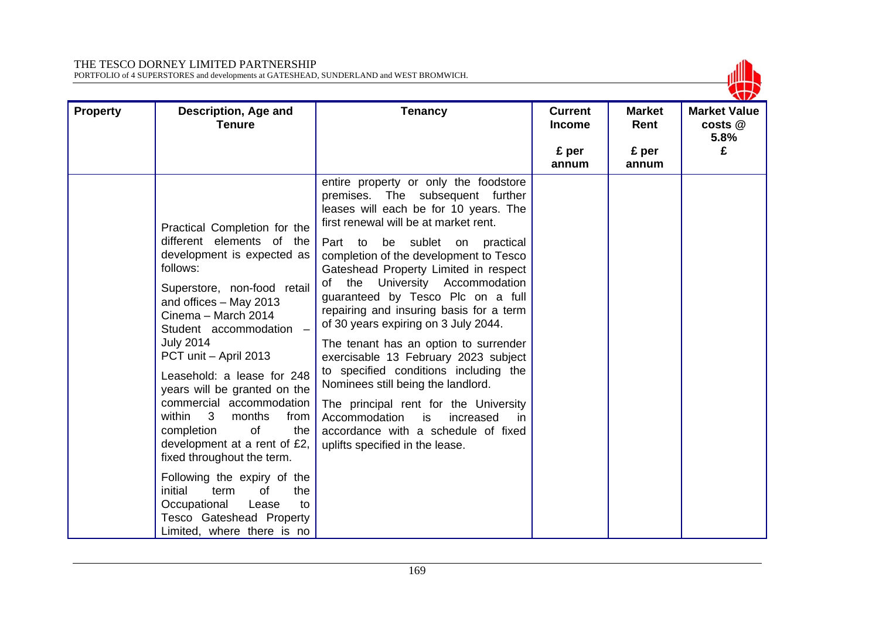

|                 |                                                                                                                                                                                                                                                                                                                                                                                                                                                                                                                                                                                                                                         |                                                                                                                                                                                                                                                                                                                                                                                                                                                                                                                                                                                                                                                                                                                                                                             |                                 |                       | wz                                     |
|-----------------|-----------------------------------------------------------------------------------------------------------------------------------------------------------------------------------------------------------------------------------------------------------------------------------------------------------------------------------------------------------------------------------------------------------------------------------------------------------------------------------------------------------------------------------------------------------------------------------------------------------------------------------------|-----------------------------------------------------------------------------------------------------------------------------------------------------------------------------------------------------------------------------------------------------------------------------------------------------------------------------------------------------------------------------------------------------------------------------------------------------------------------------------------------------------------------------------------------------------------------------------------------------------------------------------------------------------------------------------------------------------------------------------------------------------------------------|---------------------------------|-----------------------|----------------------------------------|
| <b>Property</b> | Description, Age and<br><b>Tenure</b>                                                                                                                                                                                                                                                                                                                                                                                                                                                                                                                                                                                                   | <b>Tenancy</b>                                                                                                                                                                                                                                                                                                                                                                                                                                                                                                                                                                                                                                                                                                                                                              | <b>Current</b><br><b>Income</b> | <b>Market</b><br>Rent | <b>Market Value</b><br>costs @<br>5.8% |
|                 |                                                                                                                                                                                                                                                                                                                                                                                                                                                                                                                                                                                                                                         |                                                                                                                                                                                                                                                                                                                                                                                                                                                                                                                                                                                                                                                                                                                                                                             | £ per<br>annum                  | £ per<br>annum        | £                                      |
|                 | Practical Completion for the<br>different elements of the<br>development is expected as<br>follows:<br>Superstore, non-food retail<br>and offices - May 2013<br>Cinema - March 2014<br>Student accommodation -<br><b>July 2014</b><br>PCT unit - April 2013<br>Leasehold: a lease for 248<br>years will be granted on the<br>commercial accommodation<br>within<br>3<br>months<br>from<br>completion<br>of<br>the<br>development at a rent of £2,<br>fixed throughout the term.<br>Following the expiry of the<br>initial<br>term<br>the<br>0f<br>Occupational<br>Lease<br>to<br>Tesco Gateshead Property<br>Limited, where there is no | entire property or only the foodstore<br>premises. The subsequent further<br>leases will each be for 10 years. The<br>first renewal will be at market rent.<br>be sublet on practical<br>Part to<br>completion of the development to Tesco<br>Gateshead Property Limited in respect<br>of the University Accommodation<br>guaranteed by Tesco Plc on a full<br>repairing and insuring basis for a term<br>of 30 years expiring on 3 July 2044.<br>The tenant has an option to surrender<br>exercisable 13 February 2023 subject<br>to specified conditions including the<br>Nominees still being the landlord.<br>The principal rent for the University<br>Accommodation<br>increased<br>is<br>in<br>accordance with a schedule of fixed<br>uplifts specified in the lease. |                                 |                       |                                        |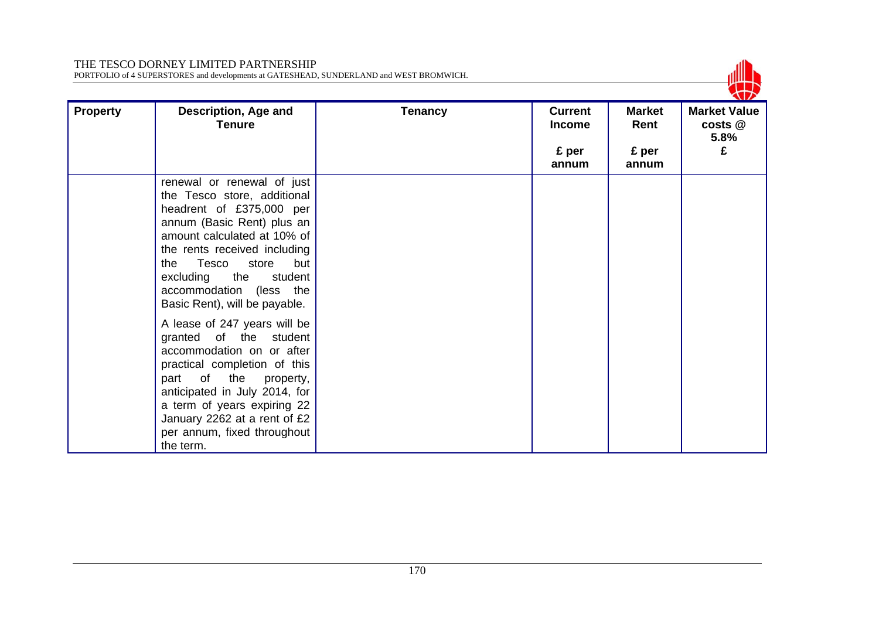

|                 |                                                                                                                                                                                                                                                                                                                                                                                                                                                                                                                                                                                                  |                |                                 |                       | $\blacksquare$                         |
|-----------------|--------------------------------------------------------------------------------------------------------------------------------------------------------------------------------------------------------------------------------------------------------------------------------------------------------------------------------------------------------------------------------------------------------------------------------------------------------------------------------------------------------------------------------------------------------------------------------------------------|----------------|---------------------------------|-----------------------|----------------------------------------|
| <b>Property</b> | Description, Age and<br><b>Tenure</b>                                                                                                                                                                                                                                                                                                                                                                                                                                                                                                                                                            | <b>Tenancy</b> | <b>Current</b><br><b>Income</b> | <b>Market</b><br>Rent | <b>Market Value</b><br>costs @<br>5.8% |
|                 |                                                                                                                                                                                                                                                                                                                                                                                                                                                                                                                                                                                                  |                | £ per<br>annum                  | £ per<br>annum        | £                                      |
|                 | renewal or renewal of just<br>the Tesco store, additional<br>headrent of £375,000 per<br>annum (Basic Rent) plus an<br>amount calculated at 10% of<br>the rents received including<br>but<br>the Tesco store<br>excluding the<br>student<br>accommodation (less the<br>Basic Rent), will be payable.<br>A lease of 247 years will be<br>granted of the student<br>accommodation on or after<br>practical completion of this<br>part of the property,<br>anticipated in July 2014, for<br>a term of years expiring 22<br>January 2262 at a rent of £2<br>per annum, fixed throughout<br>the term. |                |                                 |                       |                                        |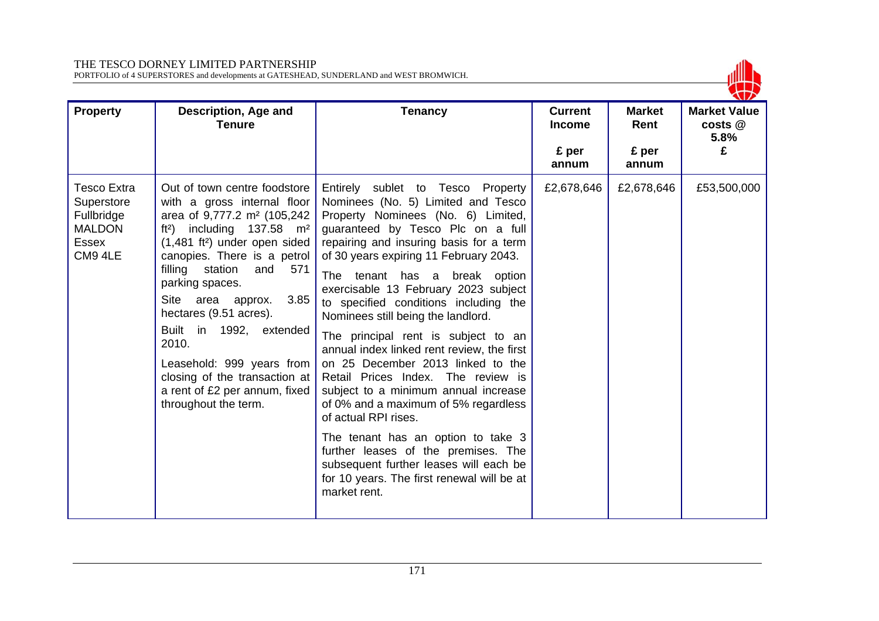

| <b>Property</b>                                                                                                | Description, Age and<br><b>Tenure</b>                                                                                                                                                                                                                                                                                                                                                                                                                                                         | <b>Tenancy</b>                                                                                                                                                                                                                                                                                                                                                                                                                                                                                                                                                                                                                                                                                                                                                                                                                                               | <b>Current</b><br><b>Income</b> | <b>Market</b><br>Rent | <b>Market Value</b><br>costs @ |
|----------------------------------------------------------------------------------------------------------------|-----------------------------------------------------------------------------------------------------------------------------------------------------------------------------------------------------------------------------------------------------------------------------------------------------------------------------------------------------------------------------------------------------------------------------------------------------------------------------------------------|--------------------------------------------------------------------------------------------------------------------------------------------------------------------------------------------------------------------------------------------------------------------------------------------------------------------------------------------------------------------------------------------------------------------------------------------------------------------------------------------------------------------------------------------------------------------------------------------------------------------------------------------------------------------------------------------------------------------------------------------------------------------------------------------------------------------------------------------------------------|---------------------------------|-----------------------|--------------------------------|
|                                                                                                                |                                                                                                                                                                                                                                                                                                                                                                                                                                                                                               |                                                                                                                                                                                                                                                                                                                                                                                                                                                                                                                                                                                                                                                                                                                                                                                                                                                              |                                 |                       | 5.8%                           |
|                                                                                                                |                                                                                                                                                                                                                                                                                                                                                                                                                                                                                               |                                                                                                                                                                                                                                                                                                                                                                                                                                                                                                                                                                                                                                                                                                                                                                                                                                                              | £ per<br>annum                  | £ per<br>annum        | £                              |
| <b>Tesco Extra</b><br>Superstore<br>Fullbridge<br><b>MALDON</b><br><b>Essex</b><br>CM9 4LE<br>filling<br>2010. | Out of town centre foodstore<br>with a gross internal floor<br>area of 9,777.2 m <sup>2</sup> (105,242)<br>ft <sup>2</sup> ) including $137.58$ m <sup>2</sup><br>$(1,481 \text{ ft}^2)$ under open sided<br>canopies. There is a petrol<br>station<br>571<br>and<br>parking spaces.<br>3.85<br>Site area approx.<br>hectares (9.51 acres).<br>Built in 1992, extended<br>Leasehold: 999 years from<br>closing of the transaction at<br>a rent of £2 per annum, fixed<br>throughout the term. | Entirely sublet to Tesco Property<br>Nominees (No. 5) Limited and Tesco<br>Property Nominees (No. 6) Limited,<br>guaranteed by Tesco Plc on a full<br>repairing and insuring basis for a term<br>of 30 years expiring 11 February 2043.<br>The tenant has a break option<br>exercisable 13 February 2023 subject<br>to specified conditions including the<br>Nominees still being the landlord.<br>The principal rent is subject to an<br>annual index linked rent review, the first<br>on 25 December 2013 linked to the<br>Retail Prices Index. The review is<br>subject to a minimum annual increase<br>of 0% and a maximum of 5% regardless<br>of actual RPI rises.<br>The tenant has an option to take 3<br>further leases of the premises. The<br>subsequent further leases will each be<br>for 10 years. The first renewal will be at<br>market rent. | £2,678,646                      | £2,678,646            | £53,500,000                    |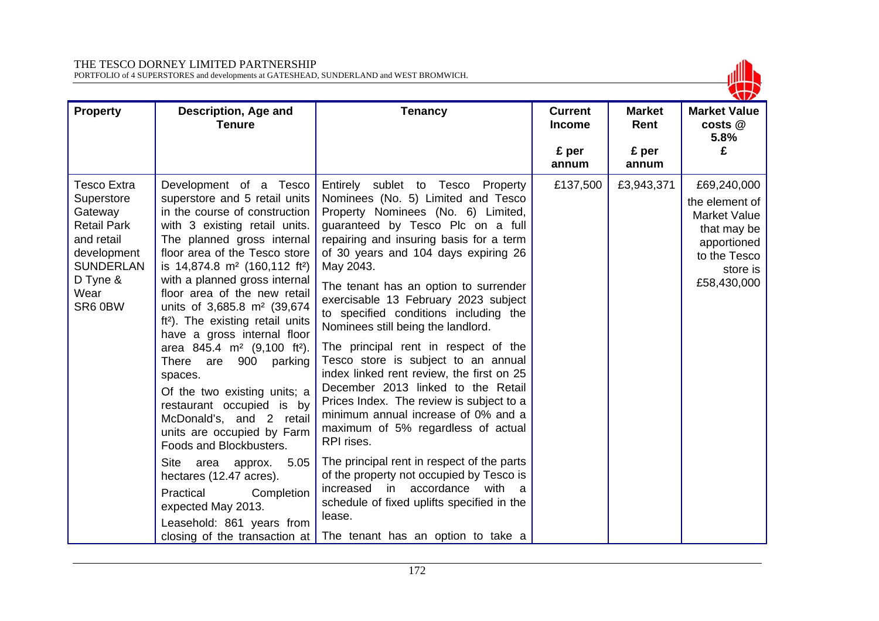

| <b>Property</b>                                                                                                                                   | Description, Age and<br><b>Tenure</b>                                                                                                                                                                                                                                                                                                                                                                                                                                                                                                                                                                                                                                                                                                                                                                                                                                  | <b>Tenancy</b>                                                                                                                                                                                                                                                                                                                                                                                                                                                                                                                                                                                                                                                                                                                                                                                                                                                                                                                                           | <b>Current</b><br><b>Income</b> | <b>Market</b><br>Rent | wz<br><b>Market Value</b><br>costs @<br>5.8%                                                                           |
|---------------------------------------------------------------------------------------------------------------------------------------------------|------------------------------------------------------------------------------------------------------------------------------------------------------------------------------------------------------------------------------------------------------------------------------------------------------------------------------------------------------------------------------------------------------------------------------------------------------------------------------------------------------------------------------------------------------------------------------------------------------------------------------------------------------------------------------------------------------------------------------------------------------------------------------------------------------------------------------------------------------------------------|----------------------------------------------------------------------------------------------------------------------------------------------------------------------------------------------------------------------------------------------------------------------------------------------------------------------------------------------------------------------------------------------------------------------------------------------------------------------------------------------------------------------------------------------------------------------------------------------------------------------------------------------------------------------------------------------------------------------------------------------------------------------------------------------------------------------------------------------------------------------------------------------------------------------------------------------------------|---------------------------------|-----------------------|------------------------------------------------------------------------------------------------------------------------|
|                                                                                                                                                   |                                                                                                                                                                                                                                                                                                                                                                                                                                                                                                                                                                                                                                                                                                                                                                                                                                                                        |                                                                                                                                                                                                                                                                                                                                                                                                                                                                                                                                                                                                                                                                                                                                                                                                                                                                                                                                                          | £ per<br>annum                  | £ per<br>annum        | £                                                                                                                      |
| <b>Tesco Extra</b><br>Superstore<br>Gateway<br><b>Retail Park</b><br>and retail<br>development<br><b>SUNDERLAN</b><br>D Tyne &<br>Wear<br>SR6 0BW | Development of a Tesco<br>superstore and 5 retail units<br>in the course of construction<br>with 3 existing retail units.<br>The planned gross internal<br>floor area of the Tesco store<br>is 14,874.8 m <sup>2</sup> (160,112 ft <sup>2</sup> )<br>with a planned gross internal<br>floor area of the new retail<br>units of 3,685.8 m <sup>2</sup> (39,674<br>ft <sup>2</sup> ). The existing retail units<br>have a gross internal floor<br>area 845.4 m <sup>2</sup> (9,100 ft <sup>2</sup> ).<br>There are<br>900<br>parking<br>spaces.<br>Of the two existing units; a<br>restaurant occupied is by<br>McDonald's, and 2 retail<br>units are occupied by Farm<br>Foods and Blockbusters.<br>Site area approx.<br>5.05<br>hectares (12.47 acres).<br>Practical<br>Completion<br>expected May 2013.<br>Leasehold: 861 years from<br>closing of the transaction at | Entirely sublet to Tesco Property<br>Nominees (No. 5) Limited and Tesco<br>Property Nominees (No. 6) Limited,<br>guaranteed by Tesco Plc on a full<br>repairing and insuring basis for a term<br>of 30 years and 104 days expiring 26<br>May 2043.<br>The tenant has an option to surrender<br>exercisable 13 February 2023 subject<br>to specified conditions including the<br>Nominees still being the landlord.<br>The principal rent in respect of the<br>Tesco store is subject to an annual<br>index linked rent review, the first on 25<br>December 2013 linked to the Retail<br>Prices Index. The review is subject to a<br>minimum annual increase of 0% and a<br>maximum of 5% regardless of actual<br>RPI rises.<br>The principal rent in respect of the parts<br>of the property not occupied by Tesco is<br>increased in accordance<br>with a<br>schedule of fixed uplifts specified in the<br>lease.<br>The tenant has an option to take a | £137,500                        | £3,943,371            | £69,240,000<br>the element of<br>Market Value<br>that may be<br>apportioned<br>to the Tesco<br>store is<br>£58,430,000 |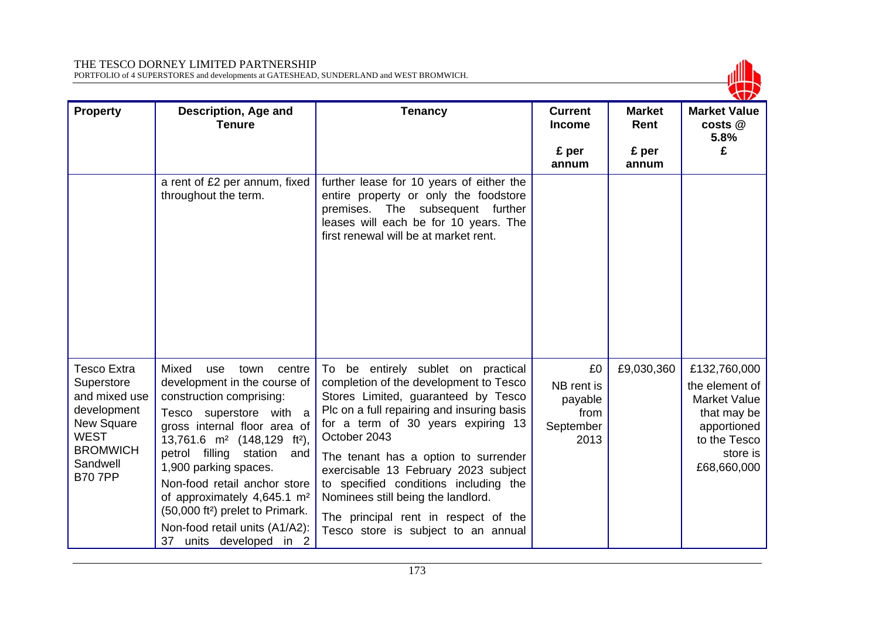

| <b>Property</b>                                                                                                                                | Description, Age and<br><b>Tenure</b>                                                                                                                                                                                                                                                                                                                                                                                                                          | <b>Tenancy</b>                                                                                                                                                                                                                                                                                                                                                                                                                                                        | <b>Current</b><br><b>Income</b>                          | <b>Market</b><br>Rent | <b>Market Value</b><br>costs @<br>5.8%                                                                                         |
|------------------------------------------------------------------------------------------------------------------------------------------------|----------------------------------------------------------------------------------------------------------------------------------------------------------------------------------------------------------------------------------------------------------------------------------------------------------------------------------------------------------------------------------------------------------------------------------------------------------------|-----------------------------------------------------------------------------------------------------------------------------------------------------------------------------------------------------------------------------------------------------------------------------------------------------------------------------------------------------------------------------------------------------------------------------------------------------------------------|----------------------------------------------------------|-----------------------|--------------------------------------------------------------------------------------------------------------------------------|
|                                                                                                                                                |                                                                                                                                                                                                                                                                                                                                                                                                                                                                |                                                                                                                                                                                                                                                                                                                                                                                                                                                                       | £ per<br>annum                                           | £ per<br>annum        | £                                                                                                                              |
|                                                                                                                                                | a rent of £2 per annum, fixed<br>throughout the term.                                                                                                                                                                                                                                                                                                                                                                                                          | further lease for 10 years of either the<br>entire property or only the foodstore<br>premises. The subsequent further<br>leases will each be for 10 years. The<br>first renewal will be at market rent.                                                                                                                                                                                                                                                               |                                                          |                       |                                                                                                                                |
| <b>Tesco Extra</b><br>Superstore<br>and mixed use<br>development<br>New Square<br><b>WEST</b><br><b>BROMWICH</b><br>Sandwell<br><b>B70 7PP</b> | Mixed<br>centre<br>use<br>town<br>development in the course of<br>construction comprising:<br>Tesco superstore with a<br>gross internal floor area of<br>13,761.6 m <sup>2</sup> (148,129 ft <sup>2</sup> ),<br>petrol filling station<br>and<br>1,900 parking spaces.<br>Non-food retail anchor store<br>of approximately 4,645.1 m <sup>2</sup><br>(50,000 ft <sup>2</sup> ) prelet to Primark.<br>Non-food retail units (A1/A2):<br>37 units developed in 2 | To be entirely sublet on practical<br>completion of the development to Tesco<br>Stores Limited, guaranteed by Tesco<br>Plc on a full repairing and insuring basis<br>for a term of 30 years expiring 13<br>October 2043<br>The tenant has a option to surrender<br>exercisable 13 February 2023 subject<br>to specified conditions including the<br>Nominees still being the landlord.<br>The principal rent in respect of the<br>Tesco store is subject to an annual | £0<br>NB rent is<br>payable<br>from<br>September<br>2013 | £9,030,360            | £132,760,000<br>the element of<br><b>Market Value</b><br>that may be<br>apportioned<br>to the Tesco<br>store is<br>£68,660,000 |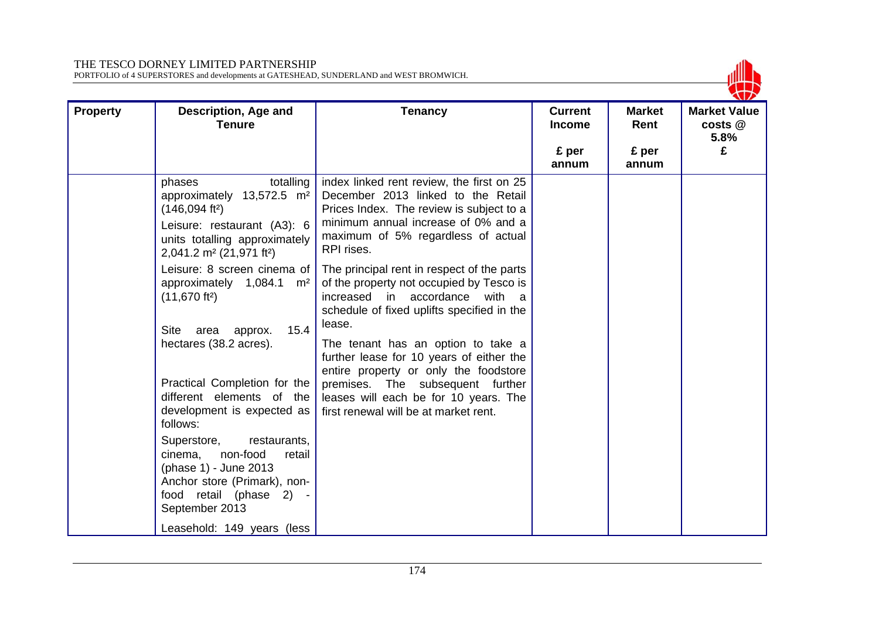

| <b>Property</b> | Description, Age and                                                                                                                                               | <b>Tenancy</b>                                                                                                                                                                                       | <b>Current</b> | <b>Market</b>  | <b>Market Value</b> |
|-----------------|--------------------------------------------------------------------------------------------------------------------------------------------------------------------|------------------------------------------------------------------------------------------------------------------------------------------------------------------------------------------------------|----------------|----------------|---------------------|
|                 | <b>Tenure</b>                                                                                                                                                      |                                                                                                                                                                                                      | <b>Income</b>  | Rent           | costs @<br>5.8%     |
|                 |                                                                                                                                                                    |                                                                                                                                                                                                      | £ per<br>annum | £ per<br>annum | £                   |
|                 | totalling<br>phases<br>approximately 13,572.5 m <sup>2</sup><br>(146,094 ft <sup>2</sup> )<br>Leisure: restaurant (A3): 6                                          | index linked rent review, the first on 25<br>December 2013 linked to the Retail<br>Prices Index. The review is subject to a<br>minimum annual increase of 0% and a                                   |                |                |                     |
|                 | units totalling approximately<br>2,041.2 m <sup>2</sup> (21,971 ft <sup>2</sup> )                                                                                  | maximum of 5% regardless of actual<br>RPI rises.                                                                                                                                                     |                |                |                     |
|                 | approximately 1,084.1 m <sup>2</sup><br>(11,670 ft <sup>2</sup> )                                                                                                  | Leisure: 8 screen cinema of   The principal rent in respect of the parts<br>of the property not occupied by Tesco is<br>increased in accordance with a<br>schedule of fixed uplifts specified in the |                |                |                     |
|                 | 15.4<br>Site area approx.<br>hectares (38.2 acres).                                                                                                                | lease.<br>The tenant has an option to take a<br>further lease for 10 years of either the<br>entire property or only the foodstore                                                                    |                |                |                     |
|                 | Practical Completion for the<br>different elements of the<br>development is expected as<br>follows:                                                                | premises. The subsequent further<br>leases will each be for 10 years. The<br>first renewal will be at market rent.                                                                                   |                |                |                     |
|                 | Superstore,<br>restaurants,<br>non-food<br>cinema,<br>retail<br>(phase 1) - June 2013<br>Anchor store (Primark), non-<br>food retail (phase 2) -<br>September 2013 |                                                                                                                                                                                                      |                |                |                     |
|                 | Leasehold: 149 years (less                                                                                                                                         |                                                                                                                                                                                                      |                |                |                     |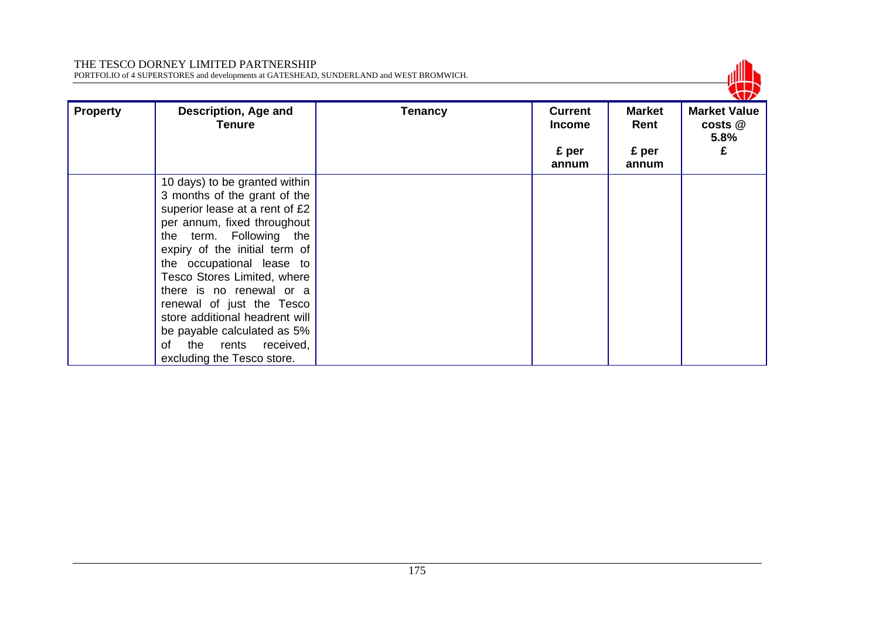

| <b>Property</b> | Description, Age and<br><b>Tenure</b>                                                                                                                                                                                                                                                                                                                                                                                                       | <b>Tenancy</b> | <b>Current</b><br><b>Income</b> | <b>Market</b><br>Rent | $\sim$<br><b>Market Value</b><br>costs @<br>5.8% |
|-----------------|---------------------------------------------------------------------------------------------------------------------------------------------------------------------------------------------------------------------------------------------------------------------------------------------------------------------------------------------------------------------------------------------------------------------------------------------|----------------|---------------------------------|-----------------------|--------------------------------------------------|
|                 |                                                                                                                                                                                                                                                                                                                                                                                                                                             |                | £ per<br>annum                  | £ per<br>annum        | £                                                |
|                 | 10 days) to be granted within<br>3 months of the grant of the<br>superior lease at a rent of £2<br>per annum, fixed throughout<br>the term. Following the<br>expiry of the initial term of<br>the occupational lease to<br>Tesco Stores Limited, where<br>there is no renewal or a<br>renewal of just the Tesco<br>store additional headrent will<br>be payable calculated as 5%<br>the rents received,<br>οf<br>excluding the Tesco store. |                |                                 |                       |                                                  |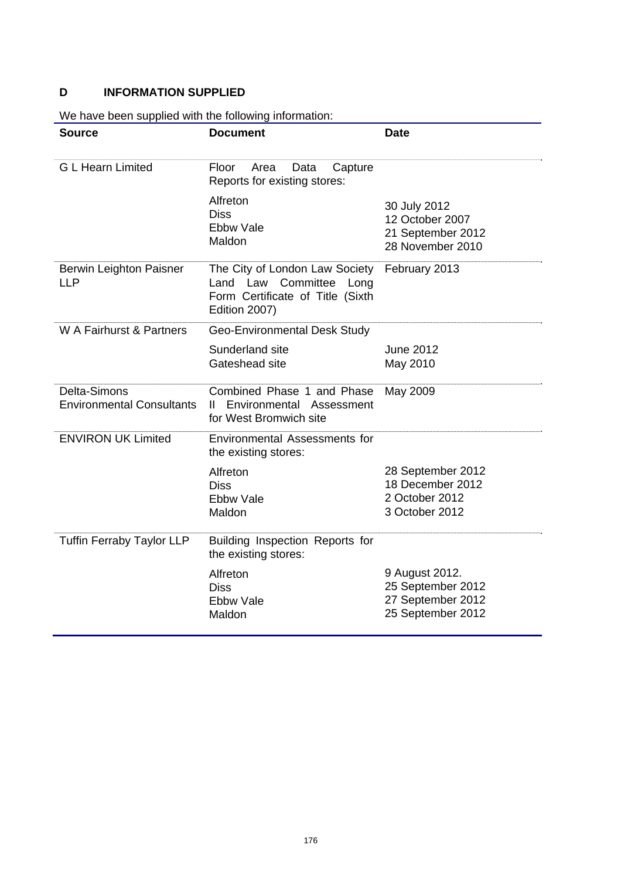# **D INFORMATION SUPPLIED**

# We have been supplied with the following information:

| <b>Source</b>                                    | <b>Document</b>                                                                                                | Date                                                                          |
|--------------------------------------------------|----------------------------------------------------------------------------------------------------------------|-------------------------------------------------------------------------------|
| <b>G L Hearn Limited</b>                         | Floor<br>Area<br>Data<br>Capture<br>Reports for existing stores:                                               |                                                                               |
|                                                  | Alfreton<br><b>Diss</b><br><b>Ebbw Vale</b><br>Maldon                                                          | 30 July 2012<br>12 October 2007<br>21 September 2012<br>28 November 2010      |
| <b>Berwin Leighton Paisner</b><br><b>LLP</b>     | The City of London Law Society<br>Land Law Committee Long<br>Form Certificate of Title (Sixth<br>Edition 2007) | February 2013                                                                 |
| W A Fairhurst & Partners                         | Geo-Environmental Desk Study                                                                                   |                                                                               |
|                                                  | Sunderland site<br>Gateshead site                                                                              | <b>June 2012</b><br>May 2010                                                  |
| Delta-Simons<br><b>Environmental Consultants</b> | Combined Phase 1 and Phase<br>Environmental Assessment<br>Ш.<br>for West Bromwich site                         | May 2009                                                                      |
| <b>ENVIRON UK Limited</b>                        | <b>Environmental Assessments for</b><br>the existing stores:                                                   |                                                                               |
|                                                  | Alfreton<br><b>Diss</b><br>Ebbw Vale<br>Maldon                                                                 | 28 September 2012<br>18 December 2012<br>2 October 2012<br>3 October 2012     |
| <b>Tuffin Ferraby Taylor LLP</b>                 | Building Inspection Reports for<br>the existing stores:                                                        |                                                                               |
|                                                  | Alfreton<br>Diss<br><b>Ebbw Vale</b><br>Maldon                                                                 | 9 August 2012.<br>25 September 2012<br>27 September 2012<br>25 September 2012 |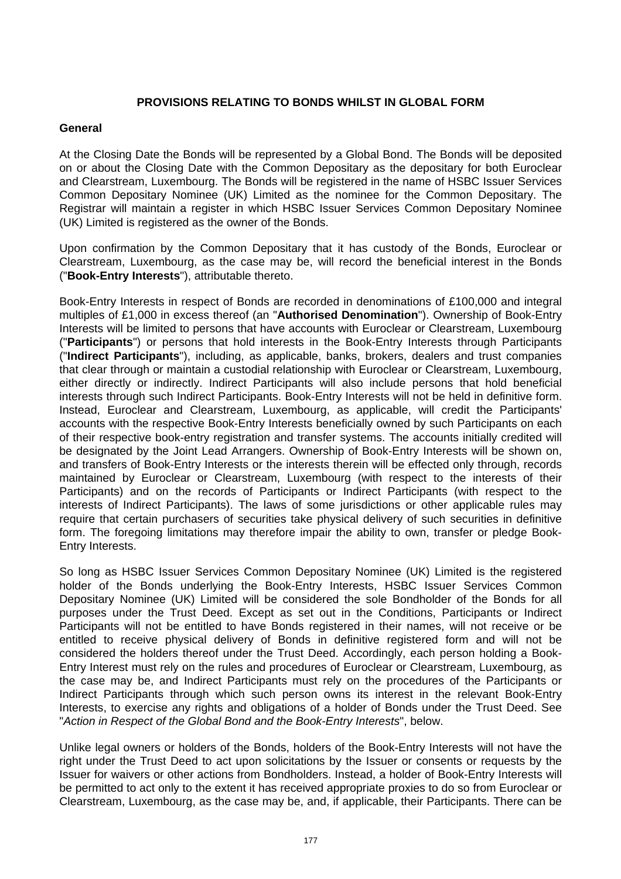# **PROVISIONS RELATING TO BONDS WHILST IN GLOBAL FORM**

# **General**

At the Closing Date the Bonds will be represented by a Global Bond. The Bonds will be deposited on or about the Closing Date with the Common Depositary as the depositary for both Euroclear and Clearstream, Luxembourg. The Bonds will be registered in the name of HSBC Issuer Services Common Depositary Nominee (UK) Limited as the nominee for the Common Depositary. The Registrar will maintain a register in which HSBC Issuer Services Common Depositary Nominee (UK) Limited is registered as the owner of the Bonds.

Upon confirmation by the Common Depositary that it has custody of the Bonds, Euroclear or Clearstream, Luxembourg, as the case may be, will record the beneficial interest in the Bonds ("**Book-Entry Interests**"), attributable thereto.

Book-Entry Interests in respect of Bonds are recorded in denominations of £100,000 and integral multiples of £1,000 in excess thereof (an "**Authorised Denomination**"). Ownership of Book-Entry Interests will be limited to persons that have accounts with Euroclear or Clearstream, Luxembourg ("**Participants**") or persons that hold interests in the Book-Entry Interests through Participants ("**Indirect Participants**"), including, as applicable, banks, brokers, dealers and trust companies that clear through or maintain a custodial relationship with Euroclear or Clearstream, Luxembourg, either directly or indirectly. Indirect Participants will also include persons that hold beneficial interests through such Indirect Participants. Book-Entry Interests will not be held in definitive form. Instead, Euroclear and Clearstream, Luxembourg, as applicable, will credit the Participants' accounts with the respective Book-Entry Interests beneficially owned by such Participants on each of their respective book-entry registration and transfer systems. The accounts initially credited will be designated by the Joint Lead Arrangers. Ownership of Book-Entry Interests will be shown on, and transfers of Book-Entry Interests or the interests therein will be effected only through, records maintained by Euroclear or Clearstream, Luxembourg (with respect to the interests of their Participants) and on the records of Participants or Indirect Participants (with respect to the interests of Indirect Participants). The laws of some jurisdictions or other applicable rules may require that certain purchasers of securities take physical delivery of such securities in definitive form. The foregoing limitations may therefore impair the ability to own, transfer or pledge Book-Entry Interests.

So long as HSBC Issuer Services Common Depositary Nominee (UK) Limited is the registered holder of the Bonds underlying the Book-Entry Interests, HSBC Issuer Services Common Depositary Nominee (UK) Limited will be considered the sole Bondholder of the Bonds for all purposes under the Trust Deed. Except as set out in the Conditions, Participants or Indirect Participants will not be entitled to have Bonds registered in their names, will not receive or be entitled to receive physical delivery of Bonds in definitive registered form and will not be considered the holders thereof under the Trust Deed. Accordingly, each person holding a Book-Entry Interest must rely on the rules and procedures of Euroclear or Clearstream, Luxembourg, as the case may be, and Indirect Participants must rely on the procedures of the Participants or Indirect Participants through which such person owns its interest in the relevant Book-Entry Interests, to exercise any rights and obligations of a holder of Bonds under the Trust Deed. See "*Action in Respect of the Global Bond and the Book-Entry Interests*", below.

Unlike legal owners or holders of the Bonds, holders of the Book-Entry Interests will not have the right under the Trust Deed to act upon solicitations by the Issuer or consents or requests by the Issuer for waivers or other actions from Bondholders. Instead, a holder of Book-Entry Interests will be permitted to act only to the extent it has received appropriate proxies to do so from Euroclear or Clearstream, Luxembourg, as the case may be, and, if applicable, their Participants. There can be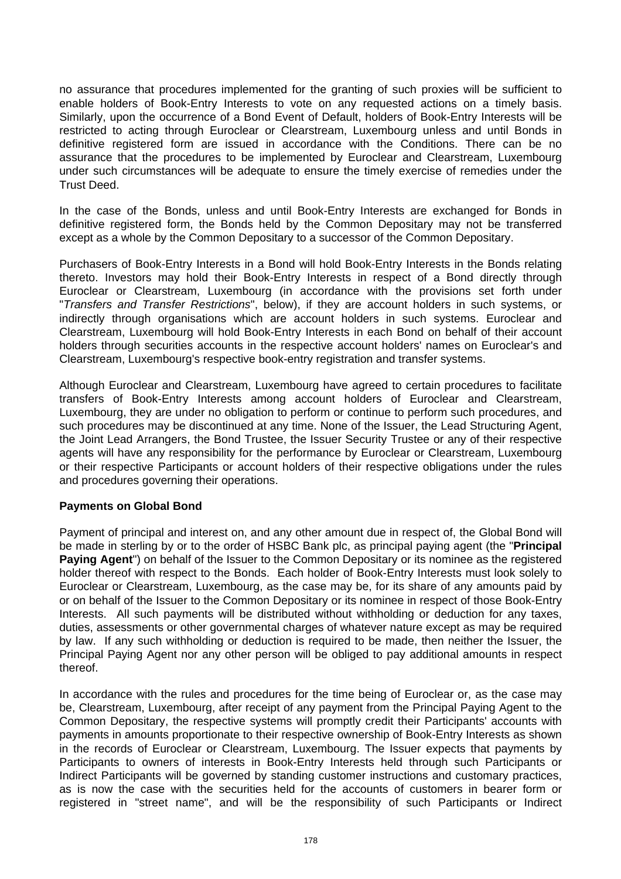no assurance that procedures implemented for the granting of such proxies will be sufficient to enable holders of Book-Entry Interests to vote on any requested actions on a timely basis. Similarly, upon the occurrence of a Bond Event of Default, holders of Book-Entry Interests will be restricted to acting through Euroclear or Clearstream, Luxembourg unless and until Bonds in definitive registered form are issued in accordance with the Conditions. There can be no assurance that the procedures to be implemented by Euroclear and Clearstream, Luxembourg under such circumstances will be adequate to ensure the timely exercise of remedies under the Trust Deed.

In the case of the Bonds, unless and until Book-Entry Interests are exchanged for Bonds in definitive registered form, the Bonds held by the Common Depositary may not be transferred except as a whole by the Common Depositary to a successor of the Common Depositary.

Purchasers of Book-Entry Interests in a Bond will hold Book-Entry Interests in the Bonds relating thereto. Investors may hold their Book-Entry Interests in respect of a Bond directly through Euroclear or Clearstream, Luxembourg (in accordance with the provisions set forth under "*Transfers and Transfer Restrictions*", below), if they are account holders in such systems, or indirectly through organisations which are account holders in such systems. Euroclear and Clearstream, Luxembourg will hold Book-Entry Interests in each Bond on behalf of their account holders through securities accounts in the respective account holders' names on Euroclear's and Clearstream, Luxembourg's respective book-entry registration and transfer systems.

Although Euroclear and Clearstream, Luxembourg have agreed to certain procedures to facilitate transfers of Book-Entry Interests among account holders of Euroclear and Clearstream, Luxembourg, they are under no obligation to perform or continue to perform such procedures, and such procedures may be discontinued at any time. None of the Issuer, the Lead Structuring Agent, the Joint Lead Arrangers, the Bond Trustee, the Issuer Security Trustee or any of their respective agents will have any responsibility for the performance by Euroclear or Clearstream, Luxembourg or their respective Participants or account holders of their respective obligations under the rules and procedures governing their operations.

# **Payments on Global Bond**

Payment of principal and interest on, and any other amount due in respect of, the Global Bond will be made in sterling by or to the order of HSBC Bank plc, as principal paying agent (the "**Principal Paying Agent**") on behalf of the Issuer to the Common Depositary or its nominee as the registered holder thereof with respect to the Bonds. Each holder of Book-Entry Interests must look solely to Euroclear or Clearstream, Luxembourg, as the case may be, for its share of any amounts paid by or on behalf of the Issuer to the Common Depositary or its nominee in respect of those Book-Entry Interests. All such payments will be distributed without withholding or deduction for any taxes, duties, assessments or other governmental charges of whatever nature except as may be required by law. If any such withholding or deduction is required to be made, then neither the Issuer, the Principal Paying Agent nor any other person will be obliged to pay additional amounts in respect thereof.

In accordance with the rules and procedures for the time being of Euroclear or, as the case may be, Clearstream, Luxembourg, after receipt of any payment from the Principal Paying Agent to the Common Depositary, the respective systems will promptly credit their Participants' accounts with payments in amounts proportionate to their respective ownership of Book-Entry Interests as shown in the records of Euroclear or Clearstream, Luxembourg. The Issuer expects that payments by Participants to owners of interests in Book-Entry Interests held through such Participants or Indirect Participants will be governed by standing customer instructions and customary practices, as is now the case with the securities held for the accounts of customers in bearer form or registered in "street name", and will be the responsibility of such Participants or Indirect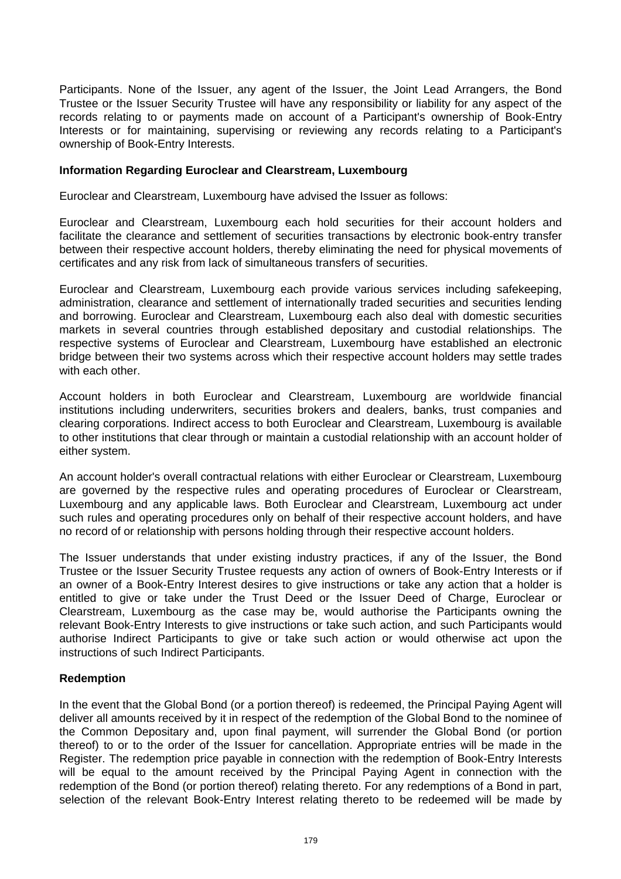Participants. None of the Issuer, any agent of the Issuer, the Joint Lead Arrangers, the Bond Trustee or the Issuer Security Trustee will have any responsibility or liability for any aspect of the records relating to or payments made on account of a Participant's ownership of Book-Entry Interests or for maintaining, supervising or reviewing any records relating to a Participant's ownership of Book-Entry Interests.

### **Information Regarding Euroclear and Clearstream, Luxembourg**

Euroclear and Clearstream, Luxembourg have advised the Issuer as follows:

Euroclear and Clearstream, Luxembourg each hold securities for their account holders and facilitate the clearance and settlement of securities transactions by electronic book-entry transfer between their respective account holders, thereby eliminating the need for physical movements of certificates and any risk from lack of simultaneous transfers of securities.

Euroclear and Clearstream, Luxembourg each provide various services including safekeeping, administration, clearance and settlement of internationally traded securities and securities lending and borrowing. Euroclear and Clearstream, Luxembourg each also deal with domestic securities markets in several countries through established depositary and custodial relationships. The respective systems of Euroclear and Clearstream, Luxembourg have established an electronic bridge between their two systems across which their respective account holders may settle trades with each other.

Account holders in both Euroclear and Clearstream, Luxembourg are worldwide financial institutions including underwriters, securities brokers and dealers, banks, trust companies and clearing corporations. Indirect access to both Euroclear and Clearstream, Luxembourg is available to other institutions that clear through or maintain a custodial relationship with an account holder of either system.

An account holder's overall contractual relations with either Euroclear or Clearstream, Luxembourg are governed by the respective rules and operating procedures of Euroclear or Clearstream, Luxembourg and any applicable laws. Both Euroclear and Clearstream, Luxembourg act under such rules and operating procedures only on behalf of their respective account holders, and have no record of or relationship with persons holding through their respective account holders.

The Issuer understands that under existing industry practices, if any of the Issuer, the Bond Trustee or the Issuer Security Trustee requests any action of owners of Book-Entry Interests or if an owner of a Book-Entry Interest desires to give instructions or take any action that a holder is entitled to give or take under the Trust Deed or the Issuer Deed of Charge, Euroclear or Clearstream, Luxembourg as the case may be, would authorise the Participants owning the relevant Book-Entry Interests to give instructions or take such action, and such Participants would authorise Indirect Participants to give or take such action or would otherwise act upon the instructions of such Indirect Participants.

# **Redemption**

In the event that the Global Bond (or a portion thereof) is redeemed, the Principal Paying Agent will deliver all amounts received by it in respect of the redemption of the Global Bond to the nominee of the Common Depositary and, upon final payment, will surrender the Global Bond (or portion thereof) to or to the order of the Issuer for cancellation. Appropriate entries will be made in the Register. The redemption price payable in connection with the redemption of Book-Entry Interests will be equal to the amount received by the Principal Paying Agent in connection with the redemption of the Bond (or portion thereof) relating thereto. For any redemptions of a Bond in part, selection of the relevant Book-Entry Interest relating thereto to be redeemed will be made by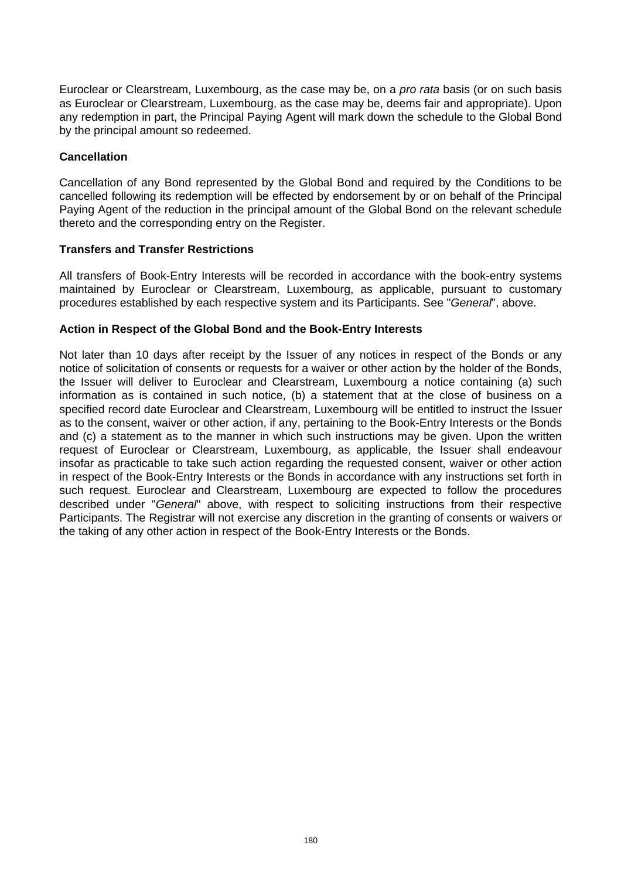Euroclear or Clearstream, Luxembourg, as the case may be, on a *pro rata* basis (or on such basis as Euroclear or Clearstream, Luxembourg, as the case may be, deems fair and appropriate). Upon any redemption in part, the Principal Paying Agent will mark down the schedule to the Global Bond by the principal amount so redeemed.

### **Cancellation**

Cancellation of any Bond represented by the Global Bond and required by the Conditions to be cancelled following its redemption will be effected by endorsement by or on behalf of the Principal Paying Agent of the reduction in the principal amount of the Global Bond on the relevant schedule thereto and the corresponding entry on the Register.

### **Transfers and Transfer Restrictions**

All transfers of Book-Entry Interests will be recorded in accordance with the book-entry systems maintained by Euroclear or Clearstream, Luxembourg, as applicable, pursuant to customary procedures established by each respective system and its Participants. See "*General*", above.

### **Action in Respect of the Global Bond and the Book-Entry Interests**

Not later than 10 days after receipt by the Issuer of any notices in respect of the Bonds or any notice of solicitation of consents or requests for a waiver or other action by the holder of the Bonds, the Issuer will deliver to Euroclear and Clearstream, Luxembourg a notice containing (a) such information as is contained in such notice, (b) a statement that at the close of business on a specified record date Euroclear and Clearstream, Luxembourg will be entitled to instruct the Issuer as to the consent, waiver or other action, if any, pertaining to the Book-Entry Interests or the Bonds and (c) a statement as to the manner in which such instructions may be given. Upon the written request of Euroclear or Clearstream, Luxembourg, as applicable, the Issuer shall endeavour insofar as practicable to take such action regarding the requested consent, waiver or other action in respect of the Book-Entry Interests or the Bonds in accordance with any instructions set forth in such request. Euroclear and Clearstream, Luxembourg are expected to follow the procedures described under "*General*" above, with respect to soliciting instructions from their respective Participants. The Registrar will not exercise any discretion in the granting of consents or waivers or the taking of any other action in respect of the Book-Entry Interests or the Bonds.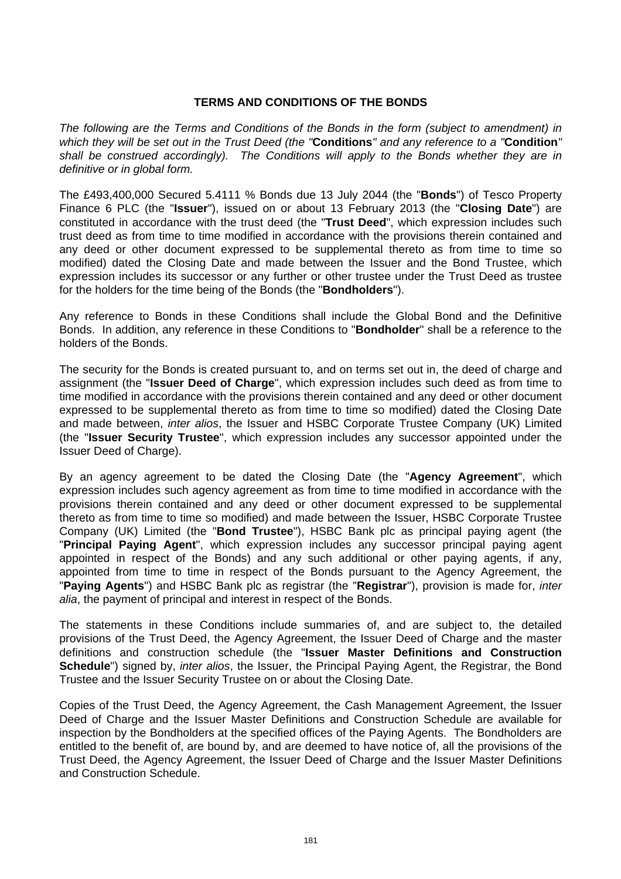### **TERMS AND CONDITIONS OF THE BONDS**

*The following are the Terms and Conditions of the Bonds in the form (subject to amendment) in which they will be set out in the Trust Deed (the "***Conditions***" and any reference to a "***Condition***" shall be construed accordingly). The Conditions will apply to the Bonds whether they are in definitive or in global form.*

The £493,400,000 Secured 5.4111 % Bonds due 13 July 2044 (the "**Bonds**") of Tesco Property Finance 6 PLC (the "**Issuer**"), issued on or about 13 February 2013 (the "**Closing Date**") are constituted in accordance with the trust deed (the "**Trust Deed**", which expression includes such trust deed as from time to time modified in accordance with the provisions therein contained and any deed or other document expressed to be supplemental thereto as from time to time so modified) dated the Closing Date and made between the Issuer and the Bond Trustee, which expression includes its successor or any further or other trustee under the Trust Deed as trustee for the holders for the time being of the Bonds (the "**Bondholders**").

Any reference to Bonds in these Conditions shall include the Global Bond and the Definitive Bonds. In addition, any reference in these Conditions to "**Bondholder**" shall be a reference to the holders of the Bonds.

The security for the Bonds is created pursuant to, and on terms set out in, the deed of charge and assignment (the "**Issuer Deed of Charge**", which expression includes such deed as from time to time modified in accordance with the provisions therein contained and any deed or other document expressed to be supplemental thereto as from time to time so modified) dated the Closing Date and made between, *inter alios*, the Issuer and HSBC Corporate Trustee Company (UK) Limited (the "**Issuer Security Trustee**", which expression includes any successor appointed under the Issuer Deed of Charge).

By an agency agreement to be dated the Closing Date (the "**Agency Agreement**", which expression includes such agency agreement as from time to time modified in accordance with the provisions therein contained and any deed or other document expressed to be supplemental thereto as from time to time so modified) and made between the Issuer, HSBC Corporate Trustee Company (UK) Limited (the "**Bond Trustee**"), HSBC Bank plc as principal paying agent (the "**Principal Paying Agent**", which expression includes any successor principal paying agent appointed in respect of the Bonds) and any such additional or other paying agents, if any, appointed from time to time in respect of the Bonds pursuant to the Agency Agreement, the "**Paying Agents**") and HSBC Bank plc as registrar (the "**Registrar**"), provision is made for, *inter alia*, the payment of principal and interest in respect of the Bonds.

The statements in these Conditions include summaries of, and are subject to, the detailed provisions of the Trust Deed, the Agency Agreement, the Issuer Deed of Charge and the master definitions and construction schedule (the "**Issuer Master Definitions and Construction Schedule**") signed by, *inter alios*, the Issuer, the Principal Paying Agent, the Registrar, the Bond Trustee and the Issuer Security Trustee on or about the Closing Date.

Copies of the Trust Deed, the Agency Agreement, the Cash Management Agreement, the Issuer Deed of Charge and the Issuer Master Definitions and Construction Schedule are available for inspection by the Bondholders at the specified offices of the Paying Agents. The Bondholders are entitled to the benefit of, are bound by, and are deemed to have notice of, all the provisions of the Trust Deed, the Agency Agreement, the Issuer Deed of Charge and the Issuer Master Definitions and Construction Schedule.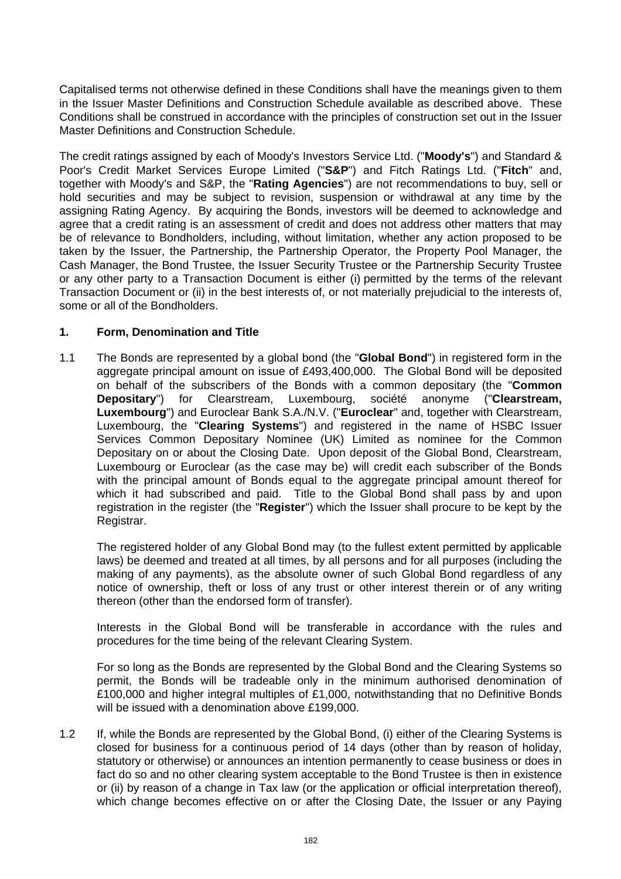Capitalised terms not otherwise defined in these Conditions shall have the meanings given to them in the Issuer Master Definitions and Construction Schedule available as described above. These Conditions shall be construed in accordance with the principles of construction set out in the Issuer Master Definitions and Construction Schedule.

The credit ratings assigned by each of Moody's Investors Service Ltd. ("**Moody's**") and Standard & Poor's Credit Market Services Europe Limited ("**S&P**") and Fitch Ratings Ltd. ("**Fitch**" and, together with Moody's and S&P, the "**Rating Agencies**") are not recommendations to buy, sell or hold securities and may be subject to revision, suspension or withdrawal at any time by the assigning Rating Agency. By acquiring the Bonds, investors will be deemed to acknowledge and agree that a credit rating is an assessment of credit and does not address other matters that may be of relevance to Bondholders, including, without limitation, whether any action proposed to be taken by the Issuer, the Partnership, the Partnership Operator, the Property Pool Manager, the Cash Manager, the Bond Trustee, the Issuer Security Trustee or the Partnership Security Trustee or any other party to a Transaction Document is either (i) permitted by the terms of the relevant Transaction Document or (ii) in the best interests of, or not materially prejudicial to the interests of, some or all of the Bondholders.

### **1. Form, Denomination and Title**

1.1 The Bonds are represented by a global bond (the "**Global Bond**") in registered form in the aggregate principal amount on issue of £493,400,000. The Global Bond will be deposited on behalf of the subscribers of the Bonds with a common depositary (the "**Common Depositary**") for Clearstream, Luxembourg, société anonyme ("**Clearstream, Luxembourg**") and Euroclear Bank S.A./N.V. ("**Euroclear**" and, together with Clearstream, Luxembourg, the "**Clearing Systems**") and registered in the name of HSBC Issuer Services Common Depositary Nominee (UK) Limited as nominee for the Common Depositary on or about the Closing Date. Upon deposit of the Global Bond, Clearstream, Luxembourg or Euroclear (as the case may be) will credit each subscriber of the Bonds with the principal amount of Bonds equal to the aggregate principal amount thereof for which it had subscribed and paid. Title to the Global Bond shall pass by and upon registration in the register (the "**Register**") which the Issuer shall procure to be kept by the Registrar.

The registered holder of any Global Bond may (to the fullest extent permitted by applicable laws) be deemed and treated at all times, by all persons and for all purposes (including the making of any payments), as the absolute owner of such Global Bond regardless of any notice of ownership, theft or loss of any trust or other interest therein or of any writing thereon (other than the endorsed form of transfer).

Interests in the Global Bond will be transferable in accordance with the rules and procedures for the time being of the relevant Clearing System.

For so long as the Bonds are represented by the Global Bond and the Clearing Systems so permit, the Bonds will be tradeable only in the minimum authorised denomination of £100,000 and higher integral multiples of £1,000, notwithstanding that no Definitive Bonds will be issued with a denomination above £199,000.

1.2 If, while the Bonds are represented by the Global Bond, (i) either of the Clearing Systems is closed for business for a continuous period of 14 days (other than by reason of holiday, statutory or otherwise) or announces an intention permanently to cease business or does in fact do so and no other clearing system acceptable to the Bond Trustee is then in existence or (ii) by reason of a change in Tax law (or the application or official interpretation thereof), which change becomes effective on or after the Closing Date, the Issuer or any Paying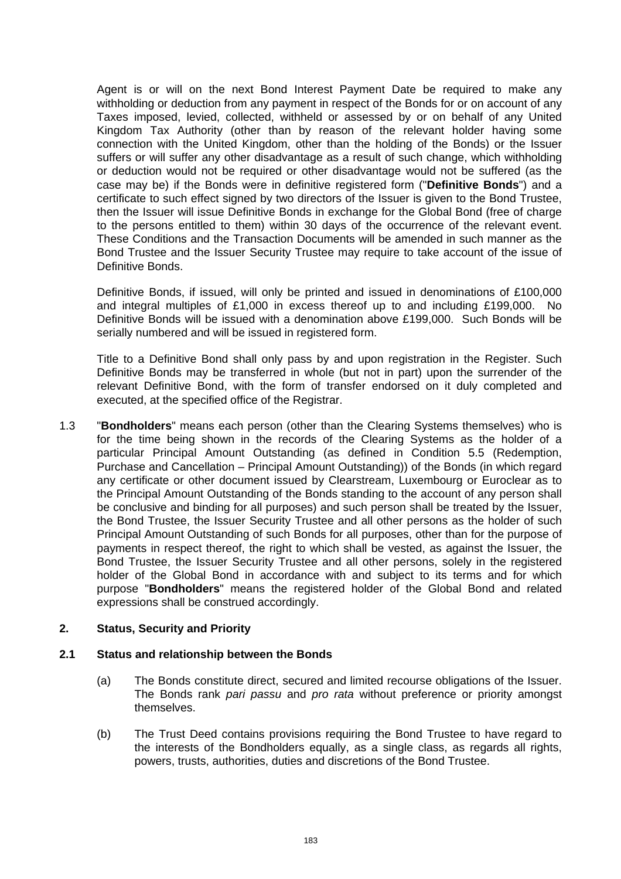Agent is or will on the next Bond Interest Payment Date be required to make any withholding or deduction from any payment in respect of the Bonds for or on account of any Taxes imposed, levied, collected, withheld or assessed by or on behalf of any United Kingdom Tax Authority (other than by reason of the relevant holder having some connection with the United Kingdom, other than the holding of the Bonds) or the Issuer suffers or will suffer any other disadvantage as a result of such change, which withholding or deduction would not be required or other disadvantage would not be suffered (as the case may be) if the Bonds were in definitive registered form ("**Definitive Bonds**") and a certificate to such effect signed by two directors of the Issuer is given to the Bond Trustee, then the Issuer will issue Definitive Bonds in exchange for the Global Bond (free of charge to the persons entitled to them) within 30 days of the occurrence of the relevant event. These Conditions and the Transaction Documents will be amended in such manner as the Bond Trustee and the Issuer Security Trustee may require to take account of the issue of Definitive Bonds.

Definitive Bonds, if issued, will only be printed and issued in denominations of £100,000 and integral multiples of £1,000 in excess thereof up to and including £199,000. No Definitive Bonds will be issued with a denomination above £199,000. Such Bonds will be serially numbered and will be issued in registered form.

Title to a Definitive Bond shall only pass by and upon registration in the Register. Such Definitive Bonds may be transferred in whole (but not in part) upon the surrender of the relevant Definitive Bond, with the form of transfer endorsed on it duly completed and executed, at the specified office of the Registrar.

1.3 "**Bondholders**" means each person (other than the Clearing Systems themselves) who is for the time being shown in the records of the Clearing Systems as the holder of a particular Principal Amount Outstanding (as defined in Condition 5.5 (Redemption, Purchase and Cancellation – Principal Amount Outstanding)) of the Bonds (in which regard any certificate or other document issued by Clearstream, Luxembourg or Euroclear as to the Principal Amount Outstanding of the Bonds standing to the account of any person shall be conclusive and binding for all purposes) and such person shall be treated by the Issuer, the Bond Trustee, the Issuer Security Trustee and all other persons as the holder of such Principal Amount Outstanding of such Bonds for all purposes, other than for the purpose of payments in respect thereof, the right to which shall be vested, as against the Issuer, the Bond Trustee, the Issuer Security Trustee and all other persons, solely in the registered holder of the Global Bond in accordance with and subject to its terms and for which purpose "**Bondholders**" means the registered holder of the Global Bond and related expressions shall be construed accordingly.

# **2. Status, Security and Priority**

#### **2.1 Status and relationship between the Bonds**

- (a) The Bonds constitute direct, secured and limited recourse obligations of the Issuer. The Bonds rank *pari passu* and *pro rata* without preference or priority amongst themselves.
- (b) The Trust Deed contains provisions requiring the Bond Trustee to have regard to the interests of the Bondholders equally, as a single class, as regards all rights, powers, trusts, authorities, duties and discretions of the Bond Trustee.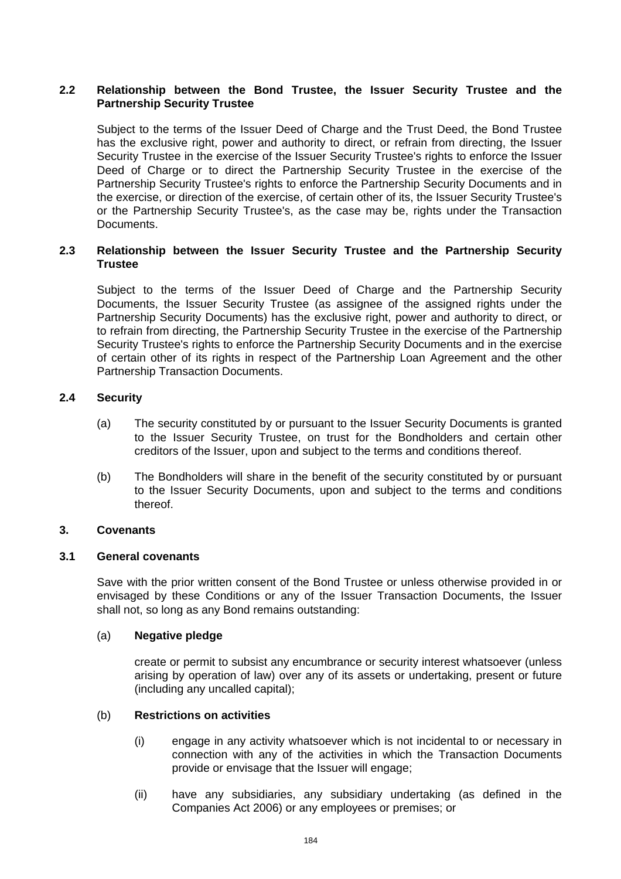### **2.2 Relationship between the Bond Trustee, the Issuer Security Trustee and the Partnership Security Trustee**

Subject to the terms of the Issuer Deed of Charge and the Trust Deed, the Bond Trustee has the exclusive right, power and authority to direct, or refrain from directing, the Issuer Security Trustee in the exercise of the Issuer Security Trustee's rights to enforce the Issuer Deed of Charge or to direct the Partnership Security Trustee in the exercise of the Partnership Security Trustee's rights to enforce the Partnership Security Documents and in the exercise, or direction of the exercise, of certain other of its, the Issuer Security Trustee's or the Partnership Security Trustee's, as the case may be, rights under the Transaction Documents.

# **2.3 Relationship between the Issuer Security Trustee and the Partnership Security Trustee**

Subject to the terms of the Issuer Deed of Charge and the Partnership Security Documents, the Issuer Security Trustee (as assignee of the assigned rights under the Partnership Security Documents) has the exclusive right, power and authority to direct, or to refrain from directing, the Partnership Security Trustee in the exercise of the Partnership Security Trustee's rights to enforce the Partnership Security Documents and in the exercise of certain other of its rights in respect of the Partnership Loan Agreement and the other Partnership Transaction Documents.

### **2.4 Security**

- (a) The security constituted by or pursuant to the Issuer Security Documents is granted to the Issuer Security Trustee, on trust for the Bondholders and certain other creditors of the Issuer, upon and subject to the terms and conditions thereof.
- (b) The Bondholders will share in the benefit of the security constituted by or pursuant to the Issuer Security Documents, upon and subject to the terms and conditions thereof.

#### **3. Covenants**

# **3.1 General covenants**

Save with the prior written consent of the Bond Trustee or unless otherwise provided in or envisaged by these Conditions or any of the Issuer Transaction Documents, the Issuer shall not, so long as any Bond remains outstanding:

#### (a) **Negative pledge**

create or permit to subsist any encumbrance or security interest whatsoever (unless arising by operation of law) over any of its assets or undertaking, present or future (including any uncalled capital);

#### (b) **Restrictions on activities**

- (i) engage in any activity whatsoever which is not incidental to or necessary in connection with any of the activities in which the Transaction Documents provide or envisage that the Issuer will engage;
- (ii) have any subsidiaries, any subsidiary undertaking (as defined in the Companies Act 2006) or any employees or premises; or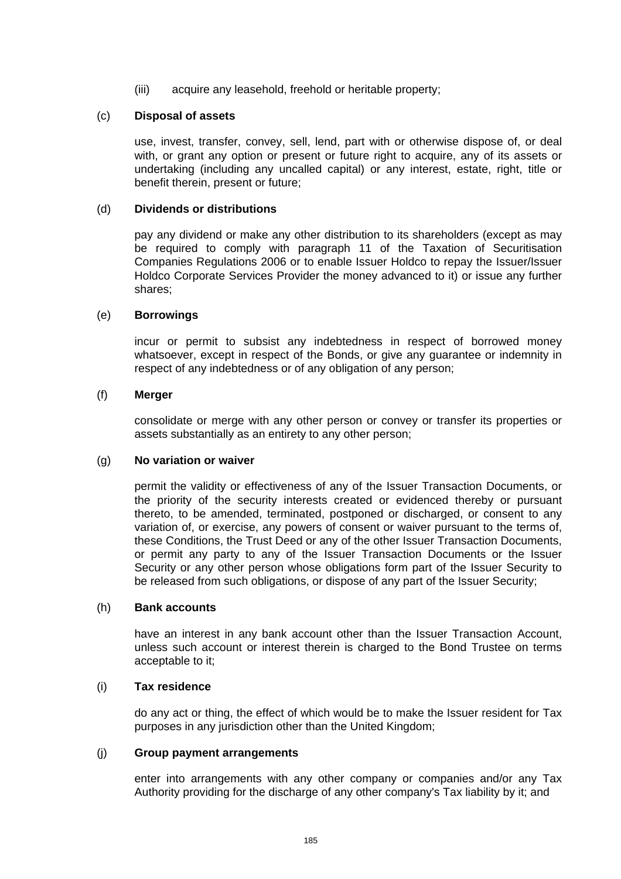(iii) acquire any leasehold, freehold or heritable property;

### (c) **Disposal of assets**

use, invest, transfer, convey, sell, lend, part with or otherwise dispose of, or deal with, or grant any option or present or future right to acquire, any of its assets or undertaking (including any uncalled capital) or any interest, estate, right, title or benefit therein, present or future;

#### (d) **Dividends or distributions**

pay any dividend or make any other distribution to its shareholders (except as may be required to comply with paragraph 11 of the Taxation of Securitisation Companies Regulations 2006 or to enable Issuer Holdco to repay the Issuer/Issuer Holdco Corporate Services Provider the money advanced to it) or issue any further shares;

### (e) **Borrowings**

incur or permit to subsist any indebtedness in respect of borrowed money whatsoever, except in respect of the Bonds, or give any guarantee or indemnity in respect of any indebtedness or of any obligation of any person;

# (f) **Merger**

consolidate or merge with any other person or convey or transfer its properties or assets substantially as an entirety to any other person;

#### (g) **No variation or waiver**

permit the validity or effectiveness of any of the Issuer Transaction Documents, or the priority of the security interests created or evidenced thereby or pursuant thereto, to be amended, terminated, postponed or discharged, or consent to any variation of, or exercise, any powers of consent or waiver pursuant to the terms of, these Conditions, the Trust Deed or any of the other Issuer Transaction Documents, or permit any party to any of the Issuer Transaction Documents or the Issuer Security or any other person whose obligations form part of the Issuer Security to be released from such obligations, or dispose of any part of the Issuer Security;

#### (h) **Bank accounts**

have an interest in any bank account other than the Issuer Transaction Account, unless such account or interest therein is charged to the Bond Trustee on terms acceptable to it;

#### (i) **Tax residence**

do any act or thing, the effect of which would be to make the Issuer resident for Tax purposes in any jurisdiction other than the United Kingdom;

#### (j) **Group payment arrangements**

enter into arrangements with any other company or companies and/or any Tax Authority providing for the discharge of any other company's Tax liability by it; and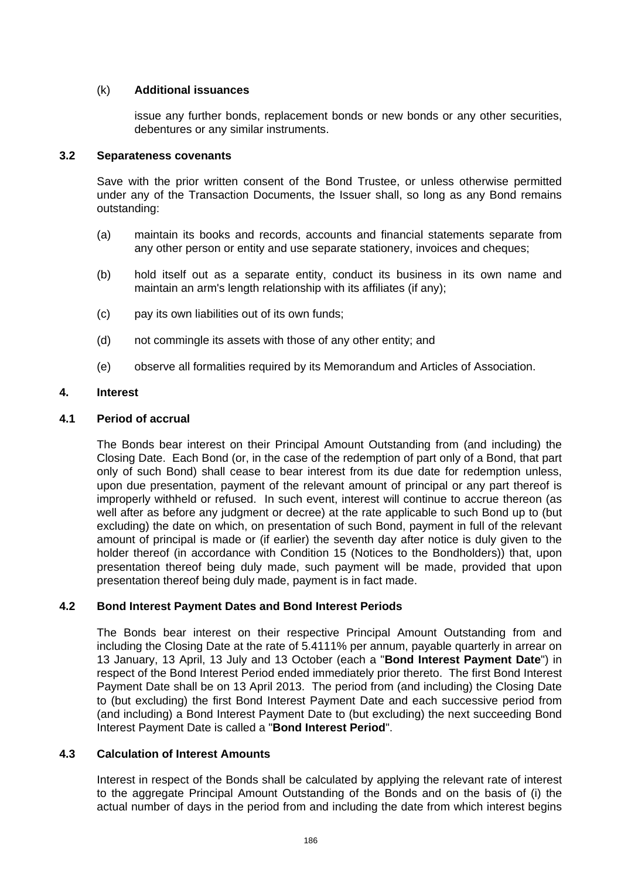# (k) **Additional issuances**

issue any further bonds, replacement bonds or new bonds or any other securities, debentures or any similar instruments.

### **3.2 Separateness covenants**

Save with the prior written consent of the Bond Trustee, or unless otherwise permitted under any of the Transaction Documents, the Issuer shall, so long as any Bond remains outstanding:

- (a) maintain its books and records, accounts and financial statements separate from any other person or entity and use separate stationery, invoices and cheques;
- (b) hold itself out as a separate entity, conduct its business in its own name and maintain an arm's length relationship with its affiliates (if any);
- (c) pay its own liabilities out of its own funds;
- (d) not commingle its assets with those of any other entity; and
- (e) observe all formalities required by its Memorandum and Articles of Association.

# **4. Interest**

# **4.1 Period of accrual**

The Bonds bear interest on their Principal Amount Outstanding from (and including) the Closing Date. Each Bond (or, in the case of the redemption of part only of a Bond, that part only of such Bond) shall cease to bear interest from its due date for redemption unless, upon due presentation, payment of the relevant amount of principal or any part thereof is improperly withheld or refused. In such event, interest will continue to accrue thereon (as well after as before any judgment or decree) at the rate applicable to such Bond up to (but excluding) the date on which, on presentation of such Bond, payment in full of the relevant amount of principal is made or (if earlier) the seventh day after notice is duly given to the holder thereof (in accordance with Condition 15 (Notices to the Bondholders)) that, upon presentation thereof being duly made, such payment will be made, provided that upon presentation thereof being duly made, payment is in fact made.

# **4.2 Bond Interest Payment Dates and Bond Interest Periods**

The Bonds bear interest on their respective Principal Amount Outstanding from and including the Closing Date at the rate of 5.4111% per annum, payable quarterly in arrear on 13 January, 13 April, 13 July and 13 October (each a "**Bond Interest Payment Date**") in respect of the Bond Interest Period ended immediately prior thereto. The first Bond Interest Payment Date shall be on 13 April 2013. The period from (and including) the Closing Date to (but excluding) the first Bond Interest Payment Date and each successive period from (and including) a Bond Interest Payment Date to (but excluding) the next succeeding Bond Interest Payment Date is called a "**Bond Interest Period**".

# **4.3 Calculation of Interest Amounts**

Interest in respect of the Bonds shall be calculated by applying the relevant rate of interest to the aggregate Principal Amount Outstanding of the Bonds and on the basis of (i) the actual number of days in the period from and including the date from which interest begins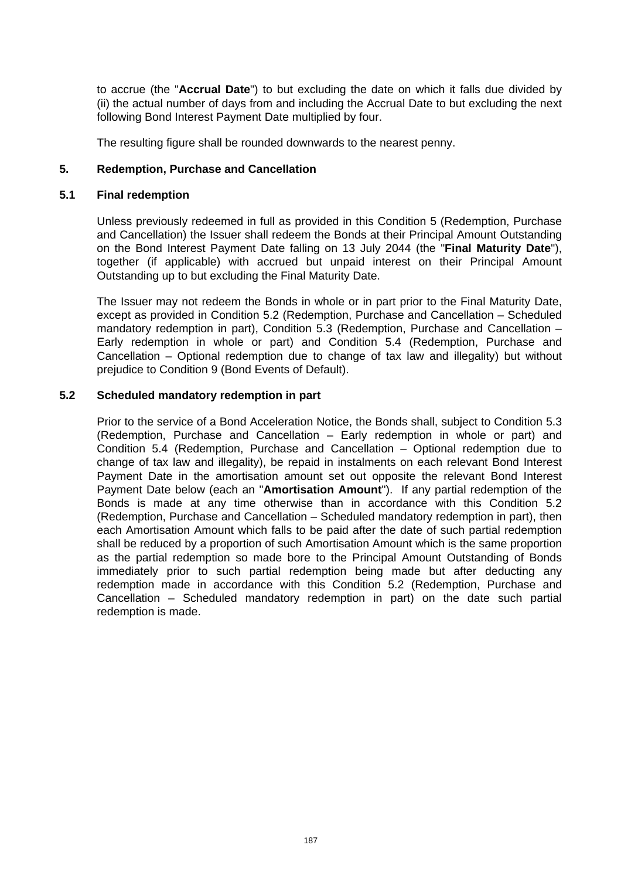to accrue (the "**Accrual Date**") to but excluding the date on which it falls due divided by (ii) the actual number of days from and including the Accrual Date to but excluding the next following Bond Interest Payment Date multiplied by four.

The resulting figure shall be rounded downwards to the nearest penny.

### **5. Redemption, Purchase and Cancellation**

#### **5.1 Final redemption**

Unless previously redeemed in full as provided in this Condition 5 (Redemption, Purchase and Cancellation) the Issuer shall redeem the Bonds at their Principal Amount Outstanding on the Bond Interest Payment Date falling on 13 July 2044 (the "**Final Maturity Date**"), together (if applicable) with accrued but unpaid interest on their Principal Amount Outstanding up to but excluding the Final Maturity Date.

The Issuer may not redeem the Bonds in whole or in part prior to the Final Maturity Date, except as provided in Condition 5.2(Redemption, Purchase and Cancellation – Scheduled mandatory redemption in part), Condition 5.3 (Redemption, Purchase and Cancellation – Early redemption in whole or part) and Condition 5.4 (Redemption, Purchase and Cancellation – Optional redemption due to change of tax law and illegality) but without prejudice to Condition 9 (Bond Events of Default).

### **5.2 Scheduled mandatory redemption in part**

Prior to the service of a Bond Acceleration Notice, the Bonds shall, subject to Condition 5.3 (Redemption, Purchase and Cancellation – Early redemption in whole or part) and Condition 5.4 (Redemption, Purchase and Cancellation – Optional redemption due to change of tax law and illegality), be repaid in instalments on each relevant Bond Interest Payment Date in the amortisation amount set out opposite the relevant Bond Interest Payment Date below (each an "**Amortisation Amount**"). If any partial redemption of the Bonds is made at any time otherwise than in accordance with this Condition 5.2 (Redemption, Purchase and Cancellation – Scheduled mandatory redemption in part), then each Amortisation Amount which falls to be paid after the date of such partial redemption shall be reduced by a proportion of such Amortisation Amount which is the same proportion as the partial redemption so made bore to the Principal Amount Outstanding of Bonds immediately prior to such partial redemption being made but after deducting any redemption made in accordance with this Condition 5.2(Redemption, Purchase and Cancellation – Scheduled mandatory redemption in part) on the date such partial redemption is made.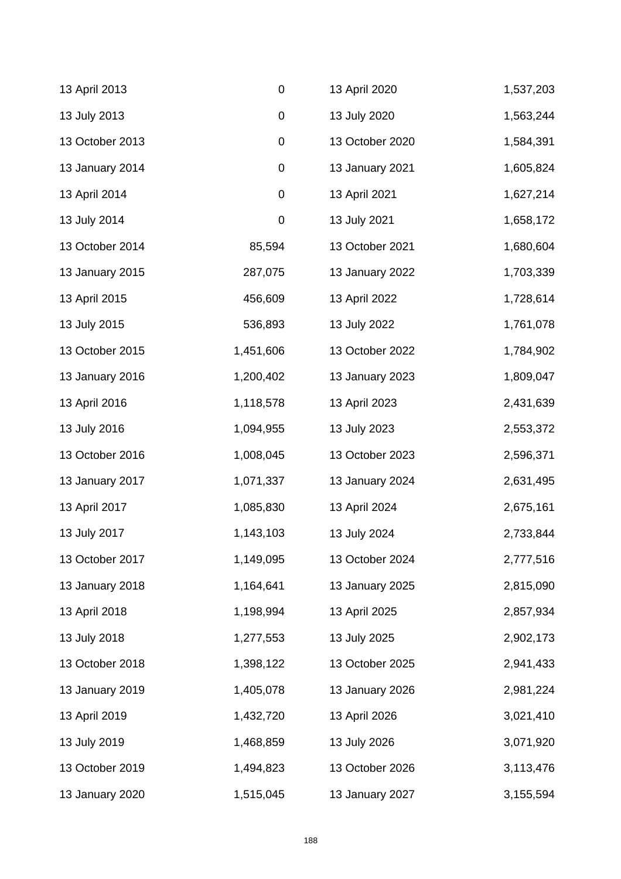| 13 April 2013   | $\mathbf 0$ | 13 April 2020   | 1,537,203 |
|-----------------|-------------|-----------------|-----------|
| 13 July 2013    | $\pmb{0}$   | 13 July 2020    | 1,563,244 |
| 13 October 2013 | $\pmb{0}$   | 13 October 2020 | 1,584,391 |
| 13 January 2014 | $\pmb{0}$   | 13 January 2021 | 1,605,824 |
| 13 April 2014   | $\pmb{0}$   | 13 April 2021   | 1,627,214 |
| 13 July 2014    | $\pmb{0}$   | 13 July 2021    | 1,658,172 |
| 13 October 2014 | 85,594      | 13 October 2021 | 1,680,604 |
| 13 January 2015 | 287,075     | 13 January 2022 | 1,703,339 |
| 13 April 2015   | 456,609     | 13 April 2022   | 1,728,614 |
| 13 July 2015    | 536,893     | 13 July 2022    | 1,761,078 |
| 13 October 2015 | 1,451,606   | 13 October 2022 | 1,784,902 |
| 13 January 2016 | 1,200,402   | 13 January 2023 | 1,809,047 |
| 13 April 2016   | 1,118,578   | 13 April 2023   | 2,431,639 |
| 13 July 2016    | 1,094,955   | 13 July 2023    | 2,553,372 |
| 13 October 2016 | 1,008,045   | 13 October 2023 | 2,596,371 |
| 13 January 2017 | 1,071,337   | 13 January 2024 | 2,631,495 |
| 13 April 2017   | 1,085,830   | 13 April 2024   | 2,675,161 |
| 13 July 2017    | 1,143,103   | 13 July 2024    | 2,733,844 |
| 13 October 2017 | 1,149,095   | 13 October 2024 | 2,777,516 |
| 13 January 2018 | 1,164,641   | 13 January 2025 | 2,815,090 |
| 13 April 2018   | 1,198,994   | 13 April 2025   | 2,857,934 |
| 13 July 2018    | 1,277,553   | 13 July 2025    | 2,902,173 |
| 13 October 2018 | 1,398,122   | 13 October 2025 | 2,941,433 |
| 13 January 2019 | 1,405,078   | 13 January 2026 | 2,981,224 |
| 13 April 2019   | 1,432,720   | 13 April 2026   | 3,021,410 |
| 13 July 2019    | 1,468,859   | 13 July 2026    | 3,071,920 |
| 13 October 2019 | 1,494,823   | 13 October 2026 | 3,113,476 |
| 13 January 2020 | 1,515,045   | 13 January 2027 | 3,155,594 |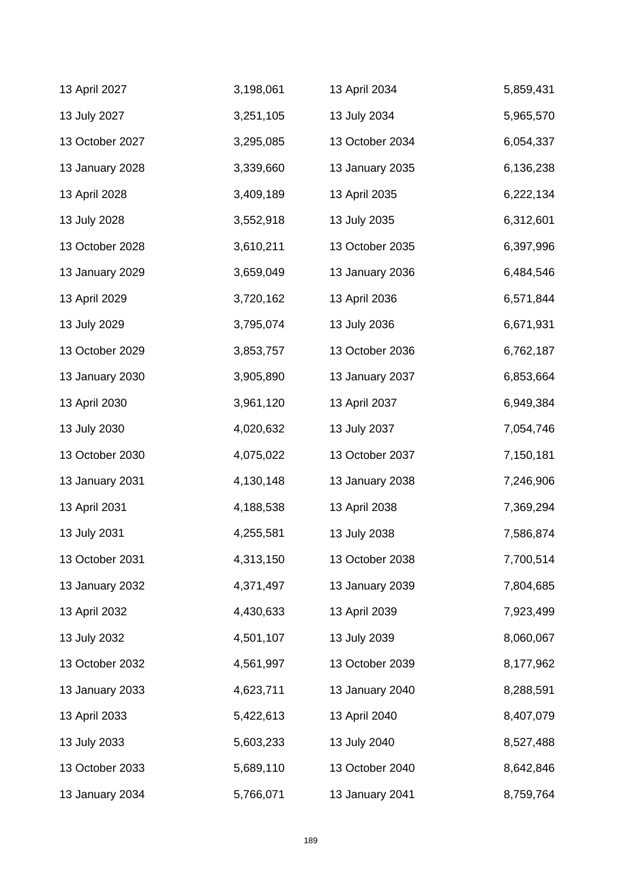| 13 April 2027   | 3,198,061 | 13 April 2034   | 5,859,431 |
|-----------------|-----------|-----------------|-----------|
| 13 July 2027    | 3,251,105 | 13 July 2034    | 5,965,570 |
| 13 October 2027 | 3,295,085 | 13 October 2034 | 6,054,337 |
| 13 January 2028 | 3,339,660 | 13 January 2035 | 6,136,238 |
| 13 April 2028   | 3,409,189 | 13 April 2035   | 6,222,134 |
| 13 July 2028    | 3,552,918 | 13 July 2035    | 6,312,601 |
| 13 October 2028 | 3,610,211 | 13 October 2035 | 6,397,996 |
| 13 January 2029 | 3,659,049 | 13 January 2036 | 6,484,546 |
| 13 April 2029   | 3,720,162 | 13 April 2036   | 6,571,844 |
| 13 July 2029    | 3,795,074 | 13 July 2036    | 6,671,931 |
| 13 October 2029 | 3,853,757 | 13 October 2036 | 6,762,187 |
| 13 January 2030 | 3,905,890 | 13 January 2037 | 6,853,664 |
| 13 April 2030   | 3,961,120 | 13 April 2037   | 6,949,384 |
| 13 July 2030    | 4,020,632 | 13 July 2037    | 7,054,746 |
| 13 October 2030 | 4,075,022 | 13 October 2037 | 7,150,181 |
| 13 January 2031 | 4,130,148 | 13 January 2038 | 7,246,906 |
| 13 April 2031   | 4,188,538 | 13 April 2038   | 7,369,294 |
| 13 July 2031    | 4,255,581 | 13 July 2038    | 7,586,874 |
| 13 October 2031 | 4,313,150 | 13 October 2038 | 7,700,514 |
| 13 January 2032 | 4,371,497 | 13 January 2039 | 7,804,685 |
| 13 April 2032   | 4,430,633 | 13 April 2039   | 7,923,499 |
| 13 July 2032    | 4,501,107 | 13 July 2039    | 8,060,067 |
| 13 October 2032 | 4,561,997 | 13 October 2039 | 8,177,962 |
| 13 January 2033 | 4,623,711 | 13 January 2040 | 8,288,591 |
| 13 April 2033   | 5,422,613 | 13 April 2040   | 8,407,079 |
| 13 July 2033    | 5,603,233 | 13 July 2040    | 8,527,488 |
| 13 October 2033 | 5,689,110 | 13 October 2040 | 8,642,846 |
| 13 January 2034 | 5,766,071 | 13 January 2041 | 8,759,764 |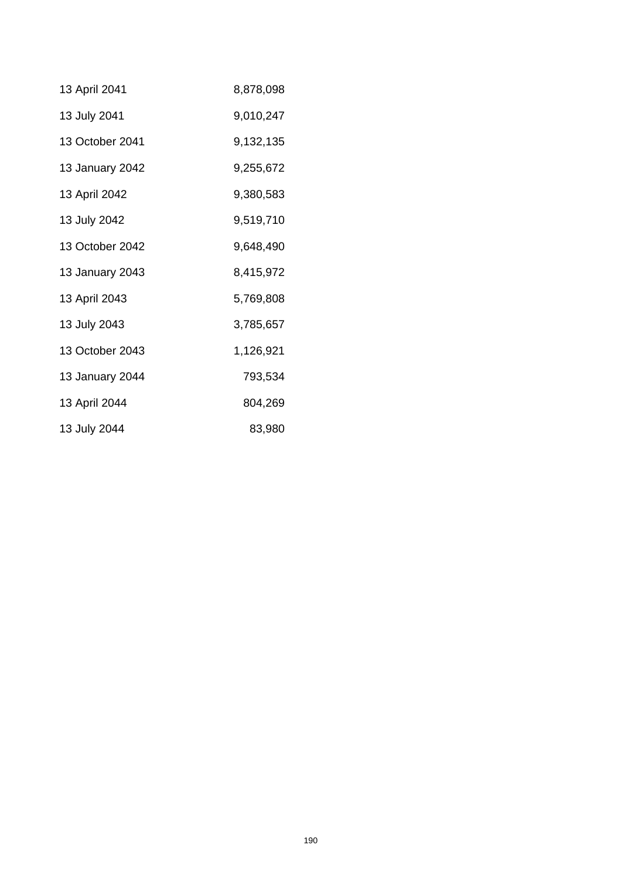| 13 April 2041   | 8,878,098 |
|-----------------|-----------|
| 13 July 2041    | 9,010,247 |
| 13 October 2041 | 9,132,135 |
| 13 January 2042 | 9,255,672 |
| 13 April 2042   | 9,380,583 |
| 13 July 2042    | 9,519,710 |
| 13 October 2042 | 9,648,490 |
| 13 January 2043 | 8,415,972 |
| 13 April 2043   | 5,769,808 |
| 13 July 2043    | 3,785,657 |
| 13 October 2043 | 1,126,921 |
| 13 January 2044 | 793,534   |
| 13 April 2044   | 804,269   |
| 13 July 2044    | 83,980    |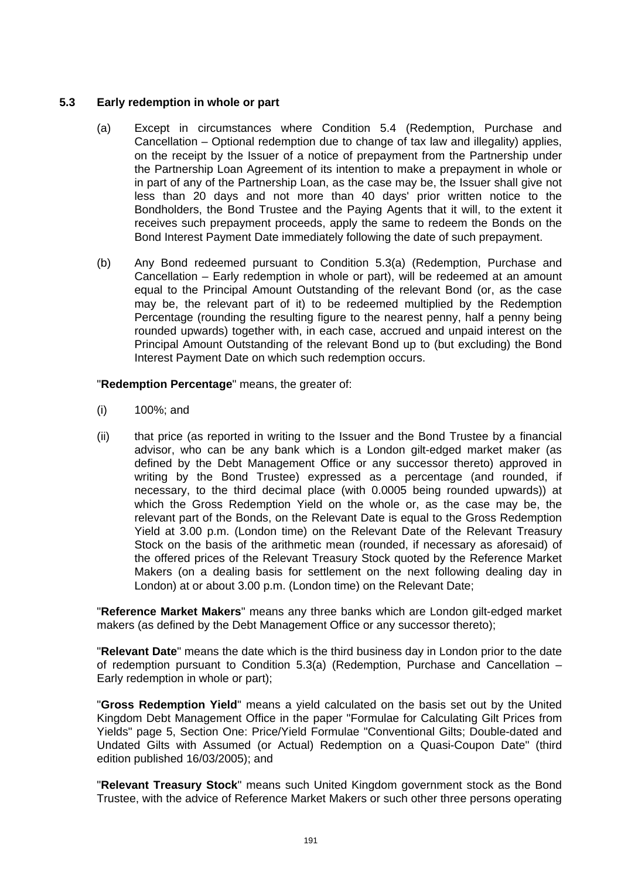# **5.3 Early redemption in whole or part**

- (a) Except in circumstances where Condition 5.4 (Redemption, Purchase and Cancellation – Optional redemption due to change of tax law and illegality) applies, on the receipt by the Issuer of a notice of prepayment from the Partnership under the Partnership Loan Agreement of its intention to make a prepayment in whole or in part of any of the Partnership Loan, as the case may be, the Issuer shall give not less than 20 days and not more than 40 days' prior written notice to the Bondholders, the Bond Trustee and the Paying Agents that it will, to the extent it receives such prepayment proceeds, apply the same to redeem the Bonds on the Bond Interest Payment Date immediately following the date of such prepayment.
- (b) Any Bond redeemed pursuant to Condition 5.3(a) (Redemption, Purchase and Cancellation – Early redemption in whole or part), will be redeemed at an amount equal to the Principal Amount Outstanding of the relevant Bond (or, as the case may be, the relevant part of it) to be redeemed multiplied by the Redemption Percentage (rounding the resulting figure to the nearest penny, half a penny being rounded upwards) together with, in each case, accrued and unpaid interest on the Principal Amount Outstanding of the relevant Bond up to (but excluding) the Bond Interest Payment Date on which such redemption occurs.

"**Redemption Percentage**" means, the greater of:

- (i) 100%; and
- (ii) that price (as reported in writing to the Issuer and the Bond Trustee by a financial advisor, who can be any bank which is a London gilt-edged market maker (as defined by the Debt Management Office or any successor thereto) approved in writing by the Bond Trustee) expressed as a percentage (and rounded, if necessary, to the third decimal place (with 0.0005 being rounded upwards)) at which the Gross Redemption Yield on the whole or, as the case may be, the relevant part of the Bonds, on the Relevant Date is equal to the Gross Redemption Yield at 3.00 p.m. (London time) on the Relevant Date of the Relevant Treasury Stock on the basis of the arithmetic mean (rounded, if necessary as aforesaid) of the offered prices of the Relevant Treasury Stock quoted by the Reference Market Makers (on a dealing basis for settlement on the next following dealing day in London) at or about 3.00 p.m. (London time) on the Relevant Date;

"**Reference Market Makers**" means any three banks which are London gilt-edged market makers (as defined by the Debt Management Office or any successor thereto);

"**Relevant Date**" means the date which is the third business day in London prior to the date of redemption pursuant to Condition 5.3(a) (Redemption, Purchase and Cancellation – Early redemption in whole or part);

"**Gross Redemption Yield**" means a yield calculated on the basis set out by the United Kingdom Debt Management Office in the paper "Formulae for Calculating Gilt Prices from Yields" page 5, Section One: Price/Yield Formulae "Conventional Gilts; Double-dated and Undated Gilts with Assumed (or Actual) Redemption on a Quasi-Coupon Date" (third edition published 16/03/2005); and

"**Relevant Treasury Stock**" means such United Kingdom government stock as the Bond Trustee, with the advice of Reference Market Makers or such other three persons operating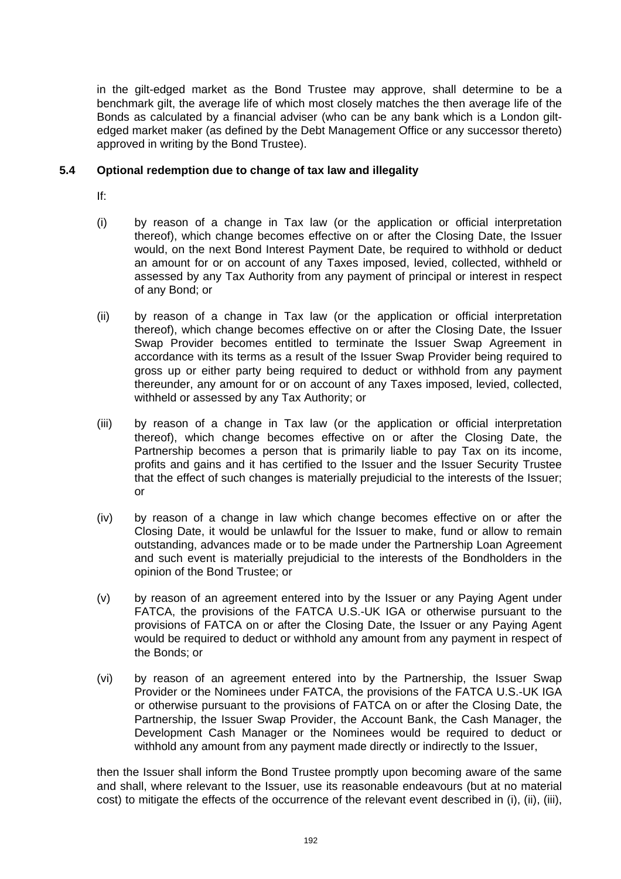in the gilt-edged market as the Bond Trustee may approve, shall determine to be a benchmark gilt, the average life of which most closely matches the then average life of the Bonds as calculated by a financial adviser (who can be any bank which is a London giltedged market maker (as defined by the Debt Management Office or any successor thereto) approved in writing by the Bond Trustee).

# **5.4 Optional redemption due to change of tax law and illegality**

If:

- (i) by reason of a change in Tax law (or the application or official interpretation thereof), which change becomes effective on or after the Closing Date, the Issuer would, on the next Bond Interest Payment Date, be required to withhold or deduct an amount for or on account of any Taxes imposed, levied, collected, withheld or assessed by any Tax Authority from any payment of principal or interest in respect of any Bond; or
- (ii) by reason of a change in Tax law (or the application or official interpretation thereof), which change becomes effective on or after the Closing Date, the Issuer Swap Provider becomes entitled to terminate the Issuer Swap Agreement in accordance with its terms as a result of the Issuer Swap Provider being required to gross up or either party being required to deduct or withhold from any payment thereunder, any amount for or on account of any Taxes imposed, levied, collected, withheld or assessed by any Tax Authority; or
- (iii) by reason of a change in Tax law (or the application or official interpretation thereof), which change becomes effective on or after the Closing Date, the Partnership becomes a person that is primarily liable to pay Tax on its income, profits and gains and it has certified to the Issuer and the Issuer Security Trustee that the effect of such changes is materially prejudicial to the interests of the Issuer; or
- (iv) by reason of a change in law which change becomes effective on or after the Closing Date, it would be unlawful for the Issuer to make, fund or allow to remain outstanding, advances made or to be made under the Partnership Loan Agreement and such event is materially prejudicial to the interests of the Bondholders in the opinion of the Bond Trustee; or
- (v) by reason of an agreement entered into by the Issuer or any Paying Agent under FATCA, the provisions of the FATCA U.S.-UK IGA or otherwise pursuant to the provisions of FATCA on or after the Closing Date, the Issuer or any Paying Agent would be required to deduct or withhold any amount from any payment in respect of the Bonds; or
- (vi) by reason of an agreement entered into by the Partnership, the Issuer Swap Provider or the Nominees under FATCA, the provisions of the FATCA U.S.-UK IGA or otherwise pursuant to the provisions of FATCA on or after the Closing Date, the Partnership, the Issuer Swap Provider, the Account Bank, the Cash Manager, the Development Cash Manager or the Nominees would be required to deduct or withhold any amount from any payment made directly or indirectly to the Issuer,

then the Issuer shall inform the Bond Trustee promptly upon becoming aware of the same and shall, where relevant to the Issuer, use its reasonable endeavours (but at no material cost) to mitigate the effects of the occurrence of the relevant event described in (i), (ii), (iii),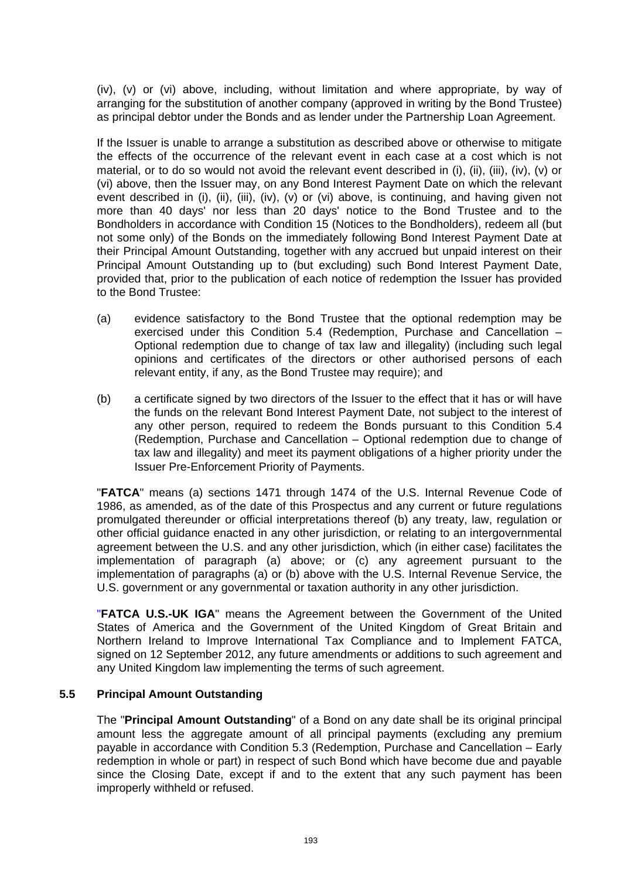(iv), (v) or (vi) above, including, without limitation and where appropriate, by way of arranging for the substitution of another company (approved in writing by the Bond Trustee) as principal debtor under the Bonds and as lender under the Partnership Loan Agreement.

If the Issuer is unable to arrange a substitution as described above or otherwise to mitigate the effects of the occurrence of the relevant event in each case at a cost which is not material, or to do so would not avoid the relevant event described in (i), (ii), (iii), (iv), (v) or (vi) above, then the Issuer may, on any Bond Interest Payment Date on which the relevant event described in (i), (ii), (iii), (iv), (v) or (vi) above, is continuing, and having given not more than 40 days' nor less than 20 days' notice to the Bond Trustee and to the Bondholders in accordance with Condition 15 (Notices to the Bondholders), redeem all (but not some only) of the Bonds on the immediately following Bond Interest Payment Date at their Principal Amount Outstanding, together with any accrued but unpaid interest on their Principal Amount Outstanding up to (but excluding) such Bond Interest Payment Date, provided that, prior to the publication of each notice of redemption the Issuer has provided to the Bond Trustee:

- (a) evidence satisfactory to the Bond Trustee that the optional redemption may be exercised under this Condition 5.4 (Redemption, Purchase and Cancellation – Optional redemption due to change of tax law and illegality) (including such legal opinions and certificates of the directors or other authorised persons of each relevant entity, if any, as the Bond Trustee may require); and
- (b) a certificate signed by two directors of the Issuer to the effect that it has or will have the funds on the relevant Bond Interest Payment Date, not subject to the interest of any other person, required to redeem the Bonds pursuant to this Condition 5.4 (Redemption, Purchase and Cancellation – Optional redemption due to change of tax law and illegality) and meet its payment obligations of a higher priority under the Issuer Pre-Enforcement Priority of Payments.

"**FATCA**" means (a) sections 1471 through 1474 of the U.S. Internal Revenue Code of 1986, as amended, as of the date of this Prospectus and any current or future regulations promulgated thereunder or official interpretations thereof (b) any treaty, law, regulation or other official guidance enacted in any other jurisdiction, or relating to an intergovernmental agreement between the U.S. and any other jurisdiction, which (in either case) facilitates the implementation of paragraph (a) above; or (c) any agreement pursuant to the implementation of paragraphs (a) or (b) above with the U.S. Internal Revenue Service, the U.S. government or any governmental or taxation authority in any other jurisdiction.

"**FATCA U.S.-UK IGA**" means the Agreement between the Government of the United States of America and the Government of the United Kingdom of Great Britain and Northern Ireland to Improve International Tax Compliance and to Implement FATCA, signed on 12 September 2012, any future amendments or additions to such agreement and any United Kingdom law implementing the terms of such agreement.

# **5.5 Principal Amount Outstanding**

The "**Principal Amount Outstanding**" of a Bond on any date shall be its original principal amount less the aggregate amount of all principal payments (excluding any premium payable in accordance with Condition 5.3 (Redemption, Purchase and Cancellation – Early redemption in whole or part) in respect of such Bond which have become due and payable since the Closing Date, except if and to the extent that any such payment has been improperly withheld or refused.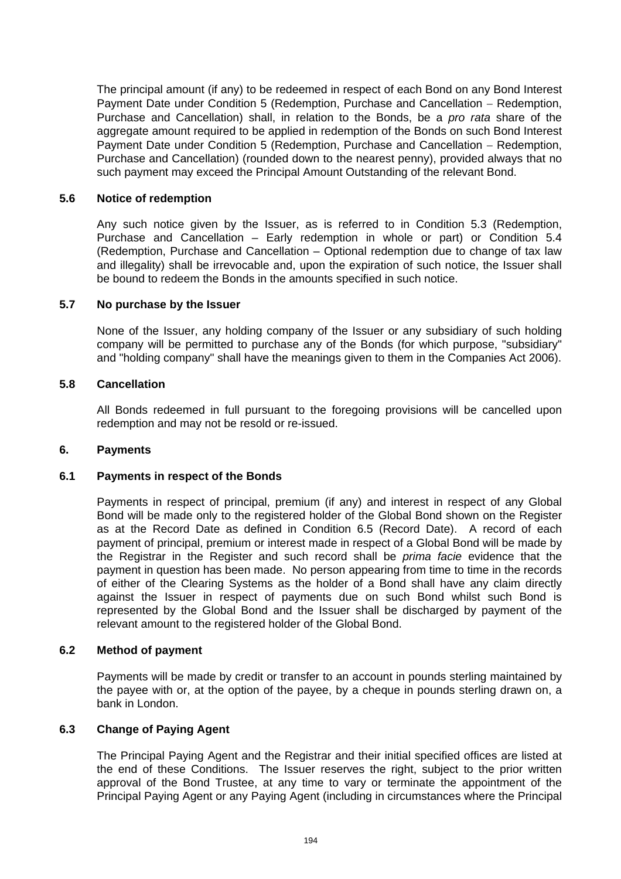The principal amount (if any) to be redeemed in respect of each Bond on any Bond Interest Payment Date under Condition 5 (Redemption, Purchase and Cancellation - Redemption, Purchase and Cancellation) shall, in relation to the Bonds, be a *pro rata* share of the aggregate amount required to be applied in redemption of the Bonds on such Bond Interest Payment Date under Condition 5 (Redemption, Purchase and Cancellation – Redemption, Purchase and Cancellation) (rounded down to the nearest penny), provided always that no such payment may exceed the Principal Amount Outstanding of the relevant Bond.

#### **5.6 Notice of redemption**

Any such notice given by the Issuer, as is referred to in Condition 5.3 (Redemption, Purchase and Cancellation – Early redemption in whole or part) or Condition 5.4 (Redemption, Purchase and Cancellation – Optional redemption due to change of tax law and illegality) shall be irrevocable and, upon the expiration of such notice, the Issuer shall be bound to redeem the Bonds in the amounts specified in such notice.

### **5.7 No purchase by the Issuer**

None of the Issuer, any holding company of the Issuer or any subsidiary of such holding company will be permitted to purchase any of the Bonds (for which purpose, "subsidiary" and "holding company" shall have the meanings given to them in the Companies Act 2006).

### **5.8 Cancellation**

All Bonds redeemed in full pursuant to the foregoing provisions will be cancelled upon redemption and may not be resold or re-issued.

#### **6. Payments**

#### **6.1 Payments in respect of the Bonds**

Payments in respect of principal, premium (if any) and interest in respect of any Global Bond will be made only to the registered holder of the Global Bond shown on the Register as at the Record Date as defined in Condition 6.5 (Record Date). A record of each payment of principal, premium or interest made in respect of a Global Bond will be made by the Registrar in the Register and such record shall be *prima facie* evidence that the payment in question has been made. No person appearing from time to time in the records of either of the Clearing Systems as the holder of a Bond shall have any claim directly against the Issuer in respect of payments due on such Bond whilst such Bond is represented by the Global Bond and the Issuer shall be discharged by payment of the relevant amount to the registered holder of the Global Bond.

#### **6.2 Method of payment**

Payments will be made by credit or transfer to an account in pounds sterling maintained by the payee with or, at the option of the payee, by a cheque in pounds sterling drawn on, a bank in London.

#### **6.3 Change of Paying Agent**

The Principal Paying Agent and the Registrar and their initial specified offices are listed at the end of these Conditions. The Issuer reserves the right, subject to the prior written approval of the Bond Trustee, at any time to vary or terminate the appointment of the Principal Paying Agent or any Paying Agent (including in circumstances where the Principal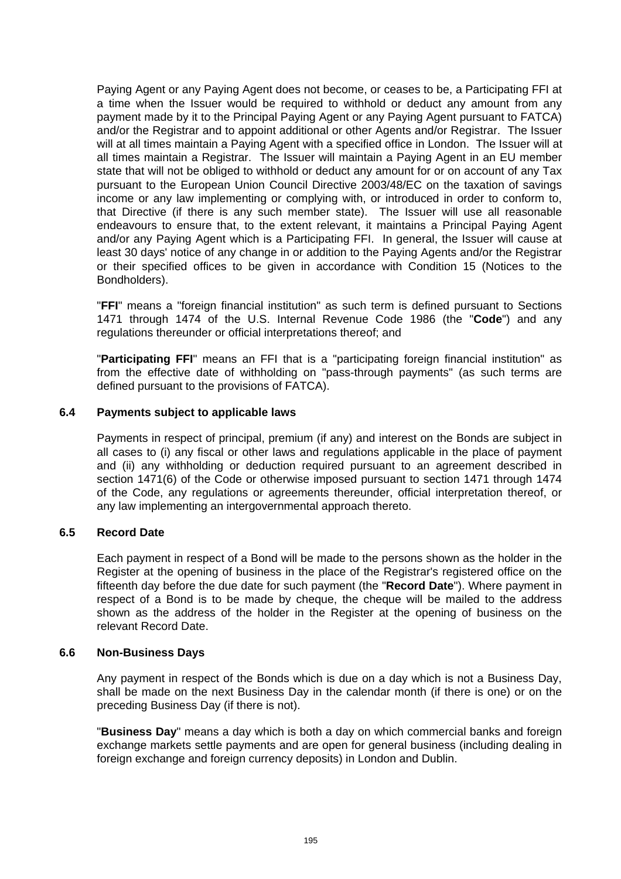Paying Agent or any Paying Agent does not become, or ceases to be, a Participating FFI at a time when the Issuer would be required to withhold or deduct any amount from any payment made by it to the Principal Paying Agent or any Paying Agent pursuant to FATCA) and/or the Registrar and to appoint additional or other Agents and/or Registrar. The Issuer will at all times maintain a Paying Agent with a specified office in London. The Issuer will at all times maintain a Registrar. The Issuer will maintain a Paying Agent in an EU member state that will not be obliged to withhold or deduct any amount for or on account of any Tax pursuant to the European Union Council Directive 2003/48/EC on the taxation of savings income or any law implementing or complying with, or introduced in order to conform to, that Directive (if there is any such member state). The Issuer will use all reasonable endeavours to ensure that, to the extent relevant, it maintains a Principal Paying Agent and/or any Paying Agent which is a Participating FFI. In general, the Issuer will cause at least 30 days' notice of any change in or addition to the Paying Agents and/or the Registrar or their specified offices to be given in accordance with Condition 15 (Notices to the Bondholders).

"**FFI**" means a "foreign financial institution" as such term is defined pursuant to Sections 1471 through 1474 of the U.S. Internal Revenue Code 1986 (the "**Code**") and any regulations thereunder or official interpretations thereof; and

"**Participating FFI**" means an FFI that is a "participating foreign financial institution" as from the effective date of withholding on "pass-through payments" (as such terms are defined pursuant to the provisions of FATCA).

### **6.4 Payments subject to applicable laws**

Payments in respect of principal, premium (if any) and interest on the Bonds are subject in all cases to (i) any fiscal or other laws and regulations applicable in the place of payment and (ii) any withholding or deduction required pursuant to an agreement described in section 1471(6) of the Code or otherwise imposed pursuant to section 1471 through 1474 of the Code, any regulations or agreements thereunder, official interpretation thereof, or any law implementing an intergovernmental approach thereto.

# **6.5 Record Date**

Each payment in respect of a Bond will be made to the persons shown as the holder in the Register at the opening of business in the place of the Registrar's registered office on the fifteenth day before the due date for such payment (the "**Record Date**"). Where payment in respect of a Bond is to be made by cheque, the cheque will be mailed to the address shown as the address of the holder in the Register at the opening of business on the relevant Record Date.

# **6.6 Non-Business Days**

Any payment in respect of the Bonds which is due on a day which is not a Business Day, shall be made on the next Business Day in the calendar month (if there is one) or on the preceding Business Day (if there is not).

"**Business Day**" means a day which is both a day on which commercial banks and foreign exchange markets settle payments and are open for general business (including dealing in foreign exchange and foreign currency deposits) in London and Dublin.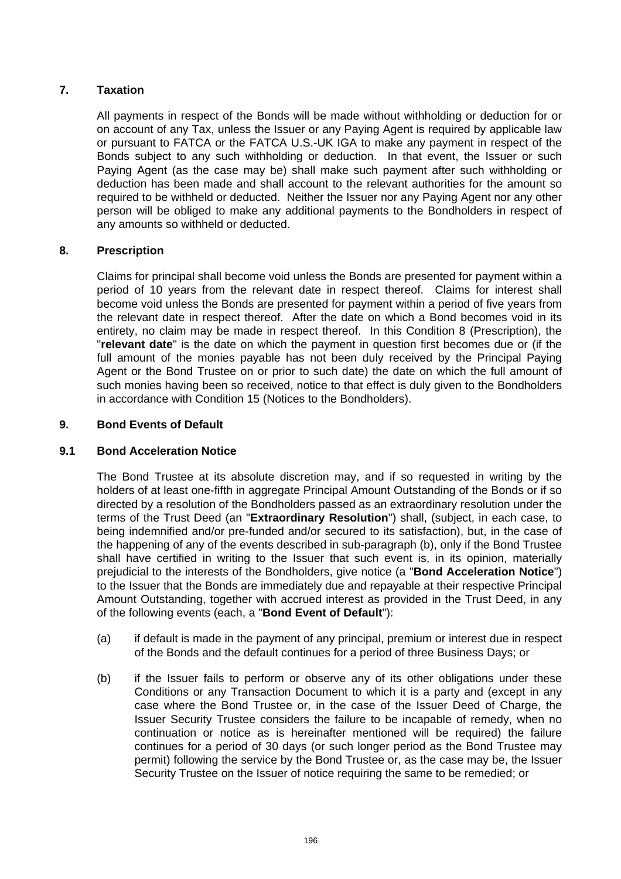# **7. Taxation**

All payments in respect of the Bonds will be made without withholding or deduction for or on account of any Tax, unless the Issuer or any Paying Agent is required by applicable law or pursuant to FATCA or the FATCA U.S.-UK IGA to make any payment in respect of the Bonds subject to any such withholding or deduction. In that event, the Issuer or such Paying Agent (as the case may be) shall make such payment after such withholding or deduction has been made and shall account to the relevant authorities for the amount so required to be withheld or deducted. Neither the Issuer nor any Paying Agent nor any other person will be obliged to make any additional payments to the Bondholders in respect of any amounts so withheld or deducted.

# **8. Prescription**

Claims for principal shall become void unless the Bonds are presented for payment within a period of 10 years from the relevant date in respect thereof. Claims for interest shall become void unless the Bonds are presented for payment within a period of five years from the relevant date in respect thereof. After the date on which a Bond becomes void in its entirety, no claim may be made in respect thereof. In this Condition 8 (Prescription), the "**relevant date**" is the date on which the payment in question first becomes due or (if the full amount of the monies payable has not been duly received by the Principal Paying Agent or the Bond Trustee on or prior to such date) the date on which the full amount of such monies having been so received, notice to that effect is duly given to the Bondholders in accordance with Condition 15 (Notices to the Bondholders).

# **9. Bond Events of Default**

# **9.1 Bond Acceleration Notice**

The Bond Trustee at its absolute discretion may, and if so requested in writing by the holders of at least one-fifth in aggregate Principal Amount Outstanding of the Bonds or if so directed by a resolution of the Bondholders passed as an extraordinary resolution under the terms of the Trust Deed (an "**Extraordinary Resolution**") shall, (subject, in each case, to being indemnified and/or pre-funded and/or secured to its satisfaction), but, in the case of the happening of any of the events described in sub-paragraph (b), only if the Bond Trustee shall have certified in writing to the Issuer that such event is, in its opinion, materially prejudicial to the interests of the Bondholders, give notice (a "**Bond Acceleration Notice**") to the Issuer that the Bonds are immediately due and repayable at their respective Principal Amount Outstanding, together with accrued interest as provided in the Trust Deed, in any of the following events (each, a "**Bond Event of Default**"):

- (a) if default is made in the payment of any principal, premium or interest due in respect of the Bonds and the default continues for a period of three Business Days; or
- (b) if the Issuer fails to perform or observe any of its other obligations under these Conditions or any Transaction Document to which it is a party and (except in any case where the Bond Trustee or, in the case of the Issuer Deed of Charge, the Issuer Security Trustee considers the failure to be incapable of remedy, when no continuation or notice as is hereinafter mentioned will be required) the failure continues for a period of 30 days (or such longer period as the Bond Trustee may permit) following the service by the Bond Trustee or, as the case may be, the Issuer Security Trustee on the Issuer of notice requiring the same to be remedied; or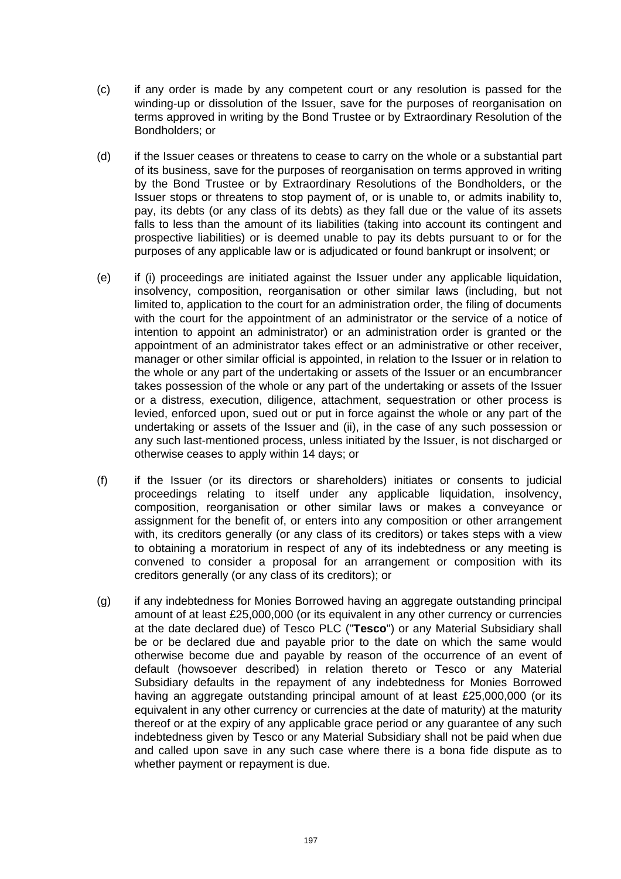- (c) if any order is made by any competent court or any resolution is passed for the winding-up or dissolution of the Issuer, save for the purposes of reorganisation on terms approved in writing by the Bond Trustee or by Extraordinary Resolution of the Bondholders; or
- (d) if the Issuer ceases or threatens to cease to carry on the whole or a substantial part of its business, save for the purposes of reorganisation on terms approved in writing by the Bond Trustee or by Extraordinary Resolutions of the Bondholders, or the Issuer stops or threatens to stop payment of, or is unable to, or admits inability to, pay, its debts (or any class of its debts) as they fall due or the value of its assets falls to less than the amount of its liabilities (taking into account its contingent and prospective liabilities) or is deemed unable to pay its debts pursuant to or for the purposes of any applicable law or is adjudicated or found bankrupt or insolvent; or
- (e) if (i) proceedings are initiated against the Issuer under any applicable liquidation, insolvency, composition, reorganisation or other similar laws (including, but not limited to, application to the court for an administration order, the filing of documents with the court for the appointment of an administrator or the service of a notice of intention to appoint an administrator) or an administration order is granted or the appointment of an administrator takes effect or an administrative or other receiver, manager or other similar official is appointed, in relation to the Issuer or in relation to the whole or any part of the undertaking or assets of the Issuer or an encumbrancer takes possession of the whole or any part of the undertaking or assets of the Issuer or a distress, execution, diligence, attachment, sequestration or other process is levied, enforced upon, sued out or put in force against the whole or any part of the undertaking or assets of the Issuer and (ii), in the case of any such possession or any such last-mentioned process, unless initiated by the Issuer, is not discharged or otherwise ceases to apply within 14 days; or
- (f) if the Issuer (or its directors or shareholders) initiates or consents to judicial proceedings relating to itself under any applicable liquidation, insolvency, composition, reorganisation or other similar laws or makes a conveyance or assignment for the benefit of, or enters into any composition or other arrangement with, its creditors generally (or any class of its creditors) or takes steps with a view to obtaining a moratorium in respect of any of its indebtedness or any meeting is convened to consider a proposal for an arrangement or composition with its creditors generally (or any class of its creditors); or
- (g) if any indebtedness for Monies Borrowed having an aggregate outstanding principal amount of at least £25,000,000 (or its equivalent in any other currency or currencies at the date declared due) of Tesco PLC ("**Tesco**") or any Material Subsidiary shall be or be declared due and payable prior to the date on which the same would otherwise become due and payable by reason of the occurrence of an event of default (howsoever described) in relation thereto or Tesco or any Material Subsidiary defaults in the repayment of any indebtedness for Monies Borrowed having an aggregate outstanding principal amount of at least £25,000,000 (or its equivalent in any other currency or currencies at the date of maturity) at the maturity thereof or at the expiry of any applicable grace period or any guarantee of any such indebtedness given by Tesco or any Material Subsidiary shall not be paid when due and called upon save in any such case where there is a bona fide dispute as to whether payment or repayment is due.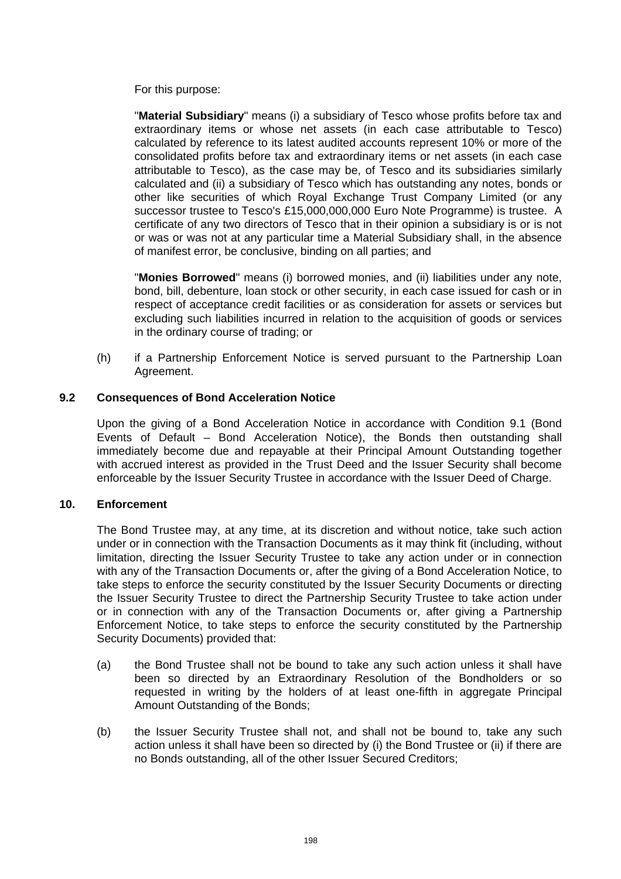For this purpose:

"**Material Subsidiary**" means (i) a subsidiary of Tesco whose profits before tax and extraordinary items or whose net assets (in each case attributable to Tesco) calculated by reference to its latest audited accounts represent 10% or more of the consolidated profits before tax and extraordinary items or net assets (in each case attributable to Tesco), as the case may be, of Tesco and its subsidiaries similarly calculated and (ii) a subsidiary of Tesco which has outstanding any notes, bonds or other like securities of which Royal Exchange Trust Company Limited (or any successor trustee to Tesco's £15,000,000,000 Euro Note Programme) is trustee. A certificate of any two directors of Tesco that in their opinion a subsidiary is or is not or was or was not at any particular time a Material Subsidiary shall, in the absence of manifest error, be conclusive, binding on all parties; and

"**Monies Borrowed**" means (i) borrowed monies, and (ii) liabilities under any note, bond, bill, debenture, loan stock or other security, in each case issued for cash or in respect of acceptance credit facilities or as consideration for assets or services but excluding such liabilities incurred in relation to the acquisition of goods or services in the ordinary course of trading; or

(h) if a Partnership Enforcement Notice is served pursuant to the Partnership Loan Agreement.

# **9.2 Consequences of Bond Acceleration Notice**

Upon the giving of a Bond Acceleration Notice in accordance with Condition 9.1 (Bond Events of Default – Bond Acceleration Notice), the Bonds then outstanding shall immediately become due and repayable at their Principal Amount Outstanding together with accrued interest as provided in the Trust Deed and the Issuer Security shall become enforceable by the Issuer Security Trustee in accordance with the Issuer Deed of Charge.

# **10. Enforcement**

The Bond Trustee may, at any time, at its discretion and without notice, take such action under or in connection with the Transaction Documents as it may think fit (including, without limitation, directing the Issuer Security Trustee to take any action under or in connection with any of the Transaction Documents or, after the giving of a Bond Acceleration Notice, to take steps to enforce the security constituted by the Issuer Security Documents or directing the Issuer Security Trustee to direct the Partnership Security Trustee to take action under or in connection with any of the Transaction Documents or, after giving a Partnership Enforcement Notice, to take steps to enforce the security constituted by the Partnership Security Documents) provided that:

- (a) the Bond Trustee shall not be bound to take any such action unless it shall have been so directed by an Extraordinary Resolution of the Bondholders or so requested in writing by the holders of at least one-fifth in aggregate Principal Amount Outstanding of the Bonds;
- (b) the Issuer Security Trustee shall not, and shall not be bound to, take any such action unless it shall have been so directed by (i) the Bond Trustee or (ii) if there are no Bonds outstanding, all of the other Issuer Secured Creditors;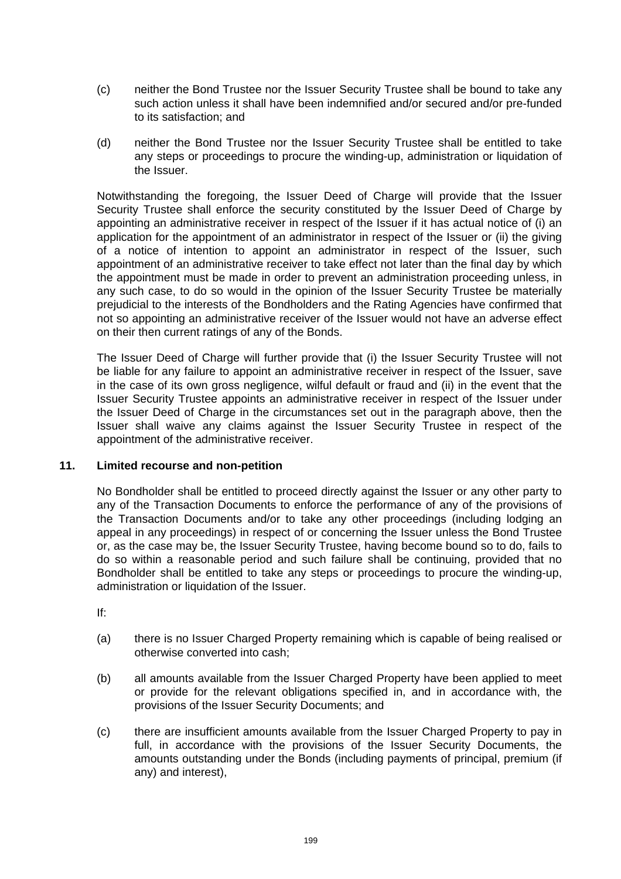- (c) neither the Bond Trustee nor the Issuer Security Trustee shall be bound to take any such action unless it shall have been indemnified and/or secured and/or pre-funded to its satisfaction; and
- (d) neither the Bond Trustee nor the Issuer Security Trustee shall be entitled to take any steps or proceedings to procure the winding-up, administration or liquidation of the Issuer.

Notwithstanding the foregoing, the Issuer Deed of Charge will provide that the Issuer Security Trustee shall enforce the security constituted by the Issuer Deed of Charge by appointing an administrative receiver in respect of the Issuer if it has actual notice of (i) an application for the appointment of an administrator in respect of the Issuer or (ii) the giving of a notice of intention to appoint an administrator in respect of the Issuer, such appointment of an administrative receiver to take effect not later than the final day by which the appointment must be made in order to prevent an administration proceeding unless, in any such case, to do so would in the opinion of the Issuer Security Trustee be materially prejudicial to the interests of the Bondholders and the Rating Agencies have confirmed that not so appointing an administrative receiver of the Issuer would not have an adverse effect on their then current ratings of any of the Bonds.

The Issuer Deed of Charge will further provide that (i) the Issuer Security Trustee will not be liable for any failure to appoint an administrative receiver in respect of the Issuer, save in the case of its own gross negligence, wilful default or fraud and (ii) in the event that the Issuer Security Trustee appoints an administrative receiver in respect of the Issuer under the Issuer Deed of Charge in the circumstances set out in the paragraph above, then the Issuer shall waive any claims against the Issuer Security Trustee in respect of the appointment of the administrative receiver.

# **11. Limited recourse and non-petition**

No Bondholder shall be entitled to proceed directly against the Issuer or any other party to any of the Transaction Documents to enforce the performance of any of the provisions of the Transaction Documents and/or to take any other proceedings (including lodging an appeal in any proceedings) in respect of or concerning the Issuer unless the Bond Trustee or, as the case may be, the Issuer Security Trustee, having become bound so to do, fails to do so within a reasonable period and such failure shall be continuing, provided that no Bondholder shall be entitled to take any steps or proceedings to procure the winding-up, administration or liquidation of the Issuer.

If:

- (a) there is no Issuer Charged Property remaining which is capable of being realised or otherwise converted into cash;
- (b) all amounts available from the Issuer Charged Property have been applied to meet or provide for the relevant obligations specified in, and in accordance with, the provisions of the Issuer Security Documents; and
- (c) there are insufficient amounts available from the Issuer Charged Property to pay in full, in accordance with the provisions of the Issuer Security Documents, the amounts outstanding under the Bonds (including payments of principal, premium (if any) and interest),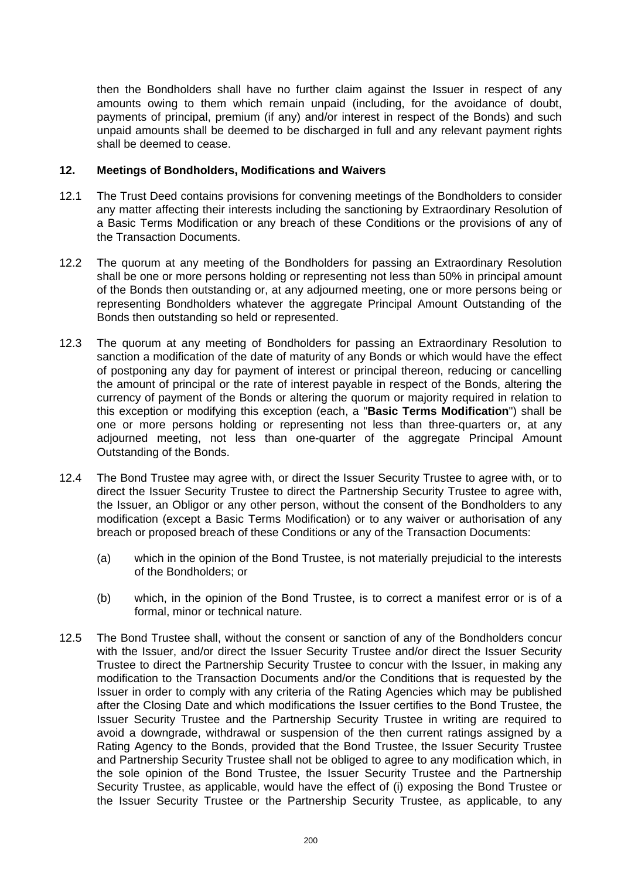then the Bondholders shall have no further claim against the Issuer in respect of any amounts owing to them which remain unpaid (including, for the avoidance of doubt, payments of principal, premium (if any) and/or interest in respect of the Bonds) and such unpaid amounts shall be deemed to be discharged in full and any relevant payment rights shall be deemed to cease.

### **12. Meetings of Bondholders, Modifications and Waivers**

- 12.1 The Trust Deed contains provisions for convening meetings of the Bondholders to consider any matter affecting their interests including the sanctioning by Extraordinary Resolution of a Basic Terms Modification or any breach of these Conditions or the provisions of any of the Transaction Documents.
- 12.2 The quorum at any meeting of the Bondholders for passing an Extraordinary Resolution shall be one or more persons holding or representing not less than 50% in principal amount of the Bonds then outstanding or, at any adjourned meeting, one or more persons being or representing Bondholders whatever the aggregate Principal Amount Outstanding of the Bonds then outstanding so held or represented.
- 12.3 The quorum at any meeting of Bondholders for passing an Extraordinary Resolution to sanction a modification of the date of maturity of any Bonds or which would have the effect of postponing any day for payment of interest or principal thereon, reducing or cancelling the amount of principal or the rate of interest payable in respect of the Bonds, altering the currency of payment of the Bonds or altering the quorum or majority required in relation to this exception or modifying this exception (each, a "**Basic Terms Modification**") shall be one or more persons holding or representing not less than three-quarters or, at any adjourned meeting, not less than one-quarter of the aggregate Principal Amount Outstanding of the Bonds.
- 12.4 The Bond Trustee may agree with, or direct the Issuer Security Trustee to agree with, or to direct the Issuer Security Trustee to direct the Partnership Security Trustee to agree with, the Issuer, an Obligor or any other person, without the consent of the Bondholders to any modification (except a Basic Terms Modification) or to any waiver or authorisation of any breach or proposed breach of these Conditions or any of the Transaction Documents:
	- (a) which in the opinion of the Bond Trustee, is not materially prejudicial to the interests of the Bondholders; or
	- (b) which, in the opinion of the Bond Trustee, is to correct a manifest error or is of a formal, minor or technical nature.
- 12.5 The Bond Trustee shall, without the consent or sanction of any of the Bondholders concur with the Issuer, and/or direct the Issuer Security Trustee and/or direct the Issuer Security Trustee to direct the Partnership Security Trustee to concur with the Issuer, in making any modification to the Transaction Documents and/or the Conditions that is requested by the Issuer in order to comply with any criteria of the Rating Agencies which may be published after the Closing Date and which modifications the Issuer certifies to the Bond Trustee, the Issuer Security Trustee and the Partnership Security Trustee in writing are required to avoid a downgrade, withdrawal or suspension of the then current ratings assigned by a Rating Agency to the Bonds, provided that the Bond Trustee, the Issuer Security Trustee and Partnership Security Trustee shall not be obliged to agree to any modification which, in the sole opinion of the Bond Trustee, the Issuer Security Trustee and the Partnership Security Trustee, as applicable, would have the effect of (i) exposing the Bond Trustee or the Issuer Security Trustee or the Partnership Security Trustee, as applicable, to any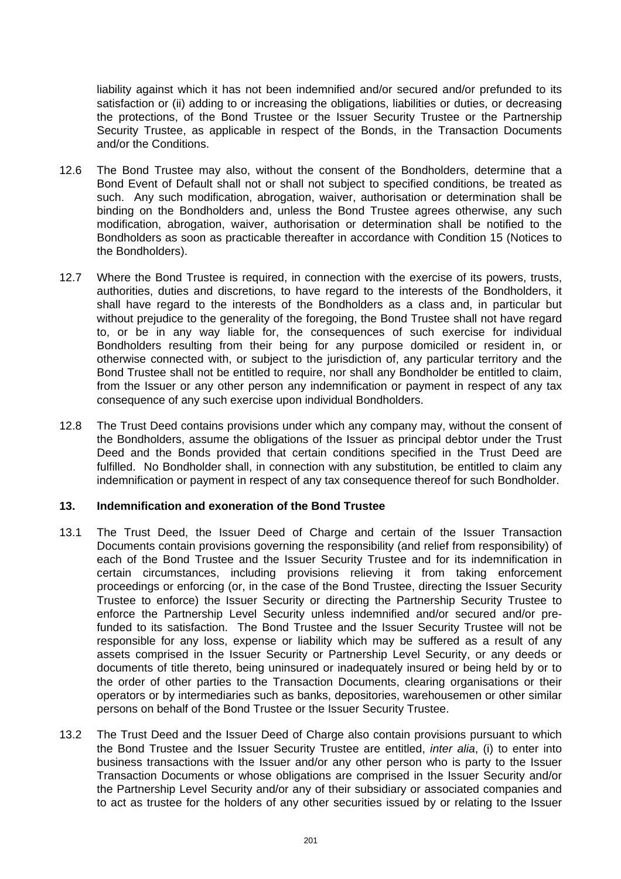liability against which it has not been indemnified and/or secured and/or prefunded to its satisfaction or (ii) adding to or increasing the obligations, liabilities or duties, or decreasing the protections, of the Bond Trustee or the Issuer Security Trustee or the Partnership Security Trustee, as applicable in respect of the Bonds, in the Transaction Documents and/or the Conditions.

- 12.6 The Bond Trustee may also, without the consent of the Bondholders, determine that a Bond Event of Default shall not or shall not subject to specified conditions, be treated as such. Any such modification, abrogation, waiver, authorisation or determination shall be binding on the Bondholders and, unless the Bond Trustee agrees otherwise, any such modification, abrogation, waiver, authorisation or determination shall be notified to the Bondholders as soon as practicable thereafter in accordance with Condition 15 (Notices to the Bondholders).
- 12.7 Where the Bond Trustee is required, in connection with the exercise of its powers, trusts, authorities, duties and discretions, to have regard to the interests of the Bondholders, it shall have regard to the interests of the Bondholders as a class and, in particular but without prejudice to the generality of the foregoing, the Bond Trustee shall not have regard to, or be in any way liable for, the consequences of such exercise for individual Bondholders resulting from their being for any purpose domiciled or resident in, or otherwise connected with, or subject to the jurisdiction of, any particular territory and the Bond Trustee shall not be entitled to require, nor shall any Bondholder be entitled to claim, from the Issuer or any other person any indemnification or payment in respect of any tax consequence of any such exercise upon individual Bondholders.
- 12.8 The Trust Deed contains provisions under which any company may, without the consent of the Bondholders, assume the obligations of the Issuer as principal debtor under the Trust Deed and the Bonds provided that certain conditions specified in the Trust Deed are fulfilled. No Bondholder shall, in connection with any substitution, be entitled to claim any indemnification or payment in respect of any tax consequence thereof for such Bondholder.

#### **13. Indemnification and exoneration of the Bond Trustee**

- 13.1 The Trust Deed, the Issuer Deed of Charge and certain of the Issuer Transaction Documents contain provisions governing the responsibility (and relief from responsibility) of each of the Bond Trustee and the Issuer Security Trustee and for its indemnification in certain circumstances, including provisions relieving it from taking enforcement proceedings or enforcing (or, in the case of the Bond Trustee, directing the Issuer Security Trustee to enforce) the Issuer Security or directing the Partnership Security Trustee to enforce the Partnership Level Security unless indemnified and/or secured and/or prefunded to its satisfaction. The Bond Trustee and the Issuer Security Trustee will not be responsible for any loss, expense or liability which may be suffered as a result of any assets comprised in the Issuer Security or Partnership Level Security, or any deeds or documents of title thereto, being uninsured or inadequately insured or being held by or to the order of other parties to the Transaction Documents, clearing organisations or their operators or by intermediaries such as banks, depositories, warehousemen or other similar persons on behalf of the Bond Trustee or the Issuer Security Trustee.
- 13.2 The Trust Deed and the Issuer Deed of Charge also contain provisions pursuant to which the Bond Trustee and the Issuer Security Trustee are entitled, *inter alia*, (i) to enter into business transactions with the Issuer and/or any other person who is party to the Issuer Transaction Documents or whose obligations are comprised in the Issuer Security and/or the Partnership Level Security and/or any of their subsidiary or associated companies and to act as trustee for the holders of any other securities issued by or relating to the Issuer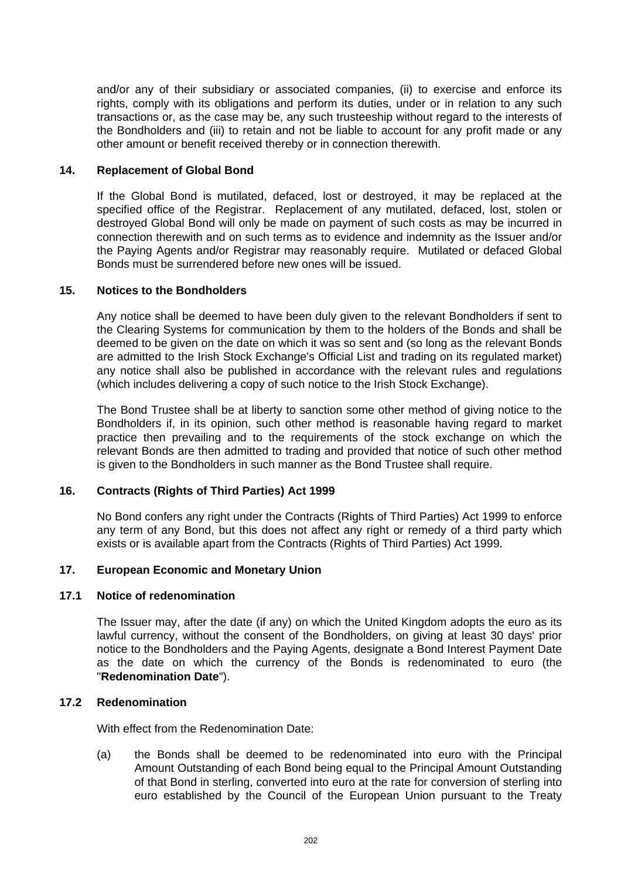and/or any of their subsidiary or associated companies, (ii) to exercise and enforce its rights, comply with its obligations and perform its duties, under or in relation to any such transactions or, as the case may be, any such trusteeship without regard to the interests of the Bondholders and (iii) to retain and not be liable to account for any profit made or any other amount or benefit received thereby or in connection therewith.

# **14. Replacement of Global Bond**

If the Global Bond is mutilated, defaced, lost or destroyed, it may be replaced at the specified office of the Registrar. Replacement of any mutilated, defaced, lost, stolen or destroyed Global Bond will only be made on payment of such costs as may be incurred in connection therewith and on such terms as to evidence and indemnity as the Issuer and/or the Paying Agents and/or Registrar may reasonably require. Mutilated or defaced Global Bonds must be surrendered before new ones will be issued.

### **15. Notices to the Bondholders**

Any notice shall be deemed to have been duly given to the relevant Bondholders if sent to the Clearing Systems for communication by them to the holders of the Bonds and shall be deemed to be given on the date on which it was so sent and (so long as the relevant Bonds are admitted to the Irish Stock Exchange's Official List and trading on its regulated market) any notice shall also be published in accordance with the relevant rules and regulations (which includes delivering a copy of such notice to the Irish Stock Exchange).

The Bond Trustee shall be at liberty to sanction some other method of giving notice to the Bondholders if, in its opinion, such other method is reasonable having regard to market practice then prevailing and to the requirements of the stock exchange on which the relevant Bonds are then admitted to trading and provided that notice of such other method is given to the Bondholders in such manner as the Bond Trustee shall require.

# **16. Contracts (Rights of Third Parties) Act 1999**

No Bond confers any right under the Contracts (Rights of Third Parties) Act 1999 to enforce any term of any Bond, but this does not affect any right or remedy of a third party which exists or is available apart from the Contracts (Rights of Third Parties) Act 1999.

# **17. European Economic and Monetary Union**

#### **17.1 Notice of redenomination**

The Issuer may, after the date (if any) on which the United Kingdom adopts the euro as its lawful currency, without the consent of the Bondholders, on giving at least 30 days' prior notice to the Bondholders and the Paying Agents, designate a Bond Interest Payment Date as the date on which the currency of the Bonds is redenominated to euro (the "**Redenomination Date**").

# **17.2 Redenomination**

With effect from the Redenomination Date:

(a) the Bonds shall be deemed to be redenominated into euro with the Principal Amount Outstanding of each Bond being equal to the Principal Amount Outstanding of that Bond in sterling, converted into euro at the rate for conversion of sterling into euro established by the Council of the European Union pursuant to the Treaty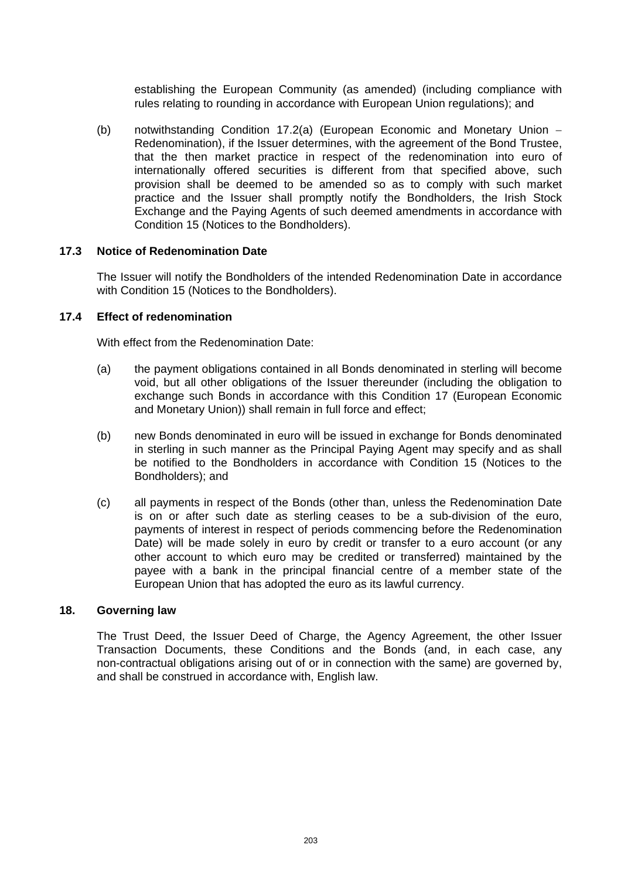establishing the European Community (as amended) (including compliance with rules relating to rounding in accordance with European Union regulations); and

(b) notwithstanding Condition 17.2(a) (European Economic and Monetary Union Redenomination), if the Issuer determines, with the agreement of the Bond Trustee, that the then market practice in respect of the redenomination into euro of internationally offered securities is different from that specified above, such provision shall be deemed to be amended so as to comply with such market practice and the Issuer shall promptly notify the Bondholders, the Irish Stock Exchange and the Paying Agents of such deemed amendments in accordance with Condition 15 (Notices to the Bondholders).

#### **17.3 Notice of Redenomination Date**

The Issuer will notify the Bondholders of the intended Redenomination Date in accordance with Condition 15 (Notices to the Bondholders).

### **17.4 Effect of redenomination**

With effect from the Redenomination Date:

- (a) the payment obligations contained in all Bonds denominated in sterling will become void, but all other obligations of the Issuer thereunder (including the obligation to exchange such Bonds in accordance with this Condition 17 (European Economic and Monetary Union)) shall remain in full force and effect;
- (b) new Bonds denominated in euro will be issued in exchange for Bonds denominated in sterling in such manner as the Principal Paying Agent may specify and as shall be notified to the Bondholders in accordance with Condition 15 (Notices to the Bondholders); and
- (c) all payments in respect of the Bonds (other than, unless the Redenomination Date is on or after such date as sterling ceases to be a sub-division of the euro, payments of interest in respect of periods commencing before the Redenomination Date) will be made solely in euro by credit or transfer to a euro account (or any other account to which euro may be credited or transferred) maintained by the payee with a bank in the principal financial centre of a member state of the European Union that has adopted the euro as its lawful currency.

# **18. Governing law**

The Trust Deed, the Issuer Deed of Charge, the Agency Agreement, the other Issuer Transaction Documents, these Conditions and the Bonds (and, in each case, any non-contractual obligations arising out of or in connection with the same) are governed by, and shall be construed in accordance with, English law.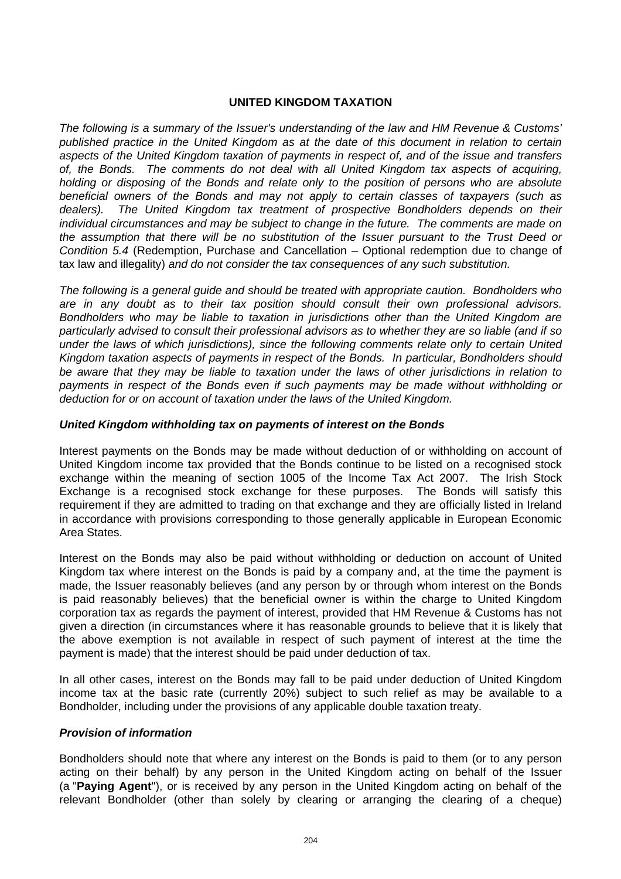### **UNITED KINGDOM TAXATION**

*The following is a summary of the Issuer's understanding of the law and HM Revenue & Customs' published practice in the United Kingdom as at the date of this document in relation to certain aspects of the United Kingdom taxation of payments in respect of, and of the issue and transfers of, the Bonds. The comments do not deal with all United Kingdom tax aspects of acquiring, holding or disposing of the Bonds and relate only to the position of persons who are absolute beneficial owners of the Bonds and may not apply to certain classes of taxpayers (such as*  dealers). The United Kingdom tax treatment of prospective Bondholders depends on their *individual circumstances and may be subject to change in the future. The comments are made on the assumption that there will be no substitution of the Issuer pursuant to the Trust Deed or Condition 5.4* (Redemption, Purchase and Cancellation – Optional redemption due to change of tax law and illegality) *and do not consider the tax consequences of any such substitution.*

*The following is a general guide and should be treated with appropriate caution. Bondholders who are in any doubt as to their tax position should consult their own professional advisors. Bondholders who may be liable to taxation in jurisdictions other than the United Kingdom are particularly advised to consult their professional advisors as to whether they are so liable (and if so under the laws of which jurisdictions), since the following comments relate only to certain United Kingdom taxation aspects of payments in respect of the Bonds. In particular, Bondholders should be aware that they may be liable to taxation under the laws of other jurisdictions in relation to payments in respect of the Bonds even if such payments may be made without withholding or deduction for or on account of taxation under the laws of the United Kingdom.*

### *United Kingdom withholding tax on payments of interest on the Bonds*

Interest payments on the Bonds may be made without deduction of or withholding on account of United Kingdom income tax provided that the Bonds continue to be listed on a recognised stock exchange within the meaning of section 1005 of the Income Tax Act 2007. The Irish Stock Exchange is a recognised stock exchange for these purposes. The Bonds will satisfy this requirement if they are admitted to trading on that exchange and they are officially listed in Ireland in accordance with provisions corresponding to those generally applicable in European Economic Area States.

Interest on the Bonds may also be paid without withholding or deduction on account of United Kingdom tax where interest on the Bonds is paid by a company and, at the time the payment is made, the Issuer reasonably believes (and any person by or through whom interest on the Bonds is paid reasonably believes) that the beneficial owner is within the charge to United Kingdom corporation tax as regards the payment of interest, provided that HM Revenue & Customs has not given a direction (in circumstances where it has reasonable grounds to believe that it is likely that the above exemption is not available in respect of such payment of interest at the time the payment is made) that the interest should be paid under deduction of tax.

In all other cases, interest on the Bonds may fall to be paid under deduction of United Kingdom income tax at the basic rate (currently 20%) subject to such relief as may be available to a Bondholder, including under the provisions of any applicable double taxation treaty.

#### *Provision of information*

Bondholders should note that where any interest on the Bonds is paid to them (or to any person acting on their behalf) by any person in the United Kingdom acting on behalf of the Issuer (a "**Paying Agent**"), or is received by any person in the United Kingdom acting on behalf of the relevant Bondholder (other than solely by clearing or arranging the clearing of a cheque)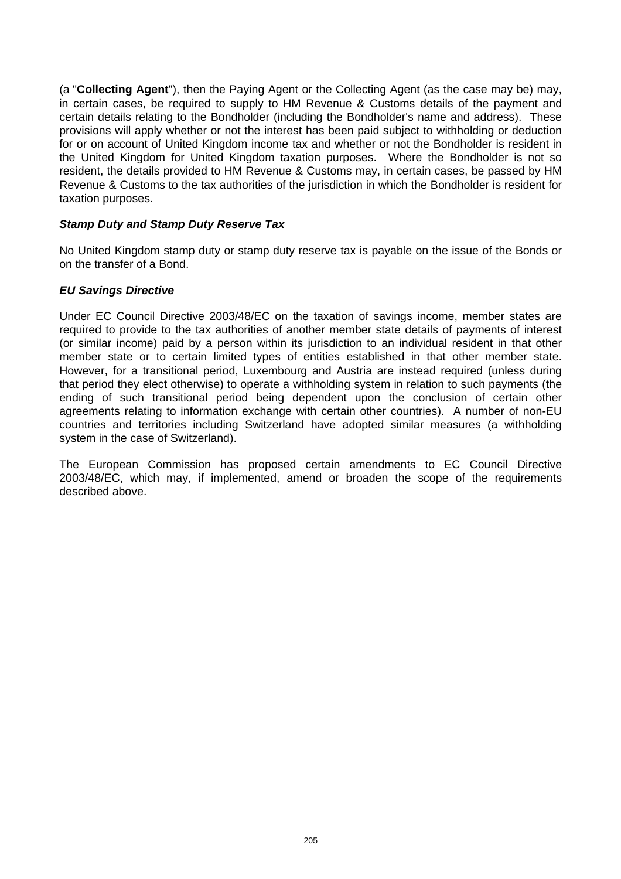(a "**Collecting Agent**"), then the Paying Agent or the Collecting Agent (as the case may be) may, in certain cases, be required to supply to HM Revenue & Customs details of the payment and certain details relating to the Bondholder (including the Bondholder's name and address). These provisions will apply whether or not the interest has been paid subject to withholding or deduction for or on account of United Kingdom income tax and whether or not the Bondholder is resident in the United Kingdom for United Kingdom taxation purposes. Where the Bondholder is not so resident, the details provided to HM Revenue & Customs may, in certain cases, be passed by HM Revenue & Customs to the tax authorities of the jurisdiction in which the Bondholder is resident for taxation purposes.

# *Stamp Duty and Stamp Duty Reserve Tax*

No United Kingdom stamp duty or stamp duty reserve tax is payable on the issue of the Bonds or on the transfer of a Bond.

### *EU Savings Directive*

Under EC Council Directive 2003/48/EC on the taxation of savings income, member states are required to provide to the tax authorities of another member state details of payments of interest (or similar income) paid by a person within its jurisdiction to an individual resident in that other member state or to certain limited types of entities established in that other member state. However, for a transitional period, Luxembourg and Austria are instead required (unless during that period they elect otherwise) to operate a withholding system in relation to such payments (the ending of such transitional period being dependent upon the conclusion of certain other agreements relating to information exchange with certain other countries). A number of non-EU countries and territories including Switzerland have adopted similar measures (a withholding system in the case of Switzerland).

The European Commission has proposed certain amendments to EC Council Directive 2003/48/EC, which may, if implemented, amend or broaden the scope of the requirements described above.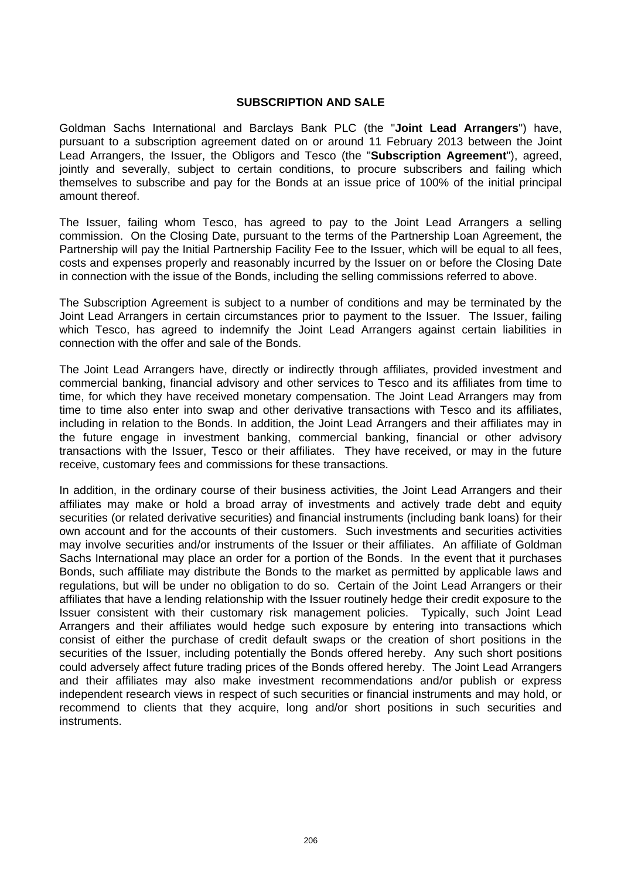#### **SUBSCRIPTION AND SALE**

Goldman Sachs International and Barclays Bank PLC (the "**Joint Lead Arrangers**") have, pursuant to a subscription agreement dated on or around 11 February 2013 between the Joint Lead Arrangers, the Issuer, the Obligors and Tesco (the "**Subscription Agreement**"), agreed, jointly and severally, subject to certain conditions, to procure subscribers and failing which themselves to subscribe and pay for the Bonds at an issue price of 100% of the initial principal amount thereof.

The Issuer, failing whom Tesco, has agreed to pay to the Joint Lead Arrangers a selling commission. On the Closing Date, pursuant to the terms of the Partnership Loan Agreement, the Partnership will pay the Initial Partnership Facility Fee to the Issuer, which will be equal to all fees. costs and expenses properly and reasonably incurred by the Issuer on or before the Closing Date in connection with the issue of the Bonds, including the selling commissions referred to above.

The Subscription Agreement is subject to a number of conditions and may be terminated by the Joint Lead Arrangers in certain circumstances prior to payment to the Issuer. The Issuer, failing which Tesco, has agreed to indemnify the Joint Lead Arrangers against certain liabilities in connection with the offer and sale of the Bonds.

The Joint Lead Arrangers have, directly or indirectly through affiliates, provided investment and commercial banking, financial advisory and other services to Tesco and its affiliates from time to time, for which they have received monetary compensation. The Joint Lead Arrangers may from time to time also enter into swap and other derivative transactions with Tesco and its affiliates, including in relation to the Bonds. In addition, the Joint Lead Arrangers and their affiliates may in the future engage in investment banking, commercial banking, financial or other advisory transactions with the Issuer, Tesco or their affiliates. They have received, or may in the future receive, customary fees and commissions for these transactions.

In addition, in the ordinary course of their business activities, the Joint Lead Arrangers and their affiliates may make or hold a broad array of investments and actively trade debt and equity securities (or related derivative securities) and financial instruments (including bank loans) for their own account and for the accounts of their customers. Such investments and securities activities may involve securities and/or instruments of the Issuer or their affiliates. An affiliate of Goldman Sachs International may place an order for a portion of the Bonds. In the event that it purchases Bonds, such affiliate may distribute the Bonds to the market as permitted by applicable laws and regulations, but will be under no obligation to do so. Certain of the Joint Lead Arrangers or their affiliates that have a lending relationship with the Issuer routinely hedge their credit exposure to the Issuer consistent with their customary risk management policies. Typically, such Joint Lead Arrangers and their affiliates would hedge such exposure by entering into transactions which consist of either the purchase of credit default swaps or the creation of short positions in the securities of the Issuer, including potentially the Bonds offered hereby. Any such short positions could adversely affect future trading prices of the Bonds offered hereby. The Joint Lead Arrangers and their affiliates may also make investment recommendations and/or publish or express independent research views in respect of such securities or financial instruments and may hold, or recommend to clients that they acquire, long and/or short positions in such securities and instruments.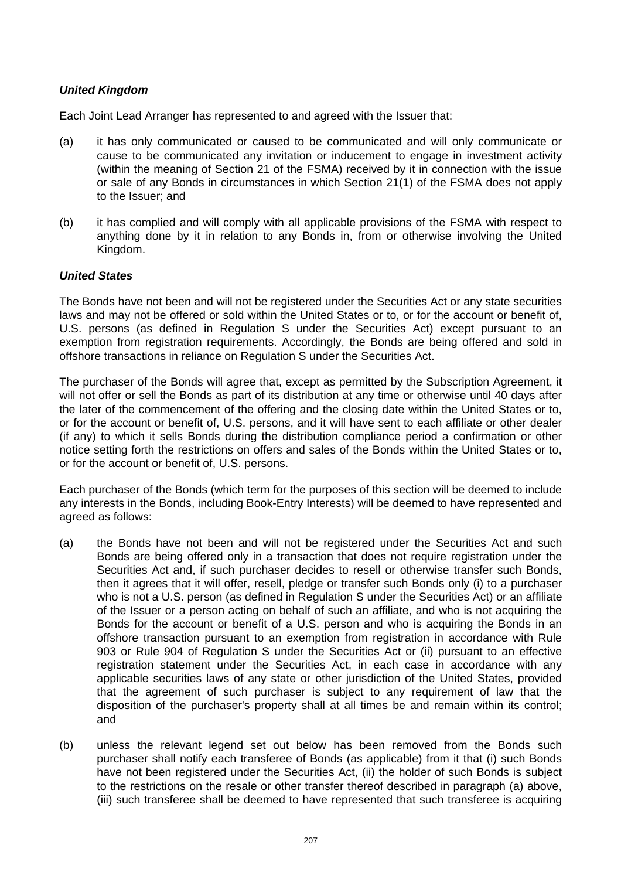# *United Kingdom*

Each Joint Lead Arranger has represented to and agreed with the Issuer that:

- (a) it has only communicated or caused to be communicated and will only communicate or cause to be communicated any invitation or inducement to engage in investment activity (within the meaning of Section 21 of the FSMA) received by it in connection with the issue or sale of any Bonds in circumstances in which Section 21(1) of the FSMA does not apply to the Issuer; and
- (b) it has complied and will comply with all applicable provisions of the FSMA with respect to anything done by it in relation to any Bonds in, from or otherwise involving the United Kingdom.

### *United States*

The Bonds have not been and will not be registered under the Securities Act or any state securities laws and may not be offered or sold within the United States or to, or for the account or benefit of, U.S. persons (as defined in Regulation S under the Securities Act) except pursuant to an exemption from registration requirements. Accordingly, the Bonds are being offered and sold in offshore transactions in reliance on Regulation S under the Securities Act.

The purchaser of the Bonds will agree that, except as permitted by the Subscription Agreement, it will not offer or sell the Bonds as part of its distribution at any time or otherwise until 40 days after the later of the commencement of the offering and the closing date within the United States or to, or for the account or benefit of, U.S. persons, and it will have sent to each affiliate or other dealer (if any) to which it sells Bonds during the distribution compliance period a confirmation or other notice setting forth the restrictions on offers and sales of the Bonds within the United States or to, or for the account or benefit of, U.S. persons.

Each purchaser of the Bonds (which term for the purposes of this section will be deemed to include any interests in the Bonds, including Book-Entry Interests) will be deemed to have represented and agreed as follows:

- (a) the Bonds have not been and will not be registered under the Securities Act and such Bonds are being offered only in a transaction that does not require registration under the Securities Act and, if such purchaser decides to resell or otherwise transfer such Bonds, then it agrees that it will offer, resell, pledge or transfer such Bonds only (i) to a purchaser who is not a U.S. person (as defined in Regulation S under the Securities Act) or an affiliate of the Issuer or a person acting on behalf of such an affiliate, and who is not acquiring the Bonds for the account or benefit of a U.S. person and who is acquiring the Bonds in an offshore transaction pursuant to an exemption from registration in accordance with Rule 903 or Rule 904 of Regulation S under the Securities Act or (ii) pursuant to an effective registration statement under the Securities Act, in each case in accordance with any applicable securities laws of any state or other jurisdiction of the United States, provided that the agreement of such purchaser is subject to any requirement of law that the disposition of the purchaser's property shall at all times be and remain within its control; and
- (b) unless the relevant legend set out below has been removed from the Bonds such purchaser shall notify each transferee of Bonds (as applicable) from it that (i) such Bonds have not been registered under the Securities Act, (ii) the holder of such Bonds is subject to the restrictions on the resale or other transfer thereof described in paragraph (a) above, (iii) such transferee shall be deemed to have represented that such transferee is acquiring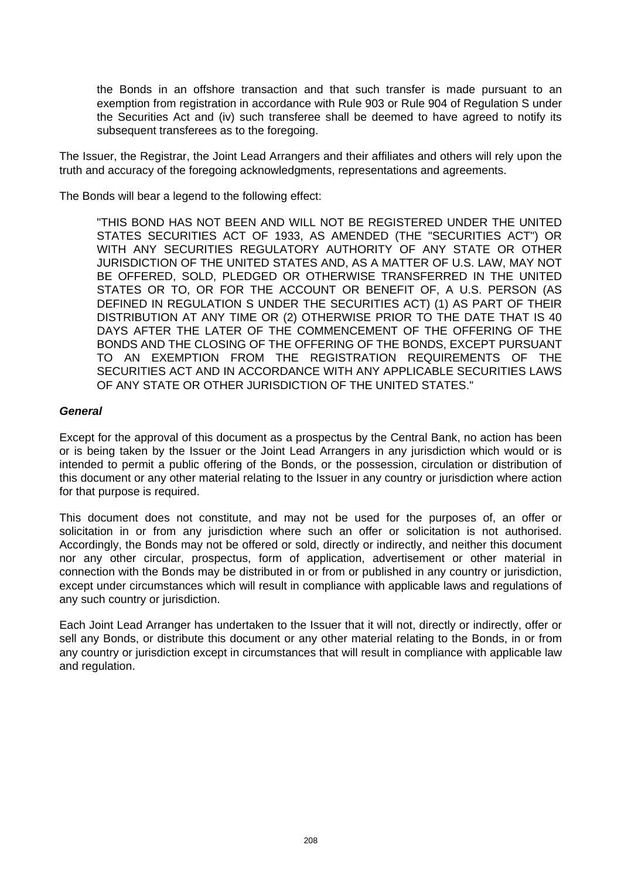the Bonds in an offshore transaction and that such transfer is made pursuant to an exemption from registration in accordance with Rule 903 or Rule 904 of Regulation S under the Securities Act and (iv) such transferee shall be deemed to have agreed to notify its subsequent transferees as to the foregoing.

The Issuer, the Registrar, the Joint Lead Arrangers and their affiliates and others will rely upon the truth and accuracy of the foregoing acknowledgments, representations and agreements.

The Bonds will bear a legend to the following effect:

"THIS BOND HAS NOT BEEN AND WILL NOT BE REGISTERED UNDER THE UNITED STATES SECURITIES ACT OF 1933, AS AMENDED (THE "SECURITIES ACT") OR WITH ANY SECURITIES REGULATORY AUTHORITY OF ANY STATE OR OTHER JURISDICTION OF THE UNITED STATES AND, AS A MATTER OF U.S. LAW, MAY NOT BE OFFERED, SOLD, PLEDGED OR OTHERWISE TRANSFERRED IN THE UNITED STATES OR TO, OR FOR THE ACCOUNT OR BENEFIT OF, A U.S. PERSON (AS DEFINED IN REGULATION S UNDER THE SECURITIES ACT) (1) AS PART OF THEIR DISTRIBUTION AT ANY TIME OR (2) OTHERWISE PRIOR TO THE DATE THAT IS 40 DAYS AFTER THE LATER OF THE COMMENCEMENT OF THE OFFERING OF THE BONDS AND THE CLOSING OF THE OFFERING OF THE BONDS, EXCEPT PURSUANT TO AN EXEMPTION FROM THE REGISTRATION REQUIREMENTS OF THE SECURITIES ACT AND IN ACCORDANCE WITH ANY APPLICABLE SECURITIES LAWS OF ANY STATE OR OTHER JURISDICTION OF THE UNITED STATES."

### *General*

Except for the approval of this document as a prospectus by the Central Bank, no action has been or is being taken by the Issuer or the Joint Lead Arrangers in any jurisdiction which would or is intended to permit a public offering of the Bonds, or the possession, circulation or distribution of this document or any other material relating to the Issuer in any country or jurisdiction where action for that purpose is required.

This document does not constitute, and may not be used for the purposes of, an offer or solicitation in or from any jurisdiction where such an offer or solicitation is not authorised. Accordingly, the Bonds may not be offered or sold, directly or indirectly, and neither this document nor any other circular, prospectus, form of application, advertisement or other material in connection with the Bonds may be distributed in or from or published in any country or jurisdiction, except under circumstances which will result in compliance with applicable laws and regulations of any such country or jurisdiction.

Each Joint Lead Arranger has undertaken to the Issuer that it will not, directly or indirectly, offer or sell any Bonds, or distribute this document or any other material relating to the Bonds, in or from any country or jurisdiction except in circumstances that will result in compliance with applicable law and regulation.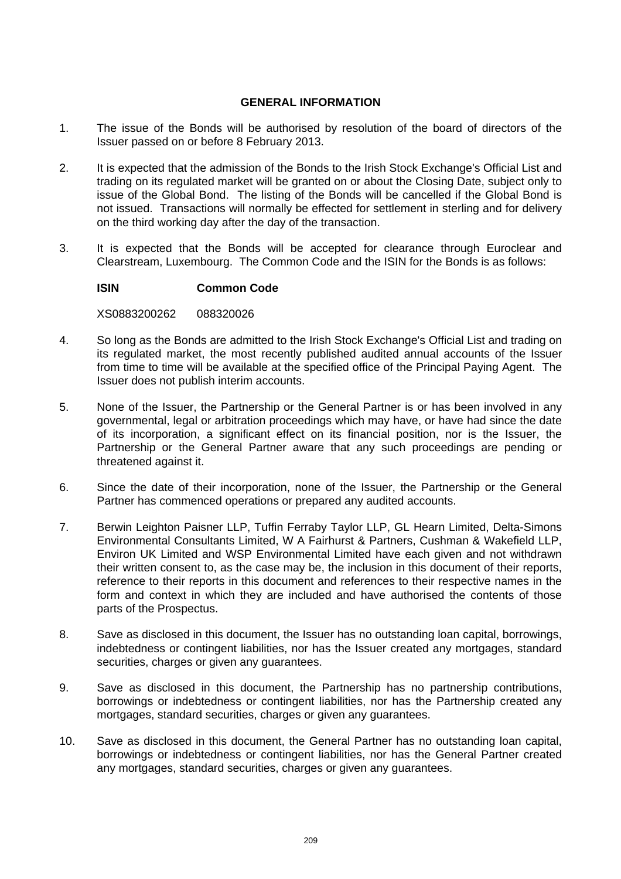### **GENERAL INFORMATION**

- 1. The issue of the Bonds will be authorised by resolution of the board of directors of the Issuer passed on or before 8 February 2013.
- 2. It is expected that the admission of the Bonds to the Irish Stock Exchange's Official List and trading on its regulated market will be granted on or about the Closing Date, subject only to issue of the Global Bond. The listing of the Bonds will be cancelled if the Global Bond is not issued. Transactions will normally be effected for settlement in sterling and for delivery on the third working day after the day of the transaction.
- 3. It is expected that the Bonds will be accepted for clearance through Euroclear and Clearstream, Luxembourg. The Common Code and the ISIN for the Bonds is as follows:

### **ISIN Common Code**

XS0883200262 088320026

- 4. So long as the Bonds are admitted to the Irish Stock Exchange's Official List and trading on its regulated market, the most recently published audited annual accounts of the Issuer from time to time will be available at the specified office of the Principal Paying Agent. The Issuer does not publish interim accounts.
- 5. None of the Issuer, the Partnership or the General Partner is or has been involved in any governmental, legal or arbitration proceedings which may have, or have had since the date of its incorporation, a significant effect on its financial position, nor is the Issuer, the Partnership or the General Partner aware that any such proceedings are pending or threatened against it.
- 6. Since the date of their incorporation, none of the Issuer, the Partnership or the General Partner has commenced operations or prepared any audited accounts.
- 7. Berwin Leighton Paisner LLP, Tuffin Ferraby Taylor LLP, GL Hearn Limited, Delta-Simons Environmental Consultants Limited, W A Fairhurst & Partners, Cushman & Wakefield LLP, Environ UK Limited and WSP Environmental Limited have each given and not withdrawn their written consent to, as the case may be, the inclusion in this document of their reports, reference to their reports in this document and references to their respective names in the form and context in which they are included and have authorised the contents of those parts of the Prospectus.
- 8. Save as disclosed in this document, the Issuer has no outstanding loan capital, borrowings, indebtedness or contingent liabilities, nor has the Issuer created any mortgages, standard securities, charges or given any guarantees.
- 9. Save as disclosed in this document, the Partnership has no partnership contributions, borrowings or indebtedness or contingent liabilities, nor has the Partnership created any mortgages, standard securities, charges or given any guarantees.
- 10. Save as disclosed in this document, the General Partner has no outstanding loan capital, borrowings or indebtedness or contingent liabilities, nor has the General Partner created any mortgages, standard securities, charges or given any guarantees.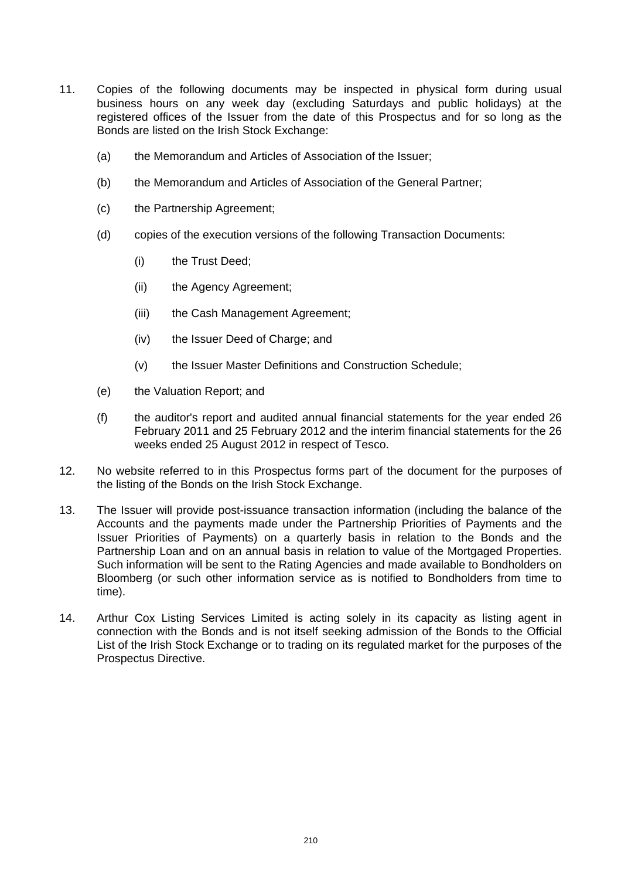- 11. Copies of the following documents may be inspected in physical form during usual business hours on any week day (excluding Saturdays and public holidays) at the registered offices of the Issuer from the date of this Prospectus and for so long as the Bonds are listed on the Irish Stock Exchange:
	- (a) the Memorandum and Articles of Association of the Issuer;
	- (b) the Memorandum and Articles of Association of the General Partner;
	- (c) the Partnership Agreement;
	- (d) copies of the execution versions of the following Transaction Documents:
		- (i) the Trust Deed;
		- (ii) the Agency Agreement;
		- (iii) the Cash Management Agreement;
		- (iv) the Issuer Deed of Charge; and
		- (v) the Issuer Master Definitions and Construction Schedule;
	- (e) the Valuation Report; and
	- (f) the auditor's report and audited annual financial statements for the year ended 26 February 2011 and 25 February 2012 and the interim financial statements for the 26 weeks ended 25 August 2012 in respect of Tesco.
- 12. No website referred to in this Prospectus forms part of the document for the purposes of the listing of the Bonds on the Irish Stock Exchange.
- 13. The Issuer will provide post-issuance transaction information (including the balance of the Accounts and the payments made under the Partnership Priorities of Payments and the Issuer Priorities of Payments) on a quarterly basis in relation to the Bonds and the Partnership Loan and on an annual basis in relation to value of the Mortgaged Properties. Such information will be sent to the Rating Agencies and made available to Bondholders on Bloomberg (or such other information service as is notified to Bondholders from time to time).
- 14. Arthur Cox Listing Services Limited is acting solely in its capacity as listing agent in connection with the Bonds and is not itself seeking admission of the Bonds to the Official List of the Irish Stock Exchange or to trading on its regulated market for the purposes of the Prospectus Directive.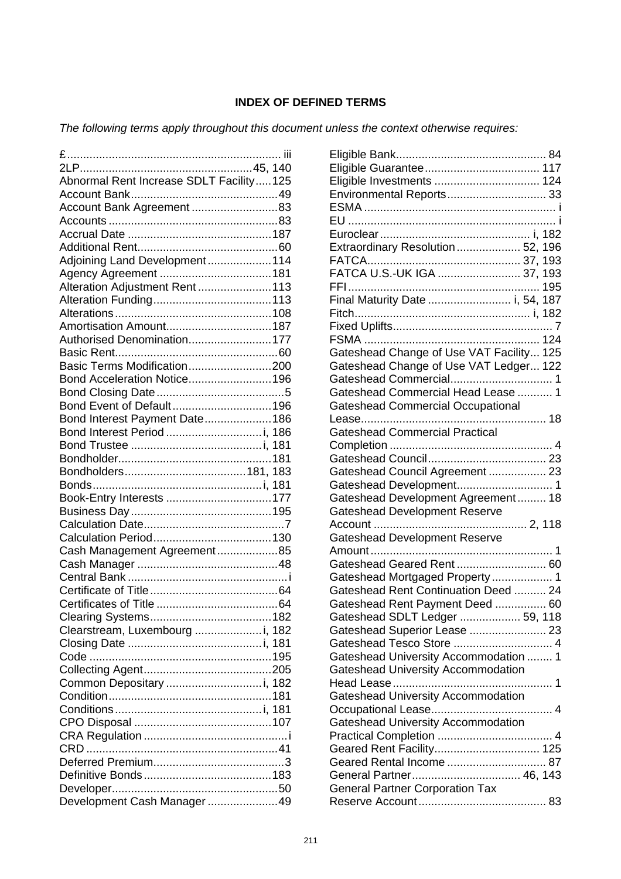# **INDEX OF DEFINED TERMS**

*The following terms apply throughout this document unless the context otherwise requires:* 

| Abnormal Rent Increase SDLT Facility125 |  |
|-----------------------------------------|--|
|                                         |  |
| Account Bank Agreement 83               |  |
|                                         |  |
|                                         |  |
|                                         |  |
| Adjoining Land Development114           |  |
|                                         |  |
| Alteration Adjustment Rent 113          |  |
|                                         |  |
|                                         |  |
| Amortisation Amount187                  |  |
| Authorised Denomination177              |  |
|                                         |  |
| Basic Terms Modification200             |  |
| Bond Acceleration Notice 196            |  |
|                                         |  |
| Bond Event of Default196                |  |
| Bond Interest Payment Date186           |  |
|                                         |  |
|                                         |  |
|                                         |  |
|                                         |  |
|                                         |  |
|                                         |  |
|                                         |  |
|                                         |  |
|                                         |  |
| Cash Management Agreement85             |  |
|                                         |  |
|                                         |  |
|                                         |  |
|                                         |  |
|                                         |  |
|                                         |  |
| Clearstream, Luxembourg i, 182          |  |
|                                         |  |
|                                         |  |
|                                         |  |
|                                         |  |
|                                         |  |
|                                         |  |
|                                         |  |
|                                         |  |
|                                         |  |
|                                         |  |
|                                         |  |
|                                         |  |
| Development Cash Manager49              |  |

| Eligible Investments  124                |  |
|------------------------------------------|--|
| Environmental Reports 33                 |  |
|                                          |  |
|                                          |  |
|                                          |  |
| Extraordinary Resolution  52, 196        |  |
|                                          |  |
| FATCA U.S.-UK IGA  37, 193               |  |
|                                          |  |
| Final Maturity Date  i, 54, 187          |  |
|                                          |  |
|                                          |  |
|                                          |  |
| Gateshead Change of Use VAT Facility 125 |  |
| Gateshead Change of Use VAT Ledger 122   |  |
| Gateshead Commercial 1                   |  |
| Gateshead Commercial Head Lease  1       |  |
| <b>Gateshead Commercial Occupational</b> |  |
|                                          |  |
| Gateshead Commercial Practical           |  |
|                                          |  |
|                                          |  |
| Gateshead Council Agreement  23          |  |
| Gateshead Development 1                  |  |
| Gateshead Development Agreement 18       |  |
| <b>Gateshead Development Reserve</b>     |  |
|                                          |  |
| <b>Gateshead Development Reserve</b>     |  |
|                                          |  |
| Gateshead Geared Rent  60                |  |
| Gateshead Mortgaged Property 1           |  |
| Gateshead Rent Continuation Deed  24     |  |
| Gateshead Rent Payment Deed  60          |  |
| Gateshead SDLT Ledger  59, 118           |  |
| Gateshead Superior Lease  23             |  |
| Gateshead Tesco Store  4                 |  |
| Gateshead University Accommodation  1    |  |
| Gateshead University Accommodation       |  |
|                                          |  |
| Gateshead University Accommodation       |  |
|                                          |  |
| Gateshead University Accommodation       |  |
|                                          |  |
| Geared Rent Facility 125                 |  |
| Geared Rental Income  87                 |  |
| General Partner 46, 143                  |  |
| General Partner Corporation Tax          |  |
|                                          |  |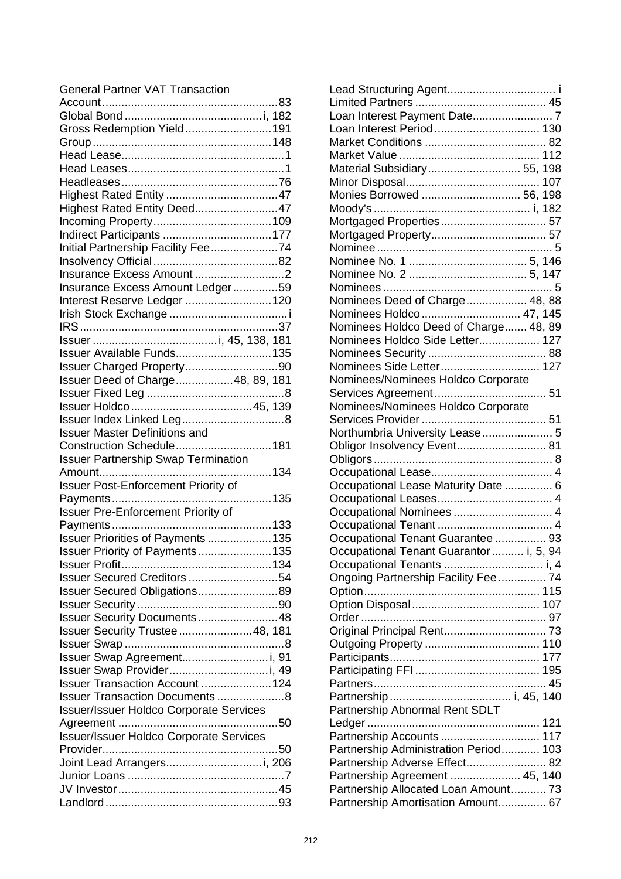| <b>General Partner VAT Transaction</b>         |  |
|------------------------------------------------|--|
|                                                |  |
|                                                |  |
| Gross Redemption Yield191                      |  |
|                                                |  |
|                                                |  |
|                                                |  |
|                                                |  |
|                                                |  |
| Highest Rated Entity Deed47                    |  |
|                                                |  |
|                                                |  |
| Initial Partnership Facility Fee74             |  |
|                                                |  |
|                                                |  |
|                                                |  |
| Insurance Excess Amount Ledger59               |  |
| Interest Reserve Ledger  120                   |  |
|                                                |  |
|                                                |  |
|                                                |  |
| Issuer Available Funds135                      |  |
| Issuer Charged Property90                      |  |
| Issuer Deed of Charge48, 89, 181               |  |
|                                                |  |
|                                                |  |
|                                                |  |
| <b>Issuer Master Definitions and</b>           |  |
| Construction Schedule181                       |  |
|                                                |  |
| <b>Issuer Partnership Swap Termination</b>     |  |
|                                                |  |
| <b>Issuer Post-Enforcement Priority of</b>     |  |
| 135<br>Payments                                |  |
| <b>Issuer Pre-Enforcement Priority of</b>      |  |
|                                                |  |
| Issuer Priorities of Payments  135             |  |
| Issuer Priority of Payments135                 |  |
|                                                |  |
| Issuer Secured Creditors 54                    |  |
| Issuer Secured Obligations89                   |  |
|                                                |  |
| Issuer Security Documents48                    |  |
|                                                |  |
| Issuer Security Trustee48, 181                 |  |
|                                                |  |
|                                                |  |
|                                                |  |
| Issuer Transaction Account 124                 |  |
| <b>Issuer Transaction Documents 8</b>          |  |
| <b>Issuer/Issuer Holdco Corporate Services</b> |  |
|                                                |  |
| <b>Issuer/Issuer Holdco Corporate Services</b> |  |
|                                                |  |
|                                                |  |
|                                                |  |
|                                                |  |

| Loan Interest Period 130                |  |
|-----------------------------------------|--|
|                                         |  |
|                                         |  |
| Material Subsidiary 55, 198             |  |
|                                         |  |
| Monies Borrowed  56, 198                |  |
|                                         |  |
| Mortgaged Properties 57                 |  |
|                                         |  |
|                                         |  |
|                                         |  |
|                                         |  |
|                                         |  |
| Nominees Deed of Charge 48, 88          |  |
| Nominees Holdco  47, 145                |  |
| Nominees Holdco Deed of Charge 48, 89   |  |
| Nominees Holdco Side Letter 127         |  |
|                                         |  |
| Nominees Side Letter 127                |  |
| Nominees/Nominees Holdco Corporate      |  |
|                                         |  |
| Nominees/Nominees Holdco Corporate      |  |
|                                         |  |
| Northumbria University Lease 5          |  |
| Obligor Insolvency Event 81             |  |
|                                         |  |
|                                         |  |
| Occupational Lease Maturity Date  6     |  |
|                                         |  |
|                                         |  |
|                                         |  |
| Occupational Tenant Guarantee  93       |  |
| Occupational Tenant Guarantor  i, 5, 94 |  |
|                                         |  |
| Ongoing Partnership Facility Fee  74    |  |
|                                         |  |
|                                         |  |
|                                         |  |
| Original Principal Rent 73              |  |
|                                         |  |
|                                         |  |
|                                         |  |
|                                         |  |
|                                         |  |
| Partnership Abnormal Rent SDLT          |  |
|                                         |  |
| Partnership Accounts  117               |  |
| Partnership Administration Period 103   |  |
|                                         |  |
| Partnership Adverse Effect 82           |  |
| Partnership Agreement  45, 140          |  |
| Partnership Allocated Loan Amount 73    |  |
| Partnership Amortisation Amount 67      |  |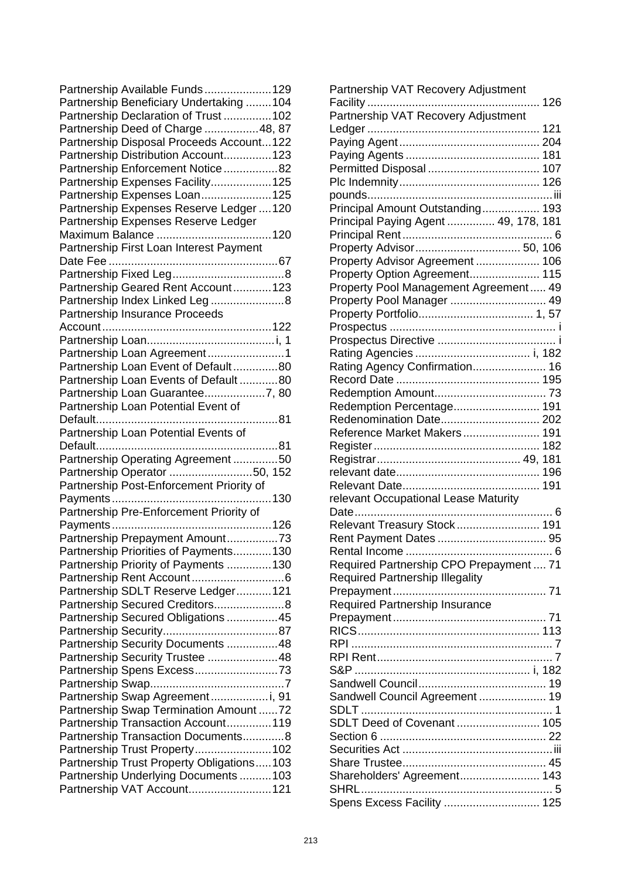| Partnership Available Funds129            |  |
|-------------------------------------------|--|
| Partnership Beneficiary Undertaking  104  |  |
| Partnership Declaration of Trust102       |  |
| Partnership Deed of Charge 48, 87         |  |
| Partnership Disposal Proceeds Account122  |  |
| Partnership Distribution Account123       |  |
| Partnership Enforcement Notice82          |  |
| Partnership Expenses Facility125          |  |
| Partnership Expenses Loan125              |  |
| Partnership Expenses Reserve Ledger  120  |  |
| Partnership Expenses Reserve Ledger       |  |
|                                           |  |
| Partnership First Loan Interest Payment   |  |
|                                           |  |
|                                           |  |
| Partnership Geared Rent Account123        |  |
| Partnership Index Linked Leg8             |  |
| Partnership Insurance Proceeds            |  |
|                                           |  |
|                                           |  |
|                                           |  |
| Partnership Loan Agreement1               |  |
| Partnership Loan Event of Default80       |  |
| Partnership Loan Events of Default80      |  |
| Partnership Loan Guarantee7, 80           |  |
| Partnership Loan Potential Event of       |  |
|                                           |  |
| Partnership Loan Potential Events of      |  |
|                                           |  |
| Partnership Operating Agreement 50        |  |
| Partnership Operator 50, 152              |  |
| Partnership Post-Enforcement Priority of  |  |
|                                           |  |
| Partnership Pre-Enforcement Priority of   |  |
|                                           |  |
| Partnership Prepayment Amount73           |  |
| Partnership Priorities of Payments130     |  |
| Partnership Priority of Payments 130      |  |
|                                           |  |
| Partnership SDLT Reserve Ledger121        |  |
| Partnership Secured Creditors8            |  |
| Partnership Secured Obligations 45        |  |
|                                           |  |
| Partnership Security Documents 48         |  |
| Partnership Security Trustee 48           |  |
| Partnership Spens Excess73                |  |
|                                           |  |
|                                           |  |
| Partnership Swap Termination Amount 72    |  |
| Partnership Transaction Account119        |  |
| Partnership Transaction Documents8        |  |
| Partnership Trust Property102             |  |
| Partnership Trust Property Obligations103 |  |
| Partnership Underlying Documents 103      |  |
| Partnership VAT Account121                |  |
|                                           |  |

| Partnership VAT Recovery Adjustment     |  |
|-----------------------------------------|--|
|                                         |  |
|                                         |  |
|                                         |  |
|                                         |  |
|                                         |  |
|                                         |  |
|                                         |  |
|                                         |  |
|                                         |  |
| Principal Amount Outstanding 193        |  |
|                                         |  |
| Principal Paying Agent  49, 178, 181    |  |
|                                         |  |
| Property Advisor 50, 106                |  |
| Property Advisor Agreement  106         |  |
| Property Option Agreement 115           |  |
|                                         |  |
| Property Pool Management Agreement 49   |  |
| Property Pool Manager  49               |  |
|                                         |  |
|                                         |  |
|                                         |  |
|                                         |  |
|                                         |  |
| Rating Agency Confirmation 16           |  |
|                                         |  |
|                                         |  |
| Redemption Percentage 191               |  |
| Redenomination Date 202                 |  |
| Reference Market Makers 191             |  |
|                                         |  |
|                                         |  |
|                                         |  |
|                                         |  |
|                                         |  |
|                                         |  |
|                                         |  |
| relevant Occupational Lease Maturity    |  |
|                                         |  |
| Relevant Treasury Stock 191             |  |
|                                         |  |
|                                         |  |
| Required Partnership CPO Prepayment  71 |  |
|                                         |  |
| <b>Required Partnership Illegality</b>  |  |
|                                         |  |
| Required Partnership Insurance          |  |
|                                         |  |
|                                         |  |
|                                         |  |
|                                         |  |
|                                         |  |
|                                         |  |
|                                         |  |
| Sandwell Council Agreement  19          |  |
|                                         |  |
| SDLT Deed of Covenant  105              |  |
|                                         |  |
|                                         |  |
|                                         |  |
|                                         |  |
| Shareholders' Agreement 143             |  |
| Spens Excess Facility  125              |  |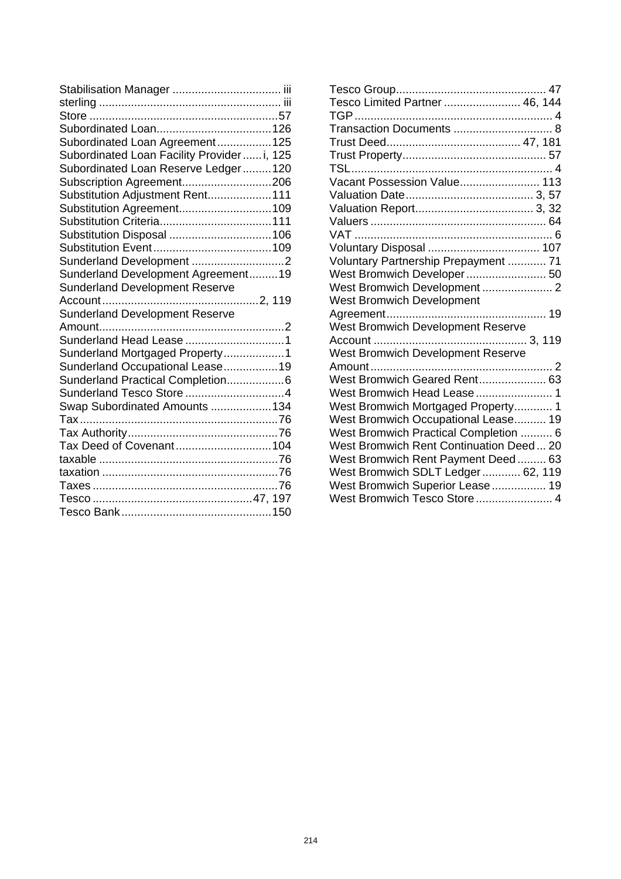| Subordinated Loan Agreement125              |  |
|---------------------------------------------|--|
| Subordinated Loan Facility Provider  i, 125 |  |
| Subordinated Loan Reserve Ledger120         |  |
| Subscription Agreement206                   |  |
| Substitution Adjustment Rent111             |  |
| Substitution Agreement109                   |  |
|                                             |  |
| Substitution Disposal 106                   |  |
|                                             |  |
| Sunderland Development 2                    |  |
| Sunderland Development Agreement19          |  |
| <b>Sunderland Development Reserve</b>       |  |
|                                             |  |
| <b>Sunderland Development Reserve</b>       |  |
|                                             |  |
| Sunderland Head Lease 1                     |  |
| Sunderland Mortgaged Property1              |  |
| Sunderland Occupational Lease19             |  |
| Sunderland Practical Completion6            |  |
| Sunderland Tesco Store 4                    |  |
| Swap Subordinated Amounts 134               |  |
|                                             |  |
|                                             |  |
| Tax Deed of Covenant104                     |  |
|                                             |  |
|                                             |  |
|                                             |  |
|                                             |  |
|                                             |  |